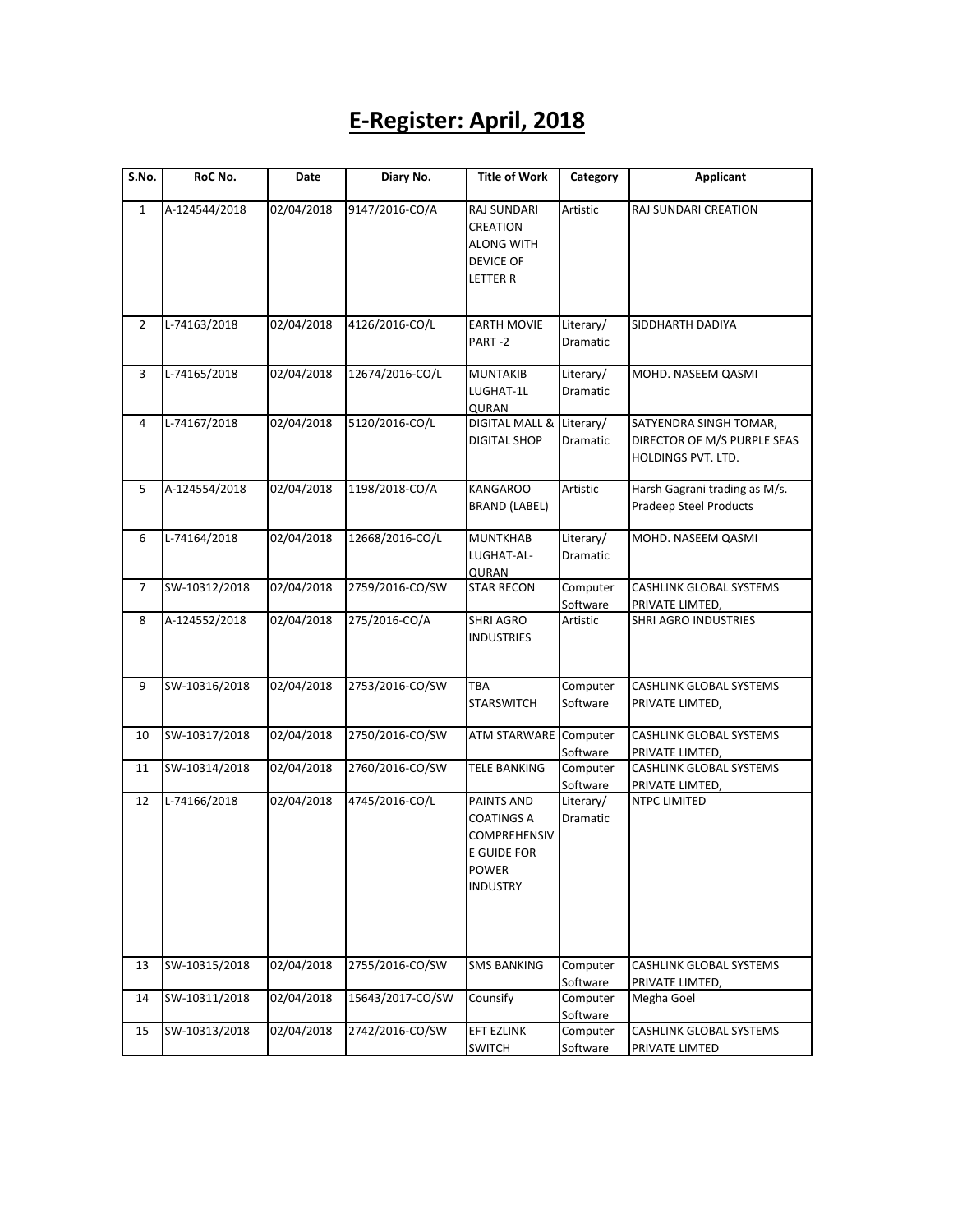## **E-Register: April, 2018**

| S.No.          | RoC No.       | Date       | Diary No.        | <b>Title of Work</b>                  | Category             | <b>Applicant</b>                                  |
|----------------|---------------|------------|------------------|---------------------------------------|----------------------|---------------------------------------------------|
| $\mathbf{1}$   | A-124544/2018 | 02/04/2018 | 9147/2016-CO/A   | RAJ SUNDARI                           | Artistic             | RAJ SUNDARI CREATION                              |
|                |               |            |                  | CREATION                              |                      |                                                   |
|                |               |            |                  | <b>ALONG WITH</b>                     |                      |                                                   |
|                |               |            |                  | <b>DEVICE OF</b>                      |                      |                                                   |
|                |               |            |                  | <b>LETTER R</b>                       |                      |                                                   |
| $\overline{2}$ | L-74163/2018  | 02/04/2018 | 4126/2016-CO/L   | <b>EARTH MOVIE</b>                    | Literary/            | SIDDHARTH DADIYA                                  |
|                |               |            |                  | PART-2                                | Dramatic             |                                                   |
| 3              | L-74165/2018  | 02/04/2018 | 12674/2016-CO/L  | <b>MUNTAKIB</b>                       | Literary/            | MOHD. NASEEM QASMI                                |
|                |               |            |                  | LUGHAT-1L                             | <b>Dramatic</b>      |                                                   |
|                |               |            |                  | QURAN                                 |                      |                                                   |
| 4              | L-74167/2018  | 02/04/2018 | 5120/2016-CO/L   | DIGITAL MALL &                        | Literary/            | SATYENDRA SINGH TOMAR,                            |
|                |               |            |                  | DIGITAL SHOP                          | Dramatic             | DIRECTOR OF M/S PURPLE SEAS<br>HOLDINGS PVT. LTD. |
| 5              | A-124554/2018 | 02/04/2018 | 1198/2018-CO/A   | <b>KANGAROO</b>                       | Artistic             | Harsh Gagrani trading as M/s.                     |
|                |               |            |                  | <b>BRAND (LABEL)</b>                  |                      | <b>Pradeep Steel Products</b>                     |
| 6              | L-74164/2018  | 02/04/2018 | 12668/2016-CO/L  | <b>MUNTKHAB</b>                       | Literary/            | MOHD. NASEEM QASMI                                |
|                |               |            |                  | LUGHAT-AL-                            | Dramatic             |                                                   |
|                |               |            |                  | <b>QURAN</b>                          |                      |                                                   |
| 7              | SW-10312/2018 | 02/04/2018 | 2759/2016-CO/SW  | <b>STAR RECON</b>                     | Computer             | CASHLINK GLOBAL SYSTEMS                           |
|                |               |            |                  |                                       | Software             | PRIVATE LIMTED,                                   |
| 8              | A-124552/2018 | 02/04/2018 | 275/2016-CO/A    | <b>SHRI AGRO</b><br><b>INDUSTRIES</b> | Artistic             | <b>SHRI AGRO INDUSTRIES</b>                       |
| 9              | SW-10316/2018 | 02/04/2018 | 2753/2016-CO/SW  | <b>TBA</b>                            | Computer             | CASHLINK GLOBAL SYSTEMS                           |
|                |               |            |                  | <b>STARSWITCH</b>                     | Software             | PRIVATE LIMTED,                                   |
| 10             | SW-10317/2018 | 02/04/2018 | 2750/2016-CO/SW  | <b>ATM STARWARE</b>                   | Computer             | CASHLINK GLOBAL SYSTEMS                           |
|                |               |            |                  |                                       | Software             | PRIVATE LIMTED,                                   |
| 11             | SW-10314/2018 | 02/04/2018 | 2760/2016-CO/SW  | <b>TELE BANKING</b>                   | Computer             | CASHLINK GLOBAL SYSTEMS                           |
|                |               |            |                  |                                       | Software             | PRIVATE LIMTED,                                   |
| 12             | L-74166/2018  | 02/04/2018 | 4745/2016-CO/L   | PAINTS AND                            | Literary/            | <b>NTPC LIMITED</b>                               |
|                |               |            |                  | COATINGS A                            | Dramatic             |                                                   |
|                |               |            |                  | <b>COMPREHENSIV</b>                   |                      |                                                   |
|                |               |            |                  | E GUIDE FOR                           |                      |                                                   |
|                |               |            |                  | POWER                                 |                      |                                                   |
|                |               |            |                  | INDUSTRY                              |                      |                                                   |
|                |               |            |                  |                                       |                      |                                                   |
|                |               |            |                  |                                       |                      |                                                   |
| 13             | SW-10315/2018 | 02/04/2018 | 2755/2016-CO/SW  | <b>SMS BANKING</b>                    | Computer<br>Software | CASHLINK GLOBAL SYSTEMS<br>PRIVATE LIMTED,        |
| 14             | SW-10311/2018 | 02/04/2018 | 15643/2017-CO/SW | Counsify                              | Computer<br>Software | Megha Goel                                        |
| 15             | SW-10313/2018 | 02/04/2018 | 2742/2016-CO/SW  | EFT EZLINK                            | Computer             | CASHLINK GLOBAL SYSTEMS                           |
|                |               |            |                  | <b>SWITCH</b>                         | Software             | PRIVATE LIMTED                                    |
|                |               |            |                  |                                       |                      |                                                   |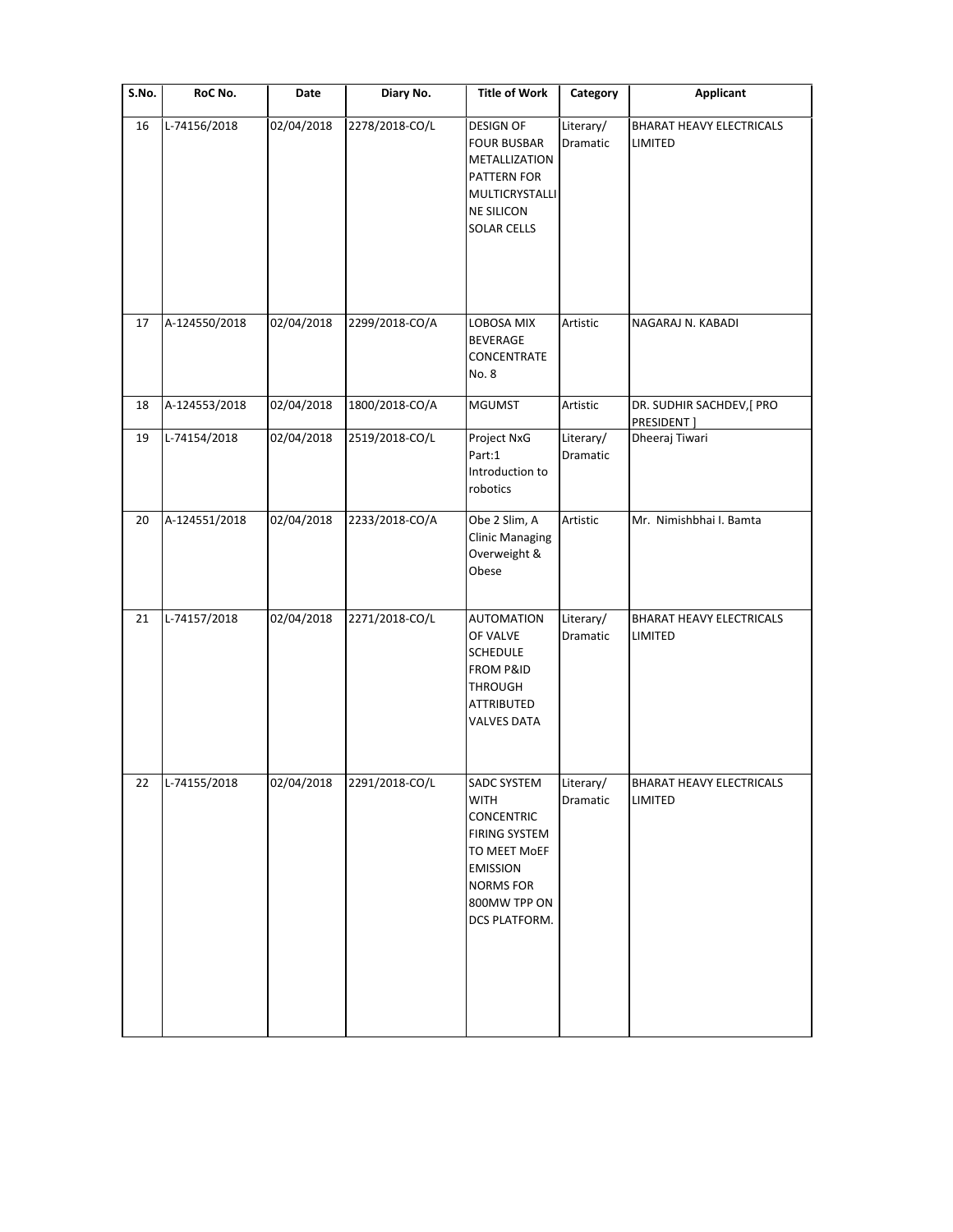| S.No. | RoC No.       | Date       | Diary No.      | <b>Title of Work</b>                                                                                                                                            | Category              | <b>Applicant</b>                           |
|-------|---------------|------------|----------------|-----------------------------------------------------------------------------------------------------------------------------------------------------------------|-----------------------|--------------------------------------------|
| 16    | L-74156/2018  | 02/04/2018 | 2278/2018-CO/L | <b>DESIGN OF</b><br><b>FOUR BUSBAR</b><br>METALLIZATION<br>PATTERN FOR<br>MULTICRYSTALLI<br><b>NE SILICON</b><br><b>SOLAR CELLS</b>                             | Literary/<br>Dramatic | BHARAT HEAVY ELECTRICALS<br>LIMITED        |
| 17    | A-124550/2018 | 02/04/2018 | 2299/2018-CO/A | LOBOSA MIX<br>BEVERAGE<br>CONCENTRATE<br>No. 8                                                                                                                  | Artistic              | NAGARAJ N. KABADI                          |
| 18    | A-124553/2018 | 02/04/2018 | 1800/2018-CO/A | <b>MGUMST</b>                                                                                                                                                   | Artistic              | DR. SUDHIR SACHDEV,[ PRO<br>PRESIDENT]     |
| 19    | L-74154/2018  | 02/04/2018 | 2519/2018-CO/L | Project NxG<br>Part:1<br>Introduction to<br>robotics                                                                                                            | Literary/<br>Dramatic | Dheeraj Tiwari                             |
| 20    | A-124551/2018 | 02/04/2018 | 2233/2018-CO/A | Obe 2 Slim, A<br><b>Clinic Managing</b><br>Overweight &<br>Obese                                                                                                | Artistic              | Mr. Nimishbhai I. Bamta                    |
| 21    | L-74157/2018  | 02/04/2018 | 2271/2018-CO/L | <b>AUTOMATION</b><br>OF VALVE<br><b>SCHEDULE</b><br><b>FROM P&amp;ID</b><br><b>THROUGH</b><br><b>ATTRIBUTED</b><br><b>VALVES DATA</b>                           | Literary/<br>Dramatic | <b>BHARAT HEAVY ELECTRICALS</b><br>LIMITED |
| 22    | L-74155/2018  | 02/04/2018 | 2291/2018-CO/L | SADC SYSTEM<br><b>WITH</b><br><b>CONCENTRIC</b><br><b>FIRING SYSTEM</b><br>TO MEET MOEF<br><b>EMISSION</b><br><b>NORMS FOR</b><br>800MW TPP ON<br>DCS PLATFORM. | Literary/<br>Dramatic | BHARAT HEAVY ELECTRICALS<br>LIMITED        |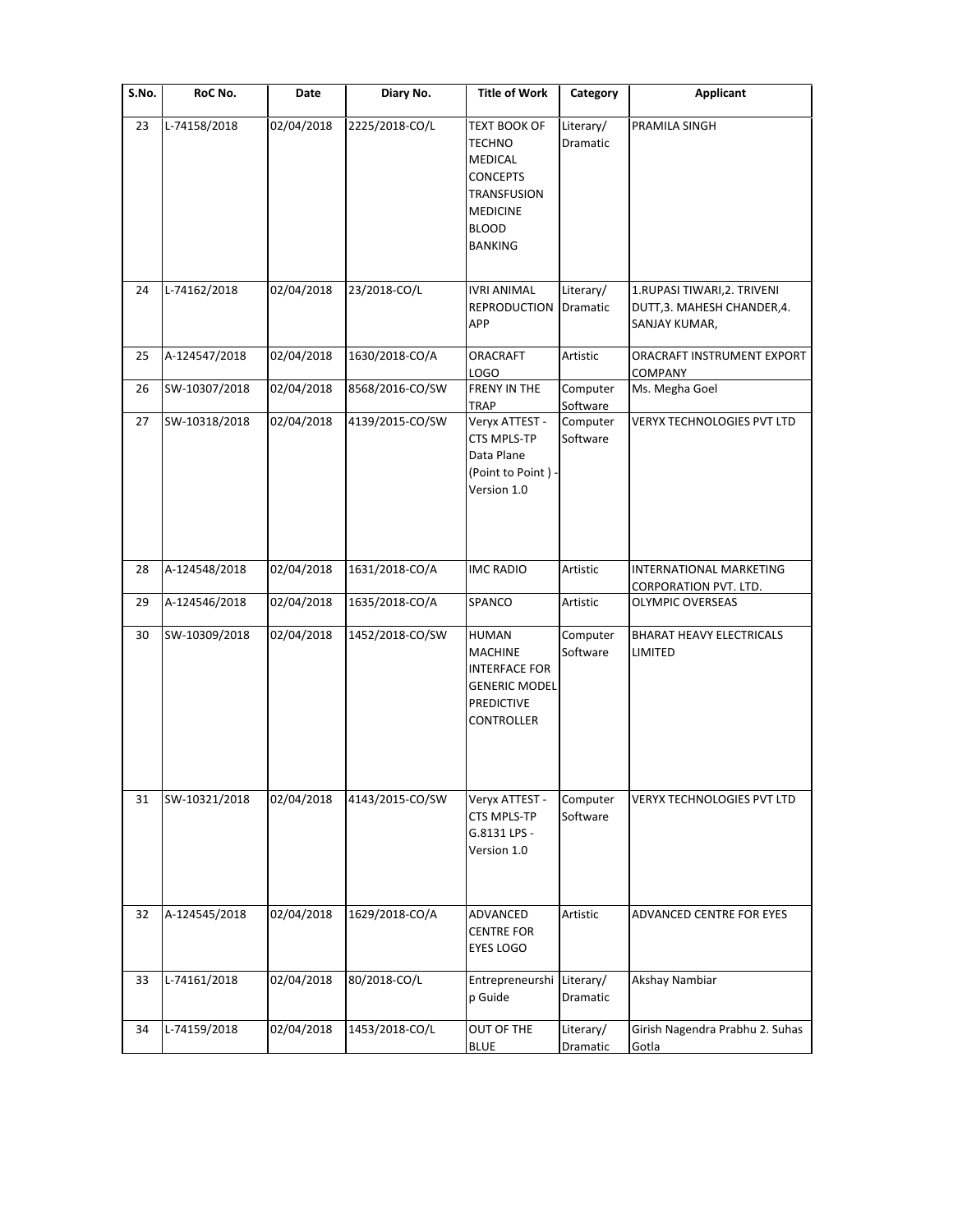| S.No. | RoC No.       | Date                    | Diary No.       | <b>Title of Work</b>                                                                                                            | Category              | Applicant                                                                   |
|-------|---------------|-------------------------|-----------------|---------------------------------------------------------------------------------------------------------------------------------|-----------------------|-----------------------------------------------------------------------------|
| 23    | L-74158/2018  | 02/04/2018              | 2225/2018-CO/L  | <b>TEXT BOOK OF</b><br>TECHNO<br>MEDICAL<br><b>CONCEPTS</b><br>TRANSFUSION<br><b>MEDICINE</b><br><b>BLOOD</b><br><b>BANKING</b> | Literary/<br>Dramatic | PRAMILA SINGH                                                               |
| 24    | L-74162/2018  | 02/04/2018              | 23/2018-CO/L    | <b>IVRI ANIMAL</b><br><b>REPRODUCTION</b><br>APP                                                                                | Literary/<br>Dramatic | 1.RUPASI TIWARI, 2. TRIVENI<br>DUTT, 3. MAHESH CHANDER, 4.<br>SANJAY KUMAR, |
| 25    | A-124547/2018 | 02/04/2018              | 1630/2018-CO/A  | ORACRAFT<br><b>LOGO</b>                                                                                                         | Artistic              | ORACRAFT INSTRUMENT EXPORT<br>COMPANY                                       |
| 26    | SW-10307/2018 | 02/04/2018              | 8568/2016-CO/SW | FRENY IN THE<br>TRAP                                                                                                            | Computer<br>Software  | Ms. Megha Goel                                                              |
| 27    | SW-10318/2018 | 02/04/2018              | 4139/2015-CO/SW | Veryx ATTEST -<br>CTS MPLS-TP<br>Data Plane<br>(Point to Point) -<br>Version 1.0                                                | Computer<br>Software  | VERYX TECHNOLOGIES PVT LTD                                                  |
| 28    | A-124548/2018 | 02/04/2018              | 1631/2018-CO/A  | <b>IMC RADIO</b>                                                                                                                | Artistic              | INTERNATIONAL MARKETING<br>CORPORATION PVT. LTD.                            |
| 29    | A-124546/2018 | 02/04/2018              | 1635/2018-CO/A  | SPANCO                                                                                                                          | Artistic              | <b>OLYMPIC OVERSEAS</b>                                                     |
| 30    | SW-10309/2018 | 02/04/2018              | 1452/2018-CO/SW | HUMAN<br><b>MACHINE</b><br>INTERFACE FOR<br><b>GENERIC MODEL</b><br><b>PREDICTIVE</b><br><b>CONTROLLER</b>                      | Computer<br>Software  | <b>BHARAT HEAVY ELECTRICALS</b><br>LIMITED                                  |
| 31    | SW-10321/2018 | 02/04/2018              | 4143/2015-CO/SW | Veryx ATTEST -<br>CTS MPLS-TP<br>G.8131 LPS -<br>Version 1.0                                                                    | Computer<br>Software  | VERYX TECHNOLOGIES PVT LTD                                                  |
| 32    | A-124545/2018 | 02/04/2018              | 1629/2018-CO/A  | ADVANCED<br><b>CENTRE FOR</b><br>EYES LOGO                                                                                      | Artistic              | <b>ADVANCED CENTRE FOR EYES</b>                                             |
| 33    | L-74161/2018  | 02/04/2018              | 80/2018-CO/L    | Entrepreneurshi<br>p Guide                                                                                                      | Literary/<br>Dramatic | Akshay Nambiar                                                              |
| 34    | L-74159/2018  | $\overline{02/04}/2018$ | 1453/2018-CO/L  | OUT OF THE<br><b>BLUE</b>                                                                                                       | Literary/<br>Dramatic | Girish Nagendra Prabhu 2. Suhas<br>Gotla                                    |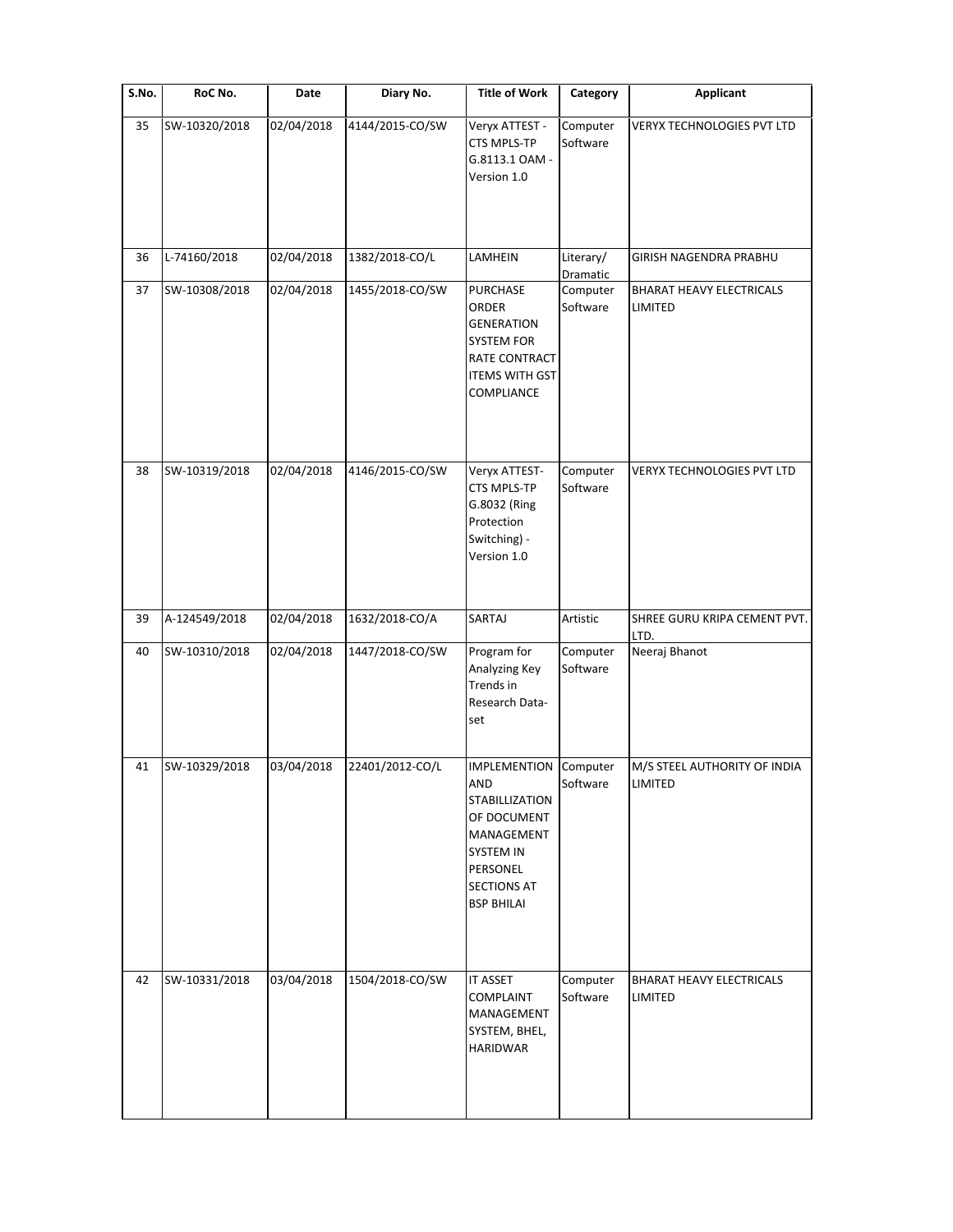| S.No. | RoC No.       | Date       | Diary No.       | <b>Title of Work</b>                                                                                                                                        | Category              | Applicant                                  |
|-------|---------------|------------|-----------------|-------------------------------------------------------------------------------------------------------------------------------------------------------------|-----------------------|--------------------------------------------|
| 35    | SW-10320/2018 | 02/04/2018 | 4144/2015-CO/SW | Veryx ATTEST -<br>CTS MPLS-TP<br>G.8113.1 OAM -<br>Version 1.0                                                                                              | Computer<br>Software  | VERYX TECHNOLOGIES PVT LTD                 |
| 36    | L-74160/2018  | 02/04/2018 | 1382/2018-CO/L  | LAMHEIN                                                                                                                                                     | Literary/<br>Dramatic | GIRISH NAGENDRA PRABHU                     |
| 37    | SW-10308/2018 | 02/04/2018 | 1455/2018-CO/SW | PURCHASE<br>ORDER<br><b>GENERATION</b><br><b>SYSTEM FOR</b><br>RATE CONTRACT<br><b>ITEMS WITH GST</b><br>COMPLIANCE                                         | Computer<br>Software  | <b>BHARAT HEAVY ELECTRICALS</b><br>LIMITED |
| 38    | SW-10319/2018 | 02/04/2018 | 4146/2015-CO/SW | Veryx ATTEST-<br>CTS MPLS-TP<br>G.8032 (Ring<br>Protection<br>Switching) -<br>Version 1.0                                                                   | Computer<br>Software  | <b>VERYX TECHNOLOGIES PVT LTD</b>          |
| 39    | A-124549/2018 | 02/04/2018 | 1632/2018-CO/A  | SARTAJ                                                                                                                                                      | Artistic              | SHREE GURU KRIPA CEMENT PVT.               |
| 40    | SW-10310/2018 | 02/04/2018 | 1447/2018-CO/SW | Program for<br>Analyzing Key<br>Trends in<br>Research Data-<br>set                                                                                          | Computer<br>Software  | LTD.<br>Neeraj Bhanot                      |
| 41    | SW-10329/2018 | 03/04/2018 | 22401/2012-CO/L | <b>IMPLEMENTION</b><br>AND<br><b>STABILLIZATION</b><br>OF DOCUMENT<br>MANAGEMENT<br><b>SYSTEM IN</b><br>PERSONEL<br><b>SECTIONS AT</b><br><b>BSP BHILAI</b> | Computer<br>Software  | M/S STEEL AUTHORITY OF INDIA<br>LIMITED    |
| 42    | SW-10331/2018 | 03/04/2018 | 1504/2018-CO/SW | <b>IT ASSET</b>                                                                                                                                             | Computer              | BHARAT HEAVY ELECTRICALS                   |
|       |               |            |                 | <b>COMPLAINT</b><br>MANAGEMENT<br>SYSTEM, BHEL,<br><b>HARIDWAR</b>                                                                                          | Software              | LIMITED                                    |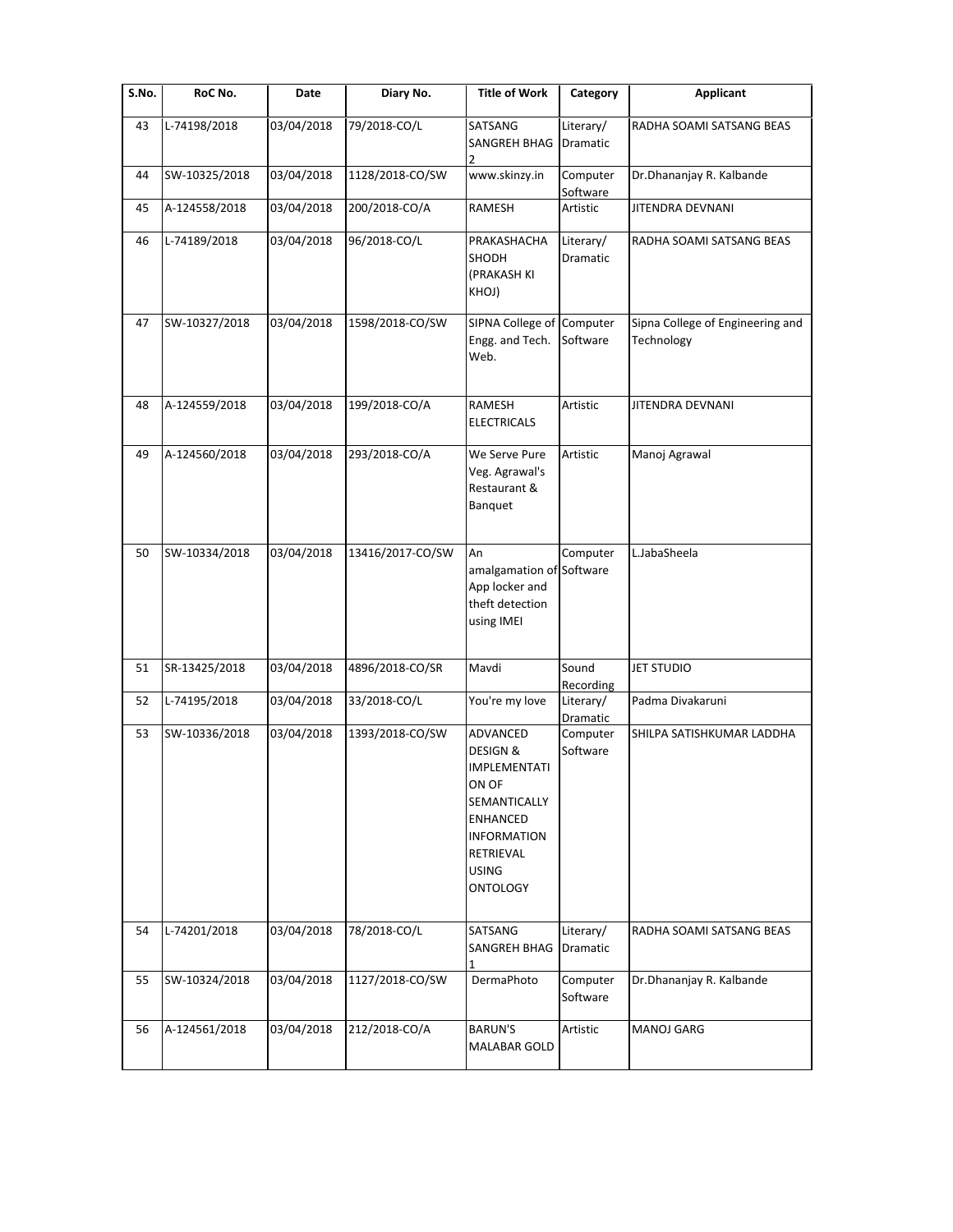| $\overline{\mathsf{S}}$ . No. | RoC No.       | Date       | Diary No.        | <b>Title of Work</b>                                                                                                                                   | Category              | <b>Applicant</b>                               |
|-------------------------------|---------------|------------|------------------|--------------------------------------------------------------------------------------------------------------------------------------------------------|-----------------------|------------------------------------------------|
| 43                            | L-74198/2018  | 03/04/2018 | 79/2018-CO/L     | SATSANG<br>SANGREH BHAG<br>2                                                                                                                           | Literary/<br>Dramatic | RADHA SOAMI SATSANG BEAS                       |
| 44                            | SW-10325/2018 | 03/04/2018 | 1128/2018-CO/SW  | www.skinzy.in                                                                                                                                          | Computer<br>Software  | Dr.Dhananjay R. Kalbande                       |
| 45                            | A-124558/2018 | 03/04/2018 | 200/2018-CO/A    | RAMESH                                                                                                                                                 | Artistic              | JITENDRA DEVNANI                               |
| 46                            | L-74189/2018  | 03/04/2018 | 96/2018-CO/L     | PRAKASHACHA<br>SHODH<br>(PRAKASH KI<br>KHOJ)                                                                                                           | Literary/<br>Dramatic | RADHA SOAMI SATSANG BEAS                       |
| 47                            | SW-10327/2018 | 03/04/2018 | 1598/2018-CO/SW  | SIPNA College of Computer<br>Engg. and Tech.<br>Web.                                                                                                   | Software              | Sipna College of Engineering and<br>Technology |
| 48                            | A-124559/2018 | 03/04/2018 | 199/2018-CO/A    | RAMESH<br><b>ELECTRICALS</b>                                                                                                                           | Artistic              | JITENDRA DEVNANI                               |
| 49                            | A-124560/2018 | 03/04/2018 | 293/2018-CO/A    | We Serve Pure<br>Veg. Agrawal's<br>Restaurant &<br>Banquet                                                                                             | Artistic              | Manoj Agrawal                                  |
| 50                            | SW-10334/2018 | 03/04/2018 | 13416/2017-CO/SW | An<br>amalgamation of Software<br>App locker and<br>theft detection<br>using IMEI                                                                      | Computer              | L.JabaSheela                                   |
| 51                            | SR-13425/2018 | 03/04/2018 | 4896/2018-CO/SR  | Mavdi                                                                                                                                                  | Sound<br>Recording    | <b>JET STUDIO</b>                              |
| 52                            | L-74195/2018  | 03/04/2018 | 33/2018-CO/L     | You're my love                                                                                                                                         | Literary/<br>Dramatic | Padma Divakaruni                               |
| 53                            | SW-10336/2018 | 03/04/2018 | 1393/2018-CO/SW  | ADVANCED<br>DESIGN &<br><b>IMPLEMENTATI</b><br>ON OF<br>SEMANTICALLY<br><b>ENHANCED</b><br><b>INFORMATION</b><br>RETRIEVAL<br><b>USING</b><br>ONTOLOGY | Computer<br>Software  | SHILPA SATISHKUMAR LADDHA                      |
| 54                            | L-74201/2018  | 03/04/2018 | 78/2018-CO/L     | SATSANG<br>SANGREH BHAG                                                                                                                                | Literary/<br>Dramatic | RADHA SOAMI SATSANG BEAS                       |
| 55                            | SW-10324/2018 | 03/04/2018 | 1127/2018-CO/SW  | DermaPhoto                                                                                                                                             | Computer<br>Software  | Dr.Dhananjay R. Kalbande                       |
| 56                            | A-124561/2018 | 03/04/2018 | 212/2018-CO/A    | <b>BARUN'S</b><br>MALABAR GOLD                                                                                                                         | Artistic              | MANOJ GARG                                     |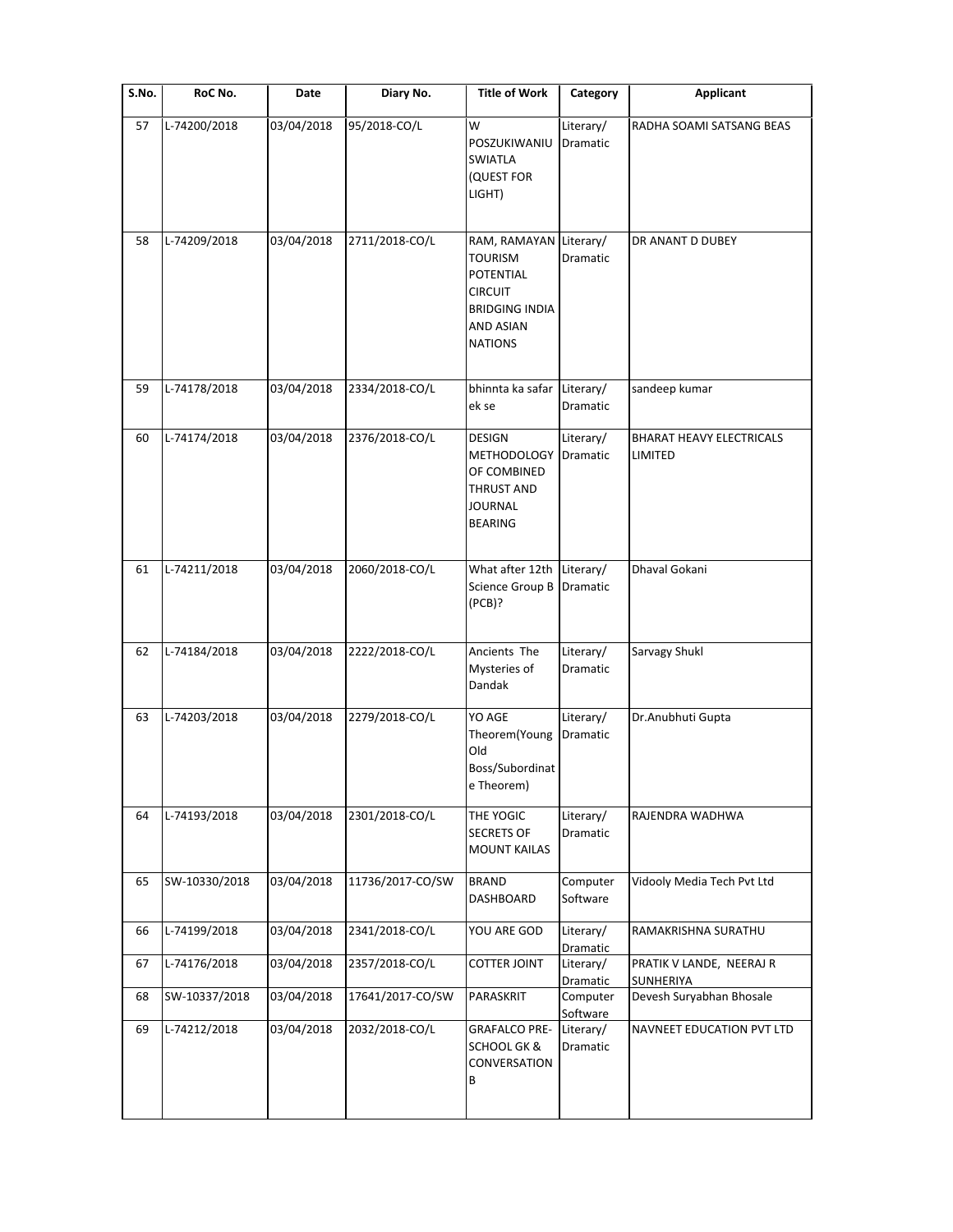| S.No. | RoC No.       | Date       | Diary No.        | <b>Title of Work</b>                                                                                                                   | Category              | Applicant                                  |
|-------|---------------|------------|------------------|----------------------------------------------------------------------------------------------------------------------------------------|-----------------------|--------------------------------------------|
| 57    | L-74200/2018  | 03/04/2018 | 95/2018-CO/L     | W<br>POSZUKIWANIU<br><b>SWIATLA</b><br>(QUEST FOR<br>LIGHT)                                                                            | Literary/<br>Dramatic | RADHA SOAMI SATSANG BEAS                   |
| 58    | L-74209/2018  | 03/04/2018 | 2711/2018-CO/L   | RAM, RAMAYAN Literary/<br><b>TOURISM</b><br><b>POTENTIAL</b><br><b>CIRCUIT</b><br><b>BRIDGING INDIA</b><br>AND ASIAN<br><b>NATIONS</b> | Dramatic              | DR ANANT D DUBEY                           |
| 59    | L-74178/2018  | 03/04/2018 | 2334/2018-CO/L   | bhinnta ka safar Literary/<br>ek se                                                                                                    | Dramatic              | sandeep kumar                              |
| 60    | L-74174/2018  | 03/04/2018 | 2376/2018-CO/L   | DESIGN<br><b>METHODOLOGY</b><br>OF COMBINED<br>THRUST AND<br>JOURNAL<br>BEARING                                                        | Literary/<br>Dramatic | <b>BHARAT HEAVY ELECTRICALS</b><br>LIMITED |
| 61    | L-74211/2018  | 03/04/2018 | 2060/2018-CO/L   | What after 12th Literary/<br>Science Group B<br>(PCB)?                                                                                 | Dramatic              | Dhaval Gokani                              |
| 62    | L-74184/2018  | 03/04/2018 | 2222/2018-CO/L   | Ancients The<br>Mysteries of<br>Dandak                                                                                                 | Literary/<br>Dramatic | Sarvagy Shukl                              |
| 63    | L-74203/2018  | 03/04/2018 | 2279/2018-CO/L   | YO AGE<br>Theorem(Young<br>Old<br>Boss/Subordinat<br>e Theorem)                                                                        | Literary/<br>Dramatic | Dr.Anubhuti Gupta                          |
| 64    | L-74193/2018  | 03/04/2018 | 2301/2018-CO/L   | THE YOGIC<br><b>SECRETS OF</b><br><b>MOUNT KAILAS</b>                                                                                  | Literary/<br>Dramatic | RAJENDRA WADHWA                            |
| 65    | SW-10330/2018 | 03/04/2018 | 11736/2017-CO/SW | <b>BRAND</b><br>DASHBOARD                                                                                                              | Computer<br>Software  | Vidooly Media Tech Pvt Ltd                 |
| 66    | L-74199/2018  | 03/04/2018 | 2341/2018-CO/L   | YOU ARE GOD                                                                                                                            | Literary/<br>Dramatic | RAMAKRISHNA SURATHU                        |
| 67    | L-74176/2018  | 03/04/2018 | 2357/2018-CO/L   | <b>COTTER JOINT</b>                                                                                                                    | Literary/<br>Dramatic | PRATIK V LANDE, NEERAJ R<br>SUNHERIYA      |
| 68    | SW-10337/2018 | 03/04/2018 | 17641/2017-CO/SW | PARASKRIT                                                                                                                              | Computer<br>Software  | Devesh Suryabhan Bhosale                   |
| 69    | L-74212/2018  | 03/04/2018 | 2032/2018-CO/L   | <b>GRAFALCO PRE-</b><br><b>SCHOOL GK &amp;</b><br>CONVERSATION<br>В                                                                    | Literary/<br>Dramatic | NAVNEET EDUCATION PVT LTD                  |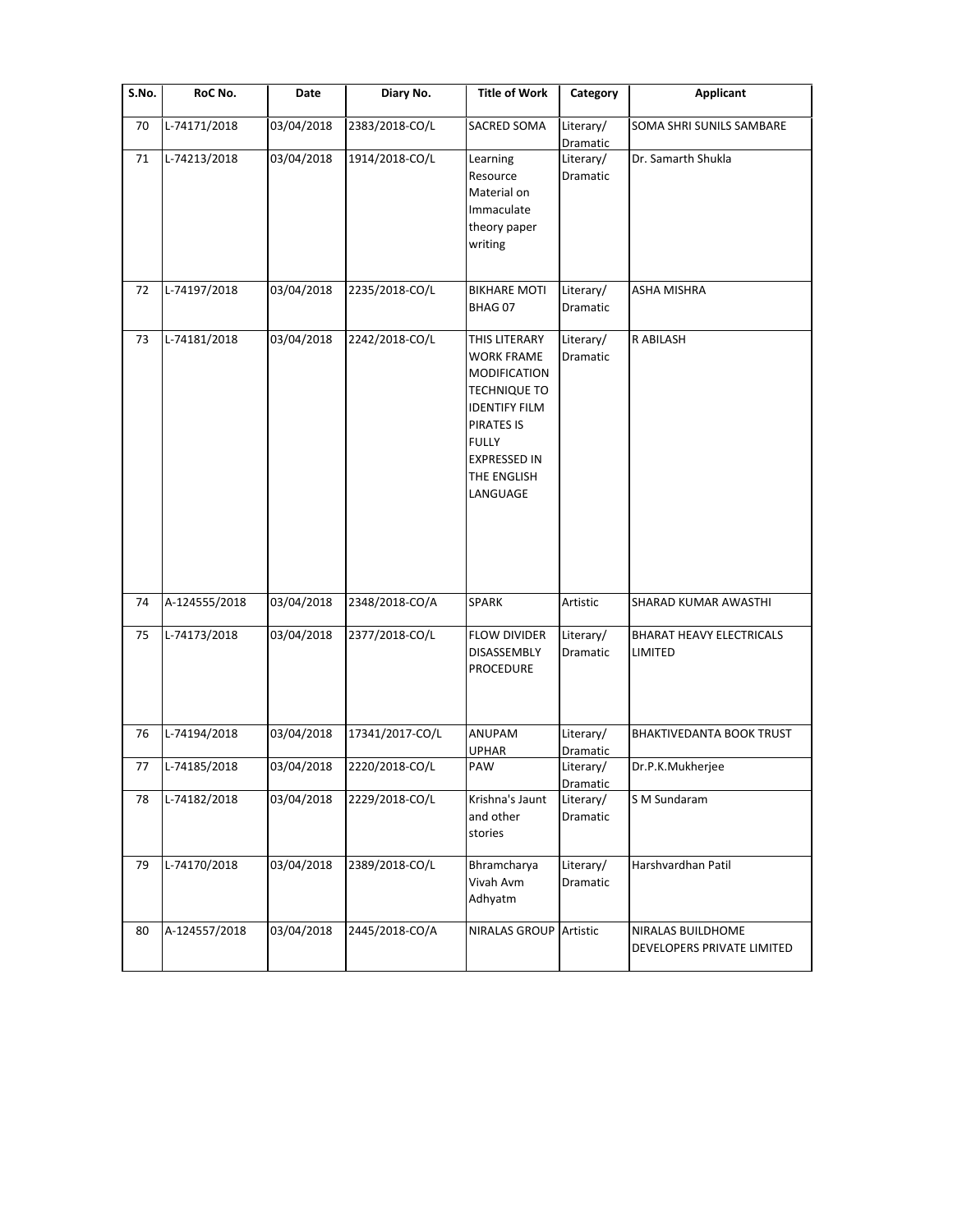| S.No. | RoC No.       | Date       | Diary No.       | <b>Title of Work</b>                                                                                                                                                                     | Category              | <b>Applicant</b>                                |
|-------|---------------|------------|-----------------|------------------------------------------------------------------------------------------------------------------------------------------------------------------------------------------|-----------------------|-------------------------------------------------|
| 70    | L-74171/2018  | 03/04/2018 | 2383/2018-CO/L  | SACRED SOMA                                                                                                                                                                              | Literary/<br>Dramatic | SOMA SHRI SUNILS SAMBARE                        |
| 71    | L-74213/2018  | 03/04/2018 | 1914/2018-CO/L  | Learning<br>Resource<br>Material on<br>Immaculate<br>theory paper<br>writing                                                                                                             | Literary/<br>Dramatic | Dr. Samarth Shukla                              |
| 72    | L-74197/2018  | 03/04/2018 | 2235/2018-CO/L  | <b>BIKHARE MOTI</b><br>BHAG <sub>07</sub>                                                                                                                                                | Literary/<br>Dramatic | ASHA MISHRA                                     |
| 73    | L-74181/2018  | 03/04/2018 | 2242/2018-CO/L  | THIS LITERARY<br><b>WORK FRAME</b><br><b>MODIFICATION</b><br><b>TECHNIQUE TO</b><br><b>IDENTIFY FILM</b><br>PIRATES IS<br><b>FULLY</b><br><b>EXPRESSED IN</b><br>THE ENGLISH<br>LANGUAGE | Literary/<br>Dramatic | R ABILASH                                       |
| 74    | A-124555/2018 | 03/04/2018 | 2348/2018-CO/A  | <b>SPARK</b>                                                                                                                                                                             | Artistic              | SHARAD KUMAR AWASTHI                            |
| 75    | L-74173/2018  | 03/04/2018 | 2377/2018-CO/L  | <b>FLOW DIVIDER</b><br>DISASSEMBLY<br><b>PROCEDURE</b>                                                                                                                                   | Literary/<br>Dramatic | <b>BHARAT HEAVY ELECTRICALS</b><br>LIMITED      |
| 76    | L-74194/2018  | 03/04/2018 | 17341/2017-CO/L | ANUPAM<br><b>UPHAR</b>                                                                                                                                                                   | Literary/<br>Dramatic | <b>BHAKTIVEDANTA BOOK TRUST</b>                 |
| 77    | L-74185/2018  | 03/04/2018 | 2220/2018-CO/L  | PAW                                                                                                                                                                                      | Literary/<br>Dramatic | Dr.P.K.Mukherjee                                |
| 78    | L-74182/2018  | 03/04/2018 | 2229/2018-CO/L  | Krishna's Jaunt<br>and other<br>stories                                                                                                                                                  | Literary/<br>Dramatic | S M Sundaram                                    |
| 79    | L-74170/2018  | 03/04/2018 | 2389/2018-CO/L  | Bhramcharya<br>Vivah Avm<br>Adhyatm                                                                                                                                                      | Literary/<br>Dramatic | Harshvardhan Patil                              |
| 80    | A-124557/2018 | 03/04/2018 | 2445/2018-CO/A  | <b>NIRALAS GROUP</b>                                                                                                                                                                     | Artistic              | NIRALAS BUILDHOME<br>DEVELOPERS PRIVATE LIMITED |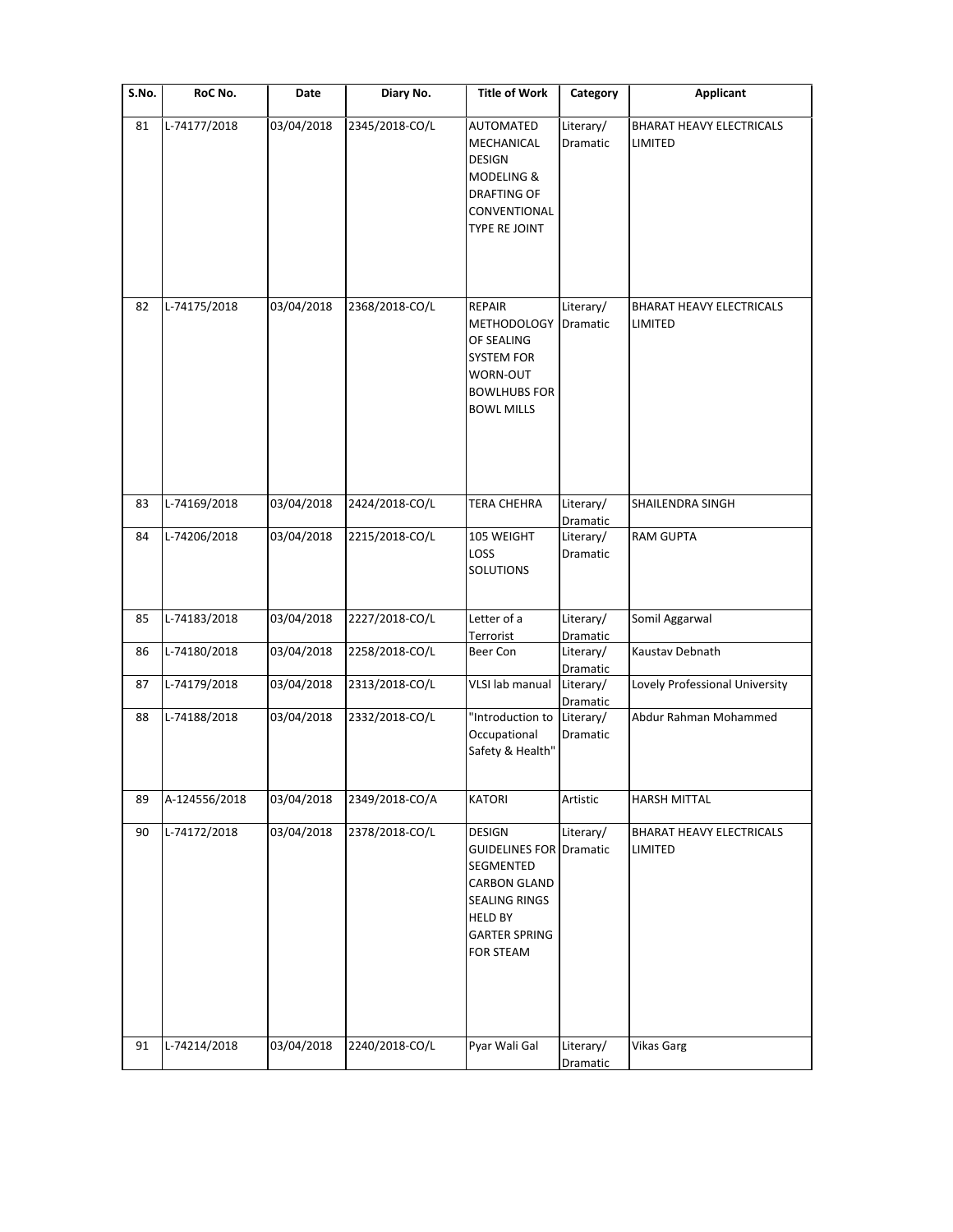| S.No. | RoC No.       | Date       | Diary No.      | <b>Title of Work</b>                                                                                                                                        | Category              | <b>Applicant</b>                           |
|-------|---------------|------------|----------------|-------------------------------------------------------------------------------------------------------------------------------------------------------------|-----------------------|--------------------------------------------|
| 81    | L-74177/2018  | 03/04/2018 | 2345/2018-CO/L | AUTOMATED<br>MECHANICAL<br><b>DESIGN</b><br>MODELING &<br><b>DRAFTING OF</b><br>CONVENTIONAL<br>TYPE RE JOINT                                               | Literary/<br>Dramatic | <b>BHARAT HEAVY ELECTRICALS</b><br>LIMITED |
| 82    | L-74175/2018  | 03/04/2018 | 2368/2018-CO/L | <b>REPAIR</b><br><b>METHODOLOGY</b><br>OF SEALING<br><b>SYSTEM FOR</b><br>WORN-OUT<br><b>BOWLHUBS FOR</b><br><b>BOWL MILLS</b>                              | Literary/<br>Dramatic | <b>BHARAT HEAVY ELECTRICALS</b><br>LIMITED |
| 83    | L-74169/2018  | 03/04/2018 | 2424/2018-CO/L | <b>TERA CHEHRA</b>                                                                                                                                          | Literary/<br>Dramatic | <b>SHAILENDRA SINGH</b>                    |
| 84    | L-74206/2018  | 03/04/2018 | 2215/2018-CO/L | 105 WEIGHT<br>LOSS<br>SOLUTIONS                                                                                                                             | Literary/<br>Dramatic | <b>RAM GUPTA</b>                           |
| 85    | L-74183/2018  | 03/04/2018 | 2227/2018-CO/L | Letter of a<br>Terrorist                                                                                                                                    | Literary/<br>Dramatic | Somil Aggarwal                             |
| 86    | L-74180/2018  | 03/04/2018 | 2258/2018-CO/L | Beer Con                                                                                                                                                    | Literary/<br>Dramatic | Kaustav Debnath                            |
| 87    | L-74179/2018  | 03/04/2018 | 2313/2018-CO/L | VLSI lab manual                                                                                                                                             | Literary/<br>Dramatic | Lovely Professional University             |
| 88    | L-74188/2018  | 03/04/2018 | 2332/2018-CO/L | "Introduction to<br>Occupational<br>Safety & Health"                                                                                                        | Literary/<br>Dramatic | Abdur Rahman Mohammed                      |
| 89    | A-124556/2018 | 03/04/2018 | 2349/2018-CO/A | <b>KATORI</b>                                                                                                                                               | Artistic              | <b>HARSH MITTAL</b>                        |
| 90    | L-74172/2018  | 03/04/2018 | 2378/2018-CO/L | <b>DESIGN</b><br><b>GUIDELINES FOR Dramatic</b><br>SEGMENTED<br><b>CARBON GLAND</b><br>SEALING RINGS<br><b>HELD BY</b><br><b>GARTER SPRING</b><br>FOR STEAM | Literary/             | BHARAT HEAVY ELECTRICALS<br>LIMITED        |
| 91    | L-74214/2018  | 03/04/2018 | 2240/2018-CO/L | Pyar Wali Gal                                                                                                                                               | Literary/<br>Dramatic | <b>Vikas Garg</b>                          |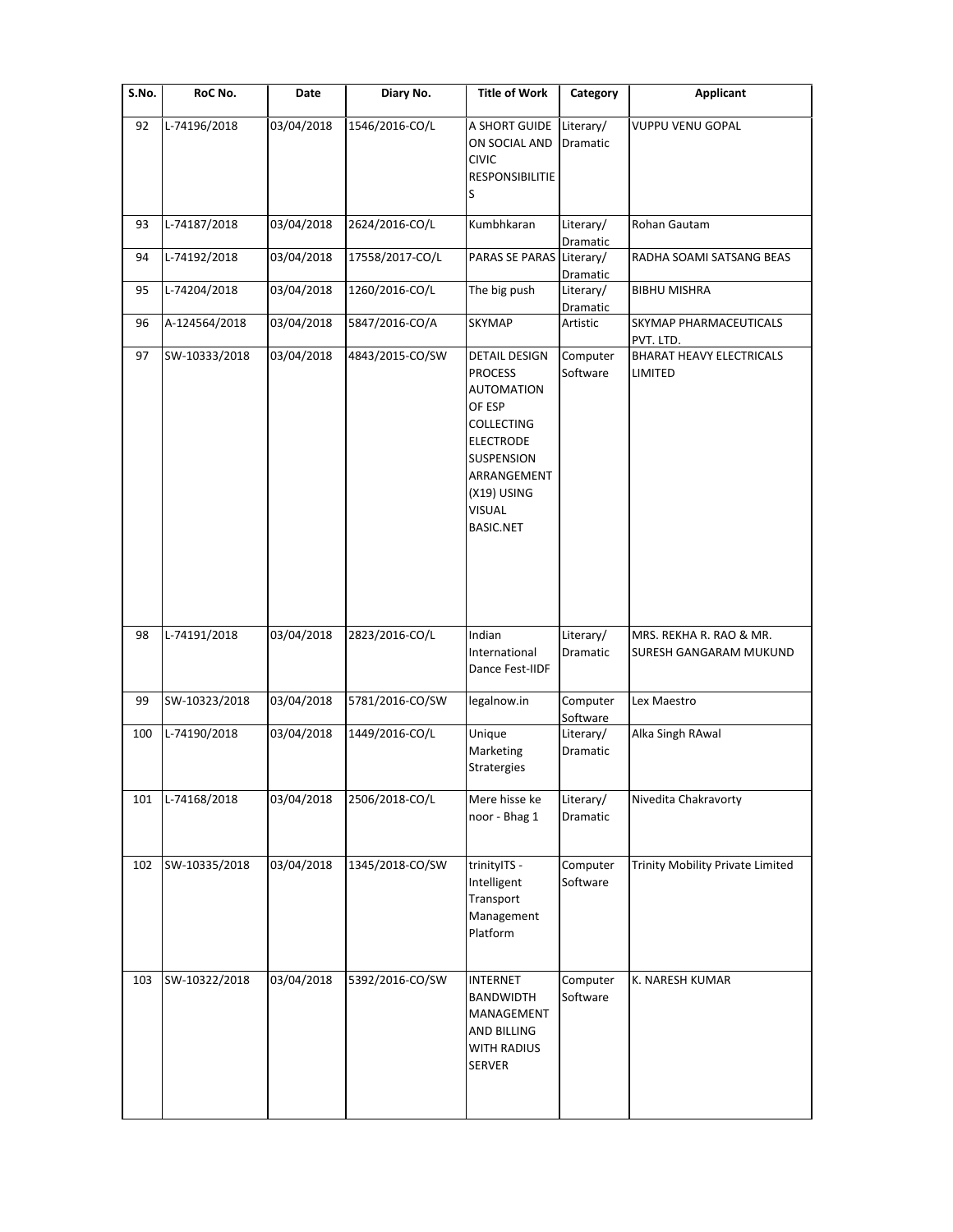| $\overline{\mathsf{S}}$ . No. | RoC No.       | Date       | Diary No.       | <b>Title of Work</b>                                                                                                                                                                            | Category              | <b>Applicant</b>                                  |
|-------------------------------|---------------|------------|-----------------|-------------------------------------------------------------------------------------------------------------------------------------------------------------------------------------------------|-----------------------|---------------------------------------------------|
| 92                            | L-74196/2018  | 03/04/2018 | 1546/2016-CO/L  | A SHORT GUIDE<br>ON SOCIAL AND<br><b>CIVIC</b><br><b>RESPONSIBILITIE</b><br>S                                                                                                                   | Literary/<br>Dramatic | <b>VUPPU VENU GOPAL</b>                           |
| 93                            | L-74187/2018  | 03/04/2018 | 2624/2016-CO/L  | Kumbhkaran                                                                                                                                                                                      | Literary/<br>Dramatic | Rohan Gautam                                      |
| 94                            | L-74192/2018  | 03/04/2018 | 17558/2017-CO/L | PARAS SE PARAS Literary/                                                                                                                                                                        | Dramatic              | RADHA SOAMI SATSANG BEAS                          |
| 95                            | L-74204/2018  | 03/04/2018 | 1260/2016-CO/L  | The big push                                                                                                                                                                                    | Literary/<br>Dramatic | <b>BIBHU MISHRA</b>                               |
| 96                            | A-124564/2018 | 03/04/2018 | 5847/2016-CO/A  | <b>SKYMAP</b>                                                                                                                                                                                   | Artistic              | SKYMAP PHARMACEUTICALS<br>PVT. LTD.               |
| 97                            | SW-10333/2018 | 03/04/2018 | 4843/2015-CO/SW | <b>DETAIL DESIGN</b><br><b>PROCESS</b><br><b>AUTOMATION</b><br>OF ESP<br><b>COLLECTING</b><br><b>ELECTRODE</b><br>SUSPENSION<br>ARRANGEMENT<br>(X19) USING<br><b>VISUAL</b><br><b>BASIC.NET</b> | Computer<br>Software  | <b>BHARAT HEAVY ELECTRICALS</b><br>LIMITED        |
| 98                            | L-74191/2018  | 03/04/2018 | 2823/2016-CO/L  | Indian<br>International<br>Dance Fest-IIDF                                                                                                                                                      | Literary/<br>Dramatic | MRS. REKHA R. RAO & MR.<br>SURESH GANGARAM MUKUND |
| 99                            | SW-10323/2018 | 03/04/2018 | 5781/2016-CO/SW | legalnow.in                                                                                                                                                                                     | Computer<br>Software  | Lex Maestro                                       |
| 100                           | L-74190/2018  | 03/04/2018 | 1449/2016-CO/L  | Unique<br>Marketing<br>Stratergies                                                                                                                                                              | Literary/<br>Dramatic | Alka Singh RAwal                                  |
| 101                           | L-74168/2018  | 03/04/2018 | 2506/2018-CO/L  | Mere hisse ke<br>noor - Bhag 1                                                                                                                                                                  | Literary/<br>Dramatic | Nivedita Chakravorty                              |
| 102                           | SW-10335/2018 | 03/04/2018 | 1345/2018-CO/SW | trinitylTS -<br>Intelligent<br>Transport<br>Management<br>Platform                                                                                                                              | Computer<br>Software  | Trinity Mobility Private Limited                  |
| 103                           | SW-10322/2018 | 03/04/2018 | 5392/2016-CO/SW | <b>INTERNET</b><br><b>BANDWIDTH</b><br>MANAGEMENT<br>AND BILLING<br>WITH RADIUS<br><b>SERVER</b>                                                                                                | Computer<br>Software  | K. NARESH KUMAR                                   |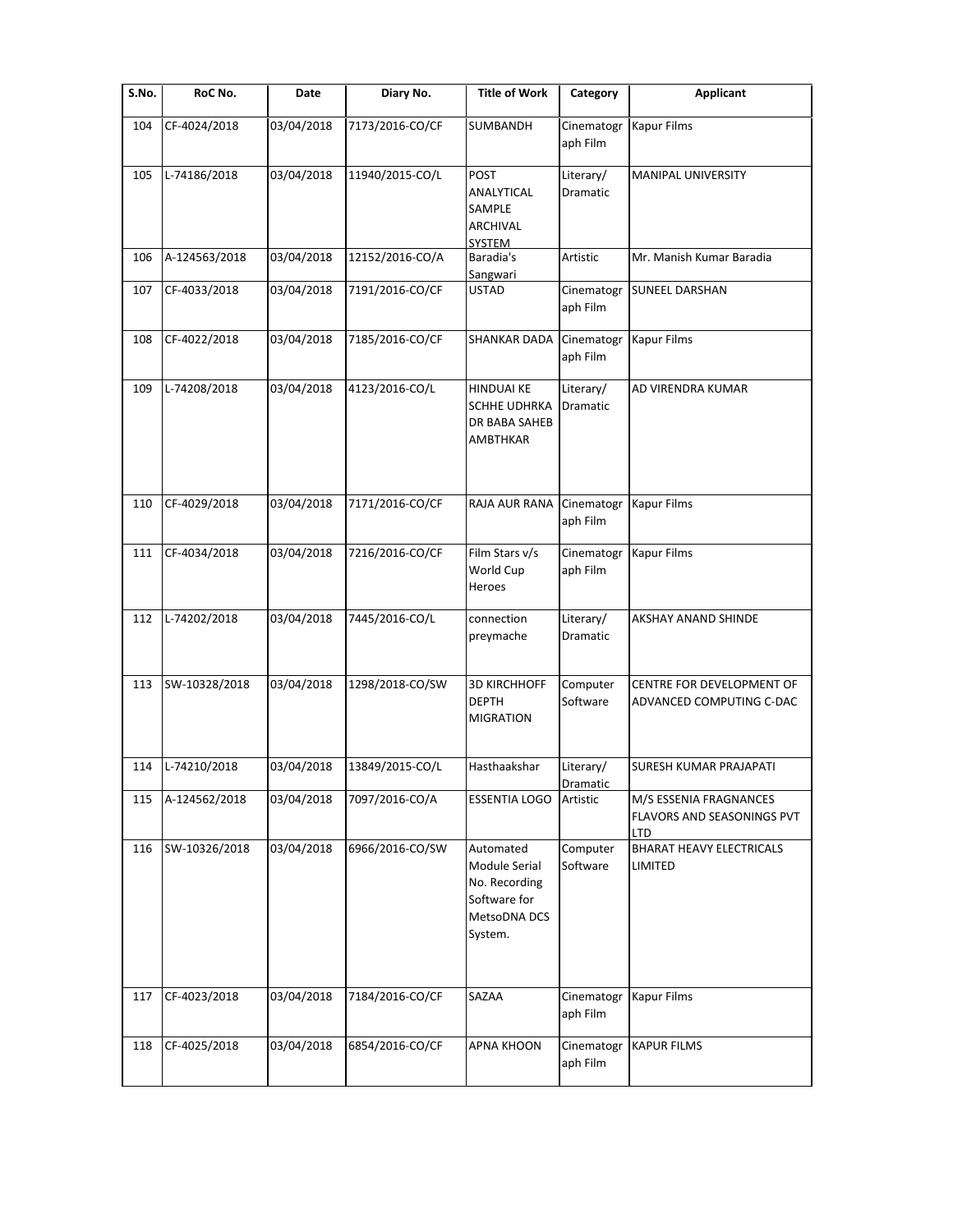| S.No. | RoC No.       | Date       | Diary No.       | <b>Title of Work</b>                                                                   | Category               | <b>Applicant</b>                                            |
|-------|---------------|------------|-----------------|----------------------------------------------------------------------------------------|------------------------|-------------------------------------------------------------|
| 104   | CF-4024/2018  | 03/04/2018 | 7173/2016-CO/CF | SUMBANDH                                                                               | Cinematogr<br>aph Film | <b>Kapur Films</b>                                          |
| 105   | L-74186/2018  | 03/04/2018 | 11940/2015-CO/L | POST<br>ANALYTICAL<br>SAMPLE<br>ARCHIVAL<br><b>SYSTEM</b>                              | Literary/<br>Dramatic  | MANIPAL UNIVERSITY                                          |
| 106   | A-124563/2018 | 03/04/2018 | 12152/2016-CO/A | Baradia's<br>Sangwari                                                                  | Artistic               | Mr. Manish Kumar Baradia                                    |
| 107   | CF-4033/2018  | 03/04/2018 | 7191/2016-CO/CF | <b>USTAD</b>                                                                           | Cinematogr<br>aph Film | <b>SUNEEL DARSHAN</b>                                       |
| 108   | CF-4022/2018  | 03/04/2018 | 7185/2016-CO/CF | SHANKAR DADA                                                                           | Cinematogr<br>aph Film | <b>Kapur Films</b>                                          |
| 109   | L-74208/2018  | 03/04/2018 | 4123/2016-CO/L  | <b>HINDUAI KE</b><br><b>SCHHE UDHRKA</b><br>DR BABA SAHEB<br>AMBTHKAR                  | Literary/<br>Dramatic  | AD VIRENDRA KUMAR                                           |
| 110   | CF-4029/2018  | 03/04/2018 | 7171/2016-CO/CF | RAJA AUR RANA                                                                          | Cinematogr<br>aph Film | Kapur Films                                                 |
| 111   | CF-4034/2018  | 03/04/2018 | 7216/2016-CO/CF | Film Stars v/s<br>World Cup<br>Heroes                                                  | Cinematogr<br>aph Film | <b>Kapur Films</b>                                          |
| 112   | L-74202/2018  | 03/04/2018 | 7445/2016-CO/L  | connection<br>preymache                                                                | Literary/<br>Dramatic  | AKSHAY ANAND SHINDE                                         |
| 113   | SW-10328/2018 | 03/04/2018 | 1298/2018-CO/SW | <b>3D KIRCHHOFF</b><br><b>DEPTH</b><br><b>MIGRATION</b>                                | Computer<br>Software   | CENTRE FOR DEVELOPMENT OF<br>ADVANCED COMPUTING C-DAC       |
| 114   | L-74210/2018  | 03/04/2018 | 13849/2015-CO/L | Hasthaakshar                                                                           | Literary/<br>Dramatic  | SURESH KUMAR PRAJAPATI                                      |
| 115   | A-124562/2018 | 03/04/2018 | 7097/2016-CO/A  | <b>ESSENTIA LOGO</b>                                                                   | Artistic               | M/S ESSENIA FRAGNANCES<br>FLAVORS AND SEASONINGS PVT<br>LTD |
| 116   | SW-10326/2018 | 03/04/2018 | 6966/2016-CO/SW | Automated<br>Module Serial<br>No. Recording<br>Software for<br>MetsoDNA DCS<br>System. | Computer<br>Software   | <b>BHARAT HEAVY ELECTRICALS</b><br>LIMITED                  |
| 117   | CF-4023/2018  | 03/04/2018 | 7184/2016-CO/CF | SAZAA                                                                                  | Cinematogr<br>aph Film | Kapur Films                                                 |
| 118   | CF-4025/2018  | 03/04/2018 | 6854/2016-CO/CF | <b>APNA KHOON</b>                                                                      | Cinematogr<br>aph Film | <b>KAPUR FILMS</b>                                          |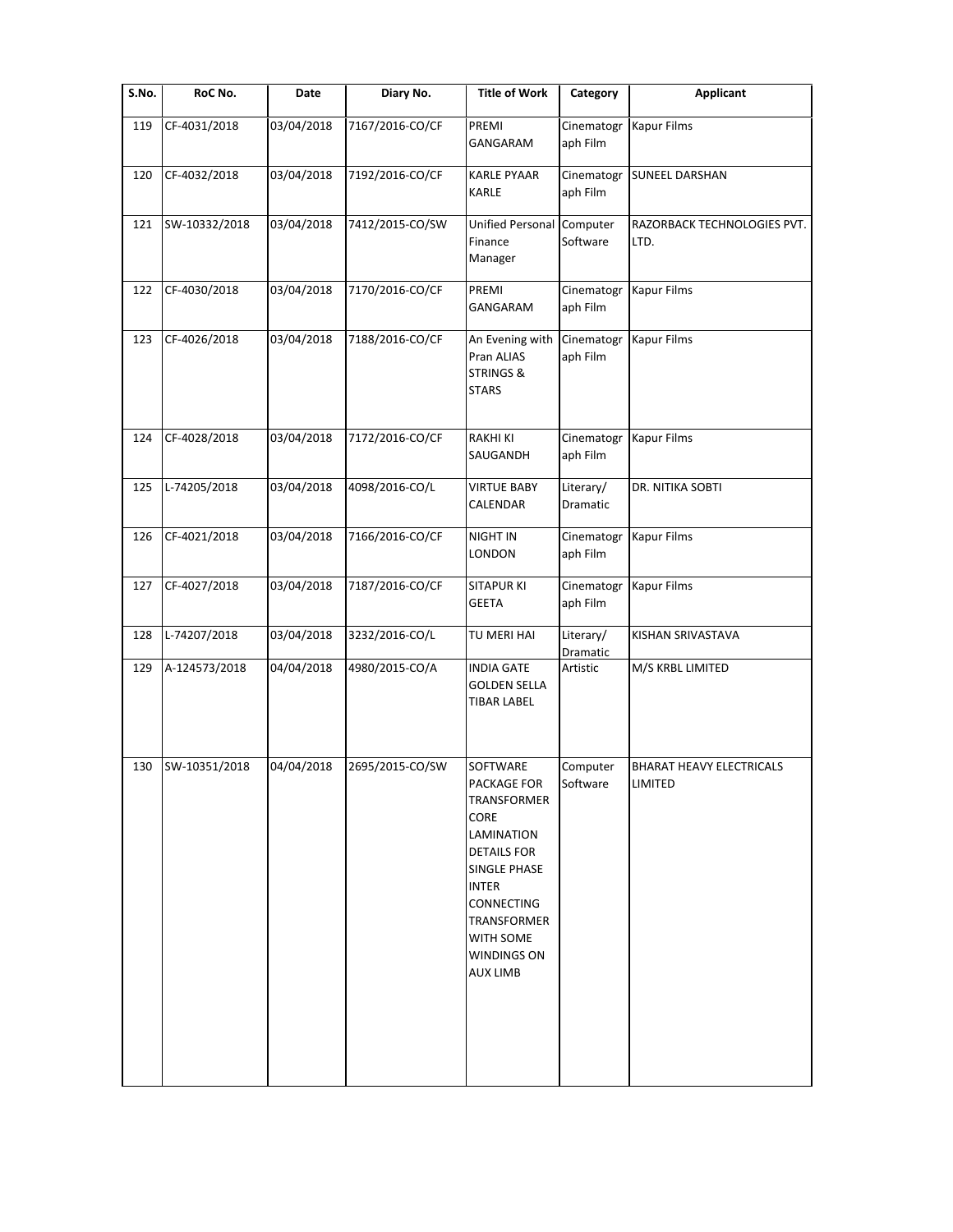| $\overline{\mathsf{S}}$ . No. | RoC No.       | Date       | Diary No.       | <b>Title of Work</b>                                                                                                                                                                                         | Category               | <b>Applicant</b>                           |
|-------------------------------|---------------|------------|-----------------|--------------------------------------------------------------------------------------------------------------------------------------------------------------------------------------------------------------|------------------------|--------------------------------------------|
| 119                           | CF-4031/2018  | 03/04/2018 | 7167/2016-CO/CF | PREMI<br>GANGARAM                                                                                                                                                                                            | Cinematogr<br>aph Film | <b>Kapur Films</b>                         |
| 120                           | CF-4032/2018  | 03/04/2018 | 7192/2016-CO/CF | <b>KARLE PYAAR</b><br><b>KARLE</b>                                                                                                                                                                           | Cinematogr<br>aph Film | <b>SUNEEL DARSHAN</b>                      |
| 121                           | SW-10332/2018 | 03/04/2018 | 7412/2015-CO/SW | <b>Unified Personal</b><br>Finance<br>Manager                                                                                                                                                                | Computer<br>Software   | RAZORBACK TECHNOLOGIES PVT.<br>LTD.        |
| 122                           | CF-4030/2018  | 03/04/2018 | 7170/2016-CO/CF | PREMI<br><b>GANGARAM</b>                                                                                                                                                                                     | Cinematogr<br>aph Film | <b>Kapur Films</b>                         |
| 123                           | CF-4026/2018  | 03/04/2018 | 7188/2016-CO/CF | An Evening with<br>Pran ALIAS<br><b>STRINGS &amp;</b><br><b>STARS</b>                                                                                                                                        | Cinematogr<br>aph Film | <b>Kapur Films</b>                         |
| 124                           | CF-4028/2018  | 03/04/2018 | 7172/2016-CO/CF | <b>RAKHI KI</b><br>SAUGANDH                                                                                                                                                                                  | Cinematogr<br>aph Film | <b>Kapur Films</b>                         |
| 125                           | L-74205/2018  | 03/04/2018 | 4098/2016-CO/L  | <b>VIRTUE BABY</b><br>CALENDAR                                                                                                                                                                               | Literary/<br>Dramatic  | DR. NITIKA SOBTI                           |
| 126                           | CF-4021/2018  | 03/04/2018 | 7166/2016-CO/CF | NIGHT IN<br>LONDON                                                                                                                                                                                           | Cinematogr<br>aph Film | <b>Kapur Films</b>                         |
| 127                           | CF-4027/2018  | 03/04/2018 | 7187/2016-CO/CF | <b>SITAPUR KI</b><br><b>GEETA</b>                                                                                                                                                                            | Cinematogr<br>aph Film | <b>Kapur Films</b>                         |
| 128                           | L-74207/2018  | 03/04/2018 | 3232/2016-CO/L  | TU MERI HAI                                                                                                                                                                                                  | Literary/<br>Dramatic  | KISHAN SRIVASTAVA                          |
| 129                           | A-124573/2018 | 04/04/2018 | 4980/2015-CO/A  | <b>INDIA GATE</b><br><b>GOLDEN SELLA</b><br><b>TIBAR LABEL</b>                                                                                                                                               | Artistic               | M/S KRBL LIMITED                           |
| 130                           | SW-10351/2018 | 04/04/2018 | 2695/2015-CO/SW | SOFTWARE<br>PACKAGE FOR<br>TRANSFORMER<br>CORE<br>LAMINATION<br><b>DETAILS FOR</b><br>SINGLE PHASE<br><b>INTER</b><br>CONNECTING<br>TRANSFORMER<br><b>WITH SOME</b><br><b>WINDINGS ON</b><br><b>AUX LIMB</b> | Computer<br>Software   | <b>BHARAT HEAVY ELECTRICALS</b><br>LIMITED |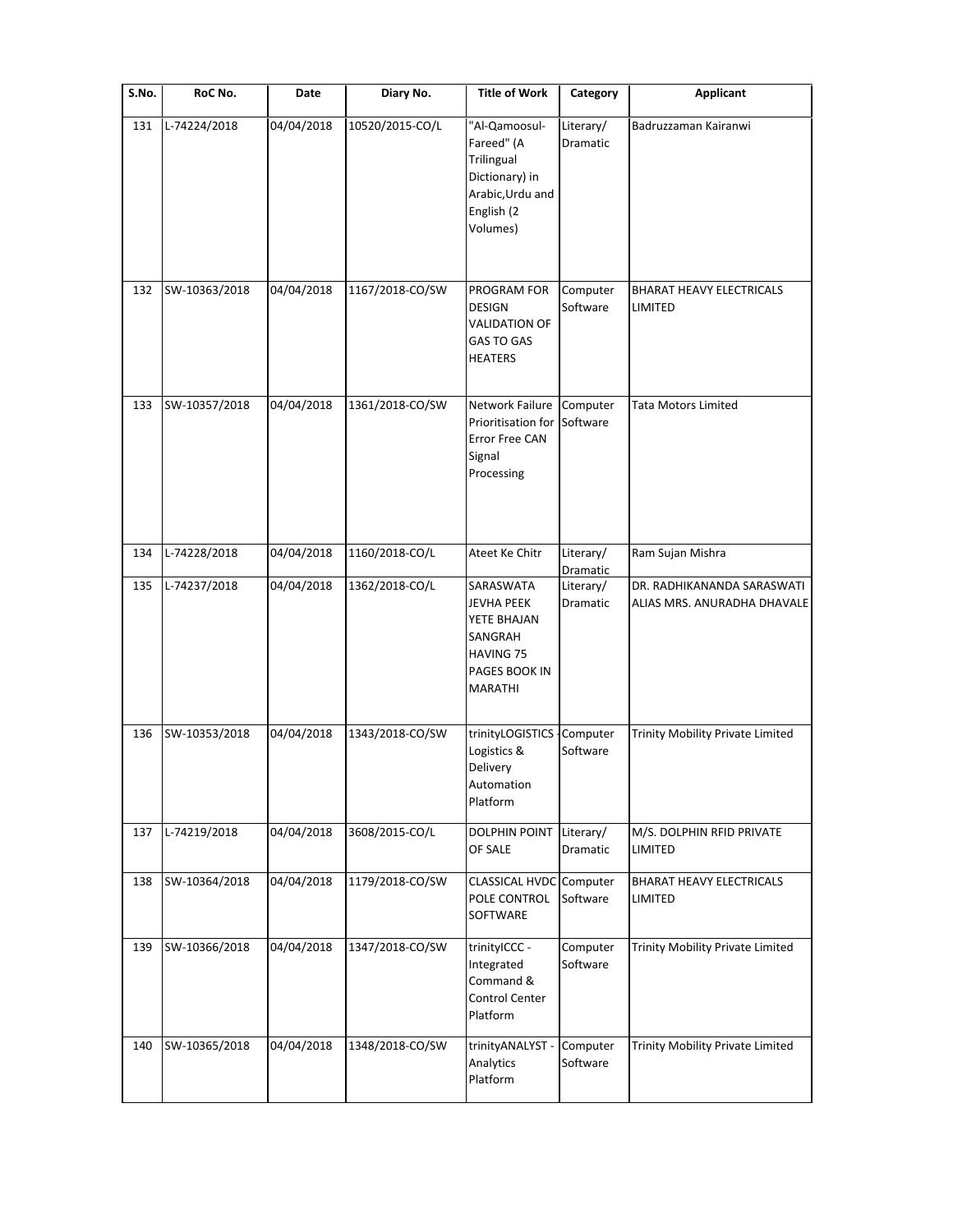| S.No. | RoC No.       | Date       | Diary No.       | <b>Title of Work</b>                                                                                            | Category              | <b>Applicant</b>                                          |
|-------|---------------|------------|-----------------|-----------------------------------------------------------------------------------------------------------------|-----------------------|-----------------------------------------------------------|
| 131   | L-74224/2018  | 04/04/2018 | 10520/2015-CO/L | "Al-Qamoosul-<br>Fareed" (A<br>Trilingual<br>Dictionary) in<br>Arabic, Urdu and<br>English (2<br>Volumes)       | Literary/<br>Dramatic | Badruzzaman Kairanwi                                      |
| 132   | SW-10363/2018 | 04/04/2018 | 1167/2018-CO/SW | PROGRAM FOR<br><b>DESIGN</b><br><b>VALIDATION OF</b><br><b>GAS TO GAS</b><br><b>HEATERS</b>                     | Computer<br>Software  | <b>BHARAT HEAVY ELECTRICALS</b><br>LIMITED                |
| 133   | SW-10357/2018 | 04/04/2018 | 1361/2018-CO/SW | <b>Network Failure</b><br>Prioritisation for<br>Error Free CAN<br>Signal<br>Processing                          | Computer<br>Software  | <b>Tata Motors Limited</b>                                |
| 134   | L-74228/2018  | 04/04/2018 | 1160/2018-CO/L  | Ateet Ke Chitr                                                                                                  | Literary/<br>Dramatic | Ram Sujan Mishra                                          |
| 135   | L-74237/2018  | 04/04/2018 | 1362/2018-CO/L  | SARASWATA<br><b>JEVHA PEEK</b><br>YETE BHAJAN<br>SANGRAH<br><b>HAVING 75</b><br>PAGES BOOK IN<br><b>MARATHI</b> | Literary/<br>Dramatic | DR. RADHIKANANDA SARASWATI<br>ALIAS MRS. ANURADHA DHAVALE |
| 136   | SW-10353/2018 | 04/04/2018 | 1343/2018-CO/SW | trinityLOGISTICS<br>Logistics &<br>Delivery<br>Automation<br>Platform                                           | Computer<br>Software  | Trinity Mobility Private Limited                          |
| 137   | L-74219/2018  | 04/04/2018 | 3608/2015-CO/L  | <b>DOLPHIN POINT</b><br>OF SALE                                                                                 | Literary/<br>Dramatic | M/S. DOLPHIN RFID PRIVATE<br><b>LIMITED</b>               |
| 138   | SW-10364/2018 | 04/04/2018 | 1179/2018-CO/SW | CLASSICAL HVDC Computer<br>POLE CONTROL<br>SOFTWARE                                                             | Software              | <b>BHARAT HEAVY ELECTRICALS</b><br>LIMITED                |
| 139   | SW-10366/2018 | 04/04/2018 | 1347/2018-CO/SW | trinityICCC -<br>Integrated<br>Command &<br>Control Center<br>Platform                                          | Computer<br>Software  | Trinity Mobility Private Limited                          |
| 140   | SW-10365/2018 | 04/04/2018 | 1348/2018-CO/SW | trinityANALYST -<br>Analytics<br>Platform                                                                       | Computer<br>Software  | Trinity Mobility Private Limited                          |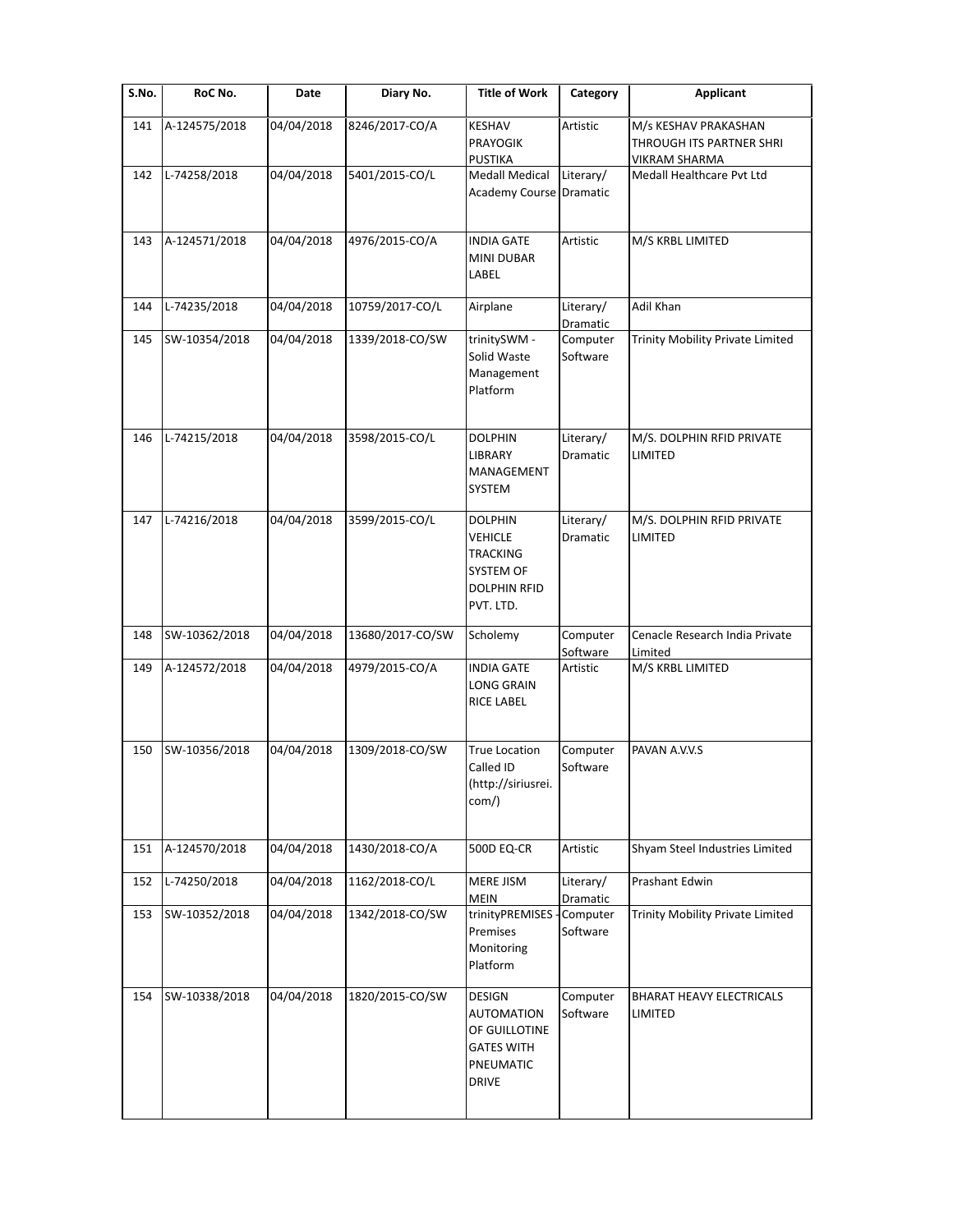| S.No. | RoC No.       | Date       | Diary No.        | <b>Title of Work</b>                                                                                 | Category              | <b>Applicant</b>                                                  |
|-------|---------------|------------|------------------|------------------------------------------------------------------------------------------------------|-----------------------|-------------------------------------------------------------------|
| 141   | A-124575/2018 | 04/04/2018 | 8246/2017-CO/A   | <b>KESHAV</b><br><b>PRAYOGIK</b><br><b>PUSTIKA</b>                                                   | Artistic              | M/s KESHAV PRAKASHAN<br>THROUGH ITS PARTNER SHRI<br>VIKRAM SHARMA |
| 142   | L-74258/2018  | 04/04/2018 | 5401/2015-CO/L   | <b>Medall Medical</b><br>Academy Course Dramatic                                                     | Literary/             | Medall Healthcare Pvt Ltd                                         |
| 143   | A-124571/2018 | 04/04/2018 | 4976/2015-CO/A   | <b>INDIA GATE</b><br>MINI DUBAR<br>LABEL                                                             | Artistic              | M/S KRBL LIMITED                                                  |
| 144   | L-74235/2018  | 04/04/2018 | 10759/2017-CO/L  | Airplane                                                                                             | Literary/<br>Dramatic | Adil Khan                                                         |
| 145   | SW-10354/2018 | 04/04/2018 | 1339/2018-CO/SW  | trinitySWM -<br>Solid Waste<br>Management<br>Platform                                                | Computer<br>Software  | Trinity Mobility Private Limited                                  |
| 146   | L-74215/2018  | 04/04/2018 | 3598/2015-CO/L   | <b>DOLPHIN</b><br>LIBRARY<br>MANAGEMENT<br>SYSTEM                                                    | Literary/<br>Dramatic | M/S. DOLPHIN RFID PRIVATE<br>LIMITED                              |
| 147   | L-74216/2018  | 04/04/2018 | 3599/2015-CO/L   | <b>DOLPHIN</b><br><b>VEHICLE</b><br><b>TRACKING</b><br>SYSTEM OF<br><b>DOLPHIN RFID</b><br>PVT. LTD. | Literary/<br>Dramatic | M/S. DOLPHIN RFID PRIVATE<br>LIMITED                              |
| 148   | SW-10362/2018 | 04/04/2018 | 13680/2017-CO/SW | Scholemy                                                                                             | Computer<br>Software  | Cenacle Research India Private<br>Limited                         |
| 149   | A-124572/2018 | 04/04/2018 | 4979/2015-CO/A   | <b>INDIA GATE</b><br><b>LONG GRAIN</b><br><b>RICE LABEL</b>                                          | Artistic              | M/S KRBL LIMITED                                                  |
| 150   | SW-10356/2018 | 04/04/2018 | 1309/2018-CO/SW  | <b>True Location</b><br>Called ID<br>(http://siriusrei.<br>com/)                                     | Computer<br>Software  | PAVAN A.V.V.S                                                     |
| 151   | A-124570/2018 | 04/04/2018 | 1430/2018-CO/A   | <b>500D EQ-CR</b>                                                                                    | Artistic              | Shyam Steel Industries Limited                                    |
| 152   | L-74250/2018  | 04/04/2018 | 1162/2018-CO/L   | MERE JISM<br><b>MEIN</b>                                                                             | Literary/<br>Dramatic | <b>Prashant Edwin</b>                                             |
| 153   | SW-10352/2018 | 04/04/2018 | 1342/2018-CO/SW  | trinityPREMISES -<br>Premises<br>Monitoring<br>Platform                                              | Computer<br>Software  | Trinity Mobility Private Limited                                  |
| 154   | SW-10338/2018 | 04/04/2018 | 1820/2015-CO/SW  | DESIGN<br><b>AUTOMATION</b><br>OF GUILLOTINE<br><b>GATES WITH</b><br>PNEUMATIC<br><b>DRIVE</b>       | Computer<br>Software  | BHARAT HEAVY ELECTRICALS<br>LIMITED                               |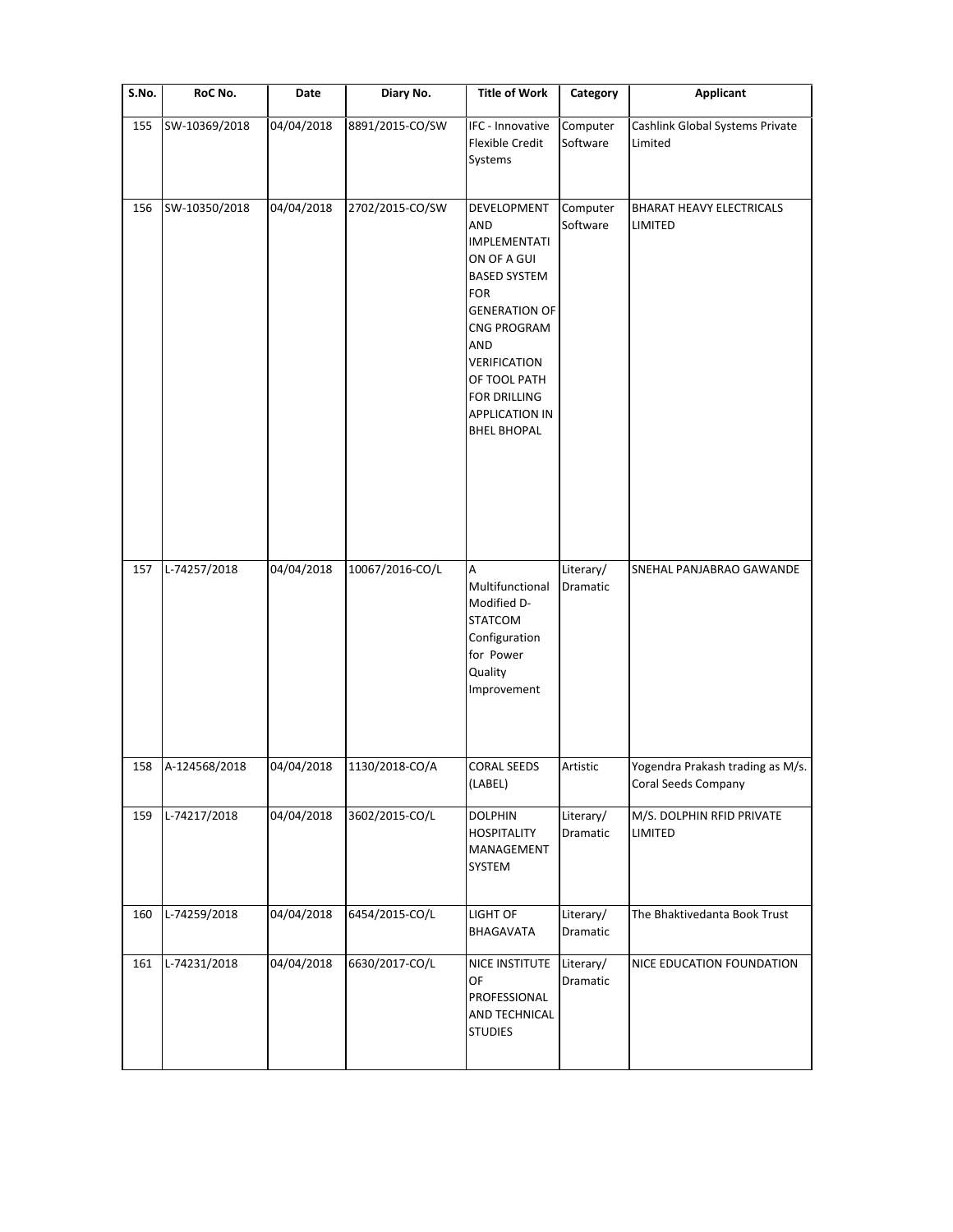| S.No. | RoC No.       | Date       | Diary No.       | <b>Title of Work</b>                                                                                                                                                                                                                              | Category              | <b>Applicant</b>                                        |
|-------|---------------|------------|-----------------|---------------------------------------------------------------------------------------------------------------------------------------------------------------------------------------------------------------------------------------------------|-----------------------|---------------------------------------------------------|
| 155   | SW-10369/2018 | 04/04/2018 | 8891/2015-CO/SW | IFC - Innovative<br>Flexible Credit<br>Systems                                                                                                                                                                                                    | Computer<br>Software  | Cashlink Global Systems Private<br>Limited              |
| 156   | SW-10350/2018 | 04/04/2018 | 2702/2015-CO/SW | DEVELOPMENT<br>AND<br><b>IMPLEMENTATI</b><br>ON OF A GUI<br><b>BASED SYSTEM</b><br><b>FOR</b><br><b>GENERATION OF</b><br>CNG PROGRAM<br>AND<br><b>VERIFICATION</b><br>OF TOOL PATH<br>FOR DRILLING<br><b>APPLICATION IN</b><br><b>BHEL BHOPAL</b> | Computer<br>Software  | BHARAT HEAVY ELECTRICALS<br>LIMITED                     |
| 157   | L-74257/2018  | 04/04/2018 | 10067/2016-CO/L | Α<br>Multifunctional<br>Modified D-<br><b>STATCOM</b><br>Configuration<br>for Power<br>Quality<br>Improvement                                                                                                                                     | Literary/<br>Dramatic | SNEHAL PANJABRAO GAWANDE                                |
| 158   | A-124568/2018 | 04/04/2018 | 1130/2018-CO/A  | <b>CORAL SEEDS</b><br>(LABEL)                                                                                                                                                                                                                     | Artistic              | Yogendra Prakash trading as M/s.<br>Coral Seeds Company |
| 159   | L-74217/2018  | 04/04/2018 | 3602/2015-CO/L  | <b>DOLPHIN</b><br><b>HOSPITALITY</b><br>MANAGEMENT<br>SYSTEM                                                                                                                                                                                      | Literary/<br>Dramatic | M/S. DOLPHIN RFID PRIVATE<br>LIMITED                    |
| 160   | L-74259/2018  | 04/04/2018 | 6454/2015-CO/L  | LIGHT OF<br>BHAGAVATA                                                                                                                                                                                                                             | Literary/<br>Dramatic | The Bhaktivedanta Book Trust                            |
| 161   | L-74231/2018  | 04/04/2018 | 6630/2017-CO/L  | NICE INSTITUTE<br>OF<br>PROFESSIONAL<br>AND TECHNICAL<br><b>STUDIES</b>                                                                                                                                                                           | Literary/<br>Dramatic | NICE EDUCATION FOUNDATION                               |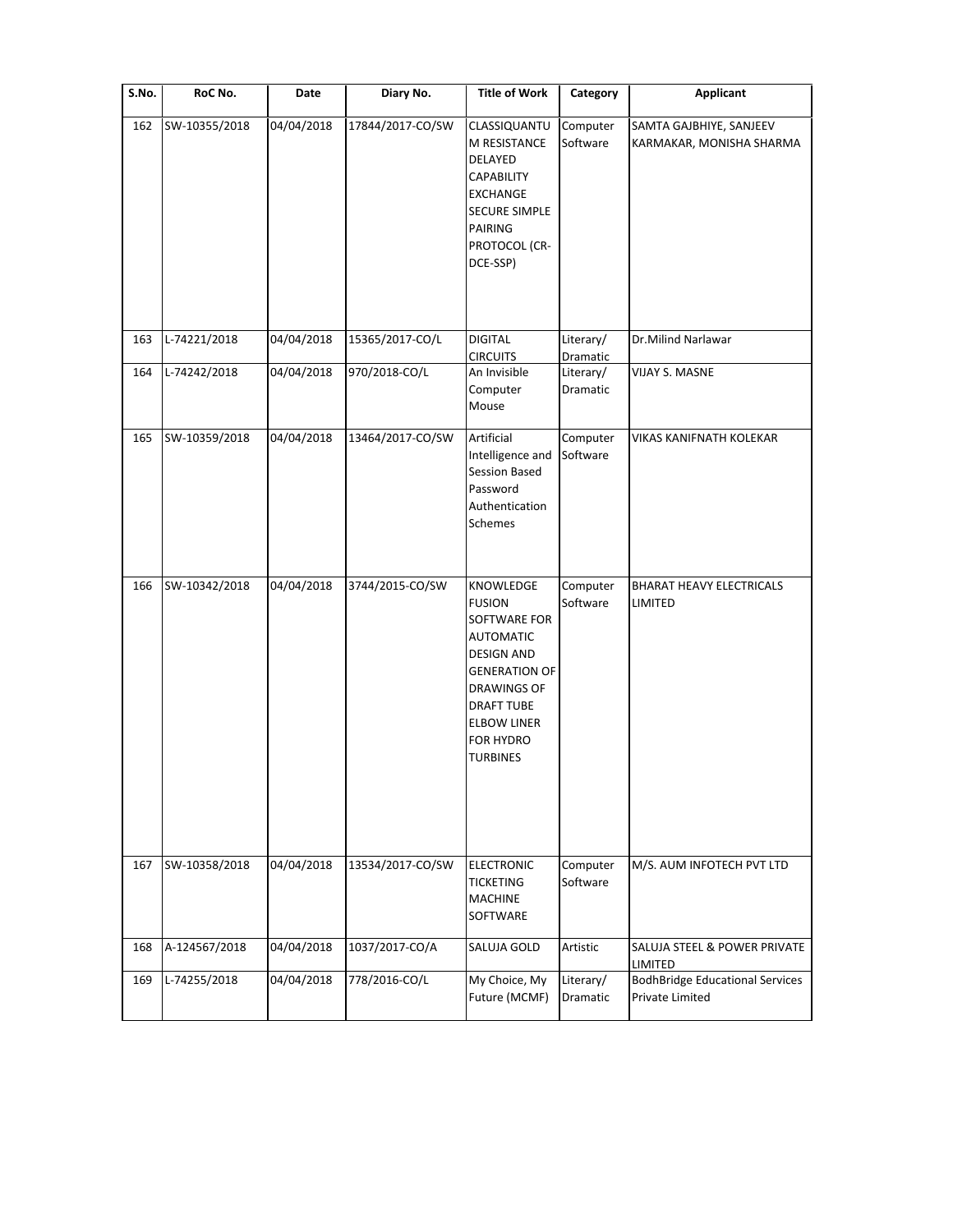| S.No. | RoC No.       | Date       | Diary No.        | <b>Title of Work</b>                                                                                                                                                                                         | Category              | <b>Applicant</b>                                          |
|-------|---------------|------------|------------------|--------------------------------------------------------------------------------------------------------------------------------------------------------------------------------------------------------------|-----------------------|-----------------------------------------------------------|
| 162   | SW-10355/2018 | 04/04/2018 | 17844/2017-CO/SW | CLASSIQUANTU<br>M RESISTANCE<br>DELAYED<br><b>CAPABILITY</b><br><b>EXCHANGE</b><br><b>SECURE SIMPLE</b><br>PAIRING<br>PROTOCOL (CR-<br>DCE-SSP)                                                              | Computer<br>Software  | SAMTA GAJBHIYE, SANJEEV<br>KARMAKAR, MONISHA SHARMA       |
| 163   | L-74221/2018  | 04/04/2018 | 15365/2017-CO/L  | <b>DIGITAL</b><br><b>CIRCUITS</b>                                                                                                                                                                            | Literary/<br>Dramatic | Dr.Milind Narlawar                                        |
| 164   | L-74242/2018  | 04/04/2018 | 970/2018-CO/L    | An Invisible<br>Computer<br>Mouse                                                                                                                                                                            | Literary/<br>Dramatic | VIJAY S. MASNE                                            |
| 165   | SW-10359/2018 | 04/04/2018 | 13464/2017-CO/SW | Artificial<br>Intelligence and<br><b>Session Based</b><br>Password<br>Authentication<br>Schemes                                                                                                              | Computer<br>Software  | VIKAS KANIFNATH KOLEKAR                                   |
| 166   | SW-10342/2018 | 04/04/2018 | 3744/2015-CO/SW  | KNOWLEDGE<br><b>FUSION</b><br>SOFTWARE FOR<br><b>AUTOMATIC</b><br><b>DESIGN AND</b><br><b>GENERATION OF</b><br><b>DRAWINGS OF</b><br><b>DRAFT TUBE</b><br><b>ELBOW LINER</b><br>FOR HYDRO<br><b>TURBINES</b> | Computer<br>Software  | BHARAT HEAVY ELECTRICALS<br>LIMITED                       |
| 167   | SW-10358/2018 | 04/04/2018 | 13534/2017-CO/SW | <b>ELECTRONIC</b><br><b>TICKETING</b><br><b>MACHINE</b><br>SOFTWARE                                                                                                                                          | Computer<br>Software  | M/S. AUM INFOTECH PVT LTD                                 |
| 168   | A-124567/2018 | 04/04/2018 | 1037/2017-CO/A   | SALUJA GOLD                                                                                                                                                                                                  | Artistic              | SALUJA STEEL & POWER PRIVATE<br>LIMITED                   |
| 169   | L-74255/2018  | 04/04/2018 | 778/2016-CO/L    | My Choice, My<br>Future (MCMF)                                                                                                                                                                               | Literary/<br>Dramatic | <b>BodhBridge Educational Services</b><br>Private Limited |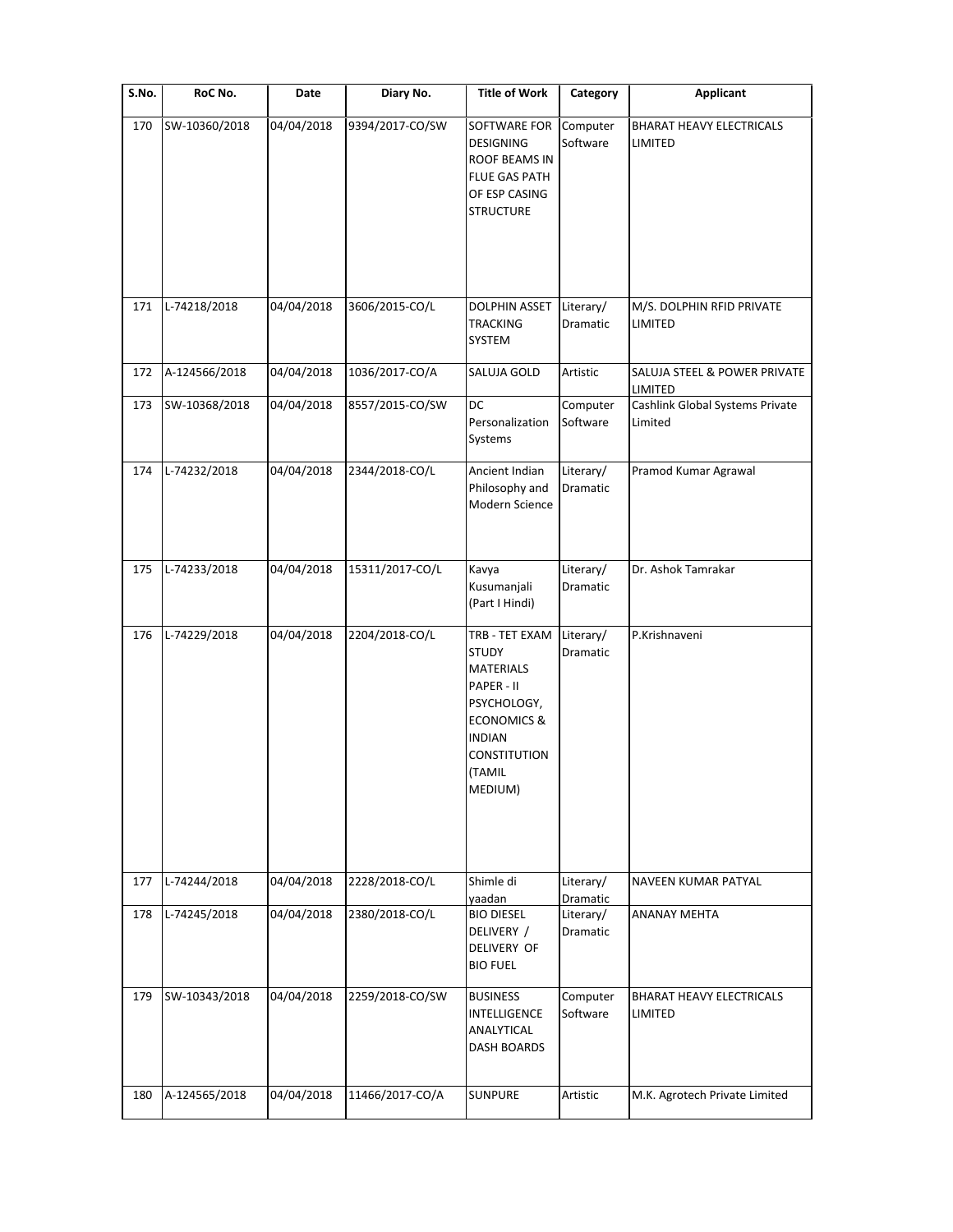| S.No. | RoC No.       | Date       | Diary No.       | <b>Title of Work</b>                                                                                                                                            | Category                          | <b>Applicant</b>                                      |
|-------|---------------|------------|-----------------|-----------------------------------------------------------------------------------------------------------------------------------------------------------------|-----------------------------------|-------------------------------------------------------|
| 170   | SW-10360/2018 | 04/04/2018 | 9394/2017-CO/SW | SOFTWARE FOR<br>DESIGNING<br>ROOF BEAMS IN<br><b>FLUE GAS PATH</b><br>OF ESP CASING<br><b>STRUCTURE</b>                                                         | Computer<br>Software              | BHARAT HEAVY ELECTRICALS<br>LIMITED                   |
| 171   | L-74218/2018  | 04/04/2018 | 3606/2015-CO/L  | <b>DOLPHIN ASSET</b><br><b>TRACKING</b><br>SYSTEM                                                                                                               | Literary/<br>Dramatic             | M/S. DOLPHIN RFID PRIVATE<br>LIMITED                  |
| 172   | A-124566/2018 | 04/04/2018 | 1036/2017-CO/A  | SALUJA GOLD                                                                                                                                                     | Artistic                          | SALUJA STEEL & POWER PRIVATE                          |
| 173   | SW-10368/2018 | 04/04/2018 | 8557/2015-CO/SW | DC<br>Personalization<br>Systems                                                                                                                                | Computer<br>Software              | LIMITED<br>Cashlink Global Systems Private<br>Limited |
| 174   | L-74232/2018  | 04/04/2018 | 2344/2018-CO/L  | Ancient Indian<br>Philosophy and<br>Modern Science                                                                                                              | Literary/<br>Dramatic             | Pramod Kumar Agrawal                                  |
| 175   | L-74233/2018  | 04/04/2018 | 15311/2017-CO/L | Kavya<br>Kusumanjali<br>(Part I Hindi)                                                                                                                          | Literary/<br>Dramatic             | Dr. Ashok Tamrakar                                    |
| 176   | L-74229/2018  | 04/04/2018 | 2204/2018-CO/L  | TRB - TET EXAM<br><b>STUDY</b><br><b>MATERIALS</b><br>PAPER - II<br>PSYCHOLOGY,<br><b>ECONOMICS &amp;</b><br><b>INDIAN</b><br>CONSTITUTION<br>(TAMIL<br>MEDIUM) | Literary/<br>Dramatic             | P.Krishnaveni                                         |
| 177   | L-74244/2018  | 04/04/2018 | 2228/2018-CO/L  | Shimle di                                                                                                                                                       | Literary/                         | NAVEEN KUMAR PATYAL                                   |
| 178   | L-74245/2018  | 04/04/2018 | 2380/2018-CO/L  | yaadan<br><b>BIO DIESEL</b><br>DELIVERY /<br><b>DELIVERY OF</b><br><b>BIO FUEL</b>                                                                              | Dramatic<br>Literary/<br>Dramatic | <b>ANANAY MEHTA</b>                                   |
| 179   | SW-10343/2018 | 04/04/2018 | 2259/2018-CO/SW | <b>BUSINESS</b><br>INTELLIGENCE<br>ANALYTICAL<br>DASH BOARDS                                                                                                    | Computer<br>Software              | <b>BHARAT HEAVY ELECTRICALS</b><br>LIMITED            |
| 180   | A-124565/2018 | 04/04/2018 | 11466/2017-CO/A | <b>SUNPURE</b>                                                                                                                                                  | Artistic                          | M.K. Agrotech Private Limited                         |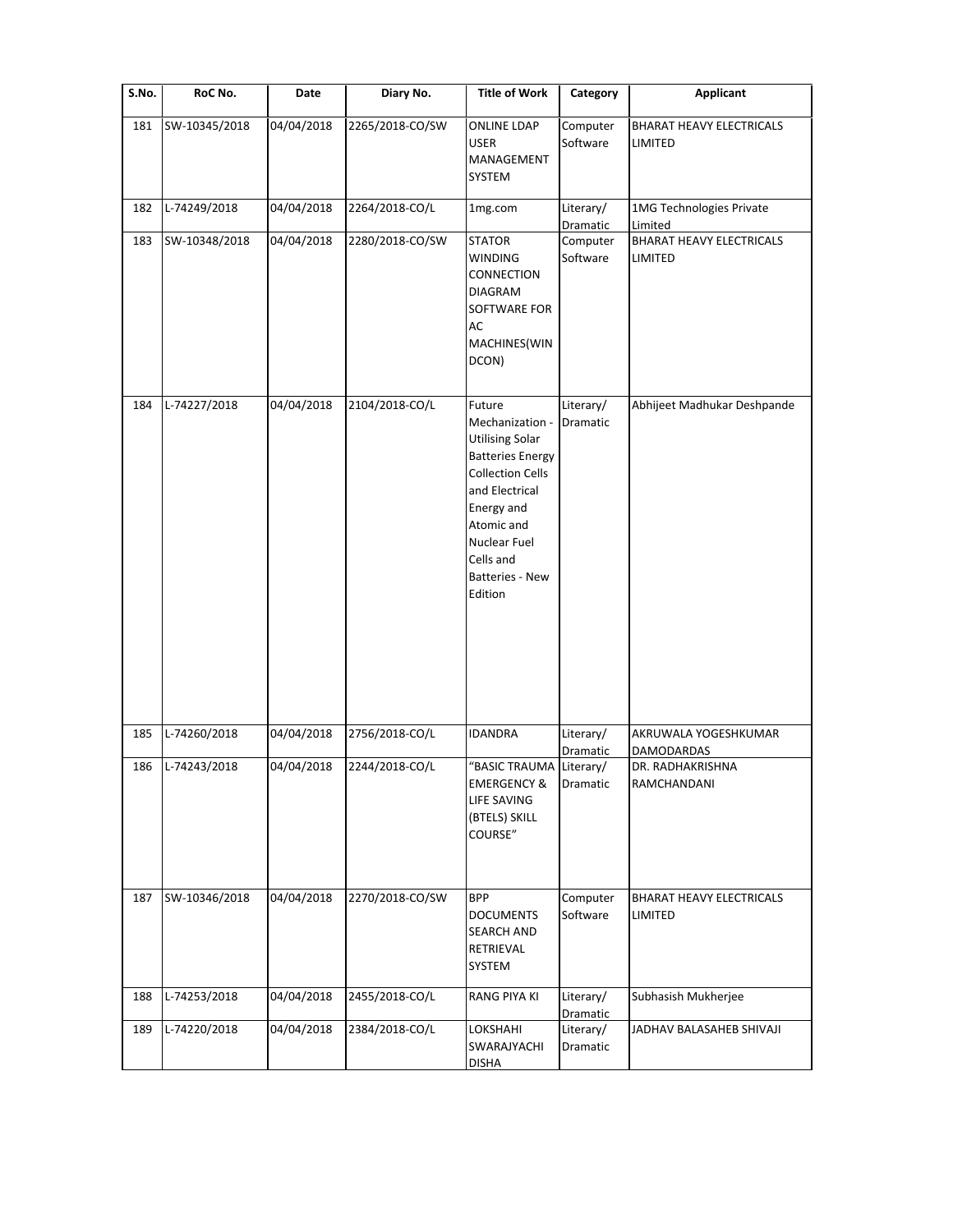| S.No. | RoC No.       | Date       | Diary No.       | <b>Title of Work</b>                                                                                                                                                                                                      | Category              | <b>Applicant</b>                                     |
|-------|---------------|------------|-----------------|---------------------------------------------------------------------------------------------------------------------------------------------------------------------------------------------------------------------------|-----------------------|------------------------------------------------------|
| 181   | SW-10345/2018 | 04/04/2018 | 2265/2018-CO/SW | <b>ONLINE LDAP</b><br><b>USER</b><br>MANAGEMENT<br>SYSTEM                                                                                                                                                                 | Computer<br>Software  | <b>BHARAT HEAVY ELECTRICALS</b><br>LIMITED           |
| 182   | L-74249/2018  | 04/04/2018 | 2264/2018-CO/L  | 1mg.com                                                                                                                                                                                                                   | Literary/<br>Dramatic | 1MG Technologies Private<br>Limited                  |
| 183   | SW-10348/2018 | 04/04/2018 | 2280/2018-CO/SW | <b>STATOR</b><br><b>WINDING</b><br>CONNECTION<br><b>DIAGRAM</b><br>SOFTWARE FOR<br>AC<br>MACHINES(WIN<br>DCON)                                                                                                            | Computer<br>Software  | <b>BHARAT HEAVY ELECTRICALS</b><br><b>LIMITED</b>    |
| 184   | L-74227/2018  | 04/04/2018 | 2104/2018-CO/L  | Future<br>Mechanization -<br><b>Utilising Solar</b><br><b>Batteries Energy</b><br><b>Collection Cells</b><br>and Electrical<br>Energy and<br>Atomic and<br>Nuclear Fuel<br>Cells and<br><b>Batteries - New</b><br>Edition | Literary/<br>Dramatic | Abhijeet Madhukar Deshpande                          |
| 185   | L-74260/2018  | 04/04/2018 | 2756/2018-CO/L  | <b>IDANDRA</b>                                                                                                                                                                                                            | Literary/             | AKRUWALA YOGESHKUMAR                                 |
| 186   | L-74243/2018  | 04/04/2018 | 2244/2018-CO/L  | "BASIC TRAUMA Literary/<br><b>EMERGENCY &amp;</b><br>LIFE SAVING<br>(BTELS) SKILL<br>COURSE"                                                                                                                              | Dramatic<br>Dramatic  | <b>DAMODARDAS</b><br>DR. RADHAKRISHNA<br>RAMCHANDANI |
| 187   | SW-10346/2018 | 04/04/2018 | 2270/2018-CO/SW | <b>BPP</b><br><b>DOCUMENTS</b><br><b>SEARCH AND</b><br>RETRIEVAL<br>SYSTEM                                                                                                                                                | Computer<br>Software  | <b>BHARAT HEAVY ELECTRICALS</b><br>LIMITED           |
| 188   | L-74253/2018  | 04/04/2018 | 2455/2018-CO/L  | RANG PIYA KI                                                                                                                                                                                                              | Literary/<br>Dramatic | Subhasish Mukherjee                                  |
| 189   | L-74220/2018  | 04/04/2018 | 2384/2018-CO/L  | LOKSHAHI<br>SWARAJYACHI<br><b>DISHA</b>                                                                                                                                                                                   | Literary/<br>Dramatic | JADHAV BALASAHEB SHIVAJI                             |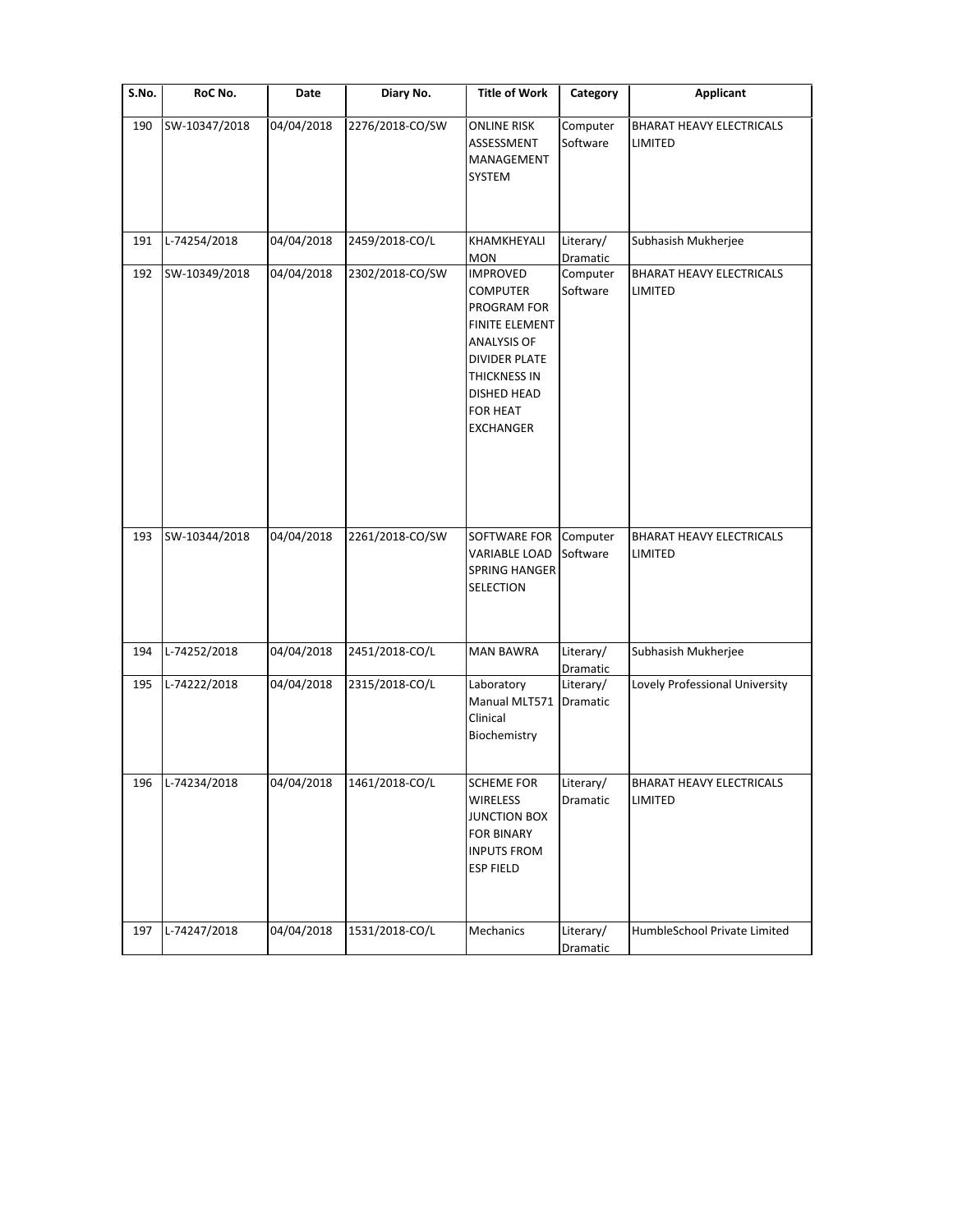| S.No. | RoC No.       | Date       | Diary No.       | <b>Title of Work</b>                                                                                                                                                                           | Category                     | <b>Applicant</b>                           |
|-------|---------------|------------|-----------------|------------------------------------------------------------------------------------------------------------------------------------------------------------------------------------------------|------------------------------|--------------------------------------------|
| 190   | SW-10347/2018 | 04/04/2018 | 2276/2018-CO/SW | <b>ONLINE RISK</b><br>ASSESSMENT<br>MANAGEMENT<br>SYSTEM                                                                                                                                       | Computer<br>Software         | <b>BHARAT HEAVY ELECTRICALS</b><br>LIMITED |
| 191   | L-74254/2018  | 04/04/2018 | 2459/2018-CO/L  | KHAMKHEYALI<br>MON                                                                                                                                                                             | Literary/<br>Dramatic        | Subhasish Mukherjee                        |
| 192   | SW-10349/2018 | 04/04/2018 | 2302/2018-CO/SW | <b>IMPROVED</b><br><b>COMPUTER</b><br>PROGRAM FOR<br><b>FINITE ELEMENT</b><br><b>ANALYSIS OF</b><br><b>DIVIDER PLATE</b><br>THICKNESS IN<br>DISHED HEAD<br><b>FOR HEAT</b><br><b>EXCHANGER</b> | Computer<br>Software         | <b>BHARAT HEAVY ELECTRICALS</b><br>LIMITED |
| 193   | SW-10344/2018 | 04/04/2018 | 2261/2018-CO/SW | SOFTWARE FOR<br>VARIABLE LOAD<br><b>SPRING HANGER</b><br>SELECTION                                                                                                                             | Computer<br>Software         | <b>BHARAT HEAVY ELECTRICALS</b><br>LIMITED |
| 194   | L-74252/2018  | 04/04/2018 | 2451/2018-CO/L  | <b>MAN BAWRA</b>                                                                                                                                                                               | Literary/<br><b>Dramatic</b> | Subhasish Mukherjee                        |
| 195   | L-74222/2018  | 04/04/2018 | 2315/2018-CO/L  | Laboratory<br>Manual MLT571<br>Clinical<br>Biochemistry                                                                                                                                        | Literary/<br>Dramatic        | Lovely Professional University             |
| 196   | L-74234/2018  | 04/04/2018 | 1461/2018-CO/L  | <b>SCHEME FOR</b><br><b>WIRELESS</b><br><b>JUNCTION BOX</b><br><b>FOR BINARY</b><br><b>INPUTS FROM</b><br><b>ESP FIELD</b>                                                                     | Literary/<br>Dramatic        | <b>BHARAT HEAVY ELECTRICALS</b><br>LIMITED |
| 197   | L-74247/2018  | 04/04/2018 | 1531/2018-CO/L  | Mechanics                                                                                                                                                                                      | Literary/<br>Dramatic        | HumbleSchool Private Limited               |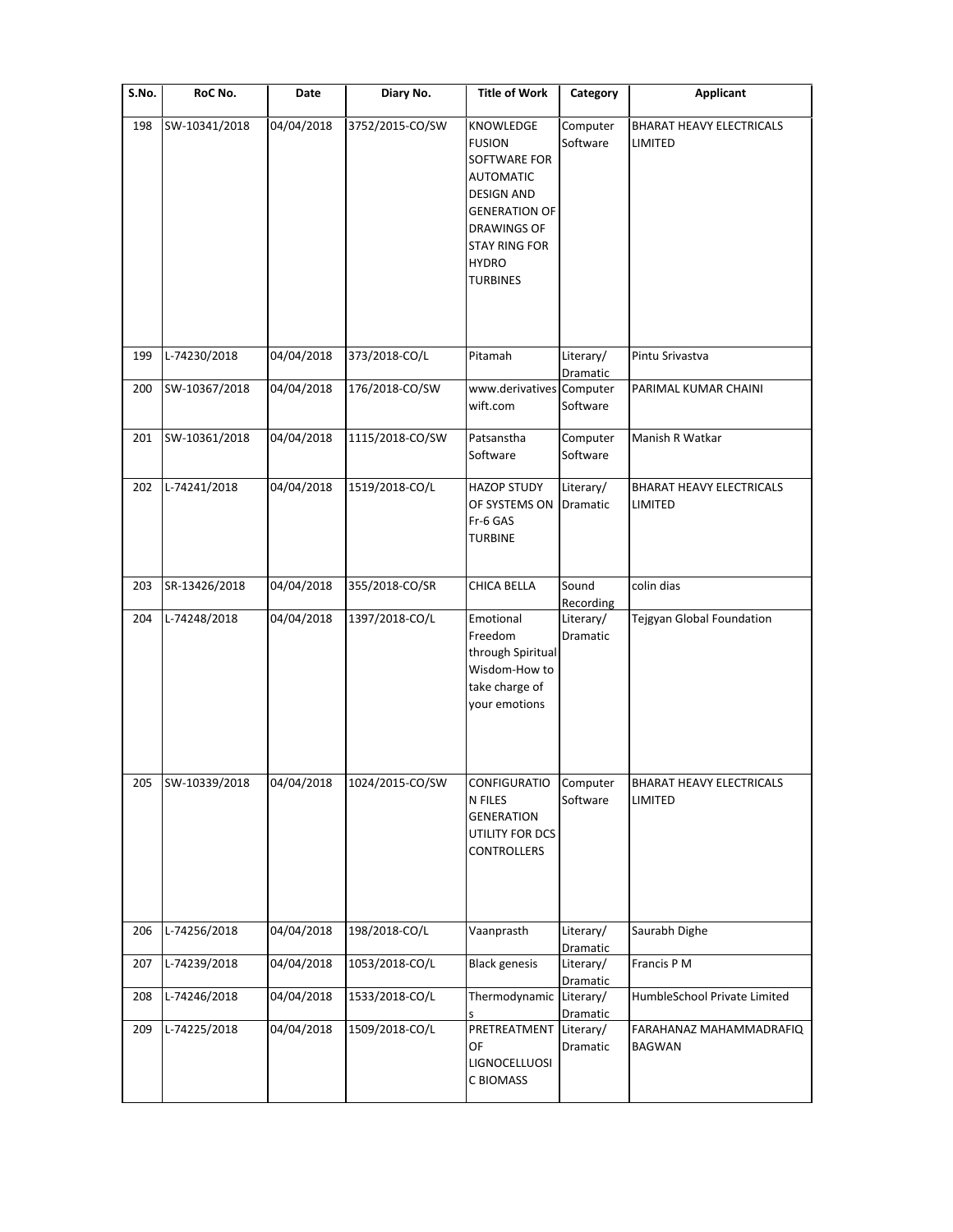| S.No. | RoC No.       | Date       | Diary No.       | <b>Title of Work</b>                                                                                                                                                                         | Category              | Applicant                                         |
|-------|---------------|------------|-----------------|----------------------------------------------------------------------------------------------------------------------------------------------------------------------------------------------|-----------------------|---------------------------------------------------|
| 198   | SW-10341/2018 | 04/04/2018 | 3752/2015-CO/SW | KNOWLEDGE<br><b>FUSION</b><br>SOFTWARE FOR<br><b>AUTOMATIC</b><br><b>DESIGN AND</b><br><b>GENERATION OF</b><br><b>DRAWINGS OF</b><br><b>STAY RING FOR</b><br><b>HYDRO</b><br><b>TURBINES</b> | Computer<br>Software  | <b>BHARAT HEAVY ELECTRICALS</b><br>LIMITED        |
| 199   | L-74230/2018  | 04/04/2018 | 373/2018-CO/L   | Pitamah                                                                                                                                                                                      | Literary/<br>Dramatic | Pintu Srivastva                                   |
| 200   | SW-10367/2018 | 04/04/2018 | 176/2018-CO/SW  | www.derivatives Computer<br>wift.com                                                                                                                                                         | Software              | PARIMAL KUMAR CHAINI                              |
| 201   | SW-10361/2018 | 04/04/2018 | 1115/2018-CO/SW | Patsanstha<br>Software                                                                                                                                                                       | Computer<br>Software  | Manish R Watkar                                   |
| 202   | L-74241/2018  | 04/04/2018 | 1519/2018-CO/L  | <b>HAZOP STUDY</b><br>OF SYSTEMS ON Dramatic<br>Fr-6 GAS<br><b>TURBINE</b>                                                                                                                   | Literary/             | <b>BHARAT HEAVY ELECTRICALS</b><br><b>LIMITED</b> |
| 203   | SR-13426/2018 | 04/04/2018 | 355/2018-CO/SR  | CHICA BELLA                                                                                                                                                                                  | Sound<br>Recording    | colin dias                                        |
| 204   | L-74248/2018  | 04/04/2018 | 1397/2018-CO/L  | Emotional<br>Freedom<br>through Spiritual<br>Wisdom-How to<br>take charge of<br>your emotions                                                                                                | Literary/<br>Dramatic | Tejgyan Global Foundation                         |
| 205   | SW-10339/2018 | 04/04/2018 | 1024/2015-CO/SW | <b>CONFIGURATIO</b><br>N FILES<br><b>GENERATION</b><br>UTILITY FOR DCS<br>CONTROLLERS                                                                                                        | Computer<br>Software  | <b>BHARAT HEAVY ELECTRICALS</b><br>LIMITED        |
| 206   | L-74256/2018  | 04/04/2018 | 198/2018-CO/L   | Vaanprasth                                                                                                                                                                                   | Literary/<br>Dramatic | Saurabh Dighe                                     |
| 207   | L-74239/2018  | 04/04/2018 | 1053/2018-CO/L  | <b>Black genesis</b>                                                                                                                                                                         | Literary/<br>Dramatic | Francis P M                                       |
| 208   | L-74246/2018  | 04/04/2018 | 1533/2018-CO/L  | Thermodynamic Literary/                                                                                                                                                                      | Dramatic              | HumbleSchool Private Limited                      |
| 209   | L-74225/2018  | 04/04/2018 | 1509/2018-CO/L  | PRETREATMENT Literary/<br>OF<br>LIGNOCELLUOSI<br>C BIOMASS                                                                                                                                   | Dramatic              | FARAHANAZ MAHAMMADRAFIQ<br><b>BAGWAN</b>          |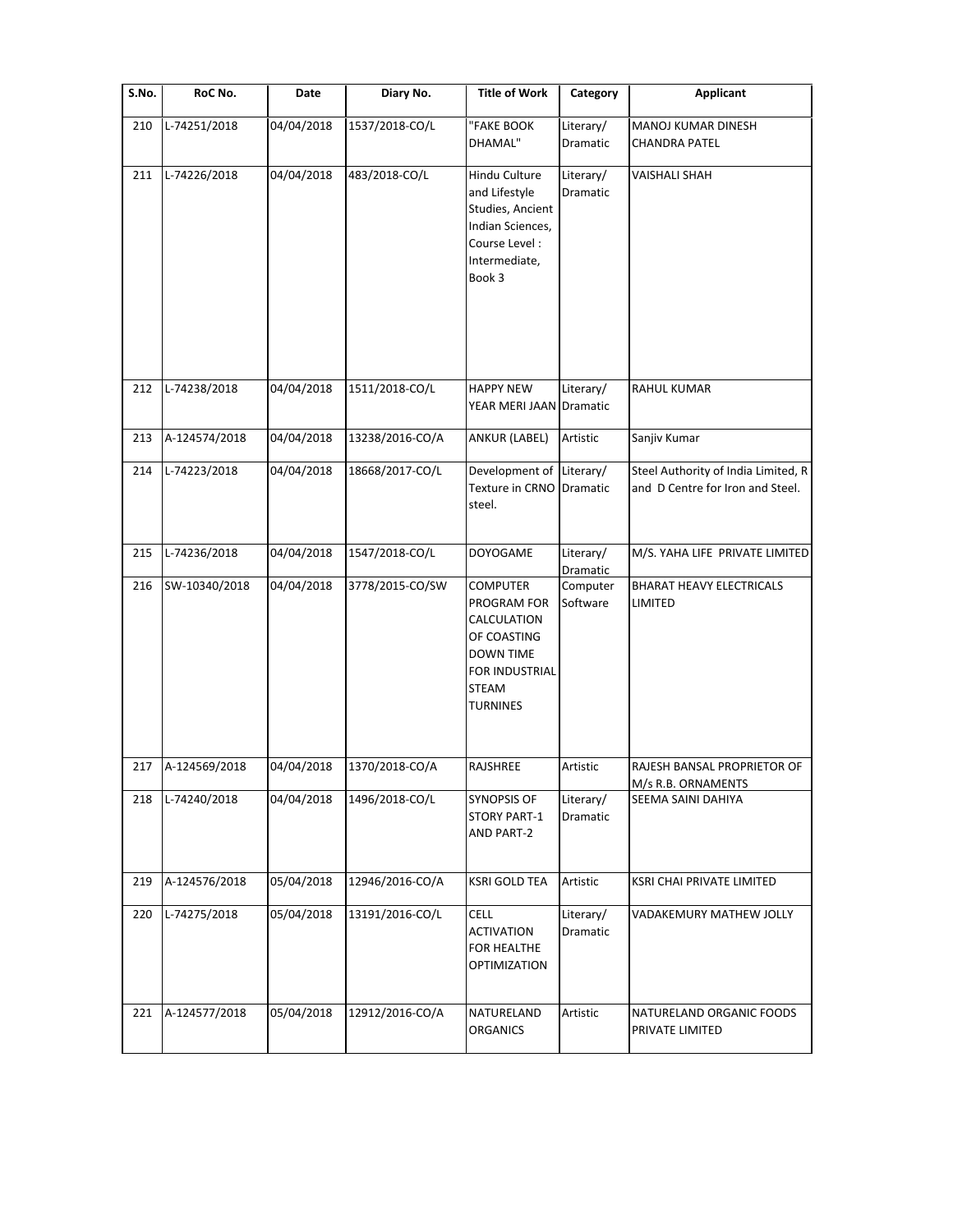| S.No. | RoC No.       | Date       | Diary No.       | <b>Title of Work</b>                                                                                                                  | Category                     | <b>Applicant</b>                                                        |
|-------|---------------|------------|-----------------|---------------------------------------------------------------------------------------------------------------------------------------|------------------------------|-------------------------------------------------------------------------|
| 210   | L-74251/2018  | 04/04/2018 | 1537/2018-CO/L  | "FAKE BOOK<br>DHAMAL"                                                                                                                 | Literary/<br>Dramatic        | MANOJ KUMAR DINESH<br><b>CHANDRA PATEL</b>                              |
| 211   | L-74226/2018  | 04/04/2018 | 483/2018-CO/L   | Hindu Culture<br>and Lifestyle<br>Studies, Ancient<br>Indian Sciences,<br>Course Level:<br>Intermediate,<br>Book 3                    | Literary/<br><b>Dramatic</b> | <b>VAISHALI SHAH</b>                                                    |
| 212   | L-74238/2018  | 04/04/2018 | 1511/2018-CO/L  | <b>HAPPY NEW</b><br>YEAR MERI JAAN Dramatic                                                                                           | Literary/                    | RAHUL KUMAR                                                             |
| 213   | A-124574/2018 | 04/04/2018 | 13238/2016-CO/A | ANKUR (LABEL)                                                                                                                         | Artistic                     | Sanjiv Kumar                                                            |
| 214   | L-74223/2018  | 04/04/2018 | 18668/2017-CO/L | Development of Literary/<br>Texture in CRNO<br>steel.                                                                                 | Dramatic                     | Steel Authority of India Limited, R<br>and D Centre for Iron and Steel. |
| 215   | L-74236/2018  | 04/04/2018 | 1547/2018-CO/L  | <b>DOYOGAME</b>                                                                                                                       | Literary/<br>Dramatic        | M/S. YAHA LIFE PRIVATE LIMITED                                          |
| 216   | SW-10340/2018 | 04/04/2018 | 3778/2015-CO/SW | <b>COMPUTER</b><br>PROGRAM FOR<br>CALCULATION<br>OF COASTING<br><b>DOWN TIME</b><br>FOR INDUSTRIAL<br><b>STEAM</b><br><b>TURNINES</b> | Computer<br>Software         | <b>BHARAT HEAVY ELECTRICALS</b><br>LIMITED                              |
| 217   | A-124569/2018 | 04/04/2018 | 1370/2018-CO/A  | RAJSHREE                                                                                                                              | Artistic                     | RAJESH BANSAL PROPRIETOR OF<br>M/s R.B. ORNAMENTS                       |
| 218   | L-74240/2018  | 04/04/2018 | 1496/2018-CO/L  | <b>SYNOPSIS OF</b><br><b>STORY PART-1</b><br><b>AND PART-2</b>                                                                        | Literary/<br>Dramatic        | SEEMA SAINI DAHIYA                                                      |
| 219   | A-124576/2018 | 05/04/2018 | 12946/2016-CO/A | <b>KSRI GOLD TEA</b>                                                                                                                  | Artistic                     | KSRI CHAI PRIVATE LIMITED                                               |
| 220   | L-74275/2018  | 05/04/2018 | 13191/2016-CO/L | <b>CELL</b><br><b>ACTIVATION</b><br>FOR HEALTHE<br><b>OPTIMIZATION</b>                                                                | Literary/<br>Dramatic        | VADAKEMURY MATHEW JOLLY                                                 |
| 221   | A-124577/2018 | 05/04/2018 | 12912/2016-CO/A | NATURELAND<br><b>ORGANICS</b>                                                                                                         | Artistic                     | NATURELAND ORGANIC FOODS<br>PRIVATE LIMITED                             |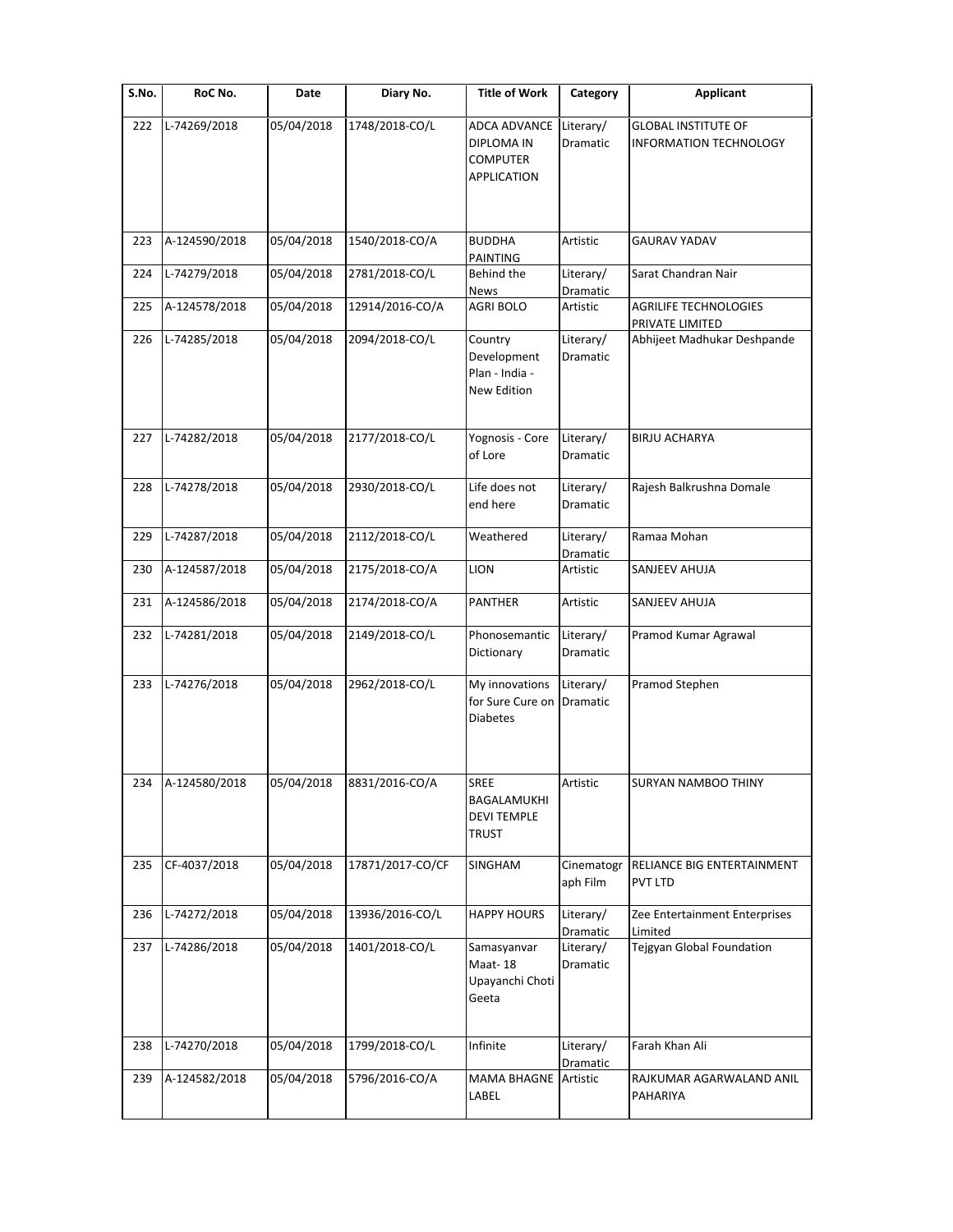| S.No. | RoC No.       | Date       | Diary No.        | <b>Title of Work</b>                                                              | Category               | <b>Applicant</b>                                     |
|-------|---------------|------------|------------------|-----------------------------------------------------------------------------------|------------------------|------------------------------------------------------|
| 222   | L-74269/2018  | 05/04/2018 | 1748/2018-CO/L   | <b>ADCA ADVANCE</b><br><b>DIPLOMA IN</b><br><b>COMPUTER</b><br><b>APPLICATION</b> | Literary/<br>Dramatic  | <b>GLOBAL INSTITUTE OF</b><br>INFORMATION TECHNOLOGY |
| 223   | A-124590/2018 | 05/04/2018 | 1540/2018-CO/A   | <b>BUDDHA</b><br>PAINTING                                                         | Artistic               | <b>GAURAV YADAV</b>                                  |
| 224   | L-74279/2018  | 05/04/2018 | 2781/2018-CO/L   | Behind the<br>News                                                                | Literary/<br>Dramatic  | Sarat Chandran Nair                                  |
| 225   | A-124578/2018 | 05/04/2018 | 12914/2016-CO/A  | <b>AGRI BOLO</b>                                                                  | Artistic               | <b>AGRILIFE TECHNOLOGIES</b><br>PRIVATE LIMITED      |
| 226   | L-74285/2018  | 05/04/2018 | 2094/2018-CO/L   | Country<br>Development<br>Plan - India -<br>New Edition                           | Literary/<br>Dramatic  | Abhijeet Madhukar Deshpande                          |
| 227   | L-74282/2018  | 05/04/2018 | 2177/2018-CO/L   | Yognosis - Core<br>of Lore                                                        | Literary/<br>Dramatic  | <b>BIRJU ACHARYA</b>                                 |
| 228   | L-74278/2018  | 05/04/2018 | 2930/2018-CO/L   | Life does not<br>end here                                                         | Literary/<br>Dramatic  | Rajesh Balkrushna Domale                             |
| 229   | L-74287/2018  | 05/04/2018 | 2112/2018-CO/L   | Weathered                                                                         | Literary/<br>Dramatic  | Ramaa Mohan                                          |
| 230   | A-124587/2018 | 05/04/2018 | 2175/2018-CO/A   | <b>LION</b>                                                                       | Artistic               | SANJEEV AHUJA                                        |
| 231   | A-124586/2018 | 05/04/2018 | 2174/2018-CO/A   | <b>PANTHER</b>                                                                    | Artistic               | SANJEEV AHUJA                                        |
| 232   | L-74281/2018  | 05/04/2018 | 2149/2018-CO/L   | Phonosemantic<br>Dictionary                                                       | Literary/<br>Dramatic  | Pramod Kumar Agrawal                                 |
| 233   | L-74276/2018  | 05/04/2018 | 2962/2018-CO/L   | My innovations<br>for Sure Cure on<br><b>Diabetes</b>                             | Literary/<br>Dramatic  | Pramod Stephen                                       |
| 234   | A-124580/2018 | 05/04/2018 | 8831/2016-CO/A   | <b>SREE</b><br>BAGALAMUKHI<br><b>DEVI TEMPLE</b><br>TRUST                         | Artistic               | SURYAN NAMBOO THINY                                  |
| 235   | CF-4037/2018  | 05/04/2018 | 17871/2017-CO/CF | SINGHAM                                                                           | Cinematogr<br>aph Film | RELIANCE BIG ENTERTAINMENT<br><b>PVT LTD</b>         |
| 236   | L-74272/2018  | 05/04/2018 | 13936/2016-CO/L  | <b>HAPPY HOURS</b>                                                                | Literary/<br>Dramatic  | Zee Entertainment Enterprises<br>Limited             |
| 237   | L-74286/2018  | 05/04/2018 | 1401/2018-CO/L   | Samasyanvar<br>Maat-18<br>Upayanchi Choti<br>Geeta                                | Literary/<br>Dramatic  | Tejgyan Global Foundation                            |
| 238   | L-74270/2018  | 05/04/2018 | 1799/2018-CO/L   | Infinite                                                                          | Literary/<br>Dramatic  | Farah Khan Ali                                       |
| 239   | A-124582/2018 | 05/04/2018 | 5796/2016-CO/A   | MAMA BHAGNE Artistic<br>LABEL                                                     |                        | RAJKUMAR AGARWALAND ANIL<br>PAHARIYA                 |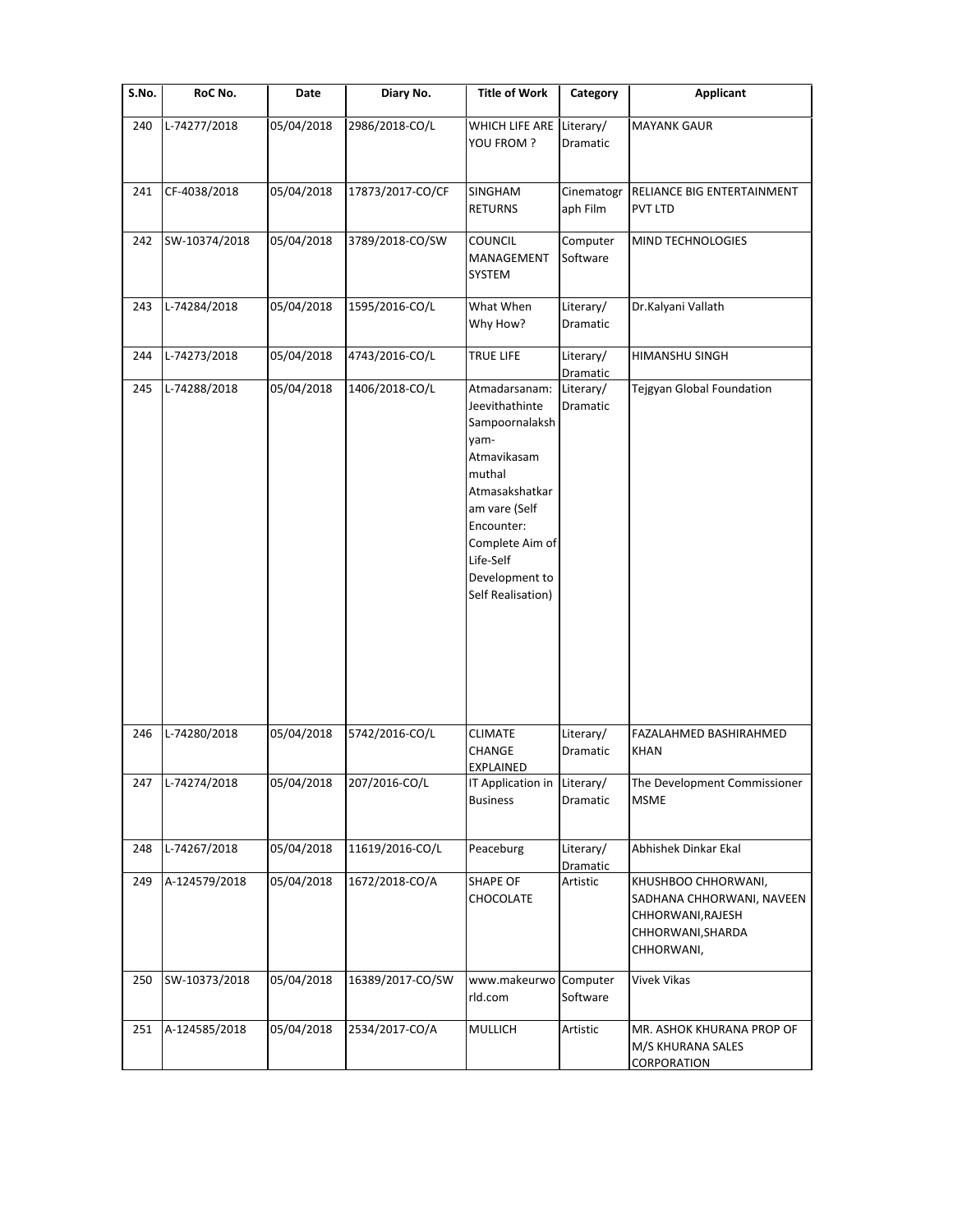| S.No. | RoC No.       | Date       | Diary No.        | <b>Title of Work</b>                                                                                                                                                                                       | Category               | <b>Applicant</b>                                                                                         |
|-------|---------------|------------|------------------|------------------------------------------------------------------------------------------------------------------------------------------------------------------------------------------------------------|------------------------|----------------------------------------------------------------------------------------------------------|
| 240   | L-74277/2018  | 05/04/2018 | 2986/2018-CO/L   | WHICH LIFE ARE<br>YOU FROM ?                                                                                                                                                                               | Literary/<br>Dramatic  | <b>MAYANK GAUR</b>                                                                                       |
| 241   | CF-4038/2018  | 05/04/2018 | 17873/2017-CO/CF | SINGHAM<br><b>RETURNS</b>                                                                                                                                                                                  | Cinematogr<br>aph Film | RELIANCE BIG ENTERTAINMENT<br>PVT LTD                                                                    |
| 242   | SW-10374/2018 | 05/04/2018 | 3789/2018-CO/SW  | <b>COUNCIL</b><br>MANAGEMENT<br>SYSTEM                                                                                                                                                                     | Computer<br>Software   | MIND TECHNOLOGIES                                                                                        |
| 243   | L-74284/2018  | 05/04/2018 | 1595/2016-CO/L   | What When<br>Why How?                                                                                                                                                                                      | Literary/<br>Dramatic  | Dr.Kalyani Vallath                                                                                       |
| 244   | L-74273/2018  | 05/04/2018 | 4743/2016-CO/L   | <b>TRUE LIFE</b>                                                                                                                                                                                           | Literary/<br>Dramatic  | HIMANSHU SINGH                                                                                           |
| 245   | L-74288/2018  | 05/04/2018 | 1406/2018-CO/L   | Atmadarsanam:<br>Jeevithathinte<br>Sampoornalaksh<br>yam-<br>Atmavikasam<br>muthal<br>Atmasakshatkar<br>am vare (Self<br>Encounter:<br>Complete Aim of<br>Life-Self<br>Development to<br>Self Realisation) | Literary/<br>Dramatic  | <b>Tejgyan Global Foundation</b>                                                                         |
| 246   | L-74280/2018  | 05/04/2018 | 5742/2016-CO/L   | <b>CLIMATE</b><br>CHANGE<br>EXPLAINED                                                                                                                                                                      | Literary/<br>Dramatic  | FAZALAHMED BASHIRAHMED<br><b>KHAN</b>                                                                    |
| 247   | L-74274/2018  | 05/04/2018 | 207/2016-CO/L    | IT Application in Literary/<br><b>Business</b>                                                                                                                                                             | Dramatic               | The Development Commissioner<br><b>MSME</b>                                                              |
| 248   | L-74267/2018  | 05/04/2018 | 11619/2016-CO/L  | Peaceburg                                                                                                                                                                                                  | Literary/<br>Dramatic  | Abhishek Dinkar Ekal                                                                                     |
| 249   | A-124579/2018 | 05/04/2018 | 1672/2018-CO/A   | SHAPE OF<br>CHOCOLATE                                                                                                                                                                                      | Artistic               | KHUSHBOO CHHORWANI,<br>SADHANA CHHORWANI, NAVEEN<br>CHHORWANI, RAJESH<br>CHHORWANI, SHARDA<br>CHHORWANI, |
| 250   | SW-10373/2018 | 05/04/2018 | 16389/2017-CO/SW | www.makeurwo<br>rld.com                                                                                                                                                                                    | Computer<br>Software   | Vivek Vikas                                                                                              |
| 251   | A-124585/2018 | 05/04/2018 | 2534/2017-CO/A   | MULLICH                                                                                                                                                                                                    | Artistic               | MR. ASHOK KHURANA PROP OF<br>M/S KHURANA SALES<br>CORPORATION                                            |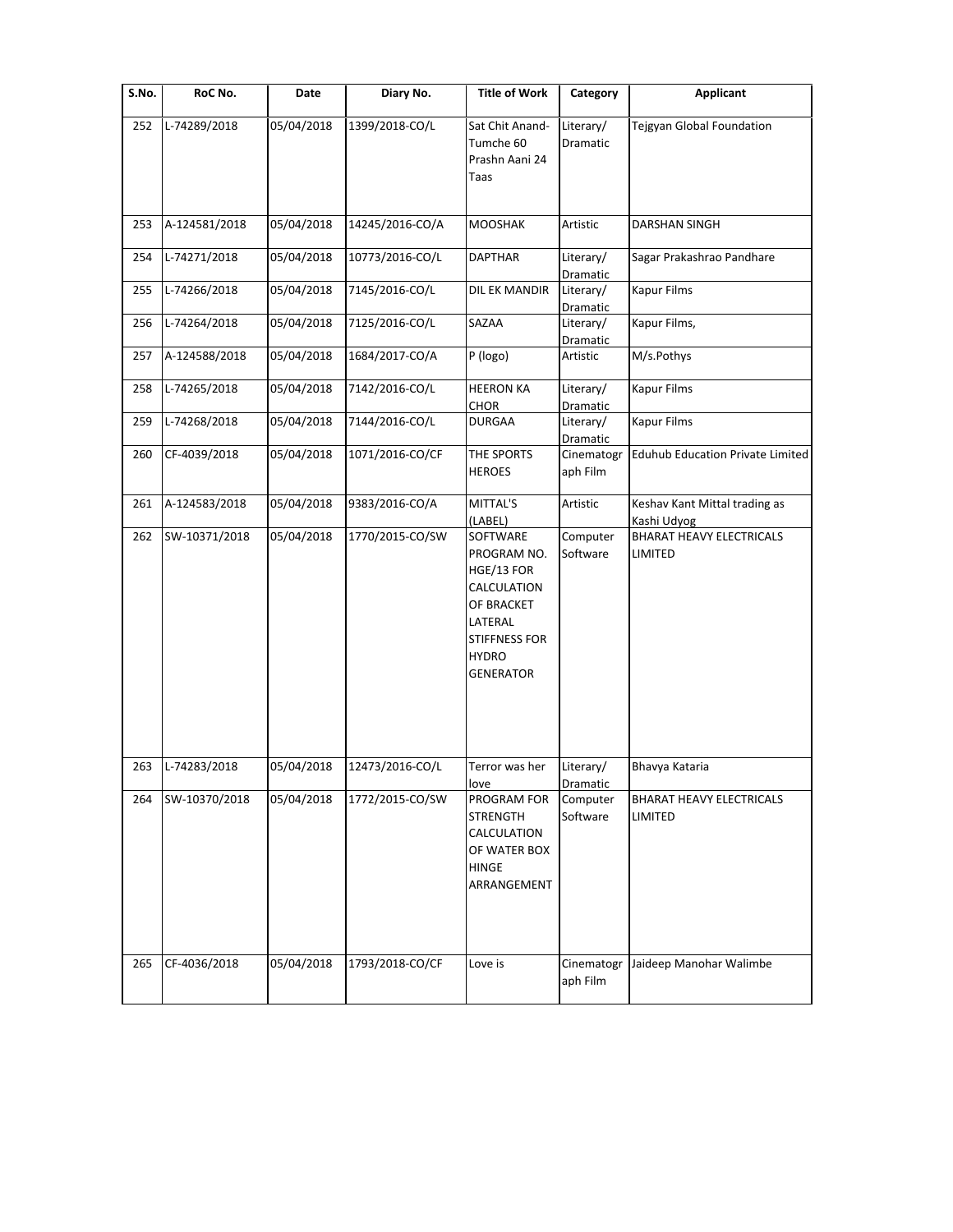| S.No. | RoC No.       | Date       | Diary No.       | <b>Title of Work</b>                                                                                                               | Category                         | <b>Applicant</b>                             |
|-------|---------------|------------|-----------------|------------------------------------------------------------------------------------------------------------------------------------|----------------------------------|----------------------------------------------|
| 252   | L-74289/2018  | 05/04/2018 | 1399/2018-CO/L  | Sat Chit Anand-<br>Tumche 60<br>Prashn Aani 24<br>Taas                                                                             | Literary/<br>Dramatic            | Tejgyan Global Foundation                    |
| 253   | A-124581/2018 | 05/04/2018 | 14245/2016-CO/A | <b>MOOSHAK</b>                                                                                                                     | Artistic                         | DARSHAN SINGH                                |
| 254   | L-74271/2018  | 05/04/2018 | 10773/2016-CO/L | <b>DAPTHAR</b>                                                                                                                     | Literary/<br>Dramatic            | Sagar Prakashrao Pandhare                    |
| 255   | L-74266/2018  | 05/04/2018 | 7145/2016-CO/L  | DIL EK MANDIR                                                                                                                      | Literary/<br>Dramatic            | Kapur Films                                  |
| 256   | L-74264/2018  | 05/04/2018 | 7125/2016-CO/L  | SAZAA                                                                                                                              | Literary/<br>Dramatic            | Kapur Films,                                 |
| 257   | A-124588/2018 | 05/04/2018 | 1684/2017-CO/A  | P (logo)                                                                                                                           | Artistic                         | M/s.Pothys                                   |
| 258   | L-74265/2018  | 05/04/2018 | 7142/2016-CO/L  | <b>HEERON KA</b><br>CHOR                                                                                                           | Literary/<br>Dramatic            | <b>Kapur Films</b>                           |
| 259   | L-74268/2018  | 05/04/2018 | 7144/2016-CO/L  | <b>DURGAA</b>                                                                                                                      | Literary/<br>Dramatic            | <b>Kapur Films</b>                           |
| 260   | CF-4039/2018  | 05/04/2018 | 1071/2016-CO/CF | THE SPORTS<br><b>HEROES</b>                                                                                                        | Cinematogr<br>aph Film           | <b>Eduhub Education Private Limited</b>      |
| 261   | A-124583/2018 | 05/04/2018 | 9383/2016-CO/A  | MITTAL'S<br>(LABEL)                                                                                                                | Artistic                         | Keshav Kant Mittal trading as<br>Kashi Udyog |
| 262   | SW-10371/2018 | 05/04/2018 | 1770/2015-CO/SW | SOFTWARE<br>PROGRAM NO.<br>HGE/13 FOR<br>CALCULATION<br>OF BRACKET<br>LATERAL<br>STIFFNESS FOR<br><b>HYDRO</b><br><b>GENERATOR</b> | Computer<br>Software             | <b>BHARAT HEAVY ELECTRICALS</b><br>LIMITED   |
| 263   | L-74283/2018  | 05/04/2018 | 12473/2016-CO/L | Terror was her                                                                                                                     | Literary/                        | Bhavya Kataria                               |
| 264   | SW-10370/2018 | 05/04/2018 | 1772/2015-CO/SW | love<br>PROGRAM FOR<br><b>STRENGTH</b><br>CALCULATION<br>OF WATER BOX<br><b>HINGE</b><br>ARRANGEMENT                               | Dramatic<br>Computer<br>Software | <b>BHARAT HEAVY ELECTRICALS</b><br>LIMITED   |
| 265   | CF-4036/2018  | 05/04/2018 | 1793/2018-CO/CF | Love is                                                                                                                            | Cinematogr<br>aph Film           | Jaideep Manohar Walimbe                      |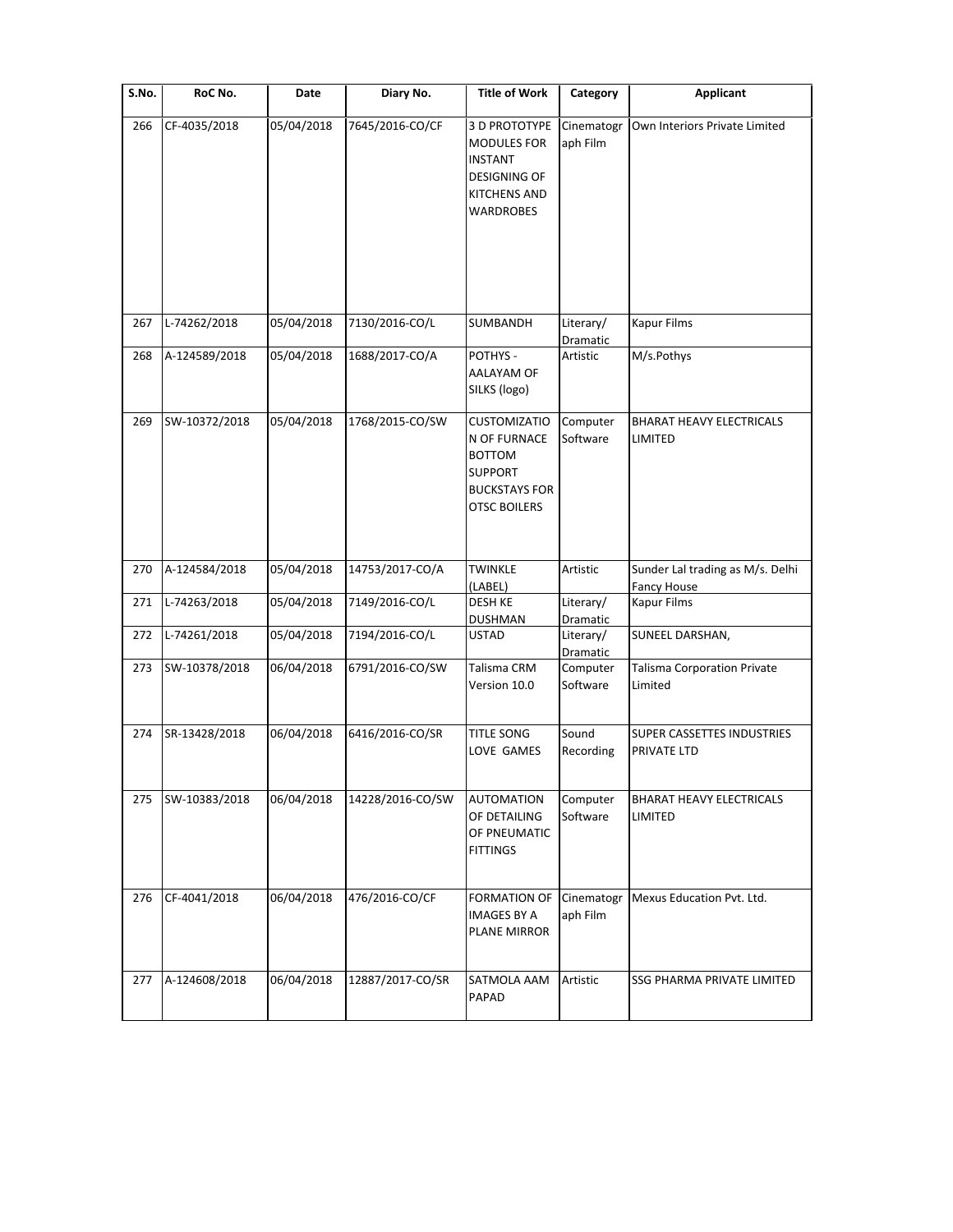| S.No. | RoC No.       | Date       | Diary No.        | <b>Title of Work</b>                                                                                                  | Category               | <b>Applicant</b>                                 |
|-------|---------------|------------|------------------|-----------------------------------------------------------------------------------------------------------------------|------------------------|--------------------------------------------------|
| 266   | CF-4035/2018  | 05/04/2018 | 7645/2016-CO/CF  | 3 D PROTOTYPE<br><b>MODULES FOR</b><br><b>INSTANT</b><br><b>DESIGNING OF</b><br><b>KITCHENS AND</b><br>WARDROBES      | Cinematogr<br>aph Film | Own Interiors Private Limited                    |
| 267   | L-74262/2018  | 05/04/2018 | 7130/2016-CO/L   | SUMBANDH                                                                                                              | Literary/<br>Dramatic  | Kapur Films                                      |
| 268   | A-124589/2018 | 05/04/2018 | 1688/2017-CO/A   | POTHYS -<br>AALAYAM OF<br>SILKS (logo)                                                                                | Artistic               | M/s.Pothys                                       |
| 269   | SW-10372/2018 | 05/04/2018 | 1768/2015-CO/SW  | <b>CUSTOMIZATIO</b><br>N OF FURNACE<br><b>BOTTOM</b><br><b>SUPPORT</b><br><b>BUCKSTAYS FOR</b><br><b>OTSC BOILERS</b> | Computer<br>Software   | <b>BHARAT HEAVY ELECTRICALS</b><br>LIMITED       |
| 270   | A-124584/2018 | 05/04/2018 | 14753/2017-CO/A  | <b>TWINKLE</b><br>(LABEL)                                                                                             | Artistic               | Sunder Lal trading as M/s. Delhi<br>Fancy House  |
| 271   | L-74263/2018  | 05/04/2018 | 7149/2016-CO/L   | DESH KE<br><b>DUSHMAN</b>                                                                                             | Literary/<br>Dramatic  | <b>Kapur Films</b>                               |
| 272   | L-74261/2018  | 05/04/2018 | 7194/2016-CO/L   | <b>USTAD</b>                                                                                                          | Literary/<br>Dramatic  | SUNEEL DARSHAN,                                  |
| 273   | SW-10378/2018 | 06/04/2018 | 6791/2016-CO/SW  | Talisma CRM<br>Version 10.0                                                                                           | Computer<br>Software   | <b>Talisma Corporation Private</b><br>Limited    |
| 274   | SR-13428/2018 | 06/04/2018 | 6416/2016-CO/SR  | TITLE SONG<br>LOVE GAMES                                                                                              | Sound<br>Recording     | <b>SUPER CASSETTES INDUSTRIES</b><br>PRIVATE LTD |
| 275   | SW-10383/2018 | 06/04/2018 | 14228/2016-CO/SW | <b>AUTOMATION</b><br>OF DETAILING<br>OF PNEUMATIC<br><b>FITTINGS</b>                                                  | Computer<br>Software   | <b>BHARAT HEAVY ELECTRICALS</b><br>LIMITED       |
| 276   | CF-4041/2018  | 06/04/2018 | 476/2016-CO/CF   | <b>FORMATION OF</b><br><b>IMAGES BY A</b><br><b>PLANE MIRROR</b>                                                      | Cinematogr<br>aph Film | Mexus Education Pvt. Ltd.                        |
| 277   | A-124608/2018 | 06/04/2018 | 12887/2017-CO/SR | SATMOLA AAM<br>PAPAD                                                                                                  | Artistic               | SSG PHARMA PRIVATE LIMITED                       |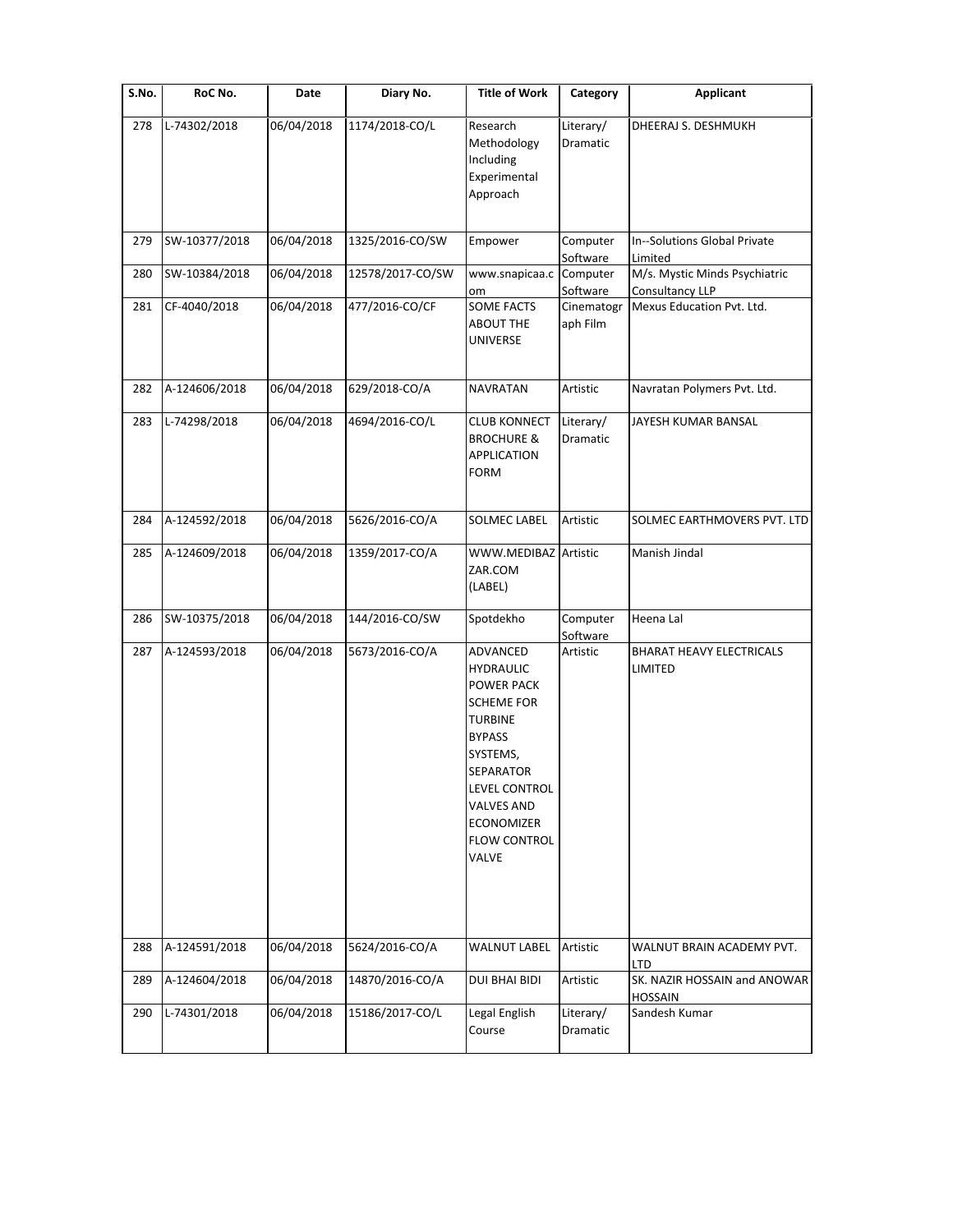| S.No. | RoC No.       | Date       | Diary No.        | <b>Title of Work</b>                                                                                                                                                                                                          | Category                     | <b>Applicant</b>                                      |
|-------|---------------|------------|------------------|-------------------------------------------------------------------------------------------------------------------------------------------------------------------------------------------------------------------------------|------------------------------|-------------------------------------------------------|
| 278   | L-74302/2018  | 06/04/2018 | 1174/2018-CO/L   | Research<br>Methodology<br>Including<br>Experimental<br>Approach                                                                                                                                                              | Literary/<br>Dramatic        | DHEERAJ S. DESHMUKH                                   |
| 279   | SW-10377/2018 | 06/04/2018 | 1325/2016-CO/SW  | Empower                                                                                                                                                                                                                       | Computer<br>Software         | In--Solutions Global Private<br>Limited               |
| 280   | SW-10384/2018 | 06/04/2018 | 12578/2017-CO/SW | www.snapicaa.c                                                                                                                                                                                                                | Computer<br>Software         | M/s. Mystic Minds Psychiatric<br>Consultancy LLP      |
| 281   | CF-4040/2018  | 06/04/2018 | 477/2016-CO/CF   | om<br>SOME FACTS<br><b>ABOUT THE</b><br>UNIVERSE                                                                                                                                                                              | Cinematogr<br>aph Film       | Mexus Education Pvt. Ltd.                             |
| 282   | A-124606/2018 | 06/04/2018 | 629/2018-CO/A    | <b>NAVRATAN</b>                                                                                                                                                                                                               | Artistic                     | Navratan Polymers Pvt. Ltd.                           |
| 283   | L-74298/2018  | 06/04/2018 | 4694/2016-CO/L   | <b>CLUB KONNECT</b><br><b>BROCHURE &amp;</b><br><b>APPLICATION</b><br><b>FORM</b>                                                                                                                                             | Literary/<br><b>Dramatic</b> | JAYESH KUMAR BANSAL                                   |
| 284   | A-124592/2018 | 06/04/2018 | 5626/2016-CO/A   | SOLMEC LABEL                                                                                                                                                                                                                  | Artistic                     | SOLMEC EARTHMOVERS PVT. LTD                           |
| 285   | A-124609/2018 | 06/04/2018 | 1359/2017-CO/A   | WWW.MEDIBAZ Artistic<br>ZAR.COM<br>(LABEL)                                                                                                                                                                                    |                              | Manish Jindal                                         |
| 286   | SW-10375/2018 | 06/04/2018 | 144/2016-CO/SW   | Spotdekho                                                                                                                                                                                                                     | Computer<br>Software         | Heena Lal                                             |
| 287   | A-124593/2018 | 06/04/2018 | 5673/2016-CO/A   | ADVANCED<br><b>HYDRAULIC</b><br><b>POWER PACK</b><br><b>SCHEME FOR</b><br><b>TURBINE</b><br><b>BYPASS</b><br>SYSTEMS,<br><b>SEPARATOR</b><br>LEVEL CONTROL<br><b>VALVES AND</b><br>ECONOMIZER<br><b>FLOW CONTROL</b><br>VALVE | Artistic                     | BHARAT HEAVY ELECTRICALS<br>LIMITED                   |
| 288   | A-124591/2018 | 06/04/2018 | 5624/2016-CO/A   | <b>WALNUT LABEL</b>                                                                                                                                                                                                           | Artistic                     | WALNUT BRAIN ACADEMY PVT.                             |
| 289   | A-124604/2018 | 06/04/2018 | 14870/2016-CO/A  | <b>DUI BHAI BIDI</b>                                                                                                                                                                                                          | Artistic                     | LTD<br>SK. NAZIR HOSSAIN and ANOWAR<br><b>HOSSAIN</b> |
| 290   | L-74301/2018  | 06/04/2018 | 15186/2017-CO/L  | Legal English<br>Course                                                                                                                                                                                                       | Literary/<br>Dramatic        | Sandesh Kumar                                         |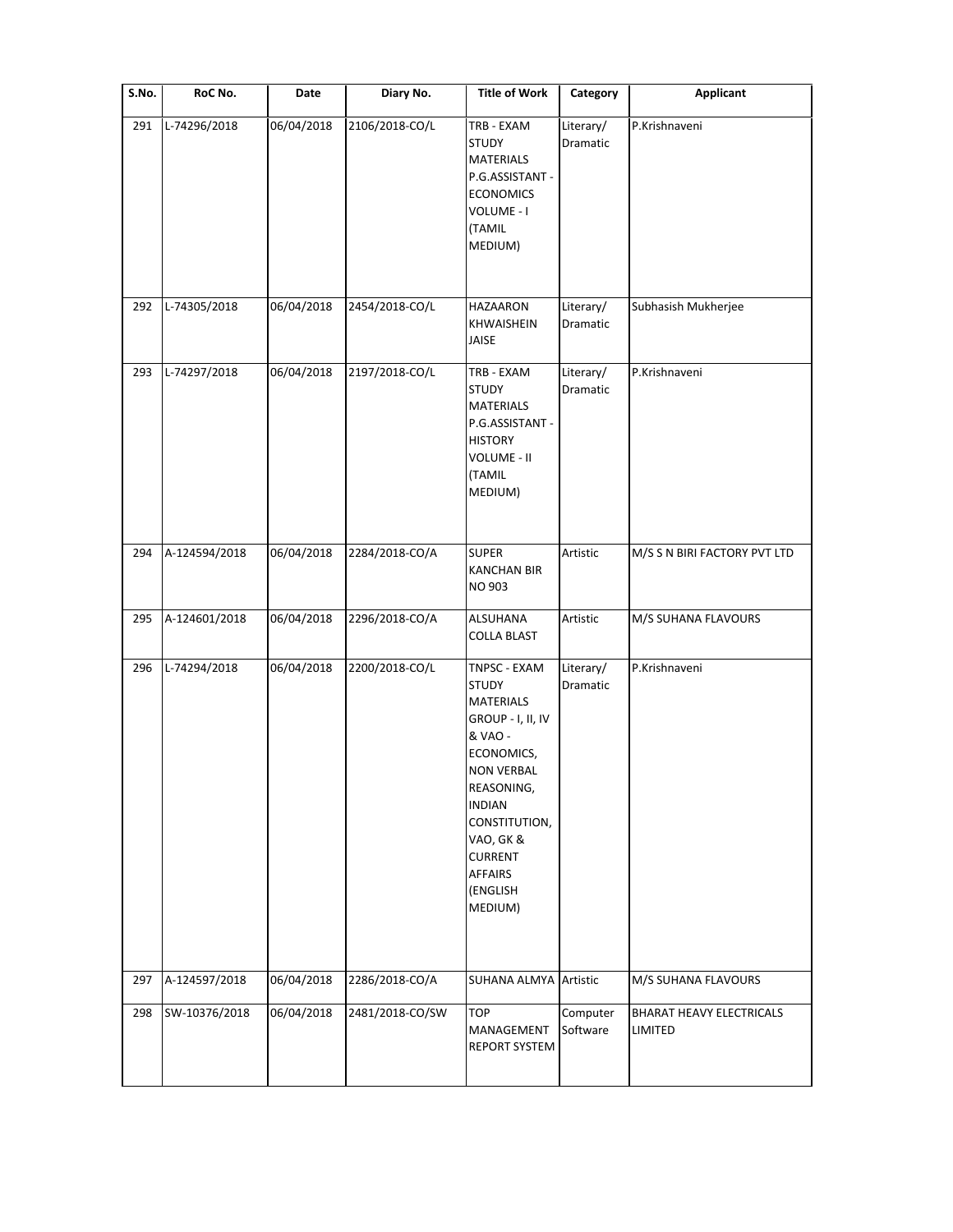| S.No. | RoC No.       | Date       | Diary No.       | <b>Title of Work</b>                                                                                                                                                                                                                        | Category              | <b>Applicant</b>                           |
|-------|---------------|------------|-----------------|---------------------------------------------------------------------------------------------------------------------------------------------------------------------------------------------------------------------------------------------|-----------------------|--------------------------------------------|
| 291   | L-74296/2018  | 06/04/2018 | 2106/2018-CO/L  | TRB - EXAM<br><b>STUDY</b><br><b>MATERIALS</b><br>P.G.ASSISTANT -<br><b>ECONOMICS</b><br>VOLUME - I<br>(TAMIL<br>MEDIUM)                                                                                                                    | Literary/<br>Dramatic | P.Krishnaveni                              |
| 292   | L-74305/2018  | 06/04/2018 | 2454/2018-CO/L  | HAZAARON<br><b>KHWAISHEIN</b><br>JAISE                                                                                                                                                                                                      | Literary/<br>Dramatic | Subhasish Mukherjee                        |
| 293   | L-74297/2018  | 06/04/2018 | 2197/2018-CO/L  | TRB - EXAM<br><b>STUDY</b><br><b>MATERIALS</b><br>P.G.ASSISTANT -<br><b>HISTORY</b><br>VOLUME - II<br>(TAMIL<br>MEDIUM)                                                                                                                     | Literary/<br>Dramatic | P.Krishnaveni                              |
| 294   | A-124594/2018 | 06/04/2018 | 2284/2018-CO/A  | <b>SUPER</b><br><b>KANCHAN BIR</b><br>NO 903                                                                                                                                                                                                | Artistic              | M/S S N BIRI FACTORY PVT LTD               |
| 295   | A-124601/2018 | 06/04/2018 | 2296/2018-CO/A  | ALSUHANA<br><b>COLLA BLAST</b>                                                                                                                                                                                                              | Artistic              | M/S SUHANA FLAVOURS                        |
| 296   | L-74294/2018  | 06/04/2018 | 2200/2018-CO/L  | TNPSC - EXAM<br><b>STUDY</b><br><b>MATERIALS</b><br>GROUP - I, II, IV<br>& VAO -<br>ECONOMICS,<br><b>NON VERBAL</b><br>REASONING,<br><b>INDIAN</b><br>CONSTITUTION,<br>VAO, GK &<br><b>CURRENT</b><br><b>AFFAIRS</b><br>(ENGLISH<br>MEDIUM) | Literary/<br>Dramatic | P.Krishnaveni                              |
| 297   | A-124597/2018 | 06/04/2018 | 2286/2018-CO/A  | SUHANA ALMYA Artistic                                                                                                                                                                                                                       |                       | M/S SUHANA FLAVOURS                        |
| 298   | SW-10376/2018 | 06/04/2018 | 2481/2018-CO/SW | TOP<br>MANAGEMENT<br>REPORT SYSTEM                                                                                                                                                                                                          | Computer<br>Software  | <b>BHARAT HEAVY ELECTRICALS</b><br>LIMITED |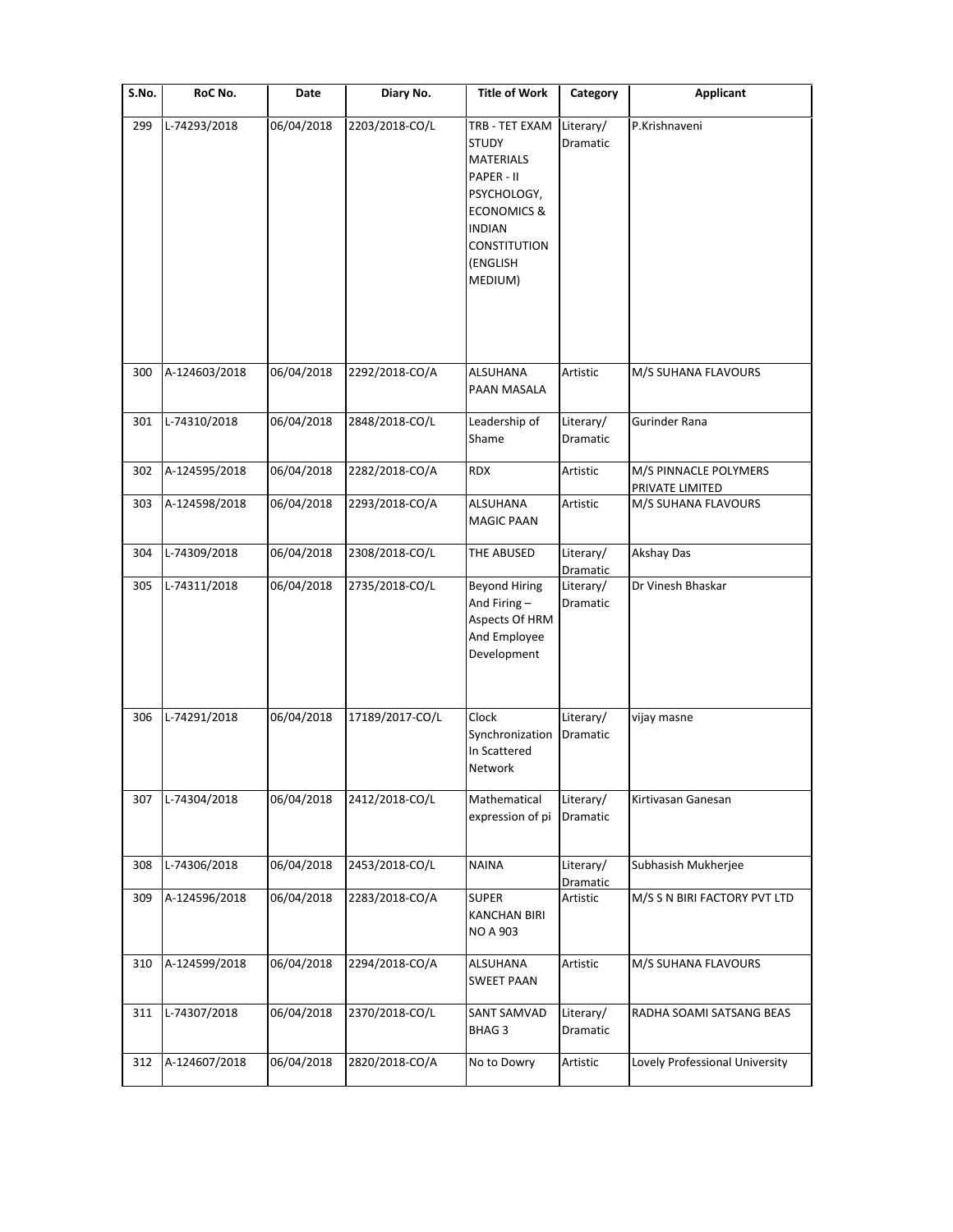| S.No. | RoC No.       | Date       | Diary No.       | <b>Title of Work</b>                                                                                                                                                     | Category              | <b>Applicant</b>                         |
|-------|---------------|------------|-----------------|--------------------------------------------------------------------------------------------------------------------------------------------------------------------------|-----------------------|------------------------------------------|
| 299   | L-74293/2018  | 06/04/2018 | 2203/2018-CO/L  | TRB - TET EXAM<br><b>STUDY</b><br><b>MATERIALS</b><br>PAPER - II<br>PSYCHOLOGY,<br><b>ECONOMICS &amp;</b><br><b>INDIAN</b><br><b>CONSTITUTION</b><br>(ENGLISH<br>MEDIUM) | Literary/<br>Dramatic | P.Krishnaveni                            |
| 300   | A-124603/2018 | 06/04/2018 | 2292/2018-CO/A  | <b>ALSUHANA</b><br>PAAN MASALA                                                                                                                                           | Artistic              | M/S SUHANA FLAVOURS                      |
| 301   | L-74310/2018  | 06/04/2018 | 2848/2018-CO/L  | Leadership of<br>Shame                                                                                                                                                   | Literary/<br>Dramatic | Gurinder Rana                            |
| 302   | A-124595/2018 | 06/04/2018 | 2282/2018-CO/A  | <b>RDX</b>                                                                                                                                                               | Artistic              | M/S PINNACLE POLYMERS<br>PRIVATE LIMITED |
| 303   | A-124598/2018 | 06/04/2018 | 2293/2018-CO/A  | <b>ALSUHANA</b><br><b>MAGIC PAAN</b>                                                                                                                                     | Artistic              | M/S SUHANA FLAVOURS                      |
| 304   | L-74309/2018  | 06/04/2018 | 2308/2018-CO/L  | THE ABUSED                                                                                                                                                               | Literary/<br>Dramatic | <b>Akshay Das</b>                        |
| 305   | L-74311/2018  | 06/04/2018 | 2735/2018-CO/L  | <b>Beyond Hiring</b><br>And Firing-<br>Aspects Of HRM<br>And Employee<br>Development                                                                                     | Literary/<br>Dramatic | Dr Vinesh Bhaskar                        |
| 306   | L-74291/2018  | 06/04/2018 | 17189/2017-CO/L | Clock<br>Synchronization<br>In Scattered<br>Network                                                                                                                      | Literary/<br>Dramatic | vijay masne                              |
| 307   | L-74304/2018  | 06/04/2018 | 2412/2018-CO/L  | Mathematical<br>expression of pi                                                                                                                                         | Literary/<br>Dramatic | Kirtivasan Ganesan                       |
| 308   | L-74306/2018  | 06/04/2018 | 2453/2018-CO/L  | <b>NAINA</b>                                                                                                                                                             | Literary/<br>Dramatic | Subhasish Mukherjee                      |
| 309   | A-124596/2018 | 06/04/2018 | 2283/2018-CO/A  | <b>SUPER</b><br><b>KANCHAN BIRI</b><br><b>NO A 903</b>                                                                                                                   | Artistic              | M/S S N BIRI FACTORY PVT LTD             |
| 310   | A-124599/2018 | 06/04/2018 | 2294/2018-CO/A  | ALSUHANA<br><b>SWEET PAAN</b>                                                                                                                                            | Artistic              | M/S SUHANA FLAVOURS                      |
| 311   | L-74307/2018  | 06/04/2018 | 2370/2018-CO/L  | SANT SAMVAD<br><b>BHAG3</b>                                                                                                                                              | Literary/<br>Dramatic | RADHA SOAMI SATSANG BEAS                 |
| 312   | A-124607/2018 | 06/04/2018 | 2820/2018-CO/A  | No to Dowry                                                                                                                                                              | Artistic              | Lovely Professional University           |
|       |               |            |                 |                                                                                                                                                                          |                       |                                          |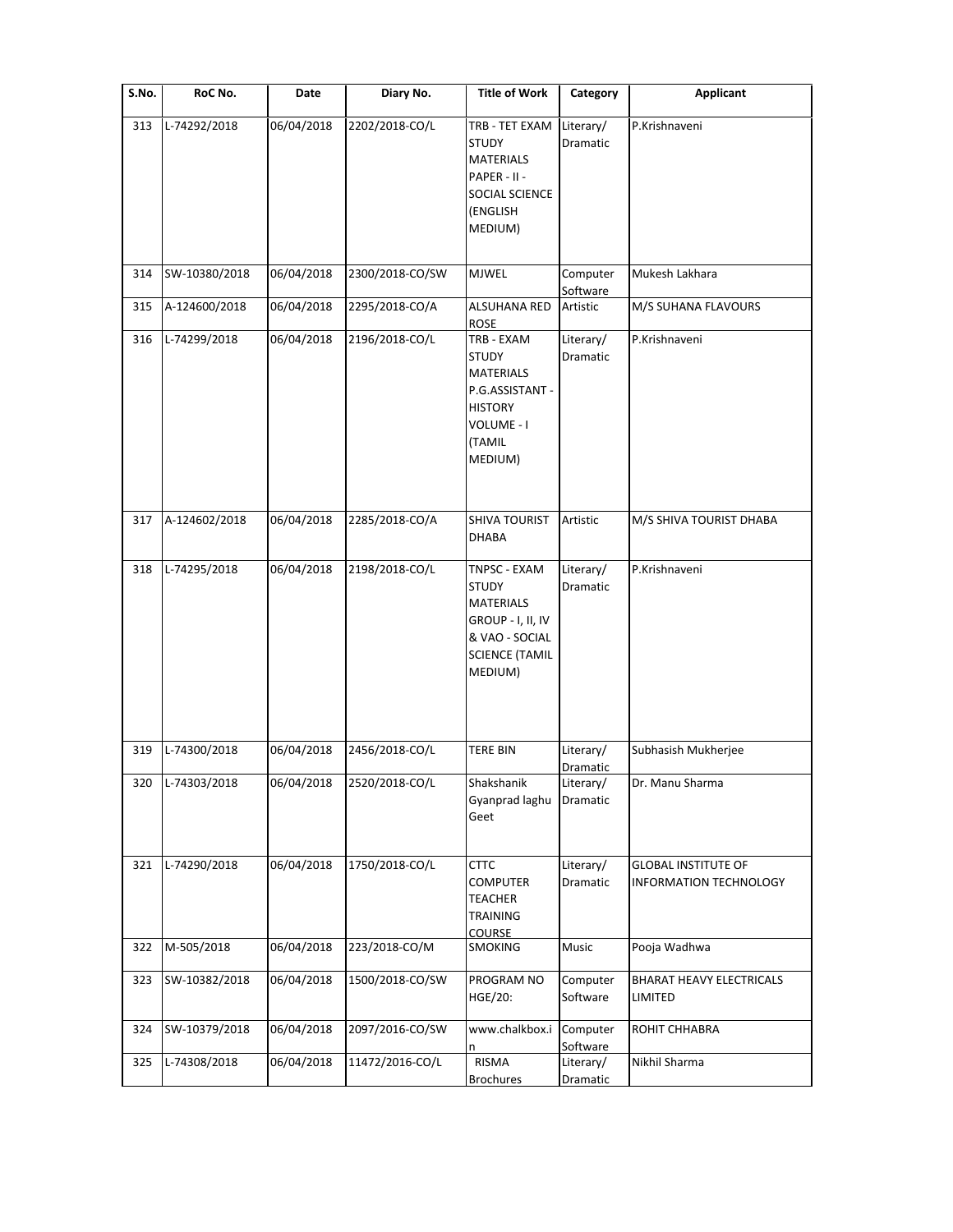| $\overline{\mathsf{S}}$ . No. | RoC No.       | Date       | Diary No.       | <b>Title of Work</b>                                                                                                   | Category                          | <b>Applicant</b>                                     |
|-------------------------------|---------------|------------|-----------------|------------------------------------------------------------------------------------------------------------------------|-----------------------------------|------------------------------------------------------|
| 313                           | L-74292/2018  | 06/04/2018 | 2202/2018-CO/L  | TRB - TET EXAM<br><b>STUDY</b><br><b>MATERIALS</b><br>PAPER - II -<br>SOCIAL SCIENCE<br>(ENGLISH<br>MEDIUM)            | Literary/<br>Dramatic             | P.Krishnaveni                                        |
| 314                           | SW-10380/2018 | 06/04/2018 | 2300/2018-CO/SW | <b>MJWEL</b>                                                                                                           | Computer<br>Software              | Mukesh Lakhara                                       |
| 315                           | A-124600/2018 | 06/04/2018 | 2295/2018-CO/A  | <b>ALSUHANA RED</b><br>ROSE                                                                                            | Artistic                          | M/S SUHANA FLAVOURS                                  |
| 316                           | L-74299/2018  | 06/04/2018 | 2196/2018-CO/L  | TRB - EXAM<br><b>STUDY</b><br><b>MATERIALS</b><br>P.G.ASSISTANT -<br><b>HISTORY</b><br>VOLUME - I<br>(TAMIL<br>MEDIUM) | Literary/<br>Dramatic             | P.Krishnaveni                                        |
| 317                           | A-124602/2018 | 06/04/2018 | 2285/2018-CO/A  | SHIVA TOURIST<br>DHABA                                                                                                 | Artistic                          | M/S SHIVA TOURIST DHABA                              |
| 318                           | L-74295/2018  | 06/04/2018 | 2198/2018-CO/L  | TNPSC - EXAM<br><b>STUDY</b><br>MATERIALS<br>GROUP - I, II, IV<br>& VAO - SOCIAL<br><b>SCIENCE (TAMIL</b><br>MEDIUM)   | Literary/<br>Dramatic             | P.Krishnaveni                                        |
| 319                           | L-74300/2018  | 06/04/2018 | 2456/2018-CO/L  | <b>TERE BIN</b>                                                                                                        | Literary/                         | Subhasish Mukherjee                                  |
| 320                           | L-74303/2018  | 06/04/2018 | 2520/2018-CO/L  | Shakshanik<br>Gyanprad laghu<br>Geet                                                                                   | Dramatic<br>Literary/<br>Dramatic | Dr. Manu Sharma                                      |
| 321                           | L-74290/2018  | 06/04/2018 | 1750/2018-CO/L  | <b>CTTC</b><br><b>COMPUTER</b><br><b>TEACHER</b><br>TRAINING<br><b>COURSE</b>                                          | Literary/<br>Dramatic             | <b>GLOBAL INSTITUTE OF</b><br>INFORMATION TECHNOLOGY |
| 322                           | M-505/2018    | 06/04/2018 | 223/2018-CO/M   | <b>SMOKING</b>                                                                                                         | Music                             | Pooja Wadhwa                                         |
| 323                           | SW-10382/2018 | 06/04/2018 | 1500/2018-CO/SW | PROGRAM NO<br>HGE/20:                                                                                                  | Computer<br>Software              | <b>BHARAT HEAVY ELECTRICALS</b><br>LIMITED           |
| 324                           | SW-10379/2018 | 06/04/2018 | 2097/2016-CO/SW | www.chalkbox.i<br>n                                                                                                    | Computer<br>Software              | ROHIT CHHABRA                                        |
| 325                           | L-74308/2018  | 06/04/2018 | 11472/2016-CO/L | RISMA<br><b>Brochures</b>                                                                                              | Literary/<br><b>Dramatic</b>      | Nikhil Sharma                                        |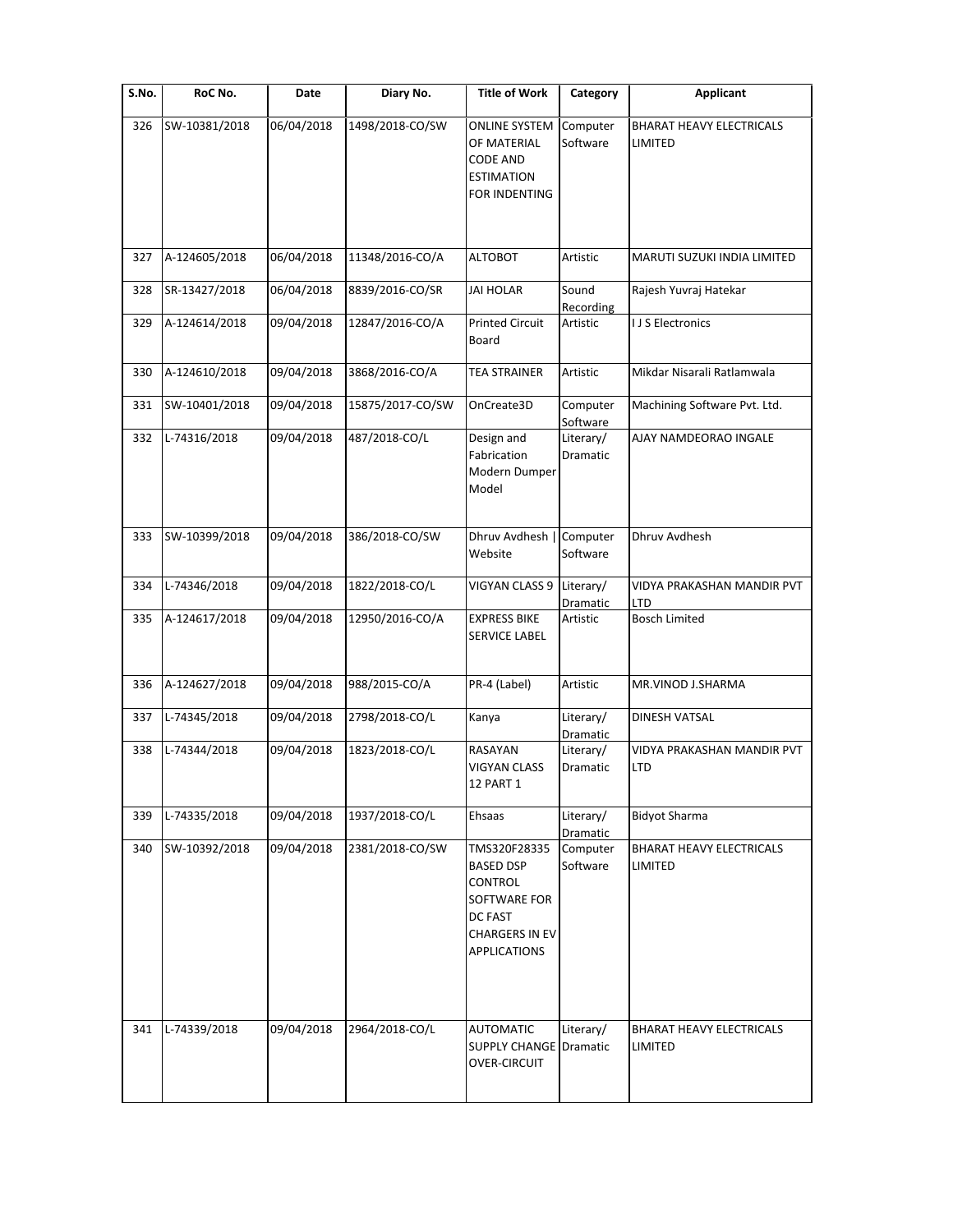| S.No. | RoC No.       | Date       | Diary No.        | <b>Title of Work</b>                                                                                            | Category              | Applicant                                  |
|-------|---------------|------------|------------------|-----------------------------------------------------------------------------------------------------------------|-----------------------|--------------------------------------------|
| 326   | SW-10381/2018 | 06/04/2018 | 1498/2018-CO/SW  | <b>ONLINE SYSTEM</b><br>OF MATERIAL<br><b>CODE AND</b><br><b>ESTIMATION</b><br>FOR INDENTING                    | Computer<br>Software  | <b>BHARAT HEAVY ELECTRICALS</b><br>LIMITED |
| 327   | A-124605/2018 | 06/04/2018 | 11348/2016-CO/A  | <b>ALTOBOT</b>                                                                                                  | Artistic              | MARUTI SUZUKI INDIA LIMITED                |
| 328   | SR-13427/2018 | 06/04/2018 | 8839/2016-CO/SR  | <b>JAI HOLAR</b>                                                                                                | Sound<br>Recording    | Rajesh Yuvraj Hatekar                      |
| 329   | A-124614/2018 | 09/04/2018 | 12847/2016-CO/A  | <b>Printed Circuit</b><br>Board                                                                                 | Artistic              | I J S Electronics                          |
| 330   | A-124610/2018 | 09/04/2018 | 3868/2016-CO/A   | <b>TEA STRAINER</b>                                                                                             | Artistic              | Mikdar Nisarali Ratlamwala                 |
| 331   | SW-10401/2018 | 09/04/2018 | 15875/2017-CO/SW | OnCreate3D                                                                                                      | Computer<br>Software  | Machining Software Pvt. Ltd.               |
| 332   | L-74316/2018  | 09/04/2018 | 487/2018-CO/L    | Design and<br>Fabrication<br>Modern Dumper<br>Model                                                             | Literary/<br>Dramatic | AJAY NAMDEORAO INGALE                      |
| 333   | SW-10399/2018 | 09/04/2018 | 386/2018-CO/SW   | Dhruv Avdhesh  <br>Website                                                                                      | Computer<br>Software  | Dhruv Avdhesh                              |
| 334   | L-74346/2018  | 09/04/2018 | 1822/2018-CO/L   | VIGYAN CLASS 9                                                                                                  | Literary/<br>Dramatic | VIDYA PRAKASHAN MANDIR PVT<br>LTD          |
| 335   | A-124617/2018 | 09/04/2018 | 12950/2016-CO/A  | <b>EXPRESS BIKE</b><br>SERVICE LABEL                                                                            | Artistic              | <b>Bosch Limited</b>                       |
| 336   | A-124627/2018 | 09/04/2018 | 988/2015-CO/A    | PR-4 (Label)                                                                                                    | Artistic              | MR.VINOD J.SHARMA                          |
| 337   | L-74345/2018  | 09/04/2018 | 2798/2018-CO/L   | Kanya                                                                                                           | Literary/<br>Dramatic | <b>DINESH VATSAL</b>                       |
| 338   | L-74344/2018  | 09/04/2018 | 1823/2018-CO/L   | RASAYAN<br>VIGYAN CLASS<br>12 PART 1                                                                            | Literary/<br>Dramatic | VIDYA PRAKASHAN MANDIR PVT<br>LTD          |
| 339   | L-74335/2018  | 09/04/2018 | 1937/2018-CO/L   | Ehsaas                                                                                                          | Literary/<br>Dramatic | <b>Bidyot Sharma</b>                       |
| 340   | SW-10392/2018 | 09/04/2018 | 2381/2018-CO/SW  | TMS320F28335<br>BASED DSP<br>CONTROL<br>SOFTWARE FOR<br>DC FAST<br><b>CHARGERS IN EV</b><br><b>APPLICATIONS</b> | Computer<br>Software  | BHARAT HEAVY ELECTRICALS<br>LIMITED        |
| 341   | L-74339/2018  | 09/04/2018 | 2964/2018-CO/L   | <b>AUTOMATIC</b><br><b>SUPPLY CHANGE Dramatic</b><br>OVER-CIRCUIT                                               | Literary/             | <b>BHARAT HEAVY ELECTRICALS</b><br>LIMITED |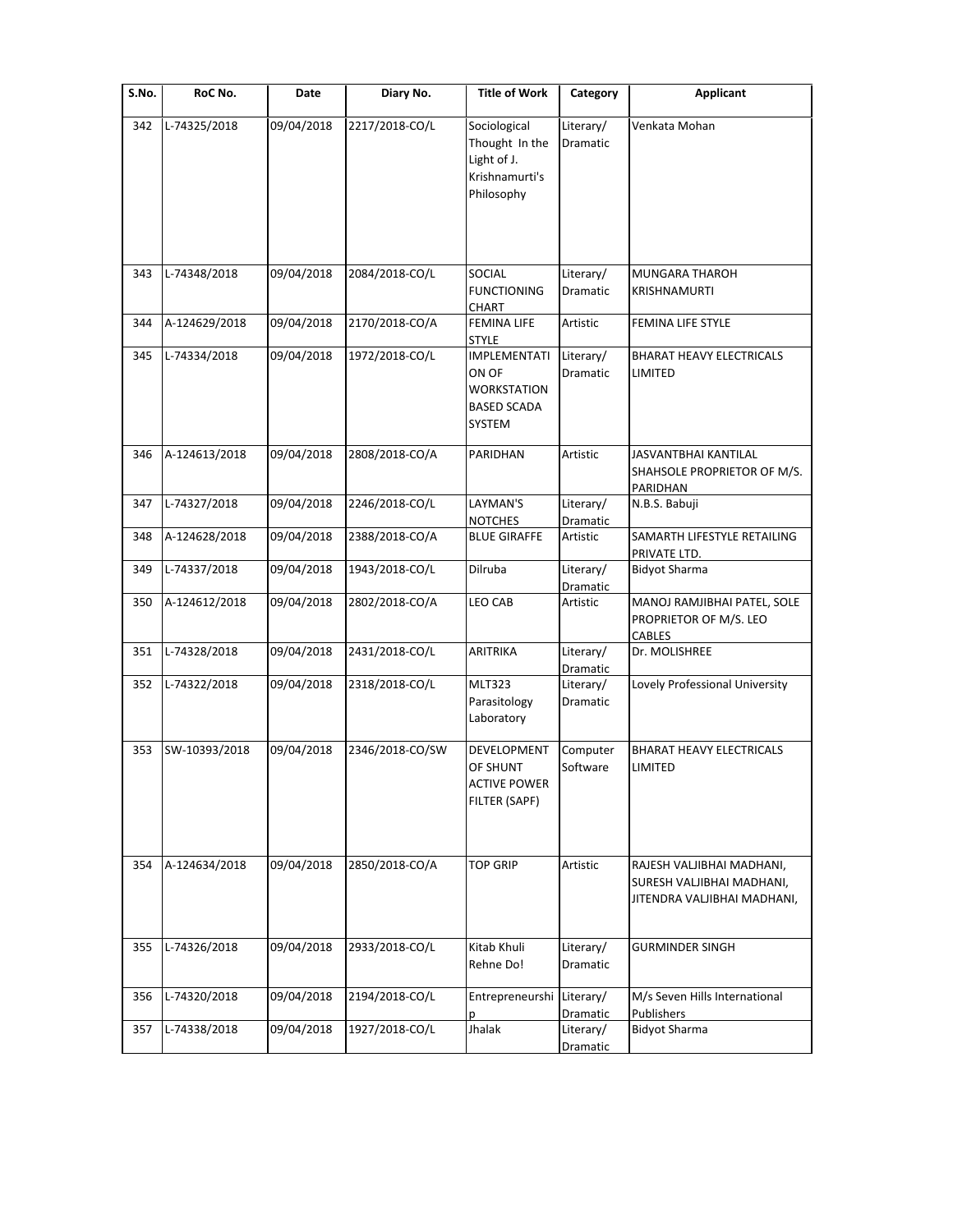| S.No. | RoC No.       | Date       | Diary No.       | <b>Title of Work</b>                                                                                      | Category              | <b>Applicant</b>                                                                      |
|-------|---------------|------------|-----------------|-----------------------------------------------------------------------------------------------------------|-----------------------|---------------------------------------------------------------------------------------|
| 342   | L-74325/2018  | 09/04/2018 | 2217/2018-CO/L  | Sociological<br>Thought In the<br>Light of J.<br>Krishnamurti's<br>Philosophy                             | Literary/<br>Dramatic | Venkata Mohan                                                                         |
| 343   | L-74348/2018  | 09/04/2018 | 2084/2018-CO/L  | SOCIAL<br><b>FUNCTIONING</b>                                                                              | Literary/<br>Dramatic | <b>MUNGARA THAROH</b><br><b>KRISHNAMURTI</b>                                          |
| 344   | A-124629/2018 | 09/04/2018 | 2170/2018-CO/A  | <b>CHART</b><br><b>FEMINA LIFE</b>                                                                        | Artistic              | FEMINA LIFE STYLE                                                                     |
| 345   | L-74334/2018  | 09/04/2018 | 1972/2018-CO/L  | <b>STYLE</b><br><b>IMPLEMENTATI</b><br>ON OF<br><b>WORKSTATION</b><br><b>BASED SCADA</b><br><b>SYSTEM</b> | Literary/<br>Dramatic | <b>BHARAT HEAVY ELECTRICALS</b><br>LIMITED                                            |
| 346   | A-124613/2018 | 09/04/2018 | 2808/2018-CO/A  | PARIDHAN                                                                                                  | Artistic              | JASVANTBHAI KANTILAL<br>SHAHSOLE PROPRIETOR OF M/S.<br>PARIDHAN                       |
| 347   | L-74327/2018  | 09/04/2018 | 2246/2018-CO/L  | LAYMAN'S                                                                                                  | Literary/             | N.B.S. Babuji                                                                         |
| 348   | A-124628/2018 | 09/04/2018 | 2388/2018-CO/A  | <b>NOTCHES</b><br><b>BLUE GIRAFFE</b>                                                                     | Dramatic<br>Artistic  | SAMARTH LIFESTYLE RETAILING<br>PRIVATE LTD.                                           |
| 349   | L-74337/2018  | 09/04/2018 | 1943/2018-CO/L  | Dilruba                                                                                                   | Literary/<br>Dramatic | <b>Bidyot Sharma</b>                                                                  |
| 350   | A-124612/2018 | 09/04/2018 | 2802/2018-CO/A  | <b>LEO CAB</b>                                                                                            | Artistic              | MANOJ RAMJIBHAI PATEL, SOLE<br>PROPRIETOR OF M/S. LEO<br>CABLES                       |
| 351   | L-74328/2018  | 09/04/2018 | 2431/2018-CO/L  | ARITRIKA                                                                                                  | Literary/<br>Dramatic | Dr. MOLISHREE                                                                         |
| 352   | L-74322/2018  | 09/04/2018 | 2318/2018-CO/L  | <b>MLT323</b><br>Parasitology<br>Laboratory                                                               | Literary/<br>Dramatic | Lovely Professional University                                                        |
| 353   | SW-10393/2018 | 09/04/2018 | 2346/2018-CO/SW | DEVELOPMENT<br>OF SHUNT<br><b>ACTIVE POWER</b><br>FILTER (SAPF)                                           | Computer<br>Software  | <b>BHARAT HEAVY ELECTRICALS</b><br>LIMITED                                            |
| 354   | A-124634/2018 | 09/04/2018 | 2850/2018-CO/A  | <b>TOP GRIP</b>                                                                                           | Artistic              | RAJESH VALJIBHAI MADHANI,<br>SURESH VALJIBHAI MADHANI,<br>JITENDRA VALJIBHAI MADHANI, |
| 355   | L-74326/2018  | 09/04/2018 | 2933/2018-CO/L  | Kitab Khuli<br>Rehne Do!                                                                                  | Literary/<br>Dramatic | <b>GURMINDER SINGH</b>                                                                |
| 356   | L-74320/2018  | 09/04/2018 | 2194/2018-CO/L  | Entrepreneurshi                                                                                           | Literary/<br>Dramatic | M/s Seven Hills International<br>Publishers                                           |
| 357   | L-74338/2018  | 09/04/2018 | 1927/2018-CO/L  | Jhalak                                                                                                    | Literary/<br>Dramatic | <b>Bidyot Sharma</b>                                                                  |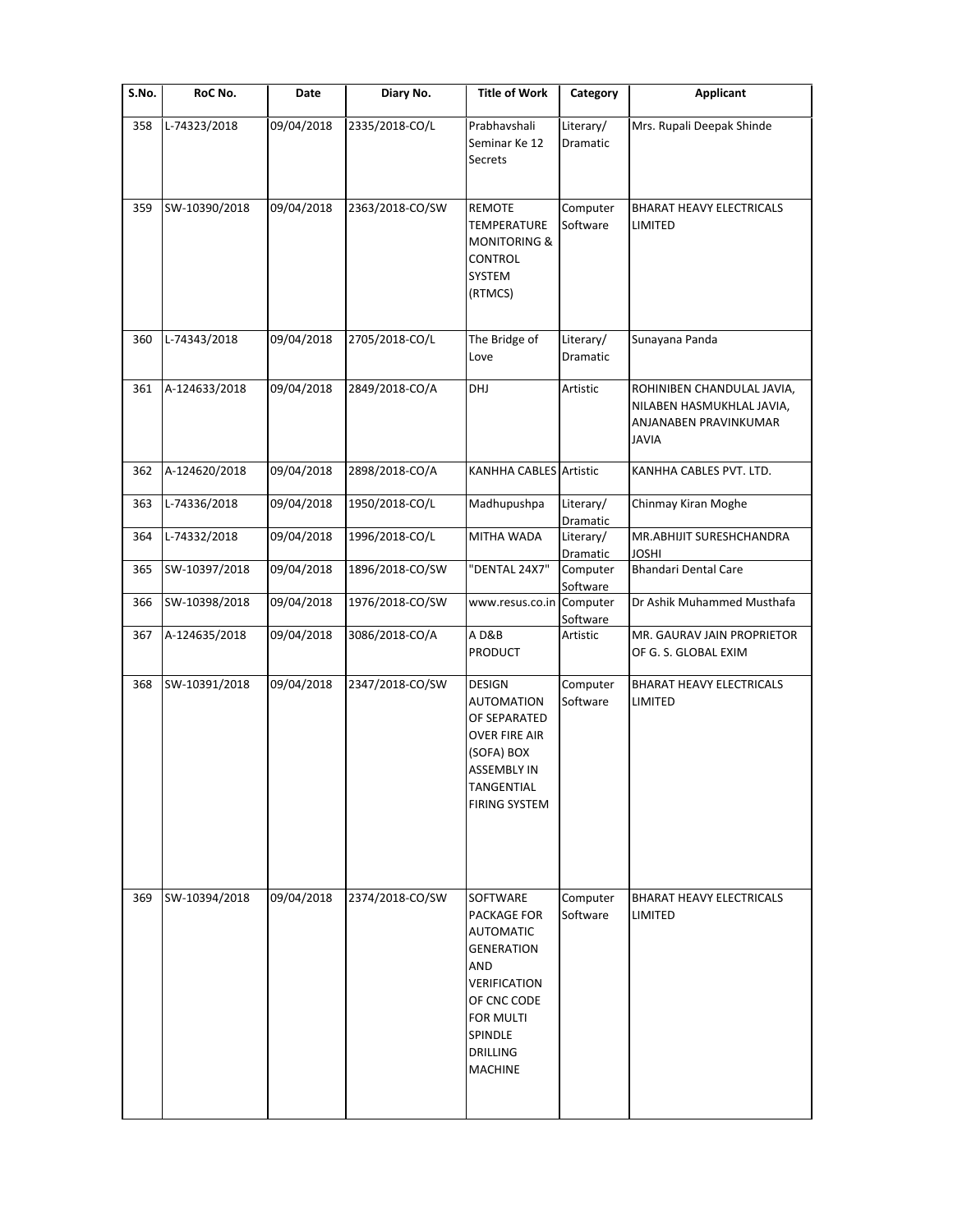| S.No. | RoC No.       | Date       | Diary No.       | <b>Title of Work</b>                                                                                                                                                | Category              | <b>Applicant</b>                                                                                 |
|-------|---------------|------------|-----------------|---------------------------------------------------------------------------------------------------------------------------------------------------------------------|-----------------------|--------------------------------------------------------------------------------------------------|
| 358   | L-74323/2018  | 09/04/2018 | 2335/2018-CO/L  | Prabhavshali<br>Seminar Ke 12<br><b>Secrets</b>                                                                                                                     | Literary/<br>Dramatic | Mrs. Rupali Deepak Shinde                                                                        |
| 359   | SW-10390/2018 | 09/04/2018 | 2363/2018-CO/SW | REMOTE<br><b>TEMPERATURE</b><br><b>MONITORING &amp;</b><br>CONTROL<br>SYSTEM<br>(RTMCS)                                                                             | Computer<br>Software  | <b>BHARAT HEAVY ELECTRICALS</b><br>LIMITED                                                       |
| 360   | L-74343/2018  | 09/04/2018 | 2705/2018-CO/L  | The Bridge of<br>Love                                                                                                                                               | Literary/<br>Dramatic | Sunayana Panda                                                                                   |
| 361   | A-124633/2018 | 09/04/2018 | 2849/2018-CO/A  | DHJ                                                                                                                                                                 | Artistic              | ROHINIBEN CHANDULAL JAVIA,<br>NILABEN HASMUKHLAL JAVIA,<br>ANJANABEN PRAVINKUMAR<br><b>JAVIA</b> |
| 362   | A-124620/2018 | 09/04/2018 | 2898/2018-CO/A  | <b>KANHHA CABLES</b> Artistic                                                                                                                                       |                       | KANHHA CABLES PVT. LTD.                                                                          |
| 363   | L-74336/2018  | 09/04/2018 | 1950/2018-CO/L  | Madhupushpa                                                                                                                                                         | Literary/<br>Dramatic | Chinmay Kiran Moghe                                                                              |
| 364   | L-74332/2018  | 09/04/2018 | 1996/2018-CO/L  | MITHA WADA                                                                                                                                                          | Literary/<br>Dramatic | MR.ABHIJIT SURESHCHANDRA<br><b>JOSHI</b>                                                         |
| 365   | SW-10397/2018 | 09/04/2018 | 1896/2018-CO/SW | "DENTAL 24X7"                                                                                                                                                       | Computer<br>Software  | <b>Bhandari Dental Care</b>                                                                      |
| 366   | SW-10398/2018 | 09/04/2018 | 1976/2018-CO/SW | www.resus.co.in Computer                                                                                                                                            | Software              | Dr Ashik Muhammed Musthafa                                                                       |
| 367   | A-124635/2018 | 09/04/2018 | 3086/2018-CO/A  | AD&B<br>PRODUCT                                                                                                                                                     | Artistic              | MR. GAURAV JAIN PROPRIETOR<br>OF G. S. GLOBAL EXIM                                               |
| 368   | SW-10391/2018 | 09/04/2018 | 2347/2018-CO/SW | <b>DESIGN</b><br><b>AUTOMATION</b><br>OF SEPARATED<br><b>OVER FIRE AIR</b><br>(SOFA) BOX<br><b>ASSEMBLY IN</b><br>TANGENTIAL<br><b>FIRING SYSTEM</b>                | Computer<br>Software  | <b>BHARAT HEAVY ELECTRICALS</b><br>LIMITED                                                       |
| 369   | SW-10394/2018 | 09/04/2018 | 2374/2018-CO/SW | SOFTWARE<br>PACKAGE FOR<br><b>AUTOMATIC</b><br><b>GENERATION</b><br>AND<br>VERIFICATION<br>OF CNC CODE<br>FOR MULTI<br>SPINDLE<br><b>DRILLING</b><br><b>MACHINE</b> | Computer<br>Software  | <b>BHARAT HEAVY ELECTRICALS</b><br>LIMITED                                                       |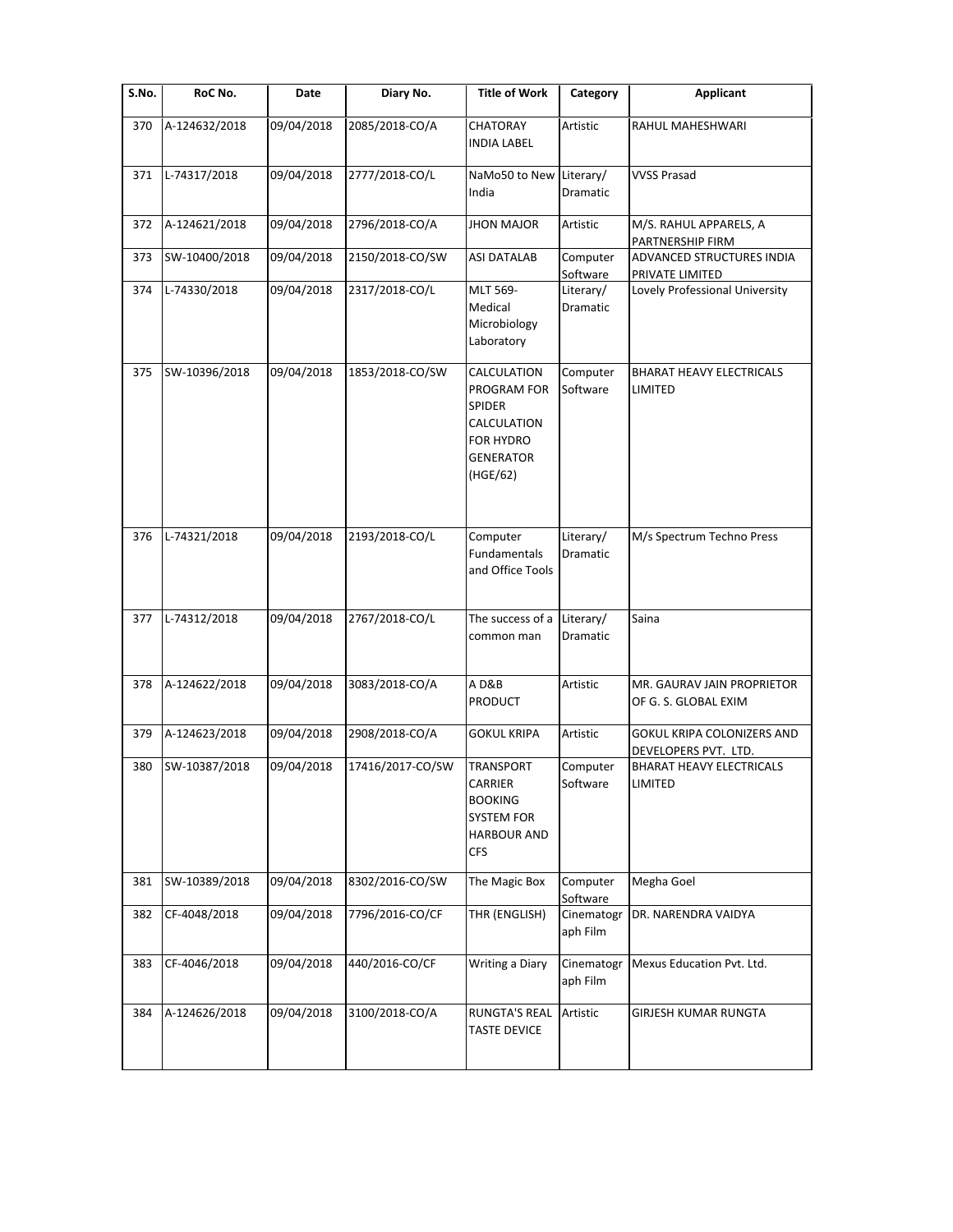| $\overline{\mathsf{S}}$ . No. | RoC No.       | Date       | Diary No.        | <b>Title of Work</b>                                                                                    | Category               | Applicant                                          |
|-------------------------------|---------------|------------|------------------|---------------------------------------------------------------------------------------------------------|------------------------|----------------------------------------------------|
| 370                           | A-124632/2018 | 09/04/2018 | 2085/2018-CO/A   | <b>CHATORAY</b><br><b>INDIA LABEL</b>                                                                   | Artistic               | RAHUL MAHESHWARI                                   |
| 371                           | L-74317/2018  | 09/04/2018 | 2777/2018-CO/L   | NaMo50 to New<br>India                                                                                  | Literary/<br>Dramatic  | <b>VVSS Prasad</b>                                 |
| 372                           | A-124621/2018 | 09/04/2018 | 2796/2018-CO/A   | <b>JHON MAJOR</b>                                                                                       | Artistic               | M/S. RAHUL APPARELS, A<br>PARTNERSHIP FIRM         |
| 373                           | SW-10400/2018 | 09/04/2018 | 2150/2018-CO/SW  | <b>ASI DATALAB</b>                                                                                      | Computer<br>Software   | ADVANCED STRUCTURES INDIA<br>PRIVATE LIMITED       |
| 374                           | L-74330/2018  | 09/04/2018 | 2317/2018-CO/L   | MLT 569-<br>Medical<br>Microbiology<br>Laboratory                                                       | Literary/<br>Dramatic  | Lovely Professional University                     |
| 375                           | SW-10396/2018 | 09/04/2018 | 1853/2018-CO/SW  | CALCULATION<br>PROGRAM FOR<br><b>SPIDER</b><br>CALCULATION<br>FOR HYDRO<br><b>GENERATOR</b><br>(HGE/62) | Computer<br>Software   | <b>BHARAT HEAVY ELECTRICALS</b><br>LIMITED         |
| 376                           | L-74321/2018  | 09/04/2018 | 2193/2018-CO/L   | Computer<br>Fundamentals<br>and Office Tools                                                            | Literary/<br>Dramatic  | M/s Spectrum Techno Press                          |
| 377                           | L-74312/2018  | 09/04/2018 | 2767/2018-CO/L   | The success of a<br>common man                                                                          | Literary/<br>Dramatic  | Saina                                              |
| 378                           | A-124622/2018 | 09/04/2018 | 3083/2018-CO/A   | AD&B<br><b>PRODUCT</b>                                                                                  | Artistic               | MR. GAURAV JAIN PROPRIETOR<br>OF G. S. GLOBAL EXIM |
| 379                           | A-124623/2018 | 09/04/2018 | 2908/2018-CO/A   | <b>GOKUL KRIPA</b>                                                                                      | Artistic               | GOKUL KRIPA COLONIZERS AND<br>DEVELOPERS PVT. LTD. |
| 380                           | SW-10387/2018 | 09/04/2018 | 17416/2017-CO/SW | <b>TRANSPORT</b><br>CARRIER<br><b>BOOKING</b><br><b>SYSTEM FOR</b><br><b>HARBOUR AND</b><br><b>CFS</b>  | Computer<br>Software   | <b>BHARAT HEAVY ELECTRICALS</b><br>LIMITED         |
| 381                           | SW-10389/2018 | 09/04/2018 | 8302/2016-CO/SW  | The Magic Box                                                                                           | Computer<br>Software   | Megha Goel                                         |
| 382                           | CF-4048/2018  | 09/04/2018 | 7796/2016-CO/CF  | THR (ENGLISH)                                                                                           | Cinematogr<br>aph Film | DR. NARENDRA VAIDYA                                |
| 383                           | CF-4046/2018  | 09/04/2018 | 440/2016-CO/CF   | Writing a Diary                                                                                         | Cinematogr<br>aph Film | Mexus Education Pvt. Ltd.                          |
| 384                           | A-124626/2018 | 09/04/2018 | 3100/2018-CO/A   | <b>RUNGTA'S REAL</b><br><b>TASTE DEVICE</b>                                                             | Artistic               | GIRJESH KUMAR RUNGTA                               |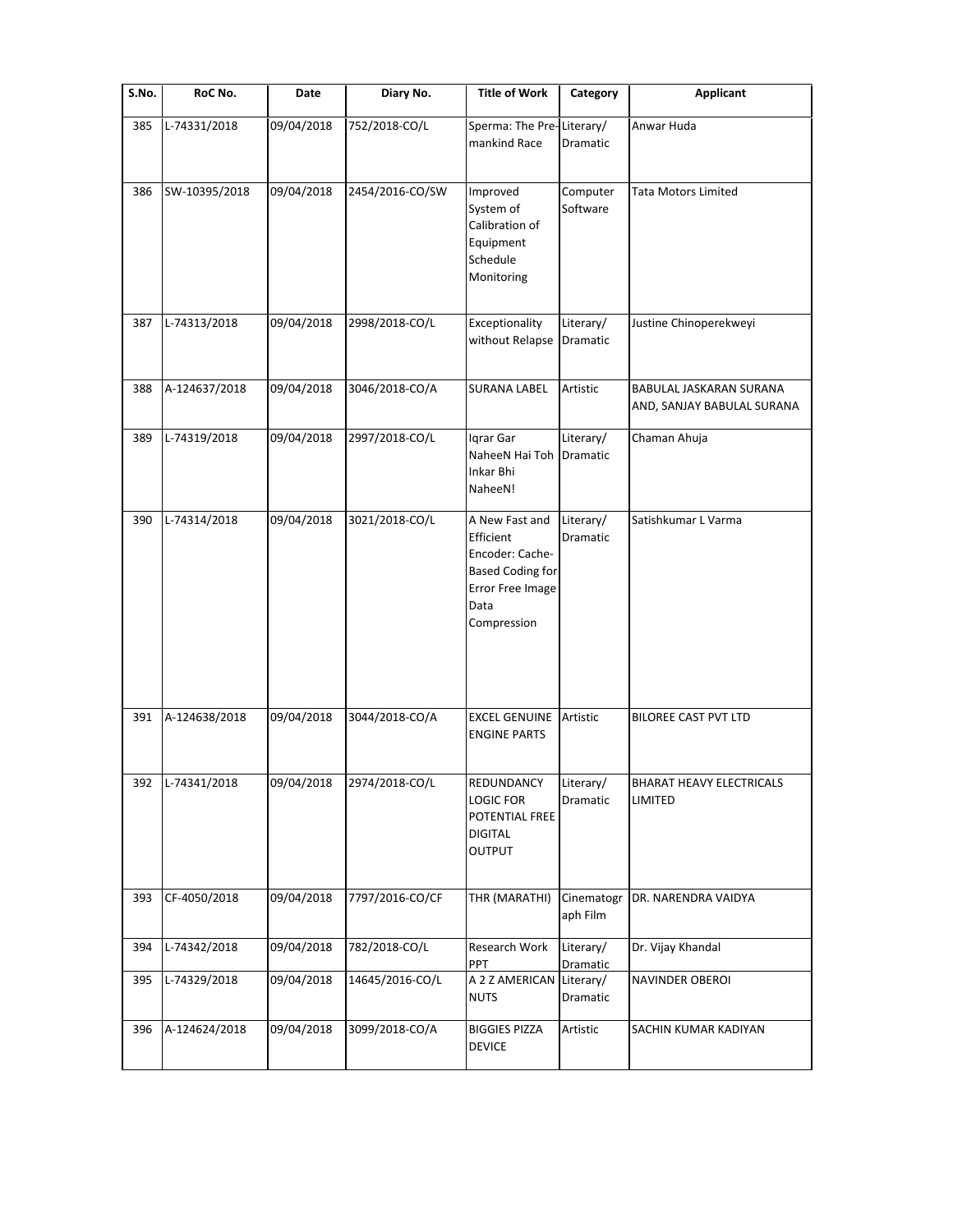| S.No. | RoC No.       | Date       | Diary No.       | <b>Title of Work</b>                                                                                                 | Category               | <b>Applicant</b>                                      |
|-------|---------------|------------|-----------------|----------------------------------------------------------------------------------------------------------------------|------------------------|-------------------------------------------------------|
| 385   | L-74331/2018  | 09/04/2018 | 752/2018-CO/L   | Sperma: The Pre-Literary/<br>mankind Race                                                                            | Dramatic               | Anwar Huda                                            |
| 386   | SW-10395/2018 | 09/04/2018 | 2454/2016-CO/SW | Improved<br>System of<br>Calibration of<br>Equipment<br>Schedule<br>Monitoring                                       | Computer<br>Software   | <b>Tata Motors Limited</b>                            |
| 387   | L-74313/2018  | 09/04/2018 | 2998/2018-CO/L  | Exceptionality<br>without Relapse                                                                                    | Literary/<br>Dramatic  | Justine Chinoperekweyi                                |
| 388   | A-124637/2018 | 09/04/2018 | 3046/2018-CO/A  | <b>SURANA LABEL</b>                                                                                                  | Artistic               | BABULAL JASKARAN SURANA<br>AND, SANJAY BABULAL SURANA |
| 389   | L-74319/2018  | 09/04/2018 | 2997/2018-CO/L  | Igrar Gar<br>NaheeN Hai Toh<br>Inkar Bhi<br>NaheeN!                                                                  | Literary/<br>Dramatic  | Chaman Ahuja                                          |
| 390   | L-74314/2018  | 09/04/2018 | 3021/2018-CO/L  | A New Fast and<br>Efficient<br>Encoder: Cache-<br><b>Based Coding for</b><br>Error Free Image<br>Data<br>Compression | Literary/<br>Dramatic  | Satishkumar L Varma                                   |
| 391   | A-124638/2018 | 09/04/2018 | 3044/2018-CO/A  | <b>EXCEL GENUINE</b><br><b>ENGINE PARTS</b>                                                                          | Artistic               | <b>BILOREE CAST PVT LTD</b>                           |
| 392   | L-74341/2018  | 09/04/2018 | 2974/2018-CO/L  | REDUNDANCY<br><b>LOGIC FOR</b><br>POTENTIAL FREE<br>DIGITAL<br><b>OUTPUT</b>                                         | Literary/<br>Dramatic  | <b>BHARAT HEAVY ELECTRICALS</b><br>LIMITED            |
| 393   | CF-4050/2018  | 09/04/2018 | 7797/2016-CO/CF | THR (MARATHI)                                                                                                        | Cinematogr<br>aph Film | DR. NARENDRA VAIDYA                                   |
| 394   | L-74342/2018  | 09/04/2018 | 782/2018-CO/L   | Research Work<br>PPT                                                                                                 | Literary/<br>Dramatic  | Dr. Vijay Khandal                                     |
| 395   | L-74329/2018  | 09/04/2018 | 14645/2016-CO/L | A 2 Z AMERICAN<br><b>NUTS</b>                                                                                        | Literary/<br>Dramatic  | NAVINDER OBEROI                                       |
| 396   | A-124624/2018 | 09/04/2018 | 3099/2018-CO/A  | <b>BIGGIES PIZZA</b><br><b>DEVICE</b>                                                                                | Artistic               | SACHIN KUMAR KADIYAN                                  |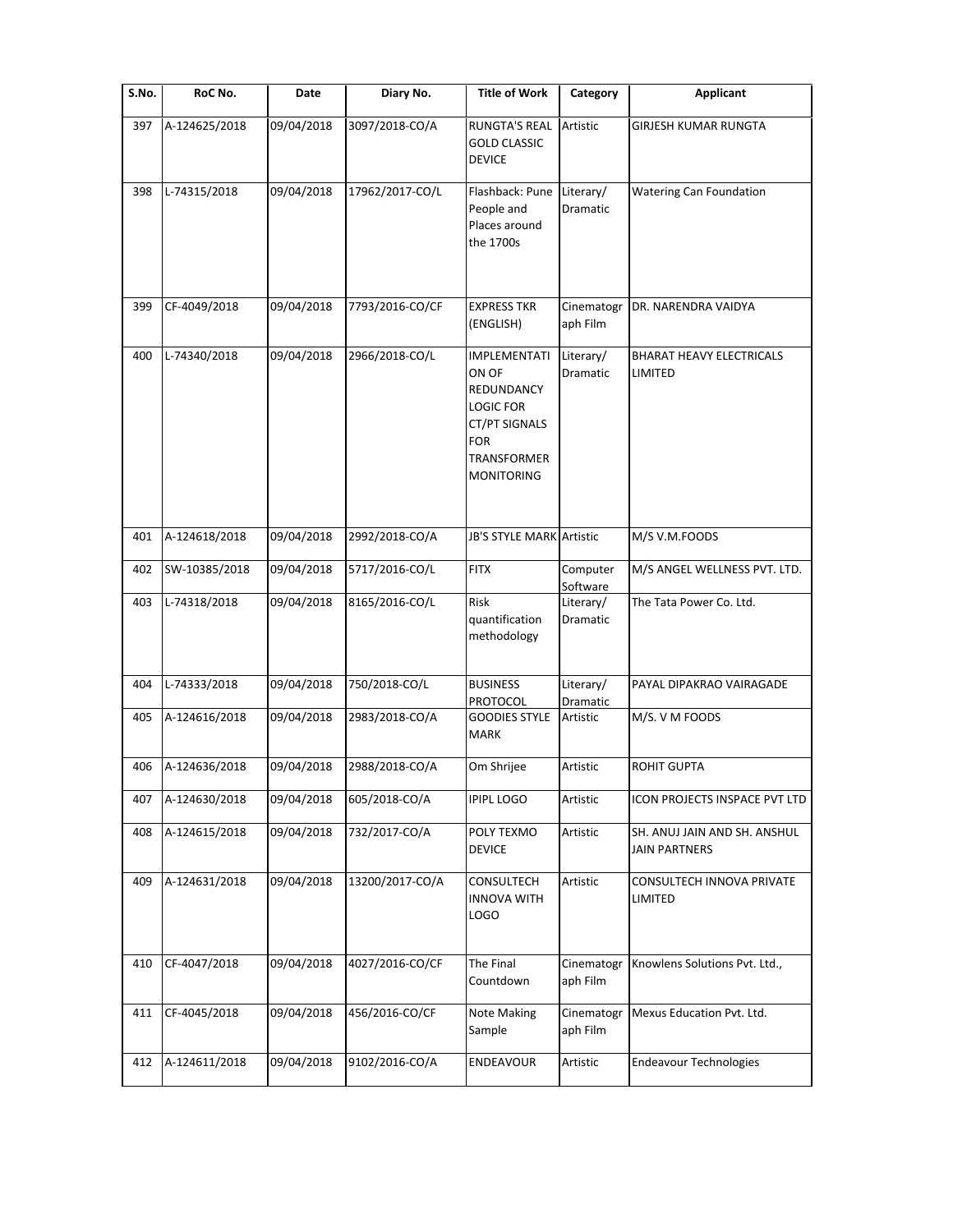| S.No. | RoC No.       | Date       | Diary No.       | <b>Title of Work</b>                                                                                                              | Category               | Applicant                                            |
|-------|---------------|------------|-----------------|-----------------------------------------------------------------------------------------------------------------------------------|------------------------|------------------------------------------------------|
| 397   | A-124625/2018 | 09/04/2018 | 3097/2018-CO/A  | <b>RUNGTA'S REAL</b><br><b>GOLD CLASSIC</b><br><b>DEVICE</b>                                                                      | Artistic               | <b>GIRJESH KUMAR RUNGTA</b>                          |
| 398   | L-74315/2018  | 09/04/2018 | 17962/2017-CO/L | Flashback: Pune<br>People and<br>Places around<br>the 1700s                                                                       | Literary/<br>Dramatic  | <b>Watering Can Foundation</b>                       |
| 399   | CF-4049/2018  | 09/04/2018 | 7793/2016-CO/CF | <b>EXPRESS TKR</b><br>(ENGLISH)                                                                                                   | Cinematogr<br>aph Film | DR. NARENDRA VAIDYA                                  |
| 400   | L-74340/2018  | 09/04/2018 | 2966/2018-CO/L  | <b>IMPLEMENTATI</b><br>ON OF<br>REDUNDANCY<br>LOGIC FOR<br>CT/PT SIGNALS<br><b>FOR</b><br><b>TRANSFORMER</b><br><b>MONITORING</b> | Literary/<br>Dramatic  | <b>BHARAT HEAVY ELECTRICALS</b><br>LIMITED           |
| 401   | A-124618/2018 | 09/04/2018 | 2992/2018-CO/A  | <b>JB'S STYLE MARK Artistic</b>                                                                                                   |                        | M/S V.M.FOODS                                        |
| 402   | SW-10385/2018 | 09/04/2018 | 5717/2016-CO/L  | <b>FITX</b>                                                                                                                       | Computer<br>Software   | M/S ANGEL WELLNESS PVT. LTD.                         |
| 403   | L-74318/2018  | 09/04/2018 | 8165/2016-CO/L  | <b>Risk</b><br>quantification<br>methodology                                                                                      | Literary/<br>Dramatic  | The Tata Power Co. Ltd.                              |
| 404   | L-74333/2018  | 09/04/2018 | 750/2018-CO/L   | <b>BUSINESS</b><br>PROTOCOL                                                                                                       | Literary/<br>Dramatic  | PAYAL DIPAKRAO VAIRAGADE                             |
| 405   | A-124616/2018 | 09/04/2018 | 2983/2018-CO/A  | <b>GOODIES STYLE</b><br><b>MARK</b>                                                                                               | Artistic               | M/S. V M FOODS                                       |
| 406   | A-124636/2018 | 09/04/2018 | 2988/2018-CO/A  | Om Shrijee                                                                                                                        | Artistic               | <b>ROHIT GUPTA</b>                                   |
| 407   | A-124630/2018 | 09/04/2018 | 605/2018-CO/A   | <b>IPIPL LOGO</b>                                                                                                                 | Artistic               | ICON PROJECTS INSPACE PVT LTD                        |
| 408   | A-124615/2018 | 09/04/2018 | 732/2017-CO/A   | POLY TEXMO<br><b>DEVICE</b>                                                                                                       | Artistic               | SH. ANUJ JAIN AND SH. ANSHUL<br><b>JAIN PARTNERS</b> |
| 409   | A-124631/2018 | 09/04/2018 | 13200/2017-CO/A | CONSULTECH<br><b>INNOVA WITH</b><br>LOGO                                                                                          | Artistic               | CONSULTECH INNOVA PRIVATE<br>LIMITED                 |
| 410   | CF-4047/2018  | 09/04/2018 | 4027/2016-CO/CF | The Final<br>Countdown                                                                                                            | Cinematogr<br>aph Film | Knowlens Solutions Pvt. Ltd.,                        |
| 411   | CF-4045/2018  | 09/04/2018 | 456/2016-CO/CF  | Note Making<br>Sample                                                                                                             | Cinematogr<br>aph Film | Mexus Education Pvt. Ltd.                            |
| 412   | A-124611/2018 | 09/04/2018 | 9102/2016-CO/A  | ENDEAVOUR                                                                                                                         | Artistic               | <b>Endeavour Technologies</b>                        |
|       |               |            |                 |                                                                                                                                   |                        |                                                      |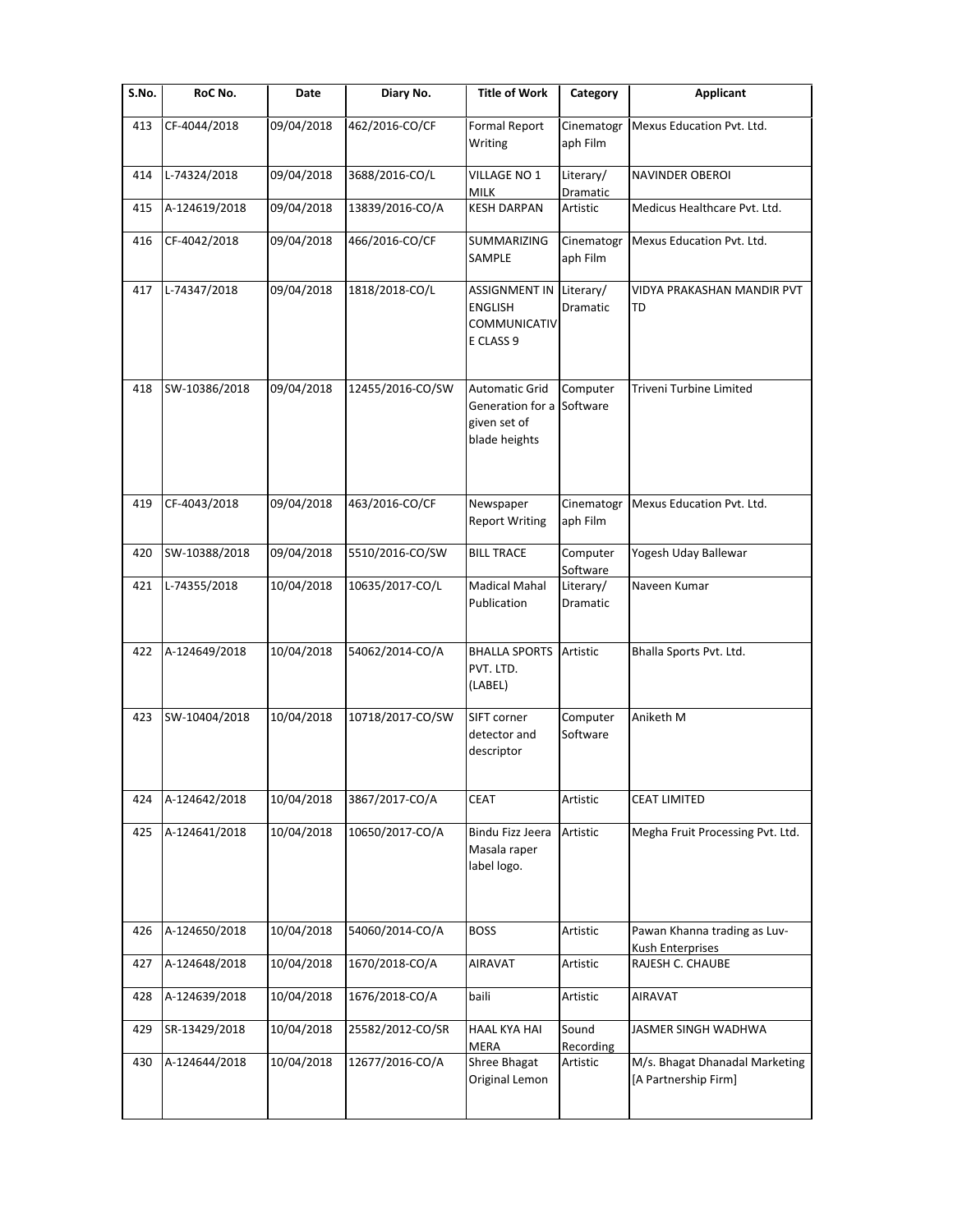| S.No. | RoC No.       | Date       | Diary No.        | <b>Title of Work</b>                                                                | Category               | <b>Applicant</b>                                       |
|-------|---------------|------------|------------------|-------------------------------------------------------------------------------------|------------------------|--------------------------------------------------------|
| 413   | CF-4044/2018  | 09/04/2018 | 462/2016-CO/CF   | Formal Report<br>Writing                                                            | Cinematogr<br>aph Film | Mexus Education Pvt. Ltd.                              |
| 414   | L-74324/2018  | 09/04/2018 | 3688/2016-CO/L   | VILLAGE NO 1<br><b>MILK</b>                                                         | Literary/<br>Dramatic  | <b>NAVINDER OBEROI</b>                                 |
| 415   | A-124619/2018 | 09/04/2018 | 13839/2016-CO/A  | <b>KESH DARPAN</b>                                                                  | Artistic               | Medicus Healthcare Pvt. Ltd.                           |
| 416   | CF-4042/2018  | 09/04/2018 | 466/2016-CO/CF   | SUMMARIZING<br>SAMPLE                                                               | Cinematogr<br>aph Film | Mexus Education Pvt. Ltd.                              |
| 417   | L-74347/2018  | 09/04/2018 | 1818/2018-CO/L   | <b>ASSIGNMENT IN</b><br><b>ENGLISH</b><br>COMMUNICATIV<br>E CLASS 9                 | Literary/<br>Dramatic  | VIDYA PRAKASHAN MANDIR PVT<br>TD                       |
| 418   | SW-10386/2018 | 09/04/2018 | 12455/2016-CO/SW | <b>Automatic Grid</b><br>Generation for a Software<br>given set of<br>blade heights | Computer               | Triveni Turbine Limited                                |
| 419   | CF-4043/2018  | 09/04/2018 | 463/2016-CO/CF   | Newspaper<br><b>Report Writing</b>                                                  | Cinematogr<br>aph Film | Mexus Education Pvt. Ltd.                              |
| 420   | SW-10388/2018 | 09/04/2018 | 5510/2016-CO/SW  | <b>BILL TRACE</b>                                                                   | Computer<br>Software   | Yogesh Uday Ballewar                                   |
| 421   | L-74355/2018  | 10/04/2018 | 10635/2017-CO/L  | <b>Madical Mahal</b><br>Publication                                                 | Literary/<br>Dramatic  | Naveen Kumar                                           |
| 422   | A-124649/2018 | 10/04/2018 | 54062/2014-CO/A  | <b>BHALLA SPORTS</b><br>PVT. LTD.<br>(LABEL)                                        | Artistic               | Bhalla Sports Pvt. Ltd.                                |
| 423   | SW-10404/2018 | 10/04/2018 | 10718/2017-CO/SW | SIFT corner<br>detector and<br>descriptor                                           | Computer<br>Software   | Aniketh M                                              |
| 424   | A-124642/2018 | 10/04/2018 | 3867/2017-CO/A   | <b>CEAT</b>                                                                         | Artistic               | <b>CEAT LIMITED</b>                                    |
| 425   | A-124641/2018 | 10/04/2018 | 10650/2017-CO/A  | <b>Bindu Fizz Jeera</b><br>Masala raper<br>label logo.                              | Artistic               | Megha Fruit Processing Pvt. Ltd.                       |
| 426   | A-124650/2018 | 10/04/2018 | 54060/2014-CO/A  | <b>BOSS</b>                                                                         | Artistic               | Pawan Khanna trading as Luv-<br>Kush Enterprises       |
| 427   | A-124648/2018 | 10/04/2018 | 1670/2018-CO/A   | <b>AIRAVAT</b>                                                                      | Artistic               | RAJESH C. CHAUBE                                       |
| 428   | A-124639/2018 | 10/04/2018 | 1676/2018-CO/A   | baili                                                                               | Artistic               | AIRAVAT                                                |
| 429   | SR-13429/2018 | 10/04/2018 | 25582/2012-CO/SR | <b>HAAL KYA HAI</b><br><b>MERA</b>                                                  | Sound<br>Recording     | JASMER SINGH WADHWA                                    |
| 430   | A-124644/2018 | 10/04/2018 | 12677/2016-CO/A  | Shree Bhagat<br>Original Lemon                                                      | Artistic               | M/s. Bhagat Dhanadal Marketing<br>[A Partnership Firm] |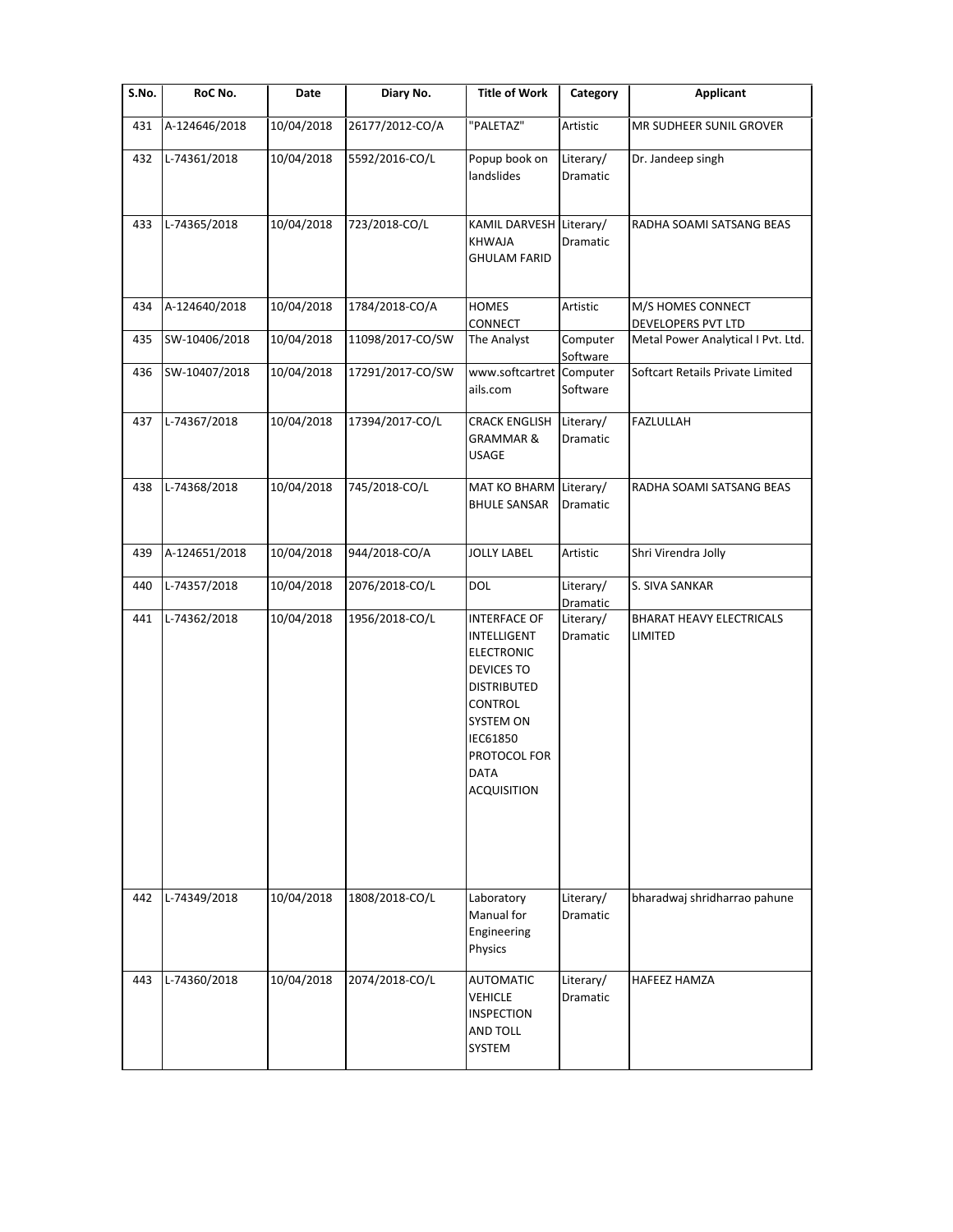| S.No. | RoC No.       | Date       | Diary No.        | <b>Title of Work</b>                                                                                                                                                                        | Category              | <b>Applicant</b>                           |
|-------|---------------|------------|------------------|---------------------------------------------------------------------------------------------------------------------------------------------------------------------------------------------|-----------------------|--------------------------------------------|
| 431   | A-124646/2018 | 10/04/2018 | 26177/2012-CO/A  | "PALETAZ"                                                                                                                                                                                   | Artistic              | MR SUDHEER SUNIL GROVER                    |
| 432   | L-74361/2018  | 10/04/2018 | 5592/2016-CO/L   | Popup book on<br>landslides                                                                                                                                                                 | Literary/<br>Dramatic | Dr. Jandeep singh                          |
| 433   | L-74365/2018  | 10/04/2018 | 723/2018-CO/L    | KAMIL DARVESH Literary/<br><b>KHWAJA</b><br><b>GHULAM FARID</b>                                                                                                                             | <b>Dramatic</b>       | RADHA SOAMI SATSANG BEAS                   |
| 434   | A-124640/2018 | 10/04/2018 | 1784/2018-CO/A   | <b>HOMES</b><br>CONNECT                                                                                                                                                                     | Artistic              | M/S HOMES CONNECT<br>DEVELOPERS PVT LTD    |
| 435   | SW-10406/2018 | 10/04/2018 | 11098/2017-CO/SW | The Analyst                                                                                                                                                                                 | Computer<br>Software  | Metal Power Analytical I Pvt. Ltd.         |
| 436   | SW-10407/2018 | 10/04/2018 | 17291/2017-CO/SW | www.softcartret<br>ails.com                                                                                                                                                                 | Computer<br>Software  | Softcart Retails Private Limited           |
| 437   | L-74367/2018  | 10/04/2018 | 17394/2017-CO/L  | <b>CRACK ENGLISH</b><br><b>GRAMMAR &amp;</b><br><b>USAGE</b>                                                                                                                                | Literary/<br>Dramatic | FAZLULLAH                                  |
| 438   | L-74368/2018  | 10/04/2018 | 745/2018-CO/L    | MAT KO BHARM<br><b>BHULE SANSAR</b>                                                                                                                                                         | Literary/<br>Dramatic | RADHA SOAMI SATSANG BEAS                   |
| 439   | A-124651/2018 | 10/04/2018 | 944/2018-CO/A    | <b>JOLLY LABEL</b>                                                                                                                                                                          | Artistic              | Shri Virendra Jolly                        |
| 440   | L-74357/2018  | 10/04/2018 | 2076/2018-CO/L   | DOL                                                                                                                                                                                         | Literary/<br>Dramatic | S. SIVA SANKAR                             |
| 441   | L-74362/2018  | 10/04/2018 | 1956/2018-CO/L   | <b>INTERFACE OF</b><br>INTELLIGENT<br><b>ELECTRONIC</b><br>DEVICES TO<br><b>DISTRIBUTED</b><br><b>CONTROL</b><br>SYSTEM ON<br>IEC61850<br>PROTOCOL FOR<br><b>DATA</b><br><b>ACQUISITION</b> | Literary/<br>Dramatic | <b>BHARAT HEAVY ELECTRICALS</b><br>LIMITED |
| 442   | L-74349/2018  | 10/04/2018 | 1808/2018-CO/L   | Laboratory<br>Manual for<br>Engineering<br>Physics                                                                                                                                          | Literary/<br>Dramatic | bharadwaj shridharrao pahune               |
| 443   | L-74360/2018  | 10/04/2018 | 2074/2018-CO/L   | <b>AUTOMATIC</b><br><b>VEHICLE</b><br><b>INSPECTION</b><br>AND TOLL<br>SYSTEM                                                                                                               | Literary/<br>Dramatic | HAFEEZ HAMZA                               |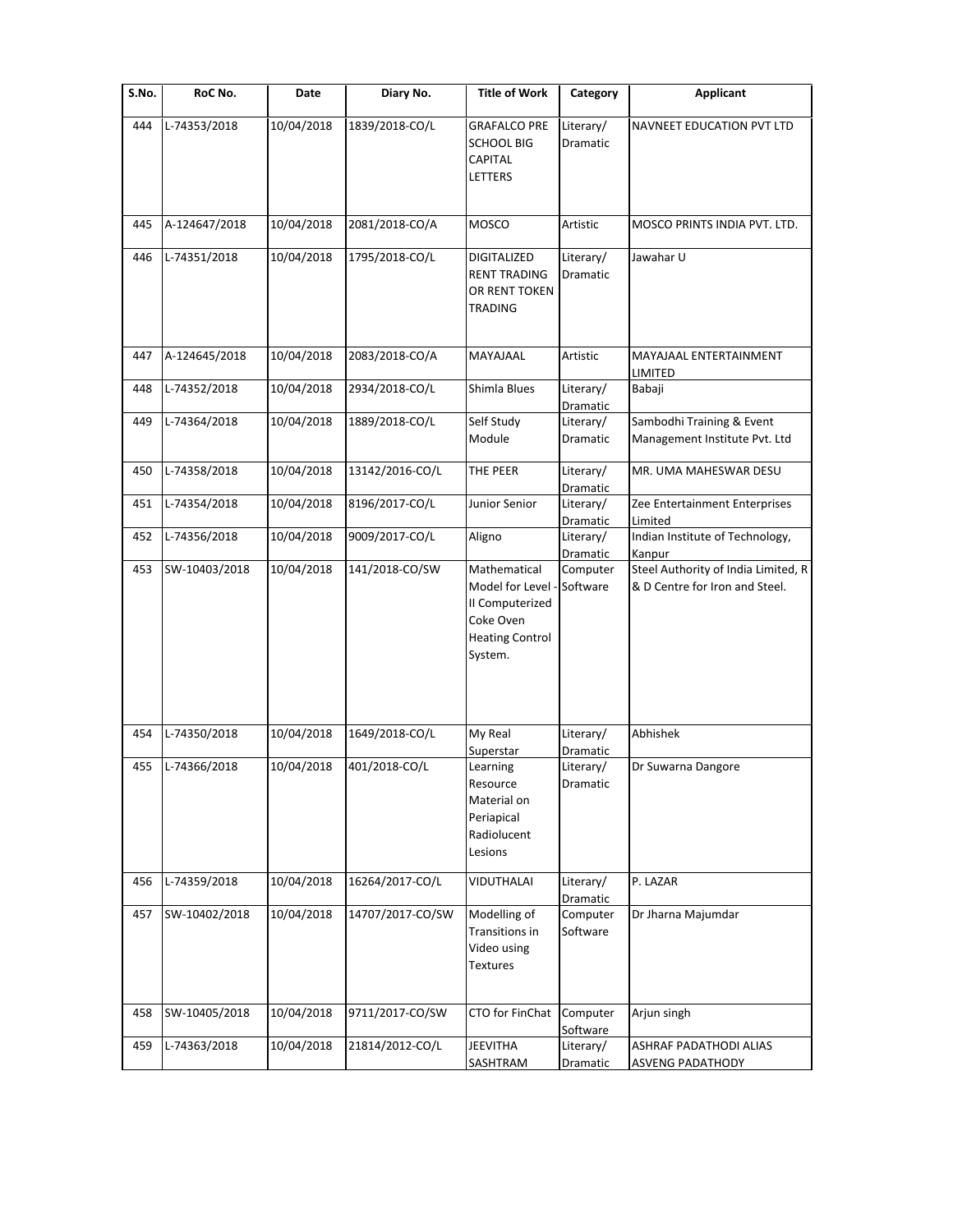| $\overline{\mathsf{S}}$ . No. | RoC No.       | Date       | Diary No.        | <b>Title of Work</b>                                                                                   | Category                          | <b>Applicant</b>                                                      |
|-------------------------------|---------------|------------|------------------|--------------------------------------------------------------------------------------------------------|-----------------------------------|-----------------------------------------------------------------------|
| 444                           | L-74353/2018  | 10/04/2018 | 1839/2018-CO/L   | <b>GRAFALCO PRE</b><br><b>SCHOOL BIG</b><br><b>CAPITAL</b><br>LETTERS                                  | Literary/<br>Dramatic             | NAVNEET EDUCATION PVT LTD                                             |
| 445                           | A-124647/2018 | 10/04/2018 | 2081/2018-CO/A   | MOSCO                                                                                                  | Artistic                          | MOSCO PRINTS INDIA PVT. LTD.                                          |
| 446                           | L-74351/2018  | 10/04/2018 | 1795/2018-CO/L   | <b>DIGITALIZED</b><br><b>RENT TRADING</b><br>OR RENT TOKEN<br>TRADING                                  | Literary/<br>Dramatic             | Jawahar U                                                             |
| 447                           | A-124645/2018 | 10/04/2018 | 2083/2018-CO/A   | MAYAJAAL                                                                                               | Artistic                          | MAYAJAAL ENTERTAINMENT<br>LIMITED                                     |
| 448                           | L-74352/2018  | 10/04/2018 | 2934/2018-CO/L   | Shimla Blues                                                                                           | Literary/<br>Dramatic             | Babaji                                                                |
| 449                           | L-74364/2018  | 10/04/2018 | 1889/2018-CO/L   | Self Study<br>Module                                                                                   | Literary/<br>Dramatic             | Sambodhi Training & Event<br>Management Institute Pvt. Ltd            |
| 450                           | L-74358/2018  | 10/04/2018 | 13142/2016-CO/L  | THE PEER                                                                                               | Literary/<br>Dramatic             | MR. UMA MAHESWAR DESU                                                 |
| 451                           | L-74354/2018  | 10/04/2018 | 8196/2017-CO/L   | Junior Senior                                                                                          | Literary/<br>Dramatic             | Zee Entertainment Enterprises<br>Limited                              |
| 452                           | L-74356/2018  | 10/04/2018 | 9009/2017-CO/L   | Aligno                                                                                                 | Literary/<br>Dramatic             | Indian Institute of Technology,<br>Kanpur                             |
| 453                           | SW-10403/2018 | 10/04/2018 | 141/2018-CO/SW   | Mathematical<br>Model for Level -<br>II Computerized<br>Coke Oven<br><b>Heating Control</b><br>System. | Computer<br>Software              | Steel Authority of India Limited, R<br>& D Centre for Iron and Steel. |
| 454                           | L-74350/2018  | 10/04/2018 | 1649/2018-CO/L   | My Real                                                                                                | Literary/                         | Abhishek                                                              |
| 455                           | L-74366/2018  | 10/04/2018 | 401/2018-CO/L    | Superstar<br>Learning<br>Resource<br>Material on<br>Periapical<br>Radiolucent<br>Lesions               | Dramatic<br>Literary/<br>Dramatic | Dr Suwarna Dangore                                                    |
| 456                           | L-74359/2018  | 10/04/2018 | 16264/2017-CO/L  | <b>VIDUTHALAI</b>                                                                                      | Literary/<br>Dramatic             | P. LAZAR                                                              |
| 457                           | SW-10402/2018 | 10/04/2018 | 14707/2017-CO/SW | Modelling of<br>Transitions in<br>Video using<br><b>Textures</b>                                       | Computer<br>Software              | Dr Jharna Majumdar                                                    |
| 458                           | SW-10405/2018 | 10/04/2018 | 9711/2017-CO/SW  | CTO for FinChat                                                                                        | Computer<br>Software              | Arjun singh                                                           |
| 459                           | L-74363/2018  | 10/04/2018 | 21814/2012-CO/L  | <b>JEEVITHA</b><br>SASHTRAM                                                                            | Literary/<br>Dramatic             | ASHRAF PADATHODI ALIAS<br><b>ASVENG PADATHODY</b>                     |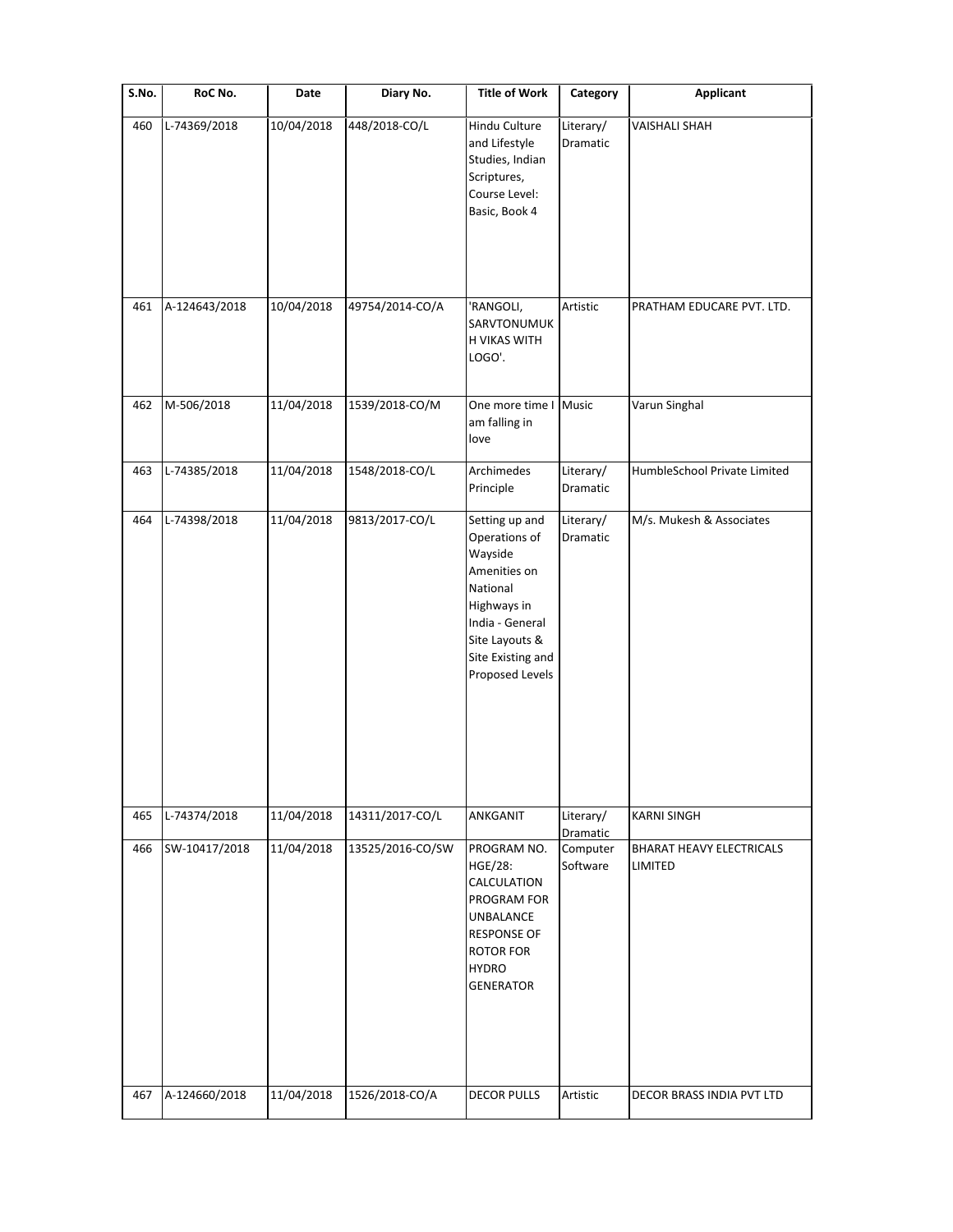| S.No. | RoC No.       | Date       | Diary No.        | <b>Title of Work</b>                                                                                                                                               | Category              | <b>Applicant</b>                           |
|-------|---------------|------------|------------------|--------------------------------------------------------------------------------------------------------------------------------------------------------------------|-----------------------|--------------------------------------------|
| 460   | L-74369/2018  | 10/04/2018 | 448/2018-CO/L    | Hindu Culture<br>and Lifestyle<br>Studies, Indian<br>Scriptures,<br>Course Level:<br>Basic, Book 4                                                                 | Literary/<br>Dramatic | <b>VAISHALI SHAH</b>                       |
| 461   | A-124643/2018 | 10/04/2018 | 49754/2014-CO/A  | 'RANGOLI,<br>SARVTONUMUK<br>H VIKAS WITH<br>LOGO'.                                                                                                                 | Artistic              | PRATHAM EDUCARE PVT. LTD.                  |
| 462   | M-506/2018    | 11/04/2018 | 1539/2018-CO/M   | One more time I Music<br>am falling in<br>love                                                                                                                     |                       | Varun Singhal                              |
| 463   | L-74385/2018  | 11/04/2018 | 1548/2018-CO/L   | Archimedes<br>Principle                                                                                                                                            | Literary/<br>Dramatic | HumbleSchool Private Limited               |
| 464   | L-74398/2018  | 11/04/2018 | 9813/2017-CO/L   | Setting up and<br>Operations of<br>Wayside<br>Amenities on<br>National<br>Highways in<br>India - General<br>Site Layouts &<br>Site Existing and<br>Proposed Levels | Literary/<br>Dramatic | M/s. Mukesh & Associates                   |
| 465   | L-74374/2018  | 11/04/2018 | 14311/2017-CO/L  | ANKGANIT                                                                                                                                                           | Literary/<br>Dramatic | <b>KARNI SINGH</b>                         |
| 466   | SW-10417/2018 | 11/04/2018 | 13525/2016-CO/SW | PROGRAM NO.<br><b>HGE/28:</b><br>CALCULATION<br>PROGRAM FOR<br><b>UNBALANCE</b><br><b>RESPONSE OF</b><br><b>ROTOR FOR</b><br><b>HYDRO</b><br><b>GENERATOR</b>      | Computer<br>Software  | <b>BHARAT HEAVY ELECTRICALS</b><br>LIMITED |
| 467   | A-124660/2018 | 11/04/2018 | 1526/2018-CO/A   | <b>DECOR PULLS</b>                                                                                                                                                 | Artistic              | DECOR BRASS INDIA PVT LTD                  |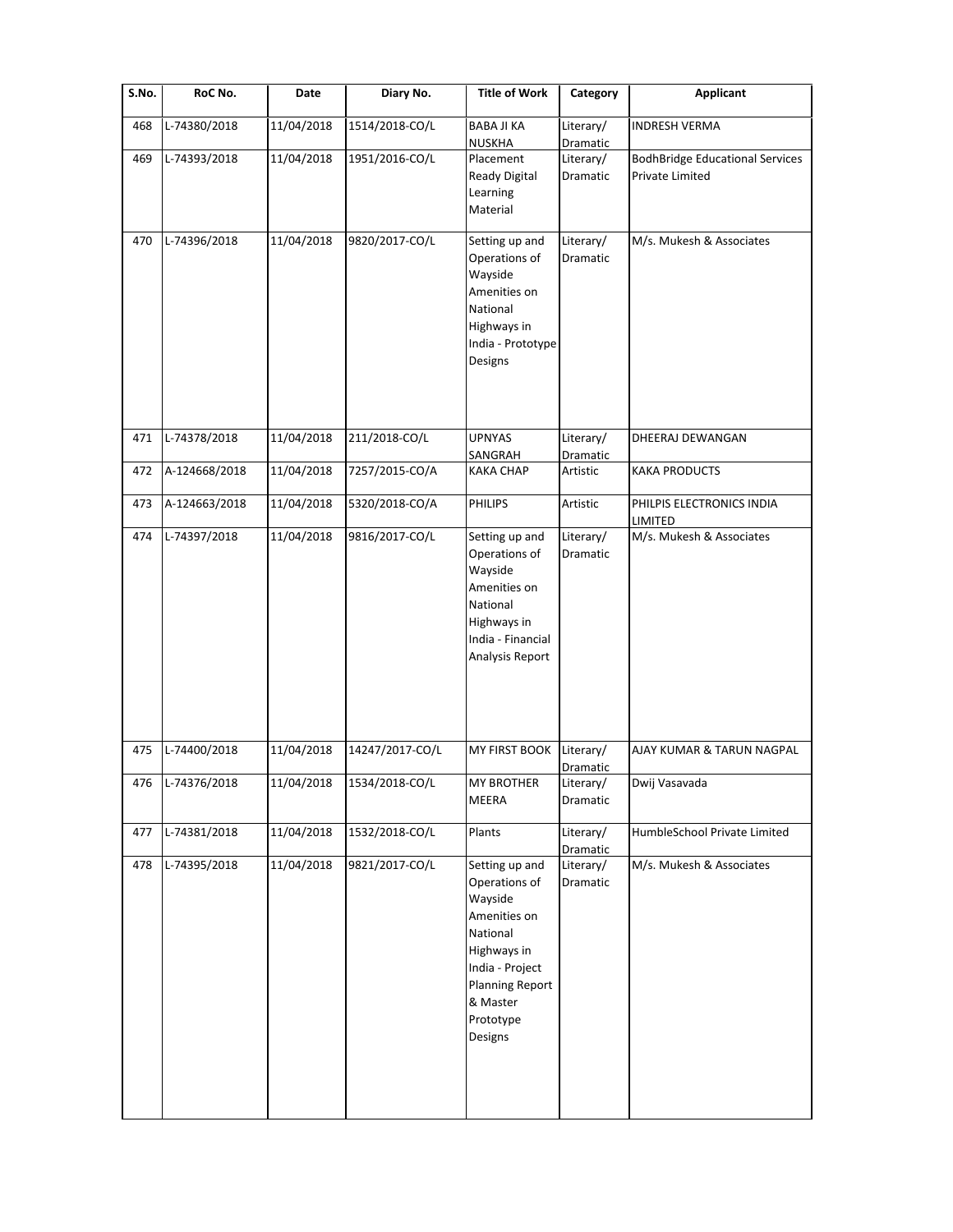| S.No. | RoC No.          | Date       | Diary No.       | <b>Title of Work</b>                                                                                                                                                   | Category              | <b>Applicant</b>                                          |
|-------|------------------|------------|-----------------|------------------------------------------------------------------------------------------------------------------------------------------------------------------------|-----------------------|-----------------------------------------------------------|
| 468   | L-74380/2018     | 11/04/2018 | 1514/2018-CO/L  | <b>BABA JI KA</b><br><b>NUSKHA</b>                                                                                                                                     | Literary/<br>Dramatic | <b>INDRESH VERMA</b>                                      |
| 469   | L-74393/2018     | 11/04/2018 | 1951/2016-CO/L  | Placement<br>Ready Digital<br>Learning<br>Material                                                                                                                     | Literary/<br>Dramatic | <b>BodhBridge Educational Services</b><br>Private Limited |
| 470   | L-74396/2018     | 11/04/2018 | 9820/2017-CO/L  | Setting up and<br>Operations of<br>Wayside<br>Amenities on<br>National<br>Highways in<br>India - Prototype<br>Designs                                                  | Literary/<br>Dramatic | M/s. Mukesh & Associates                                  |
| 471   | L-74378/2018     | 11/04/2018 | 211/2018-CO/L   | <b>UPNYAS</b><br>SANGRAH                                                                                                                                               | Literary/<br>Dramatic | DHEERAJ DEWANGAN                                          |
| 472   | A-124668/2018    | 11/04/2018 | 7257/2015-CO/A  | <b>KAKA CHAP</b>                                                                                                                                                       | Artistic              | <b>KAKA PRODUCTS</b>                                      |
| 473   | A-124663/2018    | 11/04/2018 | 5320/2018-CO/A  | <b>PHILIPS</b>                                                                                                                                                         | Artistic              | PHILPIS ELECTRONICS INDIA<br>LIMITED                      |
| 474   | L-74397/2018     | 11/04/2018 | 9816/2017-CO/L  | Setting up and<br>Operations of<br>Wayside<br>Amenities on<br>National<br>Highways in<br>India - Financial<br>Analysis Report                                          | Literary/<br>Dramatic | M/s. Mukesh & Associates                                  |
| 475   | L-74400/2018     | 11/04/2018 | 14247/2017-CO/L | MY FIRST BOOK                                                                                                                                                          | Literary/<br>Dramatic | AJAY KUMAR & TARUN NAGPAL                                 |
|       | 476 L-74376/2018 | 11/04/2018 | 1534/2018-CO/L  | MY BROTHER<br>MEERA                                                                                                                                                    | Literary/<br>Dramatic | Dwij Vasavada                                             |
| 477   | L-74381/2018     | 11/04/2018 | 1532/2018-CO/L  | Plants                                                                                                                                                                 | Literary/<br>Dramatic | HumbleSchool Private Limited                              |
| 478   | L-74395/2018     | 11/04/2018 | 9821/2017-CO/L  | Setting up and<br>Operations of<br>Wayside<br>Amenities on<br>National<br>Highways in<br>India - Project<br><b>Planning Report</b><br>& Master<br>Prototype<br>Designs | Literary/<br>Dramatic | M/s. Mukesh & Associates                                  |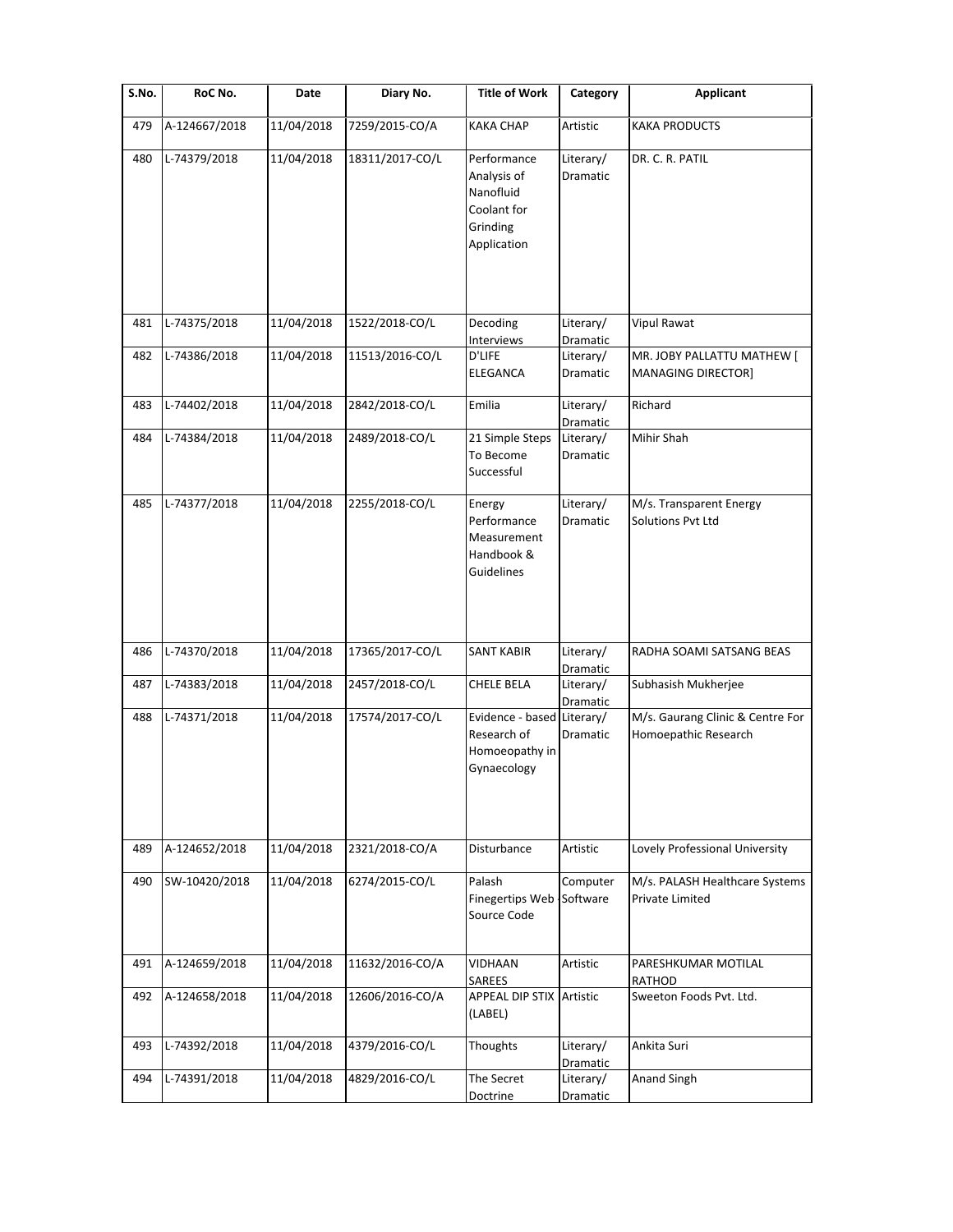| S.No. | RoC No.       | Date       | Diary No.       | <b>Title of Work</b>                                                              | Category              | <b>Applicant</b>                                         |
|-------|---------------|------------|-----------------|-----------------------------------------------------------------------------------|-----------------------|----------------------------------------------------------|
| 479   | A-124667/2018 | 11/04/2018 | 7259/2015-CO/A  | <b>KAKA CHAP</b>                                                                  | Artistic              | <b>KAKA PRODUCTS</b>                                     |
| 480   | L-74379/2018  | 11/04/2018 | 18311/2017-CO/L | Performance<br>Analysis of<br>Nanofluid<br>Coolant for<br>Grinding<br>Application | Literary/<br>Dramatic | DR. C. R. PATIL                                          |
| 481   | L-74375/2018  | 11/04/2018 | 1522/2018-CO/L  | Decoding<br>Interviews                                                            | Literary/<br>Dramatic | <b>Vipul Rawat</b>                                       |
| 482   | L-74386/2018  | 11/04/2018 | 11513/2016-CO/L | D'LIFE<br>ELEGANCA                                                                | Literary/<br>Dramatic | MR. JOBY PALLATTU MATHEW [<br><b>MANAGING DIRECTOR]</b>  |
| 483   | L-74402/2018  | 11/04/2018 | 2842/2018-CO/L  | Emilia                                                                            | Literary/<br>Dramatic | Richard                                                  |
| 484   | L-74384/2018  | 11/04/2018 | 2489/2018-CO/L  | 21 Simple Steps<br>To Become<br>Successful                                        | Literary/<br>Dramatic | Mihir Shah                                               |
| 485   | L-74377/2018  | 11/04/2018 | 2255/2018-CO/L  | Energy<br>Performance<br>Measurement<br>Handbook &<br>Guidelines                  | Literary/<br>Dramatic | M/s. Transparent Energy<br>Solutions Pvt Ltd             |
| 486   | L-74370/2018  | 11/04/2018 | 17365/2017-CO/L | <b>SANT KABIR</b>                                                                 | Literary/<br>Dramatic | RADHA SOAMI SATSANG BEAS                                 |
| 487   | L-74383/2018  | 11/04/2018 | 2457/2018-CO/L  | CHELE BELA                                                                        | Literary/<br>Dramatic | Subhasish Mukherjee                                      |
| 488   | L-74371/2018  | 11/04/2018 | 17574/2017-CO/L | Evidence - based Literary/<br>Research of<br>Homoeopathy in<br>Gynaecology        | Dramatic              | M/s. Gaurang Clinic & Centre For<br>Homoepathic Research |
| 489   | A-124652/2018 | 11/04/2018 | 2321/2018-CO/A  | Disturbance                                                                       | Artistic              | Lovely Professional University                           |
| 490   | SW-10420/2018 | 11/04/2018 | 6274/2015-CO/L  | Palash<br>Finegertips Web<br>Source Code                                          | Computer<br>Software  | M/s. PALASH Healthcare Systems<br>Private Limited        |
| 491   | A-124659/2018 | 11/04/2018 | 11632/2016-CO/A | VIDHAAN<br>SAREES                                                                 | Artistic              | PARESHKUMAR MOTILAL<br>RATHOD                            |
| 492   | A-124658/2018 | 11/04/2018 | 12606/2016-CO/A | <b>APPEAL DIP STIX Artistic</b><br>(LABEL)                                        |                       | Sweeton Foods Pvt. Ltd.                                  |
| 493   | L-74392/2018  | 11/04/2018 | 4379/2016-CO/L  | Thoughts                                                                          | Literary/<br>Dramatic | Ankita Suri                                              |
| 494   | L-74391/2018  | 11/04/2018 | 4829/2016-CO/L  | The Secret<br>Doctrine                                                            | Literary/<br>Dramatic | Anand Singh                                              |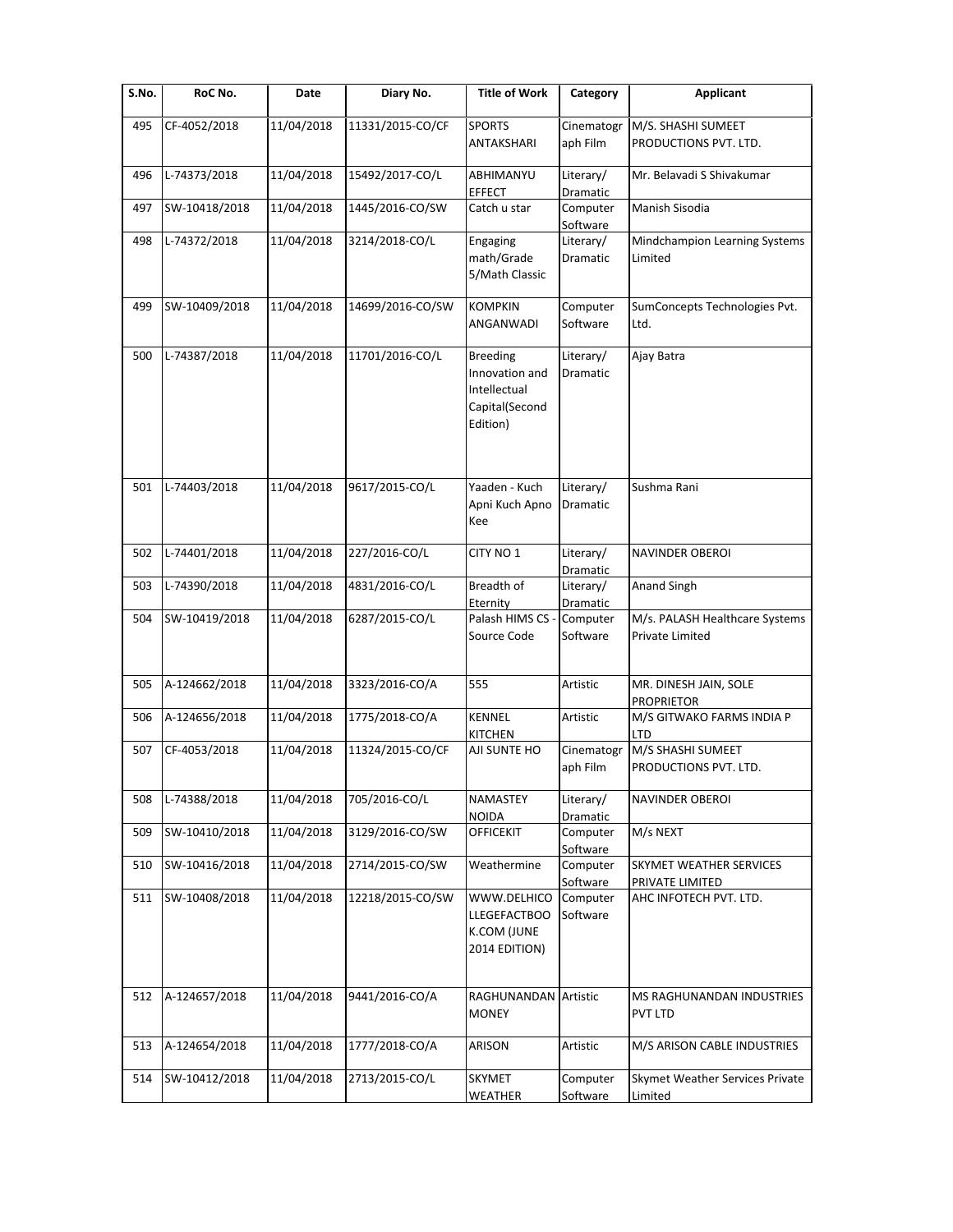| S.No. | RoC No.       | Date       | Diary No.        | <b>Title of Work</b>                                                            | Category                     | <b>Applicant</b>                                  |
|-------|---------------|------------|------------------|---------------------------------------------------------------------------------|------------------------------|---------------------------------------------------|
| 495   | CF-4052/2018  | 11/04/2018 | 11331/2015-CO/CF | <b>SPORTS</b>                                                                   | Cinematogr                   | M/S. SHASHI SUMEET                                |
|       |               |            |                  | ANTAKSHARI                                                                      | aph Film                     | PRODUCTIONS PVT. LTD.                             |
| 496   | L-74373/2018  | 11/04/2018 | 15492/2017-CO/L  | ABHIMANYU<br><b>EFFECT</b>                                                      | Literary/<br>Dramatic        | Mr. Belavadi S Shivakumar                         |
| 497   | SW-10418/2018 | 11/04/2018 | 1445/2016-CO/SW  | Catch u star                                                                    | Computer<br>Software         | Manish Sisodia                                    |
| 498   | L-74372/2018  | 11/04/2018 | 3214/2018-CO/L   | Engaging<br>math/Grade<br>5/Math Classic                                        | Literary/<br>Dramatic        | Mindchampion Learning Systems<br>Limited          |
| 499   | SW-10409/2018 | 11/04/2018 | 14699/2016-CO/SW | <b>KOMPKIN</b><br>ANGANWADI                                                     | Computer<br>Software         | SumConcepts Technologies Pvt.<br>Ltd.             |
| 500   | L-74387/2018  | 11/04/2018 | 11701/2016-CO/L  | <b>Breeding</b><br>Innovation and<br>Intellectual<br>Capital(Second<br>Edition) | Literary/<br>Dramatic        | Ajay Batra                                        |
| 501   | L-74403/2018  | 11/04/2018 | 9617/2015-CO/L   | Yaaden - Kuch<br>Apni Kuch Apno<br>Kee                                          | Literary/<br>Dramatic        | Sushma Rani                                       |
| 502   | L-74401/2018  | 11/04/2018 | 227/2016-CO/L    | CITY NO <sub>1</sub>                                                            | Literary/<br>Dramatic        | NAVINDER OBEROI                                   |
| 503   | L-74390/2018  | 11/04/2018 | 4831/2016-CO/L   | Breadth of<br>Eternity                                                          | Literary/<br>Dramatic        | Anand Singh                                       |
| 504   | SW-10419/2018 | 11/04/2018 | 6287/2015-CO/L   | Palash HIMS CS<br>Source Code                                                   | Computer<br>Software         | M/s. PALASH Healthcare Systems<br>Private Limited |
| 505   | A-124662/2018 | 11/04/2018 | 3323/2016-CO/A   | 555                                                                             | Artistic                     | MR. DINESH JAIN, SOLE<br><b>PROPRIETOR</b>        |
| 506   | A-124656/2018 | 11/04/2018 | 1775/2018-CO/A   | <b>KENNEL</b><br><b>KITCHEN</b>                                                 | Artistic                     | M/S GITWAKO FARMS INDIA P<br>LTD                  |
| 507   | CF-4053/2018  | 11/04/2018 | 11324/2015-CO/CF | AJI SUNTE HO                                                                    | Cinematogr<br>aph Film       | M/S SHASHI SUMEET<br>PRODUCTIONS PVT. LTD.        |
| 508   | L-74388/2018  | 11/04/2018 | 705/2016-CO/L    | NAMASTEY<br><b>NOIDA</b>                                                        | Literary/<br><b>Dramatic</b> | NAVINDER OBEROI                                   |
| 509   | SW-10410/2018 | 11/04/2018 | 3129/2016-CO/SW  | <b>OFFICEKIT</b>                                                                | Computer<br>Software         | M/s NEXT                                          |
| 510   | SW-10416/2018 | 11/04/2018 | 2714/2015-CO/SW  | Weathermine                                                                     | Computer<br>Software         | SKYMET WEATHER SERVICES<br>PRIVATE LIMITED        |
| 511   | SW-10408/2018 | 11/04/2018 | 12218/2015-CO/SW | WWW.DELHICO<br><b>LLEGEFACTBOO</b><br>K.COM (JUNE<br>2014 EDITION)              | Computer<br>Software         | AHC INFOTECH PVT. LTD.                            |
| 512   | A-124657/2018 | 11/04/2018 | 9441/2016-CO/A   | RAGHUNANDAN Artistic<br><b>MONEY</b>                                            |                              | MS RAGHUNANDAN INDUSTRIES<br>PVT LTD              |
| 513   | A-124654/2018 | 11/04/2018 | 1777/2018-CO/A   | ARISON                                                                          | Artistic                     | M/S ARISON CABLE INDUSTRIES                       |
| 514   | SW-10412/2018 | 11/04/2018 | 2713/2015-CO/L   | SKYMET<br><b>WEATHER</b>                                                        | Computer<br>Software         | Skymet Weather Services Private<br>Limited        |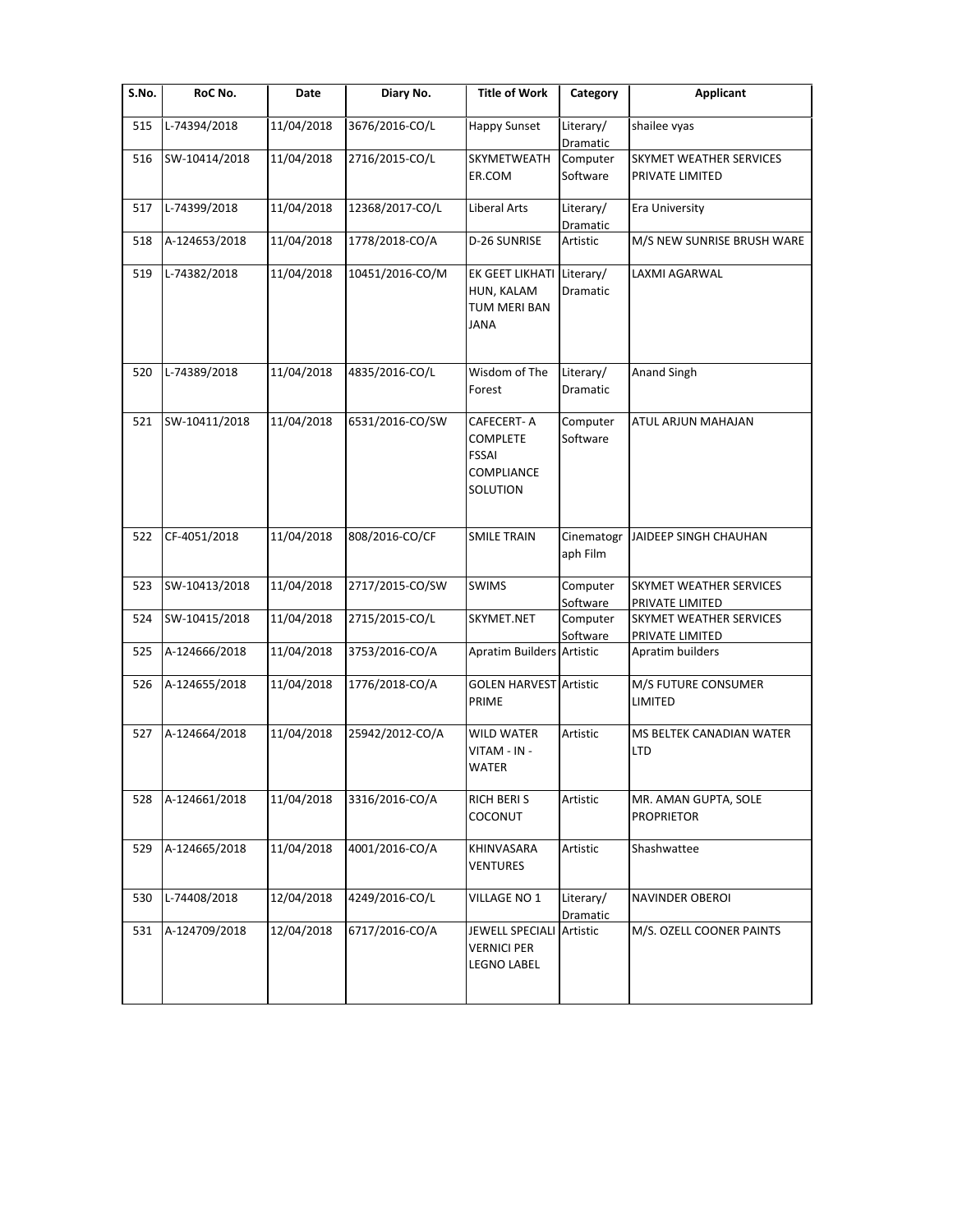| S.No. | RoC No.       | Date       | Diary No.       | <b>Title of Work</b>                                                                  | Category               | <b>Applicant</b>                                  |
|-------|---------------|------------|-----------------|---------------------------------------------------------------------------------------|------------------------|---------------------------------------------------|
| 515   | L-74394/2018  | 11/04/2018 | 3676/2016-CO/L  | Happy Sunset                                                                          | Literary/<br>Dramatic  | shailee vyas                                      |
| 516   | SW-10414/2018 | 11/04/2018 | 2716/2015-CO/L  | SKYMETWEATH<br>ER.COM                                                                 | Computer<br>Software   | SKYMET WEATHER SERVICES<br>PRIVATE LIMITED        |
| 517   | L-74399/2018  | 11/04/2018 | 12368/2017-CO/L | Liberal Arts                                                                          | Literary/<br>Dramatic  | Era University                                    |
| 518   | A-124653/2018 | 11/04/2018 | 1778/2018-CO/A  | D-26 SUNRISE                                                                          | Artistic               | M/S NEW SUNRISE BRUSH WARE                        |
| 519   | L-74382/2018  | 11/04/2018 | 10451/2016-CO/M | EK GEET LIKHATI Literary/<br>HUN, KALAM<br><b>TUM MERI BAN</b><br><b>JANA</b>         | <b>Dramatic</b>        | LAXMI AGARWAL                                     |
| 520   | L-74389/2018  | 11/04/2018 | 4835/2016-CO/L  | Wisdom of The<br>Forest                                                               | Literary/<br>Dramatic  | Anand Singh                                       |
| 521   | SW-10411/2018 | 11/04/2018 | 6531/2016-CO/SW | <b>CAFECERT-A</b><br><b>COMPLETE</b><br><b>FSSAI</b><br><b>COMPLIANCE</b><br>SOLUTION | Computer<br>Software   | ATUL ARJUN MAHAJAN                                |
| 522   | CF-4051/2018  | 11/04/2018 | 808/2016-CO/CF  | <b>SMILE TRAIN</b>                                                                    | Cinematogr<br>aph Film | JAIDEEP SINGH CHAUHAN                             |
| 523   | SW-10413/2018 | 11/04/2018 | 2717/2015-CO/SW | <b>SWIMS</b>                                                                          | Computer<br>Software   | SKYMET WEATHER SERVICES<br>PRIVATE LIMITED        |
| 524   | SW-10415/2018 | 11/04/2018 | 2715/2015-CO/L  | SKYMET.NET                                                                            | Computer<br>Software   | <b>SKYMET WEATHER SERVICES</b><br>PRIVATE LIMITED |
| 525   | A-124666/2018 | 11/04/2018 | 3753/2016-CO/A  | Apratim Builders Artistic                                                             |                        | Apratim builders                                  |
| 526   | A-124655/2018 | 11/04/2018 | 1776/2018-CO/A  | <b>GOLEN HARVEST Artistic</b><br>PRIME                                                |                        | M/S FUTURE CONSUMER<br>LIMITED                    |
| 527   | A-124664/2018 | 11/04/2018 | 25942/2012-CO/A | <b>WILD WATER</b><br>VITAM - IN -<br><b>WATER</b>                                     | Artistic               | MS BELTEK CANADIAN WATER<br><b>LTD</b>            |
| 528   | A-124661/2018 | 11/04/2018 | 3316/2016-CO/A  | RICH BERIS<br>COCONUT                                                                 | Artistic               | MR. AMAN GUPTA, SOLE<br><b>PROPRIETOR</b>         |
| 529   | A-124665/2018 | 11/04/2018 | 4001/2016-CO/A  | KHINVASARA<br><b>VENTURES</b>                                                         | Artistic               | Shashwattee                                       |
| 530   | L-74408/2018  | 12/04/2018 | 4249/2016-CO/L  | VILLAGE NO 1                                                                          | Literary/<br>Dramatic  | NAVINDER OBEROI                                   |
| 531   | A-124709/2018 | 12/04/2018 | 6717/2016-CO/A  | <b>JEWELL SPECIALI</b><br><b>VERNICI PER</b><br><b>LEGNO LABEL</b>                    | Artistic               | M/S. OZELL COONER PAINTS                          |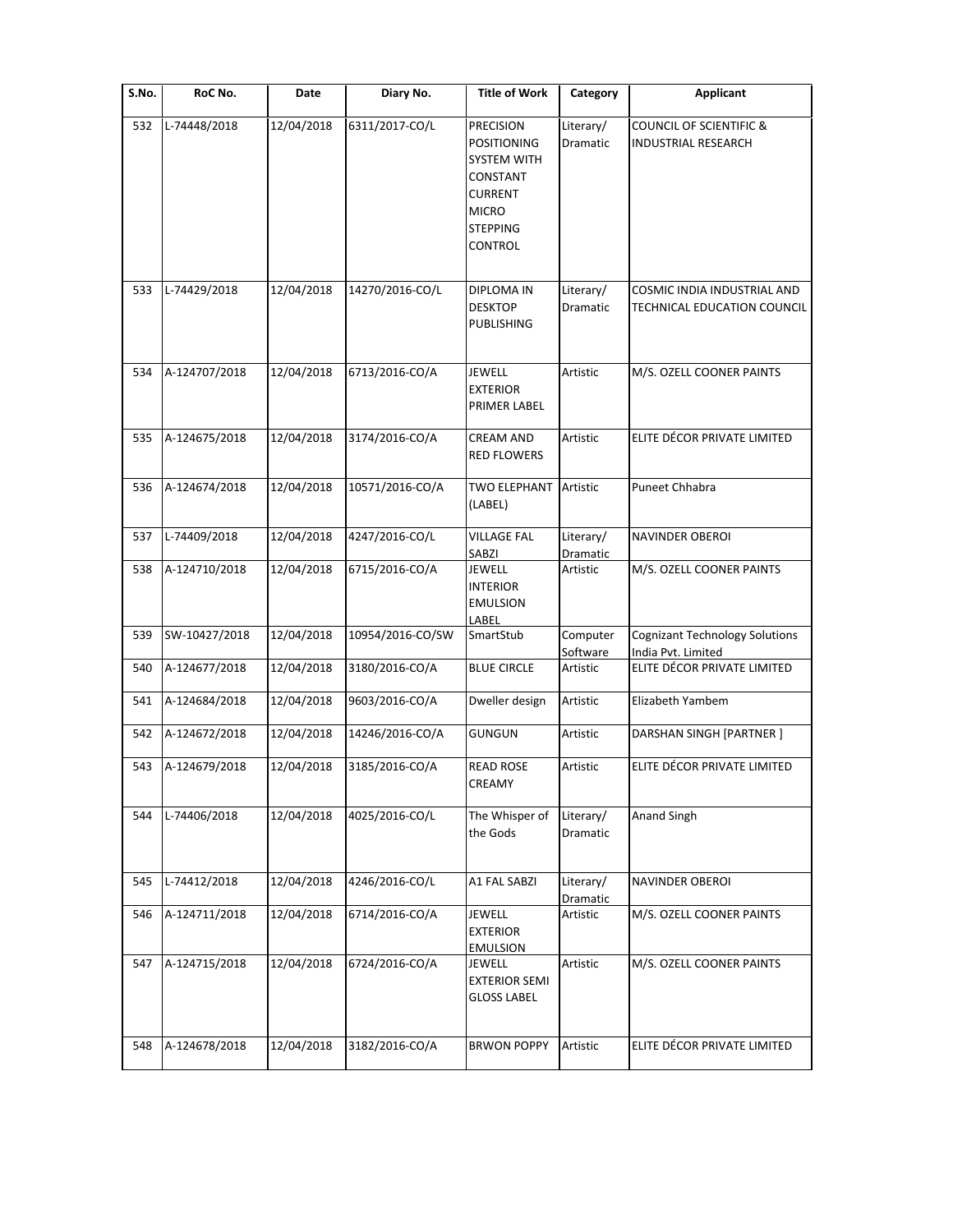| $\overline{\mathsf{S}}$ . No. | RoC No.       | Date       | Diary No.        | <b>Title of Work</b>                                                                                                                     | Category              | <b>Applicant</b>                                                 |
|-------------------------------|---------------|------------|------------------|------------------------------------------------------------------------------------------------------------------------------------------|-----------------------|------------------------------------------------------------------|
| 532                           | L-74448/2018  | 12/04/2018 | 6311/2017-CO/L   | <b>PRECISION</b><br><b>POSITIONING</b><br><b>SYSTEM WITH</b><br>CONSTANT<br><b>CURRENT</b><br><b>MICRO</b><br><b>STEPPING</b><br>CONTROL | Literary/<br>Dramatic | <b>COUNCIL OF SCIENTIFIC &amp;</b><br><b>INDUSTRIAL RESEARCH</b> |
| 533                           | L-74429/2018  | 12/04/2018 | 14270/2016-CO/L  | DIPLOMA IN<br><b>DESKTOP</b><br>PUBLISHING                                                                                               | Literary/<br>Dramatic | COSMIC INDIA INDUSTRIAL AND<br>TECHNICAL EDUCATION COUNCIL       |
| 534                           | A-124707/2018 | 12/04/2018 | 6713/2016-CO/A   | <b>JEWELL</b><br><b>EXTERIOR</b><br>PRIMER LABEL                                                                                         | Artistic              | M/S. OZELL COONER PAINTS                                         |
| 535                           | A-124675/2018 | 12/04/2018 | 3174/2016-CO/A   | <b>CREAM AND</b><br><b>RED FLOWERS</b>                                                                                                   | Artistic              | ELITE DÉCOR PRIVATE LIMITED                                      |
| 536                           | A-124674/2018 | 12/04/2018 | 10571/2016-CO/A  | <b>TWO ELEPHANT</b><br>(LABEL)                                                                                                           | Artistic              | Puneet Chhabra                                                   |
| 537                           | L-74409/2018  | 12/04/2018 | 4247/2016-CO/L   | <b>VILLAGE FAL</b><br>SABZI                                                                                                              | Literary/<br>Dramatic | NAVINDER OBEROI                                                  |
| 538                           | A-124710/2018 | 12/04/2018 | 6715/2016-CO/A   | <b>JEWELL</b><br><b>INTERIOR</b><br><b>EMULSION</b><br>LABEL                                                                             | Artistic              | M/S. OZELL COONER PAINTS                                         |
| 539                           | SW-10427/2018 | 12/04/2018 | 10954/2016-CO/SW | SmartStub                                                                                                                                | Computer<br>Software  | <b>Cognizant Technology Solutions</b><br>India Pvt. Limited      |
| 540                           | A-124677/2018 | 12/04/2018 | 3180/2016-CO/A   | <b>BLUE CIRCLE</b>                                                                                                                       | Artistic              | ELITE DÉCOR PRIVATE LIMITED                                      |
| 541                           | A-124684/2018 | 12/04/2018 | 9603/2016-CO/A   | Dweller design                                                                                                                           | Artistic              | Elizabeth Yambem                                                 |
| 542                           | A-124672/2018 | 12/04/2018 | 14246/2016-CO/A  | <b>GUNGUN</b>                                                                                                                            | Artistic              | DARSHAN SINGH [PARTNER]                                          |
| 543                           | A-124679/2018 | 12/04/2018 | 3185/2016-CO/A   | <b>READ ROSE</b><br><b>CREAMY</b>                                                                                                        | Artistic              | ELITE DÉCOR PRIVATE LIMITED                                      |
| 544                           | L-74406/2018  | 12/04/2018 | 4025/2016-CO/L   | The Whisper of<br>the Gods                                                                                                               | Literary/<br>Dramatic | Anand Singh                                                      |
| 545                           | L-74412/2018  | 12/04/2018 | 4246/2016-CO/L   | A1 FAL SABZI                                                                                                                             | Literary/<br>Dramatic | NAVINDER OBEROI                                                  |
| 546                           | A-124711/2018 | 12/04/2018 | 6714/2016-CO/A   | JEWELL<br><b>EXTERIOR</b><br><b>EMULSION</b>                                                                                             | Artistic              | M/S. OZELL COONER PAINTS                                         |
| 547                           | A-124715/2018 | 12/04/2018 | 6724/2016-CO/A   | JEWELL<br><b>EXTERIOR SEMI</b><br><b>GLOSS LABEL</b>                                                                                     | Artistic              | M/S. OZELL COONER PAINTS                                         |
| 548                           | A-124678/2018 | 12/04/2018 | 3182/2016-CO/A   | <b>BRWON POPPY</b>                                                                                                                       | Artistic              | ELITE DÉCOR PRIVATE LIMITED                                      |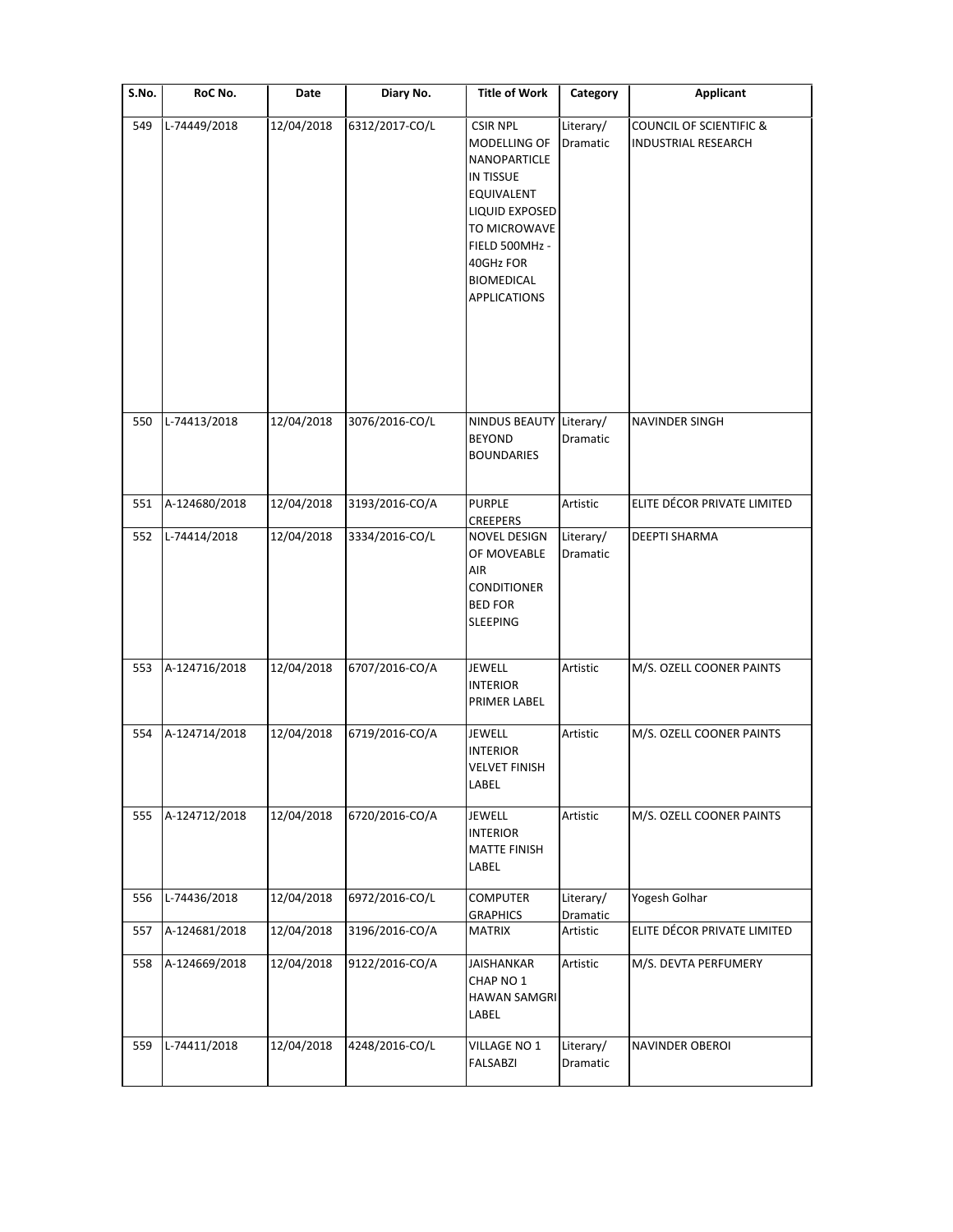| S.No. | RoC No.       | Date       | Diary No.      | <b>Title of Work</b>                                                                                                                                                                    | Category              | Applicant                                                        |
|-------|---------------|------------|----------------|-----------------------------------------------------------------------------------------------------------------------------------------------------------------------------------------|-----------------------|------------------------------------------------------------------|
| 549   | L-74449/2018  | 12/04/2018 | 6312/2017-CO/L | <b>CSIR NPL</b><br>MODELLING OF<br><b>NANOPARTICLE</b><br>IN TISSUE<br>EQUIVALENT<br>LIQUID EXPOSED<br>TO MICROWAVE<br>FIELD 500MHz -<br>40GHz FOR<br>BIOMEDICAL<br><b>APPLICATIONS</b> | Literary/<br>Dramatic | <b>COUNCIL OF SCIENTIFIC &amp;</b><br><b>INDUSTRIAL RESEARCH</b> |
| 550   | L-74413/2018  | 12/04/2018 | 3076/2016-CO/L | NINDUS BEAUTY Literary/<br><b>BEYOND</b><br><b>BOUNDARIES</b>                                                                                                                           | Dramatic              | <b>NAVINDER SINGH</b>                                            |
| 551   | A-124680/2018 | 12/04/2018 | 3193/2016-CO/A | <b>PURPLE</b><br><b>CREEPERS</b>                                                                                                                                                        | Artistic              | ELITE DÉCOR PRIVATE LIMITED                                      |
| 552   | L-74414/2018  | 12/04/2018 | 3334/2016-CO/L | NOVEL DESIGN<br>OF MOVEABLE<br>AIR<br>CONDITIONER<br><b>BED FOR</b><br>SLEEPING                                                                                                         | Literary/<br>Dramatic | DEEPTI SHARMA                                                    |
| 553   | A-124716/2018 | 12/04/2018 | 6707/2016-CO/A | JEWELL<br><b>INTERIOR</b><br>PRIMER LABEL                                                                                                                                               | Artistic              | M/S. OZELL COONER PAINTS                                         |
| 554   | A-124714/2018 | 12/04/2018 | 6719/2016-CO/A | <b>JEWELL</b><br><b>INTERIOR</b><br><b>VELVET FINISH</b><br>LABEL                                                                                                                       | Artistic              | M/S. OZELL COONER PAINTS                                         |
| 555   | A-124712/2018 | 12/04/2018 | 6720/2016-CO/A | JEWELL<br><b>INTERIOR</b><br><b>MATTE FINISH</b><br>LABEL                                                                                                                               | Artistic              | M/S. OZELL COONER PAINTS                                         |
| 556   | L-74436/2018  | 12/04/2018 | 6972/2016-CO/L | <b>COMPUTER</b><br><b>GRAPHICS</b>                                                                                                                                                      | Literary/<br>Dramatic | Yogesh Golhar                                                    |
| 557   | A-124681/2018 | 12/04/2018 | 3196/2016-CO/A | MATRIX                                                                                                                                                                                  | Artistic              | ELITE DÉCOR PRIVATE LIMITED                                      |
| 558   | A-124669/2018 | 12/04/2018 | 9122/2016-CO/A | <b>JAISHANKAR</b><br>CHAP NO 1<br>HAWAN SAMGRI<br>LABEL                                                                                                                                 | Artistic              | M/S. DEVTA PERFUMERY                                             |
| 559   | L-74411/2018  | 12/04/2018 | 4248/2016-CO/L | VILLAGE NO 1<br><b>FALSABZI</b>                                                                                                                                                         | Literary/<br>Dramatic | <b>NAVINDER OBEROI</b>                                           |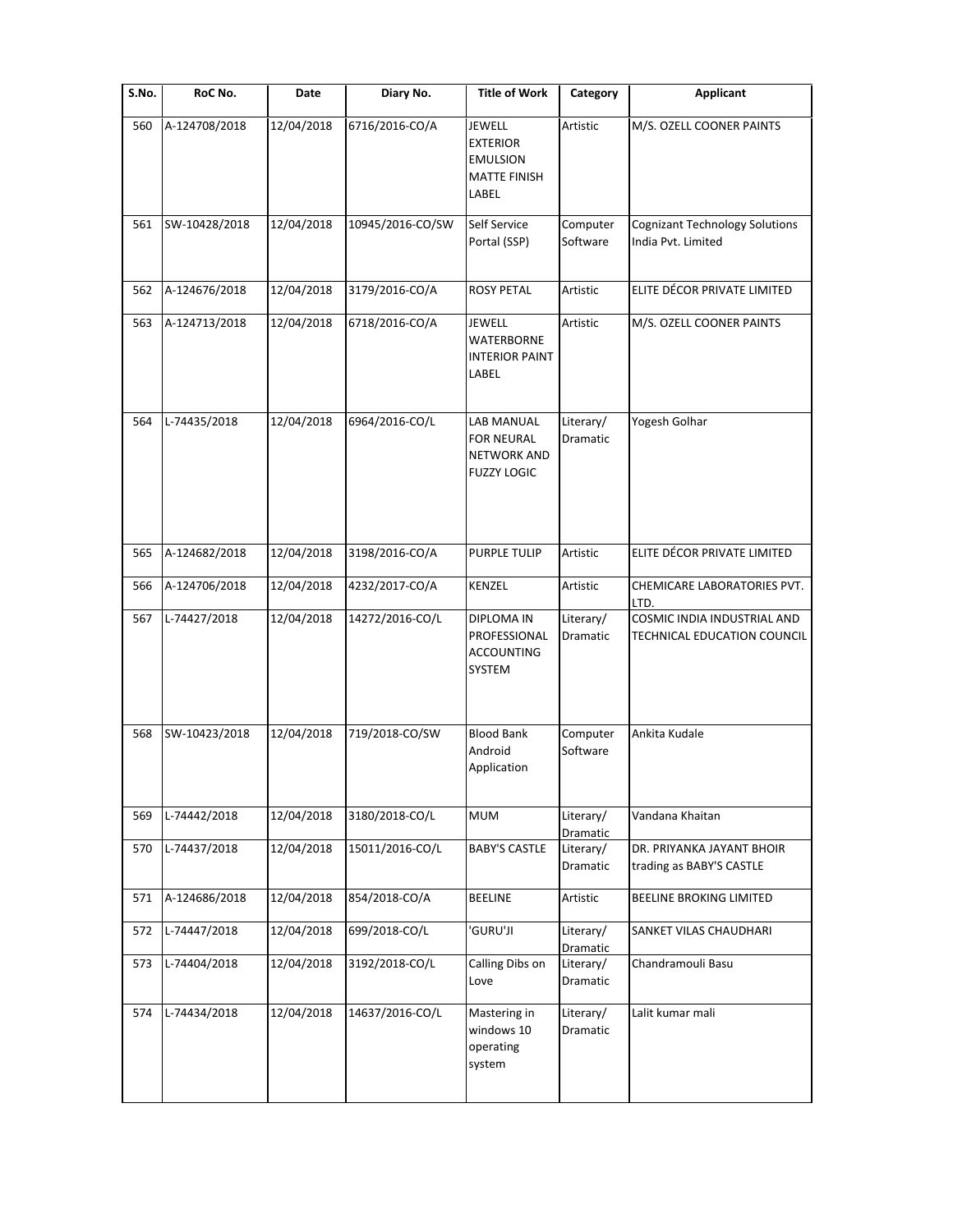| S.No. | RoC No.       | Date       | Diary No.        | <b>Title of Work</b>                                                         | Category              | <b>Applicant</b>                                            |
|-------|---------------|------------|------------------|------------------------------------------------------------------------------|-----------------------|-------------------------------------------------------------|
| 560   | A-124708/2018 | 12/04/2018 | 6716/2016-CO/A   | JEWELL<br><b>EXTERIOR</b><br><b>EMULSION</b><br><b>MATTE FINISH</b><br>LABEL | Artistic              | M/S. OZELL COONER PAINTS                                    |
| 561   | SW-10428/2018 | 12/04/2018 | 10945/2016-CO/SW | Self Service<br>Portal (SSP)                                                 | Computer<br>Software  | <b>Cognizant Technology Solutions</b><br>India Pvt. Limited |
| 562   | A-124676/2018 | 12/04/2018 | 3179/2016-CO/A   | <b>ROSY PETAL</b>                                                            | Artistic              | ELITE DÉCOR PRIVATE LIMITED                                 |
| 563   | A-124713/2018 | 12/04/2018 | 6718/2016-CO/A   | <b>JEWELL</b><br><b>WATERBORNE</b><br><b>INTERIOR PAINT</b><br>LABEL         | Artistic              | M/S. OZELL COONER PAINTS                                    |
| 564   | L-74435/2018  | 12/04/2018 | 6964/2016-CO/L   | LAB MANUAL<br><b>FOR NEURAL</b><br><b>NETWORK AND</b><br><b>FUZZY LOGIC</b>  | Literary/<br>Dramatic | Yogesh Golhar                                               |
| 565   | A-124682/2018 | 12/04/2018 | 3198/2016-CO/A   | <b>PURPLE TULIP</b>                                                          | Artistic              | ELITE DÉCOR PRIVATE LIMITED                                 |
| 566   | A-124706/2018 | 12/04/2018 | 4232/2017-CO/A   | KENZEL                                                                       | Artistic              | CHEMICARE LABORATORIES PVT.<br>LTD.                         |
| 567   | L-74427/2018  | 12/04/2018 | 14272/2016-CO/L  | <b>DIPLOMA IN</b><br>PROFESSIONAL<br><b>ACCOUNTING</b><br>SYSTEM             | Literary/<br>Dramatic | COSMIC INDIA INDUSTRIAL AND<br>TECHNICAL EDUCATION COUNCIL  |
| 568   | SW-10423/2018 | 12/04/2018 | 719/2018-CO/SW   | <b>Blood Bank</b><br>Android<br>Application                                  | Computer<br>Software  | Ankita Kudale                                               |
| 569   | L-74442/2018  | 12/04/2018 | 3180/2018-CO/L   | <b>MUM</b>                                                                   | Literary/<br>Dramatic | Vandana Khaitan                                             |
| 570   | L-74437/2018  | 12/04/2018 | 15011/2016-CO/L  | <b>BABY'S CASTLE</b>                                                         | Literary/<br>Dramatic | DR. PRIYANKA JAYANT BHOIR<br>trading as BABY'S CASTLE       |
| 571   | A-124686/2018 | 12/04/2018 | 854/2018-CO/A    | <b>BEELINE</b>                                                               | Artistic              | BEELINE BROKING LIMITED                                     |
| 572   | L-74447/2018  | 12/04/2018 | 699/2018-CO/L    | 'GURU'JI                                                                     | Literary/<br>Dramatic | SANKET VILAS CHAUDHARI                                      |
| 573   | L-74404/2018  | 12/04/2018 | 3192/2018-CO/L   | Calling Dibs on<br>Love                                                      | Literary/<br>Dramatic | Chandramouli Basu                                           |
| 574   | L-74434/2018  | 12/04/2018 | 14637/2016-CO/L  | Mastering in<br>windows 10<br>operating<br>system                            | Literary/<br>Dramatic | Lalit kumar mali                                            |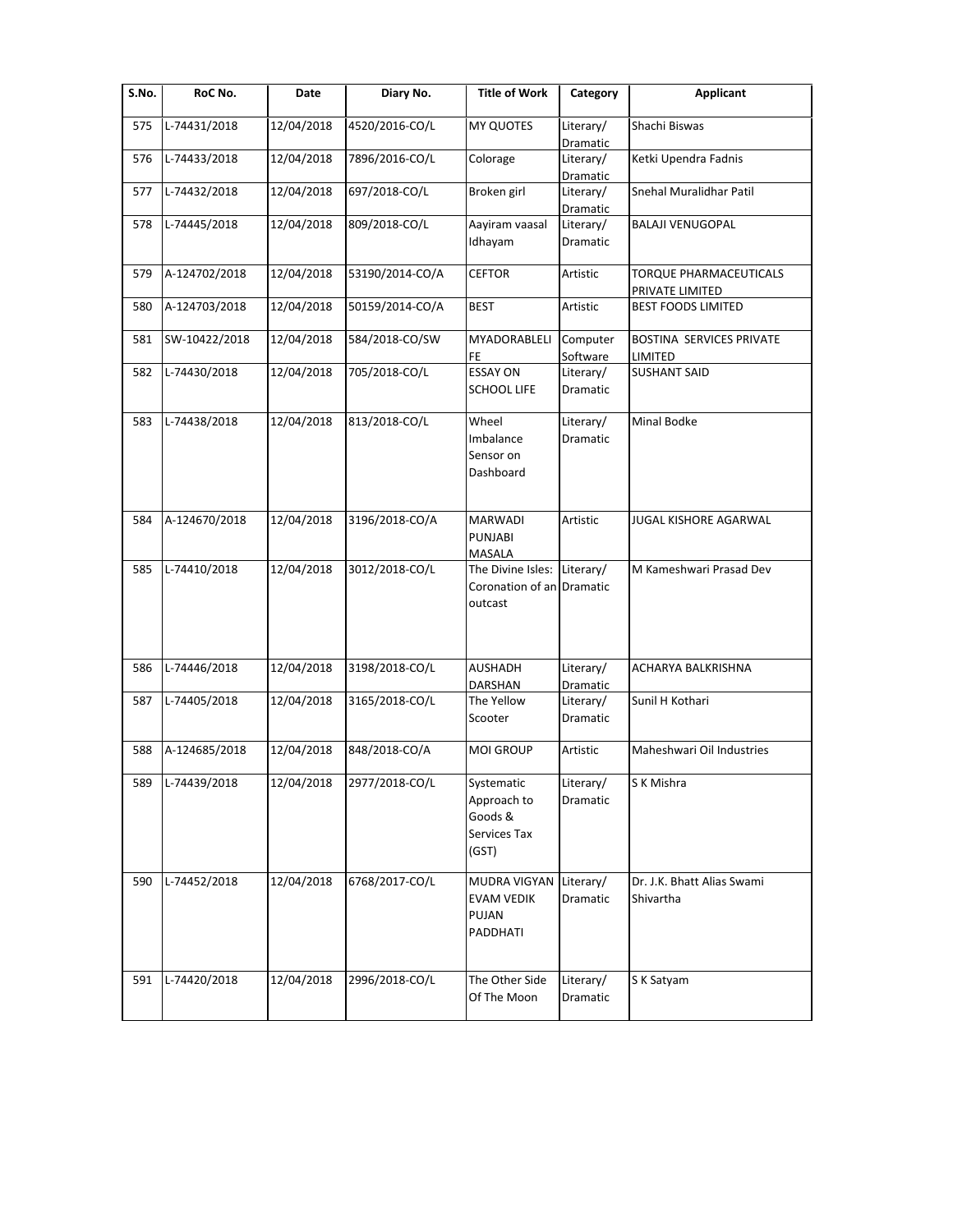| S.No. | RoC No.       | Date       | Diary No.       | <b>Title of Work</b>                                                | Category                     | <b>Applicant</b>                                 |
|-------|---------------|------------|-----------------|---------------------------------------------------------------------|------------------------------|--------------------------------------------------|
| 575   | L-74431/2018  | 12/04/2018 | 4520/2016-CO/L  | <b>MY QUOTES</b>                                                    | Literary/<br>Dramatic        | Shachi Biswas                                    |
| 576   | L-74433/2018  | 12/04/2018 | 7896/2016-CO/L  | Colorage                                                            | Literary/<br>Dramatic        | Ketki Upendra Fadnis                             |
| 577   | L-74432/2018  | 12/04/2018 | 697/2018-CO/L   | Broken girl                                                         | Literary/<br>Dramatic        | Snehal Muralidhar Patil                          |
| 578   | L-74445/2018  | 12/04/2018 | 809/2018-CO/L   | Aayiram vaasal<br>Idhayam                                           | Literary/<br>Dramatic        | <b>BALAJI VENUGOPAL</b>                          |
| 579   | A-124702/2018 | 12/04/2018 | 53190/2014-CO/A | <b>CEFTOR</b>                                                       | Artistic                     | <b>TORQUE PHARMACEUTICALS</b><br>PRIVATE LIMITED |
| 580   | A-124703/2018 | 12/04/2018 | 50159/2014-CO/A | <b>BEST</b>                                                         | Artistic                     | <b>BEST FOODS LIMITED</b>                        |
| 581   | SW-10422/2018 | 12/04/2018 | 584/2018-CO/SW  | MYADORABLELI<br>FE.                                                 | Computer<br>Software         | BOSTINA SERVICES PRIVATE<br>LIMITED              |
| 582   | L-74430/2018  | 12/04/2018 | 705/2018-CO/L   | <b>ESSAY ON</b><br><b>SCHOOL LIFE</b>                               | Literary/<br>Dramatic        | <b>SUSHANT SAID</b>                              |
| 583   | L-74438/2018  | 12/04/2018 | 813/2018-CO/L   | Wheel<br>Imbalance<br>Sensor on<br>Dashboard                        | Literary/<br><b>Dramatic</b> | <b>Minal Bodke</b>                               |
| 584   | A-124670/2018 | 12/04/2018 | 3196/2018-CO/A  | <b>MARWADI</b><br>PUNJABI<br>MASALA                                 | Artistic                     | JUGAL KISHORE AGARWAL                            |
| 585   | L-74410/2018  | 12/04/2018 | 3012/2018-CO/L  | The Divine Isles: Literary/<br>Coronation of an Dramatic<br>outcast |                              | M Kameshwari Prasad Dev                          |
| 586   | L-74446/2018  | 12/04/2018 | 3198/2018-CO/L  | <b>AUSHADH</b><br>DARSHAN                                           | Literary/<br>Dramatic        | ACHARYA BALKRISHNA                               |
| 587   | L-74405/2018  | 12/04/2018 | 3165/2018-CO/L  | The Yellow<br>Scooter                                               | Literary/<br>Dramatic        | Sunil H Kothari                                  |
| 588   | A-124685/2018 | 12/04/2018 | 848/2018-CO/A   | <b>MOI GROUP</b>                                                    | Artistic                     | Maheshwari Oil Industries                        |
| 589   | L-74439/2018  | 12/04/2018 | 2977/2018-CO/L  | Systematic<br>Approach to<br>Goods &<br>Services Tax<br>(GST)       | Literary/<br>Dramatic        | S K Mishra                                       |
| 590   | L-74452/2018  | 12/04/2018 | 6768/2017-CO/L  | MUDRA VIGYAN<br><b>EVAM VEDIK</b><br>PUJAN<br>PADDHATI              | Literary/<br>Dramatic        | Dr. J.K. Bhatt Alias Swami<br>Shivartha          |
| 591   | L-74420/2018  | 12/04/2018 | 2996/2018-CO/L  | The Other Side<br>Of The Moon                                       | Literary/<br>Dramatic        | S K Satyam                                       |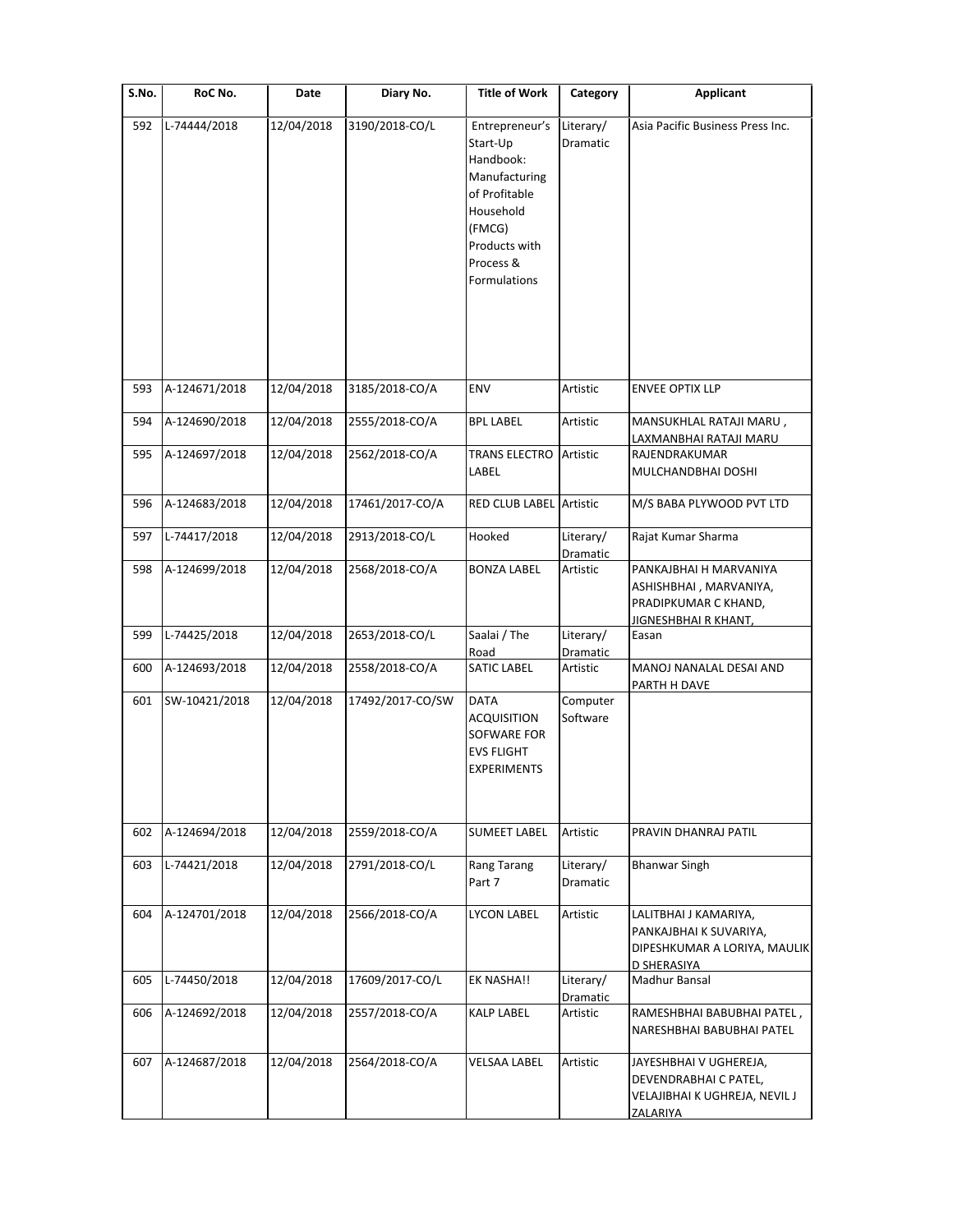| S.No. | RoC No.       | Date       | Diary No.        | <b>Title of Work</b>                                                                                                                           | Category                     | <b>Applicant</b>                                                                                         |
|-------|---------------|------------|------------------|------------------------------------------------------------------------------------------------------------------------------------------------|------------------------------|----------------------------------------------------------------------------------------------------------|
| 592   | L-74444/2018  | 12/04/2018 | 3190/2018-CO/L   | Entrepreneur's<br>Start-Up<br>Handbook:<br>Manufacturing<br>of Profitable<br>Household<br>(FMCG)<br>Products with<br>Process &<br>Formulations | Literary/<br>Dramatic        | Asia Pacific Business Press Inc.                                                                         |
| 593   | A-124671/2018 | 12/04/2018 | 3185/2018-CO/A   | ENV                                                                                                                                            | Artistic                     | <b>ENVEE OPTIX LLP</b>                                                                                   |
| 594   | A-124690/2018 | 12/04/2018 | 2555/2018-CO/A   | <b>BPL LABEL</b>                                                                                                                               | Artistic                     | MANSUKHLAL RATAJI MARU,                                                                                  |
|       |               |            |                  |                                                                                                                                                |                              | LAXMANBHAI RATAJI MARU                                                                                   |
| 595   | A-124697/2018 | 12/04/2018 | 2562/2018-CO/A   | <b>TRANS ELECTRO</b><br>LABEL                                                                                                                  | Artistic                     | RAJENDRAKUMAR<br>MULCHANDBHAI DOSHI                                                                      |
| 596   | A-124683/2018 | 12/04/2018 | 17461/2017-CO/A  | <b>RED CLUB LABEL Artistic</b>                                                                                                                 |                              | M/S BABA PLYWOOD PVT LTD                                                                                 |
| 597   | L-74417/2018  | 12/04/2018 | 2913/2018-CO/L   | Hooked                                                                                                                                         | Literary/<br>Dramatic        | Rajat Kumar Sharma                                                                                       |
| 598   | A-124699/2018 | 12/04/2018 | 2568/2018-CO/A   | <b>BONZA LABEL</b>                                                                                                                             | Artistic                     | PANKAJBHAI H MARVANIYA<br>ASHISHBHAI , MARVANIYA,<br>PRADIPKUMAR C KHAND,<br><b>JIGNESHBHAI R KHANT,</b> |
| 599   | L-74425/2018  | 12/04/2018 | 2653/2018-CO/L   | Saalai / The<br>Road                                                                                                                           | Literary/<br>Dramatic        | Easan                                                                                                    |
| 600   | A-124693/2018 | 12/04/2018 | 2558/2018-CO/A   | <b>SATIC LABEL</b>                                                                                                                             | Artistic                     | MANOJ NANALAL DESAI AND<br>PARTH H DAVE                                                                  |
| 601   | SW-10421/2018 | 12/04/2018 | 17492/2017-CO/SW | <b>DATA</b><br><b>ACQUISITION</b><br>SOFWARE FOR<br><b>EVS FLIGHT</b><br><b>EXPERIMENTS</b>                                                    | Computer<br>Software         |                                                                                                          |
| 602   | A-124694/2018 | 12/04/2018 | 2559/2018-CO/A   | <b>SUMEET LABEL</b>                                                                                                                            | Artistic                     | PRAVIN DHANRAJ PATIL                                                                                     |
| 603   | L-74421/2018  | 12/04/2018 | 2791/2018-CO/L   | Rang Tarang<br>Part 7                                                                                                                          | Literary/<br><b>Dramatic</b> | <b>Bhanwar Singh</b>                                                                                     |
| 604   | A-124701/2018 | 12/04/2018 | 2566/2018-CO/A   | <b>LYCON LABEL</b>                                                                                                                             | Artistic                     | LALITBHAI J KAMARIYA,<br>PANKAJBHAI K SUVARIYA,<br>DIPESHKUMAR A LORIYA, MAULIK<br>D SHERASIYA           |
| 605   | L-74450/2018  | 12/04/2018 | 17609/2017-CO/L  | EK NASHA!!                                                                                                                                     | Literary/<br>Dramatic        | Madhur Bansal                                                                                            |
| 606   | A-124692/2018 | 12/04/2018 | 2557/2018-CO/A   | <b>KALP LABEL</b>                                                                                                                              | Artistic                     | RAMESHBHAI BABUBHAI PATEL,<br>NARESHBHAI BABUBHAI PATEL                                                  |
| 607   | A-124687/2018 | 12/04/2018 | 2564/2018-CO/A   | VELSAA LABEL                                                                                                                                   | Artistic                     | JAYESHBHAI V UGHEREJA,<br>DEVENDRABHAI C PATEL,<br>VELAJIBHAI K UGHREJA, NEVIL J<br>ZALARIYA             |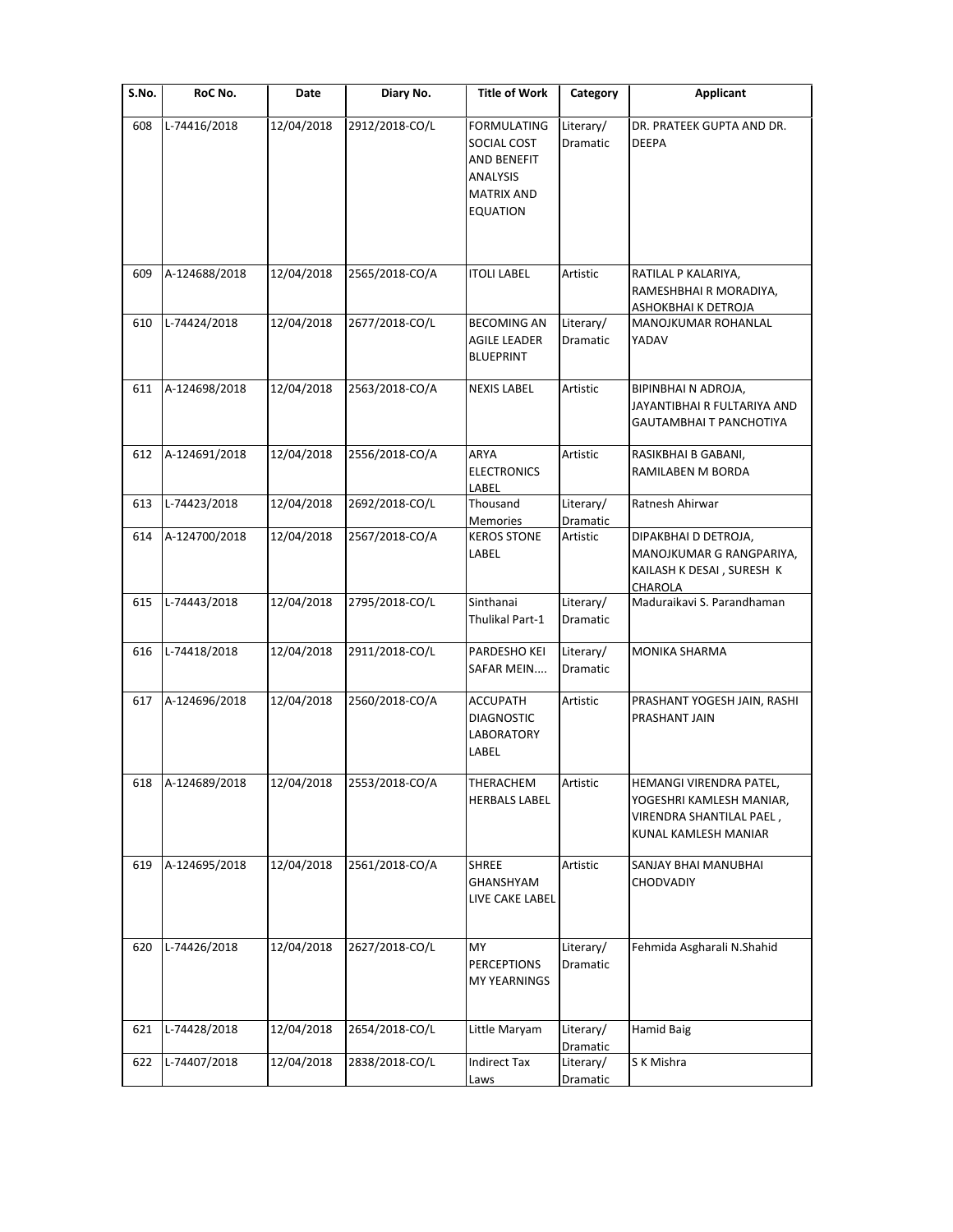| S.No. | RoC No.       | Date       | Diary No.      | <b>Title of Work</b>                                                                                 | Category              | <b>Applicant</b>                                                                                        |
|-------|---------------|------------|----------------|------------------------------------------------------------------------------------------------------|-----------------------|---------------------------------------------------------------------------------------------------------|
| 608   | L-74416/2018  | 12/04/2018 | 2912/2018-CO/L | <b>FORMULATING</b><br>SOCIAL COST<br>AND BENEFIT<br>ANALYSIS<br><b>MATRIX AND</b><br><b>EQUATION</b> | Literary/<br>Dramatic | DR. PRATEEK GUPTA AND DR.<br><b>DEEPA</b>                                                               |
| 609   | A-124688/2018 | 12/04/2018 | 2565/2018-CO/A | <b>ITOLI LABEL</b>                                                                                   | Artistic              | RATILAL P KALARIYA,                                                                                     |
|       |               |            |                |                                                                                                      |                       | RAMESHBHAI R MORADIYA,<br>ASHOKBHAI K DETROJA                                                           |
| 610   | L-74424/2018  | 12/04/2018 | 2677/2018-CO/L | <b>BECOMING AN</b><br>AGILE LEADER<br><b>BLUEPRINT</b>                                               | Literary/<br>Dramatic | MANOJKUMAR ROHANLAL<br>YADAV                                                                            |
| 611   | A-124698/2018 | 12/04/2018 | 2563/2018-CO/A | <b>NEXIS LABEL</b>                                                                                   | Artistic              | BIPINBHAI N ADROJA,<br>JAYANTIBHAI R FULTARIYA AND<br>GAUTAMBHAI T PANCHOTIYA                           |
| 612   | A-124691/2018 | 12/04/2018 | 2556/2018-CO/A | ARYA<br><b>ELECTRONICS</b><br>LABEL                                                                  | Artistic              | RASIKBHAI B GABANI,<br>RAMILABEN M BORDA                                                                |
| 613   | L-74423/2018  | 12/04/2018 | 2692/2018-CO/L | Thousand<br>Memories                                                                                 | Literary/<br>Dramatic | Ratnesh Ahirwar                                                                                         |
| 614   | A-124700/2018 | 12/04/2018 | 2567/2018-CO/A | <b>KEROS STONE</b><br>LABEL                                                                          | Artistic              | DIPAKBHAI D DETROJA,<br>MANOJKUMAR G RANGPARIYA,<br>KAILASH K DESAI, SURESH K<br>CHAROLA                |
| 615   | L-74443/2018  | 12/04/2018 | 2795/2018-CO/L | Sinthanai<br>Thulikal Part-1                                                                         | Literary/<br>Dramatic | Maduraikavi S. Parandhaman                                                                              |
| 616   | L-74418/2018  | 12/04/2018 | 2911/2018-CO/L | PARDESHO KEI<br>SAFAR MEIN                                                                           | Literary/<br>Dramatic | MONIKA SHARMA                                                                                           |
| 617   | A-124696/2018 | 12/04/2018 | 2560/2018-CO/A | <b>ACCUPATH</b><br><b>DIAGNOSTIC</b><br>LABORATORY<br>LABEL                                          | Artistic              | PRASHANT YOGESH JAIN, RASHI<br>PRASHANT JAIN                                                            |
| 618   | A-124689/2018 | 12/04/2018 | 2553/2018-CO/A | THERACHEM<br><b>HERBALS LABEL</b>                                                                    | Artistic              | HEMANGI VIRENDRA PATEL,<br>YOGESHRI KAMLESH MANIAR,<br>VIRENDRA SHANTILAL PAEL,<br>KUNAL KAMLESH MANIAR |
| 619   | A-124695/2018 | 12/04/2018 | 2561/2018-CO/A | <b>SHREE</b><br><b>GHANSHYAM</b><br>LIVE CAKE LABEL                                                  | Artistic              | SANJAY BHAI MANUBHAI<br><b>CHODVADIY</b>                                                                |
| 620   | L-74426/2018  | 12/04/2018 | 2627/2018-CO/L | MY<br><b>PERCEPTIONS</b><br><b>MY YEARNINGS</b>                                                      | Literary/<br>Dramatic | Fehmida Asgharali N.Shahid                                                                              |
| 621   | L-74428/2018  | 12/04/2018 | 2654/2018-CO/L | Little Maryam                                                                                        | Literary/<br>Dramatic | <b>Hamid Baig</b>                                                                                       |
| 622   | L-74407/2018  | 12/04/2018 | 2838/2018-CO/L | Indirect Tax<br>Laws                                                                                 | Literary/<br>Dramatic | S K Mishra                                                                                              |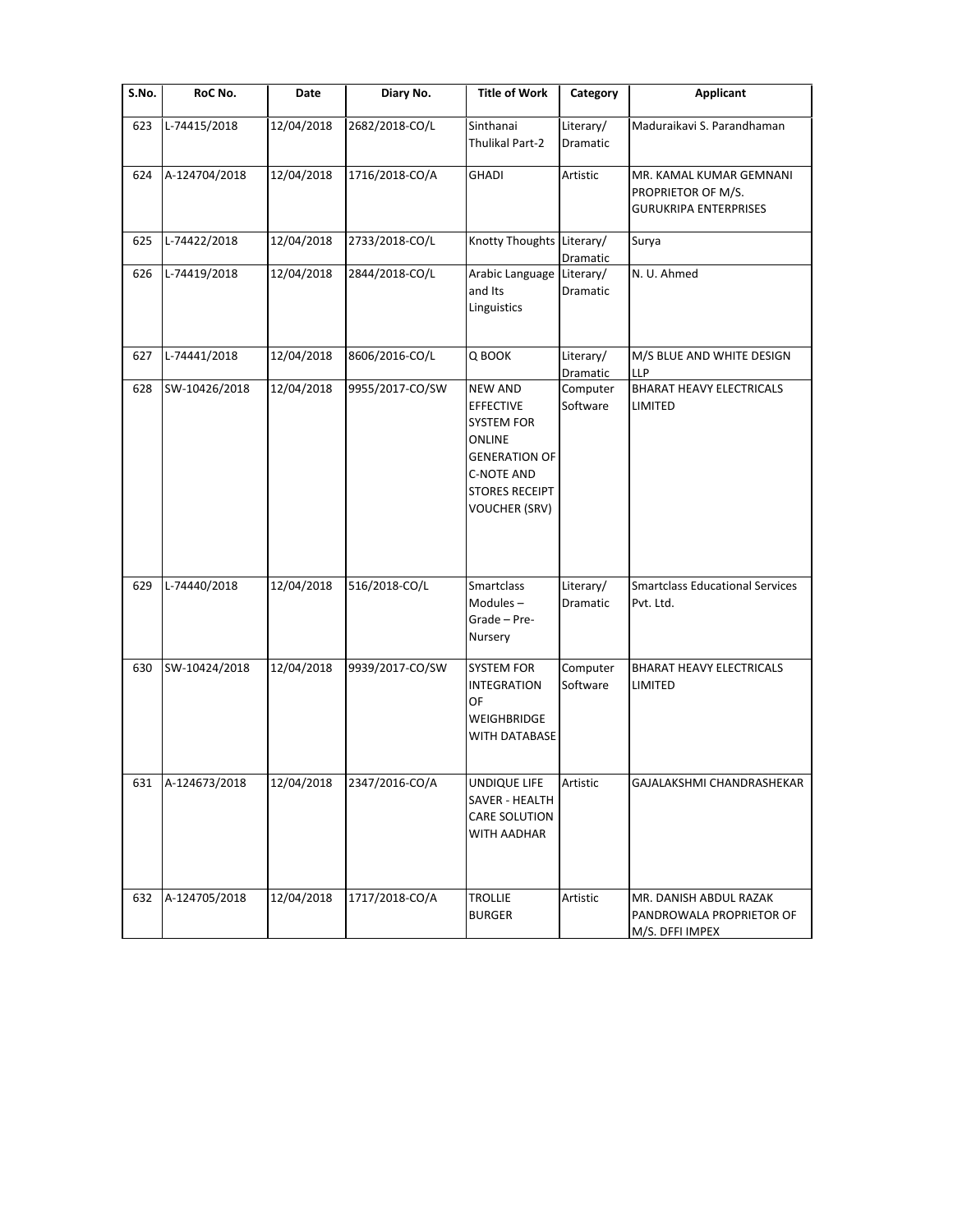| $\overline{\mathsf{S}}$ . No. | RoC No.       | Date       | Diary No.       | <b>Title of Work</b>                                                                                                                                                   | Category                         | <b>Applicant</b>                                                              |
|-------------------------------|---------------|------------|-----------------|------------------------------------------------------------------------------------------------------------------------------------------------------------------------|----------------------------------|-------------------------------------------------------------------------------|
| 623                           | L-74415/2018  | 12/04/2018 | 2682/2018-CO/L  | Sinthanai<br>Thulikal Part-2                                                                                                                                           | Literary/<br>Dramatic            | Maduraikavi S. Parandhaman                                                    |
| 624                           | A-124704/2018 | 12/04/2018 | 1716/2018-CO/A  | <b>GHADI</b>                                                                                                                                                           | Artistic                         | MR. KAMAL KUMAR GEMNANI<br>PROPRIETOR OF M/S.<br><b>GURUKRIPA ENTERPRISES</b> |
| 625                           | L-74422/2018  | 12/04/2018 | 2733/2018-CO/L  | Knotty Thoughts Literary/                                                                                                                                              | Dramatic                         | Surya                                                                         |
| 626                           | L-74419/2018  | 12/04/2018 | 2844/2018-CO/L  | Arabic Language<br>and Its<br>Linguistics                                                                                                                              | Literary/<br>Dramatic            | N. U. Ahmed                                                                   |
| 627                           | L-74441/2018  | 12/04/2018 | 8606/2016-CO/L  | Q BOOK                                                                                                                                                                 | Literary/                        | M/S BLUE AND WHITE DESIGN<br>LLP                                              |
| 628                           | SW-10426/2018 | 12/04/2018 | 9955/2017-CO/SW | <b>NEW AND</b><br><b>EFFECTIVE</b><br><b>SYSTEM FOR</b><br><b>ONLINE</b><br><b>GENERATION OF</b><br><b>C-NOTE AND</b><br><b>STORES RECEIPT</b><br><b>VOUCHER (SRV)</b> | Dramatic<br>Computer<br>Software | BHARAT HEAVY ELECTRICALS<br>LIMITED                                           |
| 629                           | L-74440/2018  | 12/04/2018 | 516/2018-CO/L   | Smartclass<br>Modules-<br>Grade - Pre-<br>Nursery                                                                                                                      | Literary/<br>Dramatic            | <b>Smartclass Educational Services</b><br>Pvt. Ltd.                           |
| 630                           | SW-10424/2018 | 12/04/2018 | 9939/2017-CO/SW | <b>SYSTEM FOR</b><br><b>INTEGRATION</b><br>OF<br>WEIGHBRIDGE<br>WITH DATABASE                                                                                          | Computer<br>Software             | <b>BHARAT HEAVY ELECTRICALS</b><br>LIMITED                                    |
| 631                           | A-124673/2018 | 12/04/2018 | 2347/2016-CO/A  | <b>UNDIQUE LIFE</b><br>SAVER - HEALTH<br>CARE SOLUTION<br>WITH AADHAR                                                                                                  | Artistic                         | GAJALAKSHMI CHANDRASHEKAR                                                     |
| 632                           | A-124705/2018 | 12/04/2018 | 1717/2018-CO/A  | <b>TROLLIE</b><br><b>BURGER</b>                                                                                                                                        | Artistic                         | MR. DANISH ABDUL RAZAK<br>PANDROWALA PROPRIETOR OF<br>M/S. DFFI IMPEX         |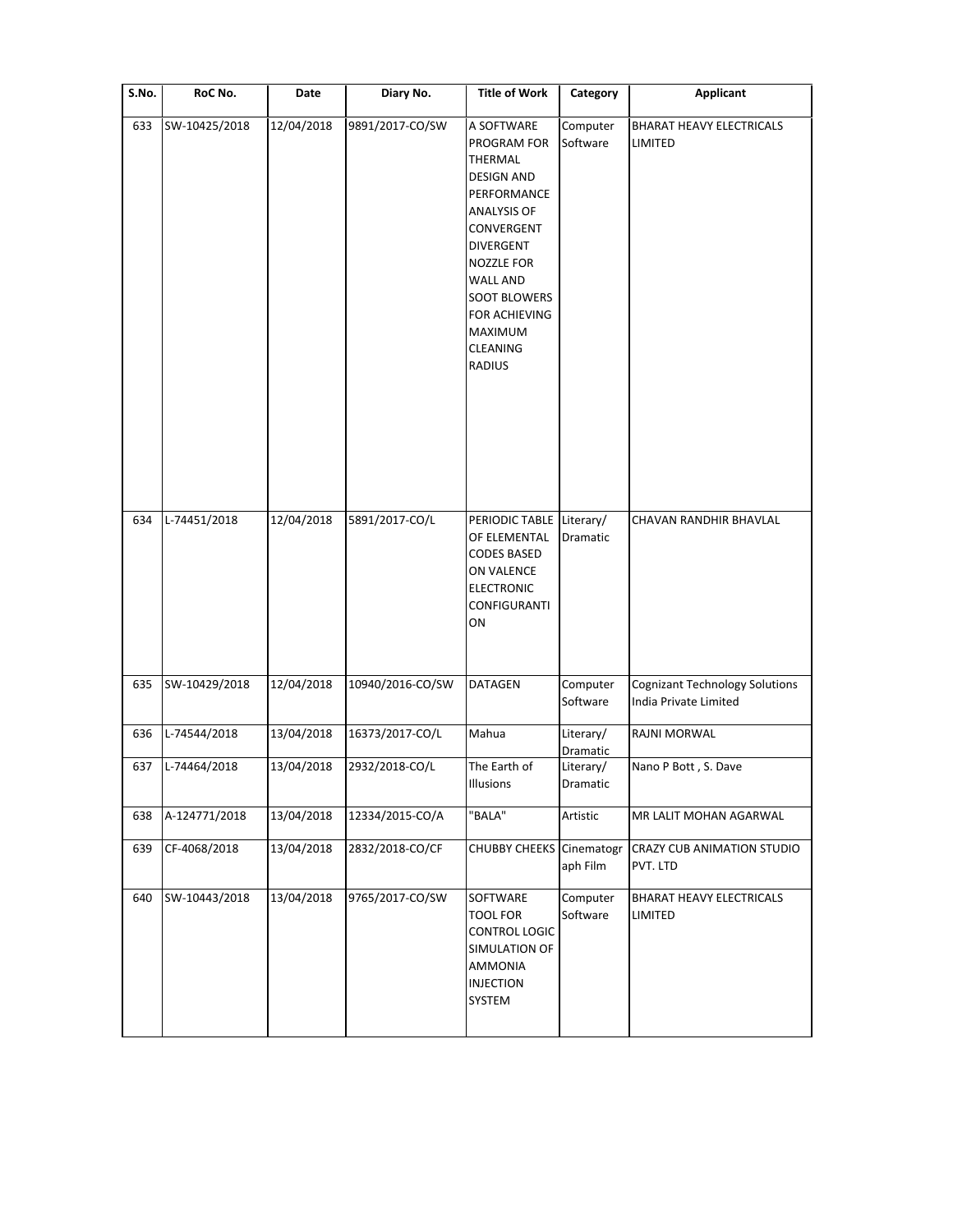| S.No. | RoC No.       | Date       | Diary No.        | <b>Title of Work</b>                                                                                                                                                                                                                       | Category               | <b>Applicant</b>                                               |
|-------|---------------|------------|------------------|--------------------------------------------------------------------------------------------------------------------------------------------------------------------------------------------------------------------------------------------|------------------------|----------------------------------------------------------------|
| 633   | SW-10425/2018 | 12/04/2018 | 9891/2017-CO/SW  | A SOFTWARE<br>PROGRAM FOR<br>THERMAL<br><b>DESIGN AND</b><br>PERFORMANCE<br>ANALYSIS OF<br>CONVERGENT<br><b>DIVERGENT</b><br>NOZZLE FOR<br><b>WALL AND</b><br><b>SOOT BLOWERS</b><br>FOR ACHIEVING<br>MAXIMUM<br><b>CLEANING</b><br>RADIUS | Computer<br>Software   | <b>BHARAT HEAVY ELECTRICALS</b><br>LIMITED                     |
| 634   | L-74451/2018  | 12/04/2018 | 5891/2017-CO/L   | PERIODIC TABLE<br>OF ELEMENTAL<br><b>CODES BASED</b><br>ON VALENCE<br><b>ELECTRONIC</b><br>CONFIGURANTI<br>ON                                                                                                                              | Literary/<br>Dramatic  | CHAVAN RANDHIR BHAVLAL                                         |
| 635   | SW-10429/2018 | 12/04/2018 | 10940/2016-CO/SW | <b>DATAGEN</b>                                                                                                                                                                                                                             | Computer<br>Software   | <b>Cognizant Technology Solutions</b><br>India Private Limited |
| 636   | L-74544/2018  | 13/04/2018 | 16373/2017-CO/L  | Mahua                                                                                                                                                                                                                                      | Literary/<br>Dramatic  | RAJNI MORWAL                                                   |
| 637   | L-74464/2018  | 13/04/2018 | 2932/2018-CO/L   | The Earth of<br>Illusions                                                                                                                                                                                                                  | Literary/<br>Dramatic  | Nano P Bott, S. Dave                                           |
| 638   | A-124771/2018 | 13/04/2018 | 12334/2015-CO/A  | "BALA"                                                                                                                                                                                                                                     | Artistic               | MR LALIT MOHAN AGARWAL                                         |
| 639   | CF-4068/2018  | 13/04/2018 | 2832/2018-CO/CF  | <b>CHUBBY CHEEKS</b>                                                                                                                                                                                                                       | Cinematogr<br>aph Film | CRAZY CUB ANIMATION STUDIO<br>PVT. LTD                         |
| 640   | SW-10443/2018 | 13/04/2018 | 9765/2017-CO/SW  | SOFTWARE<br>TOOL FOR<br>CONTROL LOGIC<br>SIMULATION OF<br>AMMONIA<br><b>INJECTION</b><br>SYSTEM                                                                                                                                            | Computer<br>Software   | <b>BHARAT HEAVY ELECTRICALS</b><br>LIMITED                     |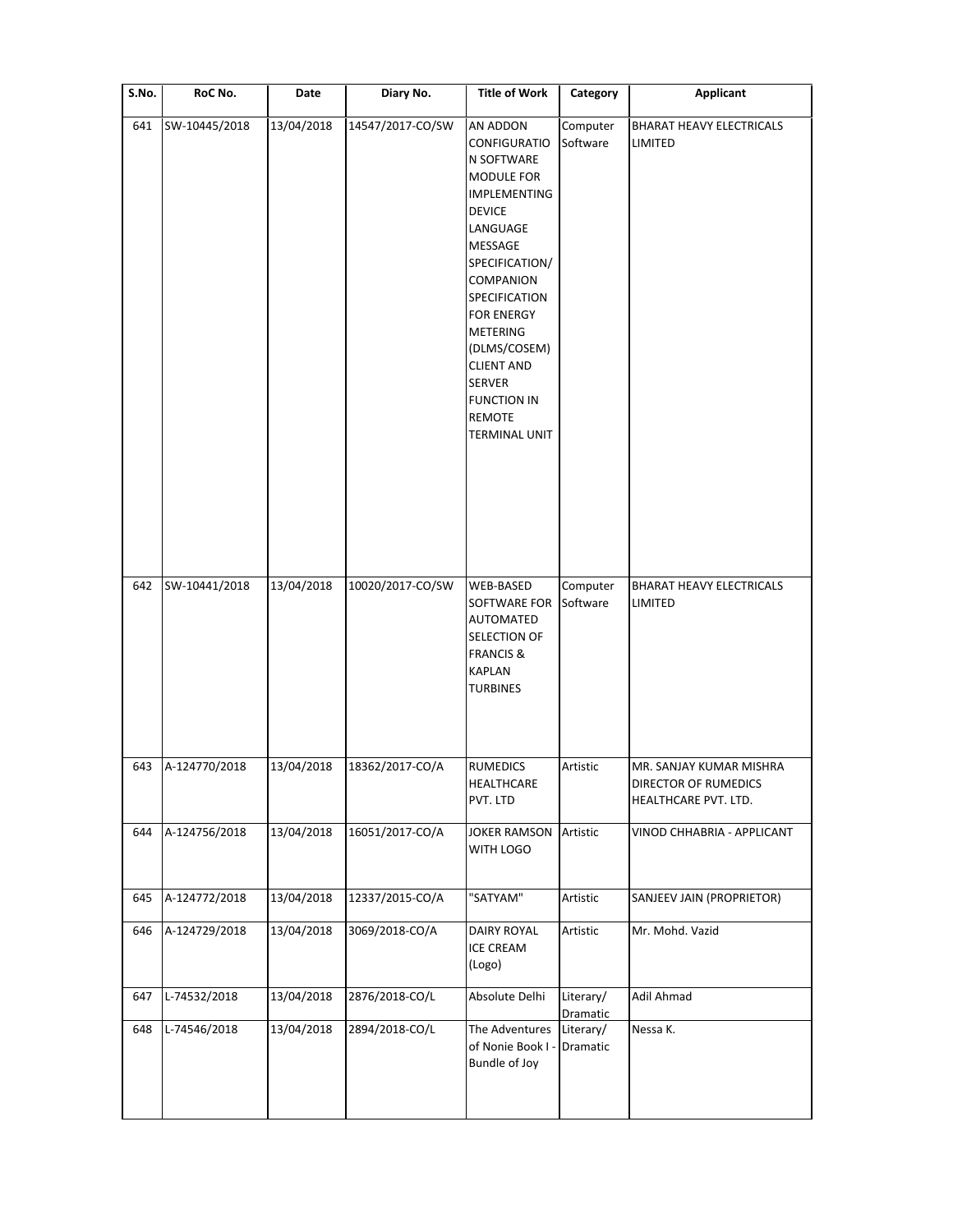| S.No. | RoC No.       | Date       | Diary No.        | <b>Title of Work</b>                                                                                                                                                                                                                                                                                                                    | Category              | Applicant                                                               |
|-------|---------------|------------|------------------|-----------------------------------------------------------------------------------------------------------------------------------------------------------------------------------------------------------------------------------------------------------------------------------------------------------------------------------------|-----------------------|-------------------------------------------------------------------------|
| 641   | SW-10445/2018 | 13/04/2018 | 14547/2017-CO/SW | AN ADDON<br>CONFIGURATIO<br>N SOFTWARE<br>MODULE FOR<br>IMPLEMENTING<br><b>DEVICE</b><br>LANGUAGE<br>MESSAGE<br>SPECIFICATION/<br><b>COMPANION</b><br><b>SPECIFICATION</b><br><b>FOR ENERGY</b><br><b>METERING</b><br>(DLMS/COSEM)<br><b>CLIENT AND</b><br><b>SERVER</b><br><b>FUNCTION IN</b><br><b>REMOTE</b><br><b>TERMINAL UNIT</b> | Computer<br>Software  | <b>BHARAT HEAVY ELECTRICALS</b><br>LIMITED                              |
| 642   | SW-10441/2018 | 13/04/2018 | 10020/2017-CO/SW | WEB-BASED<br>SOFTWARE FOR<br><b>AUTOMATED</b><br>SELECTION OF<br><b>FRANCIS &amp;</b><br><b>KAPLAN</b><br><b>TURBINES</b>                                                                                                                                                                                                               | Computer<br>Software  | <b>BHARAT HEAVY ELECTRICALS</b><br>LIMITED                              |
| 643   | A-124770/2018 | 13/04/2018 | 18362/2017-CO/A  | RUMEDICS<br>HEALTHCARE<br>PVT. LTD                                                                                                                                                                                                                                                                                                      | Artistic              | MR. SANJAY KUMAR MISHRA<br>DIRECTOR OF RUMEDICS<br>HEALTHCARE PVT. LTD. |
| 644   | A-124756/2018 | 13/04/2018 | 16051/2017-CO/A  | <b>JOKER RAMSON</b><br>WITH LOGO                                                                                                                                                                                                                                                                                                        | Artistic              | VINOD CHHABRIA - APPLICANT                                              |
| 645   | A-124772/2018 | 13/04/2018 | 12337/2015-CO/A  | "SATYAM"                                                                                                                                                                                                                                                                                                                                | Artistic              | SANJEEV JAIN (PROPRIETOR)                                               |
| 646   | A-124729/2018 | 13/04/2018 | 3069/2018-CO/A   | <b>DAIRY ROYAL</b><br><b>ICE CREAM</b><br>(Logo)                                                                                                                                                                                                                                                                                        | Artistic              | Mr. Mohd. Vazid                                                         |
| 647   | L-74532/2018  | 13/04/2018 | 2876/2018-CO/L   | Absolute Delhi                                                                                                                                                                                                                                                                                                                          | Literary/<br>Dramatic | Adil Ahmad                                                              |
| 648   | L-74546/2018  | 13/04/2018 | 2894/2018-CO/L   | The Adventures<br>of Nonie Book I -<br>Bundle of Joy                                                                                                                                                                                                                                                                                    | Literary/<br>Dramatic | Nessa K.                                                                |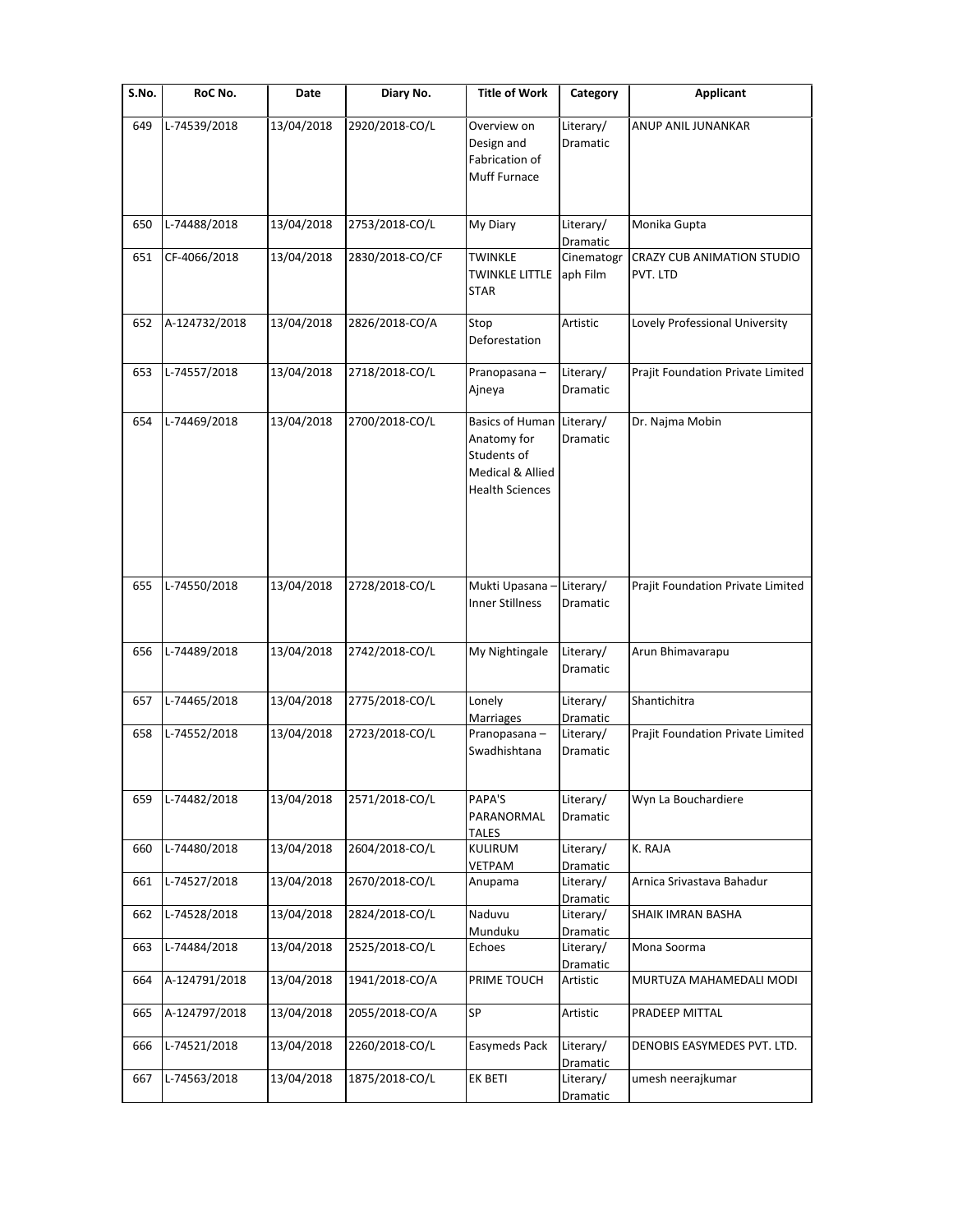| S.No. | RoC No.       | Date       | Diary No.       | <b>Title of Work</b>                                                                               | Category                          | Applicant                                     |
|-------|---------------|------------|-----------------|----------------------------------------------------------------------------------------------------|-----------------------------------|-----------------------------------------------|
| 649   | L-74539/2018  | 13/04/2018 | 2920/2018-CO/L  | Overview on<br>Design and<br>Fabrication of<br>Muff Furnace                                        | Literary/<br>Dramatic             | ANUP ANIL JUNANKAR                            |
| 650   | L-74488/2018  | 13/04/2018 | 2753/2018-CO/L  | My Diary                                                                                           | Literary/<br>Dramatic             | Monika Gupta                                  |
| 651   | CF-4066/2018  | 13/04/2018 | 2830/2018-CO/CF | <b>TWINKLE</b><br><b>TWINKLE LITTLE</b><br><b>STAR</b>                                             | Cinematogr<br>aph Film            | <b>CRAZY CUB ANIMATION STUDIO</b><br>PVT. LTD |
| 652   | A-124732/2018 | 13/04/2018 | 2826/2018-CO/A  | Stop<br>Deforestation                                                                              | Artistic                          | Lovely Professional University                |
| 653   | L-74557/2018  | 13/04/2018 | 2718/2018-CO/L  | Pranopasana-<br>Ajneya                                                                             | Literary/<br>Dramatic             | Prajit Foundation Private Limited             |
| 654   | L-74469/2018  | 13/04/2018 | 2700/2018-CO/L  | <b>Basics of Human</b><br>Anatomy for<br>Students of<br>Medical & Allied<br><b>Health Sciences</b> | Literary/<br>Dramatic             | Dr. Najma Mobin                               |
| 655   | L-74550/2018  | 13/04/2018 | 2728/2018-CO/L  | Mukti Upasana-<br>Inner Stillness                                                                  | Literary/<br>Dramatic             | Prajit Foundation Private Limited             |
| 656   | L-74489/2018  | 13/04/2018 | 2742/2018-CO/L  | My Nightingale                                                                                     | Literary/<br>Dramatic             | Arun Bhimavarapu                              |
| 657   | L-74465/2018  | 13/04/2018 | 2775/2018-CO/L  | Lonely<br>Marriages                                                                                | Literary/<br>Dramatic             | Shantichitra                                  |
| 658   | L-74552/2018  | 13/04/2018 | 2723/2018-CO/L  | Pranopasana-<br>Swadhishtana                                                                       | Literary/<br><b>Dramatic</b>      | Prajit Foundation Private Limited             |
| 659   | L-74482/2018  | 13/04/2018 | 2571/2018-CO/L  | PAPA'S<br>PARANORMAL<br>TALES                                                                      | Literary/<br>Dramatic             | Wyn La Bouchardiere                           |
| 660   | L-74480/2018  | 13/04/2018 | 2604/2018-CO/L  | KULIRUM<br>VETPAM                                                                                  | Literary/<br>Dramatic             | K. RAJA                                       |
| 661   | L-74527/2018  | 13/04/2018 | 2670/2018-CO/L  | Anupama                                                                                            | Literary/                         | Arnica Srivastava Bahadur                     |
| 662   | L-74528/2018  | 13/04/2018 | 2824/2018-CO/L  | Naduvu<br>Munduku                                                                                  | Dramatic<br>Literary/<br>Dramatic | SHAIK IMRAN BASHA                             |
| 663   | L-74484/2018  | 13/04/2018 | 2525/2018-CO/L  | Echoes                                                                                             | Literary/<br>Dramatic             | Mona Soorma                                   |
| 664   | A-124791/2018 | 13/04/2018 | 1941/2018-CO/A  | PRIME TOUCH                                                                                        | Artistic                          | MURTUZA MAHAMEDALI MODI                       |
| 665   | A-124797/2018 | 13/04/2018 | 2055/2018-CO/A  | SP                                                                                                 | Artistic                          | PRADEEP MITTAL                                |
| 666   | L-74521/2018  | 13/04/2018 | 2260/2018-CO/L  | Easymeds Pack                                                                                      | Literary/<br>Dramatic             | DENOBIS EASYMEDES PVT. LTD.                   |
| 667   | L-74563/2018  | 13/04/2018 | 1875/2018-CO/L  | EK BETI                                                                                            | Literary/<br>Dramatic             | umesh neerajkumar                             |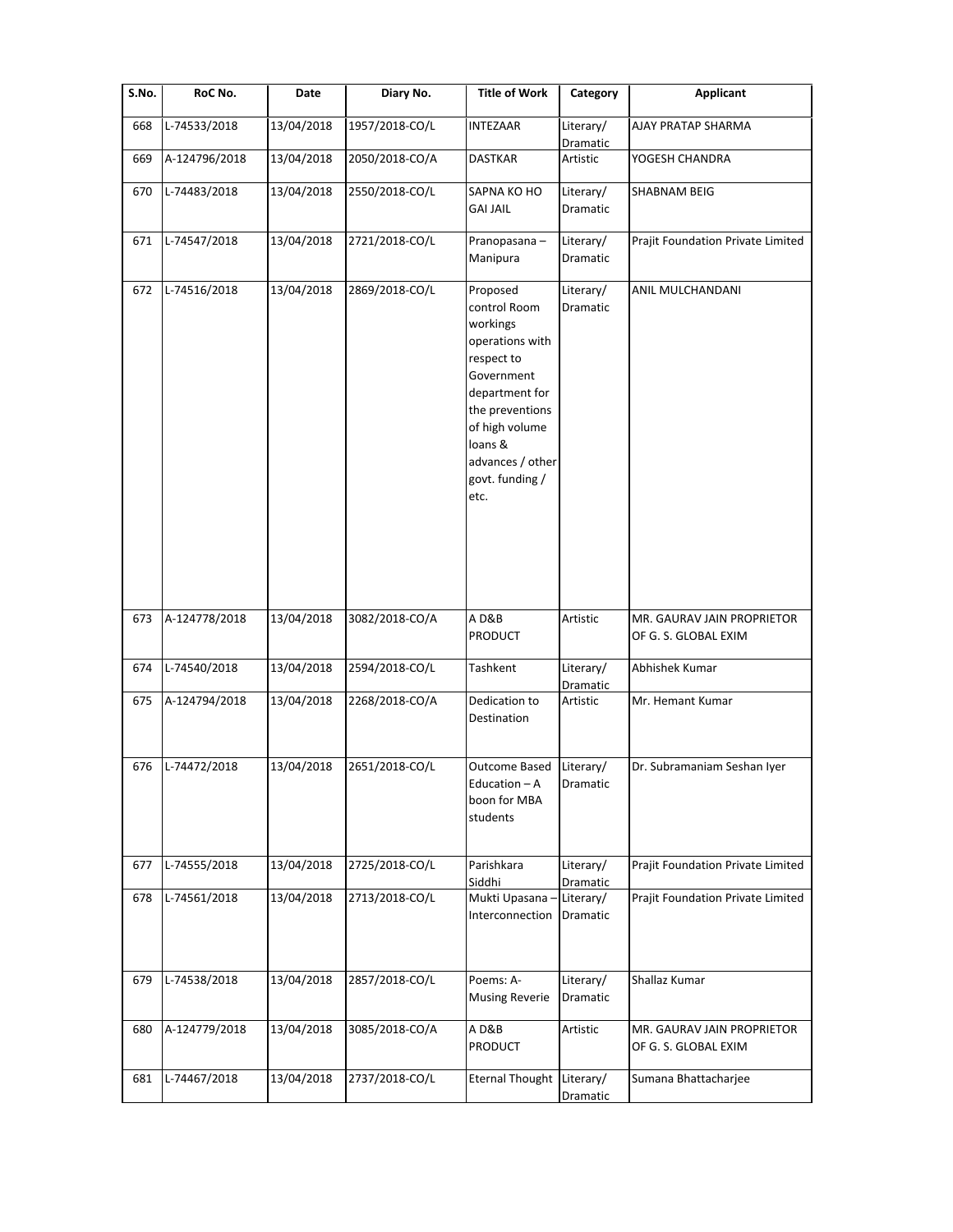| S.No. | RoC No.       | Date       | Diary No.      | <b>Title of Work</b>                                                                                                                                                                                 | Category              | <b>Applicant</b>                                   |
|-------|---------------|------------|----------------|------------------------------------------------------------------------------------------------------------------------------------------------------------------------------------------------------|-----------------------|----------------------------------------------------|
| 668   | L-74533/2018  | 13/04/2018 | 1957/2018-CO/L | INTEZAAR                                                                                                                                                                                             | Literary/<br>Dramatic | AJAY PRATAP SHARMA                                 |
| 669   | A-124796/2018 | 13/04/2018 | 2050/2018-CO/A | <b>DASTKAR</b>                                                                                                                                                                                       | Artistic              | YOGESH CHANDRA                                     |
| 670   | L-74483/2018  | 13/04/2018 | 2550/2018-CO/L | SAPNA KO HO<br><b>GAI JAIL</b>                                                                                                                                                                       | Literary/<br>Dramatic | <b>SHABNAM BEIG</b>                                |
| 671   | L-74547/2018  | 13/04/2018 | 2721/2018-CO/L | Pranopasana-<br>Manipura                                                                                                                                                                             | Literary/<br>Dramatic | Prajit Foundation Private Limited                  |
| 672   | L-74516/2018  | 13/04/2018 | 2869/2018-CO/L | Proposed<br>control Room<br>workings<br>operations with<br>respect to<br>Government<br>department for<br>the preventions<br>of high volume<br>loans &<br>advances / other<br>govt. funding /<br>etc. | Literary/<br>Dramatic | ANIL MULCHANDANI                                   |
| 673   | A-124778/2018 | 13/04/2018 | 3082/2018-CO/A | AD&B<br>PRODUCT                                                                                                                                                                                      | Artistic              | MR. GAURAV JAIN PROPRIETOR<br>OF G. S. GLOBAL EXIM |
| 674   | L-74540/2018  | 13/04/2018 | 2594/2018-CO/L | Tashkent                                                                                                                                                                                             | Literary/<br>Dramatic | Abhishek Kumar                                     |
| 675   | A-124794/2018 | 13/04/2018 | 2268/2018-CO/A | Dedication to<br>Destination                                                                                                                                                                         | Artistic              | Mr. Hemant Kumar                                   |
| 676   | L-74472/2018  | 13/04/2018 | 2651/2018-CO/L | <b>Outcome Based</b><br>Education – A<br>boon for MBA<br>students                                                                                                                                    | Literary/<br>Dramatic | Dr. Subramaniam Seshan Iyer                        |
| 677   | L-74555/2018  | 13/04/2018 | 2725/2018-CO/L | Parishkara<br>Siddhi                                                                                                                                                                                 | Literary/<br>Dramatic | Prajit Foundation Private Limited                  |
| 678   | L-74561/2018  | 13/04/2018 | 2713/2018-CO/L | Mukti Upasana<br>Interconnection                                                                                                                                                                     | Literary/<br>Dramatic | Prajit Foundation Private Limited                  |
| 679   | L-74538/2018  | 13/04/2018 | 2857/2018-CO/L | Poems: A-<br><b>Musing Reverie</b>                                                                                                                                                                   | Literary/<br>Dramatic | Shallaz Kumar                                      |
| 680   | A-124779/2018 | 13/04/2018 | 3085/2018-CO/A | AD&B<br>PRODUCT                                                                                                                                                                                      | Artistic              | MR. GAURAV JAIN PROPRIETOR<br>OF G. S. GLOBAL EXIM |
| 681   | L-74467/2018  | 13/04/2018 | 2737/2018-CO/L | <b>Eternal Thought</b>                                                                                                                                                                               | Literary/<br>Dramatic | Sumana Bhattacharjee                               |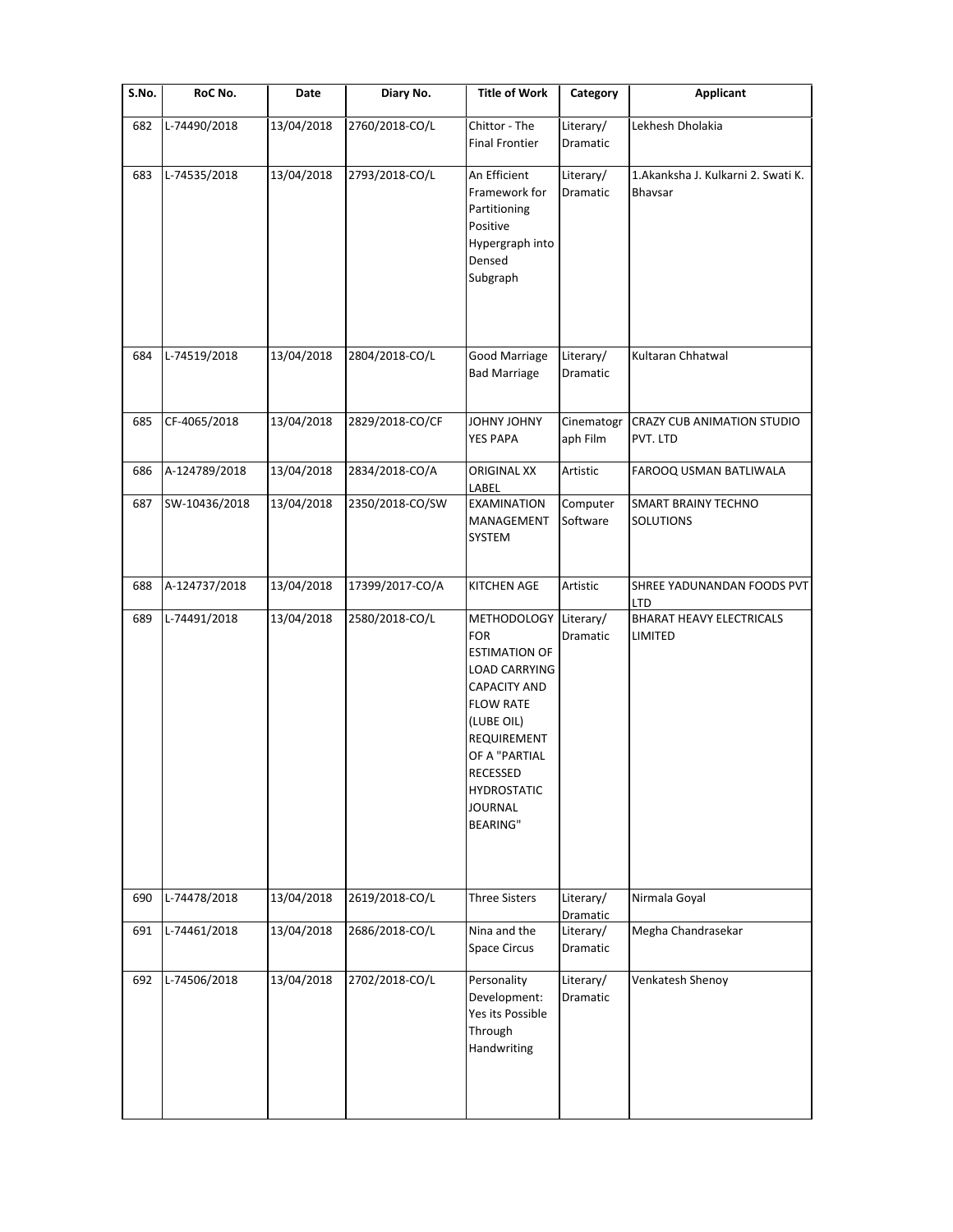| S.No. | RoC No.       | Date       | Diary No.       | <b>Title of Work</b>                                                                                                                                                                                                                             | Category               | Applicant                                     |
|-------|---------------|------------|-----------------|--------------------------------------------------------------------------------------------------------------------------------------------------------------------------------------------------------------------------------------------------|------------------------|-----------------------------------------------|
| 682   | L-74490/2018  | 13/04/2018 | 2760/2018-CO/L  | Chittor - The<br><b>Final Frontier</b>                                                                                                                                                                                                           | Literary/<br>Dramatic  | Lekhesh Dholakia                              |
| 683   | L-74535/2018  | 13/04/2018 | 2793/2018-CO/L  | An Efficient<br>Framework for<br>Partitioning<br>Positive<br>Hypergraph into<br>Densed<br>Subgraph                                                                                                                                               | Literary/<br>Dramatic  | 1.Akanksha J. Kulkarni 2. Swati K.<br>Bhavsar |
| 684   | L-74519/2018  | 13/04/2018 | 2804/2018-CO/L  | Good Marriage<br><b>Bad Marriage</b>                                                                                                                                                                                                             | Literary/<br>Dramatic  | Kultaran Chhatwal                             |
| 685   | CF-4065/2018  | 13/04/2018 | 2829/2018-CO/CF | <b>YAHOL YAHOL</b><br>YES PAPA                                                                                                                                                                                                                   | Cinematogr<br>aph Film | CRAZY CUB ANIMATION STUDIO<br>PVT. LTD        |
| 686   | A-124789/2018 | 13/04/2018 | 2834/2018-CO/A  | <b>ORIGINAL XX</b><br>LABEL                                                                                                                                                                                                                      | Artistic               | FAROOQ USMAN BATLIWALA                        |
| 687   | SW-10436/2018 | 13/04/2018 | 2350/2018-CO/SW | <b>EXAMINATION</b><br>MANAGEMENT<br>SYSTEM                                                                                                                                                                                                       | Computer<br>Software   | <b>SMART BRAINY TECHNO</b><br>SOLUTIONS       |
| 688   | A-124737/2018 | 13/04/2018 | 17399/2017-CO/A | <b>KITCHEN AGE</b>                                                                                                                                                                                                                               | Artistic               | SHREE YADUNANDAN FOODS PVT<br>LTD             |
| 689   | L-74491/2018  | 13/04/2018 | 2580/2018-CO/L  | <b>METHODOLOGY</b><br><b>FOR</b><br><b>ESTIMATION OF</b><br><b>LOAD CARRYING</b><br><b>CAPACITY AND</b><br><b>FLOW RATE</b><br>(LUBE OIL)<br>REQUIREMENT<br>OF A "PARTIAL<br>RECESSED<br><b>HYDROSTATIC</b><br><b>JOURNAL</b><br><b>BEARING"</b> | Literary/<br>Dramatic  | <b>BHARAT HEAVY ELECTRICALS</b><br>LIMITED    |
| 690   | L-74478/2018  | 13/04/2018 | 2619/2018-CO/L  | <b>Three Sisters</b>                                                                                                                                                                                                                             | Literary/<br>Dramatic  | Nirmala Goyal                                 |
| 691   | L-74461/2018  | 13/04/2018 | 2686/2018-CO/L  | Nina and the<br>Space Circus                                                                                                                                                                                                                     | Literary/<br>Dramatic  | Megha Chandrasekar                            |
| 692   | L-74506/2018  | 13/04/2018 | 2702/2018-CO/L  | Personality<br>Development:<br>Yes its Possible<br>Through<br>Handwriting                                                                                                                                                                        | Literary/<br>Dramatic  | Venkatesh Shenoy                              |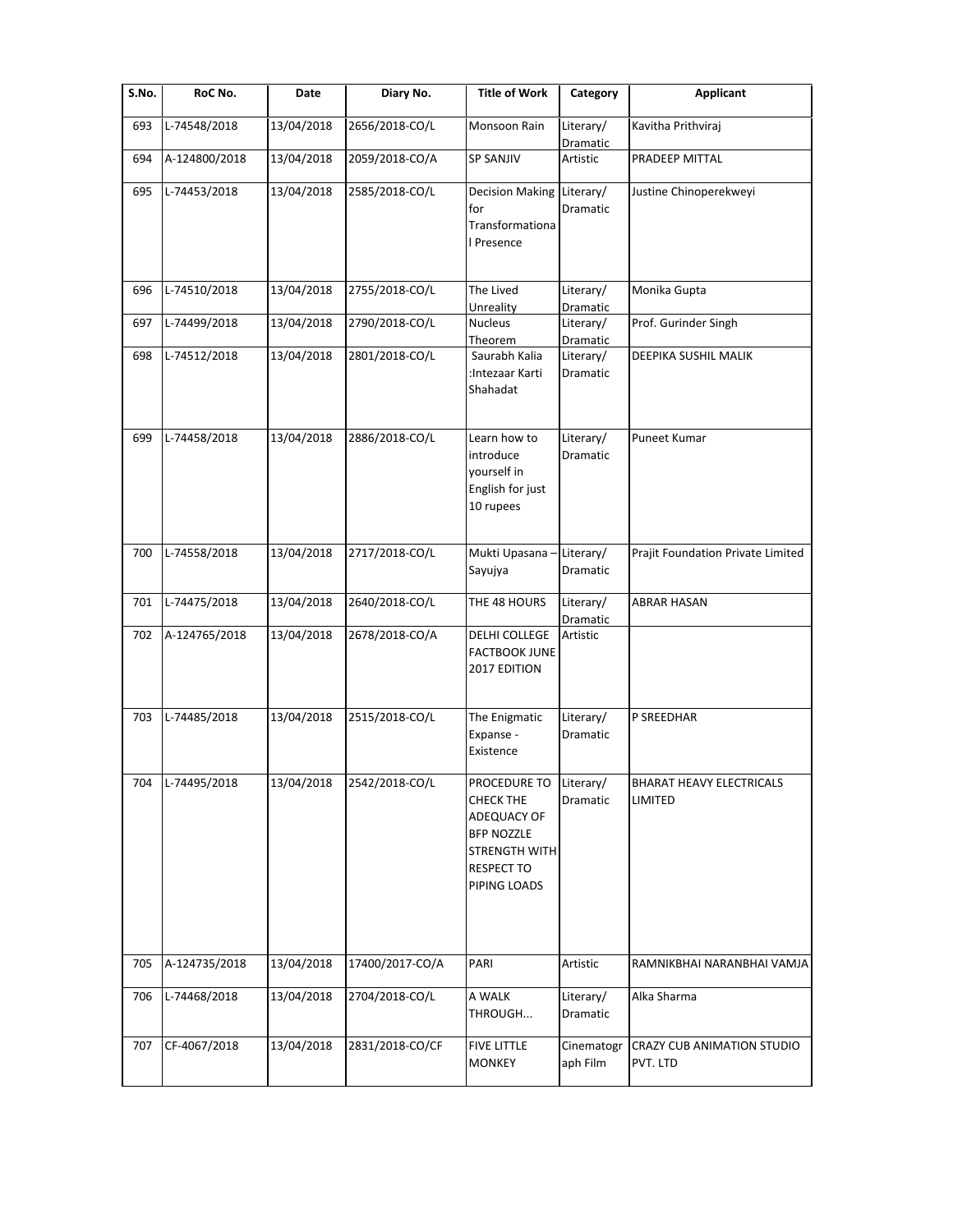| S.No. | RoC No.       | Date       | Diary No.       | <b>Title of Work</b>                                                                                                              | Category                          | <b>Applicant</b>                           |
|-------|---------------|------------|-----------------|-----------------------------------------------------------------------------------------------------------------------------------|-----------------------------------|--------------------------------------------|
| 693   | L-74548/2018  | 13/04/2018 | 2656/2018-CO/L  | Monsoon Rain                                                                                                                      | Literary/<br>Dramatic             | Kavitha Prithviraj                         |
| 694   | A-124800/2018 | 13/04/2018 | 2059/2018-CO/A  | <b>SP SANJIV</b>                                                                                                                  | Artistic                          | PRADEEP MITTAL                             |
| 695   | L-74453/2018  | 13/04/2018 | 2585/2018-CO/L  | <b>Decision Making</b><br>for<br>Transformationa<br>I Presence                                                                    | Literary/<br>Dramatic             | Justine Chinoperekweyi                     |
| 696   | L-74510/2018  | 13/04/2018 | 2755/2018-CO/L  | The Lived<br>Unreality                                                                                                            | Literary/                         | Monika Gupta                               |
| 697   | L-74499/2018  | 13/04/2018 | 2790/2018-CO/L  | <b>Nucleus</b><br>Theorem                                                                                                         | Dramatic<br>Literary/<br>Dramatic | Prof. Gurinder Singh                       |
| 698   | L-74512/2018  | 13/04/2018 | 2801/2018-CO/L  | Saurabh Kalia<br>:Intezaar Karti<br>Shahadat                                                                                      | Literary/<br>Dramatic             | DEEPIKA SUSHIL MALIK                       |
| 699   | L-74458/2018  | 13/04/2018 | 2886/2018-CO/L  | Learn how to<br>introduce<br>yourself in<br>English for just<br>10 rupees                                                         | Literary/<br>Dramatic             | <b>Puneet Kumar</b>                        |
| 700   | L-74558/2018  | 13/04/2018 | 2717/2018-CO/L  | Mukti Upasana -<br>Sayujya                                                                                                        | Literary/<br>Dramatic             | Prajit Foundation Private Limited          |
| 701   | L-74475/2018  | 13/04/2018 | 2640/2018-CO/L  | THE 48 HOURS                                                                                                                      | Literary/<br>Dramatic             | <b>ABRAR HASAN</b>                         |
| 702   | A-124765/2018 | 13/04/2018 | 2678/2018-CO/A  | DELHI COLLEGE<br><b>FACTBOOK JUNE</b><br>2017 EDITION                                                                             | Artistic                          |                                            |
| 703   | L-74485/2018  | 13/04/2018 | 2515/2018-CO/L  | The Enigmatic<br>Expanse -<br>Existence                                                                                           | Literary/<br>Dramatic             | P SREEDHAR                                 |
| 704   | L-74495/2018  | 13/04/2018 | 2542/2018-CO/L  | PROCEDURE TO<br><b>CHECK THE</b><br>ADEQUACY OF<br><b>BFP NOZZLE</b><br><b>STRENGTH WITH</b><br><b>RESPECT TO</b><br>PIPING LOADS | Literary/<br>Dramatic             | <b>BHARAT HEAVY ELECTRICALS</b><br>LIMITED |
| 705   | A-124735/2018 | 13/04/2018 | 17400/2017-CO/A | PARI                                                                                                                              | Artistic                          | RAMNIKBHAI NARANBHAI VAMJA                 |
| 706   | L-74468/2018  | 13/04/2018 | 2704/2018-CO/L  | A WALK<br>THROUGH                                                                                                                 | Literary/<br>Dramatic             | Alka Sharma                                |
| 707   | CF-4067/2018  | 13/04/2018 | 2831/2018-CO/CF | <b>FIVE LITTLE</b><br><b>MONKEY</b>                                                                                               | Cinematogr<br>aph Film            | CRAZY CUB ANIMATION STUDIO<br>PVT. LTD     |
|       |               |            |                 |                                                                                                                                   |                                   |                                            |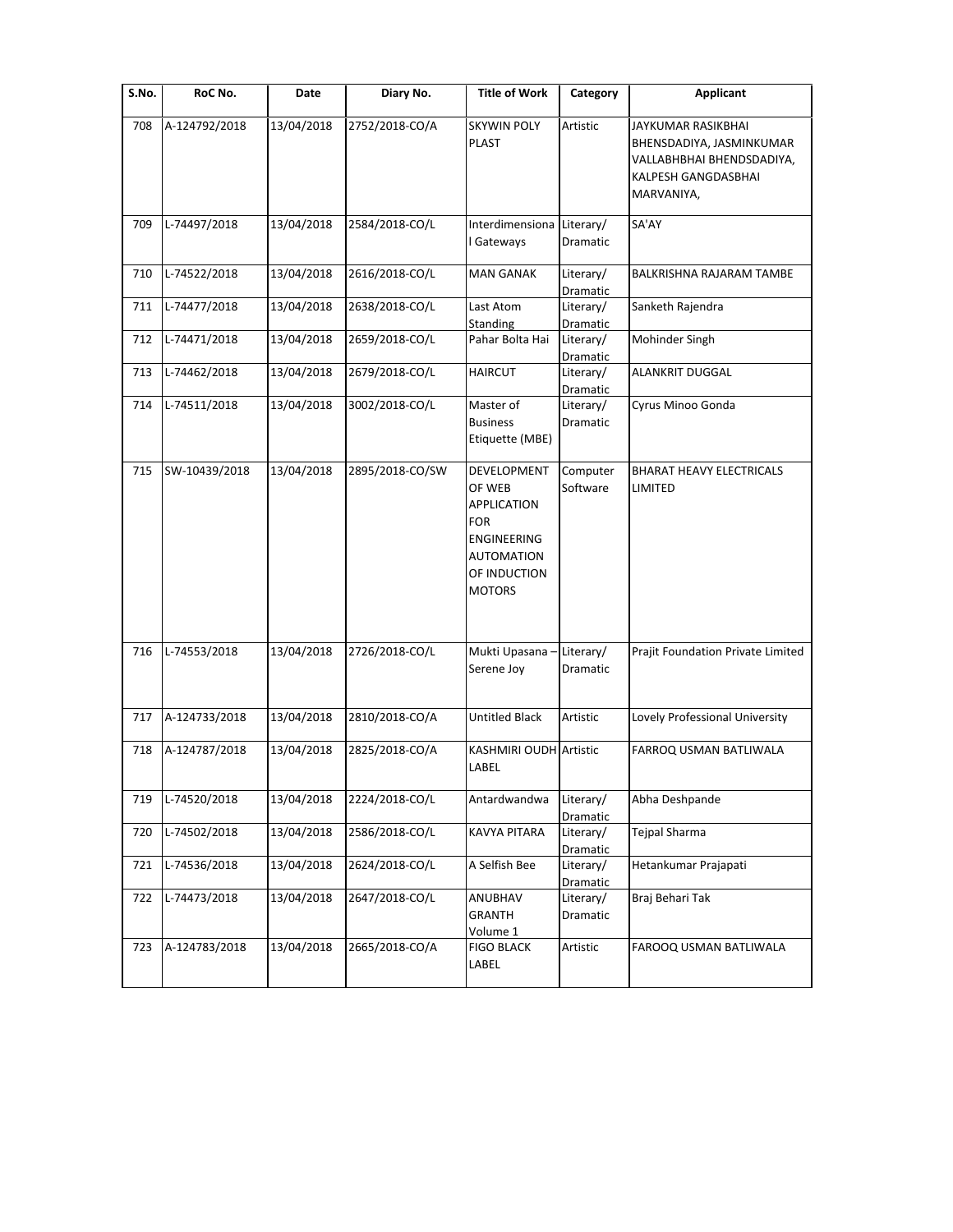| S.No. | RoC No.       | Date       | Diary No.       | <b>Title of Work</b>                                                                                                           | Category              | <b>Applicant</b>                                                                                                 |
|-------|---------------|------------|-----------------|--------------------------------------------------------------------------------------------------------------------------------|-----------------------|------------------------------------------------------------------------------------------------------------------|
| 708   | A-124792/2018 | 13/04/2018 | 2752/2018-CO/A  | <b>SKYWIN POLY</b><br>PLAST                                                                                                    | Artistic              | JAYKUMAR RASIKBHAI<br>BHENSDADIYA, JASMINKUMAR<br>VALLABHBHAI BHENDSDADIYA,<br>KALPESH GANGDASBHAI<br>MARVANIYA, |
| 709   | L-74497/2018  | 13/04/2018 | 2584/2018-CO/L  | Interdimensiona<br>Gateways                                                                                                    | Literary/<br>Dramatic | SA'AY                                                                                                            |
| 710   | L-74522/2018  | 13/04/2018 | 2616/2018-CO/L  | <b>MAN GANAK</b>                                                                                                               | Literary/<br>Dramatic | BALKRISHNA RAJARAM TAMBE                                                                                         |
| 711   | L-74477/2018  | 13/04/2018 | 2638/2018-CO/L  | Last Atom<br>Standing                                                                                                          | Literary/<br>Dramatic | Sanketh Rajendra                                                                                                 |
| 712   | L-74471/2018  | 13/04/2018 | 2659/2018-CO/L  | Pahar Bolta Hai                                                                                                                | Literary/<br>Dramatic | Mohinder Singh                                                                                                   |
| 713   | L-74462/2018  | 13/04/2018 | 2679/2018-CO/L  | <b>HAIRCUT</b>                                                                                                                 | Literary/<br>Dramatic | ALANKRIT DUGGAL                                                                                                  |
| 714   | L-74511/2018  | 13/04/2018 | 3002/2018-CO/L  | Master of<br><b>Business</b><br>Etiquette (MBE)                                                                                | Literary/<br>Dramatic | Cyrus Minoo Gonda                                                                                                |
| 715   | SW-10439/2018 | 13/04/2018 | 2895/2018-CO/SW | <b>DEVELOPMENT</b><br>OF WEB<br><b>APPLICATION</b><br>FOR<br>ENGINEERING<br><b>AUTOMATION</b><br>OF INDUCTION<br><b>MOTORS</b> | Computer<br>Software  | <b>BHARAT HEAVY ELECTRICALS</b><br>LIMITED                                                                       |
| 716   | L-74553/2018  | 13/04/2018 | 2726/2018-CO/L  | Mukti Upasana ·<br>Serene Joy                                                                                                  | Literary/<br>Dramatic | Prajit Foundation Private Limited                                                                                |
| 717   | A-124733/2018 | 13/04/2018 | 2810/2018-CO/A  | <b>Untitled Black</b>                                                                                                          | Artistic              | Lovely Professional University                                                                                   |
| 718   | A-124787/2018 | 13/04/2018 | 2825/2018-CO/A  | <b>KASHMIRI OUDH Artistic</b><br>LABEL                                                                                         |                       | FARROQ USMAN BATLIWALA                                                                                           |
| 719   | L-74520/2018  | 13/04/2018 | 2224/2018-CO/L  | Antardwandwa                                                                                                                   | Literary/<br>Dramatic | Abha Deshpande                                                                                                   |
| 720   | L-74502/2018  | 13/04/2018 | 2586/2018-CO/L  | KAVYA PITARA                                                                                                                   | Literary/<br>Dramatic | Tejpal Sharma                                                                                                    |
| 721   | L-74536/2018  | 13/04/2018 | 2624/2018-CO/L  | A Selfish Bee                                                                                                                  | Literary/<br>Dramatic | Hetankumar Prajapati                                                                                             |
| 722   | L-74473/2018  | 13/04/2018 | 2647/2018-CO/L  | <b>ANUBHAV</b><br><b>GRANTH</b><br>Volume 1                                                                                    | Literary/<br>Dramatic | Braj Behari Tak                                                                                                  |
| 723   | A-124783/2018 | 13/04/2018 | 2665/2018-CO/A  | <b>FIGO BLACK</b><br>LABEL                                                                                                     | Artistic              | FAROOQ USMAN BATLIWALA                                                                                           |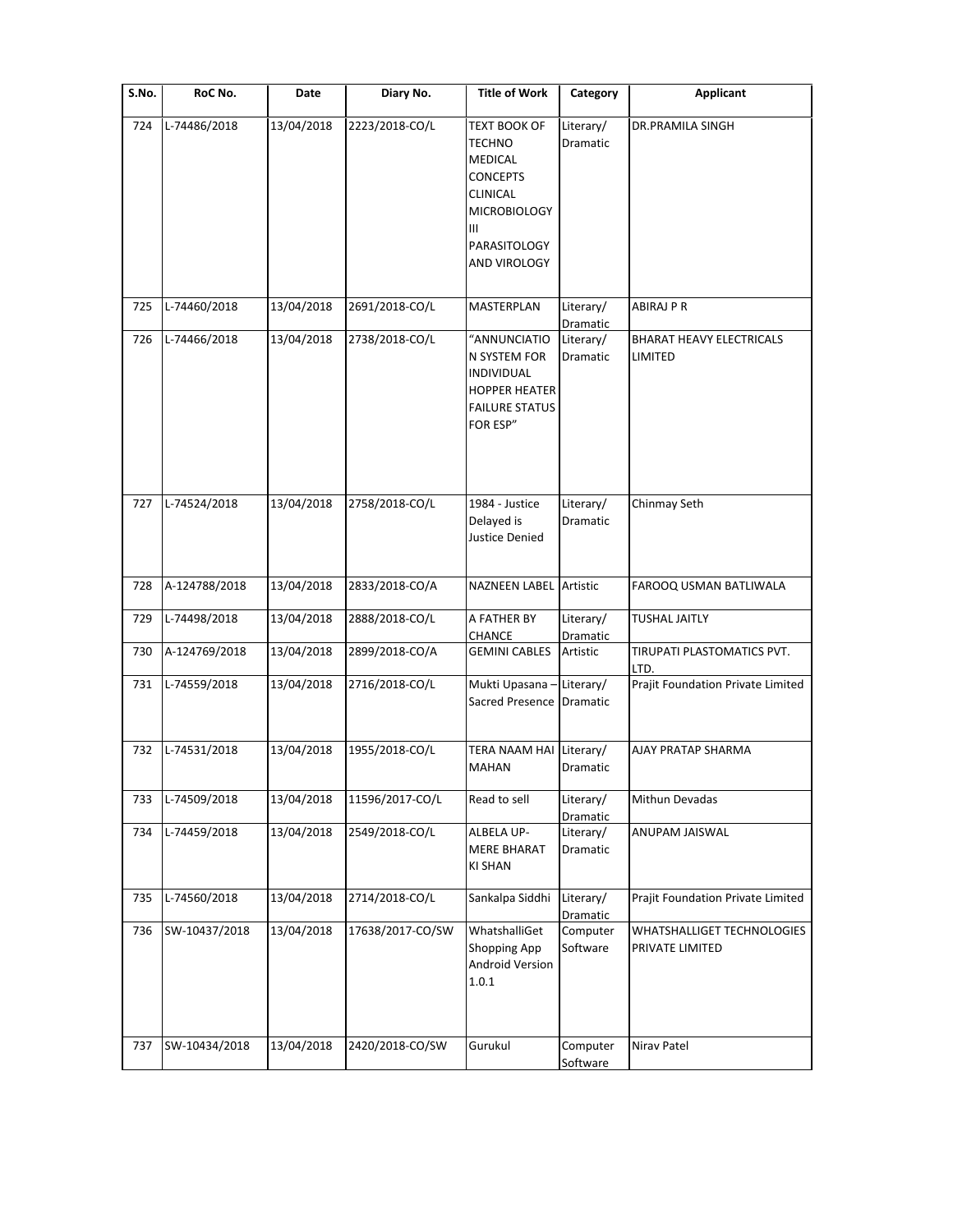| S.No. | RoC No.       | Date       | Diary No.        | <b>Title of Work</b>                                                                                                                       | Category              | Applicant                                     |
|-------|---------------|------------|------------------|--------------------------------------------------------------------------------------------------------------------------------------------|-----------------------|-----------------------------------------------|
| 724   | L-74486/2018  | 13/04/2018 | 2223/2018-CO/L   | <b>TEXT BOOK OF</b><br>TECHNO<br><b>MEDICAL</b><br><b>CONCEPTS</b><br>CLINICAL<br><b>MICROBIOLOGY</b><br>Ш<br>PARASITOLOGY<br>AND VIROLOGY | Literary/<br>Dramatic | <b>DR.PRAMILA SINGH</b>                       |
| 725   | L-74460/2018  | 13/04/2018 | 2691/2018-CO/L   | MASTERPLAN                                                                                                                                 | Literary/<br>Dramatic | ABIRAJ PR                                     |
| 726   | L-74466/2018  | 13/04/2018 | 2738/2018-CO/L   | "ANNUNCIATIO<br>N SYSTEM FOR<br>INDIVIDUAL<br><b>HOPPER HEATER</b><br><b>FAILURE STATUS</b><br>FOR ESP"                                    | Literary/<br>Dramatic | <b>BHARAT HEAVY ELECTRICALS</b><br>LIMITED    |
| 727   | L-74524/2018  | 13/04/2018 | 2758/2018-CO/L   | 1984 - Justice<br>Delayed is<br>Justice Denied                                                                                             | Literary/<br>Dramatic | Chinmay Seth                                  |
| 728   | A-124788/2018 | 13/04/2018 | 2833/2018-CO/A   | <b>NAZNEEN LABEL Artistic</b>                                                                                                              |                       | FAROOQ USMAN BATLIWALA                        |
| 729   | L-74498/2018  | 13/04/2018 | 2888/2018-CO/L   | A FATHER BY<br><b>CHANCE</b>                                                                                                               | Literary/<br>Dramatic | <b>TUSHAL JAITLY</b>                          |
| 730   | A-124769/2018 | 13/04/2018 | 2899/2018-CO/A   | <b>GEMINI CABLES</b>                                                                                                                       | Artistic              | TIRUPATI PLASTOMATICS PVT.<br>LTD.            |
| 731   | L-74559/2018  | 13/04/2018 | 2716/2018-CO/L   | Mukti Upasana -<br>Sacred Presence Dramatic                                                                                                | Literary/             | Prajit Foundation Private Limited             |
| 732   | L-74531/2018  | 13/04/2018 | 1955/2018-CO/L   | TERA NAAM HAI Literary/<br><b>MAHAN</b>                                                                                                    | Dramatic              | <b>AJAY PRATAP SHARMA</b>                     |
| 733   | L-74509/2018  | 13/04/2018 | 11596/2017-CO/L  | Read to sell                                                                                                                               | Literary/<br>Dramatic | Mithun Devadas                                |
| 734   | L-74459/2018  | 13/04/2018 | 2549/2018-CO/L   | ALBELA UP-<br><b>MERE BHARAT</b><br><b>KI SHAN</b>                                                                                         | Literary/<br>Dramatic | ANUPAM JAISWAL                                |
| 735   | L-74560/2018  | 13/04/2018 | 2714/2018-CO/L   | Sankalpa Siddhi                                                                                                                            | Literary/<br>Dramatic | Prajit Foundation Private Limited             |
| 736   | SW-10437/2018 | 13/04/2018 | 17638/2017-CO/SW | WhatshalliGet<br>Shopping App<br>Android Version<br>1.0.1                                                                                  | Computer<br>Software  | WHATSHALLIGET TECHNOLOGIES<br>PRIVATE LIMITED |
| 737   | SW-10434/2018 | 13/04/2018 | 2420/2018-CO/SW  | Gurukul                                                                                                                                    | Computer<br>Software  | Nirav Patel                                   |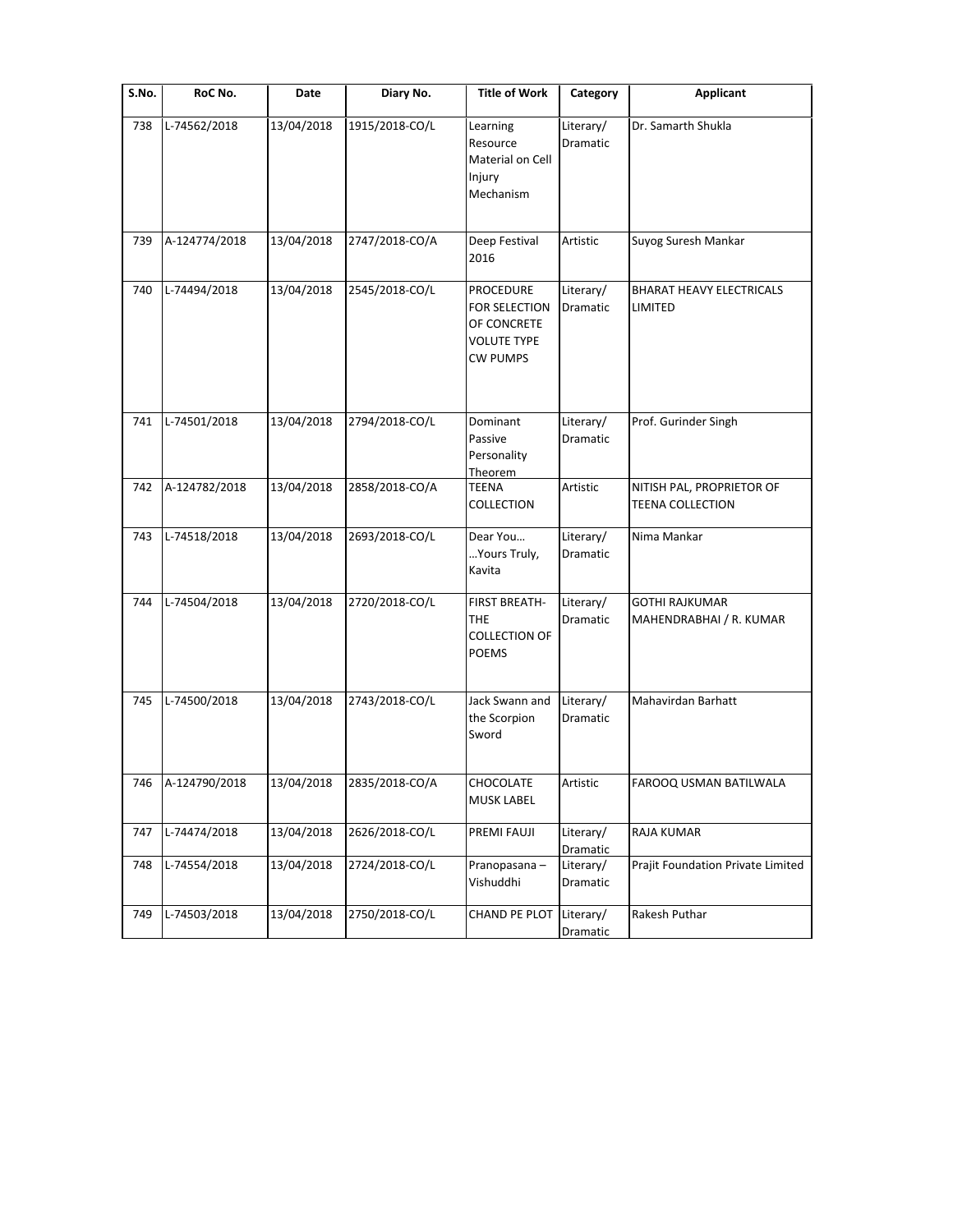| $\overline{\mathsf{S}}$ . No. | RoC No.       | Date       | Diary No.      | <b>Title of Work</b>                                                               | Category                     | <b>Applicant</b>                                     |
|-------------------------------|---------------|------------|----------------|------------------------------------------------------------------------------------|------------------------------|------------------------------------------------------|
| 738                           | L-74562/2018  | 13/04/2018 | 1915/2018-CO/L | Learning<br>Resource<br>Material on Cell<br>Injury<br>Mechanism                    | Literary/<br>Dramatic        | Dr. Samarth Shukla                                   |
| 739                           | A-124774/2018 | 13/04/2018 | 2747/2018-CO/A | Deep Festival<br>2016                                                              | Artistic                     | Suyog Suresh Mankar                                  |
| 740                           | L-74494/2018  | 13/04/2018 | 2545/2018-CO/L | PROCEDURE<br>FOR SELECTION<br>OF CONCRETE<br><b>VOLUTE TYPE</b><br><b>CW PUMPS</b> | Literary/<br>Dramatic        | <b>BHARAT HEAVY ELECTRICALS</b><br>LIMITED           |
| 741                           | L-74501/2018  | 13/04/2018 | 2794/2018-CO/L | Dominant<br>Passive<br>Personality                                                 | Literary/<br><b>Dramatic</b> | Prof. Gurinder Singh                                 |
| 742                           | A-124782/2018 | 13/04/2018 | 2858/2018-CO/A | Theorem<br>TEENA<br>COLLECTION                                                     | Artistic                     | NITISH PAL, PROPRIETOR OF<br><b>TEENA COLLECTION</b> |
| 743                           | L-74518/2018  | 13/04/2018 | 2693/2018-CO/L | Dear You<br>Yours Truly,<br>Kavita                                                 | Literary/<br>Dramatic        | Nima Mankar                                          |
| 744                           | L-74504/2018  | 13/04/2018 | 2720/2018-CO/L | FIRST BREATH-<br>THE<br><b>COLLECTION OF</b><br><b>POEMS</b>                       | Literary/<br>Dramatic        | <b>GOTHI RAJKUMAR</b><br>MAHENDRABHAI / R. KUMAR     |
| 745                           | L-74500/2018  | 13/04/2018 | 2743/2018-CO/L | Jack Swann and<br>the Scorpion<br>Sword                                            | Literary/<br>Dramatic        | Mahavirdan Barhatt                                   |
| 746                           | A-124790/2018 | 13/04/2018 | 2835/2018-CO/A | CHOCOLATE<br>MUSK LABEL                                                            | Artistic                     | FAROOQ USMAN BATILWALA                               |
| 747                           | L-74474/2018  | 13/04/2018 | 2626/2018-CO/L | PREMI FAUJI                                                                        | Literary/<br>Dramatic        | RAJA KUMAR                                           |
| 748                           | L-74554/2018  | 13/04/2018 | 2724/2018-CO/L | Pranopasana-<br>Vishuddhi                                                          | Literary/<br>Dramatic        | Prajit Foundation Private Limited                    |
| 749                           | L-74503/2018  | 13/04/2018 | 2750/2018-CO/L | <b>CHAND PE PLOT</b>                                                               | Literary/<br>Dramatic        | Rakesh Puthar                                        |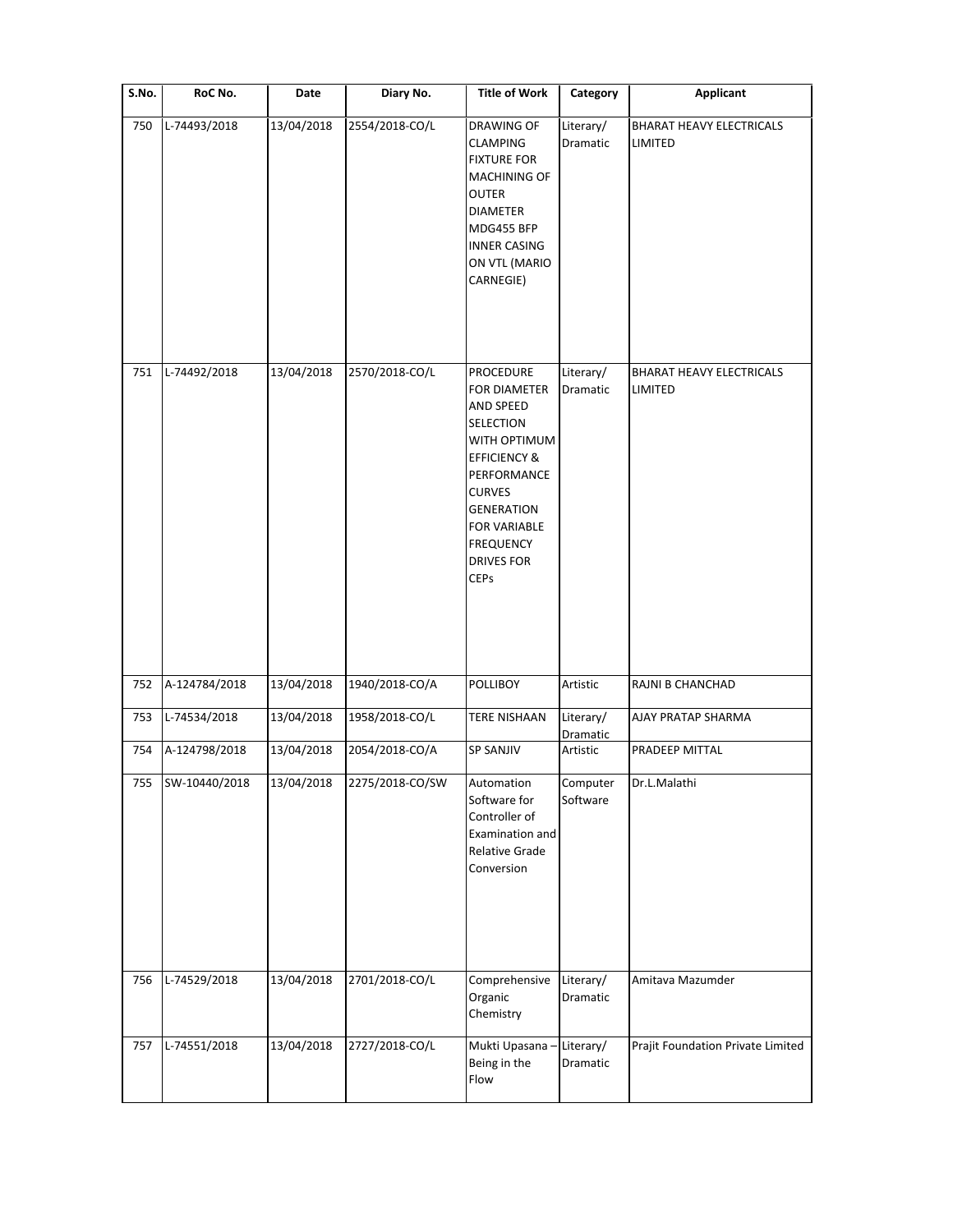| S.No. | RoC No.       | Date       | Diary No.       | <b>Title of Work</b>                                                                                                                                                                                                                                    | Category              | <b>Applicant</b>                                  |
|-------|---------------|------------|-----------------|---------------------------------------------------------------------------------------------------------------------------------------------------------------------------------------------------------------------------------------------------------|-----------------------|---------------------------------------------------|
| 750   | L-74493/2018  | 13/04/2018 | 2554/2018-CO/L  | DRAWING OF<br><b>CLAMPING</b><br><b>FIXTURE FOR</b><br>MACHINING OF<br>OUTER<br><b>DIAMETER</b><br>MDG455 BFP<br><b>INNER CASING</b><br>ON VTL (MARIO<br>CARNEGIE)                                                                                      | Literary/<br>Dramatic | <b>BHARAT HEAVY ELECTRICALS</b><br><b>LIMITED</b> |
| 751   | L-74492/2018  | 13/04/2018 | 2570/2018-CO/L  | <b>PROCEDURE</b><br><b>FOR DIAMETER</b><br>AND SPEED<br><b>SELECTION</b><br>WITH OPTIMUM<br><b>EFFICIENCY &amp;</b><br>PERFORMANCE<br><b>CURVES</b><br><b>GENERATION</b><br><b>FOR VARIABLE</b><br><b>FREQUENCY</b><br><b>DRIVES FOR</b><br><b>CEPs</b> | Literary/<br>Dramatic | BHARAT HEAVY ELECTRICALS<br>LIMITED               |
| 752   | A-124784/2018 | 13/04/2018 | 1940/2018-CO/A  | POLLIBOY                                                                                                                                                                                                                                                | Artistic              | RAJNI B CHANCHAD                                  |
| 753   | L-74534/2018  | 13/04/2018 | 1958/2018-CO/L  | <b>TERE NISHAAN</b>                                                                                                                                                                                                                                     | Literary/<br>Dramatic | AJAY PRATAP SHARMA                                |
| 754   | A-124798/2018 | 13/04/2018 | 2054/2018-CO/A  | <b>SP SANJIV</b>                                                                                                                                                                                                                                        | Artistic              | PRADEEP MITTAL                                    |
| 755   | SW-10440/2018 | 13/04/2018 | 2275/2018-CO/SW | Automation<br>Software for<br>Controller of<br>Examination and<br><b>Relative Grade</b><br>Conversion                                                                                                                                                   | Computer<br>Software  | Dr.L.Malathi                                      |
| 756   | L-74529/2018  | 13/04/2018 | 2701/2018-CO/L  | Comprehensive<br>Organic<br>Chemistry                                                                                                                                                                                                                   | Literary/<br>Dramatic | Amitava Mazumder                                  |
| 757   | L-74551/2018  | 13/04/2018 | 2727/2018-CO/L  | Mukti Upasana -<br>Being in the<br>Flow                                                                                                                                                                                                                 | Literary/<br>Dramatic | Prajit Foundation Private Limited                 |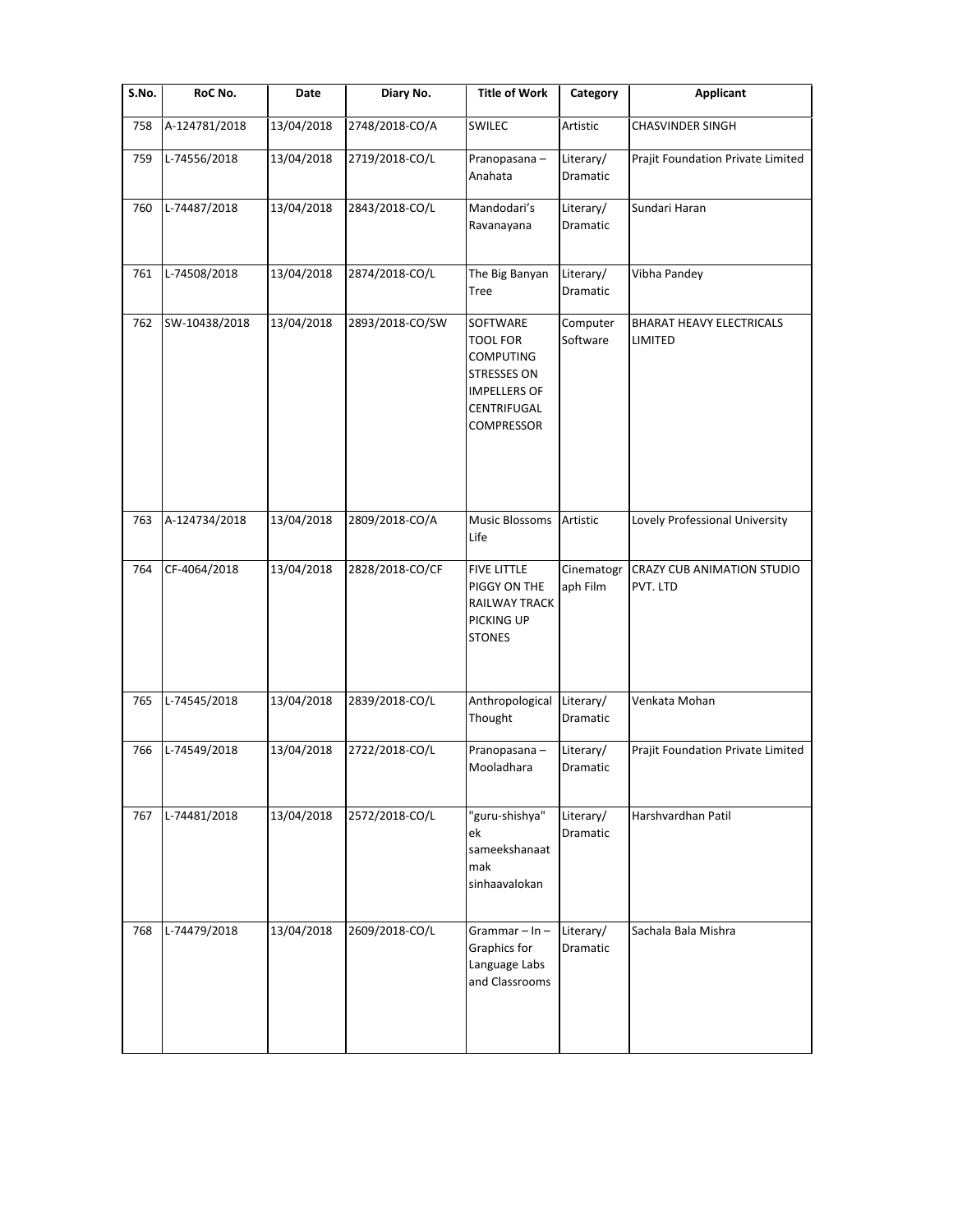| S.No. | RoC No.       | Date       | Diary No.       | <b>Title of Work</b>                                                                                                             | Category                     | <b>Applicant</b>                              |
|-------|---------------|------------|-----------------|----------------------------------------------------------------------------------------------------------------------------------|------------------------------|-----------------------------------------------|
| 758   | A-124781/2018 | 13/04/2018 | 2748/2018-CO/A  | SWILEC                                                                                                                           | Artistic                     | <b>CHASVINDER SINGH</b>                       |
| 759   | L-74556/2018  | 13/04/2018 | 2719/2018-CO/L  | Pranopasana-<br>Anahata                                                                                                          | Literary/<br><b>Dramatic</b> | Prajit Foundation Private Limited             |
| 760   | L-74487/2018  | 13/04/2018 | 2843/2018-CO/L  | Mandodari's<br>Ravanayana                                                                                                        | Literary/<br>Dramatic        | Sundari Haran                                 |
| 761   | L-74508/2018  | 13/04/2018 | 2874/2018-CO/L  | The Big Banyan<br>Tree                                                                                                           | Literary/<br>Dramatic        | Vibha Pandey                                  |
| 762   | SW-10438/2018 | 13/04/2018 | 2893/2018-CO/SW | SOFTWARE<br><b>TOOL FOR</b><br><b>COMPUTING</b><br><b>STRESSES ON</b><br><b>IMPELLERS OF</b><br>CENTRIFUGAL<br><b>COMPRESSOR</b> | Computer<br>Software         | <b>BHARAT HEAVY ELECTRICALS</b><br>LIMITED    |
| 763   | A-124734/2018 | 13/04/2018 | 2809/2018-CO/A  | Music Blossoms<br>Life                                                                                                           | Artistic                     | Lovely Professional University                |
| 764   | CF-4064/2018  | 13/04/2018 | 2828/2018-CO/CF | <b>FIVE LITTLE</b><br>PIGGY ON THE<br>RAILWAY TRACK<br>PICKING UP<br><b>STONES</b>                                               | Cinematogr<br>aph Film       | <b>CRAZY CUB ANIMATION STUDIO</b><br>PVT. LTD |
| 765   | L-74545/2018  | 13/04/2018 | 2839/2018-CO/L  | Anthropological<br>Thought                                                                                                       | Literary/<br>Dramatic        | Venkata Mohan                                 |
| 766   | L-74549/2018  | 13/04/2018 | 2722/2018-CO/L  | Pranopasana-<br>Mooladhara                                                                                                       | Literary/<br>Dramatic        | Prajit Foundation Private Limited             |
| 767   | L-74481/2018  | 13/04/2018 | 2572/2018-CO/L  | "guru-shishya"<br>ek<br>sameekshanaat<br>mak<br>sinhaavalokan                                                                    | Literary/<br>Dramatic        | Harshvardhan Patil                            |
| 768   | L-74479/2018  | 13/04/2018 | 2609/2018-CO/L  | Grammar $-$ In $-$<br>Graphics for<br>Language Labs<br>and Classrooms                                                            | Literary/<br>Dramatic        | Sachala Bala Mishra                           |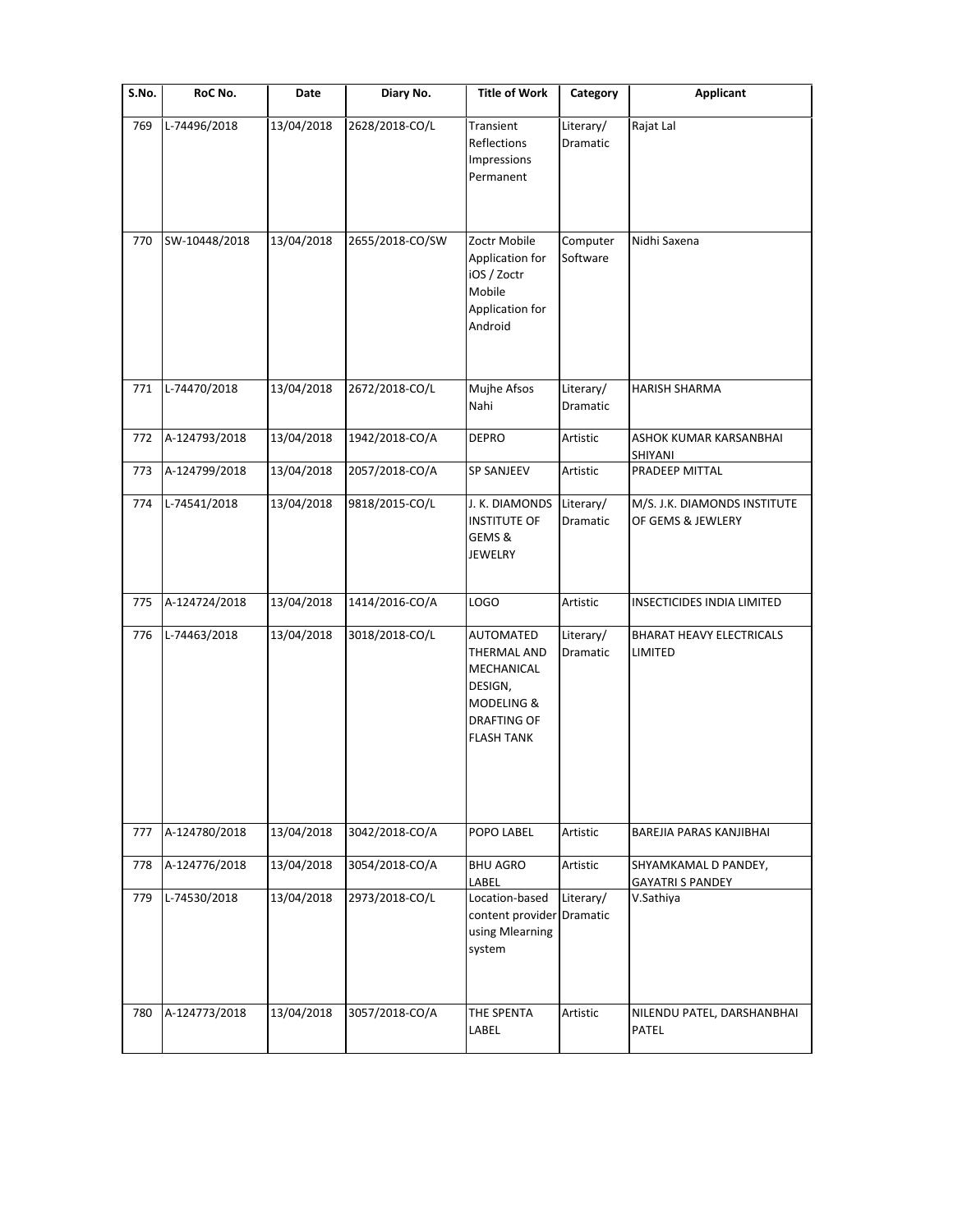| S.No. | RoC No.       | Date       | Diary No.       | <b>Title of Work</b>                                                                                       | Category              | <b>Applicant</b>                                  |
|-------|---------------|------------|-----------------|------------------------------------------------------------------------------------------------------------|-----------------------|---------------------------------------------------|
| 769   | L-74496/2018  | 13/04/2018 | 2628/2018-CO/L  | Transient<br>Reflections<br>Impressions<br>Permanent                                                       | Literary/<br>Dramatic | Rajat Lal                                         |
| 770   | SW-10448/2018 | 13/04/2018 | 2655/2018-CO/SW | Zoctr Mobile<br>Application for<br>iOS / Zoctr<br>Mobile<br>Application for<br>Android                     | Computer<br>Software  | Nidhi Saxena                                      |
| 771   | L-74470/2018  | 13/04/2018 | 2672/2018-CO/L  | Mujhe Afsos<br>Nahi                                                                                        | Literary/<br>Dramatic | <b>HARISH SHARMA</b>                              |
| 772   | A-124793/2018 | 13/04/2018 | 1942/2018-CO/A  | <b>DEPRO</b>                                                                                               | Artistic              | ASHOK KUMAR KARSANBHAI<br>SHIYANI                 |
| 773   | A-124799/2018 | 13/04/2018 | 2057/2018-CO/A  | <b>SP SANJEEV</b>                                                                                          | Artistic              | PRADEEP MITTAL                                    |
| 774   | L-74541/2018  | 13/04/2018 | 9818/2015-CO/L  | J. K. DIAMONDS<br><b>INSTITUTE OF</b><br>GEMS &<br><b>JEWELRY</b>                                          | Literary/<br>Dramatic | M/S. J.K. DIAMONDS INSTITUTE<br>OF GEMS & JEWLERY |
| 775   | A-124724/2018 | 13/04/2018 | 1414/2016-CO/A  | LOGO                                                                                                       | Artistic              | INSECTICIDES INDIA LIMITED                        |
| 776   | L-74463/2018  | 13/04/2018 | 3018/2018-CO/L  | AUTOMATED<br>THERMAL AND<br>MECHANICAL<br>DESIGN,<br>MODELING &<br><b>DRAFTING OF</b><br><b>FLASH TANK</b> | Literary/<br>Dramatic | <b>BHARAT HEAVY ELECTRICALS</b><br>LIMITED        |
| 777   | A-124780/2018 | 13/04/2018 | 3042/2018-CO/A  | POPO LABEL                                                                                                 | Artistic              | BAREJIA PARAS KANJIBHAI                           |
| 778   | A-124776/2018 | 13/04/2018 | 3054/2018-CO/A  | <b>BHU AGRO</b><br>LABEL                                                                                   | Artistic              | SHYAMKAMAL D PANDEY,<br><b>GAYATRI S PANDEY</b>   |
| 779   | L-74530/2018  | 13/04/2018 | 2973/2018-CO/L  | Location-based<br>content provider Dramatic<br>using Mlearning<br>system                                   | Literary/             | V.Sathiya                                         |
| 780   | A-124773/2018 | 13/04/2018 | 3057/2018-CO/A  | THE SPENTA<br>LABEL                                                                                        | Artistic              | NILENDU PATEL, DARSHANBHAI<br><b>PATEL</b>        |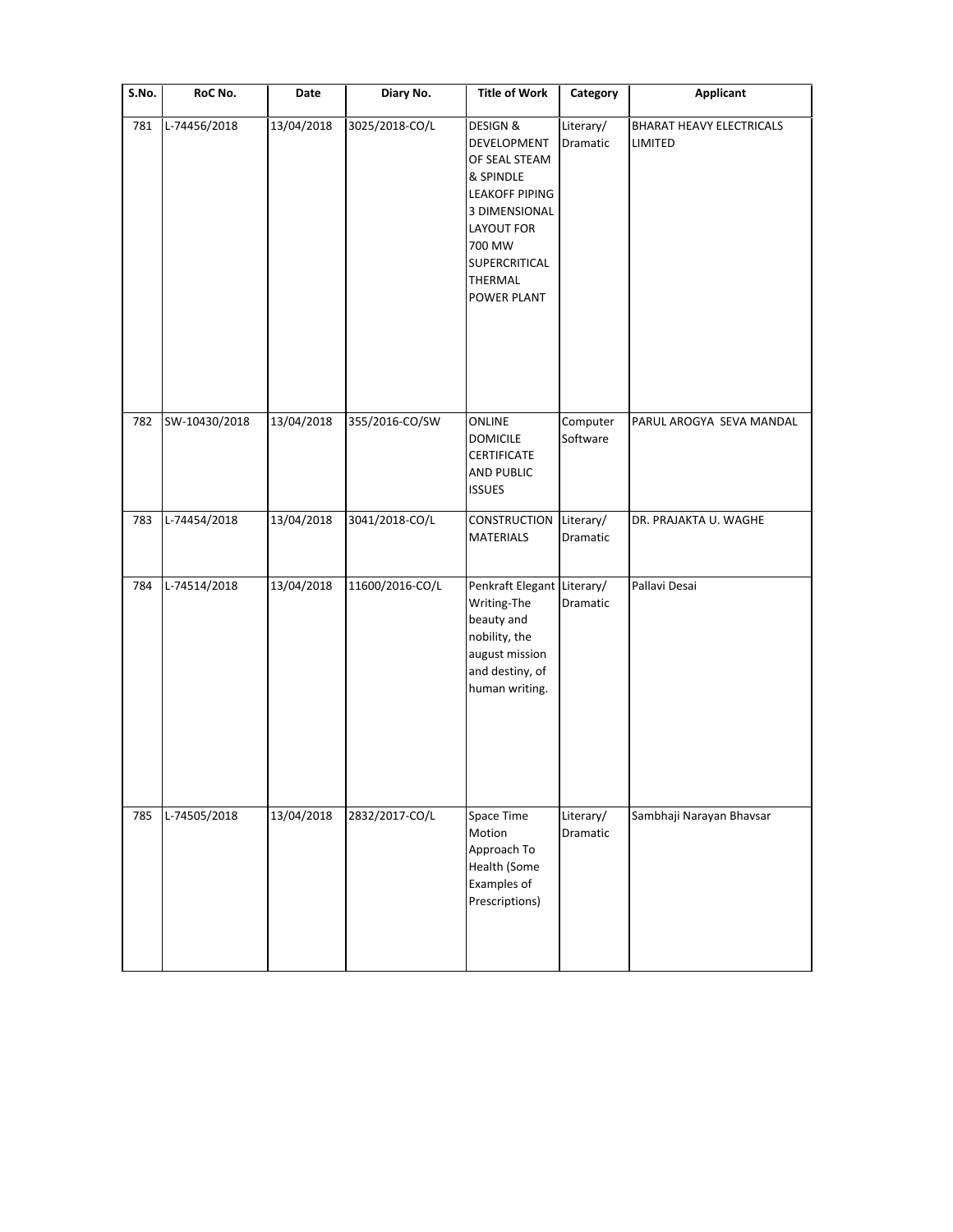| S.No. | RoC No.       | Date       | Diary No.       | <b>Title of Work</b>                                                                                                                                                          | Category              | <b>Applicant</b>                    |
|-------|---------------|------------|-----------------|-------------------------------------------------------------------------------------------------------------------------------------------------------------------------------|-----------------------|-------------------------------------|
| 781   | L-74456/2018  | 13/04/2018 | 3025/2018-CO/L  | <b>DESIGN &amp;</b><br>DEVELOPMENT<br>OF SEAL STEAM<br>& SPINDLE<br><b>LEAKOFF PIPING</b><br>3 DIMENSIONAL<br>LAYOUT FOR<br>700 MW<br>SUPERCRITICAL<br>THERMAL<br>POWER PLANT | Literary/<br>Dramatic | BHARAT HEAVY ELECTRICALS<br>LIMITED |
| 782   | SW-10430/2018 | 13/04/2018 | 355/2016-CO/SW  | ONLINE<br><b>DOMICILE</b><br><b>CERTIFICATE</b><br><b>AND PUBLIC</b><br><b>ISSUES</b>                                                                                         | Computer<br>Software  | PARUL AROGYA SEVA MANDAL            |
| 783   | L-74454/2018  | 13/04/2018 | 3041/2018-CO/L  | CONSTRUCTION<br>MATERIALS                                                                                                                                                     | Literary/<br>Dramatic | DR. PRAJAKTA U. WAGHE               |
| 784   | L-74514/2018  | 13/04/2018 | 11600/2016-CO/L | Penkraft Elegant Literary/<br>Writing-The<br>beauty and<br>nobility, the<br>august mission<br>and destiny, of<br>human writing.                                               | Dramatic              | Pallavi Desai                       |
| 785   | L-74505/2018  | 13/04/2018 | 2832/2017-CO/L  | Space Time<br>Motion<br>Approach To<br>Health (Some<br>Examples of<br>Prescriptions)                                                                                          | Literary/<br>Dramatic | Sambhaji Narayan Bhavsar            |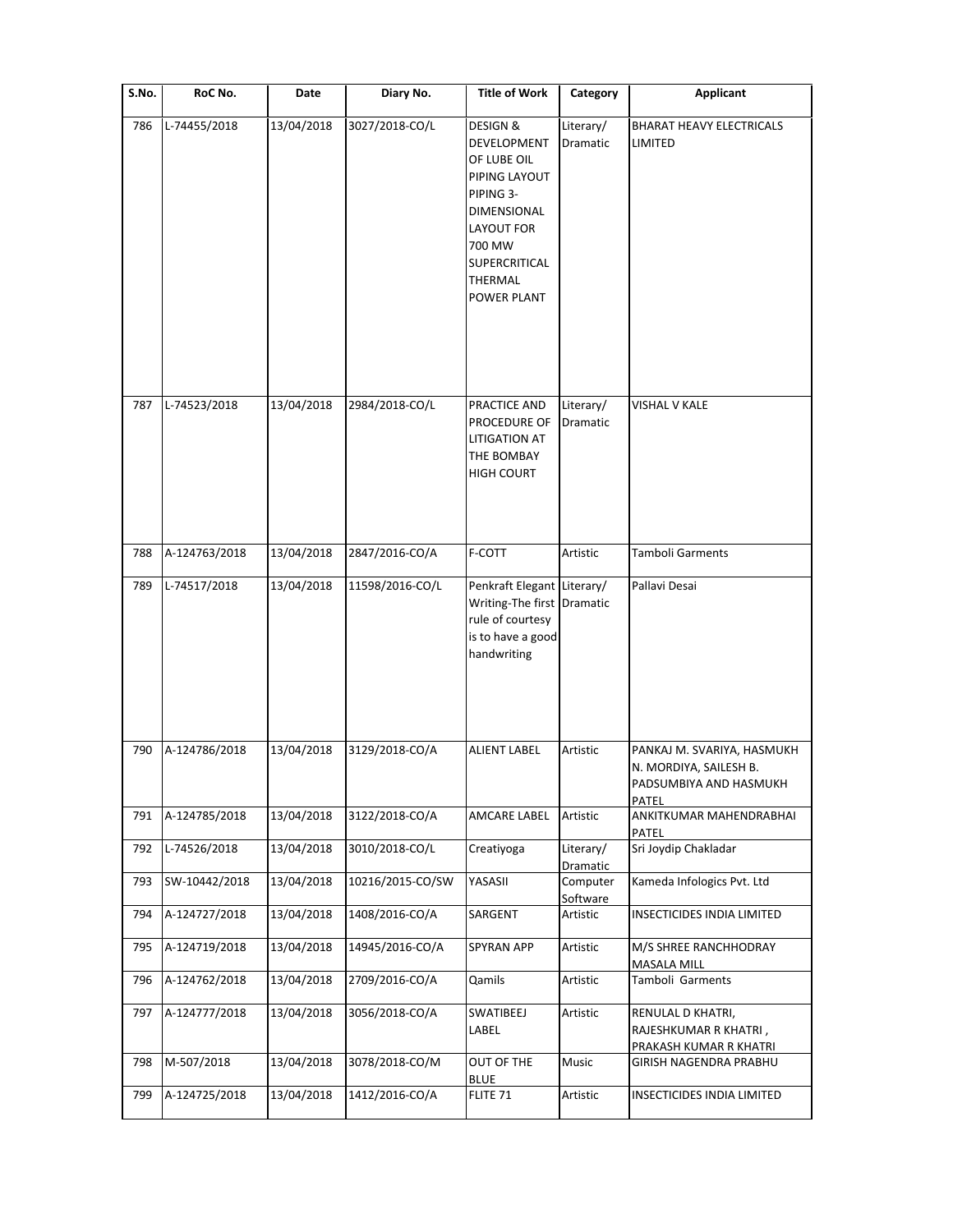| S.No. | RoC No.       | Date       | Diary No.        | <b>Title of Work</b>                                                                                                                                                                   | Category              | <b>Applicant</b>                                                                        |
|-------|---------------|------------|------------------|----------------------------------------------------------------------------------------------------------------------------------------------------------------------------------------|-----------------------|-----------------------------------------------------------------------------------------|
| 786   | L-74455/2018  | 13/04/2018 | 3027/2018-CO/L   | <b>DESIGN &amp;</b><br>DEVELOPMENT<br>OF LUBE OIL<br>PIPING LAYOUT<br>PIPING 3-<br>DIMENSIONAL<br><b>LAYOUT FOR</b><br>700 MW<br><b>SUPERCRITICAL</b><br>THERMAL<br><b>POWER PLANT</b> | Literary/<br>Dramatic | <b>BHARAT HEAVY ELECTRICALS</b><br>LIMITED                                              |
| 787   | L-74523/2018  | 13/04/2018 | 2984/2018-CO/L   | PRACTICE AND<br>PROCEDURE OF<br><b>LITIGATION AT</b><br>THE BOMBAY<br><b>HIGH COURT</b>                                                                                                | Literary/<br>Dramatic | VISHAL V KALE                                                                           |
| 788   | A-124763/2018 | 13/04/2018 | 2847/2016-CO/A   | F-COTT                                                                                                                                                                                 | Artistic              | Tamboli Garments                                                                        |
| 789   | L-74517/2018  | 13/04/2018 | 11598/2016-CO/L  | Penkraft Elegant Literary/<br>Writing-The first Dramatic<br>rule of courtesy<br>is to have a good<br>handwriting                                                                       |                       | Pallavi Desai                                                                           |
| 790   | A-124786/2018 | 13/04/2018 | 3129/2018-CO/A   | <b>ALIENT LABEL</b>                                                                                                                                                                    | Artistic              | PANKAJ M. SVARIYA, HASMUKH<br>N. MORDIYA, SAILESH B.<br>PADSUMBIYA AND HASMUKH<br>PATEL |
| 791   | A-124785/2018 | 13/04/2018 | 3122/2018-CO/A   | AMCARE LABEL                                                                                                                                                                           | Artistic              | ANKITKUMAR MAHENDRABHAI<br>PATEL                                                        |
| 792   | L-74526/2018  | 13/04/2018 | 3010/2018-CO/L   | Creatiyoga                                                                                                                                                                             | Literary/<br>Dramatic | Sri Joydip Chakladar                                                                    |
| 793   | SW-10442/2018 | 13/04/2018 | 10216/2015-CO/SW | YASASII                                                                                                                                                                                | Computer<br>Software  | Kameda Infologics Pvt. Ltd                                                              |
| 794   | A-124727/2018 | 13/04/2018 | 1408/2016-CO/A   | SARGENT                                                                                                                                                                                | Artistic              | INSECTICIDES INDIA LIMITED                                                              |
| 795   | A-124719/2018 | 13/04/2018 | 14945/2016-CO/A  | <b>SPYRAN APP</b>                                                                                                                                                                      | Artistic              | M/S SHREE RANCHHODRAY<br><b>MASALA MILL</b>                                             |
| 796   | A-124762/2018 | 13/04/2018 | 2709/2016-CO/A   | Qamils                                                                                                                                                                                 | Artistic              | Tamboli Garments                                                                        |
| 797   | A-124777/2018 | 13/04/2018 | 3056/2018-CO/A   | SWATIBEEJ<br>LABEL                                                                                                                                                                     | Artistic              | RENULAL D KHATRI,<br>RAJESHKUMAR R KHATRI,<br>PRAKASH KUMAR R KHATRI                    |
| 798   | M-507/2018    | 13/04/2018 | 3078/2018-CO/M   | OUT OF THE<br><b>BLUE</b>                                                                                                                                                              | Music                 | GIRISH NAGENDRA PRABHU                                                                  |
| 799   | A-124725/2018 | 13/04/2018 | 1412/2016-CO/A   | FLITE 71                                                                                                                                                                               | Artistic              | INSECTICIDES INDIA LIMITED                                                              |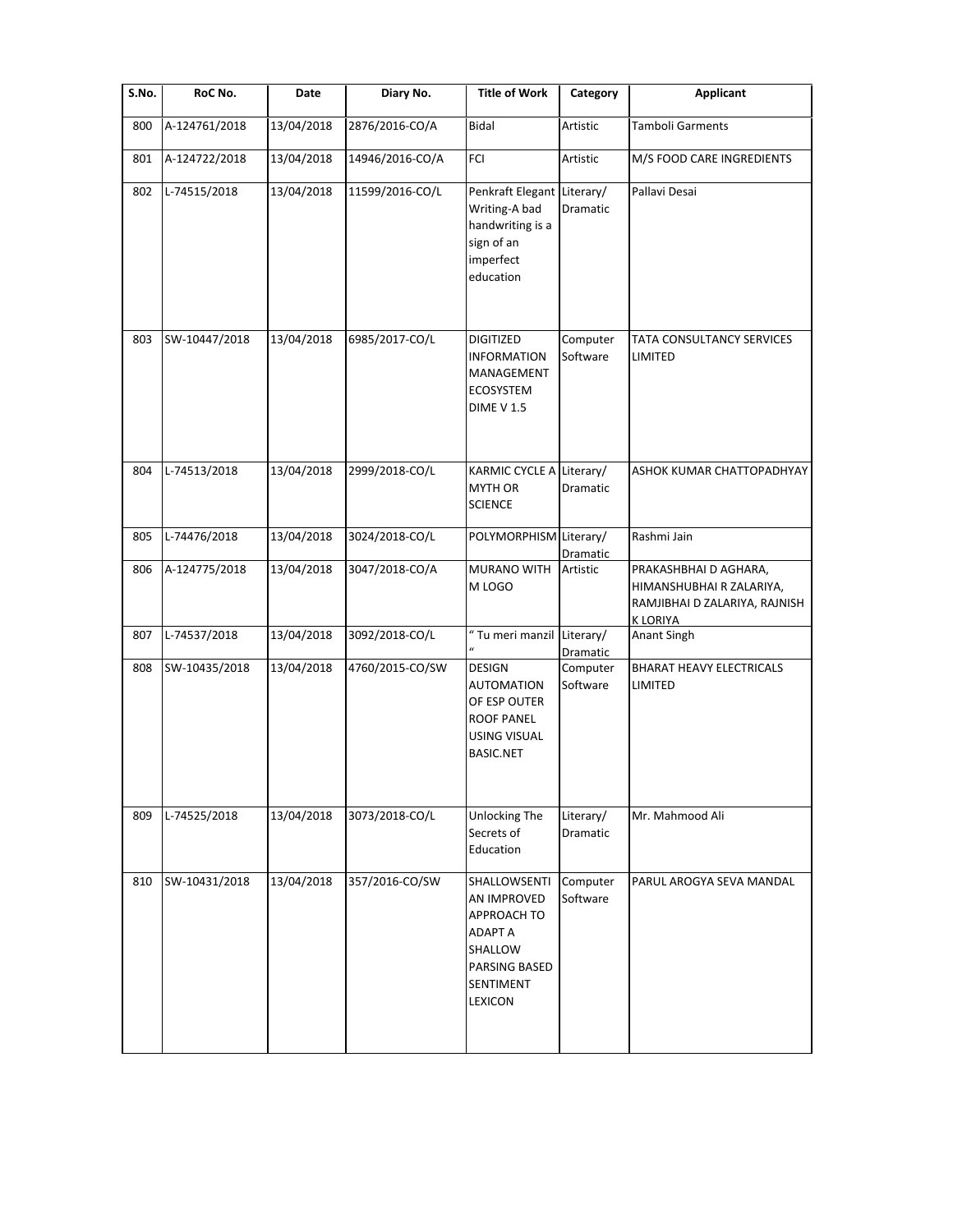| S.No. | RoC No.       | Date       | Diary No.       | <b>Title of Work</b>                                                                                               | Category                     | <b>Applicant</b>                                                                                     |
|-------|---------------|------------|-----------------|--------------------------------------------------------------------------------------------------------------------|------------------------------|------------------------------------------------------------------------------------------------------|
| 800   | A-124761/2018 | 13/04/2018 | 2876/2016-CO/A  | Bidal                                                                                                              | Artistic                     | <b>Tamboli Garments</b>                                                                              |
| 801   | A-124722/2018 | 13/04/2018 | 14946/2016-CO/A | FCI                                                                                                                | Artistic                     | M/S FOOD CARE INGREDIENTS                                                                            |
| 802   | L-74515/2018  | 13/04/2018 | 11599/2016-CO/L | Penkraft Elegant Literary/<br>Writing-A bad<br>handwriting is a<br>sign of an<br>imperfect<br>education            | Dramatic                     | Pallavi Desai                                                                                        |
| 803   | SW-10447/2018 | 13/04/2018 | 6985/2017-CO/L  | <b>DIGITIZED</b><br><b>INFORMATION</b><br>MANAGEMENT<br><b>ECOSYSTEM</b><br><b>DIME V 1.5</b>                      | Computer<br>Software         | TATA CONSULTANCY SERVICES<br>LIMITED                                                                 |
| 804   | L-74513/2018  | 13/04/2018 | 2999/2018-CO/L  | KARMIC CYCLE A<br>MYTH OR<br><b>SCIENCE</b>                                                                        | Literary/<br>Dramatic        | ASHOK KUMAR CHATTOPADHYAY                                                                            |
| 805   | L-74476/2018  | 13/04/2018 | 3024/2018-CO/L  | POLYMORPHISM Literary/                                                                                             | Dramatic                     | Rashmi Jain                                                                                          |
| 806   | A-124775/2018 | 13/04/2018 | 3047/2018-CO/A  | MURANO WITH<br>M LOGO                                                                                              | Artistic                     | PRAKASHBHAI D AGHARA,<br>HIMANSHUBHAI R ZALARIYA,<br>RAMJIBHAI D ZALARIYA, RAJNISH<br><b>KLORIYA</b> |
| 807   | L-74537/2018  | 13/04/2018 | 3092/2018-CO/L  | " Tu meri manzil                                                                                                   | Literary/<br>Dramatic        | Anant Singh                                                                                          |
| 808   | SW-10435/2018 | 13/04/2018 | 4760/2015-CO/SW | <b>DESIGN</b><br><b>AUTOMATION</b><br>OF ESP OUTER<br><b>ROOF PANEL</b><br><b>USING VISUAL</b><br><b>BASIC.NET</b> | Computer<br>Software         | <b>BHARAT HEAVY ELECTRICALS</b><br>LIMITED                                                           |
| 809   | L-74525/2018  | 13/04/2018 | 3073/2018-CO/L  | Unlocking The<br>Secrets of<br>Education                                                                           | Literary/<br><b>Dramatic</b> | Mr. Mahmood Ali                                                                                      |
| 810   | SW-10431/2018 | 13/04/2018 | 357/2016-CO/SW  | SHALLOWSENTI<br>AN IMPROVED<br>APPROACH TO<br><b>ADAPT A</b><br>SHALLOW<br>PARSING BASED<br>SENTIMENT<br>LEXICON   | Computer<br>Software         | PARUL AROGYA SEVA MANDAL                                                                             |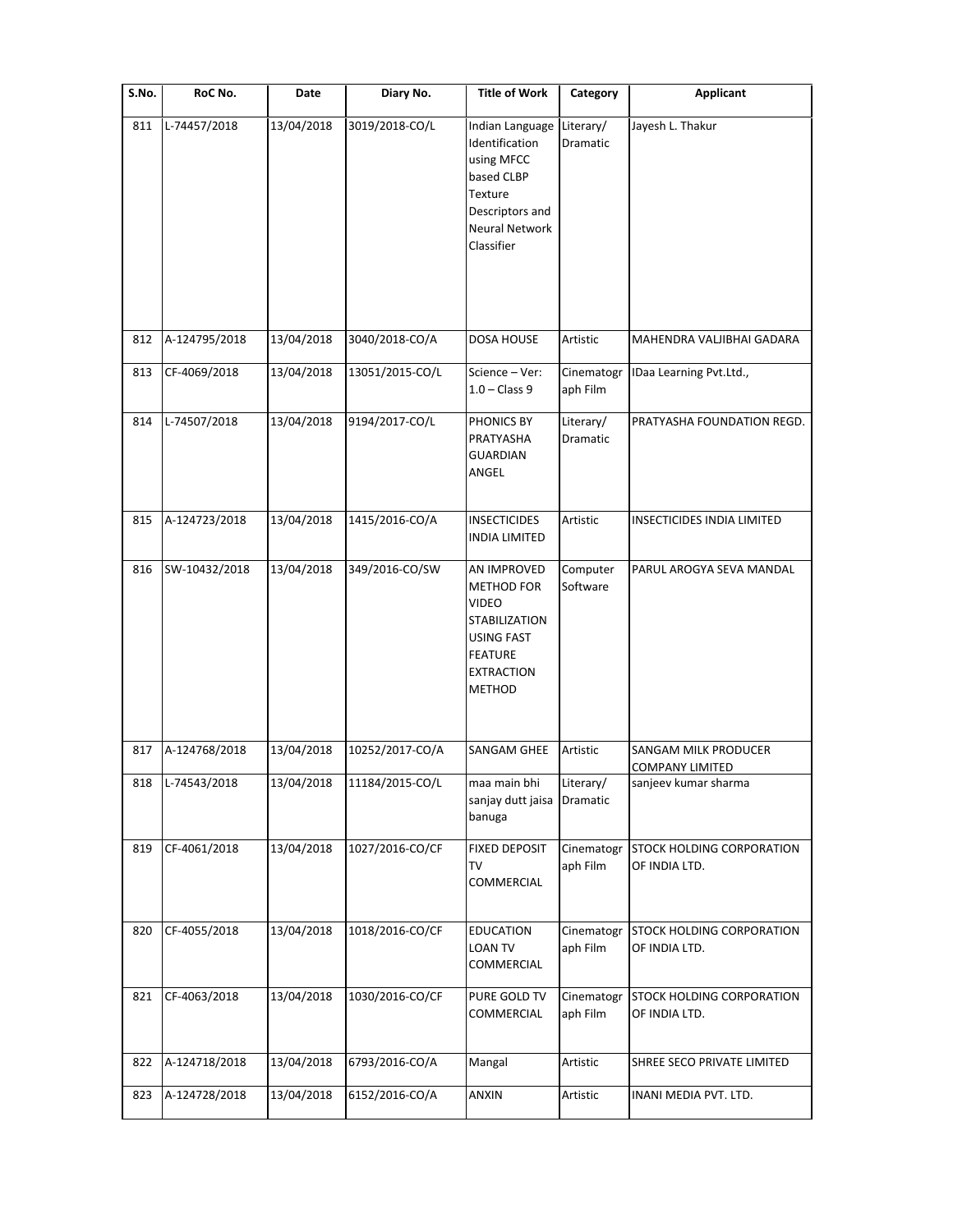| S.No. | RoC No.       | Date       | Diary No.       | <b>Title of Work</b>                                                                                                                           | Category               | <b>Applicant</b>                                      |
|-------|---------------|------------|-----------------|------------------------------------------------------------------------------------------------------------------------------------------------|------------------------|-------------------------------------------------------|
| 811   | L-74457/2018  | 13/04/2018 | 3019/2018-CO/L  | Indian Language<br>Identification<br>using MFCC<br>based CLBP<br>Texture<br>Descriptors and<br><b>Neural Network</b><br>Classifier             | Literary/<br>Dramatic  | Jayesh L. Thakur                                      |
| 812   | A-124795/2018 | 13/04/2018 | 3040/2018-CO/A  | <b>DOSA HOUSE</b>                                                                                                                              | Artistic               | MAHENDRA VALJIBHAI GADARA                             |
| 813   | CF-4069/2018  | 13/04/2018 | 13051/2015-CO/L | Science - Ver:<br>$1.0 - Class 9$                                                                                                              | Cinematogr<br>aph Film | IDaa Learning Pvt.Ltd.,                               |
| 814   | L-74507/2018  | 13/04/2018 | 9194/2017-CO/L  | PHONICS BY<br>PRATYASHA<br><b>GUARDIAN</b><br>ANGEL                                                                                            | Literary/<br>Dramatic  | PRATYASHA FOUNDATION REGD.                            |
| 815   | A-124723/2018 | 13/04/2018 | 1415/2016-CO/A  | <b>INSECTICIDES</b><br><b>INDIA LIMITED</b>                                                                                                    | Artistic               | INSECTICIDES INDIA LIMITED                            |
| 816   | SW-10432/2018 | 13/04/2018 | 349/2016-CO/SW  | AN IMPROVED<br><b>METHOD FOR</b><br><b>VIDEO</b><br>STABILIZATION<br><b>USING FAST</b><br><b>FEATURE</b><br><b>EXTRACTION</b><br><b>METHOD</b> | Computer<br>Software   | PARUL AROGYA SEVA MANDAL                              |
| 817   | A-124768/2018 | 13/04/2018 | 10252/2017-CO/A | SANGAM GHEE                                                                                                                                    | Artistic               | <b>SANGAM MILK PRODUCER</b><br><b>COMPANY LIMITED</b> |
| 818   | L-74543/2018  | 13/04/2018 | 11184/2015-CO/L | maa main bhi<br>sanjay dutt jaisa<br>banuga                                                                                                    | Literary/<br>Dramatic  | sanjeev kumar sharma                                  |
| 819   | CF-4061/2018  | 13/04/2018 | 1027/2016-CO/CF | <b>FIXED DEPOSIT</b><br>TV<br>COMMERCIAL                                                                                                       | Cinematogr<br>aph Film | <b>STOCK HOLDING CORPORATION</b><br>OF INDIA LTD.     |
| 820   | CF-4055/2018  | 13/04/2018 | 1018/2016-CO/CF | <b>EDUCATION</b><br><b>LOAN TV</b><br>COMMERCIAL                                                                                               | Cinematogr<br>aph Film | <b>STOCK HOLDING CORPORATION</b><br>OF INDIA LTD.     |
| 821   | CF-4063/2018  | 13/04/2018 | 1030/2016-CO/CF | PURE GOLD TV<br>COMMERCIAL                                                                                                                     | Cinematogr<br>aph Film | <b>STOCK HOLDING CORPORATION</b><br>OF INDIA LTD.     |
| 822   | A-124718/2018 | 13/04/2018 | 6793/2016-CO/A  | Mangal                                                                                                                                         | Artistic               | SHREE SECO PRIVATE LIMITED                            |
| 823   | A-124728/2018 | 13/04/2018 | 6152/2016-CO/A  | ANXIN                                                                                                                                          | Artistic               | INANI MEDIA PVT. LTD.                                 |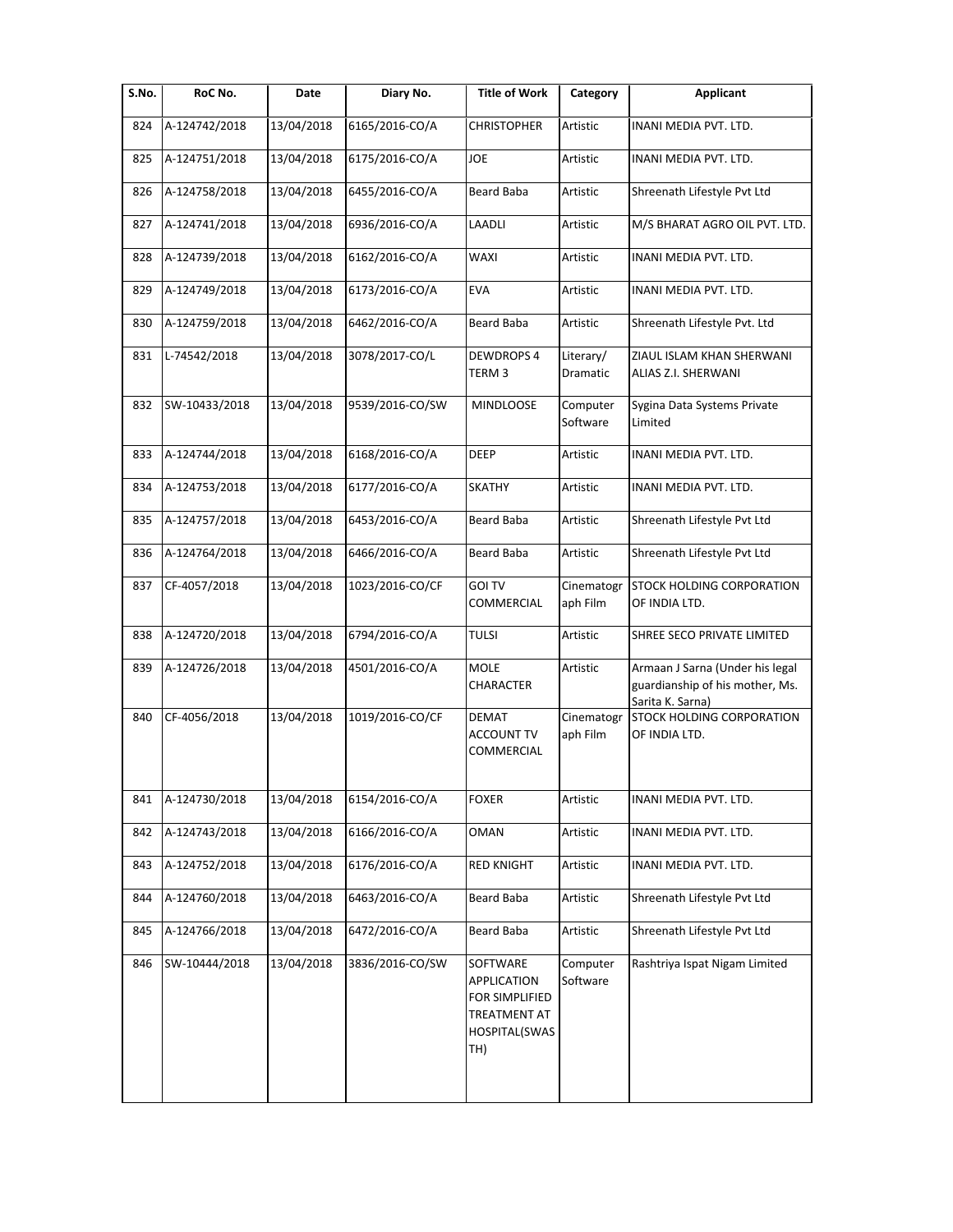| S.No. | RoC No.       | Date       | Diary No.       | <b>Title of Work</b>                                                                            | Category               | <b>Applicant</b>                                                                       |
|-------|---------------|------------|-----------------|-------------------------------------------------------------------------------------------------|------------------------|----------------------------------------------------------------------------------------|
| 824   | A-124742/2018 | 13/04/2018 | 6165/2016-CO/A  | <b>CHRISTOPHER</b>                                                                              | Artistic               | INANI MEDIA PVT. LTD.                                                                  |
| 825   | A-124751/2018 | 13/04/2018 | 6175/2016-CO/A  | JOE                                                                                             | Artistic               | INANI MEDIA PVT. LTD.                                                                  |
| 826   | A-124758/2018 | 13/04/2018 | 6455/2016-CO/A  | <b>Beard Baba</b>                                                                               | Artistic               | Shreenath Lifestyle Pvt Ltd                                                            |
| 827   | A-124741/2018 | 13/04/2018 | 6936/2016-CO/A  | LAADLI                                                                                          | Artistic               | M/S BHARAT AGRO OIL PVT. LTD.                                                          |
| 828   | A-124739/2018 | 13/04/2018 | 6162/2016-CO/A  | WAXI                                                                                            | Artistic               | INANI MEDIA PVT. LTD.                                                                  |
| 829   | A-124749/2018 | 13/04/2018 | 6173/2016-CO/A  | <b>EVA</b>                                                                                      | Artistic               | INANI MEDIA PVT. LTD.                                                                  |
| 830   | A-124759/2018 | 13/04/2018 | 6462/2016-CO/A  | <b>Beard Baba</b>                                                                               | Artistic               | Shreenath Lifestyle Pvt. Ltd                                                           |
| 831   | L-74542/2018  | 13/04/2018 | 3078/2017-CO/L  | <b>DEWDROPS 4</b><br>TERM 3                                                                     | Literary/<br>Dramatic  | ZIAUL ISLAM KHAN SHERWANI<br>ALIAS Z.I. SHERWANI                                       |
| 832   | SW-10433/2018 | 13/04/2018 | 9539/2016-CO/SW | MINDLOOSE                                                                                       | Computer<br>Software   | Sygina Data Systems Private<br>Limited                                                 |
| 833   | A-124744/2018 | 13/04/2018 | 6168/2016-CO/A  | DEEP                                                                                            | Artistic               | INANI MEDIA PVT. LTD.                                                                  |
| 834   | A-124753/2018 | 13/04/2018 | 6177/2016-CO/A  | <b>SKATHY</b>                                                                                   | Artistic               | INANI MEDIA PVT. LTD.                                                                  |
| 835   | A-124757/2018 | 13/04/2018 | 6453/2016-CO/A  | Beard Baba                                                                                      | Artistic               | Shreenath Lifestyle Pvt Ltd                                                            |
| 836   | A-124764/2018 | 13/04/2018 | 6466/2016-CO/A  | Beard Baba                                                                                      | Artistic               | Shreenath Lifestyle Pvt Ltd                                                            |
| 837   | CF-4057/2018  | 13/04/2018 | 1023/2016-CO/CF | <b>GOI TV</b><br>COMMERCIAL                                                                     | Cinematogr<br>aph Film | STOCK HOLDING CORPORATION<br>OF INDIA LTD.                                             |
| 838   | A-124720/2018 | 13/04/2018 | 6794/2016-CO/A  | <b>TULSI</b>                                                                                    | Artistic               | SHREE SECO PRIVATE LIMITED                                                             |
| 839   | A-124726/2018 | 13/04/2018 | 4501/2016-CO/A  | <b>MOLE</b><br>CHARACTER                                                                        | Artistic               | Armaan J Sarna (Under his legal<br>guardianship of his mother, Ms.<br>Sarita K. Sarna) |
| 840   | CF-4056/2018  | 13/04/2018 | 1019/2016-CO/CF | <b>DEMAT</b><br><b>ACCOUNT TV</b><br>COMMERCIAL                                                 | Cinematogr<br>aph Film | STOCK HOLDING CORPORATION<br>OF INDIA LTD.                                             |
| 841   | A-124730/2018 | 13/04/2018 | 6154/2016-CO/A  | <b>FOXER</b>                                                                                    | Artistic               | INANI MEDIA PVT. LTD.                                                                  |
| 842   | A-124743/2018 | 13/04/2018 | 6166/2016-CO/A  | OMAN                                                                                            | Artistic               | INANI MEDIA PVT. LTD.                                                                  |
| 843   | A-124752/2018 | 13/04/2018 | 6176/2016-CO/A  | <b>RED KNIGHT</b>                                                                               | Artistic               | INANI MEDIA PVT. LTD.                                                                  |
| 844   | A-124760/2018 | 13/04/2018 | 6463/2016-CO/A  | Beard Baba                                                                                      | Artistic               | Shreenath Lifestyle Pvt Ltd                                                            |
| 845   | A-124766/2018 | 13/04/2018 | 6472/2016-CO/A  | Beard Baba                                                                                      | Artistic               | Shreenath Lifestyle Pvt Ltd                                                            |
| 846   | SW-10444/2018 | 13/04/2018 | 3836/2016-CO/SW | SOFTWARE<br><b>APPLICATION</b><br>FOR SIMPLIFIED<br><b>TREATMENT AT</b><br>HOSPITAL(SWAS<br>TH) | Computer<br>Software   | Rashtriya Ispat Nigam Limited                                                          |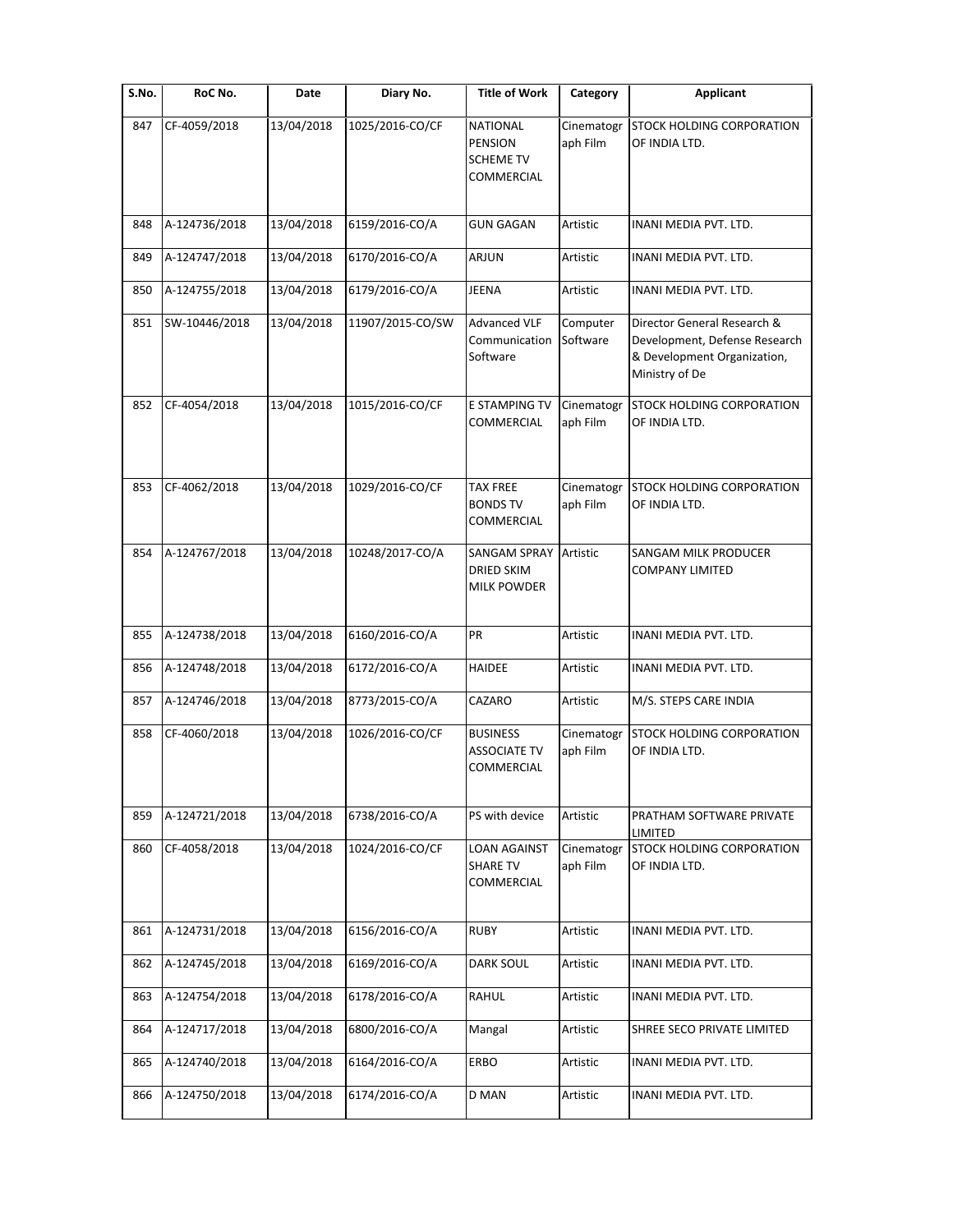| RoC No.       | Date       | Diary No.        | <b>Title of Work</b>                                                | Category               | <b>Applicant</b>                                                                                              |
|---------------|------------|------------------|---------------------------------------------------------------------|------------------------|---------------------------------------------------------------------------------------------------------------|
| CF-4059/2018  | 13/04/2018 | 1025/2016-CO/CF  | <b>NATIONAL</b><br><b>PENSION</b><br><b>SCHEME TV</b><br>COMMERCIAL | Cinematogr<br>aph Film | <b>STOCK HOLDING CORPORATION</b><br>OF INDIA LTD.                                                             |
| A-124736/2018 | 13/04/2018 | 6159/2016-CO/A   | <b>GUN GAGAN</b>                                                    | Artistic               | INANI MEDIA PVT. LTD.                                                                                         |
| A-124747/2018 | 13/04/2018 | 6170/2016-CO/A   | <b>ARJUN</b>                                                        | Artistic               | INANI MEDIA PVT. LTD.                                                                                         |
| A-124755/2018 | 13/04/2018 | 6179/2016-CO/A   | <b>JEENA</b>                                                        | Artistic               | INANI MEDIA PVT. LTD.                                                                                         |
| SW-10446/2018 | 13/04/2018 | 11907/2015-CO/SW | <b>Advanced VLF</b><br>Communication<br>Software                    | Computer<br>Software   | Director General Research &<br>Development, Defense Research<br>& Development Organization,<br>Ministry of De |
| CF-4054/2018  | 13/04/2018 | 1015/2016-CO/CF  | E STAMPING TV<br>COMMERCIAL                                         | Cinematogr<br>aph Film | STOCK HOLDING CORPORATION<br>OF INDIA LTD.                                                                    |
| CF-4062/2018  | 13/04/2018 | 1029/2016-CO/CF  | <b>TAX FREE</b><br><b>BONDS TV</b><br>COMMERCIAL                    | Cinematogr<br>aph Film | <b>STOCK HOLDING CORPORATION</b><br>OF INDIA LTD.                                                             |
| A-124767/2018 | 13/04/2018 | 10248/2017-CO/A  | <b>SANGAM SPRAY</b><br><b>DRIED SKIM</b><br><b>MILK POWDER</b>      | Artistic               | <b>SANGAM MILK PRODUCER</b><br><b>COMPANY LIMITED</b>                                                         |
| A-124738/2018 | 13/04/2018 | 6160/2016-CO/A   | PR                                                                  | Artistic               | INANI MEDIA PVT. LTD.                                                                                         |
| A-124748/2018 | 13/04/2018 | 6172/2016-CO/A   | <b>HAIDEE</b>                                                       | Artistic               | INANI MEDIA PVT. LTD.                                                                                         |
| A-124746/2018 | 13/04/2018 | 8773/2015-CO/A   | CAZARO                                                              | Artistic               | M/S. STEPS CARE INDIA                                                                                         |
| CF-4060/2018  | 13/04/2018 | 1026/2016-CO/CF  | <b>BUSINESS</b><br><b>ASSOCIATE TV</b><br>COMMERCIAL                | Cinematogr<br>aph Film | <b>STOCK HOLDING CORPORATION</b><br>OF INDIA LTD.                                                             |
| A-124721/2018 | 13/04/2018 | 6738/2016-CO/A   | PS with device                                                      | Artistic               | PRATHAM SOFTWARE PRIVATE<br>LIMITED                                                                           |
| CF-4058/2018  | 13/04/2018 | 1024/2016-CO/CF  | LOAN AGAINST<br><b>SHARE TV</b><br>COMMERCIAL                       | Cinematogr<br>aph Film | STOCK HOLDING CORPORATION<br>OF INDIA LTD.                                                                    |
| A-124731/2018 | 13/04/2018 | 6156/2016-CO/A   | <b>RUBY</b>                                                         | Artistic               | INANI MEDIA PVT. LTD.                                                                                         |
| A-124745/2018 | 13/04/2018 | 6169/2016-CO/A   | <b>DARK SOUL</b>                                                    | Artistic               | INANI MEDIA PVT. LTD.                                                                                         |
| A-124754/2018 | 13/04/2018 | 6178/2016-CO/A   | RAHUL                                                               | Artistic               | INANI MEDIA PVT. LTD.                                                                                         |
| A-124717/2018 | 13/04/2018 | 6800/2016-CO/A   | Mangal                                                              | Artistic               | SHREE SECO PRIVATE LIMITED                                                                                    |
| A-124740/2018 | 13/04/2018 | 6164/2016-CO/A   | ERBO                                                                | Artistic               | INANI MEDIA PVT. LTD.                                                                                         |
| A-124750/2018 | 13/04/2018 | 6174/2016-CO/A   | D MAN                                                               | Artistic               | INANI MEDIA PVT. LTD.                                                                                         |
|               |            |                  |                                                                     |                        |                                                                                                               |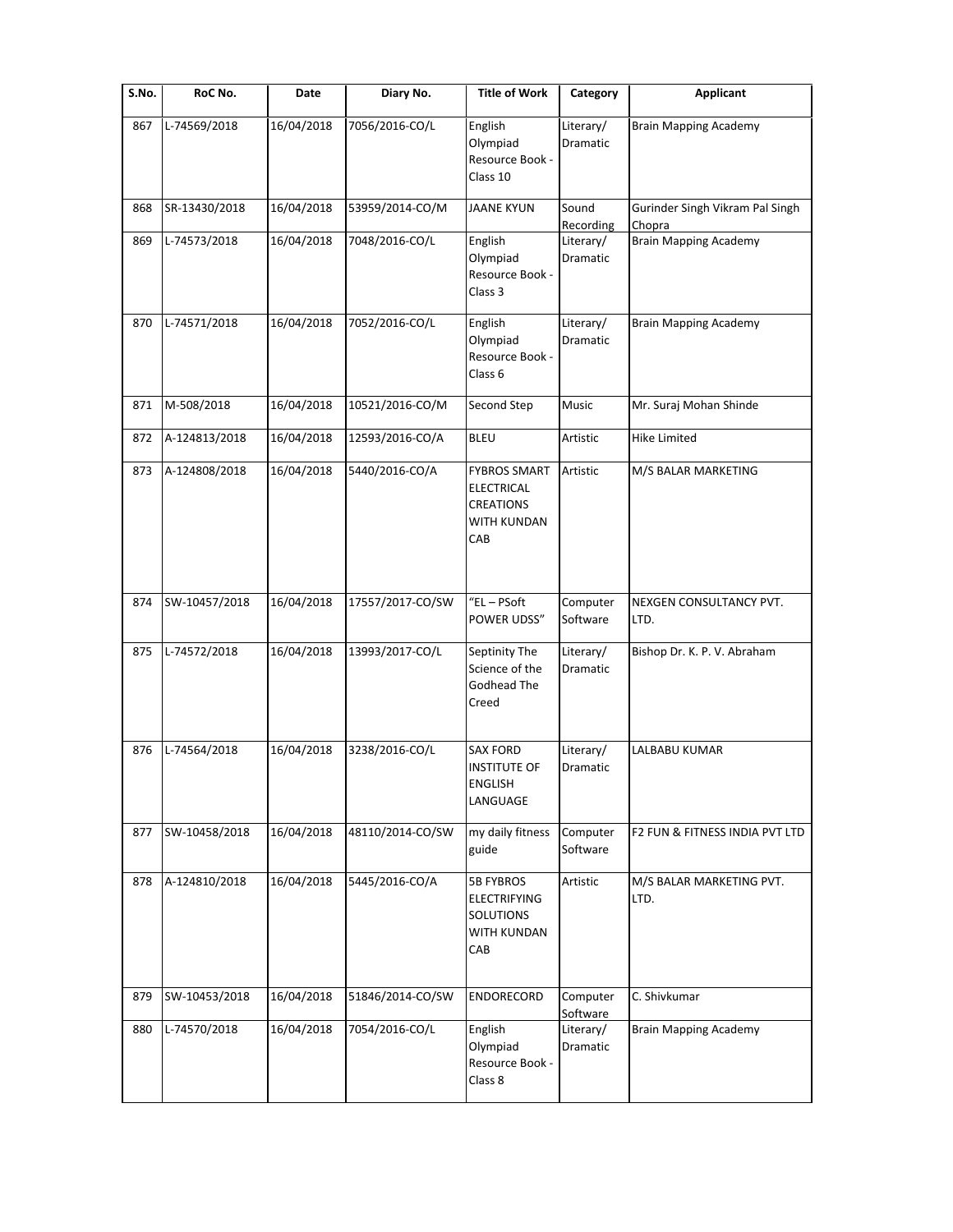| S.No. | RoC No.       | Date       | Diary No.        | <b>Title of Work</b>                                                                      | Category              | <b>Applicant</b>                          |
|-------|---------------|------------|------------------|-------------------------------------------------------------------------------------------|-----------------------|-------------------------------------------|
| 867   | L-74569/2018  | 16/04/2018 | 7056/2016-CO/L   | English<br>Olympiad<br>Resource Book -<br>Class 10                                        | Literary/<br>Dramatic | <b>Brain Mapping Academy</b>              |
| 868   | SR-13430/2018 | 16/04/2018 | 53959/2014-CO/M  | <b>JAANE KYUN</b>                                                                         | Sound<br>Recording    | Gurinder Singh Vikram Pal Singh<br>Chopra |
| 869   | L-74573/2018  | 16/04/2018 | 7048/2016-CO/L   | English<br>Olympiad<br>Resource Book -<br>Class 3                                         | Literary/<br>Dramatic | <b>Brain Mapping Academy</b>              |
| 870   | L-74571/2018  | 16/04/2018 | 7052/2016-CO/L   | English<br>Olympiad<br>Resource Book -<br>Class 6                                         | Literary/<br>Dramatic | <b>Brain Mapping Academy</b>              |
| 871   | M-508/2018    | 16/04/2018 | 10521/2016-CO/M  | Second Step                                                                               | Music                 | Mr. Suraj Mohan Shinde                    |
| 872   | A-124813/2018 | 16/04/2018 | 12593/2016-CO/A  | <b>BLEU</b>                                                                               | Artistic              | <b>Hike Limited</b>                       |
| 873   | A-124808/2018 | 16/04/2018 | 5440/2016-CO/A   | <b>FYBROS SMART</b><br><b>ELECTRICAL</b><br><b>CREATIONS</b><br><b>WITH KUNDAN</b><br>CAB | Artistic              | M/S BALAR MARKETING                       |
| 874   | SW-10457/2018 | 16/04/2018 | 17557/2017-CO/SW | $"EL - PSoft$<br>POWER UDSS"                                                              | Computer<br>Software  | NEXGEN CONSULTANCY PVT.<br>LTD.           |
| 875   | L-74572/2018  | 16/04/2018 | 13993/2017-CO/L  | Septinity The<br>Science of the<br>Godhead The<br>Creed                                   | Literary/<br>Dramatic | Bishop Dr. K. P. V. Abraham               |
| 876   | L-74564/2018  | 16/04/2018 | 3238/2016-CO/L   | <b>SAX FORD</b><br><b>INSTITUTE OF</b><br><b>ENGLISH</b><br>LANGUAGE                      | Literary/<br>Dramatic | LALBABU KUMAR                             |
| 877   | SW-10458/2018 | 16/04/2018 | 48110/2014-CO/SW | my daily fitness<br>guide                                                                 | Computer<br>Software  | F2 FUN & FITNESS INDIA PVT LTD            |
| 878   | A-124810/2018 | 16/04/2018 | 5445/2016-CO/A   | 5B FYBROS<br><b>ELECTRIFYING</b><br>SOLUTIONS<br>WITH KUNDAN<br>CAB                       | Artistic              | M/S BALAR MARKETING PVT.<br>LTD.          |
| 879   | SW-10453/2018 | 16/04/2018 | 51846/2014-CO/SW | ENDORECORD                                                                                | Computer<br>Software  | C. Shivkumar                              |
| 880   | L-74570/2018  | 16/04/2018 | 7054/2016-CO/L   | English<br>Olympiad<br>Resource Book -<br>Class 8                                         | Literary/<br>Dramatic | <b>Brain Mapping Academy</b>              |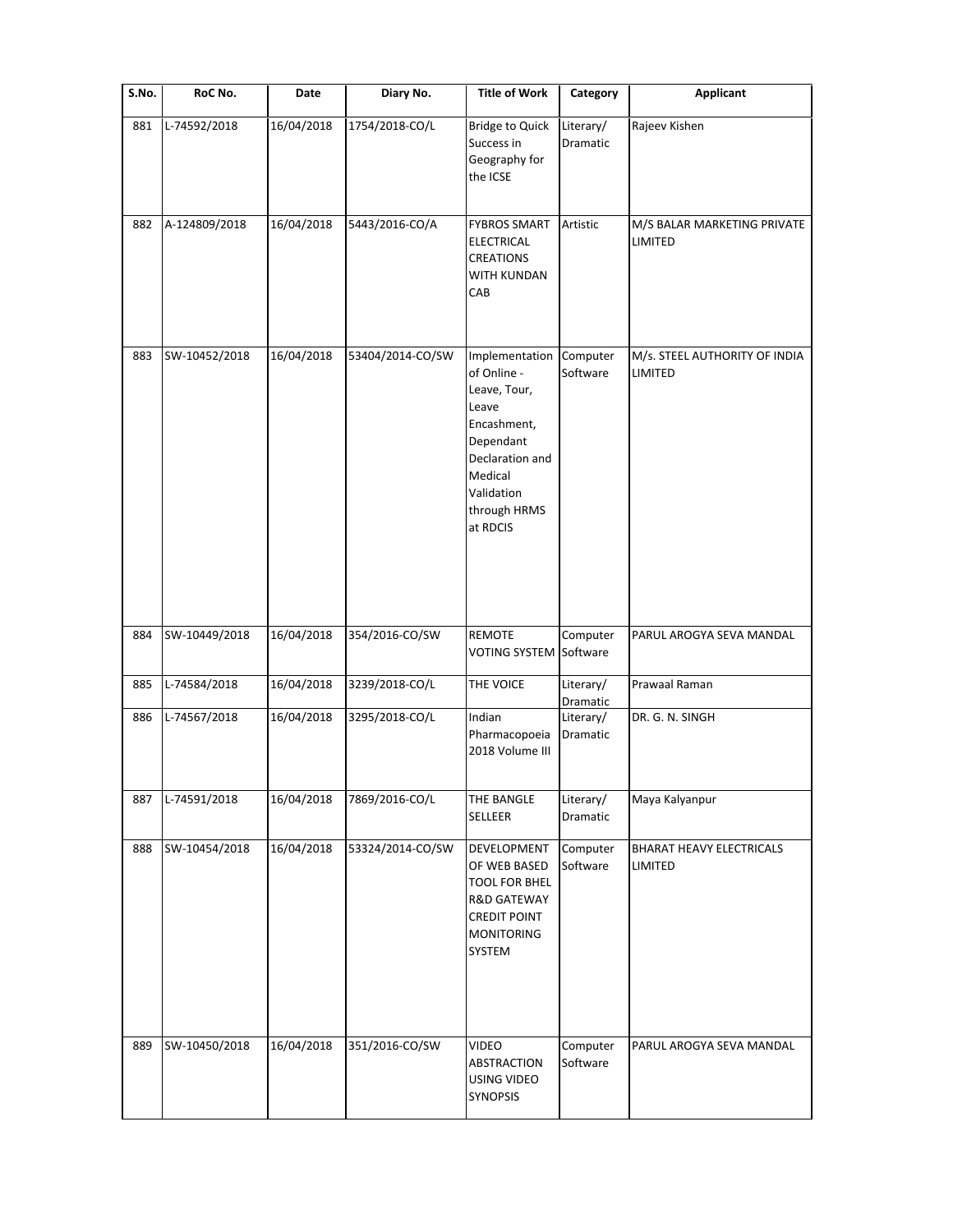| S.No. | RoC No.       | Date       | Diary No.        | <b>Title of Work</b>                                                                                                                                       | Category              | <b>Applicant</b>                         |
|-------|---------------|------------|------------------|------------------------------------------------------------------------------------------------------------------------------------------------------------|-----------------------|------------------------------------------|
| 881   | L-74592/2018  | 16/04/2018 | 1754/2018-CO/L   | <b>Bridge to Quick</b><br>Success in<br>Geography for<br>the ICSE                                                                                          | Literary/<br>Dramatic | Rajeev Kishen                            |
| 882   | A-124809/2018 | 16/04/2018 | 5443/2016-CO/A   | <b>FYBROS SMART</b><br><b>ELECTRICAL</b><br><b>CREATIONS</b><br>WITH KUNDAN<br>CAB                                                                         | Artistic              | M/S BALAR MARKETING PRIVATE<br>LIMITED   |
| 883   | SW-10452/2018 | 16/04/2018 | 53404/2014-CO/SW | Implementation<br>of Online -<br>Leave, Tour,<br>Leave<br>Encashment,<br>Dependant<br>Declaration and<br>Medical<br>Validation<br>through HRMS<br>at RDCIS | Computer<br>Software  | M/s. STEEL AUTHORITY OF INDIA<br>LIMITED |
| 884   | SW-10449/2018 | 16/04/2018 | 354/2016-CO/SW   | REMOTE<br><b>VOTING SYSTEM</b>                                                                                                                             | Computer<br>Software  | PARUL AROGYA SEVA MANDAL                 |
| 885   | L-74584/2018  | 16/04/2018 | 3239/2018-CO/L   | THE VOICE                                                                                                                                                  | Literary/<br>Dramatic | Prawaal Raman                            |
| 886   | L-74567/2018  | 16/04/2018 | 3295/2018-CO/L   | Indian<br>Pharmacopoeia<br>2018 Volume III                                                                                                                 | Literary/<br>Dramatic | DR. G. N. SINGH                          |
| 887   | L-74591/2018  | 16/04/2018 | 7869/2016-CO/L   | THE BANGLE<br>SELLEER                                                                                                                                      | Literary/<br>Dramatic | Maya Kalyanpur                           |
| 888   | SW-10454/2018 | 16/04/2018 | 53324/2014-CO/SW | DEVELOPMENT<br>OF WEB BASED<br><b>TOOL FOR BHEL</b><br><b>R&amp;D GATEWAY</b><br><b>CREDIT POINT</b><br><b>MONITORING</b><br>SYSTEM                        | Computer<br>Software  | BHARAT HEAVY ELECTRICALS<br>LIMITED      |
| 889   | SW-10450/2018 | 16/04/2018 | 351/2016-CO/SW   | <b>VIDEO</b><br>ABSTRACTION<br>USING VIDEO<br>SYNOPSIS                                                                                                     | Computer<br>Software  | PARUL AROGYA SEVA MANDAL                 |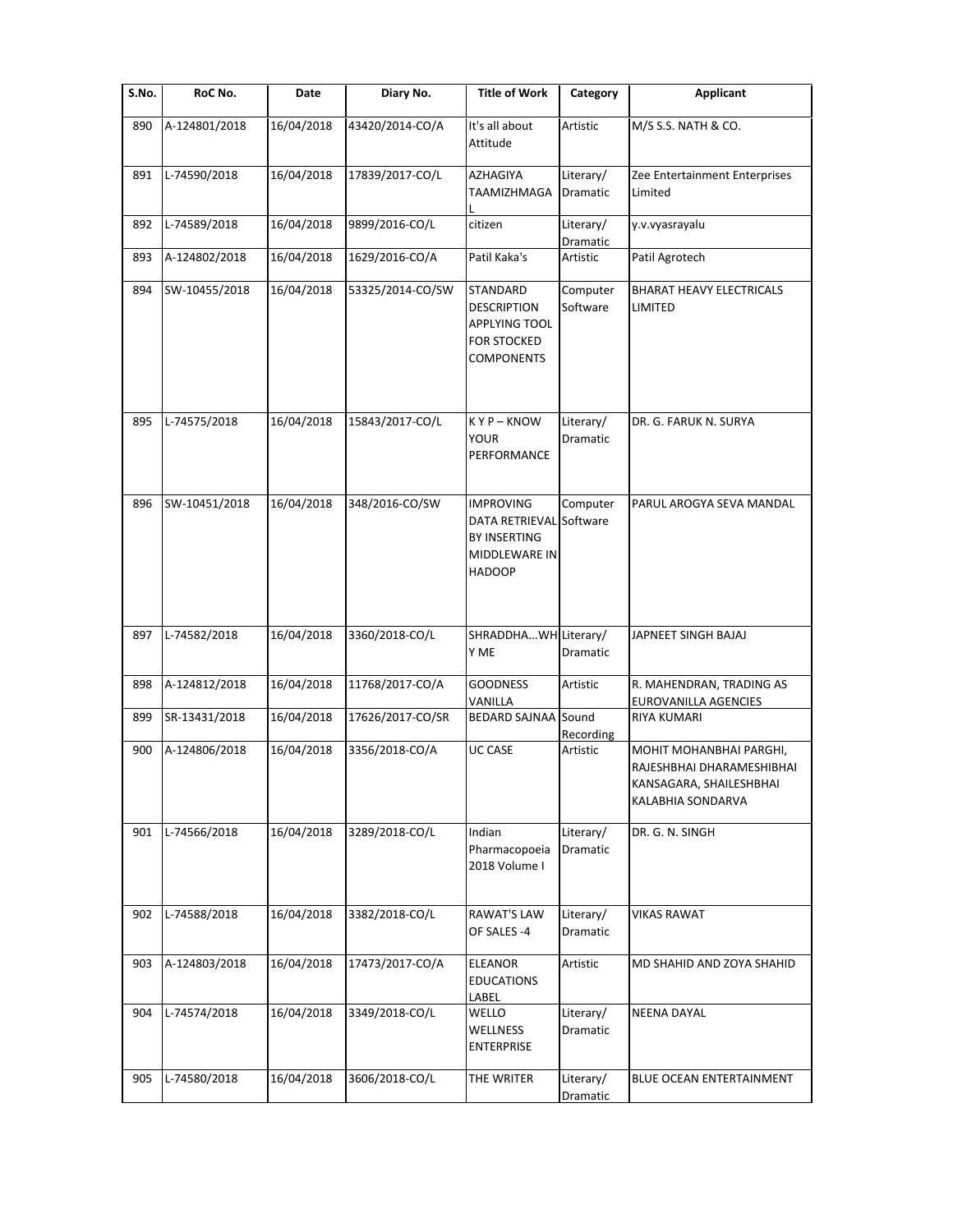| S.No. | RoC No.       | Date       | Diary No.        | <b>Title of Work</b>                                                                                 | Category                     | <b>Applicant</b>                                                                                     |
|-------|---------------|------------|------------------|------------------------------------------------------------------------------------------------------|------------------------------|------------------------------------------------------------------------------------------------------|
| 890   | A-124801/2018 | 16/04/2018 | 43420/2014-CO/A  | It's all about<br>Attitude                                                                           | Artistic                     | M/S S.S. NATH & CO.                                                                                  |
| 891   | L-74590/2018  | 16/04/2018 | 17839/2017-CO/L  | AZHAGIYA<br>TAAMIZHMAGA                                                                              | Literary/<br><b>Dramatic</b> | Zee Entertainment Enterprises<br>Limited                                                             |
| 892   | L-74589/2018  | 16/04/2018 | 9899/2016-CO/L   | citizen                                                                                              | Literary/<br>Dramatic        | y.v.vyasrayalu                                                                                       |
| 893   | A-124802/2018 | 16/04/2018 | 1629/2016-CO/A   | Patil Kaka's                                                                                         | Artistic                     | Patil Agrotech                                                                                       |
| 894   | SW-10455/2018 | 16/04/2018 | 53325/2014-CO/SW | STANDARD<br><b>DESCRIPTION</b><br>APPLYING TOOL<br><b>FOR STOCKED</b><br><b>COMPONENTS</b>           | Computer<br>Software         | <b>BHARAT HEAVY ELECTRICALS</b><br>LIMITED                                                           |
| 895   | L-74575/2018  | 16/04/2018 | 15843/2017-CO/L  | KYP-KNOW<br>YOUR<br>PERFORMANCE                                                                      | Literary/<br>Dramatic        | DR. G. FARUK N. SURYA                                                                                |
| 896   | SW-10451/2018 | 16/04/2018 | 348/2016-CO/SW   | <b>IMPROVING</b><br>DATA RETRIEVAL Software<br><b>BY INSERTING</b><br>MIDDLEWARE IN<br><b>HADOOP</b> | Computer                     | PARUL AROGYA SEVA MANDAL                                                                             |
| 897   | L-74582/2018  | 16/04/2018 | 3360/2018-CO/L   | SHRADDHAWH Literary/<br>Y ME                                                                         | Dramatic                     | JAPNEET SINGH BAJAJ                                                                                  |
| 898   | A-124812/2018 | 16/04/2018 | 11768/2017-CO/A  | <b>GOODNESS</b><br>VANILLA                                                                           | Artistic                     | R. MAHENDRAN, TRADING AS<br>EUROVANILLA AGENCIES                                                     |
| 899   | SR-13431/2018 | 16/04/2018 | 17626/2017-CO/SR | <b>BEDARD SAJNAA</b> Sound                                                                           | Recording                    | <b>RIYA KUMARI</b>                                                                                   |
| 900   | A-124806/2018 | 16/04/2018 | 3356/2018-CO/A   | <b>UC CASE</b>                                                                                       | Artistic                     | MOHIT MOHANBHAI PARGHI,<br>RAJESHBHAI DHARAMESHIBHAI<br>KANSAGARA, SHAILESHBHAI<br>KALABHIA SONDARVA |
| 901   | L-74566/2018  | 16/04/2018 | 3289/2018-CO/L   | Indian<br>Pharmacopoeia<br>2018 Volume I                                                             | Literary/<br>Dramatic        | DR. G. N. SINGH                                                                                      |
| 902   | L-74588/2018  | 16/04/2018 | 3382/2018-CO/L   | <b>RAWAT'S LAW</b><br>OF SALES -4                                                                    | Literary/<br>Dramatic        | <b>VIKAS RAWAT</b>                                                                                   |
| 903   | A-124803/2018 | 16/04/2018 | 17473/2017-CO/A  | <b>ELEANOR</b><br><b>EDUCATIONS</b><br>LABEL                                                         | Artistic                     | MD SHAHID AND ZOYA SHAHID                                                                            |
| 904   | L-74574/2018  | 16/04/2018 | 3349/2018-CO/L   | WELLO<br>WELLNESS<br><b>ENTERPRISE</b>                                                               | Literary/<br>Dramatic        | <b>NEENA DAYAL</b>                                                                                   |
| 905   | L-74580/2018  | 16/04/2018 | 3606/2018-CO/L   | THE WRITER                                                                                           | Literary/<br>Dramatic        | BLUE OCEAN ENTERTAINMENT                                                                             |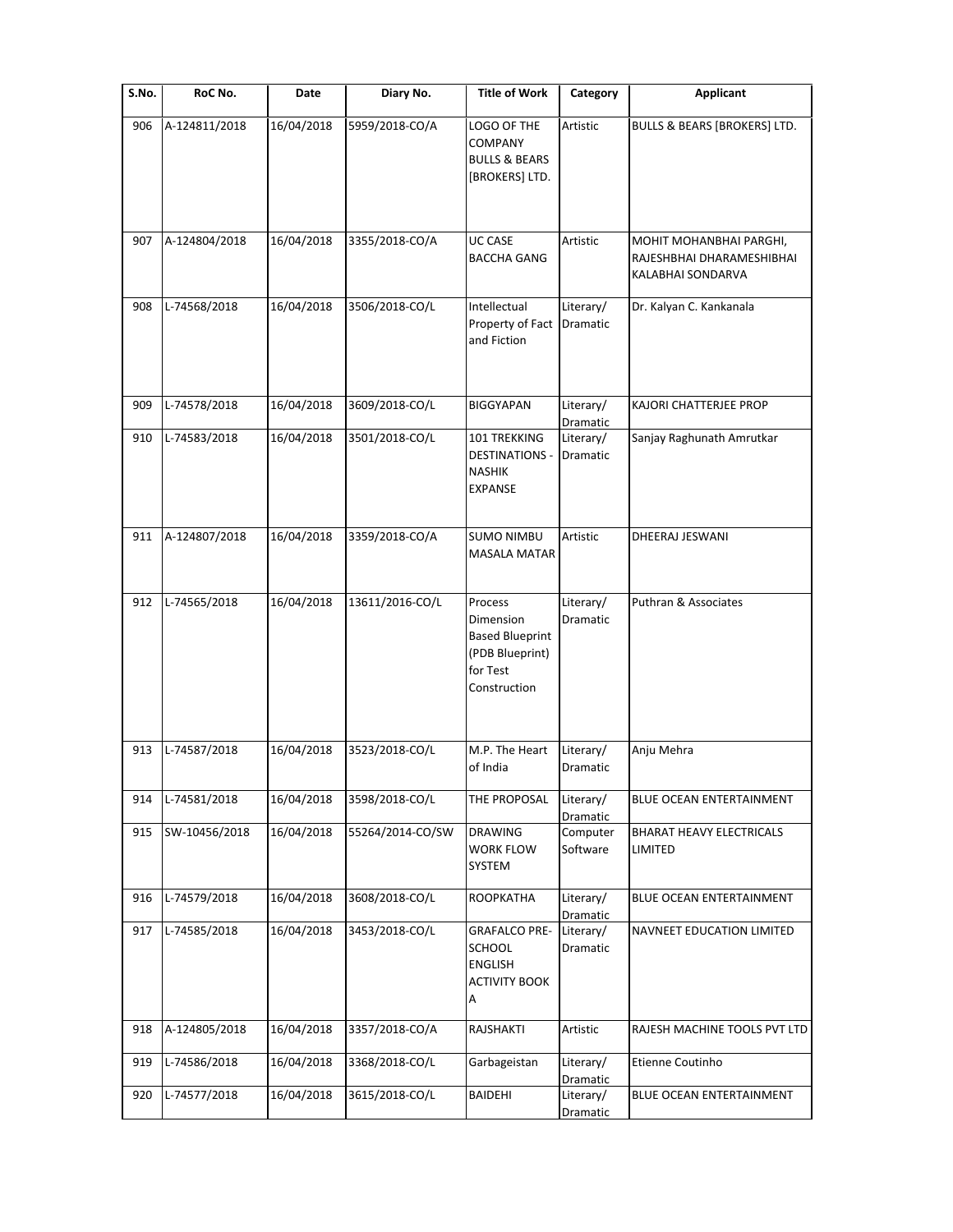| S.No. | RoC No.       | Date       | Diary No.        | <b>Title of Work</b>                                                                          | Category              | <b>Applicant</b>                                                          |
|-------|---------------|------------|------------------|-----------------------------------------------------------------------------------------------|-----------------------|---------------------------------------------------------------------------|
| 906   | A-124811/2018 | 16/04/2018 | 5959/2018-CO/A   | LOGO OF THE<br><b>COMPANY</b><br><b>BULLS &amp; BEARS</b><br>[BROKERS] LTD.                   | Artistic              | <b>BULLS &amp; BEARS [BROKERS] LTD.</b>                                   |
| 907   | A-124804/2018 | 16/04/2018 | 3355/2018-CO/A   | <b>UC CASE</b><br><b>BACCHA GANG</b>                                                          | Artistic              | MOHIT MOHANBHAI PARGHI,<br>RAJESHBHAI DHARAMESHIBHAI<br>KALABHAI SONDARVA |
| 908   | L-74568/2018  | 16/04/2018 | 3506/2018-CO/L   | Intellectual<br>Property of Fact<br>and Fiction                                               | Literary/<br>Dramatic | Dr. Kalyan C. Kankanala                                                   |
| 909   | L-74578/2018  | 16/04/2018 | 3609/2018-CO/L   | <b>BIGGYAPAN</b>                                                                              | Literary/<br>Dramatic | KAJORI CHATTERJEE PROP                                                    |
| 910   | L-74583/2018  | 16/04/2018 | 3501/2018-CO/L   | 101 TREKKING<br><b>DESTINATIONS -</b><br><b>NASHIK</b><br><b>EXPANSE</b>                      | Literary/<br>Dramatic | Sanjay Raghunath Amrutkar                                                 |
| 911   | A-124807/2018 | 16/04/2018 | 3359/2018-CO/A   | <b>SUMO NIMBU</b><br><b>MASALA MATAR</b>                                                      | Artistic              | DHEERAJ JESWANI                                                           |
| 912   | L-74565/2018  | 16/04/2018 | 13611/2016-CO/L  | Process<br>Dimension<br><b>Based Blueprint</b><br>(PDB Blueprint)<br>for Test<br>Construction | Literary/<br>Dramatic | Puthran & Associates                                                      |
| 913   | L-74587/2018  | 16/04/2018 | 3523/2018-CO/L   | M.P. The Heart<br>of India                                                                    | Literary/<br>Dramatic | Anju Mehra                                                                |
| 914   | L-74581/2018  | 16/04/2018 | 3598/2018-CO/L   | THE PROPOSAL                                                                                  | Literary/<br>Dramatic | BLUE OCEAN ENTERTAINMENT                                                  |
| 915   | SW-10456/2018 | 16/04/2018 | 55264/2014-CO/SW | <b>DRAWING</b><br><b>WORK FLOW</b><br>SYSTEM                                                  | Computer<br>Software  | <b>BHARAT HEAVY ELECTRICALS</b><br>LIMITED                                |
| 916   | L-74579/2018  | 16/04/2018 | 3608/2018-CO/L   | <b>ROOPKATHA</b>                                                                              | Literary/<br>Dramatic | BLUE OCEAN ENTERTAINMENT                                                  |
| 917   | L-74585/2018  | 16/04/2018 | 3453/2018-CO/L   | <b>GRAFALCO PRE-</b><br><b>SCHOOL</b><br><b>ENGLISH</b><br><b>ACTIVITY BOOK</b><br>Α          | Literary/<br>Dramatic | NAVNEET EDUCATION LIMITED                                                 |
| 918   | A-124805/2018 | 16/04/2018 | 3357/2018-CO/A   | RAJSHAKTI                                                                                     | Artistic              | RAJESH MACHINE TOOLS PVT LTD                                              |
| 919   | L-74586/2018  | 16/04/2018 | 3368/2018-CO/L   | Garbageistan                                                                                  | Literary/<br>Dramatic | Etienne Coutinho                                                          |
| 920   | L-74577/2018  | 16/04/2018 | 3615/2018-CO/L   | BAIDEHI                                                                                       | Literary/<br>Dramatic | BLUE OCEAN ENTERTAINMENT                                                  |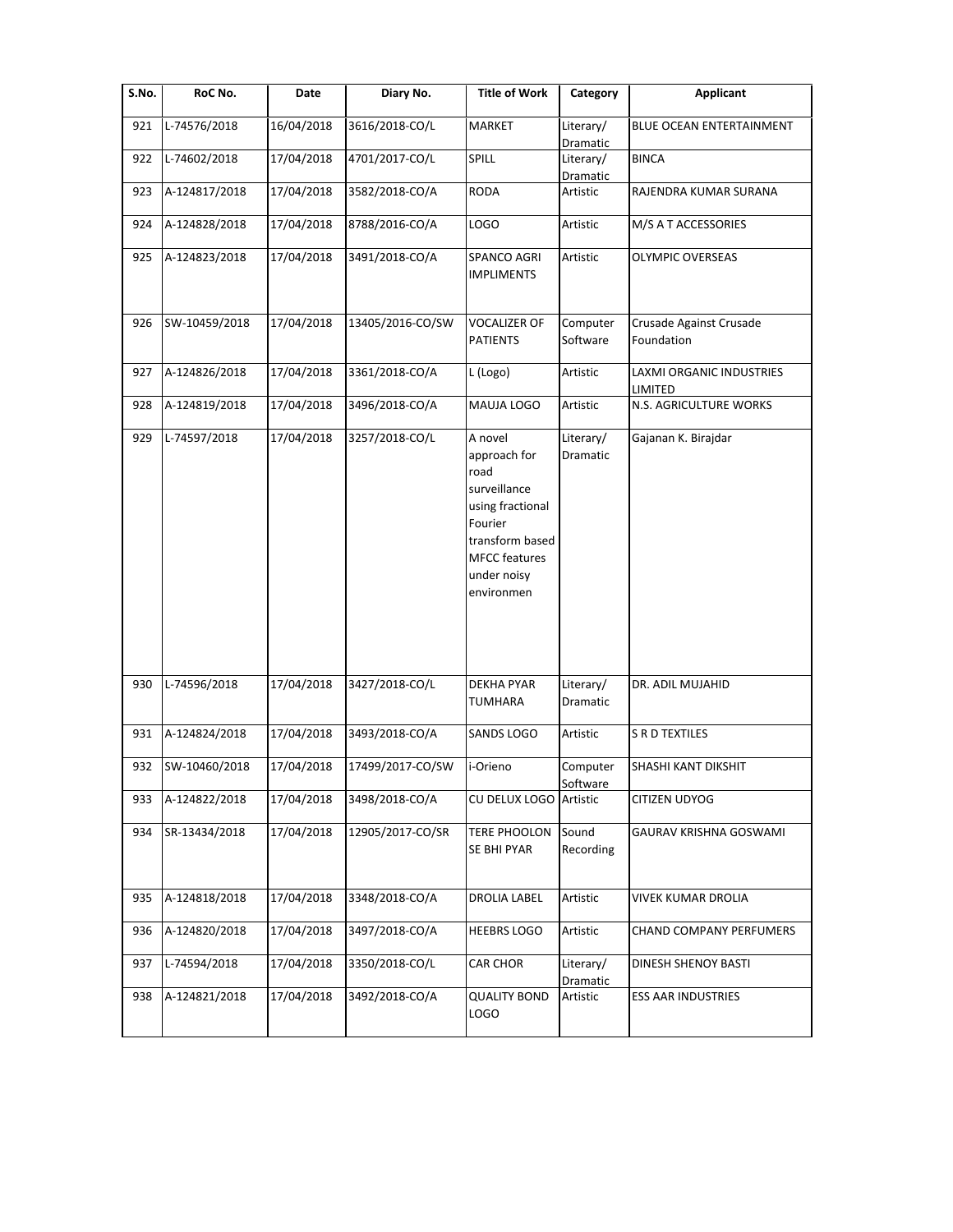| S.No. | RoC No.       | Date       | Diary No.        | <b>Title of Work</b>                                                                                                                                   | Category              | <b>Applicant</b>                      |
|-------|---------------|------------|------------------|--------------------------------------------------------------------------------------------------------------------------------------------------------|-----------------------|---------------------------------------|
| 921   | L-74576/2018  | 16/04/2018 | 3616/2018-CO/L   | <b>MARKET</b>                                                                                                                                          | Literary/<br>Dramatic | BLUE OCEAN ENTERTAINMENT              |
| 922   | L-74602/2018  | 17/04/2018 | 4701/2017-CO/L   | SPILL                                                                                                                                                  | Literary/<br>Dramatic | <b>BINCA</b>                          |
| 923   | A-124817/2018 | 17/04/2018 | 3582/2018-CO/A   | <b>RODA</b>                                                                                                                                            | Artistic              | RAJENDRA KUMAR SURANA                 |
| 924   | A-124828/2018 | 17/04/2018 | 8788/2016-CO/A   | LOGO                                                                                                                                                   | Artistic              | M/S A T ACCESSORIES                   |
| 925   | A-124823/2018 | 17/04/2018 | 3491/2018-CO/A   | SPANCO AGRI<br><b>IMPLIMENTS</b>                                                                                                                       | Artistic              | <b>OLYMPIC OVERSEAS</b>               |
| 926   | SW-10459/2018 | 17/04/2018 | 13405/2016-CO/SW | VOCALIZER OF<br><b>PATIENTS</b>                                                                                                                        | Computer<br>Software  | Crusade Against Crusade<br>Foundation |
| 927   | A-124826/2018 | 17/04/2018 | 3361/2018-CO/A   | L (Logo)                                                                                                                                               | Artistic              | LAXMI ORGANIC INDUSTRIES<br>LIMITED   |
| 928   | A-124819/2018 | 17/04/2018 | 3496/2018-CO/A   | MAUJA LOGO                                                                                                                                             | Artistic              | N.S. AGRICULTURE WORKS                |
| 929   | L-74597/2018  | 17/04/2018 | 3257/2018-CO/L   | A novel<br>approach for<br>road<br>surveillance<br>using fractional<br>Fourier<br>transform based<br><b>MFCC</b> features<br>under noisy<br>environmen | Literary/<br>Dramatic | Gajanan K. Birajdar                   |
| 930   | L-74596/2018  | 17/04/2018 | 3427/2018-CO/L   | <b>DEKHA PYAR</b><br><b>TUMHARA</b>                                                                                                                    | Literary/<br>Dramatic | DR. ADIL MUJAHID                      |
| 931   | A-124824/2018 | 17/04/2018 | 3493/2018-CO/A   | SANDS LOGO                                                                                                                                             | Artistic              | <b>S R D TEXTILES</b>                 |
| 932   | SW-10460/2018 | 17/04/2018 | 17499/2017-CO/SW | i-Orieno                                                                                                                                               | Computer<br>Software  | SHASHI KANT DIKSHIT                   |
| 933   | A-124822/2018 | 17/04/2018 | 3498/2018-CO/A   | CU DELUX LOGO                                                                                                                                          | Artistic              | CITIZEN UDYOG                         |
| 934   | SR-13434/2018 | 17/04/2018 | 12905/2017-CO/SR | <b>TERE PHOOLON</b><br>SE BHI PYAR                                                                                                                     | Sound<br>Recording    | GAURAV KRISHNA GOSWAMI                |
| 935   | A-124818/2018 | 17/04/2018 | 3348/2018-CO/A   | <b>DROLIA LABEL</b>                                                                                                                                    | Artistic              | VIVEK KUMAR DROLIA                    |
| 936   | A-124820/2018 | 17/04/2018 | 3497/2018-CO/A   | <b>HEEBRS LOGO</b>                                                                                                                                     | Artistic              | CHAND COMPANY PERFUMERS               |
| 937   | L-74594/2018  | 17/04/2018 | 3350/2018-CO/L   | <b>CAR CHOR</b>                                                                                                                                        | Literary/<br>Dramatic | DINESH SHENOY BASTI                   |
| 938   | A-124821/2018 | 17/04/2018 | 3492/2018-CO/A   | <b>QUALITY BOND</b><br>LOGO                                                                                                                            | Artistic              | <b>ESS AAR INDUSTRIES</b>             |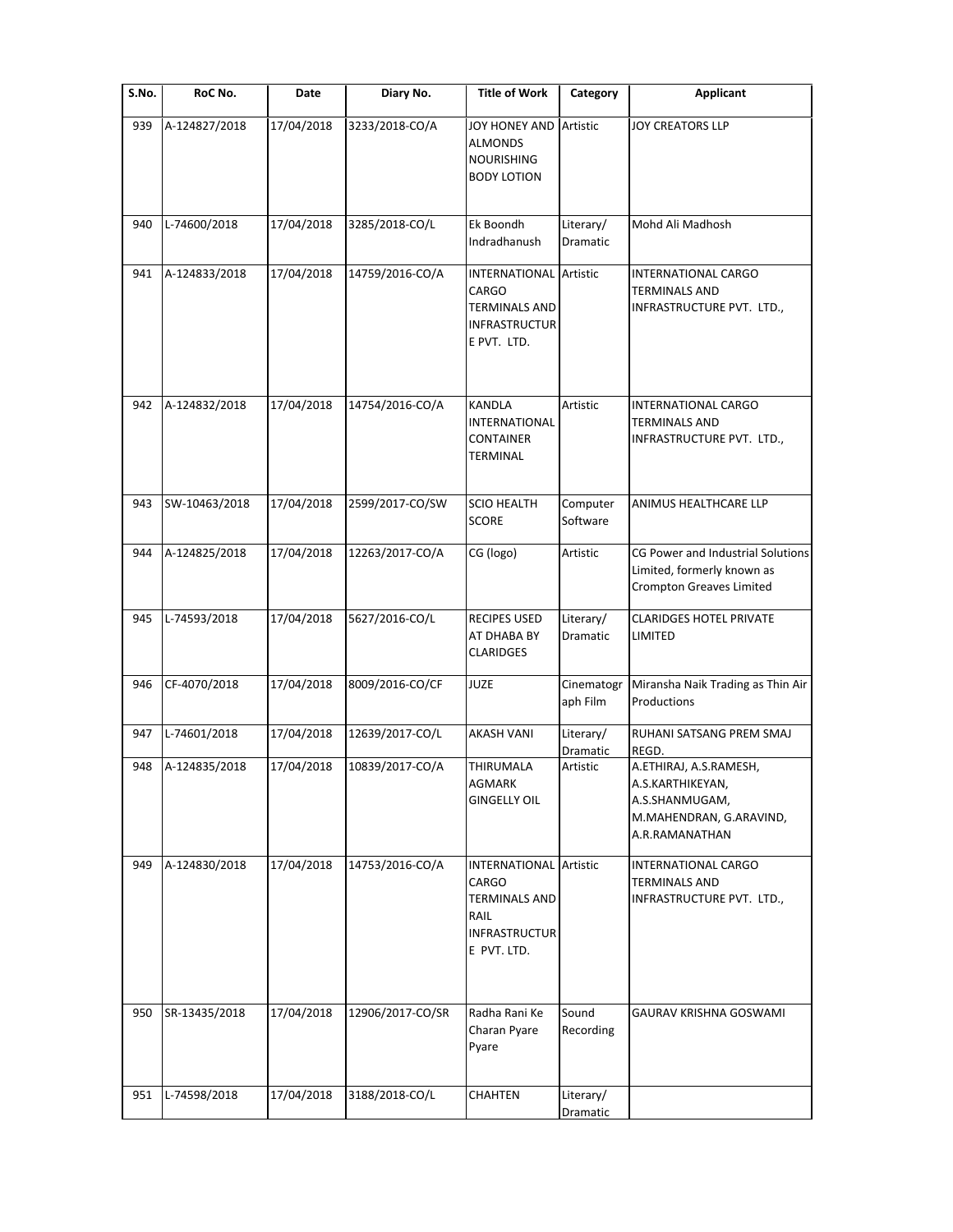| S.No. | RoC No.       | Date       | Diary No.        | <b>Title of Work</b>                                                                                          | Category               | <b>Applicant</b>                                                                                          |
|-------|---------------|------------|------------------|---------------------------------------------------------------------------------------------------------------|------------------------|-----------------------------------------------------------------------------------------------------------|
| 939   | A-124827/2018 | 17/04/2018 | 3233/2018-CO/A   | JOY HONEY AND<br><b>ALMONDS</b><br><b>NOURISHING</b><br><b>BODY LOTION</b>                                    | Artistic               | <b>JOY CREATORS LLP</b>                                                                                   |
| 940   | L-74600/2018  | 17/04/2018 | 3285/2018-CO/L   | Ek Boondh<br>Indradhanush                                                                                     | Literary/<br>Dramatic  | Mohd Ali Madhosh                                                                                          |
| 941   | A-124833/2018 | 17/04/2018 | 14759/2016-CO/A  | <b>INTERNATIONAL</b><br>CARGO<br><b>TERMINALS AND</b><br><b>INFRASTRUCTUR</b><br>E PVT. LTD.                  | Artistic               | INTERNATIONAL CARGO<br><b>TERMINALS AND</b><br>INFRASTRUCTURE PVT. LTD.,                                  |
| 942   | A-124832/2018 | 17/04/2018 | 14754/2016-CO/A  | <b>KANDLA</b><br>INTERNATIONAL<br><b>CONTAINER</b><br>TERMINAL                                                | Artistic               | INTERNATIONAL CARGO<br><b>TERMINALS AND</b><br>INFRASTRUCTURE PVT. LTD.,                                  |
| 943   | SW-10463/2018 | 17/04/2018 | 2599/2017-CO/SW  | <b>SCIO HEALTH</b><br><b>SCORE</b>                                                                            | Computer<br>Software   | ANIMUS HEALTHCARE LLP                                                                                     |
| 944   | A-124825/2018 | 17/04/2018 | 12263/2017-CO/A  | CG (logo)                                                                                                     | Artistic               | CG Power and Industrial Solutions<br>Limited, formerly known as<br><b>Crompton Greaves Limited</b>        |
| 945   | L-74593/2018  | 17/04/2018 | 5627/2016-CO/L   | <b>RECIPES USED</b><br>AT DHABA BY<br><b>CLARIDGES</b>                                                        | Literary/<br>Dramatic  | <b>CLARIDGES HOTEL PRIVATE</b><br>LIMITED                                                                 |
| 946   | CF-4070/2018  | 17/04/2018 | 8009/2016-CO/CF  | <b>JUZE</b>                                                                                                   | Cinematogr<br>aph Film | Miransha Naik Trading as Thin Air<br>Productions                                                          |
| 947   | L-74601/2018  | 17/04/2018 | 12639/2017-CO/L  | <b>AKASH VANI</b>                                                                                             | Literary/<br>Dramatic  | RUHANI SATSANG PREM SMAJ<br>REGD.                                                                         |
| 948   | A-124835/2018 | 17/04/2018 | 10839/2017-CO/A  | THIRUMALA<br>AGMARK<br><b>GINGELLY OIL</b>                                                                    | Artistic               | A.ETHIRAJ, A.S.RAMESH,<br>A.S.KARTHIKEYAN,<br>A.S.SHANMUGAM,<br>M.MAHENDRAN, G.ARAVIND,<br>A.R.RAMANATHAN |
| 949   | A-124830/2018 | 17/04/2018 | 14753/2016-CO/A  | <b>INTERNATIONAL</b> Artistic<br>CARGO<br><b>TERMINALS AND</b><br>RAIL<br><b>INFRASTRUCTUR</b><br>E PVT. LTD. |                        | INTERNATIONAL CARGO<br><b>TERMINALS AND</b><br>INFRASTRUCTURE PVT. LTD.,                                  |
| 950   | SR-13435/2018 | 17/04/2018 | 12906/2017-CO/SR | Radha Rani Ke<br>Charan Pyare<br>Pyare                                                                        | Sound<br>Recording     | GAURAV KRISHNA GOSWAMI                                                                                    |
| 951   | L-74598/2018  | 17/04/2018 | 3188/2018-CO/L   | CHAHTEN                                                                                                       | Literary/<br>Dramatic  |                                                                                                           |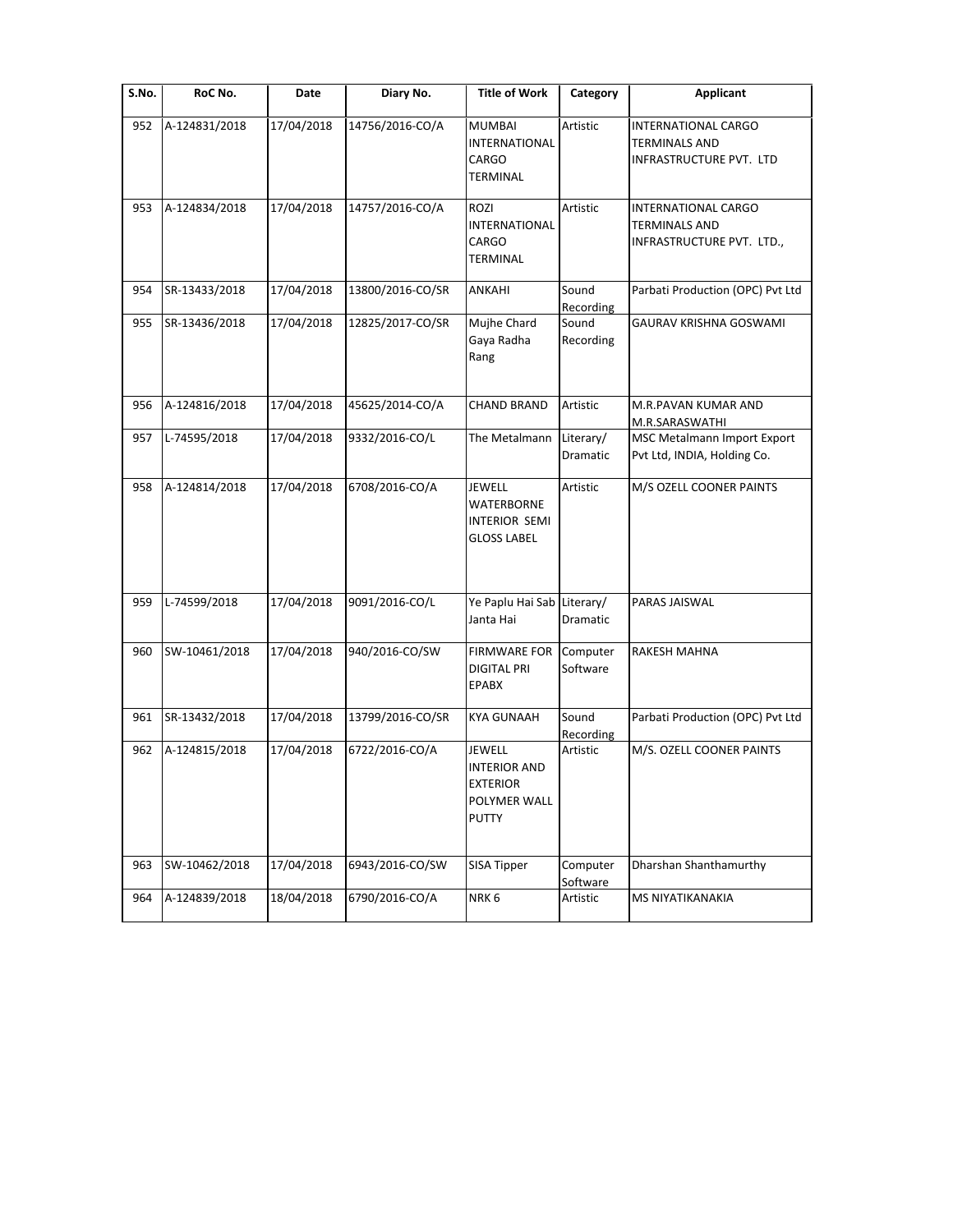| S.No. | RoC No.       | Date       | Diary No.        | <b>Title of Work</b>                                                                    | Category              | <b>Applicant</b>                                                                |
|-------|---------------|------------|------------------|-----------------------------------------------------------------------------------------|-----------------------|---------------------------------------------------------------------------------|
| 952   | A-124831/2018 | 17/04/2018 | 14756/2016-CO/A  | <b>MUMBAI</b><br><b>INTERNATIONAL</b><br>CARGO<br><b>TERMINAL</b>                       | Artistic              | <b>INTERNATIONAL CARGO</b><br><b>TERMINALS AND</b><br>INFRASTRUCTURE PVT. LTD   |
| 953   | A-124834/2018 | 17/04/2018 | 14757/2016-CO/A  | <b>ROZI</b><br><b>INTERNATIONAL</b><br>CARGO<br><b>TERMINAL</b>                         | Artistic              | <b>INTERNATIONAL CARGO</b><br><b>TERMINALS AND</b><br>INFRASTRUCTURE PVT. LTD., |
| 954   | SR-13433/2018 | 17/04/2018 | 13800/2016-CO/SR | <b>ANKAHI</b>                                                                           | Sound<br>Recording    | Parbati Production (OPC) Pvt Ltd                                                |
| 955   | SR-13436/2018 | 17/04/2018 | 12825/2017-CO/SR | Mujhe Chard<br>Gaya Radha<br>Rang                                                       | Sound<br>Recording    | GAURAV KRISHNA GOSWAMI                                                          |
| 956   | A-124816/2018 | 17/04/2018 | 45625/2014-CO/A  | <b>CHAND BRAND</b>                                                                      | Artistic              | M.R.PAVAN KUMAR AND<br>M.R.SARASWATHI                                           |
| 957   | L-74595/2018  | 17/04/2018 | 9332/2016-CO/L   | The Metalmann                                                                           | Literary/<br>Dramatic | MSC Metalmann Import Export<br>Pvt Ltd, INDIA, Holding Co.                      |
| 958   | A-124814/2018 | 17/04/2018 | 6708/2016-CO/A   | <b>JEWELL</b><br><b>WATERBORNE</b><br><b>INTERIOR SEMI</b><br><b>GLOSS LABEL</b>        | Artistic              | M/S OZELL COONER PAINTS                                                         |
| 959   | L-74599/2018  | 17/04/2018 | 9091/2016-CO/L   | Ye Paplu Hai Sab Literary/<br>Janta Hai                                                 | Dramatic              | PARAS JAISWAL                                                                   |
| 960   | SW-10461/2018 | 17/04/2018 | 940/2016-CO/SW   | <b>FIRMWARE FOR</b><br><b>DIGITAL PRI</b><br>EPABX                                      | Computer<br>Software  | RAKESH MAHNA                                                                    |
| 961   | SR-13432/2018 | 17/04/2018 | 13799/2016-CO/SR | <b>KYA GUNAAH</b>                                                                       | Sound<br>Recording    | Parbati Production (OPC) Pvt Ltd                                                |
| 962   | A-124815/2018 | 17/04/2018 | 6722/2016-CO/A   | <b>JEWELL</b><br><b>INTERIOR AND</b><br><b>EXTERIOR</b><br>POLYMER WALL<br><b>PUTTY</b> | Artistic              | M/S. OZELL COONER PAINTS                                                        |
| 963   | SW-10462/2018 | 17/04/2018 | 6943/2016-CO/SW  | SISA Tipper                                                                             | Computer<br>Software  | Dharshan Shanthamurthy                                                          |
| 964   | A-124839/2018 | 18/04/2018 | 6790/2016-CO/A   | NRK6                                                                                    | Artistic              | MS NIYATIKANAKIA                                                                |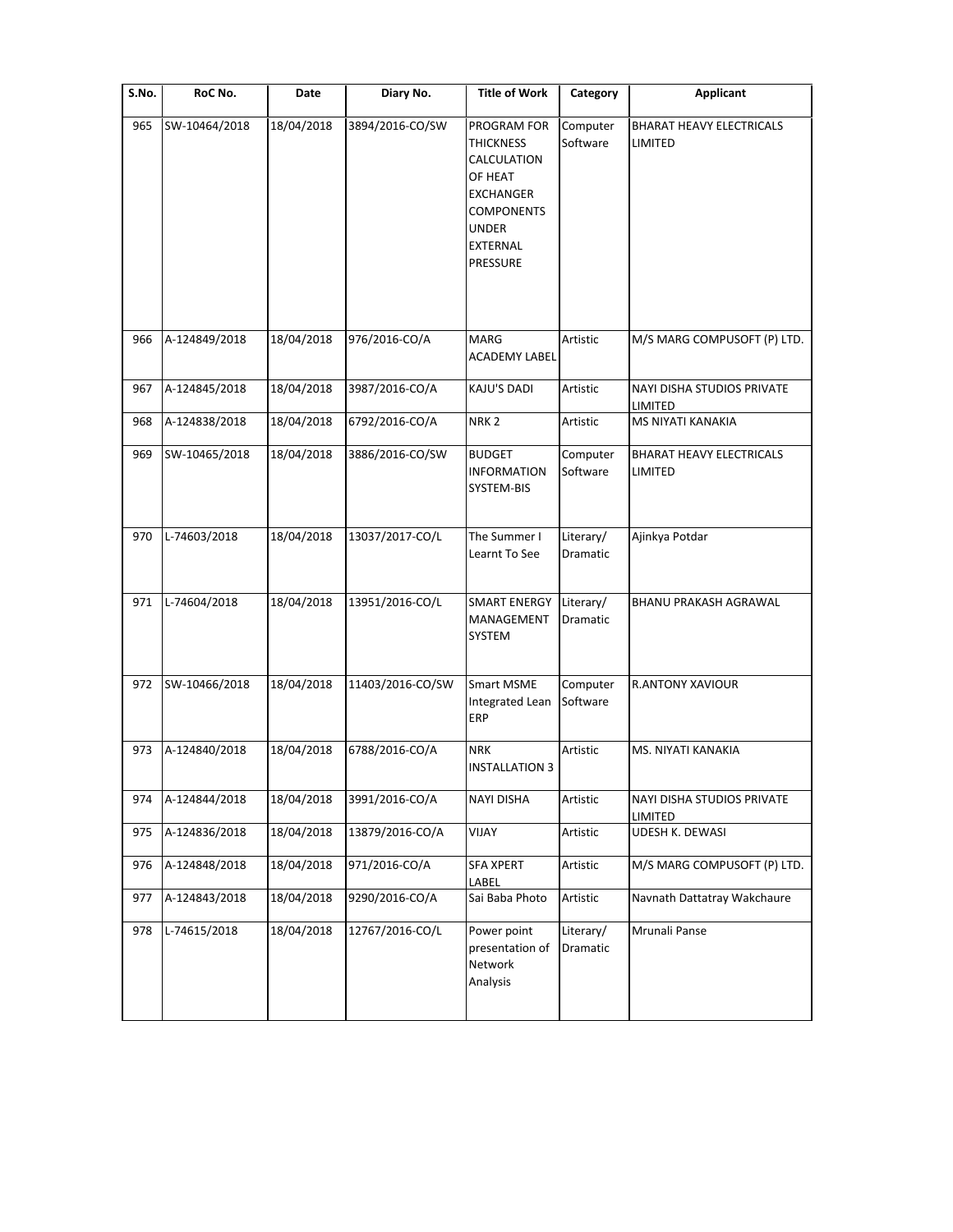| S.No. | RoC No.       | Date       | Diary No.        | <b>Title of Work</b>                                                                                                                              | Category              | <b>Applicant</b>                                  |
|-------|---------------|------------|------------------|---------------------------------------------------------------------------------------------------------------------------------------------------|-----------------------|---------------------------------------------------|
| 965   | SW-10464/2018 | 18/04/2018 | 3894/2016-CO/SW  | PROGRAM FOR<br><b>THICKNESS</b><br>CALCULATION<br>OF HEAT<br><b>EXCHANGER</b><br><b>COMPONENTS</b><br><b>UNDER</b><br><b>EXTERNAL</b><br>PRESSURE | Computer<br>Software  | <b>BHARAT HEAVY ELECTRICALS</b><br><b>LIMITED</b> |
| 966   | A-124849/2018 | 18/04/2018 | 976/2016-CO/A    | MARG<br><b>ACADEMY LABEL</b>                                                                                                                      | Artistic              | M/S MARG COMPUSOFT (P) LTD.                       |
| 967   | A-124845/2018 | 18/04/2018 | 3987/2016-CO/A   | KAJU'S DADI                                                                                                                                       | Artistic              | NAYI DISHA STUDIOS PRIVATE<br>LIMITED             |
| 968   | A-124838/2018 | 18/04/2018 | 6792/2016-CO/A   | NRK <sub>2</sub>                                                                                                                                  | Artistic              | <b>MS NIYATI KANAKIA</b>                          |
| 969   | SW-10465/2018 | 18/04/2018 | 3886/2016-CO/SW  | <b>BUDGET</b><br><b>INFORMATION</b><br>SYSTEM-BIS                                                                                                 | Computer<br>Software  | <b>BHARAT HEAVY ELECTRICALS</b><br>LIMITED        |
| 970   | L-74603/2018  | 18/04/2018 | 13037/2017-CO/L  | The Summer I<br>Learnt To See                                                                                                                     | Literary/<br>Dramatic | Ajinkya Potdar                                    |
| 971   | L-74604/2018  | 18/04/2018 | 13951/2016-CO/L  | <b>SMART ENERGY</b><br>MANAGEMENT<br>SYSTEM                                                                                                       | Literary/<br>Dramatic | BHANU PRAKASH AGRAWAL                             |
| 972   | SW-10466/2018 | 18/04/2018 | 11403/2016-CO/SW | <b>Smart MSME</b><br>Integrated Lean<br>ERP                                                                                                       | Computer<br>Software  | <b>R.ANTONY XAVIOUR</b>                           |
| 973   | A-124840/2018 | 18/04/2018 | 6788/2016-CO/A   | <b>NRK</b><br><b>INSTALLATION 3</b>                                                                                                               | Artistic              | MS. NIYATI KANAKIA                                |
| 974   | A-124844/2018 | 18/04/2018 | 3991/2016-CO/A   | <b>NAYI DISHA</b>                                                                                                                                 | Artistic              | NAYI DISHA STUDIOS PRIVATE<br>LIMITED             |
| 975   | A-124836/2018 | 18/04/2018 | 13879/2016-CO/A  | VIJAY                                                                                                                                             | Artistic              | <b>UDESH K. DEWASI</b>                            |
| 976   | A-124848/2018 | 18/04/2018 | 971/2016-CO/A    | SFA XPERT<br>LABEL                                                                                                                                | Artistic              | M/S MARG COMPUSOFT (P) LTD.                       |
| 977   | A-124843/2018 | 18/04/2018 | 9290/2016-CO/A   | Sai Baba Photo                                                                                                                                    | Artistic              | Navnath Dattatray Wakchaure                       |
| 978   | L-74615/2018  | 18/04/2018 | 12767/2016-CO/L  | Power point<br>presentation of<br>Network<br>Analysis                                                                                             | Literary/<br>Dramatic | Mrunali Panse                                     |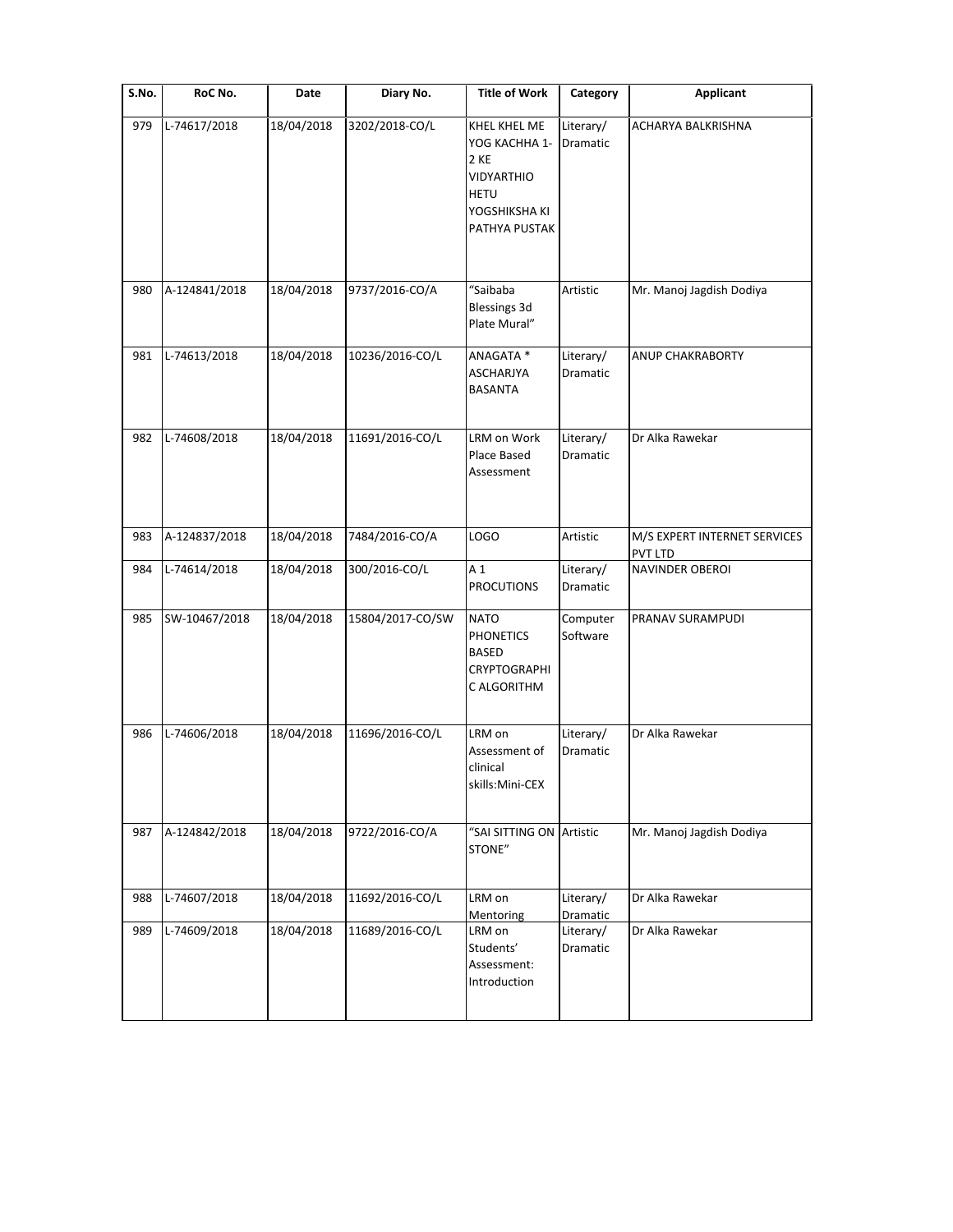| S.No. | RoC No.       | Date       | Diary No.        | <b>Title of Work</b>                                                                                 | Category                          | <b>Applicant</b>                        |
|-------|---------------|------------|------------------|------------------------------------------------------------------------------------------------------|-----------------------------------|-----------------------------------------|
| 979   | L-74617/2018  | 18/04/2018 | 3202/2018-CO/L   | KHEL KHEL ME<br>YOG KACHHA 1-<br>2 KE<br>VIDYARTHIO<br><b>HETU</b><br>YOGSHIKSHA KI<br>PATHYA PUSTAK | Literary/<br>Dramatic             | ACHARYA BALKRISHNA                      |
| 980   | A-124841/2018 | 18/04/2018 | 9737/2016-CO/A   | "Saibaba<br><b>Blessings 3d</b><br>Plate Mural"                                                      | Artistic                          | Mr. Manoj Jagdish Dodiya                |
| 981   | L-74613/2018  | 18/04/2018 | 10236/2016-CO/L  | ANAGATA *<br>ASCHARJYA<br><b>BASANTA</b>                                                             | Literary/<br>Dramatic             | <b>ANUP CHAKRABORTY</b>                 |
| 982   | L-74608/2018  | 18/04/2018 | 11691/2016-CO/L  | LRM on Work<br>Place Based<br>Assessment                                                             | Literary/<br>Dramatic             | Dr Alka Rawekar                         |
| 983   | A-124837/2018 | 18/04/2018 | 7484/2016-CO/A   | <b>LOGO</b>                                                                                          | Artistic                          | M/S EXPERT INTERNET SERVICES<br>PVT LTD |
| 984   | L-74614/2018  | 18/04/2018 | 300/2016-CO/L    | A <sub>1</sub><br><b>PROCUTIONS</b>                                                                  | Literary/<br>Dramatic             | <b>NAVINDER OBEROI</b>                  |
| 985   | SW-10467/2018 | 18/04/2018 | 15804/2017-CO/SW | <b>NATO</b><br><b>PHONETICS</b><br><b>BASED</b><br><b>CRYPTOGRAPHI</b><br>C ALGORITHM                | Computer<br>Software              | PRANAV SURAMPUDI                        |
| 986   | L-74606/2018  | 18/04/2018 | 11696/2016-CO/L  | LRM on<br>Assessment of<br>clinical<br>skills:Mini-CEX                                               | Literary/<br>Dramatic             | Dr Alka Rawekar                         |
| 987   | A-124842/2018 | 18/04/2018 | 9722/2016-CO/A   | "SAI SITTING ON Artistic<br>STONE"                                                                   |                                   | Mr. Manoj Jagdish Dodiya                |
| 988   | L-74607/2018  | 18/04/2018 | 11692/2016-CO/L  | LRM on                                                                                               | Literary/                         | Dr Alka Rawekar                         |
| 989   | L-74609/2018  | 18/04/2018 | 11689/2016-CO/L  | Mentoring<br>LRM on<br>Students'<br>Assessment:<br>Introduction                                      | Dramatic<br>Literary/<br>Dramatic | Dr Alka Rawekar                         |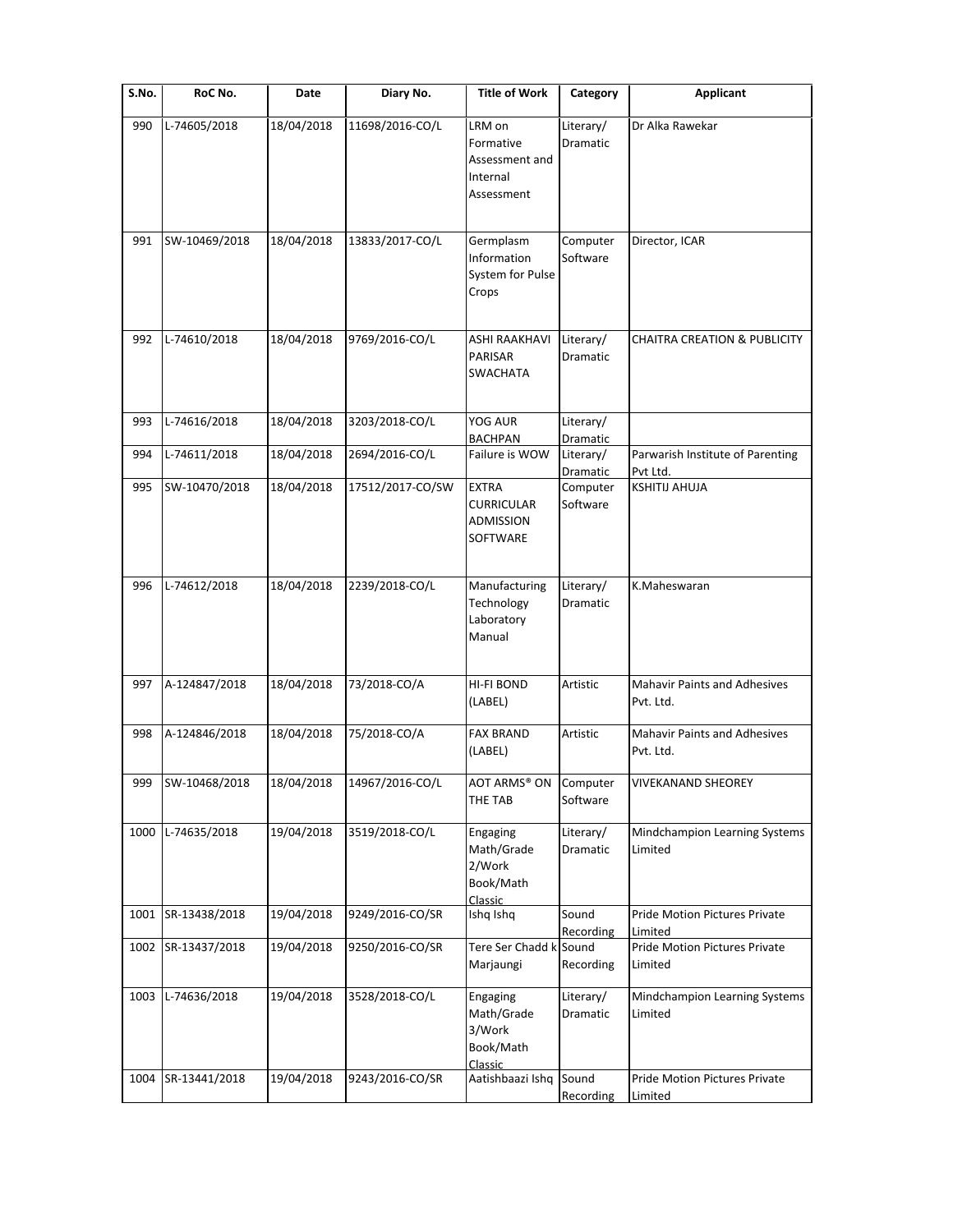| S.No. | RoC No.       | Date       | Diary No.        | <b>Title of Work</b>                                            | Category               | <b>Applicant</b>                                    |
|-------|---------------|------------|------------------|-----------------------------------------------------------------|------------------------|-----------------------------------------------------|
| 990   | L-74605/2018  | 18/04/2018 | 11698/2016-CO/L  | LRM on<br>Formative<br>Assessment and<br>Internal<br>Assessment | Literary/<br>Dramatic  | Dr Alka Rawekar                                     |
| 991   | SW-10469/2018 | 18/04/2018 | 13833/2017-CO/L  | Germplasm<br>Information<br>System for Pulse<br>Crops           | Computer<br>Software   | Director, ICAR                                      |
| 992   | L-74610/2018  | 18/04/2018 | 9769/2016-CO/L   | <b>ASHI RAAKHAVI</b><br>PARISAR<br><b>SWACHATA</b>              | Literary/<br>Dramatic  | <b>CHAITRA CREATION &amp; PUBLICITY</b>             |
| 993   | L-74616/2018  | 18/04/2018 | 3203/2018-CO/L   | YOG AUR                                                         | Literary/              |                                                     |
| 994   | L-74611/2018  | 18/04/2018 | 2694/2016-CO/L   | <b>BACHPAN</b><br>Failure is WOW                                | Dramatic<br>Literary/  | Parwarish Institute of Parenting                    |
|       |               |            |                  |                                                                 | Dramatic               | Pvt Ltd.                                            |
| 995   | SW-10470/2018 | 18/04/2018 | 17512/2017-CO/SW | <b>EXTRA</b><br><b>CURRICULAR</b><br>ADMISSION<br>SOFTWARE      | Computer<br>Software   | <b>KSHITIJ AHUJA</b>                                |
| 996   | L-74612/2018  | 18/04/2018 | 2239/2018-CO/L   | Manufacturing<br>Technology<br>Laboratory<br>Manual             | Literary/<br>Dramatic  | K.Maheswaran                                        |
| 997   | A-124847/2018 | 18/04/2018 | 73/2018-CO/A     | HI-FI BOND<br>(LABEL)                                           | Artistic               | <b>Mahavir Paints and Adhesives</b><br>Pvt. Ltd.    |
| 998   | A-124846/2018 | 18/04/2018 | 75/2018-CO/A     | <b>FAX BRAND</b><br>(LABEL)                                     | Artistic               | <b>Mahavir Paints and Adhesives</b><br>Pvt. Ltd.    |
| 999   | SW-10468/2018 | 18/04/2018 | 14967/2016-CO/L  | AOT ARMS® ON<br>THE TAB                                         | Computer<br>Software   | VIVEKANAND SHEOREY                                  |
| 1000  | L-74635/2018  | 19/04/2018 | 3519/2018-CO/L   | Engaging<br>Math/Grade<br>2/Work<br>Book/Math<br>Classic        | Literary/<br>Dramatic  | Mindchampion Learning Systems<br>Limited            |
| 1001  | SR-13438/2018 | 19/04/2018 | 9249/2016-CO/SR  | Ishq Ishq                                                       | Sound                  | Pride Motion Pictures Private                       |
| 1002  | SR-13437/2018 | 19/04/2018 | 9250/2016-CO/SR  | Tere Ser Chadd k Sound<br>Marjaungi                             | Recording<br>Recording | Limited<br>Pride Motion Pictures Private<br>Limited |
| 1003  | L-74636/2018  | 19/04/2018 | 3528/2018-CO/L   | Engaging<br>Math/Grade<br>3/Work<br>Book/Math<br>Classic        | Literary/<br>Dramatic  | Mindchampion Learning Systems<br>Limited            |
| 1004  | SR-13441/2018 | 19/04/2018 | 9243/2016-CO/SR  | Aatishbaazi Ishq                                                | Sound<br>Recording     | Pride Motion Pictures Private<br>Limited            |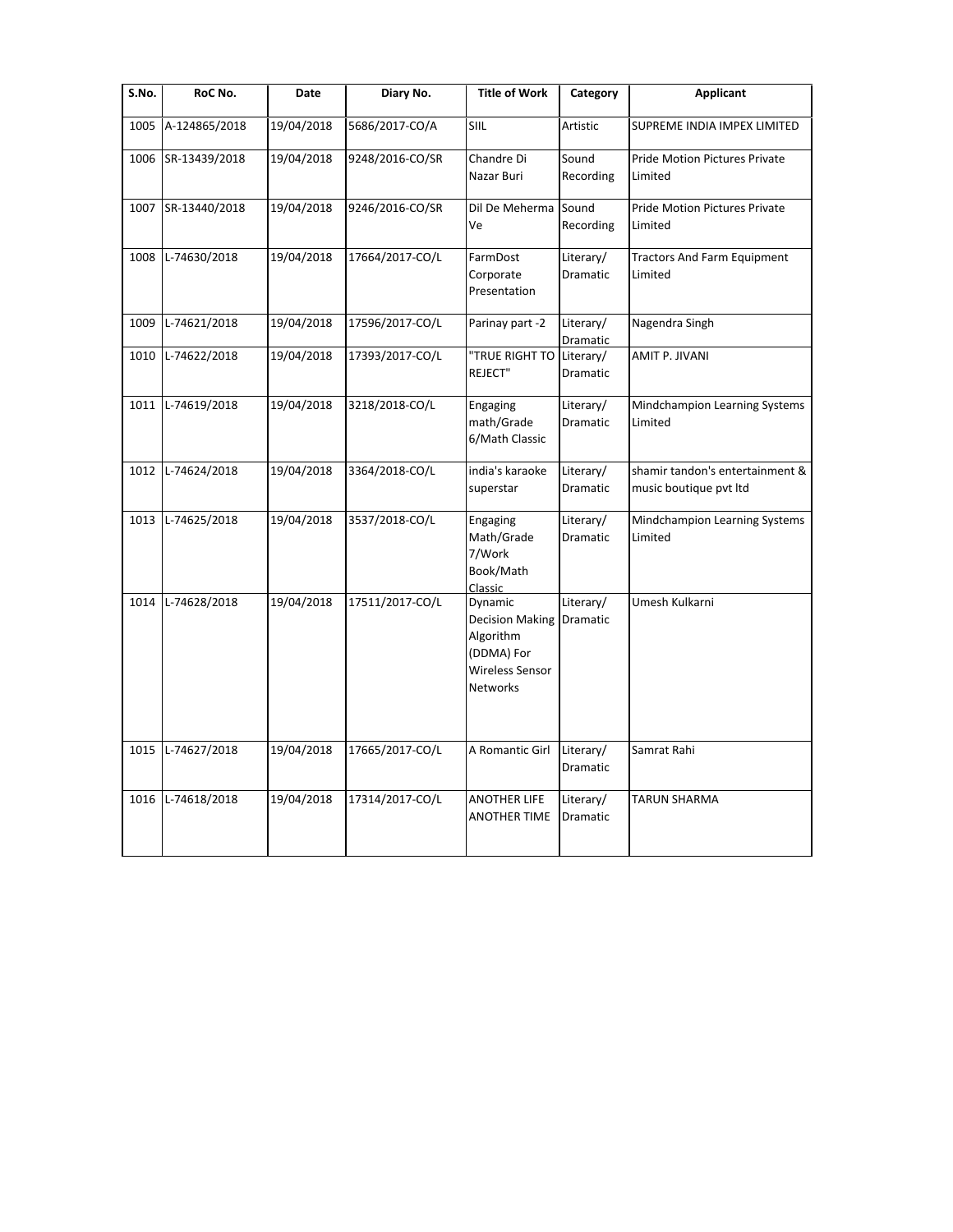| S.No. | RoC No.       | Date       | Diary No.       | <b>Title of Work</b>                                                                               | Category                     | Applicant                                                 |
|-------|---------------|------------|-----------------|----------------------------------------------------------------------------------------------------|------------------------------|-----------------------------------------------------------|
| 1005  | A-124865/2018 | 19/04/2018 | 5686/2017-CO/A  | SIIL                                                                                               | Artistic                     | SUPREME INDIA IMPEX LIMITED                               |
| 1006  | SR-13439/2018 | 19/04/2018 | 9248/2016-CO/SR | Chandre Di<br>Nazar Buri                                                                           | Sound<br>Recording           | Pride Motion Pictures Private<br>Limited                  |
| 1007  | SR-13440/2018 | 19/04/2018 | 9246/2016-CO/SR | Dil De Meherma<br>Ve                                                                               | Sound<br>Recording           | <b>Pride Motion Pictures Private</b><br>Limited           |
| 1008  | L-74630/2018  | 19/04/2018 | 17664/2017-CO/L | FarmDost<br>Corporate<br>Presentation                                                              | Literary/<br>Dramatic        | <b>Tractors And Farm Equipment</b><br>Limited             |
| 1009  | L-74621/2018  | 19/04/2018 | 17596/2017-CO/L | Parinay part -2                                                                                    | Literary/<br>Dramatic        | Nagendra Singh                                            |
| 1010  | L-74622/2018  | 19/04/2018 | 17393/2017-CO/L | "TRUE RIGHT TO<br>REJECT"                                                                          | Literary/<br>Dramatic        | AMIT P. JIVANI                                            |
| 1011  | L-74619/2018  | 19/04/2018 | 3218/2018-CO/L  | Engaging<br>math/Grade<br>6/Math Classic                                                           | Literary/<br>Dramatic        | Mindchampion Learning Systems<br>Limited                  |
| 1012  | L-74624/2018  | 19/04/2018 | 3364/2018-CO/L  | india's karaoke<br>superstar                                                                       | Literary/<br>Dramatic        | shamir tandon's entertainment &<br>music boutique pvt ltd |
| 1013  | L-74625/2018  | 19/04/2018 | 3537/2018-CO/L  | Engaging<br>Math/Grade<br>7/Work<br>Book/Math<br>Classic                                           | Literary/<br>Dramatic        | Mindchampion Learning Systems<br>Limited                  |
| 1014  | L-74628/2018  | 19/04/2018 | 17511/2017-CO/L | Dynamic<br><b>Decision Making</b><br>Algorithm<br>(DDMA) For<br>Wireless Sensor<br><b>Networks</b> | Literary/<br>Dramatic        | Umesh Kulkarni                                            |
| 1015  | L-74627/2018  | 19/04/2018 | 17665/2017-CO/L | A Romantic Girl                                                                                    | Literary/<br>Dramatic        | Samrat Rahi                                               |
| 1016  | L-74618/2018  | 19/04/2018 | 17314/2017-CO/L | <b>ANOTHER LIFE</b><br><b>ANOTHER TIME</b>                                                         | Literary/<br><b>Dramatic</b> | <b>TARUN SHARMA</b>                                       |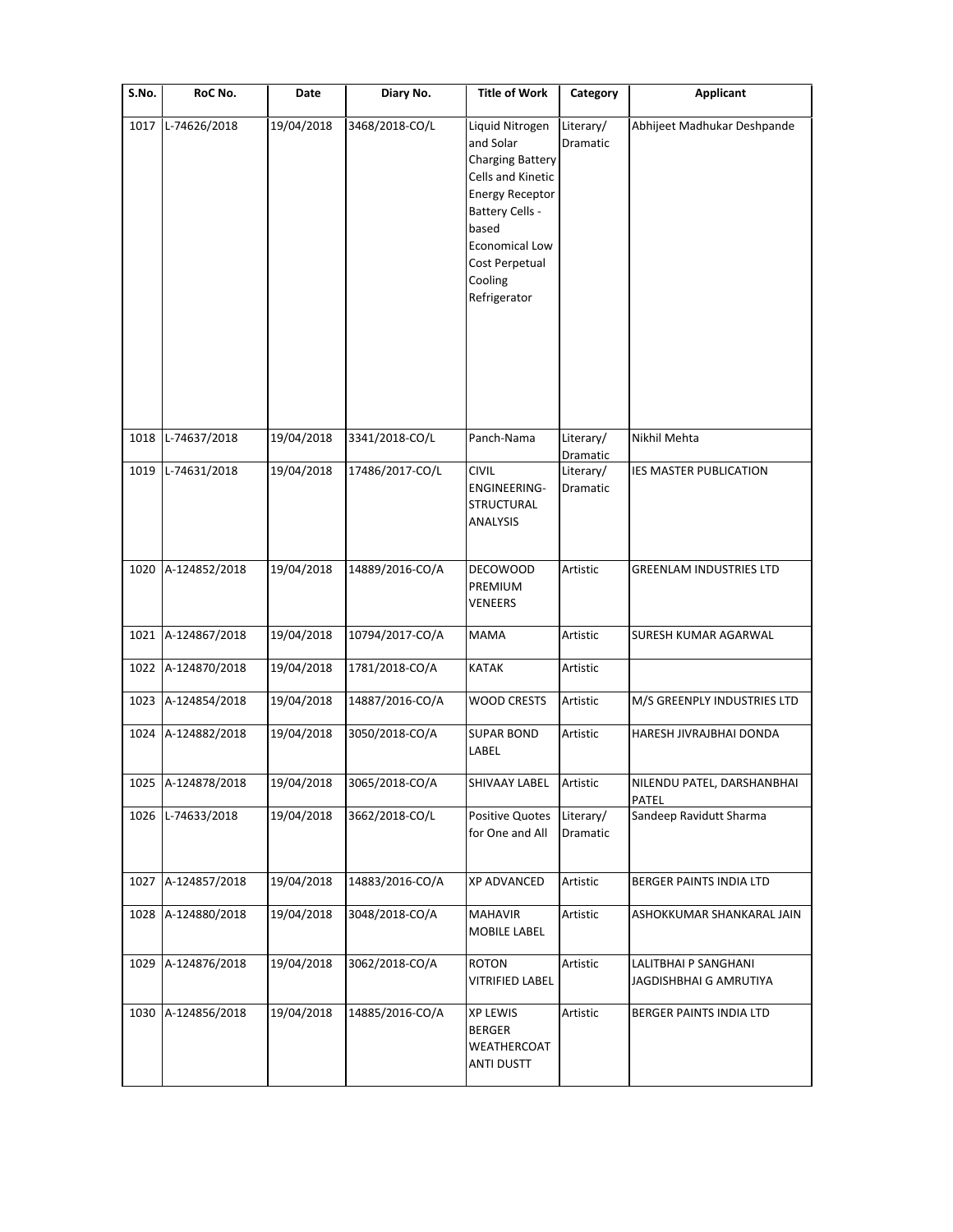| S.No. | RoC No.            | Date       | Diary No.       | <b>Title of Work</b>                                                                                                                                                                                     | Category                          | Applicant                                      |
|-------|--------------------|------------|-----------------|----------------------------------------------------------------------------------------------------------------------------------------------------------------------------------------------------------|-----------------------------------|------------------------------------------------|
| 1017  | L-74626/2018       | 19/04/2018 | 3468/2018-CO/L  | Liquid Nitrogen<br>and Solar<br><b>Charging Battery</b><br>Cells and Kinetic<br><b>Energy Receptor</b><br>Battery Cells -<br>based<br><b>Economical Low</b><br>Cost Perpetual<br>Cooling<br>Refrigerator | Literary/<br>Dramatic             | Abhijeet Madhukar Deshpande                    |
| 1018  | L-74637/2018       | 19/04/2018 | 3341/2018-CO/L  | Panch-Nama                                                                                                                                                                                               | Literary/                         | Nikhil Mehta                                   |
| 1019  | L-74631/2018       | 19/04/2018 | 17486/2017-CO/L | <b>CIVIL</b><br><b>ENGINEERING-</b><br><b>STRUCTURAL</b><br>ANALYSIS                                                                                                                                     | Dramatic<br>Literary/<br>Dramatic | IES MASTER PUBLICATION                         |
| 1020  | A-124852/2018      | 19/04/2018 | 14889/2016-CO/A | <b>DECOWOOD</b><br>PREMIUM<br>VENEERS                                                                                                                                                                    | Artistic                          | <b>GREENLAM INDUSTRIES LTD</b>                 |
| 1021  | A-124867/2018      | 19/04/2018 | 10794/2017-CO/A | <b>MAMA</b>                                                                                                                                                                                              | Artistic                          | SURESH KUMAR AGARWAL                           |
| 1022  | A-124870/2018      | 19/04/2018 | 1781/2018-CO/A  | KATAK                                                                                                                                                                                                    | Artistic                          |                                                |
| 1023  | A-124854/2018      | 19/04/2018 | 14887/2016-CO/A | <b>WOOD CRESTS</b>                                                                                                                                                                                       | Artistic                          | M/S GREENPLY INDUSTRIES LTD                    |
| 1024  | A-124882/2018      | 19/04/2018 | 3050/2018-CO/A  | <b>SUPAR BOND</b><br>LABEL                                                                                                                                                                               | Artistic                          | HARESH JIVRAJBHAI DONDA                        |
|       | 1025 A-124878/2018 | 19/04/2018 | 3065/2018-CO/A  | SHIVAAY LABEL                                                                                                                                                                                            | Artistic                          | NILENDU PATEL, DARSHANBHAI<br>PATEL            |
| 1026  | L-74633/2018       | 19/04/2018 | 3662/2018-CO/L  | <b>Positive Quotes</b><br>for One and All                                                                                                                                                                | Literary/<br>Dramatic             | Sandeep Ravidutt Sharma                        |
| 1027  | A-124857/2018      | 19/04/2018 | 14883/2016-CO/A | <b>XP ADVANCED</b>                                                                                                                                                                                       | Artistic                          | BERGER PAINTS INDIA LTD                        |
| 1028  | A-124880/2018      | 19/04/2018 | 3048/2018-CO/A  | <b>MAHAVIR</b><br>MOBILE LABEL                                                                                                                                                                           | Artistic                          | ASHOKKUMAR SHANKARAL JAIN                      |
| 1029  | A-124876/2018      | 19/04/2018 | 3062/2018-CO/A  | <b>ROTON</b><br><b>VITRIFIED LABEL</b>                                                                                                                                                                   | Artistic                          | LALITBHAI P SANGHANI<br>JAGDISHBHAI G AMRUTIYA |
| 1030  | A-124856/2018      | 19/04/2018 | 14885/2016-CO/A | <b>XP LEWIS</b><br><b>BERGER</b><br>WEATHERCOAT<br><b>ANTI DUSTT</b>                                                                                                                                     | Artistic                          | BERGER PAINTS INDIA LTD                        |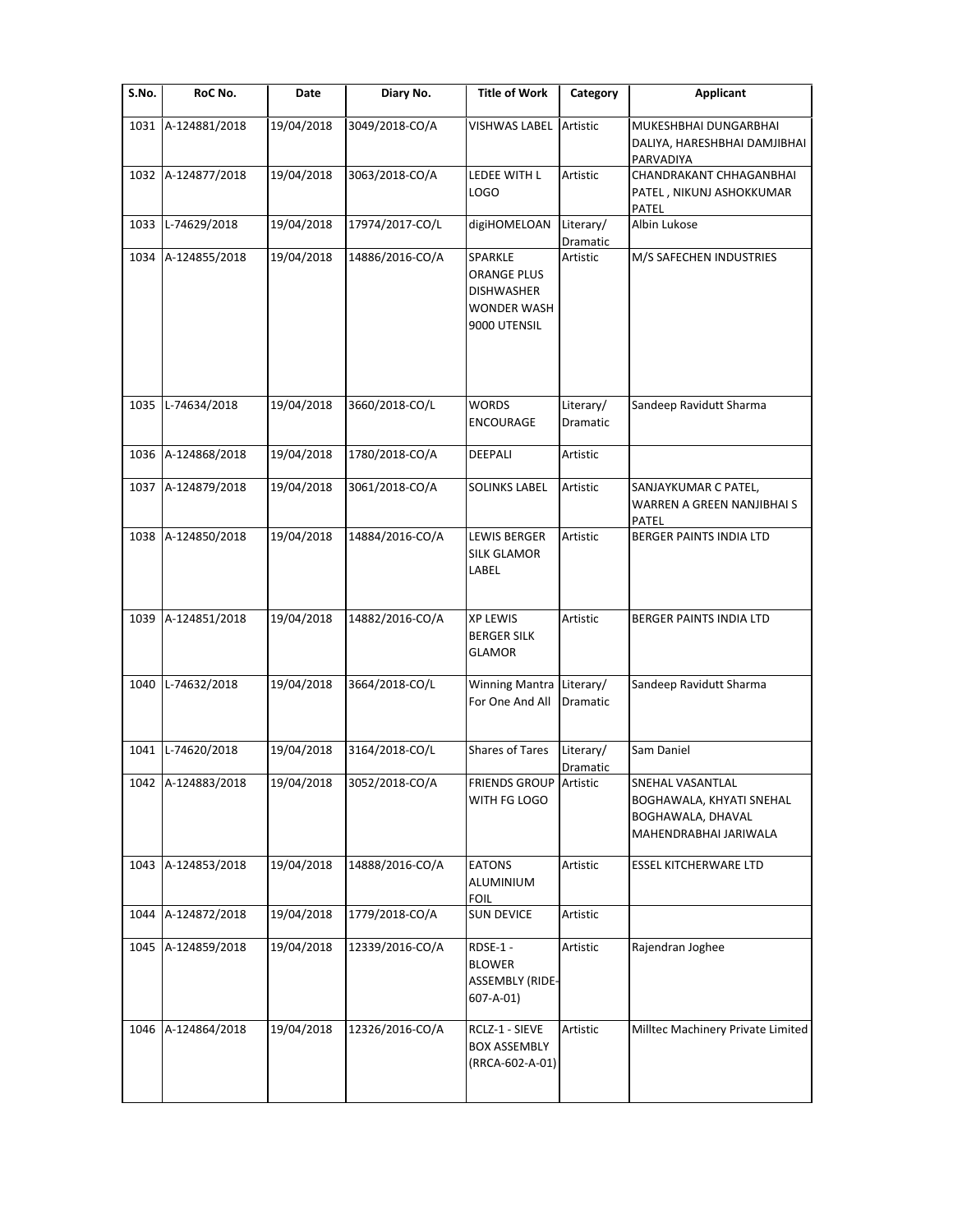| S.No. | RoC No.            | Date       | Diary No.       | <b>Title of Work</b>                                                                     | Category              | <b>Applicant</b>                                                                           |
|-------|--------------------|------------|-----------------|------------------------------------------------------------------------------------------|-----------------------|--------------------------------------------------------------------------------------------|
| 1031  | A-124881/2018      | 19/04/2018 | 3049/2018-CO/A  | <b>VISHWAS LABEL Artistic</b>                                                            |                       | MUKESHBHAI DUNGARBHAI<br>DALIYA, HARESHBHAI DAMJIBHAI<br>PARVADIYA                         |
|       | 1032 A-124877/2018 | 19/04/2018 | 3063/2018-CO/A  | LEDEE WITH L<br>LOGO                                                                     | Artistic              | CHANDRAKANT CHHAGANBHAI<br>PATEL, NIKUNJ ASHOKKUMAR<br><b>PATEL</b>                        |
| 1033  | L-74629/2018       | 19/04/2018 | 17974/2017-CO/L | digiHOMELOAN                                                                             | Literary/<br>Dramatic | Albin Lukose                                                                               |
| 1034  | A-124855/2018      | 19/04/2018 | 14886/2016-CO/A | SPARKLE<br><b>ORANGE PLUS</b><br><b>DISHWASHER</b><br><b>WONDER WASH</b><br>9000 UTENSIL | Artistic              | M/S SAFECHEN INDUSTRIES                                                                    |
| 1035  | L-74634/2018       | 19/04/2018 | 3660/2018-CO/L  | <b>WORDS</b><br><b>ENCOURAGE</b>                                                         | Literary/<br>Dramatic | Sandeep Ravidutt Sharma                                                                    |
|       | 1036 A-124868/2018 | 19/04/2018 | 1780/2018-CO/A  | DEEPALI                                                                                  | Artistic              |                                                                                            |
| 1037  | A-124879/2018      | 19/04/2018 | 3061/2018-CO/A  | <b>SOLINKS LABEL</b>                                                                     | Artistic              | SANJAYKUMAR C PATEL,<br>WARREN A GREEN NANJIBHAI S<br>PATEL                                |
| 1038  | A-124850/2018      | 19/04/2018 | 14884/2016-CO/A | <b>LEWIS BERGER</b><br><b>SILK GLAMOR</b><br>LABEL                                       | Artistic              | <b>BERGER PAINTS INDIA LTD</b>                                                             |
| 1039  | A-124851/2018      | 19/04/2018 | 14882/2016-CO/A | <b>XP LEWIS</b><br><b>BERGER SILK</b><br><b>GLAMOR</b>                                   | Artistic              | BERGER PAINTS INDIA LTD                                                                    |
| 1040  | L-74632/2018       | 19/04/2018 | 3664/2018-CO/L  | <b>Winning Mantra</b><br>For One And All                                                 | Literary/<br>Dramatic | Sandeep Ravidutt Sharma                                                                    |
| 1041  | L-74620/2018       | 19/04/2018 | 3164/2018-CO/L  | <b>Shares of Tares</b>                                                                   | Literary/<br>Dramatic | Sam Daniel                                                                                 |
|       | 1042 A-124883/2018 | 19/04/2018 | 3052/2018-CO/A  | <b>FRIENDS GROUP Artistic</b><br>WITH FG LOGO                                            |                       | SNEHAL VASANTLAL<br>BOGHAWALA, KHYATI SNEHAL<br>BOGHAWALA, DHAVAL<br>MAHENDRABHAI JARIWALA |
|       | 1043 A-124853/2018 | 19/04/2018 | 14888/2016-CO/A | <b>EATONS</b><br>ALUMINIUM<br><b>FOIL</b>                                                | Artistic              | <b>ESSEL KITCHERWARE LTD</b>                                                               |
| 1044  | A-124872/2018      | 19/04/2018 | 1779/2018-CO/A  | <b>SUN DEVICE</b>                                                                        | Artistic              |                                                                                            |
|       | 1045 A-124859/2018 | 19/04/2018 | 12339/2016-CO/A | RDSE-1-<br><b>BLOWER</b><br><b>ASSEMBLY (RIDE-</b><br>$607 - A - 01$                     | Artistic              | Rajendran Joghee                                                                           |
| 1046  | A-124864/2018      | 19/04/2018 | 12326/2016-CO/A | RCLZ-1 - SIEVE<br><b>BOX ASSEMBLY</b><br>(RRCA-602-A-01)                                 | Artistic              | Milltec Machinery Private Limited                                                          |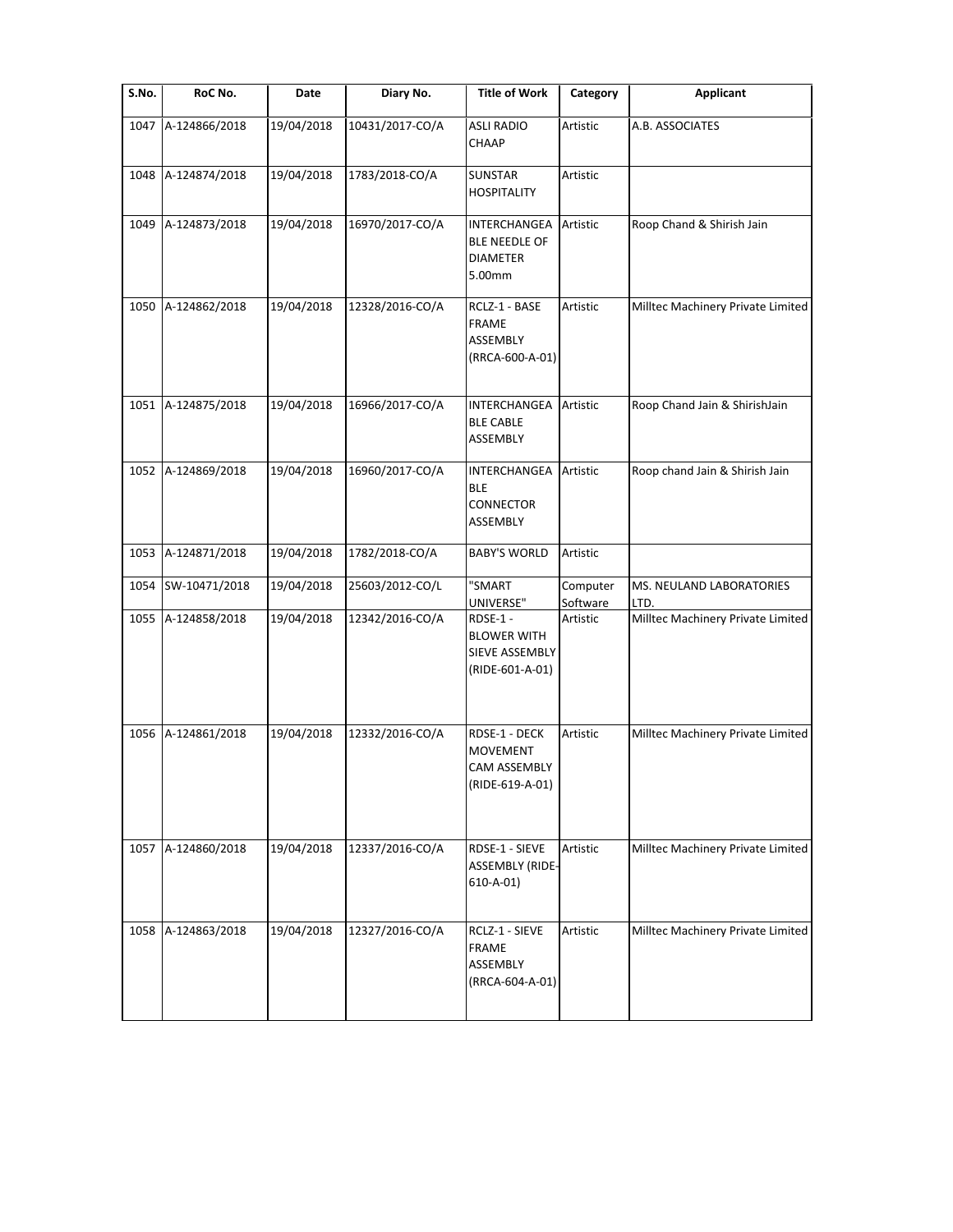| S.No. | RoC No.            | Date       | Diary No.       | <b>Title of Work</b>                                                       | Category             | <b>Applicant</b>                  |
|-------|--------------------|------------|-----------------|----------------------------------------------------------------------------|----------------------|-----------------------------------|
| 1047  | A-124866/2018      | 19/04/2018 | 10431/2017-CO/A | <b>ASLI RADIO</b><br><b>CHAAP</b>                                          | Artistic             | A.B. ASSOCIATES                   |
| 1048  | A-124874/2018      | 19/04/2018 | 1783/2018-CO/A  | <b>SUNSTAR</b><br><b>HOSPITALITY</b>                                       | Artistic             |                                   |
| 1049  | A-124873/2018      | 19/04/2018 | 16970/2017-CO/A | INTERCHANGEA<br><b>BLE NEEDLE OF</b><br><b>DIAMETER</b><br>5.00mm          | Artistic             | Roop Chand & Shirish Jain         |
| 1050  | A-124862/2018      | 19/04/2018 | 12328/2016-CO/A | RCLZ-1 - BASE<br><b>FRAME</b><br>ASSEMBLY<br>(RRCA-600-A-01)               | Artistic             | Milltec Machinery Private Limited |
| 1051  | A-124875/2018      | 19/04/2018 | 16966/2017-CO/A | INTERCHANGEA<br><b>BLE CABLE</b><br>ASSEMBLY                               | Artistic             | Roop Chand Jain & ShirishJain     |
| 1052  | A-124869/2018      | 19/04/2018 | 16960/2017-CO/A | INTERCHANGEA<br><b>BLE</b><br><b>CONNECTOR</b><br>ASSEMBLY                 | Artistic             | Roop chand Jain & Shirish Jain    |
| 1053  | A-124871/2018      | 19/04/2018 | 1782/2018-CO/A  | <b>BABY'S WORLD</b>                                                        | Artistic             |                                   |
| 1054  | SW-10471/2018      | 19/04/2018 | 25603/2012-CO/L | "SMART<br>UNIVERSE"                                                        | Computer<br>Software | MS. NEULAND LABORATORIES<br>LTD.  |
| 1055  | A-124858/2018      | 19/04/2018 | 12342/2016-CO/A | RDSE-1-<br><b>BLOWER WITH</b><br>SIEVE ASSEMBLY<br>(RIDE-601-A-01)         | Artistic             | Milltec Machinery Private Limited |
| 1056  | A-124861/2018      | 19/04/2018 | 12332/2016-CO/A | RDSE-1 - DECK<br><b>MOVEMENT</b><br><b>CAM ASSEMBLY</b><br>(RIDE-619-A-01) | Artistic             | Milltec Machinery Private Limited |
|       | 1057 A-124860/2018 | 19/04/2018 | 12337/2016-CO/A | RDSE-1 - SIEVE<br><b>ASSEMBLY (RIDE-</b><br>$610 - A - 01$                 | Artistic             | Milltec Machinery Private Limited |
| 1058  | A-124863/2018      | 19/04/2018 | 12327/2016-CO/A | RCLZ-1 - SIEVE<br><b>FRAME</b><br>ASSEMBLY<br>(RRCA-604-A-01)              | Artistic             | Milltec Machinery Private Limited |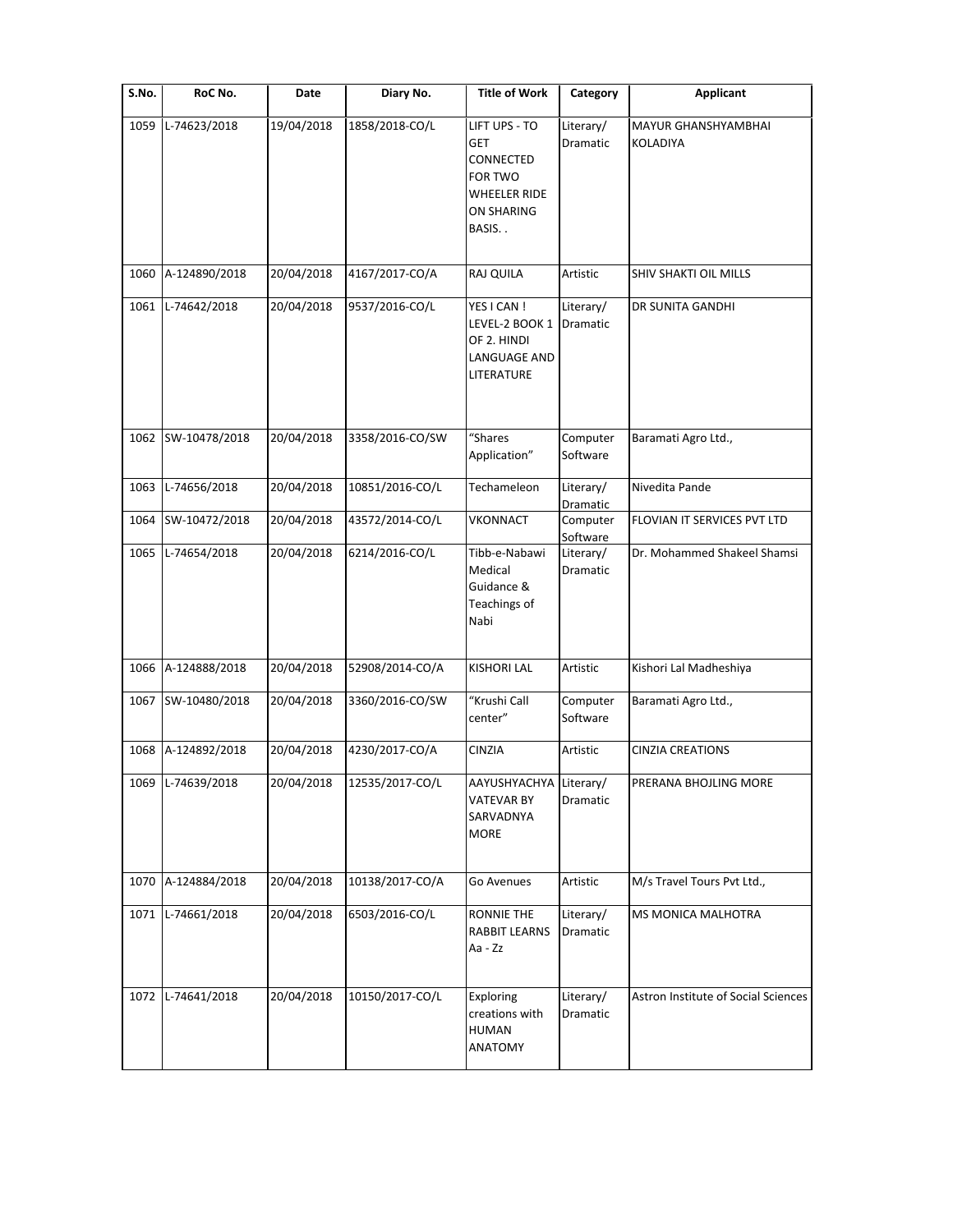| S.No. | RoC No.           | Date       | Diary No.       | <b>Title of Work</b>                                                                       | Category              | <b>Applicant</b>                    |
|-------|-------------------|------------|-----------------|--------------------------------------------------------------------------------------------|-----------------------|-------------------------------------|
| 1059  | L-74623/2018      | 19/04/2018 | 1858/2018-CO/L  | LIFT UPS - TO<br><b>GET</b><br>CONNECTED<br>FOR TWO<br>WHEELER RIDE<br>ON SHARING<br>BASIS | Literary/<br>Dramatic | MAYUR GHANSHYAMBHAI<br>KOLADIYA     |
| 1060  | A-124890/2018     | 20/04/2018 | 4167/2017-CO/A  | <b>RAJ QUILA</b>                                                                           | Artistic              | SHIV SHAKTI OIL MILLS               |
| 1061  | L-74642/2018      | 20/04/2018 | 9537/2016-CO/L  | YES I CAN !<br>LEVEL-2 BOOK 1<br>OF 2. HINDI<br>LANGUAGE AND<br>LITERATURE                 | Literary/<br>Dramatic | DR SUNITA GANDHI                    |
| 1062  | SW-10478/2018     | 20/04/2018 | 3358/2016-CO/SW | "Shares<br>Application"                                                                    | Computer<br>Software  | Baramati Agro Ltd.,                 |
| 1063  | L-74656/2018      | 20/04/2018 | 10851/2016-CO/L | Techameleon                                                                                | Literary/<br>Dramatic | Nivedita Pande                      |
| 1064  | SW-10472/2018     | 20/04/2018 | 43572/2014-CO/L | <b>VKONNACT</b>                                                                            | Computer<br>Software  | FLOVIAN IT SERVICES PVT LTD         |
| 1065  | L-74654/2018      | 20/04/2018 | 6214/2016-CO/L  | Tibb-e-Nabawi<br>Medical<br>Guidance &<br>Teachings of<br>Nabi                             | Literary/<br>Dramatic | Dr. Mohammed Shakeel Shamsi         |
| 1066  | A-124888/2018     | 20/04/2018 | 52908/2014-CO/A | <b>KISHORI LAL</b>                                                                         | Artistic              | Kishori Lal Madheshiya              |
| 1067  | SW-10480/2018     | 20/04/2018 | 3360/2016-CO/SW | "Krushi Call<br>center"                                                                    | Computer<br>Software  | Baramati Agro Ltd.,                 |
| 1068  | A-124892/2018     | 20/04/2018 | 4230/2017-CO/A  | CINZIA                                                                                     | Artistic              | <b>CINZIA CREATIONS</b>             |
|       | 1069 L-74639/2018 | 20/04/2018 | 12535/2017-CO/L | AAYUSHYACHYA Literary/<br><b>VATEVAR BY</b><br>SARVADNYA<br><b>MORE</b>                    | Dramatic              | PRERANA BHOJLING MORE               |
| 1070  | A-124884/2018     | 20/04/2018 | 10138/2017-CO/A | Go Avenues                                                                                 | Artistic              | M/s Travel Tours Pvt Ltd.,          |
| 1071  | L-74661/2018      | 20/04/2018 | 6503/2016-CO/L  | <b>RONNIE THE</b><br><b>RABBIT LEARNS</b><br>Aa - Zz                                       | Literary/<br>Dramatic | MS MONICA MALHOTRA                  |
| 1072  | L-74641/2018      | 20/04/2018 | 10150/2017-CO/L | Exploring<br>creations with<br><b>HUMAN</b><br>ANATOMY                                     | Literary/<br>Dramatic | Astron Institute of Social Sciences |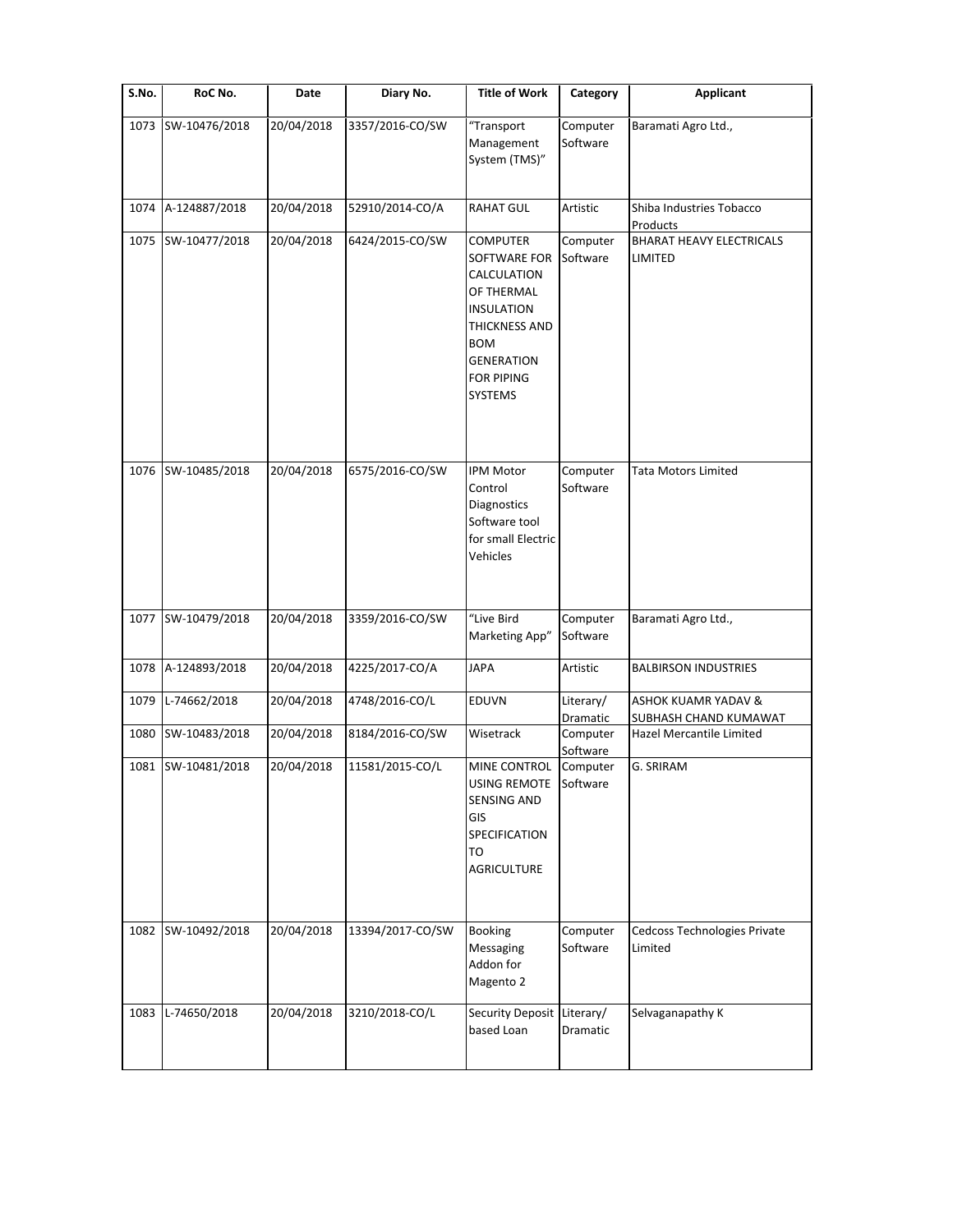| $\overline{\mathsf{S}}$ . No. | RoC No.            | Date       | Diary No.        | <b>Title of Work</b>                                                                                                                                                         | Category              | <b>Applicant</b>                                        |
|-------------------------------|--------------------|------------|------------------|------------------------------------------------------------------------------------------------------------------------------------------------------------------------------|-----------------------|---------------------------------------------------------|
| 1073                          | SW-10476/2018      | 20/04/2018 | 3357/2016-CO/SW  | "Transport<br>Management<br>System (TMS)"                                                                                                                                    | Computer<br>Software  | Baramati Agro Ltd.,                                     |
| 1074                          | A-124887/2018      | 20/04/2018 | 52910/2014-CO/A  | <b>RAHAT GUL</b>                                                                                                                                                             | Artistic              | Shiba Industries Tobacco<br>Products                    |
| 1075                          | SW-10477/2018      | 20/04/2018 | 6424/2015-CO/SW  | <b>COMPUTER</b><br>SOFTWARE FOR<br>CALCULATION<br>OF THERMAL<br><b>INSULATION</b><br>THICKNESS AND<br><b>BOM</b><br><b>GENERATION</b><br><b>FOR PIPING</b><br><b>SYSTEMS</b> | Computer<br>Software  | <b>BHARAT HEAVY ELECTRICALS</b><br>LIMITED              |
|                               | 1076 SW-10485/2018 | 20/04/2018 | 6575/2016-CO/SW  | <b>IPM Motor</b><br>Control<br>Diagnostics<br>Software tool<br>for small Electric<br>Vehicles                                                                                | Computer<br>Software  | Tata Motors Limited                                     |
| 1077                          | SW-10479/2018      | 20/04/2018 | 3359/2016-CO/SW  | "Live Bird<br>Marketing App"                                                                                                                                                 | Computer<br>Software  | Baramati Agro Ltd.,                                     |
| 1078                          | A-124893/2018      | 20/04/2018 | 4225/2017-CO/A   | <b>JAPA</b>                                                                                                                                                                  | Artistic              | <b>BALBIRSON INDUSTRIES</b>                             |
| 1079                          | L-74662/2018       | 20/04/2018 | 4748/2016-CO/L   | EDUVN                                                                                                                                                                        | Literary/<br>Dramatic | <b>ASHOK KUAMR YADAV &amp;</b><br>SUBHASH CHAND KUMAWAT |
| 1080                          | SW-10483/2018      | 20/04/2018 | 8184/2016-CO/SW  | Wisetrack                                                                                                                                                                    | Computer<br>Software  | Hazel Mercantile Limited                                |
| 1081                          | SW-10481/2018      | 20/04/2018 | 11581/2015-CO/L  | MINE CONTROL<br>USING REMOTE Software<br><b>SENSING AND</b><br>GIS<br>SPECIFICATION<br>TO<br><b>AGRICULTURE</b>                                                              | Computer              | G. SRIRAM                                               |
| 1082                          | SW-10492/2018      | 20/04/2018 | 13394/2017-CO/SW | Booking<br>Messaging<br>Addon for<br>Magento 2                                                                                                                               | Computer<br>Software  | Cedcoss Technologies Private<br>Limited                 |
| 1083                          | L-74650/2018       | 20/04/2018 | 3210/2018-CO/L   | Security Deposit Literary/<br>based Loan                                                                                                                                     | Dramatic              | Selvaganapathy K                                        |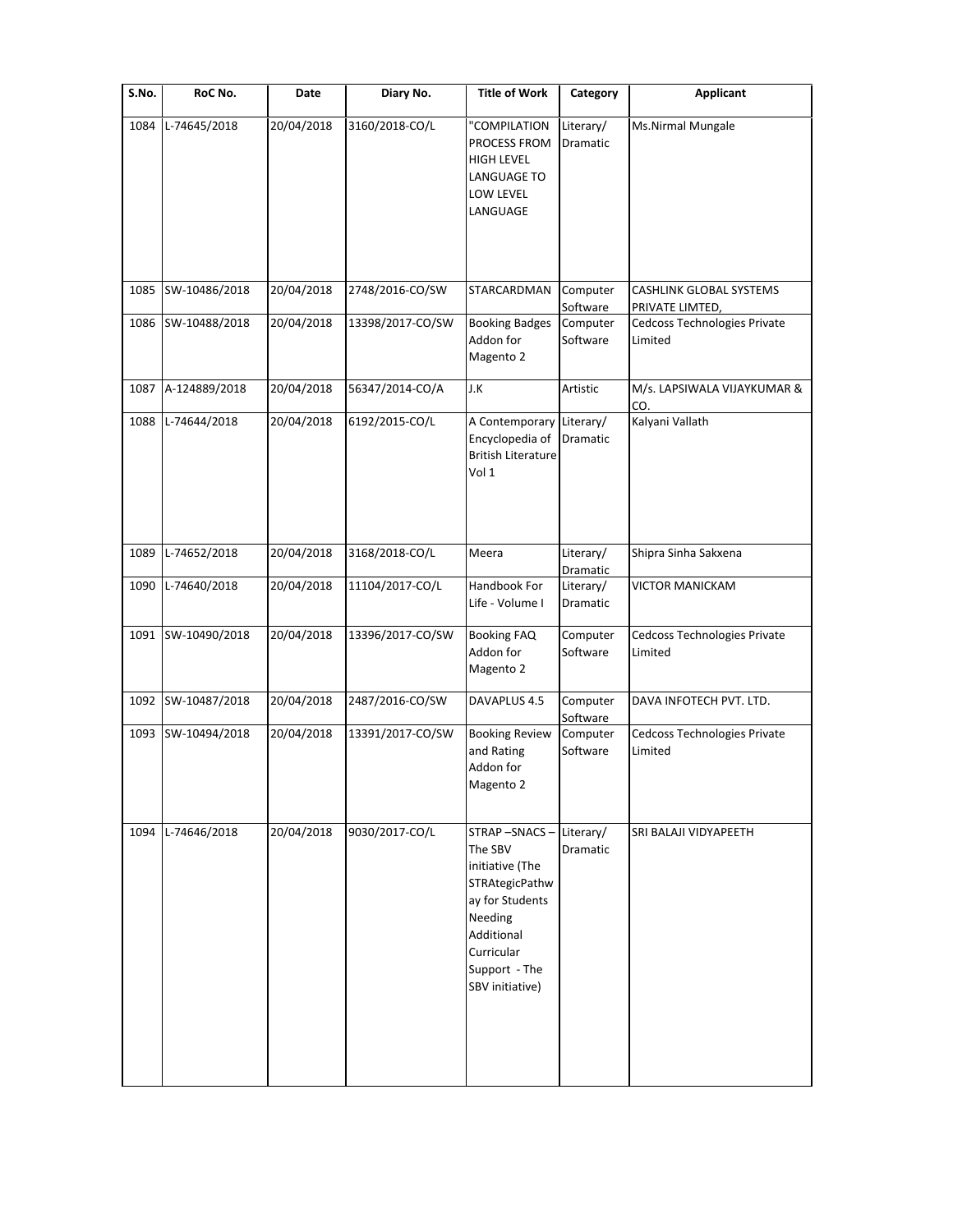| S.No. | RoC No.       | Date       | Diary No.        | <b>Title of Work</b>                                                                                                                                       | Category              | <b>Applicant</b>                           |
|-------|---------------|------------|------------------|------------------------------------------------------------------------------------------------------------------------------------------------------------|-----------------------|--------------------------------------------|
| 1084  | L-74645/2018  | 20/04/2018 | 3160/2018-CO/L   | "COMPILATION<br>PROCESS FROM<br><b>HIGH LEVEL</b><br>LANGUAGE TO<br>LOW LEVEL<br>LANGUAGE                                                                  | Literary/<br>Dramatic | Ms.Nirmal Mungale                          |
|       |               |            |                  |                                                                                                                                                            |                       |                                            |
| 1085  | SW-10486/2018 | 20/04/2018 | 2748/2016-CO/SW  | STARCARDMAN                                                                                                                                                | Computer<br>Software  | CASHLINK GLOBAL SYSTEMS<br>PRIVATE LIMTED, |
| 1086  | SW-10488/2018 | 20/04/2018 | 13398/2017-CO/SW | <b>Booking Badges</b><br>Addon for<br>Magento 2                                                                                                            | Computer<br>Software  | Cedcoss Technologies Private<br>Limited    |
| 1087  | A-124889/2018 | 20/04/2018 | 56347/2014-CO/A  | J.K                                                                                                                                                        | Artistic              | M/s. LAPSIWALA VIJAYKUMAR &<br>CO.         |
| 1088  | L-74644/2018  | 20/04/2018 | 6192/2015-CO/L   | A Contemporary Literary/<br>Encyclopedia of<br><b>British Literature</b><br>Vol 1                                                                          | Dramatic              | Kalyani Vallath                            |
| 1089  | L-74652/2018  | 20/04/2018 | 3168/2018-CO/L   | Meera                                                                                                                                                      | Literary/<br>Dramatic | Shipra Sinha Sakxena                       |
| 1090  | L-74640/2018  | 20/04/2018 | 11104/2017-CO/L  | Handbook For<br>Life - Volume I                                                                                                                            | Literary/<br>Dramatic | <b>VICTOR MANICKAM</b>                     |
| 1091  | SW-10490/2018 | 20/04/2018 | 13396/2017-CO/SW | <b>Booking FAQ</b><br>Addon for<br>Magento 2                                                                                                               | Computer<br>Software  | Cedcoss Technologies Private<br>Limited    |
| 1092  | SW-10487/2018 | 20/04/2018 | 2487/2016-CO/SW  | DAVAPLUS 4.5                                                                                                                                               | Computer<br>Software  | DAVA INFOTECH PVT. LTD.                    |
| 1093  | SW-10494/2018 | 20/04/2018 | 13391/2017-CO/SW | <b>Booking Review</b><br>and Rating<br>Addon for<br>Magento 2                                                                                              | Computer<br>Software  | Cedcoss Technologies Private<br>Limited    |
| 1094  | L-74646/2018  | 20/04/2018 | 9030/2017-CO/L   | STRAP-SNACS-<br>The SBV<br>initiative (The<br>STRAtegicPathw<br>ay for Students<br>Needing<br>Additional<br>Curricular<br>Support - The<br>SBV initiative) | Literary/<br>Dramatic | SRI BALAJI VIDYAPEETH                      |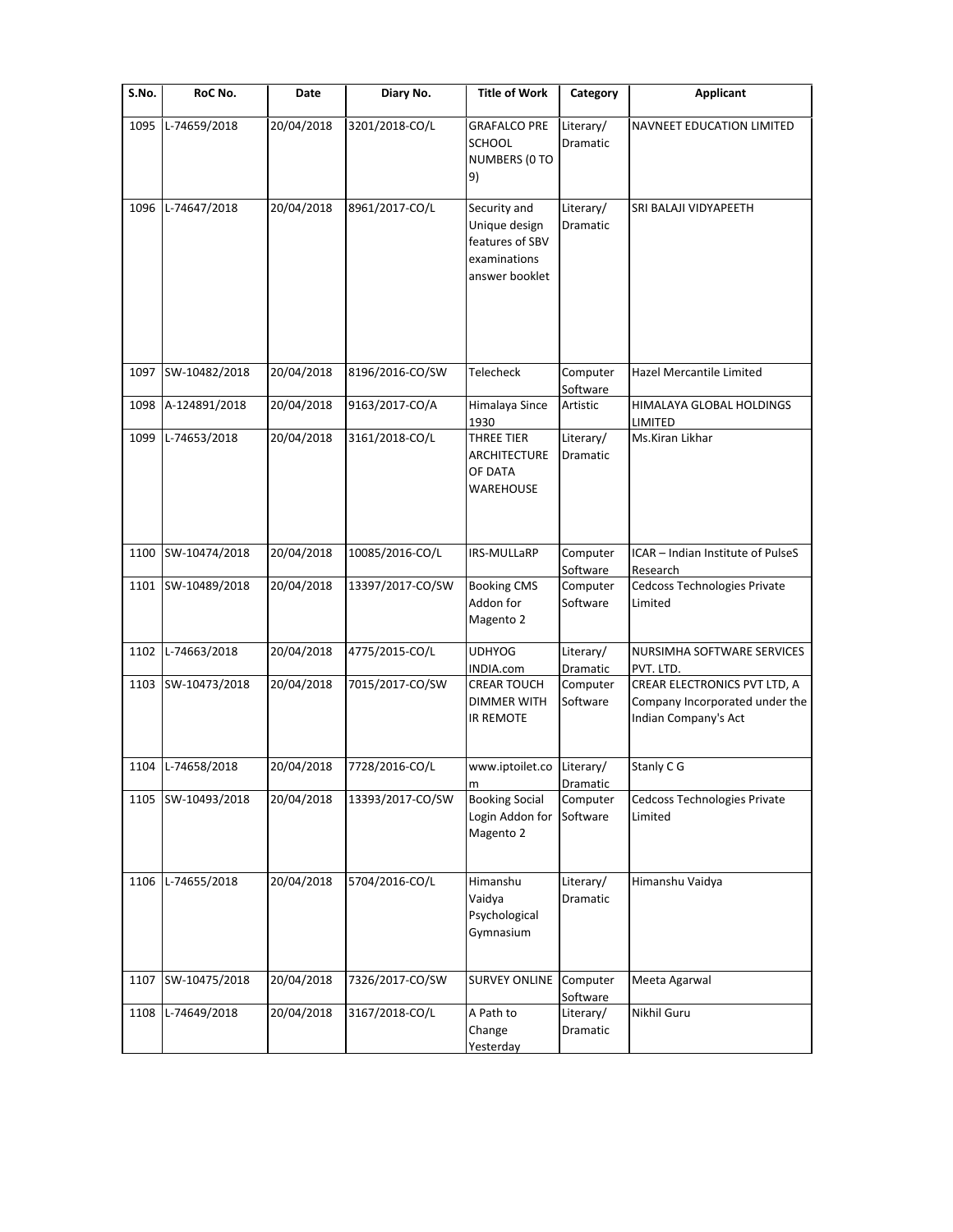| S.No. | RoC No.       | Date       | Diary No.        | <b>Title of Work</b>                                                               | Category              | <b>Applicant</b>                                                                       |
|-------|---------------|------------|------------------|------------------------------------------------------------------------------------|-----------------------|----------------------------------------------------------------------------------------|
| 1095  | L-74659/2018  | 20/04/2018 | 3201/2018-CO/L   | <b>GRAFALCO PRE</b><br><b>SCHOOL</b><br>NUMBERS (0 TO<br>9)                        | Literary/<br>Dramatic | NAVNEET EDUCATION LIMITED                                                              |
| 1096  | L-74647/2018  | 20/04/2018 | 8961/2017-CO/L   | Security and<br>Unique design<br>features of SBV<br>examinations<br>answer booklet | Literary/<br>Dramatic | SRI BALAJI VIDYAPEETH                                                                  |
| 1097  | SW-10482/2018 | 20/04/2018 | 8196/2016-CO/SW  | Telecheck                                                                          | Computer<br>Software  | Hazel Mercantile Limited                                                               |
| 1098  | A-124891/2018 | 20/04/2018 | 9163/2017-CO/A   | Himalaya Since<br>1930                                                             | Artistic              | HIMALAYA GLOBAL HOLDINGS<br>LIMITED                                                    |
| 1099  | L-74653/2018  | 20/04/2018 | 3161/2018-CO/L   | <b>THREE TIER</b><br>ARCHITECTURE<br>OF DATA<br>WAREHOUSE                          | Literary/<br>Dramatic | Ms.Kiran Likhar                                                                        |
| 1100  | SW-10474/2018 | 20/04/2018 | 10085/2016-CO/L  | IRS-MULLaRP                                                                        | Computer<br>Software  | ICAR - Indian Institute of PulseS<br>Research                                          |
| 1101  | SW-10489/2018 | 20/04/2018 | 13397/2017-CO/SW | <b>Booking CMS</b><br>Addon for<br>Magento 2                                       | Computer<br>Software  | Cedcoss Technologies Private<br>Limited                                                |
| 1102  | L-74663/2018  | 20/04/2018 | 4775/2015-CO/L   | <b>UDHYOG</b><br>INDIA.com                                                         | Literary/<br>Dramatic | NURSIMHA SOFTWARE SERVICES<br>PVT. LTD.                                                |
| 1103  | SW-10473/2018 | 20/04/2018 | 7015/2017-CO/SW  | <b>CREAR TOUCH</b><br><b>DIMMER WITH</b><br><b>IR REMOTE</b>                       | Computer<br>Software  | CREAR ELECTRONICS PVT LTD, A<br>Company Incorporated under the<br>Indian Company's Act |
| 1104  | L-74658/2018  | 20/04/2018 | 7728/2016-CO/L   | www.iptoilet.co<br>m                                                               | Literary/<br>Dramatic | Stanly C G                                                                             |
| 1105  | SW-10493/2018 | 20/04/2018 | 13393/2017-CO/SW | <b>Booking Social</b><br>Login Addon for<br>Magento 2                              | Computer<br>Software  | Cedcoss Technologies Private<br>Limited                                                |
| 1106  | L-74655/2018  | 20/04/2018 | 5704/2016-CO/L   | Himanshu<br>Vaidya<br>Psychological<br>Gymnasium                                   | Literary/<br>Dramatic | Himanshu Vaidya                                                                        |
| 1107  | SW-10475/2018 | 20/04/2018 | 7326/2017-CO/SW  | <b>SURVEY ONLINE</b>                                                               | Computer<br>Software  | Meeta Agarwal                                                                          |
| 1108  | L-74649/2018  | 20/04/2018 | 3167/2018-CO/L   | A Path to<br>Change<br>Yesterday                                                   | Literary/<br>Dramatic | Nikhil Guru                                                                            |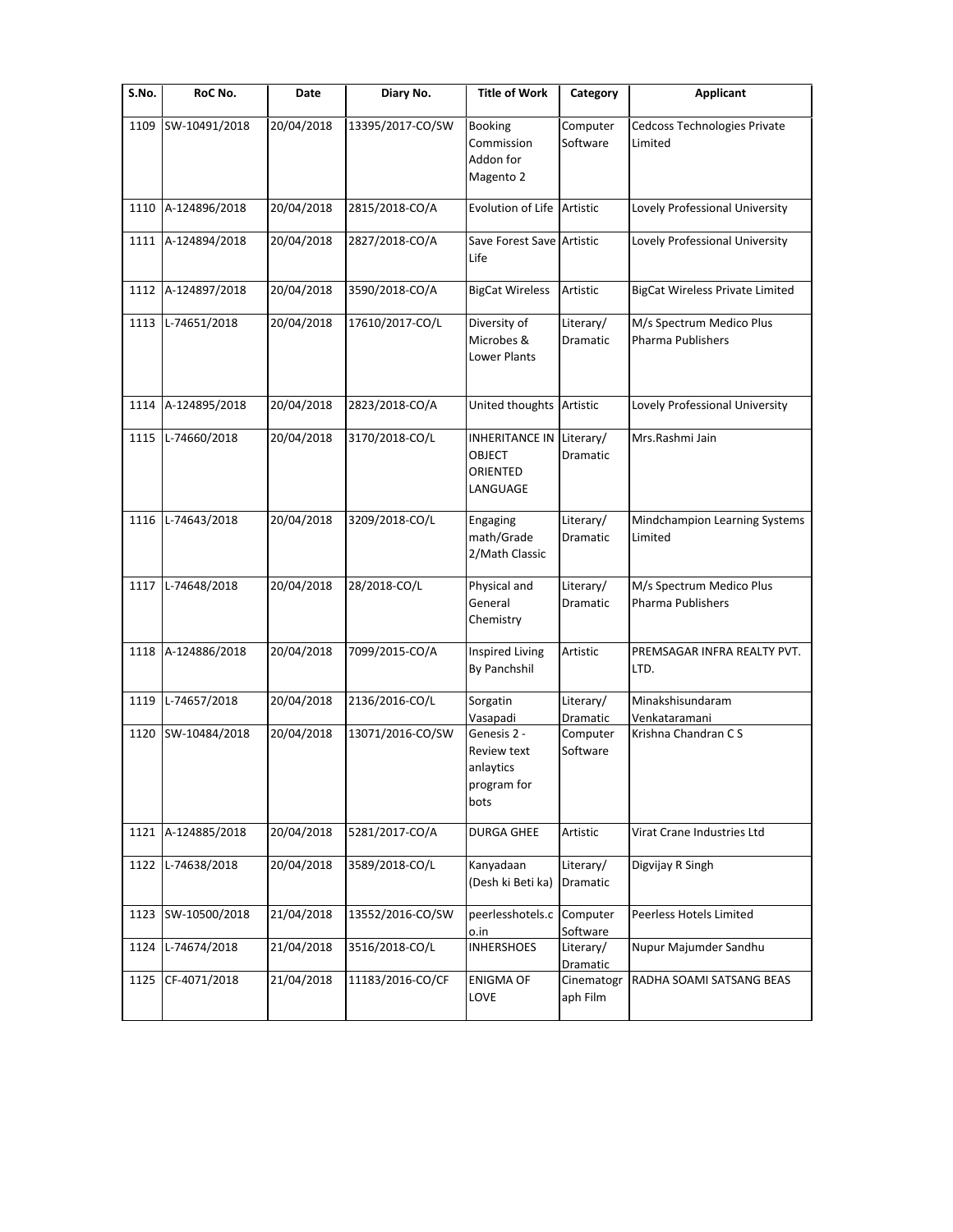| S.No.        | RoC No.                       | Date                     | Diary No.                          | <b>Title of Work</b>                                                                   | Category                                      | <b>Applicant</b>                                         |
|--------------|-------------------------------|--------------------------|------------------------------------|----------------------------------------------------------------------------------------|-----------------------------------------------|----------------------------------------------------------|
| 1109         | SW-10491/2018                 | 20/04/2018               | 13395/2017-CO/SW                   | <b>Booking</b><br>Commission<br>Addon for<br>Magento 2                                 | Computer<br>Software                          | Cedcoss Technologies Private<br>Limited                  |
| 1110         | A-124896/2018                 | 20/04/2018               | 2815/2018-CO/A                     | Evolution of Life Artistic                                                             |                                               | Lovely Professional University                           |
| 1111         | A-124894/2018                 | 20/04/2018               | 2827/2018-CO/A                     | Save Forest Save Artistic<br>Life                                                      |                                               | Lovely Professional University                           |
| 1112         | A-124897/2018                 | 20/04/2018               | 3590/2018-CO/A                     | <b>BigCat Wireless</b>                                                                 | Artistic                                      | <b>BigCat Wireless Private Limited</b>                   |
| 1113         | L-74651/2018                  | 20/04/2018               | 17610/2017-CO/L                    | Diversity of<br>Microbes &<br>Lower Plants                                             | Literary/<br>Dramatic                         | M/s Spectrum Medico Plus<br><b>Pharma Publishers</b>     |
| 1114         | A-124895/2018                 | 20/04/2018               | 2823/2018-CO/A                     | United thoughts Artistic                                                               |                                               | Lovely Professional University                           |
| 1115         | L-74660/2018                  | 20/04/2018               | 3170/2018-CO/L                     | <b>INHERITANCE IN</b><br><b>OBJECT</b><br>ORIENTED<br>LANGUAGE                         | Literary/<br><b>Dramatic</b>                  | Mrs.Rashmi Jain                                          |
| 1116         | L-74643/2018                  | 20/04/2018               | 3209/2018-CO/L                     | Engaging<br>math/Grade<br>2/Math Classic                                               | Literary/<br>Dramatic                         | Mindchampion Learning Systems<br>Limited                 |
| 1117         | L-74648/2018                  | 20/04/2018               | 28/2018-CO/L                       | Physical and<br>General<br>Chemistry                                                   | Literary/<br>Dramatic                         | M/s Spectrum Medico Plus<br>Pharma Publishers            |
| 1118         | A-124886/2018                 | 20/04/2018               | 7099/2015-CO/A                     | <b>Inspired Living</b><br>By Panchshil                                                 | Artistic                                      | PREMSAGAR INFRA REALTY PVT.<br>LTD.                      |
| 1119<br>1120 | L-74657/2018<br>SW-10484/2018 | 20/04/2018<br>20/04/2018 | 2136/2016-CO/L<br>13071/2016-CO/SW | Sorgatin<br>Vasapadi<br>Genesis 2 -<br>Review text<br>anlaytics<br>program for<br>bots | Literary/<br>Dramatic<br>Computer<br>Software | Minakshisundaram<br>Venkataramani<br>Krishna Chandran CS |
| 1121         | A-124885/2018                 | 20/04/2018               | 5281/2017-CO/A                     | DURGA GHEE                                                                             | Artistic                                      | Virat Crane Industries Ltd                               |
| 1122         | L-74638/2018                  | 20/04/2018               | 3589/2018-CO/L                     | Kanyadaan<br>(Desh ki Beti ka)                                                         | Literary/<br>Dramatic                         | Digvijay R Singh                                         |
| 1123         | SW-10500/2018                 | 21/04/2018               | 13552/2016-CO/SW                   | peerlesshotels.c<br>o.in                                                               | Computer<br>Software                          | Peerless Hotels Limited                                  |
| 1124         | L-74674/2018                  | 21/04/2018               | 3516/2018-CO/L                     | <b>INHERSHOES</b>                                                                      | Literary/<br>Dramatic                         | Nupur Majumder Sandhu                                    |
| 1125         | CF-4071/2018                  | 21/04/2018               | 11183/2016-CO/CF                   | <b>ENIGMA OF</b><br>LOVE                                                               | Cinematogr<br>aph Film                        | RADHA SOAMI SATSANG BEAS                                 |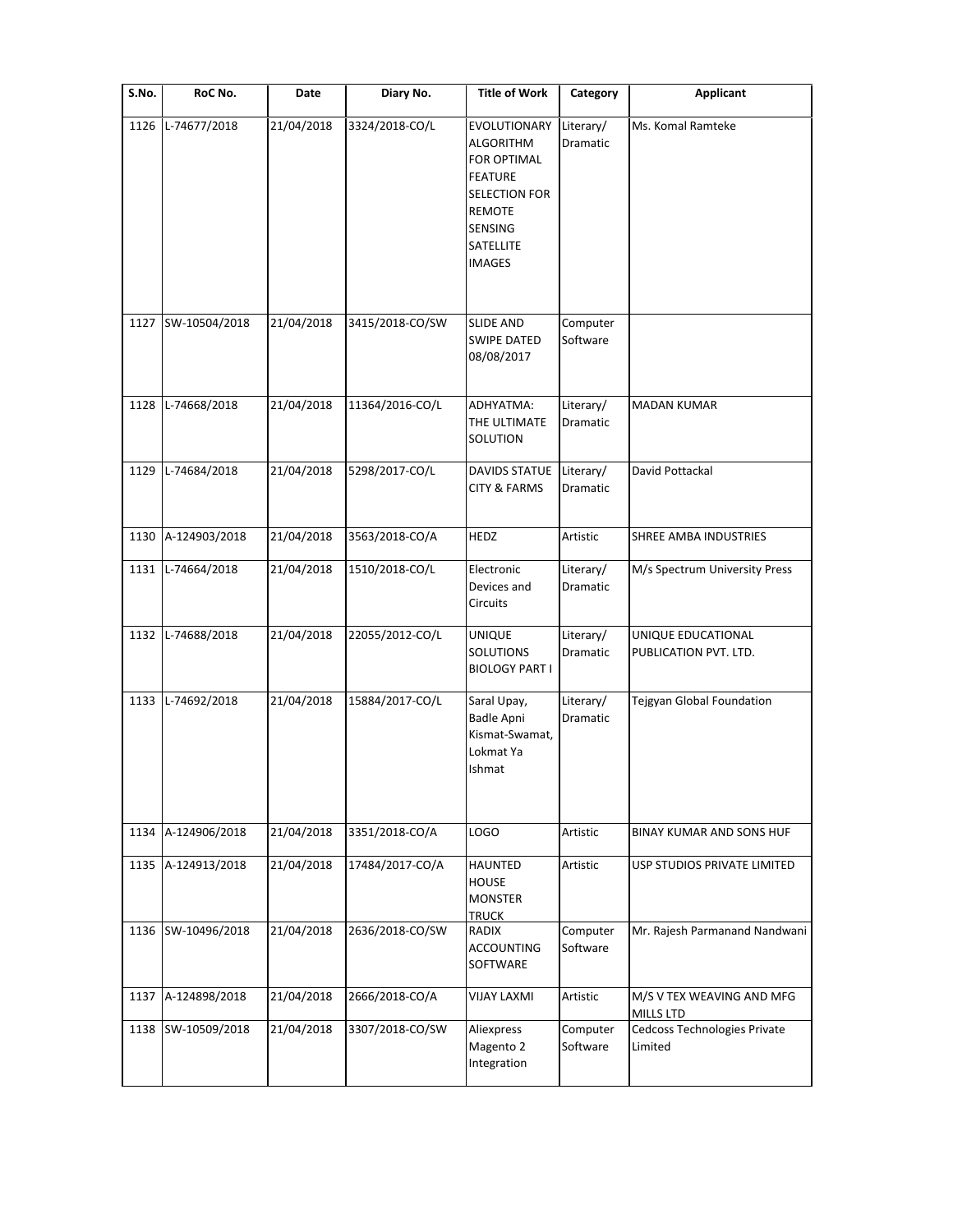| $\overline{\mathsf{S}}$ . No. | RoC No.            | Date       | Diary No.       | <b>Title of Work</b>                                                                                                                                       | Category                     | <b>Applicant</b>                            |
|-------------------------------|--------------------|------------|-----------------|------------------------------------------------------------------------------------------------------------------------------------------------------------|------------------------------|---------------------------------------------|
| 1126                          | L-74677/2018       | 21/04/2018 | 3324/2018-CO/L  | EVOLUTIONARY<br><b>ALGORITHM</b><br><b>FOR OPTIMAL</b><br><b>FEATURE</b><br><b>SELECTION FOR</b><br><b>REMOTE</b><br>SENSING<br>SATELLITE<br><b>IMAGES</b> | Literary/<br>Dramatic        | Ms. Komal Ramteke                           |
| 1127                          | SW-10504/2018      | 21/04/2018 | 3415/2018-CO/SW | <b>SLIDE AND</b><br><b>SWIPE DATED</b><br>08/08/2017                                                                                                       | Computer<br>Software         |                                             |
| 1128                          | L-74668/2018       | 21/04/2018 | 11364/2016-CO/L | ADHYATMA:<br>THE ULTIMATE<br>SOLUTION                                                                                                                      | Literary/<br>Dramatic        | <b>MADAN KUMAR</b>                          |
| 1129                          | L-74684/2018       | 21/04/2018 | 5298/2017-CO/L  | <b>DAVIDS STATUE</b><br><b>CITY &amp; FARMS</b>                                                                                                            | Literary/<br><b>Dramatic</b> | David Pottackal                             |
| 1130                          | A-124903/2018      | 21/04/2018 | 3563/2018-CO/A  | <b>HEDZ</b>                                                                                                                                                | Artistic                     | SHREE AMBA INDUSTRIES                       |
| 1131                          | L-74664/2018       | 21/04/2018 | 1510/2018-CO/L  | Electronic<br>Devices and<br>Circuits                                                                                                                      | Literary/<br>Dramatic        | M/s Spectrum University Press               |
| 1132                          | L-74688/2018       | 21/04/2018 | 22055/2012-CO/L | <b>UNIQUE</b><br><b>SOLUTIONS</b><br><b>BIOLOGY PART I</b>                                                                                                 | Literary/<br>Dramatic        | UNIQUE EDUCATIONAL<br>PUBLICATION PVT. LTD. |
| 1133                          | L-74692/2018       | 21/04/2018 | 15884/2017-CO/L | Saral Upay,<br><b>Badle Apni</b><br>Kismat-Swamat,<br>Lokmat Ya<br>Ishmat                                                                                  | Literary/<br>Dramatic        | Tejgyan Global Foundation                   |
| 1134                          | A-124906/2018      | 21/04/2018 | 3351/2018-CO/A  | <b>LOGO</b>                                                                                                                                                | Artistic                     | BINAY KUMAR AND SONS HUF                    |
| 1135                          | A-124913/2018      | 21/04/2018 | 17484/2017-CO/A | HAUNTED<br><b>HOUSE</b><br><b>MONSTER</b><br><b>TRUCK</b>                                                                                                  | Artistic                     | USP STUDIOS PRIVATE LIMITED                 |
|                               | 1136 SW-10496/2018 | 21/04/2018 | 2636/2018-CO/SW | RADIX<br><b>ACCOUNTING</b><br>SOFTWARE                                                                                                                     | Computer<br>Software         | Mr. Rajesh Parmanand Nandwani               |
| 1137                          | A-124898/2018      | 21/04/2018 | 2666/2018-CO/A  | <b>VIJAY LAXMI</b>                                                                                                                                         | Artistic                     | M/S V TEX WEAVING AND MFG<br>MILLS LTD      |
| 1138                          | SW-10509/2018      | 21/04/2018 | 3307/2018-CO/SW | Aliexpress<br>Magento 2<br>Integration                                                                                                                     | Computer<br>Software         | Cedcoss Technologies Private<br>Limited     |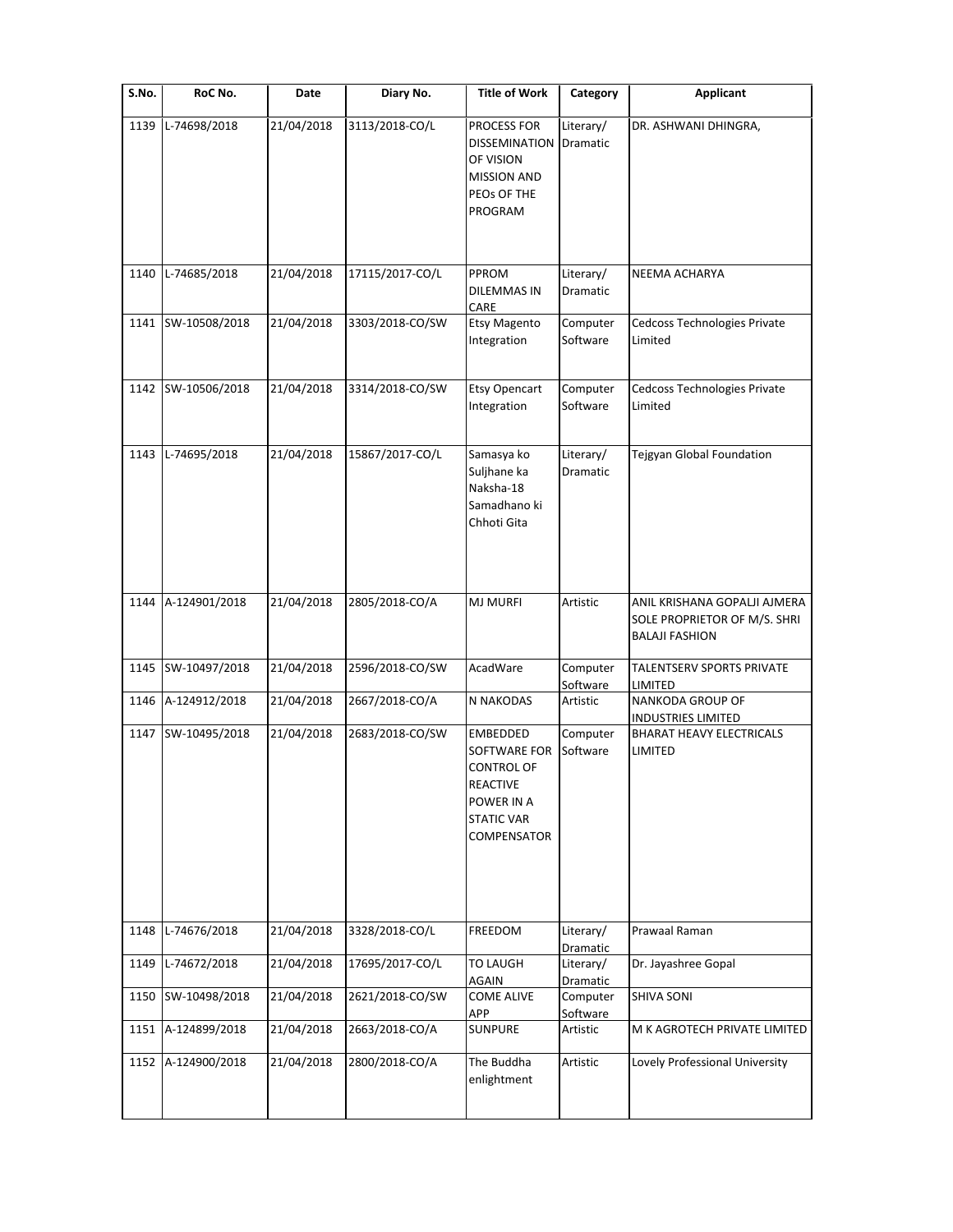| S.No. | RoC No.            | Date       | Diary No.       | <b>Title of Work</b>                                                                                                      | Category                     | Applicant                                                                             |
|-------|--------------------|------------|-----------------|---------------------------------------------------------------------------------------------------------------------------|------------------------------|---------------------------------------------------------------------------------------|
| 1139  | L-74698/2018       | 21/04/2018 | 3113/2018-CO/L  | PROCESS FOR<br>DISSEMINATION<br>OF VISION<br><b>MISSION AND</b><br>PEOS OF THE<br>PROGRAM                                 | Literary/<br>Dramatic        | DR. ASHWANI DHINGRA,                                                                  |
| 1140  | L-74685/2018       | 21/04/2018 | 17115/2017-CO/L | PPROM<br><b>DILEMMAS IN</b><br>CARE                                                                                       | Literary/<br>Dramatic        | NEEMA ACHARYA                                                                         |
|       | 1141 SW-10508/2018 | 21/04/2018 | 3303/2018-CO/SW | <b>Etsy Magento</b><br>Integration                                                                                        | Computer<br>Software         | Cedcoss Technologies Private<br>Limited                                               |
|       | 1142 SW-10506/2018 | 21/04/2018 | 3314/2018-CO/SW | Etsy Opencart<br>Integration                                                                                              | Computer<br>Software         | Cedcoss Technologies Private<br>Limited                                               |
| 1143  | L-74695/2018       | 21/04/2018 | 15867/2017-CO/L | Samasya ko<br>Suljhane ka<br>Naksha-18<br>Samadhano ki<br>Chhoti Gita                                                     | Literary/<br><b>Dramatic</b> | Tejgyan Global Foundation                                                             |
| 1144  | A-124901/2018      | 21/04/2018 | 2805/2018-CO/A  | <b>MJ MURFI</b>                                                                                                           | Artistic                     | ANIL KRISHANA GOPALJI AJMERA<br>SOLE PROPRIETOR OF M/S. SHRI<br><b>BALAJI FASHION</b> |
| 1145  | SW-10497/2018      | 21/04/2018 | 2596/2018-CO/SW | AcadWare                                                                                                                  | Computer<br>Software         | TALENTSERV SPORTS PRIVATE<br>LIMITED                                                  |
| 1146  | A-124912/2018      | 21/04/2018 | 2667/2018-CO/A  | N NAKODAS                                                                                                                 | Artistic                     | NANKODA GROUP OF<br><b>INDUSTRIES LIMITED</b>                                         |
|       | 1147 SW-10495/2018 | 21/04/2018 | 2683/2018-CO/SW | EMBEDDED<br>SOFTWARE FOR<br><b>CONTROL OF</b><br><b>REACTIVE</b><br>POWER IN A<br><b>STATIC VAR</b><br><b>COMPENSATOR</b> | Computer<br>Software         | <b>BHARAT HEAVY ELECTRICALS</b><br>LIMITED                                            |
| 1148  | L-74676/2018       | 21/04/2018 | 3328/2018-CO/L  | FREEDOM                                                                                                                   | Literary/<br>Dramatic        | Prawaal Raman                                                                         |
| 1149  | L-74672/2018       | 21/04/2018 | 17695/2017-CO/L | <b>TO LAUGH</b><br>AGAIN                                                                                                  | Literary/<br>Dramatic        | Dr. Jayashree Gopal                                                                   |
| 1150  | SW-10498/2018      | 21/04/2018 | 2621/2018-CO/SW | <b>COME ALIVE</b><br>APP                                                                                                  | Computer<br>Software         | <b>SHIVA SONI</b>                                                                     |
| 1151  | A-124899/2018      | 21/04/2018 | 2663/2018-CO/A  | <b>SUNPURE</b>                                                                                                            | Artistic                     | M K AGROTECH PRIVATE LIMITED                                                          |
| 1152  | A-124900/2018      | 21/04/2018 | 2800/2018-CO/A  | The Buddha<br>enlightment                                                                                                 | Artistic                     | Lovely Professional University                                                        |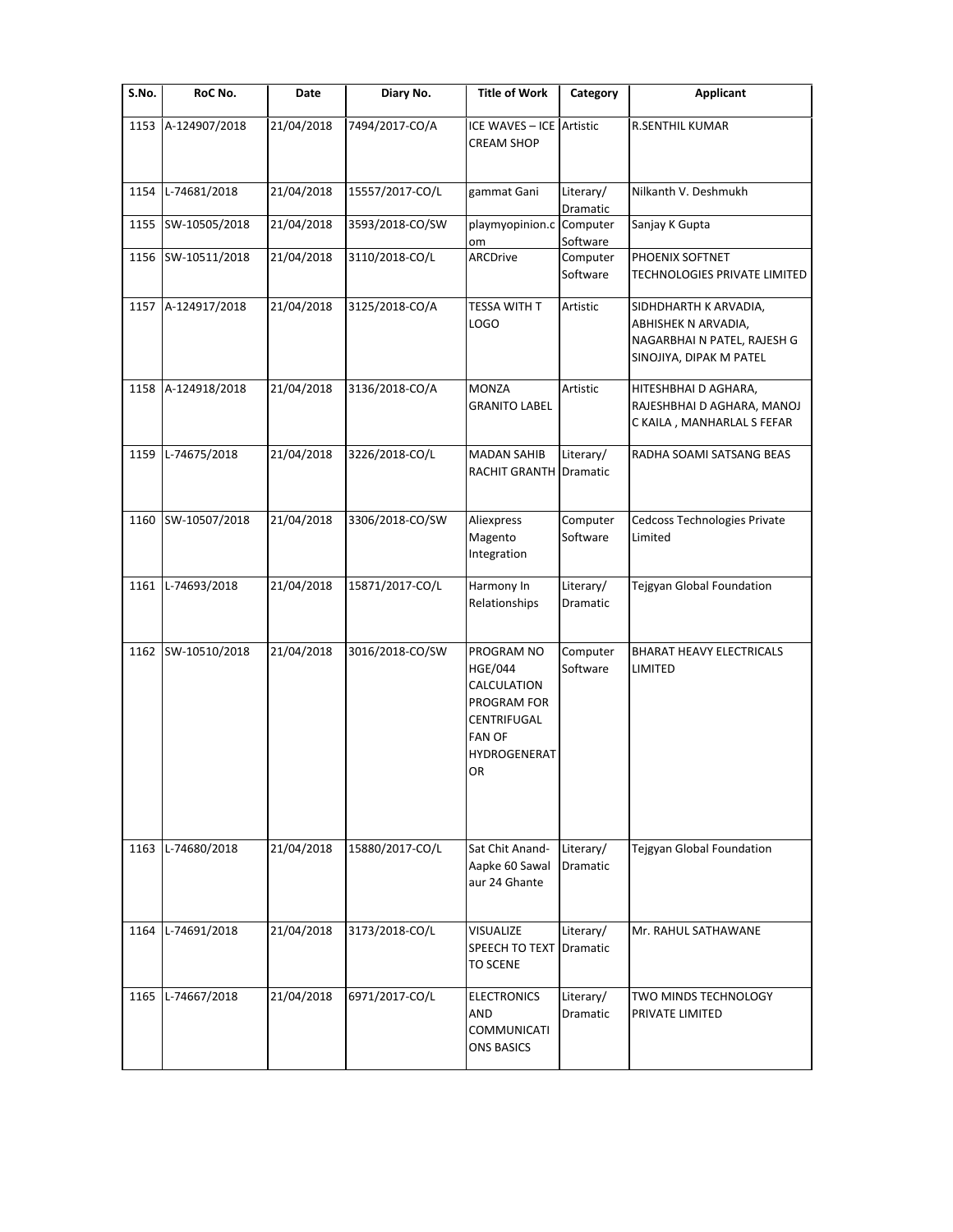| S.No. | RoC No.            | Date       | Diary No.       | <b>Title of Work</b>                                                                                             | Category              | Applicant                                                                                              |
|-------|--------------------|------------|-----------------|------------------------------------------------------------------------------------------------------------------|-----------------------|--------------------------------------------------------------------------------------------------------|
| 1153  | A-124907/2018      | 21/04/2018 | 7494/2017-CO/A  | ICE WAVES - ICE Artistic<br><b>CREAM SHOP</b>                                                                    |                       | <b>R.SENTHIL KUMAR</b>                                                                                 |
| 1154  | L-74681/2018       | 21/04/2018 | 15557/2017-CO/L | gammat Gani                                                                                                      | Literary/<br>Dramatic | Nilkanth V. Deshmukh                                                                                   |
|       | 1155 SW-10505/2018 | 21/04/2018 | 3593/2018-CO/SW | playmyopinion.c<br>om                                                                                            | Computer<br>Software  | Sanjay K Gupta                                                                                         |
|       | 1156 SW-10511/2018 | 21/04/2018 | 3110/2018-CO/L  | ARCDrive                                                                                                         | Computer<br>Software  | PHOENIX SOFTNET<br>TECHNOLOGIES PRIVATE LIMITED                                                        |
|       | 1157 A-124917/2018 | 21/04/2018 | 3125/2018-CO/A  | TESSA WITH T<br><b>LOGO</b>                                                                                      | Artistic              | SIDHDHARTH K ARVADIA,<br>ABHISHEK N ARVADIA,<br>NAGARBHAI N PATEL, RAJESH G<br>SINOJIYA, DIPAK M PATEL |
| 1158  | A-124918/2018      | 21/04/2018 | 3136/2018-CO/A  | <b>MONZA</b><br><b>GRANITO LABEL</b>                                                                             | Artistic              | HITESHBHAI D AGHARA,<br>RAJESHBHAI D AGHARA, MANOJ<br>C KAILA, MANHARLAL S FEFAR                       |
| 1159  | L-74675/2018       | 21/04/2018 | 3226/2018-CO/L  | <b>MADAN SAHIB</b><br><b>RACHIT GRANTH Dramatic</b>                                                              | Literary/             | RADHA SOAMI SATSANG BEAS                                                                               |
|       | 1160 SW-10507/2018 | 21/04/2018 | 3306/2018-CO/SW | Aliexpress<br>Magento<br>Integration                                                                             | Computer<br>Software  | Cedcoss Technologies Private<br>Limited                                                                |
| 1161  | L-74693/2018       | 21/04/2018 | 15871/2017-CO/L | Harmony In<br>Relationships                                                                                      | Literary/<br>Dramatic | Tejgyan Global Foundation                                                                              |
| 1162  | SW-10510/2018      | 21/04/2018 | 3016/2018-CO/SW | PROGRAM NO<br><b>HGE/044</b><br>CALCULATION<br>PROGRAM FOR<br>CENTRIFUGAL<br><b>FAN OF</b><br>HYDROGENERAT<br>OR | Computer<br>Software  | <b>BHARAT HEAVY ELECTRICALS</b><br>LIMITED                                                             |
| 1163  | L-74680/2018       | 21/04/2018 | 15880/2017-CO/L | Sat Chit Anand-<br>Aapke 60 Sawal<br>aur 24 Ghante                                                               | Literary/<br>Dramatic | Tejgyan Global Foundation                                                                              |
| 1164  | L-74691/2018       | 21/04/2018 | 3173/2018-CO/L  | <b>VISUALIZE</b><br>SPEECH TO TEXT Dramatic<br><b>TO SCENE</b>                                                   | Literary/             | Mr. RAHUL SATHAWANE                                                                                    |
| 1165  | L-74667/2018       | 21/04/2018 | 6971/2017-CO/L  | <b>ELECTRONICS</b><br>AND<br>COMMUNICATI<br><b>ONS BASICS</b>                                                    | Literary/<br>Dramatic | TWO MINDS TECHNOLOGY<br>PRIVATE LIMITED                                                                |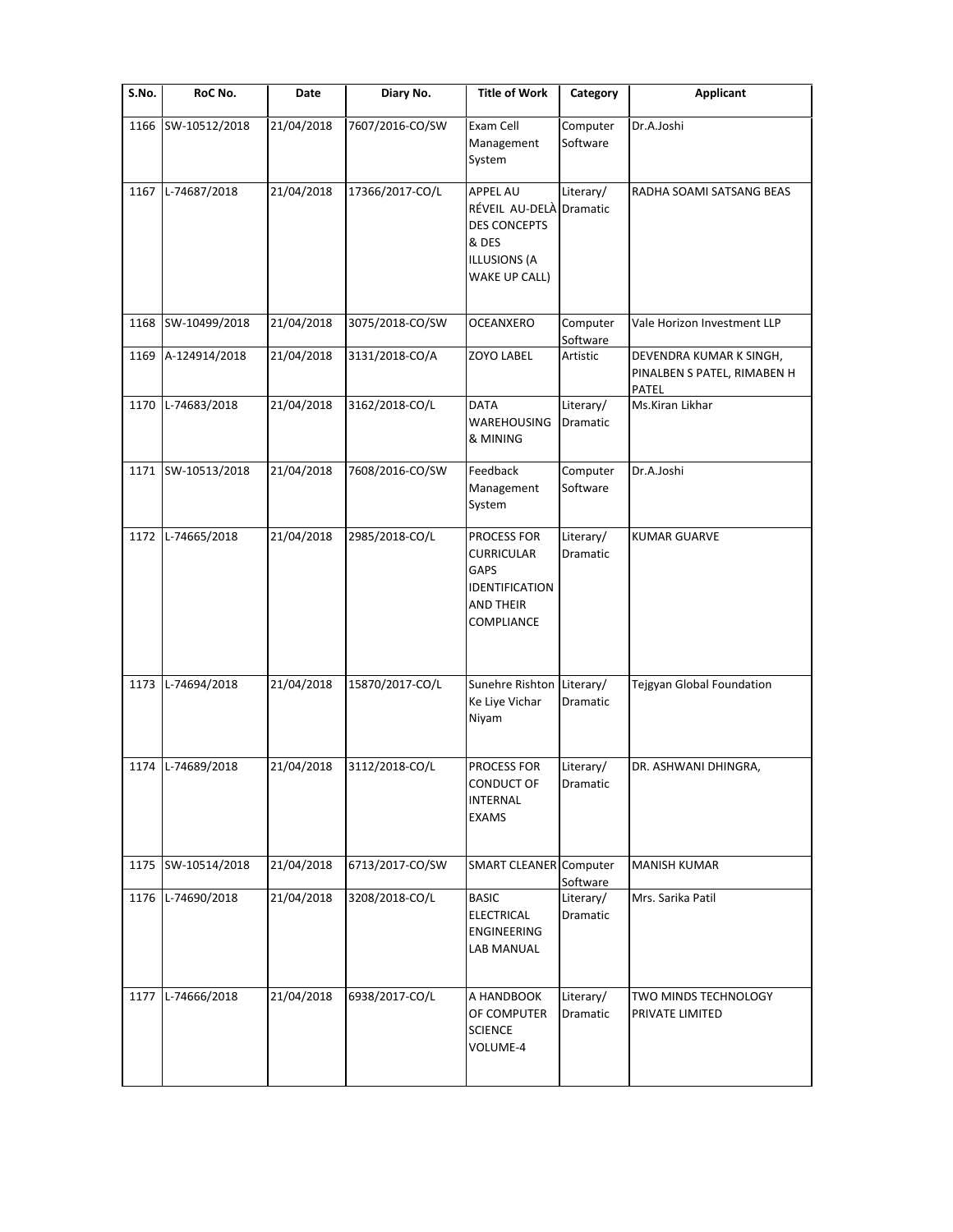| S.No. | RoC No.            | Date       | Diary No.       | <b>Title of Work</b>                                                                                      | Category              | <b>Applicant</b>                                                |
|-------|--------------------|------------|-----------------|-----------------------------------------------------------------------------------------------------------|-----------------------|-----------------------------------------------------------------|
| 1166  | SW-10512/2018      | 21/04/2018 | 7607/2016-CO/SW | Exam Cell<br>Management<br>System                                                                         | Computer<br>Software  | Dr.A.Joshi                                                      |
| 1167  | L-74687/2018       | 21/04/2018 | 17366/2017-CO/L | <b>APPEL AU</b><br>RÉVEIL AU-DELÀ<br><b>DES CONCEPTS</b><br>& DES<br><b>ILLUSIONS (A</b><br>WAKE UP CALL) | Literary/<br>Dramatic | RADHA SOAMI SATSANG BEAS                                        |
| 1168  | SW-10499/2018      | 21/04/2018 | 3075/2018-CO/SW | <b>OCEANXERO</b>                                                                                          | Computer<br>Software  | Vale Horizon Investment LLP                                     |
| 1169  | A-124914/2018      | 21/04/2018 | 3131/2018-CO/A  | ZOYO LABEL                                                                                                | Artistic              | DEVENDRA KUMAR K SINGH,<br>PINALBEN S PATEL, RIMABEN H<br>PATEL |
| 1170  | L-74683/2018       | 21/04/2018 | 3162/2018-CO/L  | <b>DATA</b><br>WAREHOUSING<br>& MINING                                                                    | Literary/<br>Dramatic | Ms.Kiran Likhar                                                 |
|       | 1171 SW-10513/2018 | 21/04/2018 | 7608/2016-CO/SW | Feedback<br>Management<br>System                                                                          | Computer<br>Software  | Dr.A.Joshi                                                      |
| 1172  | L-74665/2018       | 21/04/2018 | 2985/2018-CO/L  | PROCESS FOR<br><b>CURRICULAR</b><br>GAPS<br>IDENTIFICATION<br>AND THEIR<br>COMPLIANCE                     | Literary/<br>Dramatic | <b>KUMAR GUARVE</b>                                             |
| 1173  | L-74694/2018       | 21/04/2018 | 15870/2017-CO/L | Sunehre Rishton<br>Ke Liye Vichar<br>Niyam                                                                | Literary/<br>Dramatic | Tejgyan Global Foundation                                       |
| 1174  | L-74689/2018       | 21/04/2018 | 3112/2018-CO/L  | PROCESS FOR<br>CONDUCT OF<br><b>INTERNAL</b><br><b>EXAMS</b>                                              | Literary/<br>Dramatic | DR. ASHWANI DHINGRA,                                            |
| 1175  | SW-10514/2018      | 21/04/2018 | 6713/2017-CO/SW | SMART CLEANER Computer                                                                                    | Software              | <b>MANISH KUMAR</b>                                             |
| 1176  | L-74690/2018       | 21/04/2018 | 3208/2018-CO/L  | <b>BASIC</b><br><b>ELECTRICAL</b><br>ENGINEERING<br>LAB MANUAL                                            | Literary/<br>Dramatic | Mrs. Sarika Patil                                               |
| 1177  | L-74666/2018       | 21/04/2018 | 6938/2017-CO/L  | A HANDBOOK<br>OF COMPUTER<br><b>SCIENCE</b><br>VOLUME-4                                                   | Literary/<br>Dramatic | TWO MINDS TECHNOLOGY<br>PRIVATE LIMITED                         |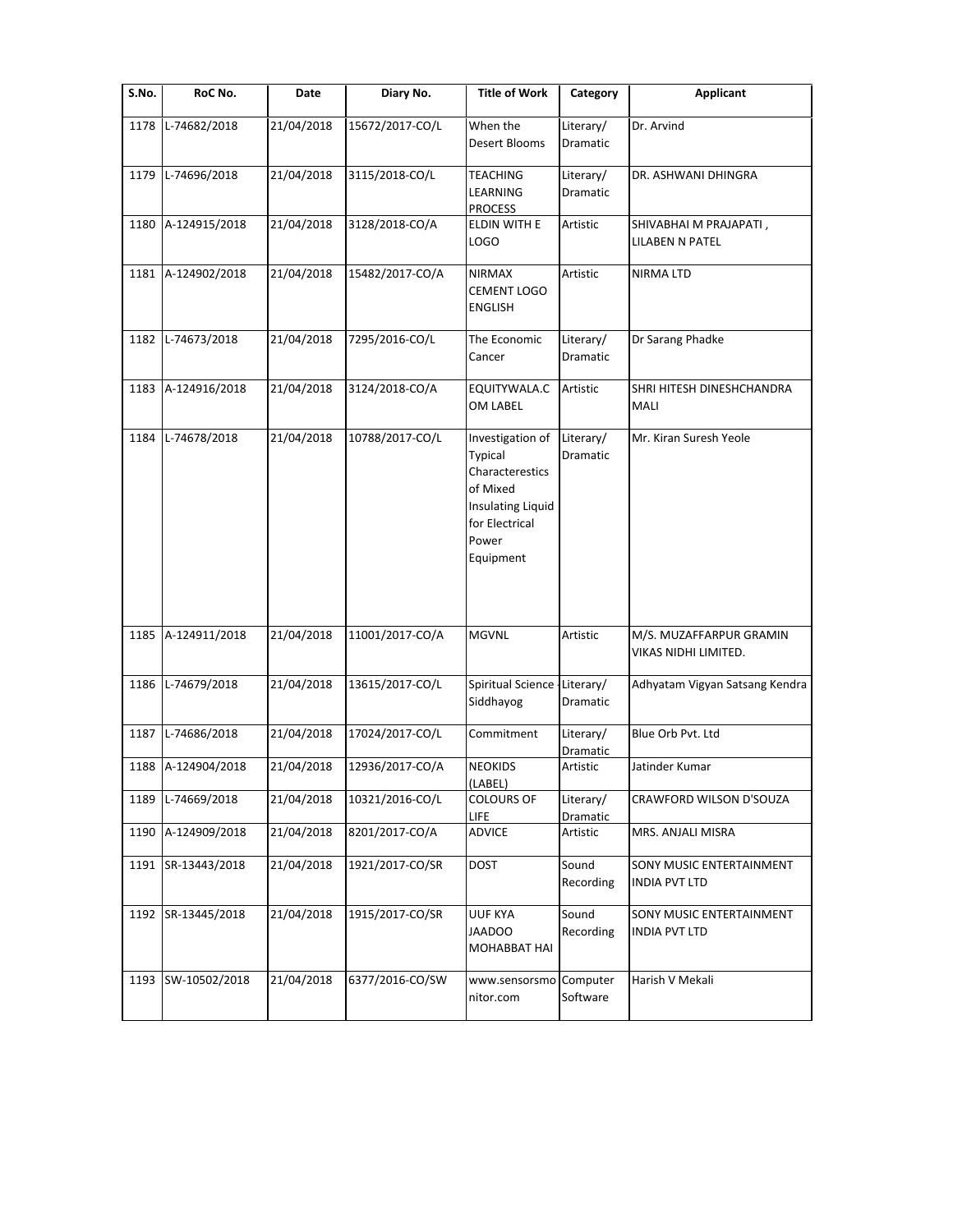| S.No. | RoC No.       | Date       | Diary No.       | <b>Title of Work</b>                                                                                                    | Category              | <b>Applicant</b>                                 |
|-------|---------------|------------|-----------------|-------------------------------------------------------------------------------------------------------------------------|-----------------------|--------------------------------------------------|
| 1178  | L-74682/2018  | 21/04/2018 | 15672/2017-CO/L | When the<br>Desert Blooms                                                                                               | Literary/<br>Dramatic | Dr. Arvind                                       |
| 1179  | L-74696/2018  | 21/04/2018 | 3115/2018-CO/L  | TEACHING<br>LEARNING<br><b>PROCESS</b>                                                                                  | Literary/<br>Dramatic | DR. ASHWANI DHINGRA                              |
| 1180  | A-124915/2018 | 21/04/2018 | 3128/2018-CO/A  | ELDIN WITH E<br>LOGO                                                                                                    | Artistic              | SHIVABHAI M PRAJAPATI,<br>LILABEN N PATEL        |
| 1181  | A-124902/2018 | 21/04/2018 | 15482/2017-CO/A | <b>NIRMAX</b><br><b>CEMENT LOGO</b><br>ENGLISH                                                                          | Artistic              | NIRMA LTD                                        |
| 1182  | L-74673/2018  | 21/04/2018 | 7295/2016-CO/L  | The Economic<br>Cancer                                                                                                  | Literary/<br>Dramatic | Dr Sarang Phadke                                 |
| 1183  | A-124916/2018 | 21/04/2018 | 3124/2018-CO/A  | EQUITYWALA.C<br>OM LABEL                                                                                                | Artistic              | SHRI HITESH DINESHCHANDRA<br>MALI                |
| 1184  | L-74678/2018  | 21/04/2018 | 10788/2017-CO/L | Investigation of<br>Typical<br>Characterestics<br>of Mixed<br>Insulating Liquid<br>for Electrical<br>Power<br>Equipment | Literary/<br>Dramatic | Mr. Kiran Suresh Yeole                           |
| 1185  | A-124911/2018 | 21/04/2018 | 11001/2017-CO/A | <b>MGVNL</b>                                                                                                            | Artistic              | M/S. MUZAFFARPUR GRAMIN<br>VIKAS NIDHI LIMITED.  |
| 1186  | L-74679/2018  | 21/04/2018 | 13615/2017-CO/L | Spiritual Science - Literary/<br>Siddhayog                                                                              | Dramatic              | Adhyatam Vigyan Satsang Kendra                   |
| 1187  | L-74686/2018  | 21/04/2018 | 17024/2017-CO/L | Commitment                                                                                                              | Literary/<br>Dramatic | Blue Orb Pvt. Ltd                                |
| 1188  | A-124904/2018 | 21/04/2018 | 12936/2017-CO/A | <b>NEOKIDS</b><br>(LABEL)                                                                                               | Artistic              | Jatinder Kumar                                   |
| 1189  | L-74669/2018  | 21/04/2018 | 10321/2016-CO/L | <b>COLOURS OF</b><br><b>LIFE</b>                                                                                        | Literary/<br>Dramatic | CRAWFORD WILSON D'SOUZA                          |
| 1190  | A-124909/2018 | 21/04/2018 | 8201/2017-CO/A  | ADVICE                                                                                                                  | Artistic              | MRS. ANJALI MISRA                                |
| 1191  | SR-13443/2018 | 21/04/2018 | 1921/2017-CO/SR | <b>DOST</b>                                                                                                             | Sound<br>Recording    | SONY MUSIC ENTERTAINMENT<br><b>INDIA PVT LTD</b> |
| 1192  | SR-13445/2018 | 21/04/2018 | 1915/2017-CO/SR | UUF KYA<br><b>JAADOO</b><br>MOHABBAT HAI                                                                                | Sound<br>Recording    | SONY MUSIC ENTERTAINMENT<br><b>INDIA PVT LTD</b> |
| 1193  | SW-10502/2018 | 21/04/2018 | 6377/2016-CO/SW | www.sensorsmo<br>nitor.com                                                                                              | Computer<br>Software  | Harish V Mekali                                  |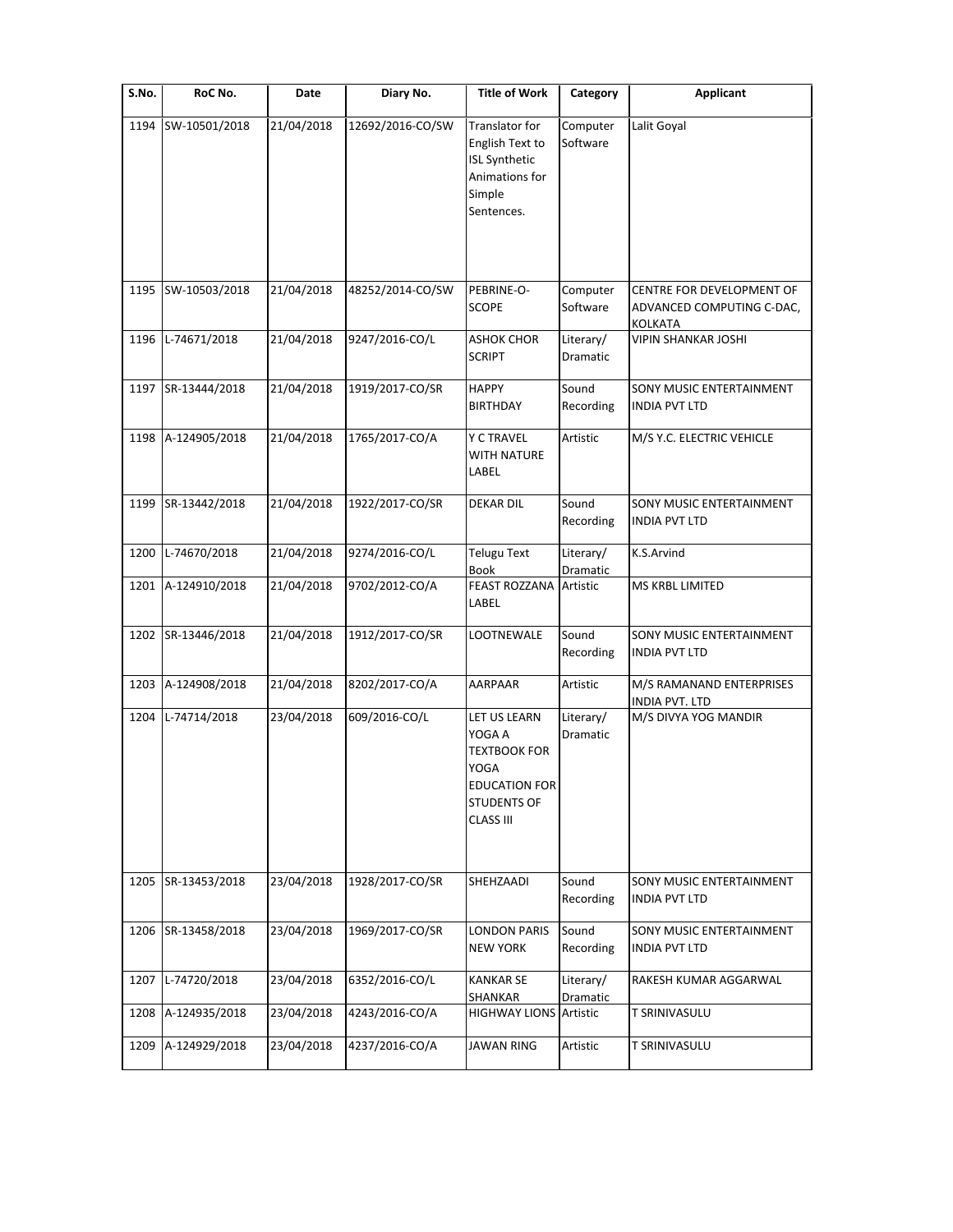| S.No. | RoC No.       | Date       | Diary No.        | <b>Title of Work</b>                                                                                                    | Category              | <b>Applicant</b>                                                  |
|-------|---------------|------------|------------------|-------------------------------------------------------------------------------------------------------------------------|-----------------------|-------------------------------------------------------------------|
| 1194  | SW-10501/2018 | 21/04/2018 | 12692/2016-CO/SW | Translator for<br>English Text to<br><b>ISL Synthetic</b><br>Animations for<br>Simple<br>Sentences.                     | Computer<br>Software  | Lalit Goyal                                                       |
|       |               |            |                  | PEBRINE-O-                                                                                                              |                       |                                                                   |
| 1195  | SW-10503/2018 | 21/04/2018 | 48252/2014-CO/SW | <b>SCOPE</b>                                                                                                            | Computer<br>Software  | CENTRE FOR DEVELOPMENT OF<br>ADVANCED COMPUTING C-DAC,<br>KOLKATA |
| 1196  | L-74671/2018  | 21/04/2018 | 9247/2016-CO/L   | <b>ASHOK CHOR</b><br><b>SCRIPT</b>                                                                                      | Literary/<br>Dramatic | <b>VIPIN SHANKAR JOSHI</b>                                        |
| 1197  | SR-13444/2018 | 21/04/2018 | 1919/2017-CO/SR  | <b>HAPPY</b><br><b>BIRTHDAY</b>                                                                                         | Sound<br>Recording    | SONY MUSIC ENTERTAINMENT<br><b>INDIA PVT LTD</b>                  |
| 1198  | A-124905/2018 | 21/04/2018 | 1765/2017-CO/A   | <b>Y C TRAVEL</b><br><b>WITH NATURE</b><br>LABEL                                                                        | Artistic              | M/S Y.C. ELECTRIC VEHICLE                                         |
| 1199  | SR-13442/2018 | 21/04/2018 | 1922/2017-CO/SR  | <b>DEKAR DIL</b>                                                                                                        | Sound<br>Recording    | SONY MUSIC ENTERTAINMENT<br><b>INDIA PVT LTD</b>                  |
| 1200  | L-74670/2018  | 21/04/2018 | 9274/2016-CO/L   | <b>Telugu Text</b><br><b>Book</b>                                                                                       | Literary/<br>Dramatic | K.S.Arvind                                                        |
| 1201  | A-124910/2018 | 21/04/2018 | 9702/2012-CO/A   | <b>FEAST ROZZANA</b><br>LABEL                                                                                           | Artistic              | <b>MS KRBL LIMITED</b>                                            |
| 1202  | SR-13446/2018 | 21/04/2018 | 1912/2017-CO/SR  | LOOTNEWALE                                                                                                              | Sound<br>Recording    | SONY MUSIC ENTERTAINMENT<br><b>INDIA PVT LTD</b>                  |
| 1203  | A-124908/2018 | 21/04/2018 | 8202/2017-CO/A   | AARPAAR                                                                                                                 | Artistic              | M/S RAMANAND ENTERPRISES<br><b>INDIA PVT. LTD</b>                 |
| 1204  | L-74714/2018  | 23/04/2018 | 609/2016-CO/L    | LET US LEARN<br>YOGA A<br><b>TEXTBOOK FOR</b><br>YOGA<br><b>EDUCATION FOR</b><br><b>STUDENTS OF</b><br><b>CLASS III</b> | Literary/<br>Dramatic | M/S DIVYA YOG MANDIR                                              |
| 1205  | SR-13453/2018 | 23/04/2018 | 1928/2017-CO/SR  | SHEHZAADI                                                                                                               | Sound<br>Recording    | SONY MUSIC ENTERTAINMENT<br><b>INDIA PVT LTD</b>                  |
| 1206  | SR-13458/2018 | 23/04/2018 | 1969/2017-CO/SR  | <b>LONDON PARIS</b><br><b>NEW YORK</b>                                                                                  | Sound<br>Recording    | SONY MUSIC ENTERTAINMENT<br><b>INDIA PVT LTD</b>                  |
| 1207  | L-74720/2018  | 23/04/2018 | 6352/2016-CO/L   | <b>KANKAR SE</b><br>SHANKAR                                                                                             | Literary/<br>Dramatic | RAKESH KUMAR AGGARWAL                                             |
| 1208  | A-124935/2018 | 23/04/2018 | 4243/2016-CO/A   | <b>HIGHWAY LIONS Artistic</b>                                                                                           |                       | <b>T SRINIVASULU</b>                                              |
| 1209  | A-124929/2018 | 23/04/2018 | 4237/2016-CO/A   | <b>JAWAN RING</b>                                                                                                       | Artistic              | <b>T SRINIVASULU</b>                                              |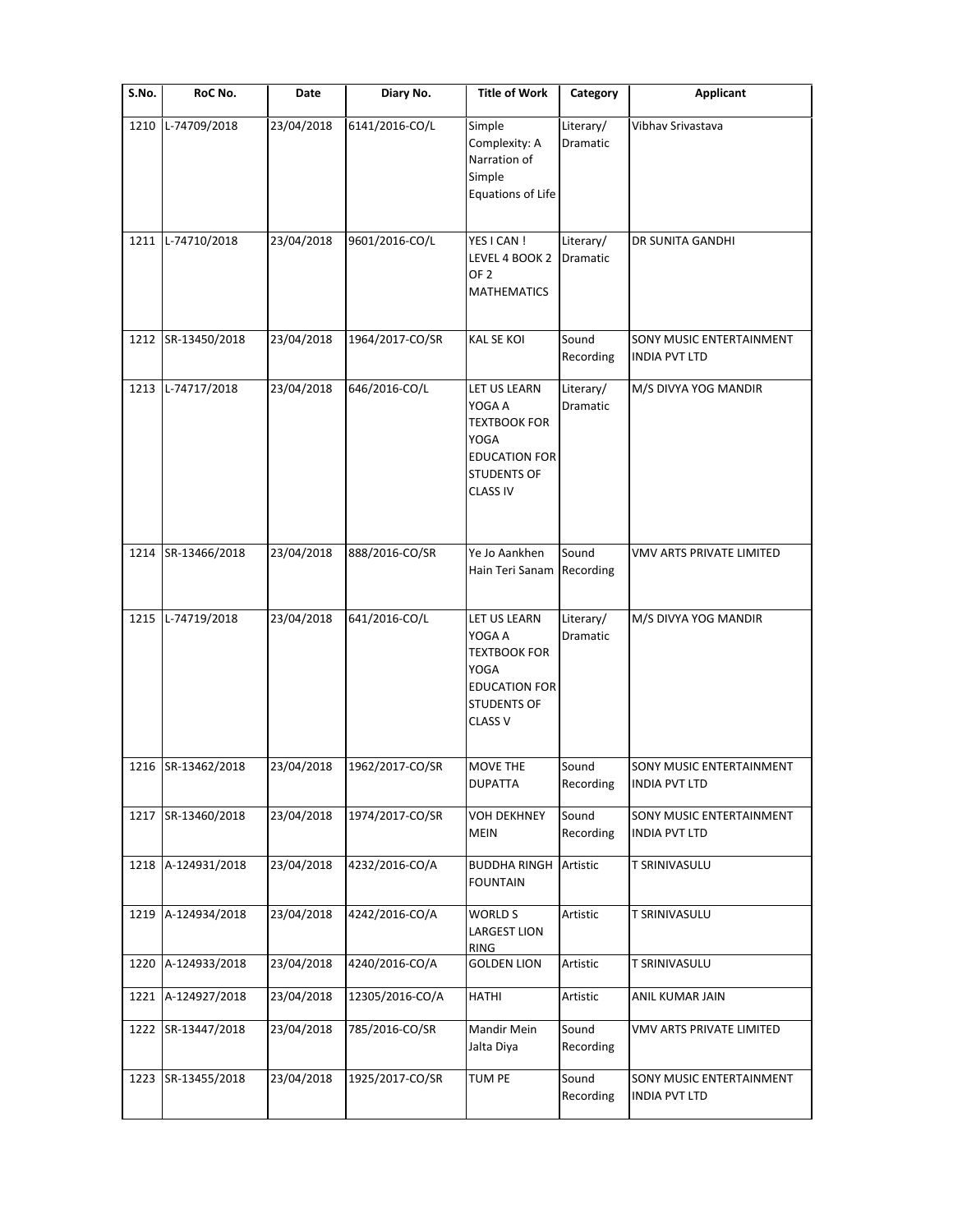| S.No. | RoC No.       | Date       | Diary No.       | <b>Title of Work</b>                                                                                                          | Category              | <b>Applicant</b>                                 |
|-------|---------------|------------|-----------------|-------------------------------------------------------------------------------------------------------------------------------|-----------------------|--------------------------------------------------|
| 1210  | L-74709/2018  | 23/04/2018 | 6141/2016-CO/L  | Simple<br>Complexity: A<br>Narration of<br>Simple<br>Equations of Life                                                        | Literary/<br>Dramatic | Vibhav Srivastava                                |
| 1211  | L-74710/2018  | 23/04/2018 | 9601/2016-CO/L  | YES I CAN !<br>LEVEL 4 BOOK 2<br>OF <sub>2</sub><br><b>MATHEMATICS</b>                                                        | Literary/<br>Dramatic | DR SUNITA GANDHI                                 |
| 1212  | SR-13450/2018 | 23/04/2018 | 1964/2017-CO/SR | <b>KAL SE KOI</b>                                                                                                             | Sound<br>Recording    | SONY MUSIC ENTERTAINMENT<br><b>INDIA PVT LTD</b> |
| 1213  | L-74717/2018  | 23/04/2018 | 646/2016-CO/L   | LET US LEARN<br>YOGA A<br><b>TEXTBOOK FOR</b><br><b>YOGA</b><br><b>EDUCATION FOR</b><br><b>STUDENTS OF</b><br><b>CLASS IV</b> | Literary/<br>Dramatic | M/S DIVYA YOG MANDIR                             |
| 1214  | SR-13466/2018 | 23/04/2018 | 888/2016-CO/SR  | Ye Jo Aankhen<br>Hain Teri Sanam                                                                                              | Sound<br>Recording    | VMV ARTS PRIVATE LIMITED                         |
| 1215  | L-74719/2018  | 23/04/2018 | 641/2016-CO/L   | LET US LEARN<br>YOGA A<br><b>TEXTBOOK FOR</b><br><b>YOGA</b><br><b>EDUCATION FOR</b><br><b>STUDENTS OF</b><br><b>CLASS V</b>  | Literary/<br>Dramatic | M/S DIVYA YOG MANDIR                             |
| 1216  | SR-13462/2018 | 23/04/2018 | 1962/2017-CO/SR | MOVE THE<br><b>DUPATTA</b>                                                                                                    | Sound<br>Recording    | SONY MUSIC ENTERTAINMENT<br>INDIA PVT LTD        |
| 1217  | SR-13460/2018 | 23/04/2018 | 1974/2017-CO/SR | <b>VOH DEKHNEY</b><br><b>MEIN</b>                                                                                             | Sound<br>Recording    | SONY MUSIC ENTERTAINMENT<br><b>INDIA PVT LTD</b> |
| 1218  | A-124931/2018 | 23/04/2018 | 4232/2016-CO/A  | BUDDHA RINGH<br><b>FOUNTAIN</b>                                                                                               | Artistic              | T SRINIVASULU                                    |
| 1219  | A-124934/2018 | 23/04/2018 | 4242/2016-CO/A  | WORLD S<br><b>LARGEST LION</b><br>RING                                                                                        | Artistic              | <b>T SRINIVASULU</b>                             |
| 1220  | A-124933/2018 | 23/04/2018 | 4240/2016-CO/A  | <b>GOLDEN LION</b>                                                                                                            | Artistic              | T SRINIVASULU                                    |
| 1221  | A-124927/2018 | 23/04/2018 | 12305/2016-CO/A | <b>HATHI</b>                                                                                                                  | Artistic              | ANIL KUMAR JAIN                                  |
| 1222  | SR-13447/2018 | 23/04/2018 | 785/2016-CO/SR  | Mandir Mein<br>Jalta Diya                                                                                                     | Sound<br>Recording    | VMV ARTS PRIVATE LIMITED                         |
| 1223  | SR-13455/2018 | 23/04/2018 | 1925/2017-CO/SR | TUM PE                                                                                                                        | Sound<br>Recording    | SONY MUSIC ENTERTAINMENT<br><b>INDIA PVT LTD</b> |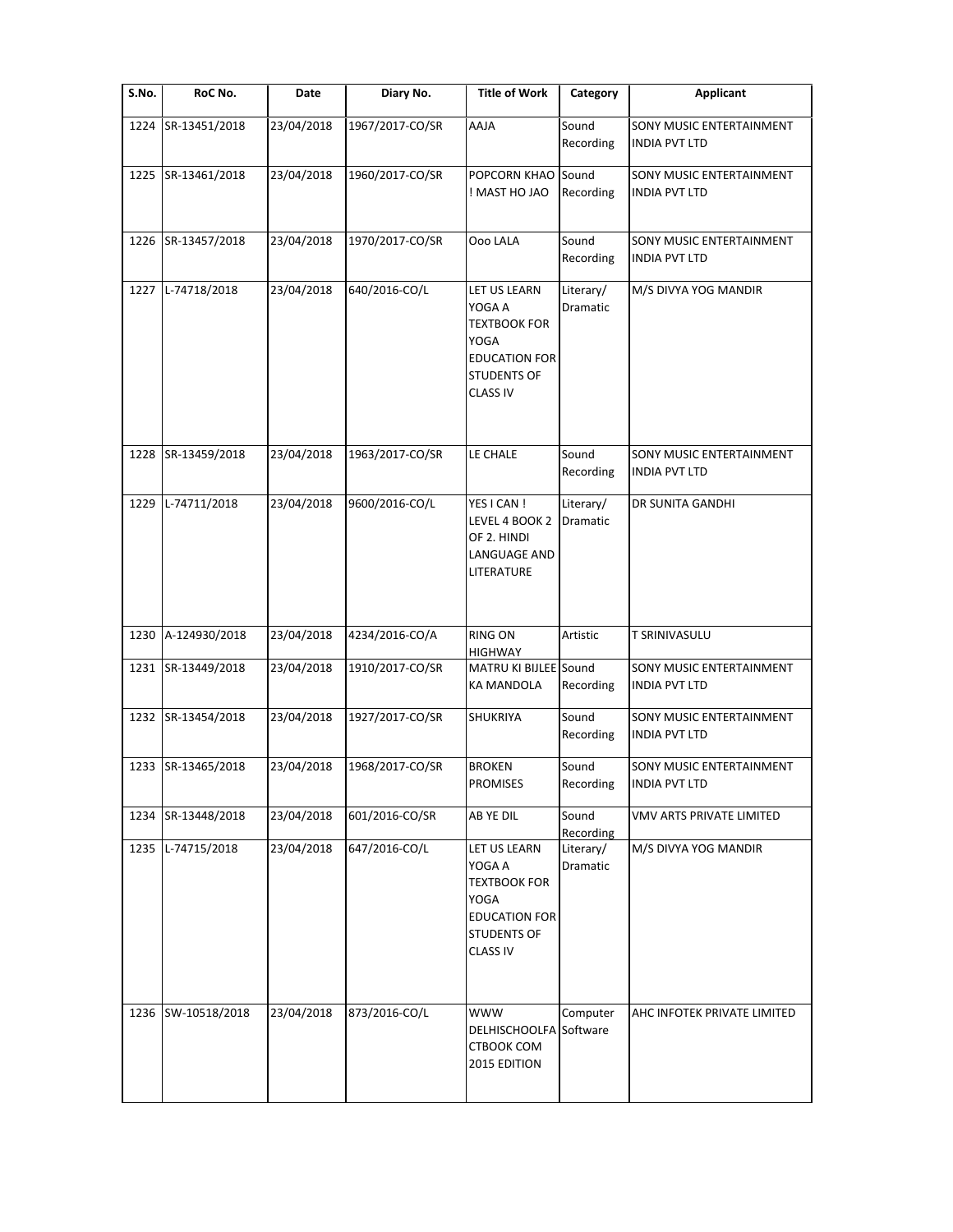| S.No. | RoC No.            | Date       | Diary No.       | <b>Title of Work</b>                                                                                                   | Category              | <b>Applicant</b>                                 |
|-------|--------------------|------------|-----------------|------------------------------------------------------------------------------------------------------------------------|-----------------------|--------------------------------------------------|
| 1224  | SR-13451/2018      | 23/04/2018 | 1967/2017-CO/SR | AAJA                                                                                                                   | Sound<br>Recording    | SONY MUSIC ENTERTAINMENT<br>INDIA PVT LTD        |
|       | 1225 SR-13461/2018 | 23/04/2018 | 1960/2017-CO/SR | POPCORN KHAO<br>OAL OH TAN !                                                                                           | Sound<br>Recording    | SONY MUSIC ENTERTAINMENT<br><b>INDIA PVT LTD</b> |
|       | 1226 SR-13457/2018 | 23/04/2018 | 1970/2017-CO/SR | Ooo LALA                                                                                                               | Sound<br>Recording    | SONY MUSIC ENTERTAINMENT<br><b>INDIA PVT LTD</b> |
|       | 1227 L-74718/2018  | 23/04/2018 | 640/2016-CO/L   | LET US LEARN<br>YOGA A<br><b>TEXTBOOK FOR</b><br>YOGA<br><b>EDUCATION FOR</b><br><b>STUDENTS OF</b><br><b>CLASS IV</b> | Literary/<br>Dramatic | M/S DIVYA YOG MANDIR                             |
|       | 1228 SR-13459/2018 | 23/04/2018 | 1963/2017-CO/SR | LE CHALE                                                                                                               | Sound<br>Recording    | SONY MUSIC ENTERTAINMENT<br><b>INDIA PVT LTD</b> |
|       | 1229 L-74711/2018  | 23/04/2018 | 9600/2016-CO/L  | YES I CAN !<br>LEVEL 4 BOOK 2<br>OF 2. HINDI<br>LANGUAGE AND<br>LITERATURE                                             | Literary/<br>Dramatic | DR SUNITA GANDHI                                 |
| 1230  | A-124930/2018      | 23/04/2018 | 4234/2016-CO/A  | <b>RING ON</b><br><b>HIGHWAY</b>                                                                                       | Artistic              | <b>T SRINIVASULU</b>                             |
|       | 1231 SR-13449/2018 | 23/04/2018 | 1910/2017-CO/SR | MATRU KI BIJLEE Sound<br><b>KA MANDOLA</b>                                                                             | Recording             | SONY MUSIC ENTERTAINMENT<br><b>INDIA PVT LTD</b> |
|       | 1232 SR-13454/2018 | 23/04/2018 | 1927/2017-CO/SR | SHUKRIYA                                                                                                               | Sound<br>Recording    | SONY MUSIC ENTERTAINMENT<br><b>INDIA PVT LTD</b> |
|       | 1233 SR-13465/2018 | 23/04/2018 | 1968/2017-CO/SR | <b>BROKEN</b><br><b>PROMISES</b>                                                                                       | Sound<br>Recording    | SONY MUSIC ENTERTAINMENT<br>INDIA PVT LTD        |
| 1234  | SR-13448/2018      | 23/04/2018 | 601/2016-CO/SR  | AB YE DIL                                                                                                              | Sound<br>Recording    | VMV ARTS PRIVATE LIMITED                         |
| 1235  | L-74715/2018       | 23/04/2018 | 647/2016-CO/L   | LET US LEARN<br>YOGA A<br><b>TEXTBOOK FOR</b><br>YOGA<br><b>EDUCATION FOR</b><br><b>STUDENTS OF</b><br><b>CLASS IV</b> | Literary/<br>Dramatic | M/S DIVYA YOG MANDIR                             |
| 1236  | SW-10518/2018      | 23/04/2018 | 873/2016-CO/L   | <b>WWW</b><br>DELHISCHOOLFA Software<br>CTBOOK COM<br>2015 EDITION                                                     | Computer              | AHC INFOTEK PRIVATE LIMITED                      |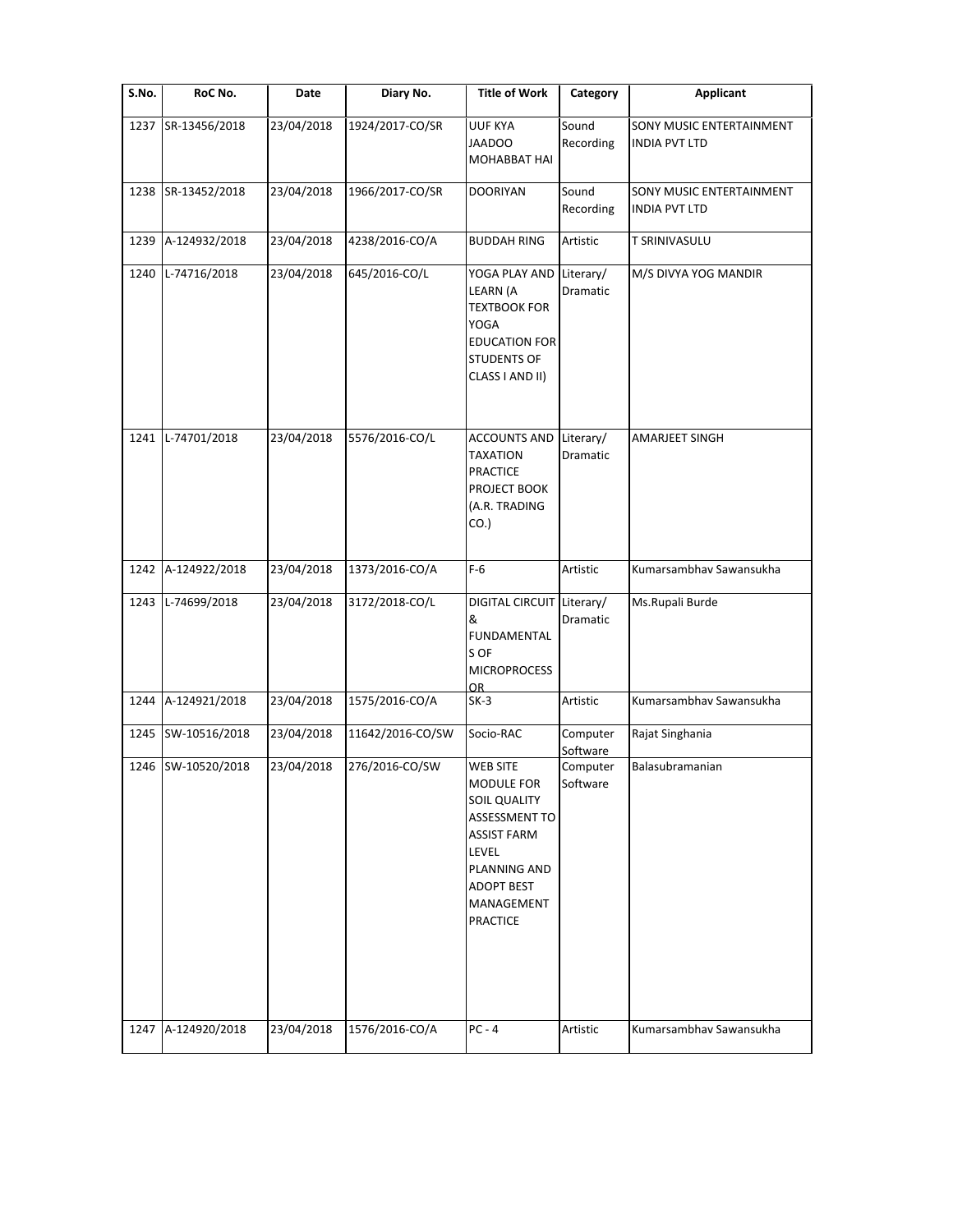| S.No. | RoC No.       | Date       | Diary No.        | <b>Title of Work</b>                                                                                                                                                                     | Category              | <b>Applicant</b>                                        |
|-------|---------------|------------|------------------|------------------------------------------------------------------------------------------------------------------------------------------------------------------------------------------|-----------------------|---------------------------------------------------------|
| 1237  | SR-13456/2018 | 23/04/2018 | 1924/2017-CO/SR  | <b>UUF KYA</b><br><b>JAADOO</b><br>MOHABBAT HAI                                                                                                                                          | Sound<br>Recording    | <b>SONY MUSIC ENTERTAINMENT</b><br><b>INDIA PVT LTD</b> |
| 1238  | SR-13452/2018 | 23/04/2018 | 1966/2017-CO/SR  | <b>DOORIYAN</b>                                                                                                                                                                          | Sound<br>Recording    | SONY MUSIC ENTERTAINMENT<br><b>INDIA PVT LTD</b>        |
| 1239  | A-124932/2018 | 23/04/2018 | 4238/2016-CO/A   | <b>BUDDAH RING</b>                                                                                                                                                                       | Artistic              | <b>T SRINIVASULU</b>                                    |
| 1240  | L-74716/2018  | 23/04/2018 | 645/2016-CO/L    | YOGA PLAY AND<br>LEARN (A<br><b>TEXTBOOK FOR</b><br>YOGA<br><b>EDUCATION FOR</b><br><b>STUDENTS OF</b><br>CLASS I AND II)                                                                | Literary/<br>Dramatic | M/S DIVYA YOG MANDIR                                    |
| 1241  | L-74701/2018  | 23/04/2018 | 5576/2016-CO/L   | <b>ACCOUNTS AND</b><br><b>TAXATION</b><br><b>PRACTICE</b><br>PROJECT BOOK<br>(A.R. TRADING<br>$CO.$ )                                                                                    | Literary/<br>Dramatic | AMARJEET SINGH                                          |
| 1242  | A-124922/2018 | 23/04/2018 | 1373/2016-CO/A   | $F-6$                                                                                                                                                                                    | Artistic              | Kumarsambhav Sawansukha                                 |
| 1243  | L-74699/2018  | 23/04/2018 | 3172/2018-CO/L   | DIGITAL CIRCUIT Literary/<br>&<br><b>FUNDAMENTAL</b><br>S OF<br><b>MICROPROCESS</b>                                                                                                      | Dramatic              | Ms.Rupali Burde                                         |
| 1244  | A-124921/2018 | 23/04/2018 | 1575/2016-CO/A   | OR<br>$SK-3$                                                                                                                                                                             | Artistic              | Kumarsambhav Sawansukha                                 |
| 1245  | SW-10516/2018 | 23/04/2018 | 11642/2016-CO/SW | Socio-RAC                                                                                                                                                                                | Computer<br>Software  | Rajat Singhania                                         |
| 1246  | SW-10520/2018 | 23/04/2018 | 276/2016-CO/SW   | <b>WEB SITE</b><br><b>MODULE FOR</b><br><b>SOIL QUALITY</b><br><b>ASSESSMENT TO</b><br><b>ASSIST FARM</b><br>LEVEL<br>PLANNING AND<br><b>ADOPT BEST</b><br>MANAGEMENT<br><b>PRACTICE</b> | Computer<br>Software  | Balasubramanian                                         |
| 1247  | A-124920/2018 | 23/04/2018 | 1576/2016-CO/A   | $PC - 4$                                                                                                                                                                                 | Artistic              | Kumarsambhav Sawansukha                                 |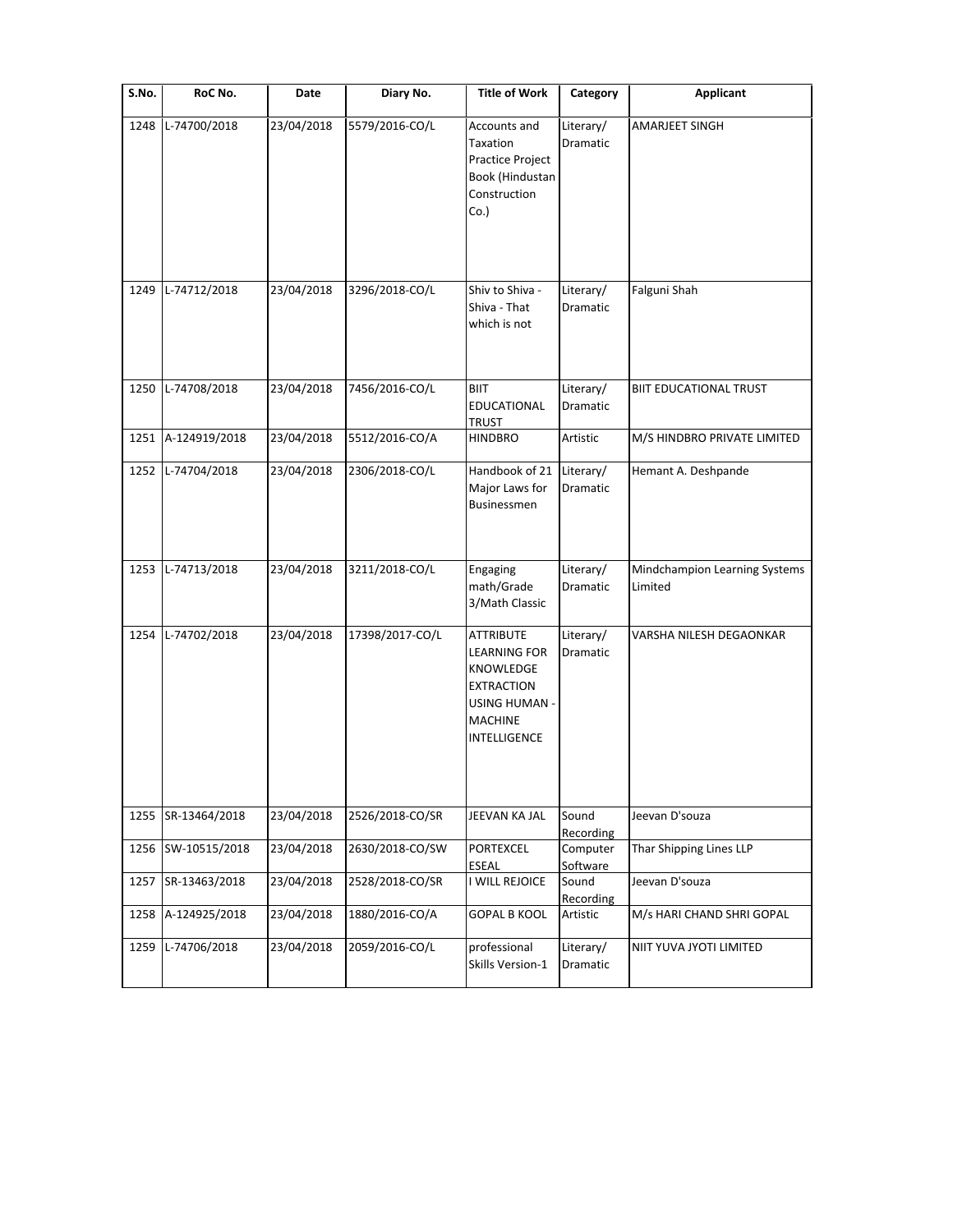| S.No. | RoC No.                            | Date                     | Diary No.                        | <b>Title of Work</b>                                                                                                         | Category                          | <b>Applicant</b>                                   |
|-------|------------------------------------|--------------------------|----------------------------------|------------------------------------------------------------------------------------------------------------------------------|-----------------------------------|----------------------------------------------------|
| 1248  | L-74700/2018                       | 23/04/2018               | 5579/2016-CO/L                   | Accounts and<br>Taxation<br>Practice Project<br>Book (Hindustan<br>Construction<br>$Co.$ )                                   | Literary/<br>Dramatic             | AMARJEET SINGH                                     |
| 1249  | L-74712/2018                       | 23/04/2018               | 3296/2018-CO/L                   | Shiv to Shiva -<br>Shiva - That<br>which is not                                                                              | Literary/<br>Dramatic             | Falguni Shah                                       |
| 1250  | L-74708/2018                       | 23/04/2018               | 7456/2016-CO/L                   | <b>BIIT</b><br>EDUCATIONAL<br><b>TRUST</b>                                                                                   | Literary/<br>Dramatic             | <b>BIIT EDUCATIONAL TRUST</b>                      |
| 1251  | A-124919/2018<br>1252 L-74704/2018 | 23/04/2018<br>23/04/2018 | 5512/2016-CO/A<br>2306/2018-CO/L | <b>HINDBRO</b><br>Handbook of 21<br>Major Laws for<br>Businessmen                                                            | Artistic<br>Literary/<br>Dramatic | M/S HINDBRO PRIVATE LIMITED<br>Hemant A. Deshpande |
|       | 1253 L-74713/2018                  | 23/04/2018               | 3211/2018-CO/L                   | Engaging<br>math/Grade<br>3/Math Classic                                                                                     | Literary/<br>Dramatic             | Mindchampion Learning Systems<br>Limited           |
| 1254  | L-74702/2018                       | 23/04/2018               | 17398/2017-CO/L                  | <b>ATTRIBUTE</b><br>LEARNING FOR<br>KNOWLEDGE<br><b>EXTRACTION</b><br>USING HUMAN -<br><b>MACHINE</b><br><b>INTELLIGENCE</b> | Literary/<br>Dramatic             | VARSHA NILESH DEGAONKAR                            |
| 1255  | SR-13464/2018                      | 23/04/2018               | 2526/2018-CO/SR                  | JEEVAN KA JAL                                                                                                                | Sound                             | Jeevan D'souza                                     |
| 1256  | SW-10515/2018                      | 23/04/2018               | 2630/2018-CO/SW                  | <b>PORTEXCEL</b><br>ESEAL                                                                                                    | Recording<br>Computer<br>Software | Thar Shipping Lines LLP                            |
| 1257  | SR-13463/2018                      | 23/04/2018               | 2528/2018-CO/SR                  | I WILL REJOICE                                                                                                               | Sound<br>Recording                | Jeevan D'souza                                     |
| 1258  | A-124925/2018                      | 23/04/2018               | 1880/2016-CO/A                   | <b>GOPAL B KOOL</b>                                                                                                          | Artistic                          | M/s HARI CHAND SHRI GOPAL                          |
| 1259  | L-74706/2018                       | 23/04/2018               | 2059/2016-CO/L                   | professional<br>Skills Version-1                                                                                             | Literary/<br>Dramatic             | NIIT YUVA JYOTI LIMITED                            |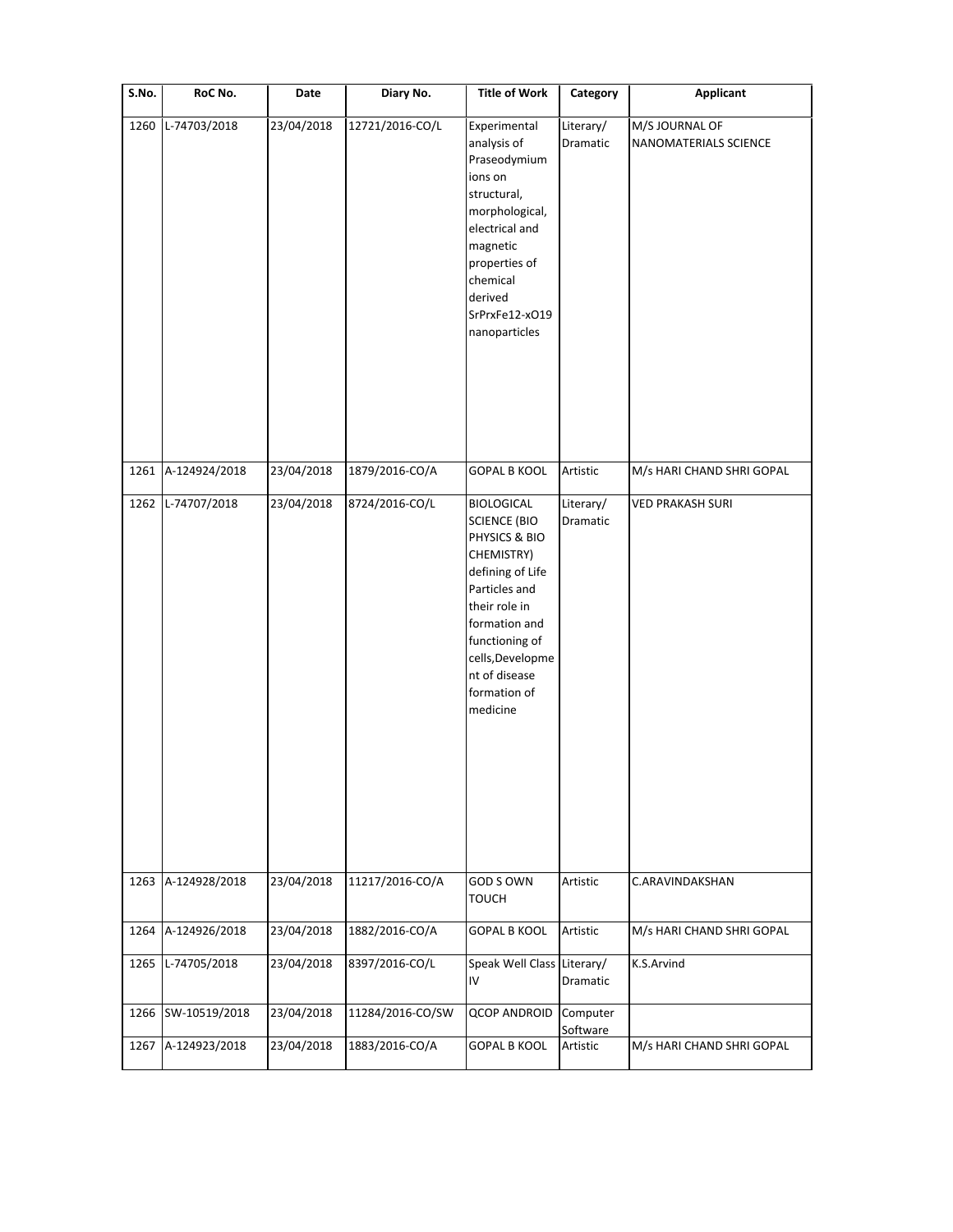| S.No. | RoC No.       | Date       | Diary No.        | <b>Title of Work</b>                                                                                                                                                                                                              | Category              | <b>Applicant</b>                        |
|-------|---------------|------------|------------------|-----------------------------------------------------------------------------------------------------------------------------------------------------------------------------------------------------------------------------------|-----------------------|-----------------------------------------|
| 1260  | L-74703/2018  | 23/04/2018 | 12721/2016-CO/L  | Experimental<br>analysis of<br>Praseodymium<br>ions on<br>structural,<br>morphological,<br>electrical and<br>magnetic<br>properties of<br>chemical<br>derived<br>SrPrxFe12-xO19<br>nanoparticles                                  | Literary/<br>Dramatic | M/S JOURNAL OF<br>NANOMATERIALS SCIENCE |
| 1261  | A-124924/2018 | 23/04/2018 | 1879/2016-CO/A   | <b>GOPAL B KOOL</b>                                                                                                                                                                                                               | Artistic              | M/s HARI CHAND SHRI GOPAL               |
| 1262  | L-74707/2018  | 23/04/2018 | 8724/2016-CO/L   | <b>BIOLOGICAL</b><br><b>SCIENCE (BIO</b><br>PHYSICS & BIO<br>CHEMISTRY)<br>defining of Life<br>Particles and<br>their role in<br>formation and<br>functioning of<br>cells, Developme<br>nt of disease<br>formation of<br>medicine | Literary/<br>Dramatic | <b>VED PRAKASH SURI</b>                 |
| 1263  | A-124928/2018 | 23/04/2018 | 11217/2016-CO/A  | GOD S OWN<br><b>TOUCH</b>                                                                                                                                                                                                         | Artistic              | C.ARAVINDAKSHAN                         |
| 1264  | A-124926/2018 | 23/04/2018 | 1882/2016-CO/A   | <b>GOPAL B KOOL</b>                                                                                                                                                                                                               | Artistic              | M/s HARI CHAND SHRI GOPAL               |
| 1265  | L-74705/2018  | 23/04/2018 | 8397/2016-CO/L   | Speak Well Class Literary/<br>IV                                                                                                                                                                                                  | Dramatic              | K.S.Arvind                              |
| 1266  | SW-10519/2018 | 23/04/2018 | 11284/2016-CO/SW | <b>QCOP ANDROID</b>                                                                                                                                                                                                               | Computer<br>Software  |                                         |
| 1267  | A-124923/2018 | 23/04/2018 | 1883/2016-CO/A   | <b>GOPAL B KOOL</b>                                                                                                                                                                                                               | Artistic              | M/s HARI CHAND SHRI GOPAL               |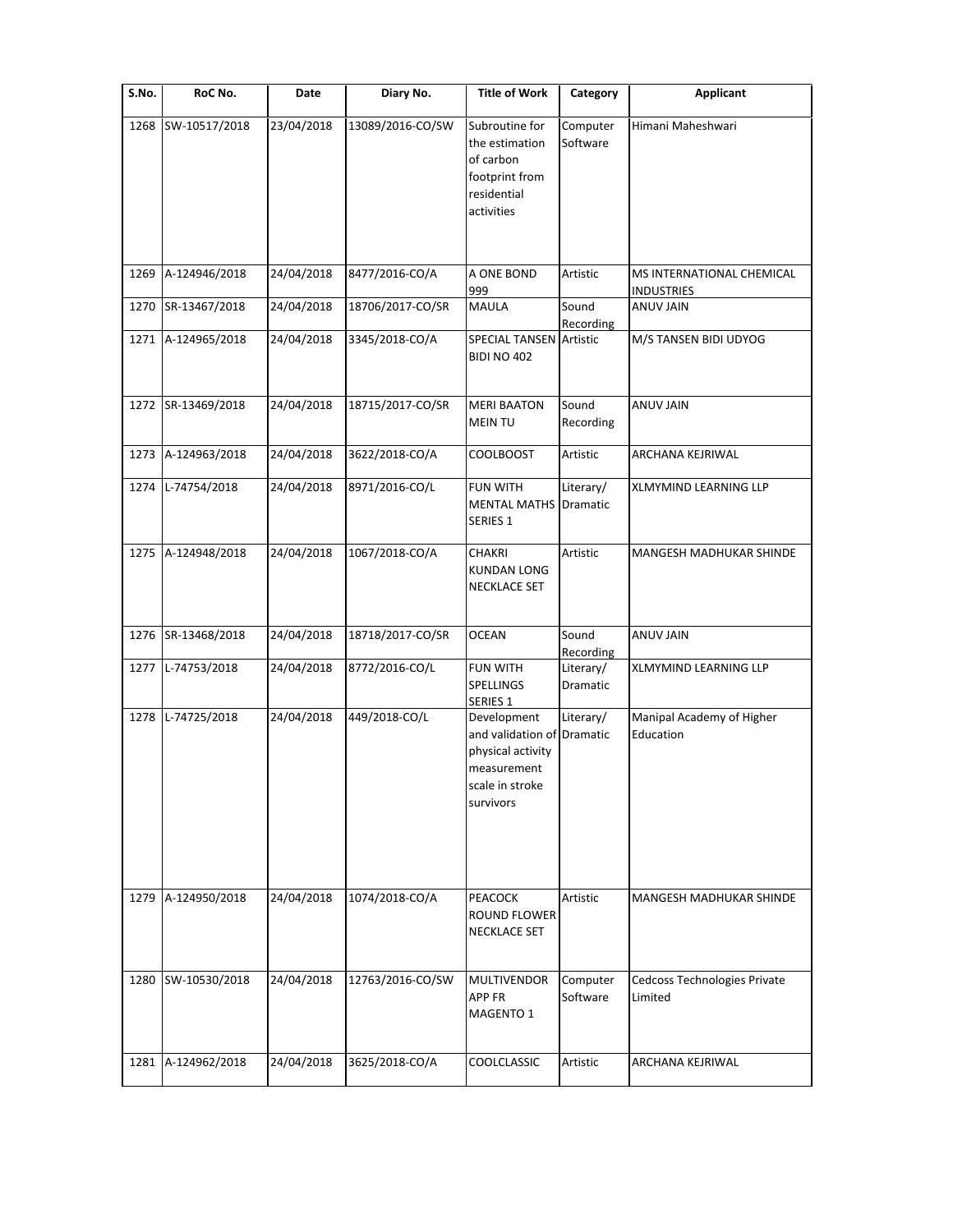| S.No. | RoC No.       | Date       | Diary No.        | <b>Title of Work</b>                                                                                          | Category              | <b>Applicant</b>                               |
|-------|---------------|------------|------------------|---------------------------------------------------------------------------------------------------------------|-----------------------|------------------------------------------------|
| 1268  | SW-10517/2018 | 23/04/2018 | 13089/2016-CO/SW | Subroutine for<br>the estimation<br>of carbon<br>footprint from<br>residential<br>activities                  | Computer<br>Software  | Himani Maheshwari                              |
|       |               |            |                  |                                                                                                               |                       |                                                |
| 1269  | A-124946/2018 | 24/04/2018 | 8477/2016-CO/A   | A ONE BOND<br>999                                                                                             | Artistic              | MS INTERNATIONAL CHEMICAL<br><b>INDUSTRIES</b> |
| 1270  | SR-13467/2018 | 24/04/2018 | 18706/2017-CO/SR | MAULA                                                                                                         | Sound<br>Recording    | <b>ANUV JAIN</b>                               |
| 1271  | A-124965/2018 | 24/04/2018 | 3345/2018-CO/A   | <b>SPECIAL TANSEN Artistic</b><br><b>BIDI NO 402</b>                                                          |                       | M/S TANSEN BIDI UDYOG                          |
| 1272  | SR-13469/2018 | 24/04/2018 | 18715/2017-CO/SR | <b>MERI BAATON</b><br><b>MEIN TU</b>                                                                          | Sound<br>Recording    | <b>ANUV JAIN</b>                               |
| 1273  | A-124963/2018 | 24/04/2018 | 3622/2018-CO/A   | <b>COOLBOOST</b>                                                                                              | Artistic              | ARCHANA KEJRIWAL                               |
| 1274  | L-74754/2018  | 24/04/2018 | 8971/2016-CO/L   | <b>FUN WITH</b><br><b>MENTAL MATHS Dramatic</b><br>SERIES <sub>1</sub>                                        | Literary/             | XLMYMIND LEARNING LLP                          |
| 1275  | A-124948/2018 | 24/04/2018 | 1067/2018-CO/A   | <b>CHAKRI</b><br><b>KUNDAN LONG</b><br><b>NECKLACE SET</b>                                                    | Artistic              | MANGESH MADHUKAR SHINDE                        |
| 1276  | SR-13468/2018 | 24/04/2018 | 18718/2017-CO/SR | <b>OCEAN</b>                                                                                                  | Sound<br>Recording    | <b>ANUV JAIN</b>                               |
| 1277  | L-74753/2018  | 24/04/2018 | 8772/2016-CO/L   | <b>FUN WITH</b><br>SPELLINGS<br>SERIES 1                                                                      | Literary/<br>Dramatic | <b>XLMYMIND LEARNING LLP</b>                   |
| 1278  | L-74725/2018  | 24/04/2018 | 449/2018-CO/L    | Development<br>and validation of Dramatic<br>physical activity<br>measurement<br>scale in stroke<br>survivors | Literary/             | Manipal Academy of Higher<br>Education         |
| 1279  | A-124950/2018 | 24/04/2018 | 1074/2018-CO/A   | PEACOCK<br>ROUND FLOWER<br>NECKLACE SET                                                                       | Artistic              | MANGESH MADHUKAR SHINDE                        |
| 1280  | SW-10530/2018 | 24/04/2018 | 12763/2016-CO/SW | MULTIVENDOR<br>APP FR<br>MAGENTO 1                                                                            | Computer<br>Software  | Cedcoss Technologies Private<br>Limited        |
| 1281  | A-124962/2018 | 24/04/2018 | 3625/2018-CO/A   | COOLCLASSIC                                                                                                   | Artistic              | ARCHANA KEJRIWAL                               |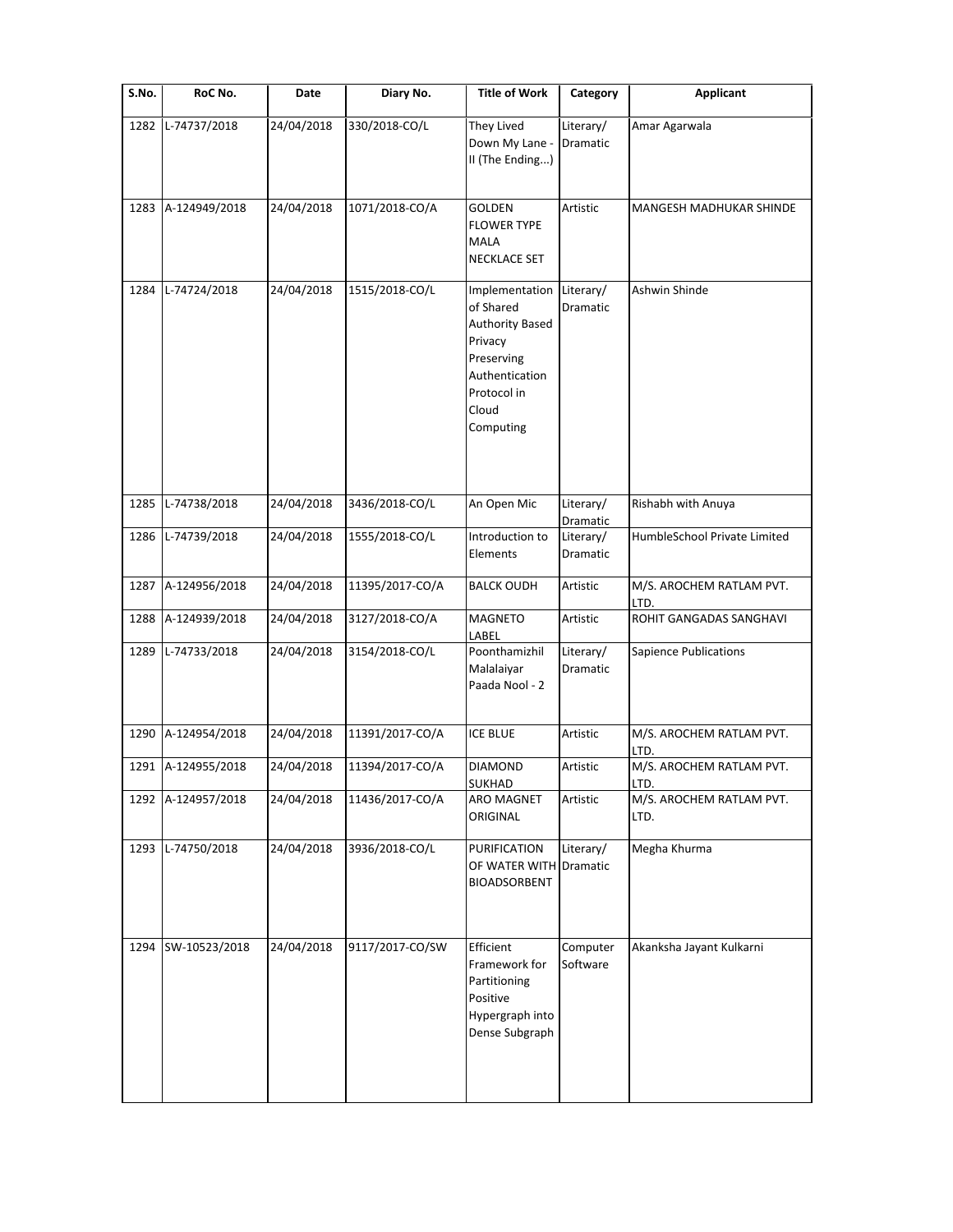| S.No. | RoC No.            | Date       | Diary No.       | <b>Title of Work</b>                                                                                                                  | Category              | <b>Applicant</b>                 |
|-------|--------------------|------------|-----------------|---------------------------------------------------------------------------------------------------------------------------------------|-----------------------|----------------------------------|
| 1282  | L-74737/2018       | 24/04/2018 | 330/2018-CO/L   | They Lived<br>Down My Lane -<br>II (The Ending)                                                                                       | Literary/<br>Dramatic | Amar Agarwala                    |
| 1283  | A-124949/2018      | 24/04/2018 | 1071/2018-CO/A  | <b>GOLDEN</b><br><b>FLOWER TYPE</b><br><b>MALA</b><br>NECKLACE SET                                                                    | Artistic              | MANGESH MADHUKAR SHINDE          |
| 1284  | L-74724/2018       | 24/04/2018 | 1515/2018-CO/L  | Implementation<br>of Shared<br><b>Authority Based</b><br>Privacy<br>Preserving<br>Authentication<br>Protocol in<br>Cloud<br>Computing | Literary/<br>Dramatic | Ashwin Shinde                    |
| 1285  | L-74738/2018       | 24/04/2018 | 3436/2018-CO/L  | An Open Mic                                                                                                                           | Literary/<br>Dramatic | Rishabh with Anuya               |
| 1286  | L-74739/2018       | 24/04/2018 | 1555/2018-CO/L  | Introduction to<br>Elements                                                                                                           | Literary/<br>Dramatic | HumbleSchool Private Limited     |
| 1287  | A-124956/2018      | 24/04/2018 | 11395/2017-CO/A | <b>BALCK OUDH</b>                                                                                                                     | Artistic              | M/S. AROCHEM RATLAM PVT.<br>LTD. |
| 1288  | A-124939/2018      | 24/04/2018 | 3127/2018-CO/A  | <b>MAGNETO</b><br>LABEL                                                                                                               | Artistic              | ROHIT GANGADAS SANGHAVI          |
| 1289  | L-74733/2018       | 24/04/2018 | 3154/2018-CO/L  | Poonthamizhil<br>Malalaiyar<br>Paada Nool - 2                                                                                         | Literary/<br>Dramatic | <b>Sapience Publications</b>     |
| 1290  | A-124954/2018      | 24/04/2018 | 11391/2017-CO/A | <b>ICE BLUE</b>                                                                                                                       | Artistic              | M/S. AROCHEM RATLAM PVT.<br>LTD. |
|       | 1291 A-124955/2018 | 24/04/2018 | 11394/2017-CO/A | DIAMOND<br><b>SUKHAD</b>                                                                                                              | Artistic              | M/S. AROCHEM RATLAM PVT.<br>LTD. |
|       | 1292 A-124957/2018 | 24/04/2018 | 11436/2017-CO/A | ARO MAGNET<br>ORIGINAL                                                                                                                | Artistic              | M/S. AROCHEM RATLAM PVT.<br>LTD. |
| 1293  | L-74750/2018       | 24/04/2018 | 3936/2018-CO/L  | PURIFICATION<br>OF WATER WITH<br><b>BIOADSORBENT</b>                                                                                  | Literary/<br>Dramatic | Megha Khurma                     |
| 1294  | SW-10523/2018      | 24/04/2018 | 9117/2017-CO/SW | Efficient<br>Framework for<br>Partitioning<br>Positive<br>Hypergraph into<br>Dense Subgraph                                           | Computer<br>Software  | Akanksha Jayant Kulkarni         |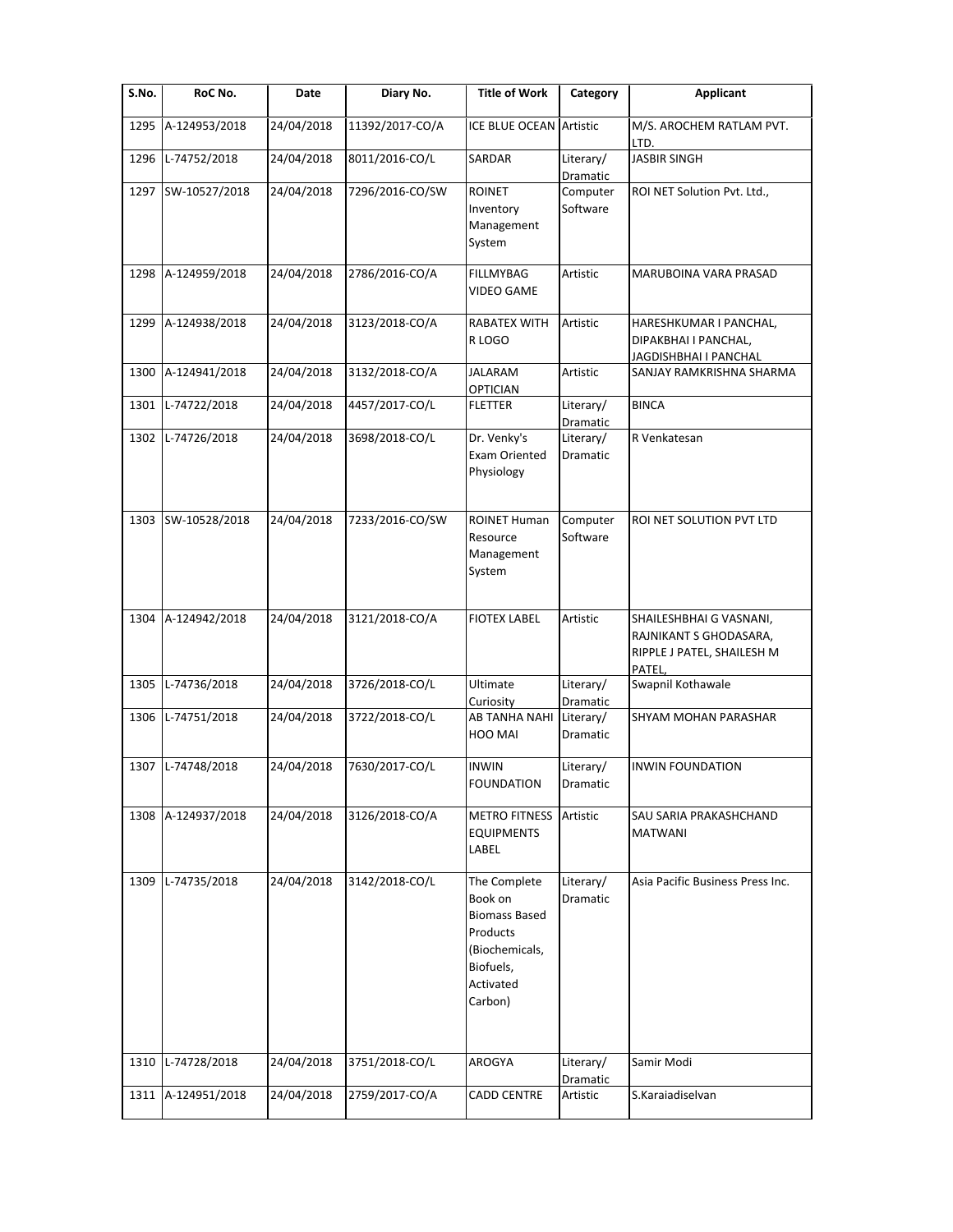| S.No. | RoC No.       | Date       | Diary No.       | <b>Title of Work</b>                                                                                               | Category              | <b>Applicant</b>                                                                         |
|-------|---------------|------------|-----------------|--------------------------------------------------------------------------------------------------------------------|-----------------------|------------------------------------------------------------------------------------------|
| 1295  | A-124953/2018 | 24/04/2018 | 11392/2017-CO/A | <b>ICE BLUE OCEAN Artistic</b>                                                                                     |                       | M/S. AROCHEM RATLAM PVT.<br>LTD.                                                         |
| 1296  | L-74752/2018  | 24/04/2018 | 8011/2016-CO/L  | SARDAR                                                                                                             | Literary/<br>Dramatic | <b>JASBIR SINGH</b>                                                                      |
| 1297  | SW-10527/2018 | 24/04/2018 | 7296/2016-CO/SW | <b>ROINET</b><br>Inventory<br>Management<br>System                                                                 | Computer<br>Software  | ROI NET Solution Pvt. Ltd.,                                                              |
| 1298  | A-124959/2018 | 24/04/2018 | 2786/2016-CO/A  | <b>FILLMYBAG</b><br><b>VIDEO GAME</b>                                                                              | Artistic              | MARUBOINA VARA PRASAD                                                                    |
| 1299  | A-124938/2018 | 24/04/2018 | 3123/2018-CO/A  | RABATEX WITH<br>R LOGO                                                                                             | Artistic              | HARESHKUMAR I PANCHAL,<br>DIPAKBHAI I PANCHAL,<br>JAGDISHBHAI I PANCHAL                  |
| 1300  | A-124941/2018 | 24/04/2018 | 3132/2018-CO/A  | <b>JALARAM</b><br><b>OPTICIAN</b>                                                                                  | Artistic              | SANJAY RAMKRISHNA SHARMA                                                                 |
| 1301  | L-74722/2018  | 24/04/2018 | 4457/2017-CO/L  | <b>FLETTER</b>                                                                                                     | Literary/<br>Dramatic | <b>BINCA</b>                                                                             |
| 1302  | L-74726/2018  | 24/04/2018 | 3698/2018-CO/L  | Dr. Venky's<br>Exam Oriented<br>Physiology                                                                         | Literary/<br>Dramatic | R Venkatesan                                                                             |
| 1303  | SW-10528/2018 | 24/04/2018 | 7233/2016-CO/SW | <b>ROINET Human</b><br>Resource<br>Management<br>System                                                            | Computer<br>Software  | ROI NET SOLUTION PVT LTD                                                                 |
| 1304  | A-124942/2018 | 24/04/2018 | 3121/2018-CO/A  | <b>FIOTEX LABEL</b>                                                                                                | Artistic              | SHAILESHBHAI G VASNANI,<br>RAJNIKANT S GHODASARA,<br>RIPPLE J PATEL, SHAILESH M<br>PATEL |
| 1305  | L-74736/2018  | 24/04/2018 | 3726/2018-CO/L  | Ultimate<br>Curiosity                                                                                              | Literary/<br>Dramatic | Swapnil Kothawale                                                                        |
| 1306  | L-74751/2018  | 24/04/2018 | 3722/2018-CO/L  | AB TANHA NAHI<br>HOO MAI                                                                                           | Literary/<br>Dramatic | SHYAM MOHAN PARASHAR                                                                     |
| 1307  | L-74748/2018  | 24/04/2018 | 7630/2017-CO/L  | <b>INWIN</b><br><b>FOUNDATION</b>                                                                                  | Literary/<br>Dramatic | <b>INWIN FOUNDATION</b>                                                                  |
| 1308  | A-124937/2018 | 24/04/2018 | 3126/2018-CO/A  | <b>METRO FITNESS</b><br><b>EQUIPMENTS</b><br>LABEL                                                                 | Artistic              | SAU SARIA PRAKASHCHAND<br><b>MATWANI</b>                                                 |
| 1309  | L-74735/2018  | 24/04/2018 | 3142/2018-CO/L  | The Complete<br>Book on<br><b>Biomass Based</b><br>Products<br>(Biochemicals,<br>Biofuels,<br>Activated<br>Carbon) | Literary/<br>Dramatic | Asia Pacific Business Press Inc.                                                         |
| 1310  | L-74728/2018  | 24/04/2018 | 3751/2018-CO/L  | AROGYA                                                                                                             | Literary/<br>Dramatic | Samir Modi                                                                               |
| 1311  | A-124951/2018 | 24/04/2018 | 2759/2017-CO/A  | <b>CADD CENTRE</b>                                                                                                 | Artistic              | S.Karaiadiselvan                                                                         |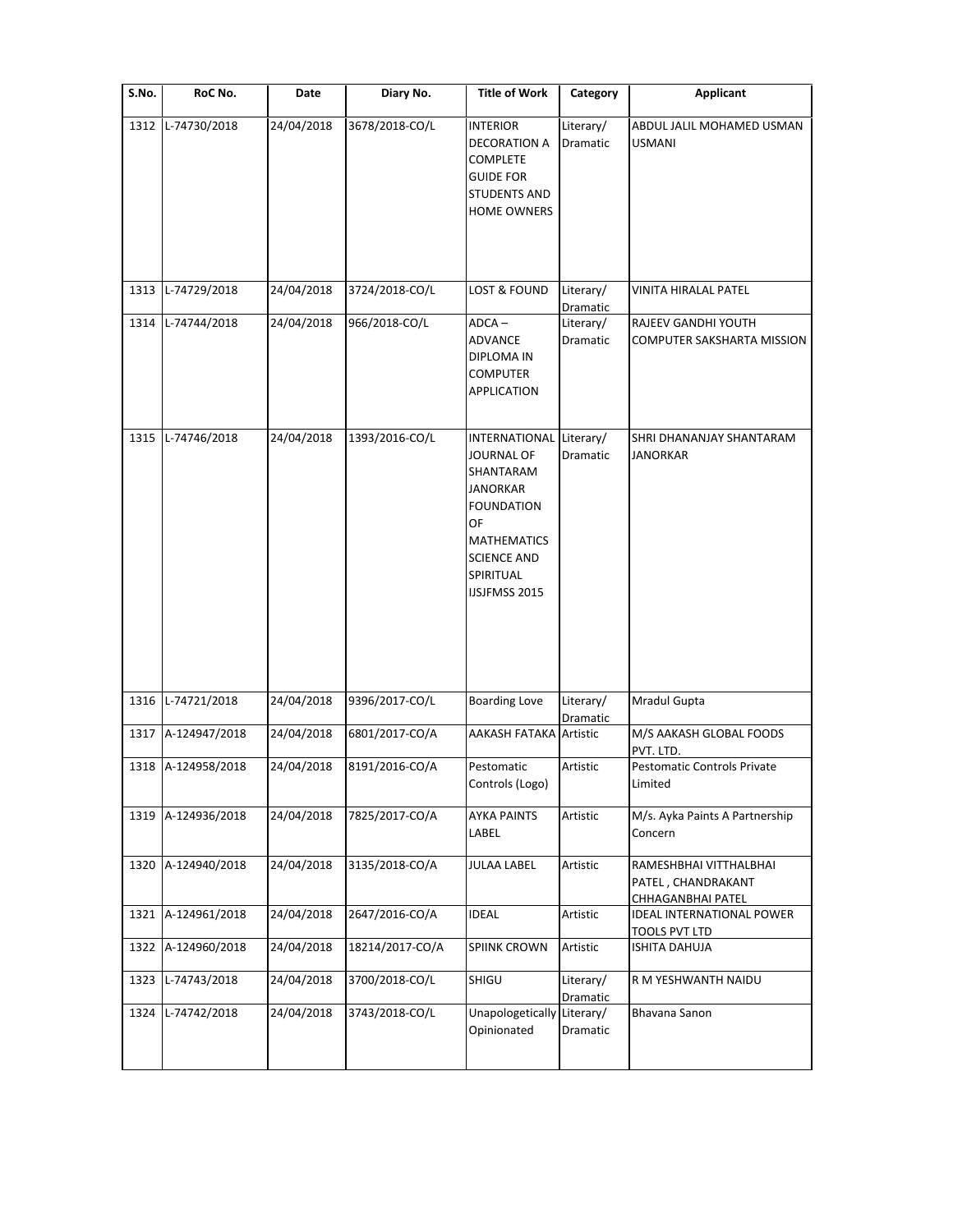| S.No. | RoC No.        | Date       | Diary No.       | <b>Title of Work</b>                                                                                                                        | Category                          | Applicant                                                         |
|-------|----------------|------------|-----------------|---------------------------------------------------------------------------------------------------------------------------------------------|-----------------------------------|-------------------------------------------------------------------|
| 1312  | L-74730/2018   | 24/04/2018 | 3678/2018-CO/L  | <b>INTERIOR</b><br>DECORATION A<br>COMPLETE<br><b>GUIDE FOR</b><br><b>STUDENTS AND</b><br><b>HOME OWNERS</b>                                | Literary/<br>Dramatic             | ABDUL JALIL MOHAMED USMAN<br><b>USMANI</b>                        |
| 1313  | L-74729/2018   | 24/04/2018 | 3724/2018-CO/L  | <b>LOST &amp; FOUND</b>                                                                                                                     | Literary/                         | VINITA HIRALAL PATEL                                              |
| 1314  | L-74744/2018   | 24/04/2018 | 966/2018-CO/L   | $ADCA -$<br><b>ADVANCE</b><br>DIPLOMA IN<br>COMPUTER<br>APPLICATION                                                                         | Dramatic<br>Literary/<br>Dramatic | RAJEEV GANDHI YOUTH<br><b>COMPUTER SAKSHARTA MISSION</b>          |
| 1315  | L-74746/2018   | 24/04/2018 | 1393/2016-CO/L  | INTERNATIONAL<br>JOURNAL OF<br>SHANTARAM<br>JANORKAR<br>FOUNDATION<br>OF<br>MATHEMATICS<br><b>SCIENCE AND</b><br>SPIRITUAL<br>IJSJFMSS 2015 | Literary/<br>Dramatic             | SHRI DHANANJAY SHANTARAM<br><b>JANORKAR</b>                       |
| 1316  | $L-74721/2018$ | 24/04/2018 | 9396/2017-CO/L  | <b>Boarding Love</b>                                                                                                                        | Literary/<br>Dramatic             | Mradul Gupta                                                      |
| 1317  | A-124947/2018  | 24/04/2018 | 6801/2017-CO/A  | <b>AAKASH FATAKA Artistic</b>                                                                                                               |                                   | M/S AAKASH GLOBAL FOODS<br>PVT. LTD.                              |
| 1318  | A-124958/2018  | 24/04/2018 | 8191/2016-CO/A  | Pestomatic<br>Controls (Logo)                                                                                                               | Artistic                          | <b>Pestomatic Controls Private</b><br>Limited                     |
| 1319  | A-124936/2018  | 24/04/2018 | 7825/2017-CO/A  | <b>AYKA PAINTS</b><br>LABEL                                                                                                                 | Artistic                          | M/s. Ayka Paints A Partnership<br>Concern                         |
| 1320  | A-124940/2018  | 24/04/2018 | 3135/2018-CO/A  | <b>JULAA LABEL</b>                                                                                                                          | Artistic                          | RAMESHBHAI VITTHALBHAI<br>PATEL, CHANDRAKANT<br>CHHAGANBHAI PATEL |
| 1321  | A-124961/2018  | 24/04/2018 | 2647/2016-CO/A  | <b>IDEAL</b>                                                                                                                                | Artistic                          | <b>IDEAL INTERNATIONAL POWER</b><br>TOOLS PVT LTD                 |
| 1322  | A-124960/2018  | 24/04/2018 | 18214/2017-CO/A | <b>SPIINK CROWN</b>                                                                                                                         | Artistic                          | <b>ISHITA DAHUJA</b>                                              |
| 1323  | L-74743/2018   | 24/04/2018 | 3700/2018-CO/L  | SHIGU                                                                                                                                       | Literary/<br>Dramatic             | R M YESHWANTH NAIDU                                               |
| 1324  | L-74742/2018   | 24/04/2018 | 3743/2018-CO/L  | Unapologetically<br>Opinionated                                                                                                             | Literary/<br>Dramatic             | Bhavana Sanon                                                     |
|       |                |            |                 |                                                                                                                                             |                                   |                                                                   |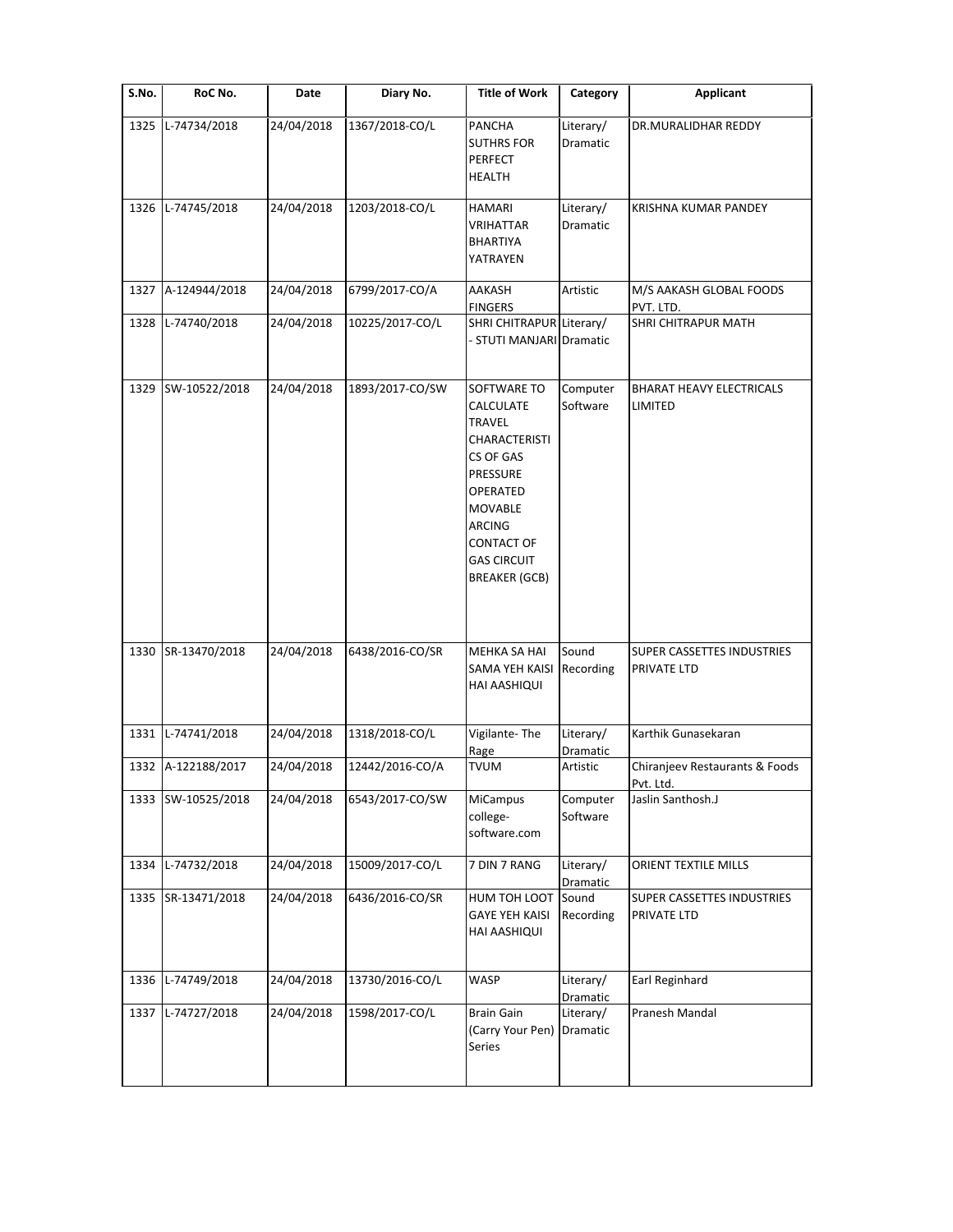| S.No. | RoC No.            | Date       | Diary No.       | <b>Title of Work</b>                                                                                                                                                                                  | Category              | <b>Applicant</b>                            |
|-------|--------------------|------------|-----------------|-------------------------------------------------------------------------------------------------------------------------------------------------------------------------------------------------------|-----------------------|---------------------------------------------|
| 1325  | L-74734/2018       | 24/04/2018 | 1367/2018-CO/L  | <b>PANCHA</b><br><b>SUTHRS FOR</b><br><b>PERFECT</b><br><b>HEALTH</b>                                                                                                                                 | Literary/<br>Dramatic | DR.MURALIDHAR REDDY                         |
| 1326  | L-74745/2018       | 24/04/2018 | 1203/2018-CO/L  | <b>HAMARI</b><br>VRIHATTAR<br>BHARTIYA<br>YATRAYEN                                                                                                                                                    | Literary/<br>Dramatic | KRISHNA KUMAR PANDEY                        |
| 1327  | A-124944/2018      | 24/04/2018 | 6799/2017-CO/A  | AAKASH<br><b>FINGERS</b>                                                                                                                                                                              | Artistic              | M/S AAKASH GLOBAL FOODS<br>PVT. LTD.        |
| 1328  | L-74740/2018       | 24/04/2018 | 10225/2017-CO/L | SHRI CHITRAPUR Literary/<br>- STUTI MANJARI Dramatic                                                                                                                                                  |                       | SHRI CHITRAPUR MATH                         |
| 1329  | SW-10522/2018      | 24/04/2018 | 1893/2017-CO/SW | SOFTWARE TO<br>CALCULATE<br>TRAVEL<br><b>CHARACTERISTI</b><br>CS OF GAS<br>PRESSURE<br>OPERATED<br><b>MOVABLE</b><br><b>ARCING</b><br><b>CONTACT OF</b><br><b>GAS CIRCUIT</b><br><b>BREAKER (GCB)</b> | Computer<br>Software  | <b>BHARAT HEAVY ELECTRICALS</b><br>LIMITED  |
| 1330  | SR-13470/2018      | 24/04/2018 | 6438/2016-CO/SR | MEHKA SA HAI<br>SAMA YEH KAISI<br>HAI AASHIQUI                                                                                                                                                        | Sound<br>Recording    | SUPER CASSETTES INDUSTRIES<br>PRIVATE LTD   |
| 1331  | L-74741/2018       | 24/04/2018 | 1318/2018-CO/L  | Vigilante-The<br>Rage                                                                                                                                                                                 | Literary/<br>Dramatic | Karthik Gunasekaran                         |
|       | 1332 A-122188/2017 | 24/04/2018 | 12442/2016-CO/A | TVUM                                                                                                                                                                                                  | Artistic              | Chiranjeev Restaurants & Foods<br>Pvt. Ltd. |
| 1333  | SW-10525/2018      | 24/04/2018 | 6543/2017-CO/SW | MiCampus<br>college-<br>software.com                                                                                                                                                                  | Computer<br>Software  | Jaslin Santhosh.J                           |
| 1334  | L-74732/2018       | 24/04/2018 | 15009/2017-CO/L | 7 DIN 7 RANG                                                                                                                                                                                          | Literary/<br>Dramatic | ORIENT TEXTILE MILLS                        |
| 1335  | SR-13471/2018      | 24/04/2018 | 6436/2016-CO/SR | HUM TOH LOOT<br><b>GAYE YEH KAISI</b><br>HAI AASHIQUI                                                                                                                                                 | Sound<br>Recording    | SUPER CASSETTES INDUSTRIES<br>PRIVATE LTD   |
| 1336  | L-74749/2018       | 24/04/2018 | 13730/2016-CO/L | WASP                                                                                                                                                                                                  | Literary/<br>Dramatic | Earl Reginhard                              |
| 1337  | L-74727/2018       | 24/04/2018 | 1598/2017-CO/L  | <b>Brain Gain</b><br>(Carry Your Pen)<br>Series                                                                                                                                                       | Literary/<br>Dramatic | Pranesh Mandal                              |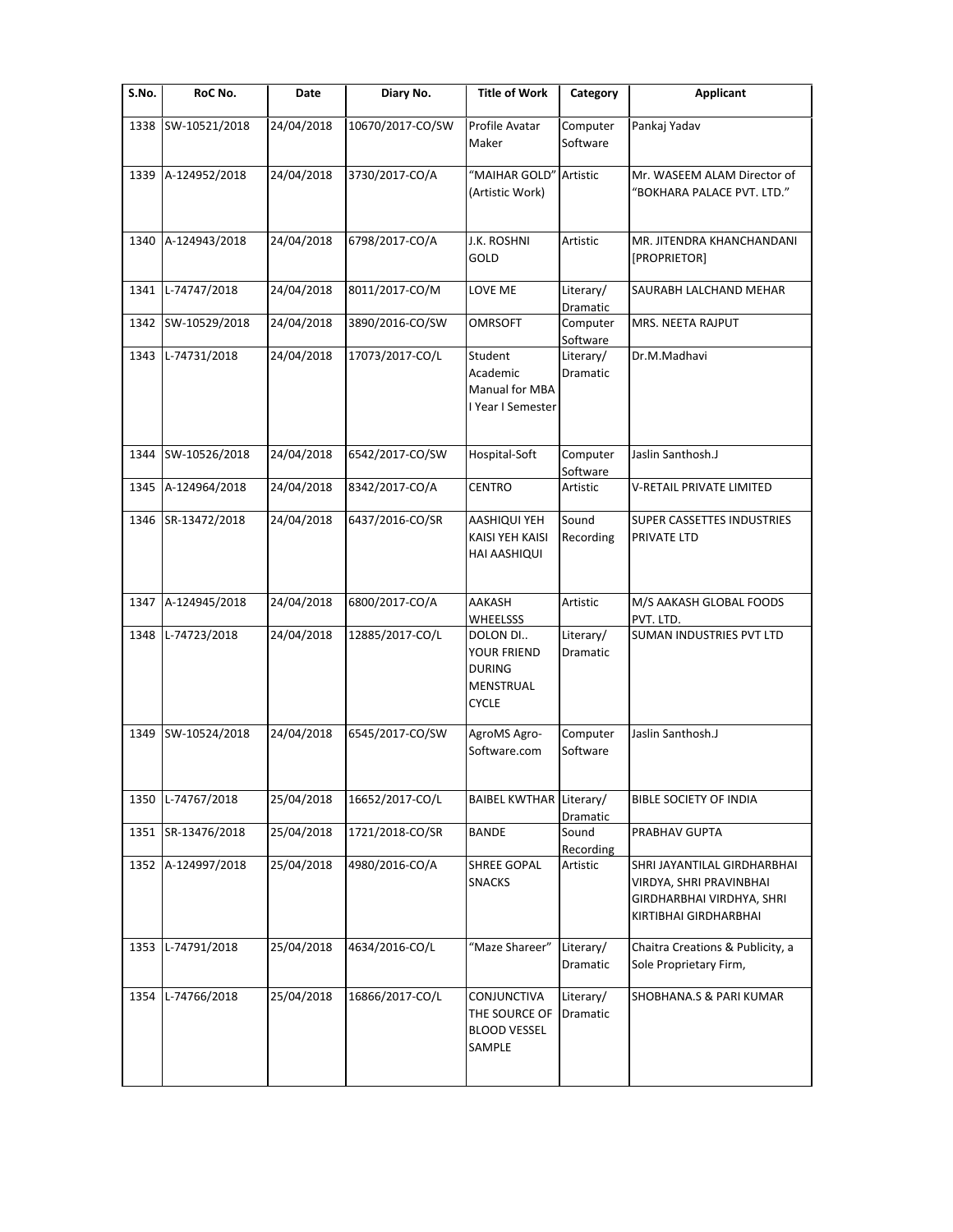| S.No. | RoC No.            | Date       | Diary No.        | <b>Title of Work</b>                                                         | Category                     | <b>Applicant</b>                                                                                             |
|-------|--------------------|------------|------------------|------------------------------------------------------------------------------|------------------------------|--------------------------------------------------------------------------------------------------------------|
| 1338  | SW-10521/2018      | 24/04/2018 | 10670/2017-CO/SW | Profile Avatar<br>Maker                                                      | Computer<br>Software         | Pankaj Yadav                                                                                                 |
| 1339  | A-124952/2018      | 24/04/2018 | 3730/2017-CO/A   | "MAIHAR GOLD"<br>(Artistic Work)                                             | Artistic                     | Mr. WASEEM ALAM Director of<br>"BOKHARA PALACE PVT. LTD."                                                    |
| 1340  | A-124943/2018      | 24/04/2018 | 6798/2017-CO/A   | J.K. ROSHNI<br>GOLD                                                          | Artistic                     | MR. JITENDRA KHANCHANDANI<br>[PROPRIETOR]                                                                    |
| 1341  | L-74747/2018       | 24/04/2018 | 8011/2017-CO/M   | LOVE ME                                                                      | Literary/<br><b>Dramatic</b> | SAURABH LALCHAND MEHAR                                                                                       |
| 1342  | SW-10529/2018      | 24/04/2018 | 3890/2016-CO/SW  | <b>OMRSOFT</b>                                                               | Computer<br>Software         | MRS. NEETA RAJPUT                                                                                            |
| 1343  | L-74731/2018       | 24/04/2018 | 17073/2017-CO/L  | Student<br>Academic<br>Manual for MBA<br>I Year I Semester                   | Literary/<br>Dramatic        | Dr.M.Madhavi                                                                                                 |
| 1344  | SW-10526/2018      | 24/04/2018 | 6542/2017-CO/SW  | Hospital-Soft                                                                | Computer<br>Software         | Jaslin Santhosh.J                                                                                            |
| 1345  | A-124964/2018      | 24/04/2018 | 8342/2017-CO/A   | <b>CENTRO</b>                                                                | Artistic                     | V-RETAIL PRIVATE LIMITED                                                                                     |
| 1346  | SR-13472/2018      | 24/04/2018 | 6437/2016-CO/SR  | AASHIQUI YEH<br>KAISI YEH KAISI<br>HAI AASHIQUI                              | Sound<br>Recording           | SUPER CASSETTES INDUSTRIES<br>PRIVATE LTD                                                                    |
|       | 1347 A-124945/2018 | 24/04/2018 | 6800/2017-CO/A   | AAKASH<br><b>WHEELSSS</b>                                                    | Artistic                     | M/S AAKASH GLOBAL FOODS<br>PVT. LTD.                                                                         |
| 1348  | L-74723/2018       | 24/04/2018 | 12885/2017-CO/L  | DOLON DI<br><b>YOUR FRIEND</b><br><b>DURING</b><br>MENSTRUAL<br><b>CYCLE</b> | Literary/<br>Dramatic        | SUMAN INDUSTRIES PVT LTD                                                                                     |
| 1349  | SW-10524/2018      | 24/04/2018 | 6545/2017-CO/SW  | AgroMS Agro-<br>Software.com                                                 | Computer<br>Software         | Jaslin Santhosh.J                                                                                            |
| 1350  | L-74767/2018       | 25/04/2018 | 16652/2017-CO/L  | BAIBEL KWTHAR Literary/                                                      | Dramatic                     | BIBLE SOCIETY OF INDIA                                                                                       |
| 1351  | SR-13476/2018      | 25/04/2018 | 1721/2018-CO/SR  | <b>BANDE</b>                                                                 | Sound<br>Recording           | PRABHAV GUPTA                                                                                                |
| 1352  | A-124997/2018      | 25/04/2018 | 4980/2016-CO/A   | SHREE GOPAL<br><b>SNACKS</b>                                                 | Artistic                     | SHRI JAYANTILAL GIRDHARBHAI<br>VIRDYA, SHRI PRAVINBHAI<br>GIRDHARBHAI VIRDHYA, SHRI<br>KIRTIBHAI GIRDHARBHAI |
| 1353  | L-74791/2018       | 25/04/2018 | 4634/2016-CO/L   | "Maze Shareer"                                                               | Literary/<br>Dramatic        | Chaitra Creations & Publicity, a<br>Sole Proprietary Firm,                                                   |
| 1354  | L-74766/2018       | 25/04/2018 | 16866/2017-CO/L  | CONJUNCTIVA<br>THE SOURCE OF<br><b>BLOOD VESSEL</b><br>SAMPLE                | Literary/<br>Dramatic        | SHOBHANA.S & PARI KUMAR                                                                                      |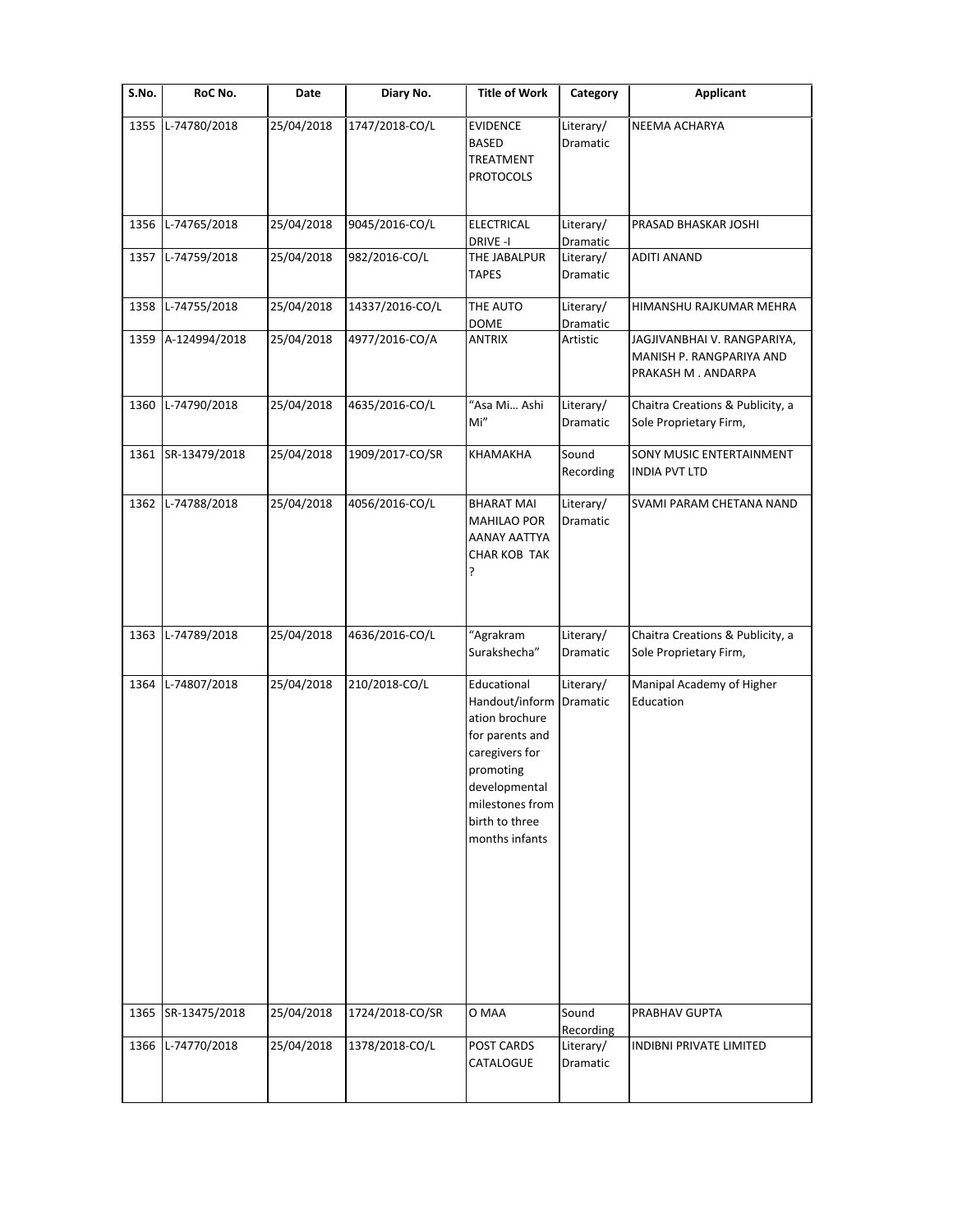| S.No. | RoC No.       | Date       | Diary No.       | <b>Title of Work</b>                                                                                                                                                      | Category                           | <b>Applicant</b>                                                              |
|-------|---------------|------------|-----------------|---------------------------------------------------------------------------------------------------------------------------------------------------------------------------|------------------------------------|-------------------------------------------------------------------------------|
| 1355  | L-74780/2018  | 25/04/2018 | 1747/2018-CO/L  | <b>EVIDENCE</b><br><b>BASED</b><br>TREATMENT<br><b>PROTOCOLS</b>                                                                                                          | Literary/<br>Dramatic              | <b>NEEMA ACHARYA</b>                                                          |
| 1356  | L-74765/2018  | 25/04/2018 | 9045/2016-CO/L  | ELECTRICAL<br>DRIVE-I                                                                                                                                                     | Literary/<br>Dramatic              | PRASAD BHASKAR JOSHI                                                          |
| 1357  | L-74759/2018  | 25/04/2018 | 982/2016-CO/L   | THE JABALPUR<br><b>TAPES</b>                                                                                                                                              | Literary/<br>Dramatic              | <b>ADITI ANAND</b>                                                            |
| 1358  | L-74755/2018  | 25/04/2018 | 14337/2016-CO/L | THE AUTO<br>DOME                                                                                                                                                          | Literary/<br>Dramatic              | HIMANSHU RAJKUMAR MEHRA                                                       |
| 1359  | A-124994/2018 | 25/04/2018 | 4977/2016-CO/A  | <b>ANTRIX</b>                                                                                                                                                             | Artistic                           | JAGJIVANBHAI V. RANGPARIYA,<br>MANISH P. RANGPARIYA AND<br>PRAKASH M. ANDARPA |
| 1360  | L-74790/2018  | 25/04/2018 | 4635/2016-CO/L  | "Asa Mi Ashi<br>Mi"                                                                                                                                                       | Literary/<br>Dramatic              | Chaitra Creations & Publicity, a<br>Sole Proprietary Firm,                    |
| 1361  | SR-13479/2018 | 25/04/2018 | 1909/2017-CO/SR | KHAMAKHA                                                                                                                                                                  | Sound<br>Recording                 | SONY MUSIC ENTERTAINMENT<br><b>INDIA PVT LTD</b>                              |
| 1362  | L-74788/2018  | 25/04/2018 | 4056/2016-CO/L  | <b>BHARAT MAI</b><br><b>MAHILAO POR</b><br>AANAY AATTYA<br><b>CHAR KOB TAK</b><br>?                                                                                       | Literary/<br>Dramatic              | SVAMI PARAM CHETANA NAND                                                      |
| 1363  | L-74789/2018  | 25/04/2018 | 4636/2016-CO/L  | "Agrakram<br>Surakshecha"                                                                                                                                                 | Literary/<br>Dramatic              | Chaitra Creations & Publicity, a<br>Sole Proprietary Firm,                    |
| 1364  | L-74807/2018  | 25/04/2018 | 210/2018-CO/L   | Educational<br>Handout/inform<br>ation brochure<br>for parents and<br>caregivers for<br>promoting<br>developmental<br>milestones from<br>birth to three<br>months infants | Literary/<br>Dramatic              | Manipal Academy of Higher<br>Education                                        |
| 1365  | SR-13475/2018 | 25/04/2018 | 1724/2018-CO/SR | O MAA                                                                                                                                                                     | Sound                              | PRABHAV GUPTA                                                                 |
| 1366  | L-74770/2018  | 25/04/2018 | 1378/2018-CO/L  | POST CARDS<br>CATALOGUE                                                                                                                                                   | Recording<br>Literary/<br>Dramatic | <b>INDIBNI PRIVATE LIMITED</b>                                                |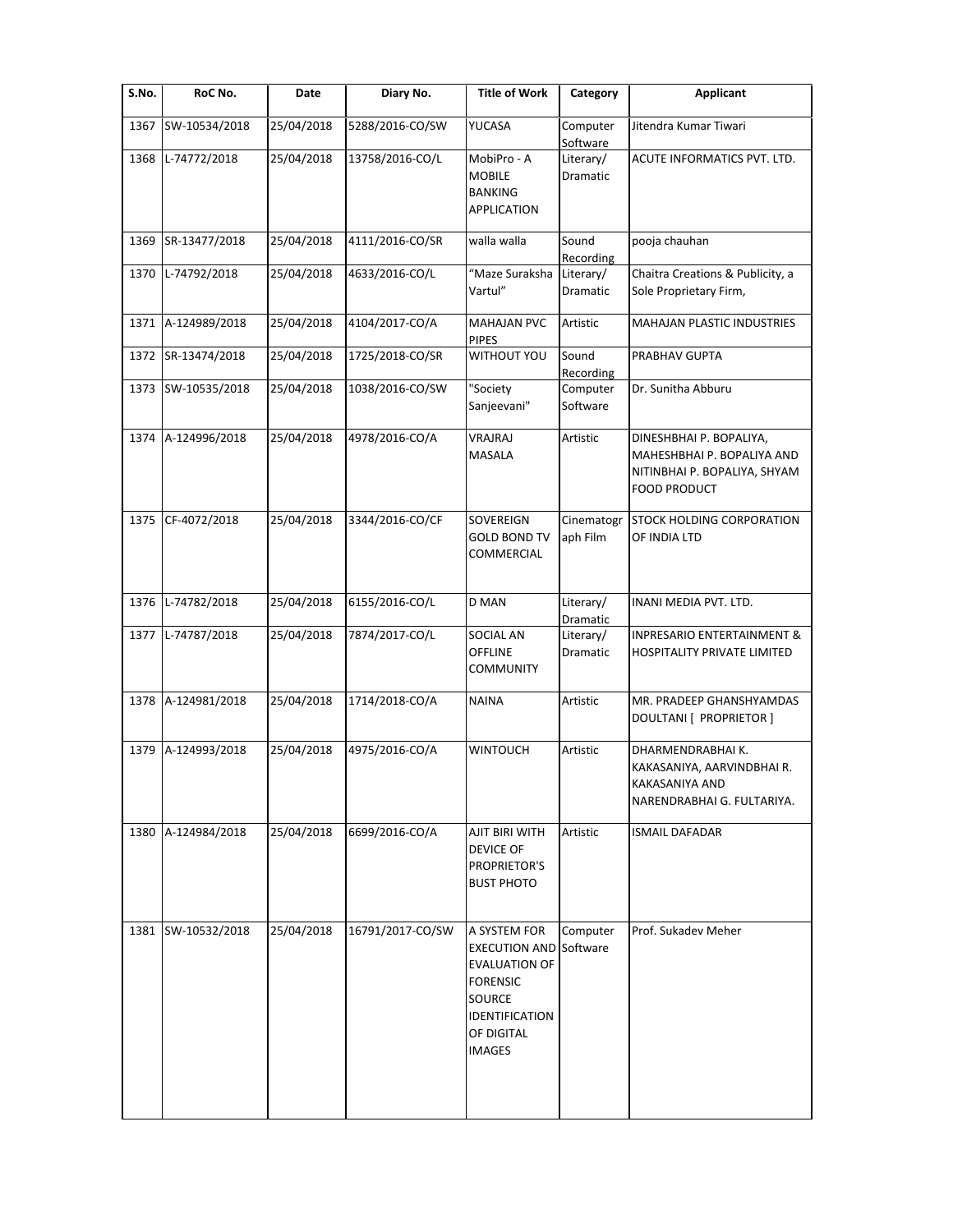| S.No. | RoC No.            | Date       | Diary No.        | <b>Title of Work</b>                                                                                                                       | Category               | <b>Applicant</b>                                                                                             |
|-------|--------------------|------------|------------------|--------------------------------------------------------------------------------------------------------------------------------------------|------------------------|--------------------------------------------------------------------------------------------------------------|
| 1367  | SW-10534/2018      | 25/04/2018 | 5288/2016-CO/SW  | YUCASA                                                                                                                                     | Computer<br>Software   | Jitendra Kumar Tiwari                                                                                        |
| 1368  | L-74772/2018       | 25/04/2018 | 13758/2016-CO/L  | MobiPro - A<br><b>MOBILE</b><br><b>BANKING</b><br><b>APPLICATION</b>                                                                       | Literary/<br>Dramatic  | ACUTE INFORMATICS PVT. LTD.                                                                                  |
| 1369  | SR-13477/2018      | 25/04/2018 | 4111/2016-CO/SR  | walla walla                                                                                                                                | Sound<br>Recording     | pooja chauhan                                                                                                |
| 1370  | L-74792/2018       | 25/04/2018 | 4633/2016-CO/L   | "Maze Suraksha<br>Vartul"                                                                                                                  | Literary/<br>Dramatic  | Chaitra Creations & Publicity, a<br>Sole Proprietary Firm,                                                   |
|       | 1371 A-124989/2018 | 25/04/2018 | 4104/2017-CO/A   | <b>MAHAJAN PVC</b><br><b>PIPES</b>                                                                                                         | Artistic               | <b>MAHAJAN PLASTIC INDUSTRIES</b>                                                                            |
| 1372  | SR-13474/2018      | 25/04/2018 | 1725/2018-CO/SR  | <b>WITHOUT YOU</b>                                                                                                                         | Sound<br>Recording     | PRABHAV GUPTA                                                                                                |
|       | 1373 SW-10535/2018 | 25/04/2018 | 1038/2016-CO/SW  | "Society<br>Sanjeevani"                                                                                                                    | Computer<br>Software   | Dr. Sunitha Abburu                                                                                           |
| 1374  | A-124996/2018      | 25/04/2018 | 4978/2016-CO/A   | VRAJRAJ<br>MASALA                                                                                                                          | Artistic               | DINESHBHAI P. BOPALIYA,<br>MAHESHBHAI P. BOPALIYA AND<br>NITINBHAI P. BOPALIYA, SHYAM<br><b>FOOD PRODUCT</b> |
|       | 1375 CF-4072/2018  | 25/04/2018 | 3344/2016-CO/CF  | SOVEREIGN<br><b>GOLD BOND TV</b><br>COMMERCIAL                                                                                             | Cinematogr<br>aph Film | STOCK HOLDING CORPORATION<br>OF INDIA LTD                                                                    |
|       | 1376 L-74782/2018  | 25/04/2018 | 6155/2016-CO/L   | D MAN                                                                                                                                      | Literary/<br>Dramatic  | INANI MEDIA PVT. LTD.                                                                                        |
|       | 1377 L-74787/2018  | 25/04/2018 | 7874/2017-CO/L   | SOCIAL AN<br><b>OFFLINE</b><br><b>COMMUNITY</b>                                                                                            | Literary/<br>Dramatic  | INPRESARIO ENTERTAINMENT &<br>HOSPITALITY PRIVATE LIMITED                                                    |
| 1378  | A-124981/2018      | 25/04/2018 | 1714/2018-CO/A   | <b>NAINA</b>                                                                                                                               | Artistic               | MR. PRADEEP GHANSHYAMDAS<br>DOULTANI [ PROPRIETOR ]                                                          |
| 1379  | A-124993/2018      | 25/04/2018 | 4975/2016-CO/A   | <b>WINTOUCH</b>                                                                                                                            | Artistic               | DHARMENDRABHAI K.<br>KAKASANIYA, AARVINDBHAI R.<br>KAKASANIYA AND<br>NARENDRABHAI G. FULTARIYA.              |
|       | 1380 A-124984/2018 | 25/04/2018 | 6699/2016-CO/A   | AJIT BIRI WITH<br><b>DEVICE OF</b><br>PROPRIETOR'S<br><b>BUST PHOTO</b>                                                                    | Artistic               | <b>ISMAIL DAFADAR</b>                                                                                        |
|       | 1381 SW-10532/2018 | 25/04/2018 | 16791/2017-CO/SW | A SYSTEM FOR<br><b>EXECUTION AND</b><br><b>EVALUATION OF</b><br><b>FORENSIC</b><br>SOURCE<br>IDENTIFICATION<br>OF DIGITAL<br><b>IMAGES</b> | Computer<br>Software   | Prof. Sukadev Meher                                                                                          |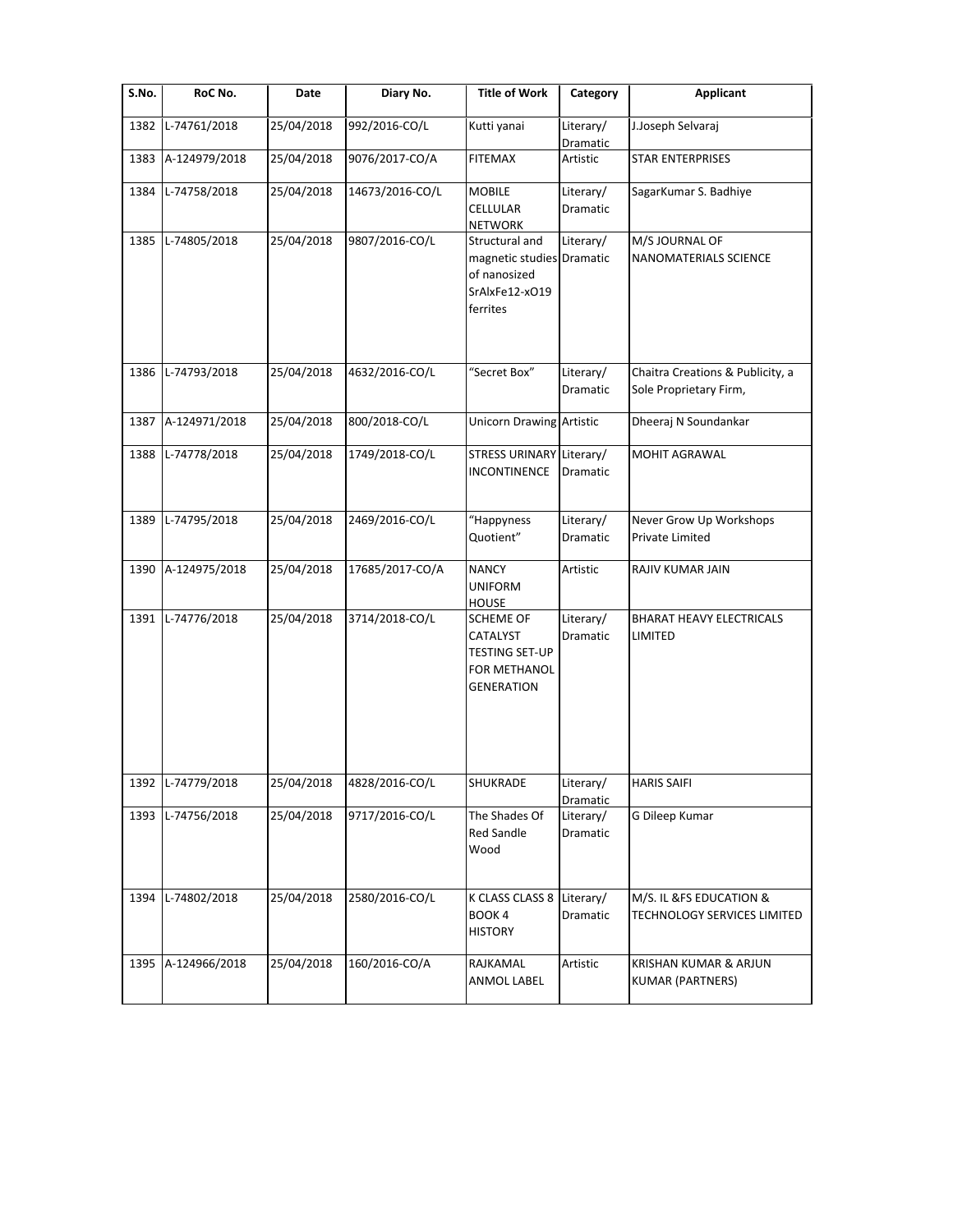| S.No. | RoC No.           | Date       | Diary No.       | <b>Title of Work</b>                                                                       | Category              | <b>Applicant</b>                                           |
|-------|-------------------|------------|-----------------|--------------------------------------------------------------------------------------------|-----------------------|------------------------------------------------------------|
| 1382  | L-74761/2018      | 25/04/2018 | 992/2016-CO/L   | Kutti yanai                                                                                | Literary/<br>Dramatic | J.Joseph Selvaraj                                          |
| 1383  | A-124979/2018     | 25/04/2018 | 9076/2017-CO/A  | <b>FITEMAX</b>                                                                             | Artistic              | <b>STAR ENTERPRISES</b>                                    |
| 1384  | L-74758/2018      | 25/04/2018 | 14673/2016-CO/L | <b>MOBILE</b><br>CELLULAR<br><b>NETWORK</b>                                                | Literary/<br>Dramatic | SagarKumar S. Badhiye                                      |
| 1385  | L-74805/2018      | 25/04/2018 | 9807/2016-CO/L  | Structural and<br>magnetic studies Dramatic<br>of nanosized<br>SrAlxFe12-xO19<br>ferrites  | Literary/             | M/S JOURNAL OF<br>NANOMATERIALS SCIENCE                    |
| 1386  | L-74793/2018      | 25/04/2018 | 4632/2016-CO/L  | "Secret Box"                                                                               | Literary/<br>Dramatic | Chaitra Creations & Publicity, a<br>Sole Proprietary Firm, |
| 1387  | A-124971/2018     | 25/04/2018 | 800/2018-CO/L   | Unicorn Drawing Artistic                                                                   |                       | Dheeraj N Soundankar                                       |
| 1388  | L-74778/2018      | 25/04/2018 | 1749/2018-CO/L  | STRESS URINARY Literary/<br><b>INCONTINENCE</b>                                            | Dramatic              | MOHIT AGRAWAL                                              |
| 1389  | L-74795/2018      | 25/04/2018 | 2469/2016-CO/L  | "Happyness<br>Quotient"                                                                    | Literary/<br>Dramatic | Never Grow Up Workshops<br>Private Limited                 |
| 1390  | A-124975/2018     | 25/04/2018 | 17685/2017-CO/A | <b>NANCY</b><br><b>UNIFORM</b><br><b>HOUSE</b>                                             | Artistic              | RAJIV KUMAR JAIN                                           |
| 1391  | L-74776/2018      | 25/04/2018 | 3714/2018-CO/L  | <b>SCHEME OF</b><br>CATALYST<br><b>TESTING SET-UP</b><br>FOR METHANOL<br><b>GENERATION</b> | Literary/<br>Dramatic | <b>BHARAT HEAVY ELECTRICALS</b><br>LIMITED                 |
|       | 1392 L-74779/2018 | 25/04/2018 | 4828/2016-CO/L  | SHUKRADE                                                                                   | Literary/<br>Dramatic | <b>HARIS SAIFI</b>                                         |
| 1393  | L-74756/2018      | 25/04/2018 | 9717/2016-CO/L  | The Shades Of<br><b>Red Sandle</b><br>Wood                                                 | Literary/<br>Dramatic | G Dileep Kumar                                             |
| 1394  | L-74802/2018      | 25/04/2018 | 2580/2016-CO/L  | K CLASS CLASS 8<br>BOOK 4<br><b>HISTORY</b>                                                | Literary/<br>Dramatic | M/S. IL &FS EDUCATION &<br>TECHNOLOGY SERVICES LIMITED     |
| 1395  | A-124966/2018     | 25/04/2018 | 160/2016-CO/A   | RAJKAMAL<br>ANMOL LABEL                                                                    | Artistic              | KRISHAN KUMAR & ARJUN<br><b>KUMAR (PARTNERS)</b>           |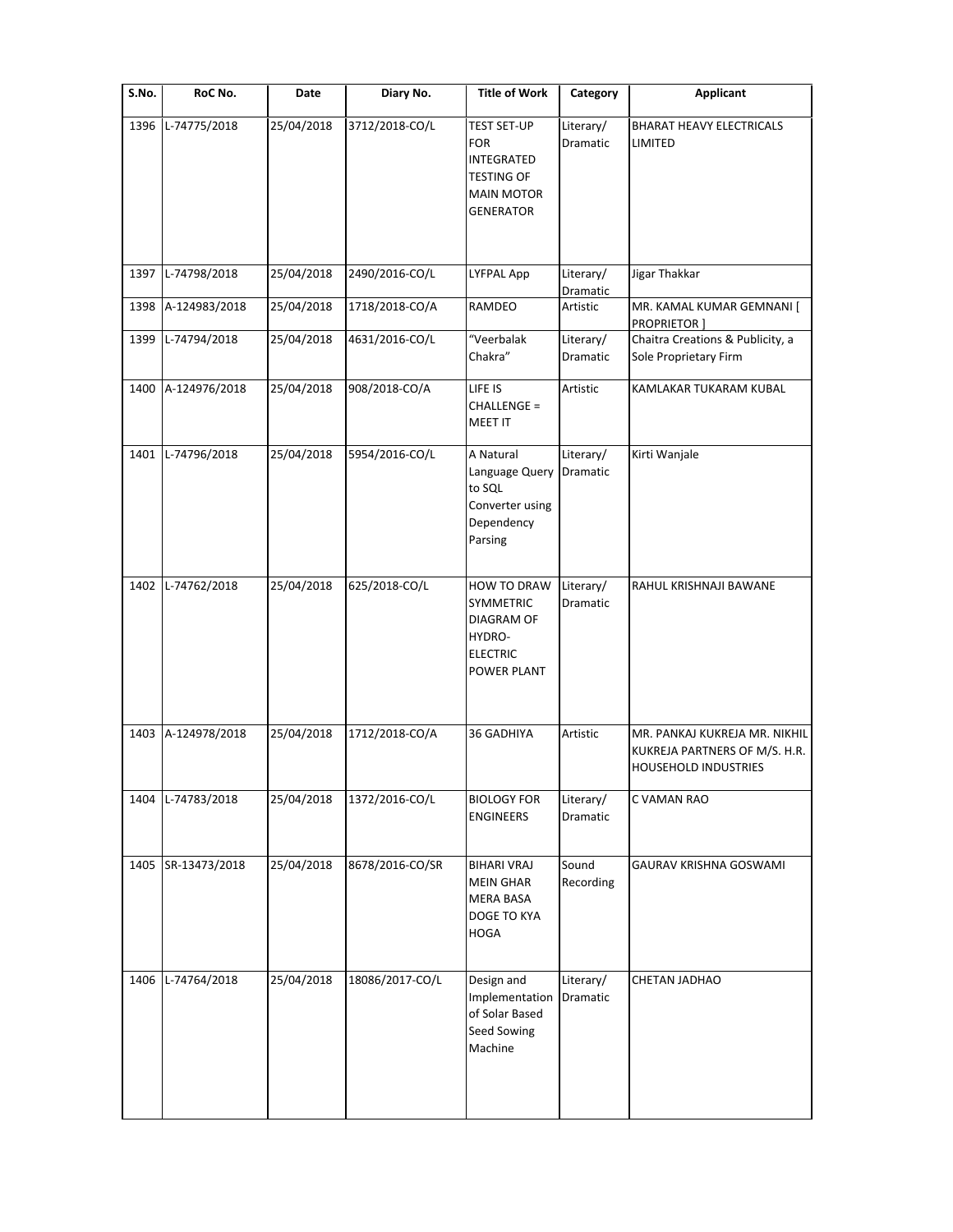| S.No. | RoC No.       | Date       | Diary No.       | <b>Title of Work</b>                                                                                                | Category              | <b>Applicant</b>                                                                              |
|-------|---------------|------------|-----------------|---------------------------------------------------------------------------------------------------------------------|-----------------------|-----------------------------------------------------------------------------------------------|
| 1396  | L-74775/2018  | 25/04/2018 | 3712/2018-CO/L  | <b>TEST SET-UP</b><br><b>FOR</b><br><b>INTEGRATED</b><br><b>TESTING OF</b><br><b>MAIN MOTOR</b><br><b>GENERATOR</b> | Literary/<br>Dramatic | <b>BHARAT HEAVY ELECTRICALS</b><br>LIMITED                                                    |
| 1397  | L-74798/2018  | 25/04/2018 | 2490/2016-CO/L  | LYFPAL App                                                                                                          | Literary/             | Jigar Thakkar                                                                                 |
| 1398  | A-124983/2018 | 25/04/2018 | 1718/2018-CO/A  | RAMDEO                                                                                                              | Dramatic<br>Artistic  | MR. KAMAL KUMAR GEMNANI [<br>PROPRIETOR]                                                      |
| 1399  | L-74794/2018  | 25/04/2018 | 4631/2016-CO/L  | "Veerbalak<br>Chakra"                                                                                               | Literary/<br>Dramatic | Chaitra Creations & Publicity, a<br>Sole Proprietary Firm                                     |
| 1400  | A-124976/2018 | 25/04/2018 | 908/2018-CO/A   | LIFE IS<br>CHALLENGE =<br><b>MEET IT</b>                                                                            | Artistic              | KAMLAKAR TUKARAM KUBAL                                                                        |
| 1401  | L-74796/2018  | 25/04/2018 | 5954/2016-CO/L  | A Natural<br>Language Query<br>to SQL<br>Converter using<br>Dependency<br>Parsing                                   | Literary/<br>Dramatic | Kirti Wanjale                                                                                 |
| 1402  | L-74762/2018  | 25/04/2018 | 625/2018-CO/L   | <b>HOW TO DRAW</b><br><b>SYMMETRIC</b><br>DIAGRAM OF<br>HYDRO-<br><b>ELECTRIC</b><br>POWER PLANT                    | Literary/<br>Dramatic | RAHUL KRISHNAJI BAWANE                                                                        |
| 1403  | A-124978/2018 | 25/04/2018 | 1712/2018-CO/A  | 36 GADHIYA                                                                                                          | Artistic              | MR. PANKAJ KUKREJA MR. NIKHIL<br>KUKREJA PARTNERS OF M/S. H.R.<br><b>HOUSEHOLD INDUSTRIES</b> |
| 1404  | L-74783/2018  | 25/04/2018 | 1372/2016-CO/L  | <b>BIOLOGY FOR</b><br><b>ENGINEERS</b>                                                                              | Literary/<br>Dramatic | C VAMAN RAO                                                                                   |
| 1405  | SR-13473/2018 | 25/04/2018 | 8678/2016-CO/SR | <b>BIHARI VRAJ</b><br><b>MEIN GHAR</b><br>MERA BASA<br>DOGE TO KYA<br><b>HOGA</b>                                   | Sound<br>Recording    | GAURAV KRISHNA GOSWAMI                                                                        |
| 1406  | L-74764/2018  | 25/04/2018 | 18086/2017-CO/L | Design and<br>Implementation<br>of Solar Based<br>Seed Sowing<br>Machine                                            | Literary/<br>Dramatic | CHETAN JADHAO                                                                                 |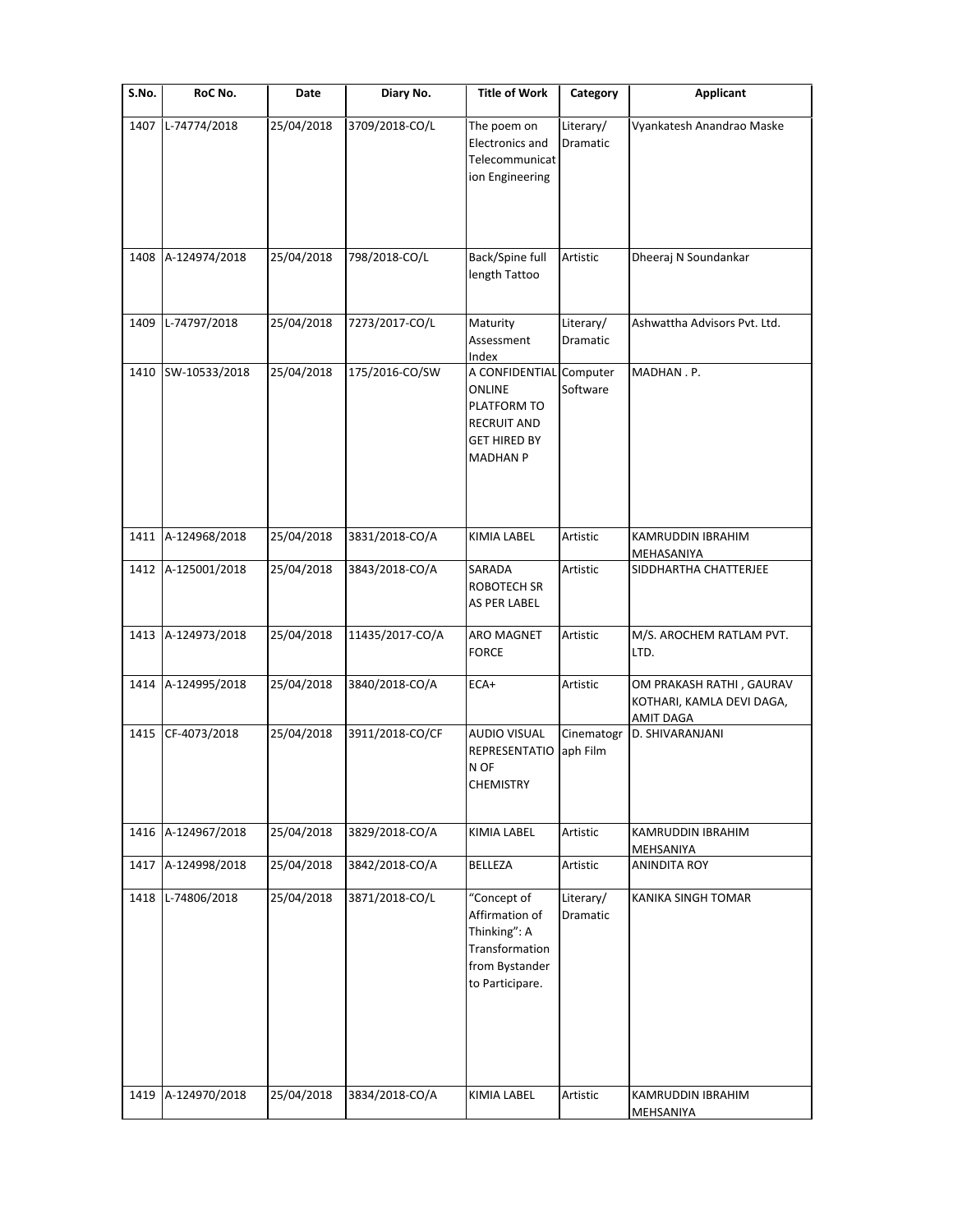| S.No. | RoC No.            | Date       | Diary No.       | <b>Title of Work</b>                                                                                    | Category               | <b>Applicant</b>                                                          |
|-------|--------------------|------------|-----------------|---------------------------------------------------------------------------------------------------------|------------------------|---------------------------------------------------------------------------|
| 1407  | L-74774/2018       | 25/04/2018 | 3709/2018-CO/L  | The poem on<br>Electronics and<br>Telecommunicat<br>ion Engineering                                     | Literary/<br>Dramatic  | Vyankatesh Anandrao Maske                                                 |
|       | 1408 A-124974/2018 | 25/04/2018 | 798/2018-CO/L   | Back/Spine full<br>length Tattoo                                                                        | Artistic               | Dheeraj N Soundankar                                                      |
| 1409  | L-74797/2018       | 25/04/2018 | 7273/2017-CO/L  | Maturity<br>Assessment<br>Index                                                                         | Literary/<br>Dramatic  | Ashwattha Advisors Pvt. Ltd.                                              |
| 1410  | SW-10533/2018      | 25/04/2018 | 175/2016-CO/SW  | A CONFIDENTIAL<br>ONLINE<br>PLATFORM TO<br><b>RECRUIT AND</b><br><b>GET HIRED BY</b><br><b>MADHAN P</b> | Computer<br>Software   | MADHAN.P.                                                                 |
|       | 1411 A-124968/2018 | 25/04/2018 | 3831/2018-CO/A  | KIMIA LABEL                                                                                             | Artistic               | KAMRUDDIN IBRAHIM<br>MEHASANIYA                                           |
| 1412  | A-125001/2018      | 25/04/2018 | 3843/2018-CO/A  | SARADA<br>ROBOTECH SR<br>AS PER LABEL                                                                   | Artistic               | SIDDHARTHA CHATTERJEE                                                     |
|       | 1413 A-124973/2018 | 25/04/2018 | 11435/2017-CO/A | <b>ARO MAGNET</b><br><b>FORCE</b>                                                                       | Artistic               | M/S. AROCHEM RATLAM PVT.<br>LTD.                                          |
| 1414  | A-124995/2018      | 25/04/2018 | 3840/2018-CO/A  | ECA+                                                                                                    | Artistic               | OM PRAKASH RATHI, GAURAV<br>KOTHARI, KAMLA DEVI DAGA,<br><b>AMIT DAGA</b> |
| 1415  | CF-4073/2018       | 25/04/2018 | 3911/2018-CO/CF | <b>AUDIO VISUAL</b><br><b>REPRESENTATIO</b><br>N OF<br>CHEMISTRY                                        | Cinematogr<br>aph Film | D. SHIVARANJANI                                                           |
| 1416  | A-124967/2018      | 25/04/2018 | 3829/2018-CO/A  | KIMIA LABEL                                                                                             | Artistic               | KAMRUDDIN IBRAHIM<br>MEHSANIYA                                            |
| 1417  | A-124998/2018      | 25/04/2018 | 3842/2018-CO/A  | BELLEZA                                                                                                 | Artistic               | <b>ANINDITA ROY</b>                                                       |
| 1418  | L-74806/2018       | 25/04/2018 | 3871/2018-CO/L  | "Concept of<br>Affirmation of<br>Thinking": A<br>Transformation<br>from Bystander<br>to Participare.    | Literary/<br>Dramatic  | KANIKA SINGH TOMAR                                                        |
| 1419  | A-124970/2018      | 25/04/2018 | 3834/2018-CO/A  | KIMIA LABEL                                                                                             | Artistic               | KAMRUDDIN IBRAHIM<br>MEHSANIYA                                            |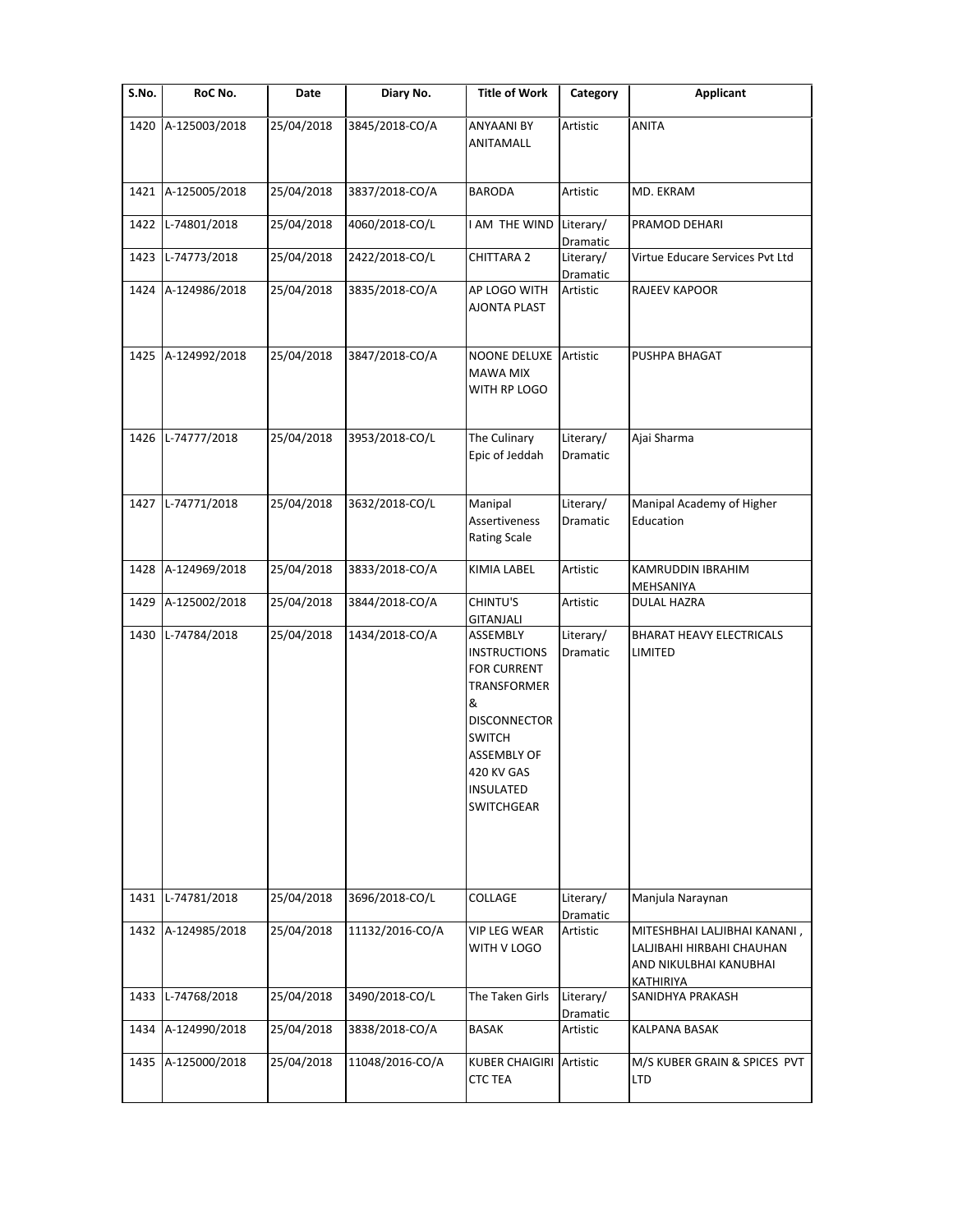| S.No. | RoC No.            | Date       | Diary No.       | <b>Title of Work</b>                                                                                                                                                                           | Category              | <b>Applicant</b>                                                                                 |
|-------|--------------------|------------|-----------------|------------------------------------------------------------------------------------------------------------------------------------------------------------------------------------------------|-----------------------|--------------------------------------------------------------------------------------------------|
| 1420  | A-125003/2018      | 25/04/2018 | 3845/2018-CO/A  | <b>ANYAANI BY</b><br>ANITAMALL                                                                                                                                                                 | Artistic              | <b>ANITA</b>                                                                                     |
| 1421  | A-125005/2018      | 25/04/2018 | 3837/2018-CO/A  | <b>BARODA</b>                                                                                                                                                                                  | Artistic              | MD. EKRAM                                                                                        |
| 1422  | L-74801/2018       | 25/04/2018 | 4060/2018-CO/L  | I AM THE WIND                                                                                                                                                                                  | Literary/<br>Dramatic | PRAMOD DEHARI                                                                                    |
| 1423  | L-74773/2018       | 25/04/2018 | 2422/2018-CO/L  | <b>CHITTARA 2</b>                                                                                                                                                                              | Literary/<br>Dramatic | Virtue Educare Services Pvt Ltd                                                                  |
| 1424  | A-124986/2018      | 25/04/2018 | 3835/2018-CO/A  | AP LOGO WITH<br>AJONTA PLAST                                                                                                                                                                   | Artistic              | RAJEEV KAPOOR                                                                                    |
| 1425  | A-124992/2018      | 25/04/2018 | 3847/2018-CO/A  | NOONE DELUXE<br><b>MAWA MIX</b><br>WITH RP LOGO                                                                                                                                                | Artistic              | PUSHPA BHAGAT                                                                                    |
| 1426  | L-74777/2018       | 25/04/2018 | 3953/2018-CO/L  | The Culinary<br>Epic of Jeddah                                                                                                                                                                 | Literary/<br>Dramatic | Ajai Sharma                                                                                      |
| 1427  | L-74771/2018       | 25/04/2018 | 3632/2018-CO/L  | Manipal<br>Assertiveness<br><b>Rating Scale</b>                                                                                                                                                | Literary/<br>Dramatic | Manipal Academy of Higher<br>Education                                                           |
| 1428  | A-124969/2018      | 25/04/2018 | 3833/2018-CO/A  | KIMIA LABEL                                                                                                                                                                                    | Artistic              | KAMRUDDIN IBRAHIM<br>MEHSANIYA                                                                   |
| 1429  | A-125002/2018      | 25/04/2018 | 3844/2018-CO/A  | CHINTU'S<br><b>GITANJALI</b>                                                                                                                                                                   | Artistic              | <b>DULAL HAZRA</b>                                                                               |
| 1430  | L-74784/2018       | 25/04/2018 | 1434/2018-CO/A  | ASSEMBLY<br><b>INSTRUCTIONS</b><br><b>FOR CURRENT</b><br><b>TRANSFORMER</b><br>&<br><b>DISCONNECTOR</b><br><b>SWITCH</b><br><b>ASSEMBLY OF</b><br>420 KV GAS<br>INSULATED<br><b>SWITCHGEAR</b> | Literary/<br>Dramatic | <b>BHARAT HEAVY ELECTRICALS</b><br>LIMITED                                                       |
| 1431  | L-74781/2018       | 25/04/2018 | 3696/2018-CO/L  | COLLAGE                                                                                                                                                                                        | Literary/<br>Dramatic | Manjula Naraynan                                                                                 |
|       | 1432 A-124985/2018 | 25/04/2018 | 11132/2016-CO/A | <b>VIP LEG WEAR</b><br>WITH V LOGO                                                                                                                                                             | Artistic              | MITESHBHAI LALJIBHAI KANANI,<br>LALJIBAHI HIRBAHI CHAUHAN<br>AND NIKULBHAI KANUBHAI<br>KATHIRIYA |
| 1433  | L-74768/2018       | 25/04/2018 | 3490/2018-CO/L  | The Taken Girls                                                                                                                                                                                | Literary/<br>Dramatic | SANIDHYA PRAKASH                                                                                 |
| 1434  | A-124990/2018      | 25/04/2018 | 3838/2018-CO/A  | <b>BASAK</b>                                                                                                                                                                                   | Artistic              | KALPANA BASAK                                                                                    |
| 1435  | A-125000/2018      | 25/04/2018 | 11048/2016-CO/A | <b>KUBER CHAIGIRI</b><br><b>CTC TEA</b>                                                                                                                                                        | Artistic              | M/S KUBER GRAIN & SPICES PVT<br>LTD                                                              |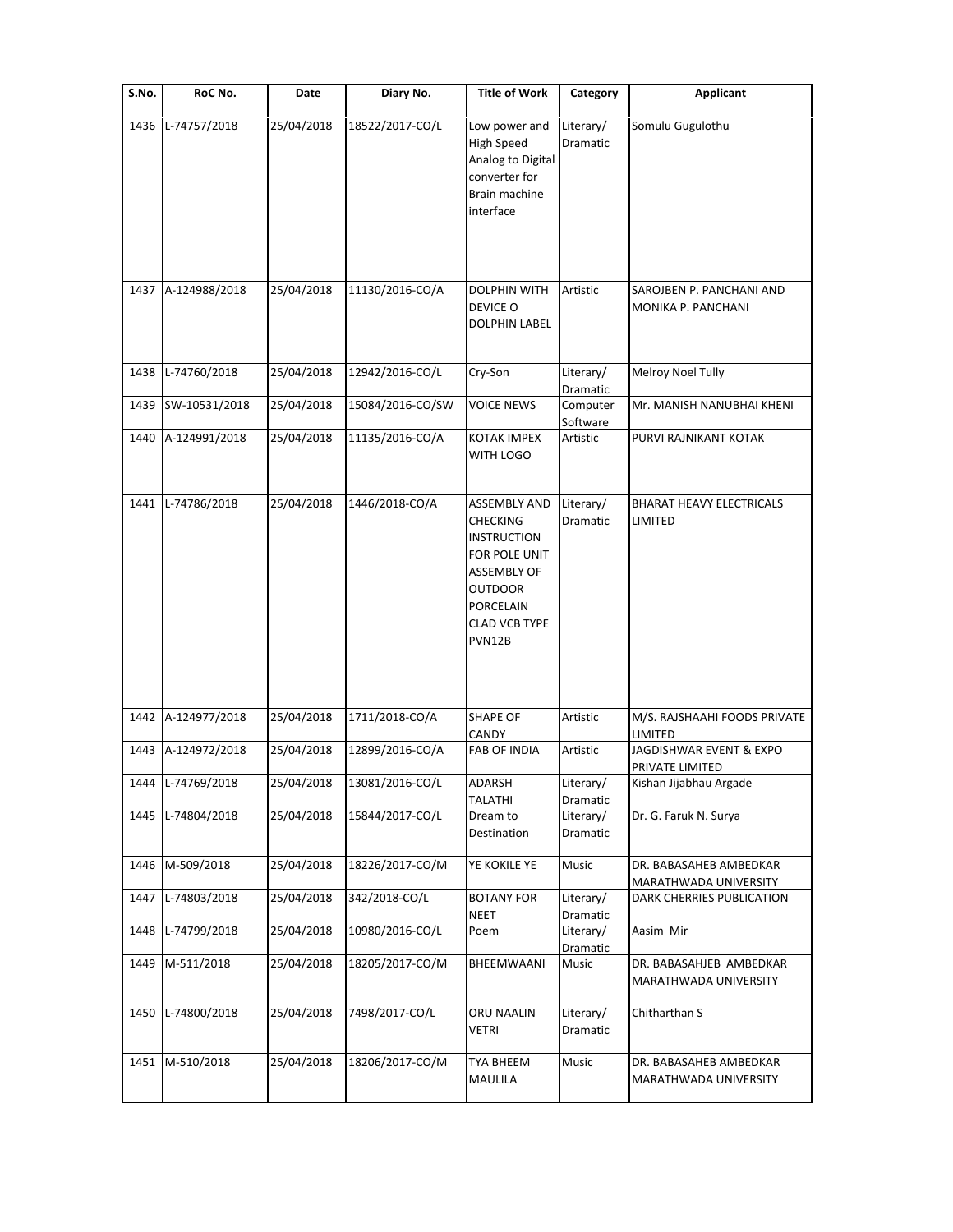| S.No. | RoC No.           | Date       | Diary No.        | <b>Title of Work</b>                                                                                                                                                        | Category                         | <b>Applicant</b>                                 |
|-------|-------------------|------------|------------------|-----------------------------------------------------------------------------------------------------------------------------------------------------------------------------|----------------------------------|--------------------------------------------------|
| 1436  | L-74757/2018      | 25/04/2018 | 18522/2017-CO/L  | Low power and<br><b>High Speed</b><br>Analog to Digital<br>converter for<br>Brain machine<br>interface                                                                      | Literary/<br>Dramatic            | Somulu Gugulothu                                 |
| 1437  | A-124988/2018     | 25/04/2018 | 11130/2016-CO/A  | <b>DOLPHIN WITH</b><br>DEVICE O<br><b>DOLPHIN LABEL</b>                                                                                                                     | Artistic                         | SAROJBEN P. PANCHANI AND<br>MONIKA P. PANCHANI   |
| 1438  | L-74760/2018      | 25/04/2018 | 12942/2016-CO/L  | Cry-Son                                                                                                                                                                     | Literary/                        | Melroy Noel Tully                                |
| 1439  | SW-10531/2018     | 25/04/2018 | 15084/2016-CO/SW | <b>VOICE NEWS</b>                                                                                                                                                           | Dramatic<br>Computer<br>Software | Mr. MANISH NANUBHAI KHENI                        |
| 1440  | A-124991/2018     | 25/04/2018 | 11135/2016-CO/A  | <b>KOTAK IMPEX</b><br>WITH LOGO                                                                                                                                             | Artistic                         | PURVI RAJNIKANT KOTAK                            |
| 1441  | L-74786/2018      | 25/04/2018 | 1446/2018-CO/A   | <b>ASSEMBLY AND</b><br><b>CHECKING</b><br><b>INSTRUCTION</b><br>FOR POLE UNIT<br><b>ASSEMBLY OF</b><br><b>OUTDOOR</b><br><b>PORCELAIN</b><br><b>CLAD VCB TYPE</b><br>PVN12B | Literary/<br>Dramatic            | BHARAT HEAVY ELECTRICALS<br>LIMITED              |
| 1442  | A-124977/2018     | 25/04/2018 | 1711/2018-CO/A   | <b>SHAPE OF</b><br>CANDY                                                                                                                                                    | Artistic                         | M/S. RAJSHAAHI FOODS PRIVATE<br>LIMITED          |
| 1443  | A-124972/2018     | 25/04/2018 | 12899/2016-CO/A  | <b>FAB OF INDIA</b>                                                                                                                                                         | Artistic                         | JAGDISHWAR EVENT & EXPO<br>PRIVATE LIMITED       |
|       | 1444 L-74769/2018 | 25/04/2018 | 13081/2016-CO/L  | ADARSH<br>TALATHI                                                                                                                                                           | Literary/<br>Dramatic            | Kishan Jijabhau Argade                           |
| 1445  | L-74804/2018      | 25/04/2018 | 15844/2017-CO/L  | Dream to<br>Destination                                                                                                                                                     | Literary/<br>Dramatic            | Dr. G. Faruk N. Surya                            |
| 1446  | M-509/2018        | 25/04/2018 | 18226/2017-CO/M  | YE KOKILE YE                                                                                                                                                                | Music                            | DR. BABASAHEB AMBEDKAR<br>MARATHWADA UNIVERSITY  |
| 1447  | L-74803/2018      | 25/04/2018 | 342/2018-CO/L    | <b>BOTANY FOR</b><br>NEET                                                                                                                                                   | Literary/<br>Dramatic            | DARK CHERRIES PUBLICATION                        |
| 1448  | L-74799/2018      | 25/04/2018 | 10980/2016-CO/L  | Poem                                                                                                                                                                        | Literary/<br>Dramatic            | Aasim Mir                                        |
| 1449  | M-511/2018        | 25/04/2018 | 18205/2017-CO/M  | BHEEMWAANI                                                                                                                                                                  | Music                            | DR. BABASAHJEB AMBEDKAR<br>MARATHWADA UNIVERSITY |
| 1450  | L-74800/2018      | 25/04/2018 | 7498/2017-CO/L   | ORU NAALIN<br>VETRI                                                                                                                                                         | Literary/<br>Dramatic            | Chitharthan S                                    |
| 1451  | M-510/2018        | 25/04/2018 | 18206/2017-CO/M  | TYA BHEEM<br>MAULILA                                                                                                                                                        | Music                            | DR. BABASAHEB AMBEDKAR<br>MARATHWADA UNIVERSITY  |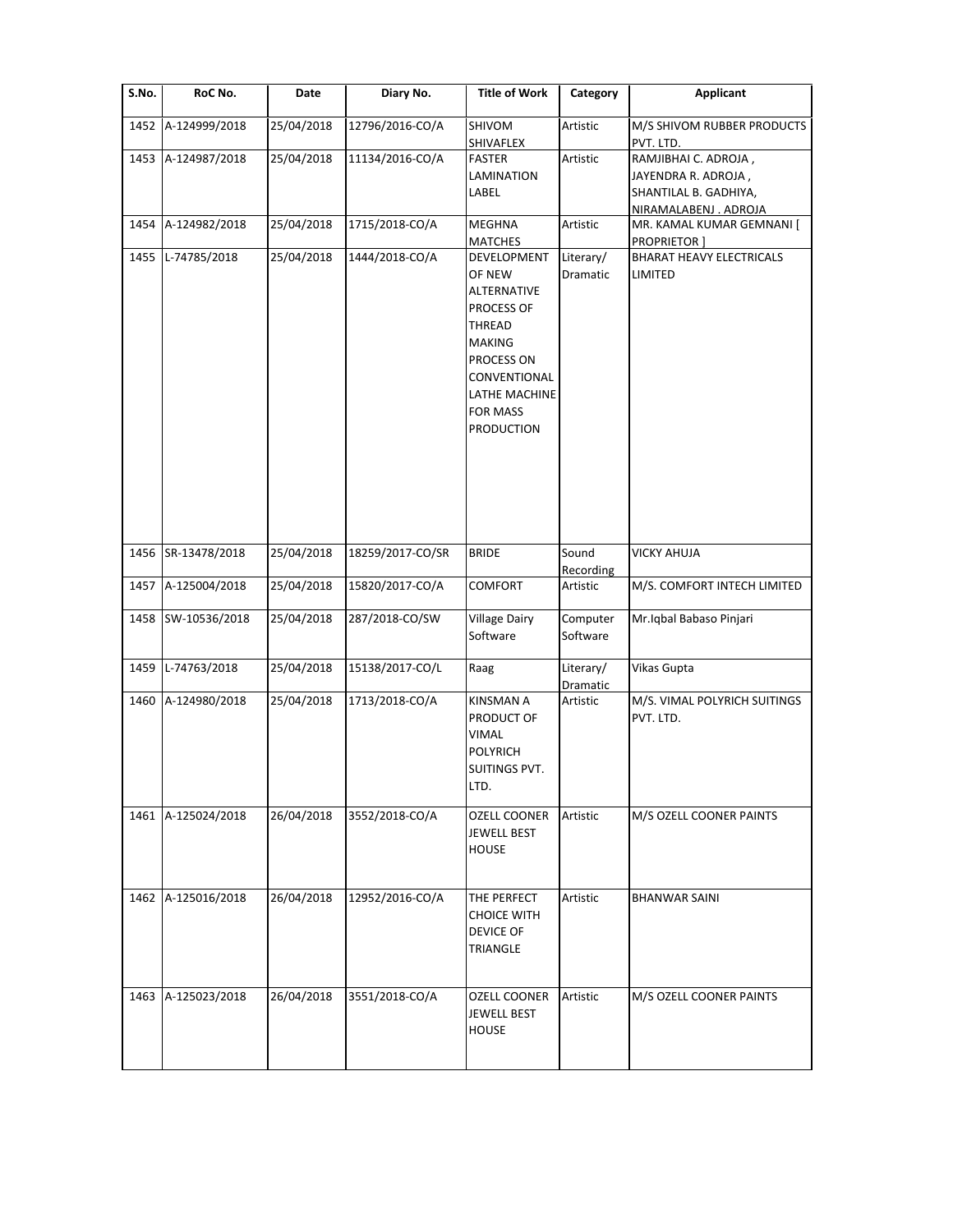| S.No. | RoC No.            | Date       | Diary No.        | <b>Title of Work</b>                                                                                                                                                        | Category              | <b>Applicant</b>                                                                              |
|-------|--------------------|------------|------------------|-----------------------------------------------------------------------------------------------------------------------------------------------------------------------------|-----------------------|-----------------------------------------------------------------------------------------------|
| 1452  | A-124999/2018      | 25/04/2018 | 12796/2016-CO/A  | SHIVOM<br>SHIVAFLEX                                                                                                                                                         | Artistic              | M/S SHIVOM RUBBER PRODUCTS<br>PVT. LTD.                                                       |
| 1453  | A-124987/2018      | 25/04/2018 | 11134/2016-CO/A  | <b>FASTER</b><br>LAMINATION<br>LABEL                                                                                                                                        | Artistic              | RAMJIBHAI C. ADROJA,<br>JAYENDRA R. ADROJA,<br>SHANTILAL B. GADHIYA,<br>NIRAMALABENJ . ADROJA |
| 1454  | A-124982/2018      | 25/04/2018 | 1715/2018-CO/A   | MEGHNA<br><b>MATCHES</b>                                                                                                                                                    | Artistic              | MR. KAMAL KUMAR GEMNANI [<br><b>PROPRIETOR</b> ]                                              |
| 1455  | L-74785/2018       | 25/04/2018 | 1444/2018-CO/A   | DEVELOPMENT<br>OF NEW<br>ALTERNATIVE<br><b>PROCESS OF</b><br>THREAD<br><b>MAKING</b><br>PROCESS ON<br>CONVENTIONAL<br>LATHE MACHINE<br><b>FOR MASS</b><br><b>PRODUCTION</b> | Literary/<br>Dramatic | <b>BHARAT HEAVY ELECTRICALS</b><br>LIMITED                                                    |
| 1456  | SR-13478/2018      | 25/04/2018 | 18259/2017-CO/SR | <b>BRIDE</b>                                                                                                                                                                | Sound<br>Recording    | <b>VICKY AHUJA</b>                                                                            |
| 1457  | A-125004/2018      | 25/04/2018 | 15820/2017-CO/A  | COMFORT                                                                                                                                                                     | Artistic              | M/S. COMFORT INTECH LIMITED                                                                   |
| 1458  | SW-10536/2018      | 25/04/2018 | 287/2018-CO/SW   | <b>Village Dairy</b><br>Software                                                                                                                                            | Computer<br>Software  | Mr. Iqbal Babaso Pinjari                                                                      |
| 1459  | L-74763/2018       | 25/04/2018 | 15138/2017-CO/L  | Raag                                                                                                                                                                        | Literary/<br>Dramatic | Vikas Gupta                                                                                   |
| 1460  | A-124980/2018      | 25/04/2018 | 1713/2018-CO/A   | <b>KINSMAN A</b><br>PRODUCT OF<br><b>VIMAL</b><br><b>POLYRICH</b><br>SUITINGS PVT.<br>LTD.                                                                                  | Artistic              | M/S. VIMAL POLYRICH SUITINGS<br>PVT. LTD.                                                     |
|       | 1461 A-125024/2018 | 26/04/2018 | 3552/2018-CO/A   | <b>OZELL COONER</b><br><b>JEWELL BEST</b><br><b>HOUSE</b>                                                                                                                   | Artistic              | M/S OZELL COONER PAINTS                                                                       |
| 1462  | A-125016/2018      | 26/04/2018 | 12952/2016-CO/A  | THE PERFECT<br><b>CHOICE WITH</b><br><b>DEVICE OF</b><br>TRIANGLE                                                                                                           | Artistic              | <b>BHANWAR SAINI</b>                                                                          |
| 1463  | A-125023/2018      | 26/04/2018 | 3551/2018-CO/A   | <b>OZELL COONER</b><br>JEWELL BEST<br><b>HOUSE</b>                                                                                                                          | Artistic              | M/S OZELL COONER PAINTS                                                                       |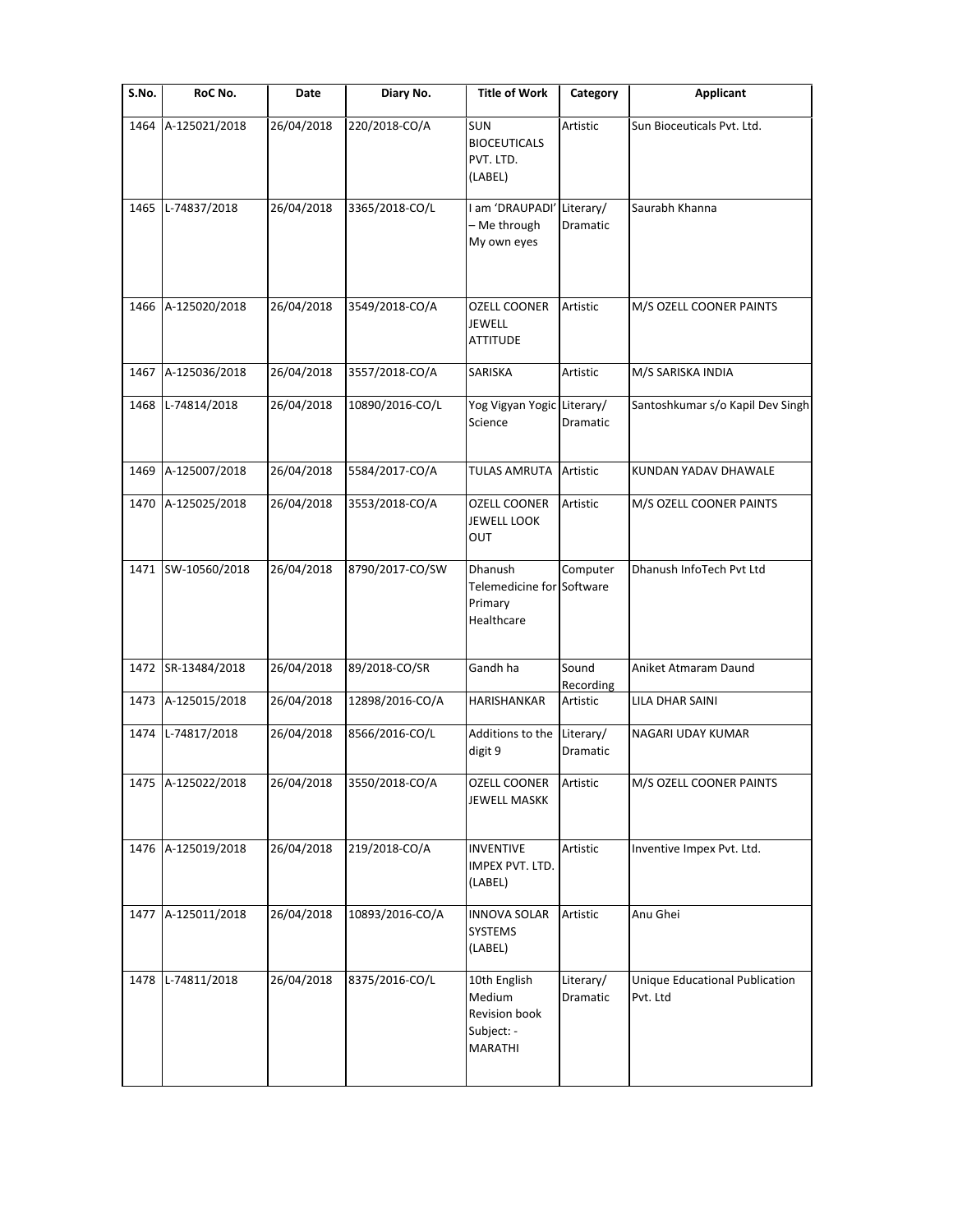| S.No. | RoC No.              | Date       | Diary No.       | <b>Title of Work</b>                                                    | Category              | <b>Applicant</b>                                  |
|-------|----------------------|------------|-----------------|-------------------------------------------------------------------------|-----------------------|---------------------------------------------------|
| 1464  | A-125021/2018        | 26/04/2018 | 220/2018-CO/A   | SUN<br><b>BIOCEUTICALS</b><br>PVT. LTD.<br>(LABEL)                      | Artistic              | Sun Bioceuticals Pvt. Ltd.                        |
| 1465  | L-74837/2018         | 26/04/2018 | 3365/2018-CO/L  | I am 'DRAUPADI'<br>- Me through<br>My own eyes                          | Literary/<br>Dramatic | Saurabh Khanna                                    |
| 1466  | A-125020/2018        | 26/04/2018 | 3549/2018-CO/A  | <b>OZELL COONER</b><br><b>JEWELL</b><br><b>ATTITUDE</b>                 | Artistic              | M/S OZELL COONER PAINTS                           |
| 1467  | A-125036/2018        | 26/04/2018 | 3557/2018-CO/A  | SARISKA                                                                 | Artistic              | M/S SARISKA INDIA                                 |
| 1468  | L-74814/2018         | 26/04/2018 | 10890/2016-CO/L | Yog Vigyan Yogic Literary/<br>Science                                   | Dramatic              | Santoshkumar s/o Kapil Dev Singh                  |
| 1469  | A-125007/2018        | 26/04/2018 | 5584/2017-CO/A  | <b>TULAS AMRUTA</b>                                                     | Artistic              | KUNDAN YADAV DHAWALE                              |
| 1470  | A-125025/2018        | 26/04/2018 | 3553/2018-CO/A  | <b>OZELL COONER</b><br><b>JEWELL LOOK</b><br>OUT                        | Artistic              | M/S OZELL COONER PAINTS                           |
| 1471  | SW-10560/2018        | 26/04/2018 | 8790/2017-CO/SW | Dhanush<br>Telemedicine for Software<br>Primary<br>Healthcare           | Computer              | Dhanush InfoTech Pvt Ltd                          |
|       | 1472 SR-13484/2018   | 26/04/2018 | 89/2018-CO/SR   | Gandh ha                                                                | Sound<br>Recording    | Aniket Atmaram Daund                              |
| 1473  | A-125015/2018        | 26/04/2018 | 12898/2016-CO/A | <b>HARISHANKAR</b>                                                      | Artistic              | <b>LILA DHAR SAINI</b>                            |
|       | 1474 L-74817/2018    | 26/04/2018 | 8566/2016-CO/L  | Additions to the Literary/<br>digit 9                                   | Dramatic              | NAGARI UDAY KUMAR                                 |
|       | 1475   A-125022/2018 | 26/04/2018 | 3550/2018-CO/A  | OZELL COONER<br><b>JEWELL MASKK</b>                                     | Artistic              | M/S OZELL COONER PAINTS                           |
| 1476  | A-125019/2018        | 26/04/2018 | 219/2018-CO/A   | <b>INVENTIVE</b><br>IMPEX PVT. LTD.<br>(LABEL)                          | Artistic              | Inventive Impex Pvt. Ltd.                         |
| 1477  | A-125011/2018        | 26/04/2018 | 10893/2016-CO/A | <b>INNOVA SOLAR</b><br>SYSTEMS<br>(LABEL)                               | Artistic              | Anu Ghei                                          |
| 1478  | L-74811/2018         | 26/04/2018 | 8375/2016-CO/L  | 10th English<br>Medium<br>Revision book<br>Subject: -<br><b>MARATHI</b> | Literary/<br>Dramatic | <b>Unique Educational Publication</b><br>Pvt. Ltd |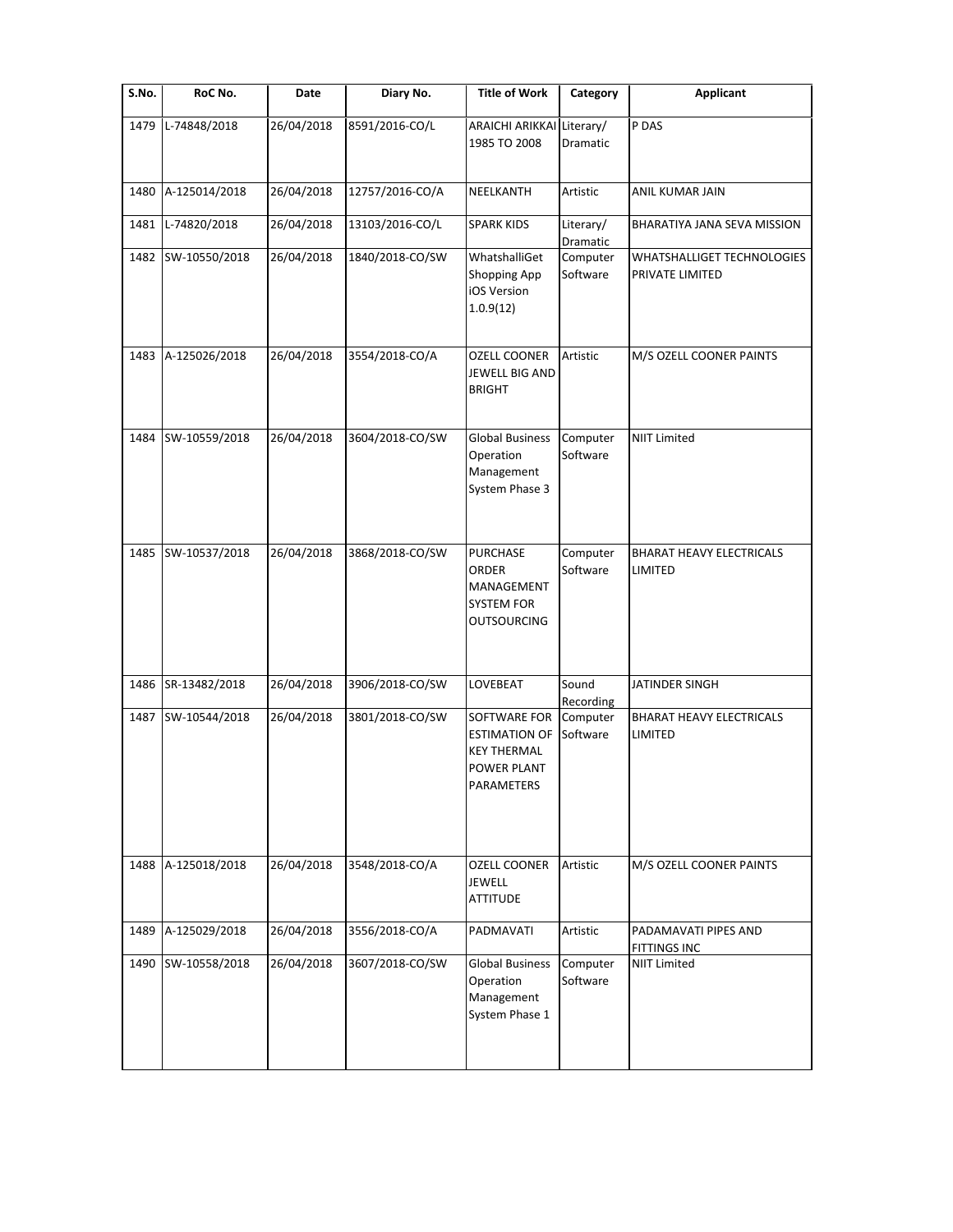| S.No. | RoC No.       | Date       | Diary No.       | <b>Title of Work</b>                                                                     | Category              | <b>Applicant</b>                              |
|-------|---------------|------------|-----------------|------------------------------------------------------------------------------------------|-----------------------|-----------------------------------------------|
| 1479  | L-74848/2018  | 26/04/2018 | 8591/2016-CO/L  | ARAICHI ARIKKAI Literary/<br>1985 TO 2008                                                | Dramatic              | P DAS                                         |
| 1480  | A-125014/2018 | 26/04/2018 | 12757/2016-CO/A | NEELKANTH                                                                                | Artistic              | ANIL KUMAR JAIN                               |
| 1481  | L-74820/2018  | 26/04/2018 | 13103/2016-CO/L | <b>SPARK KIDS</b>                                                                        | Literary/<br>Dramatic | BHARATIYA JANA SEVA MISSION                   |
| 1482  | SW-10550/2018 | 26/04/2018 | 1840/2018-CO/SW | WhatshalliGet<br><b>Shopping App</b><br>iOS Version<br>1.0.9(12)                         | Computer<br>Software  | WHATSHALLIGET TECHNOLOGIES<br>PRIVATE LIMITED |
| 1483  | A-125026/2018 | 26/04/2018 | 3554/2018-CO/A  | <b>OZELL COONER</b><br>JEWELL BIG AND<br><b>BRIGHT</b>                                   | Artistic              | M/S OZELL COONER PAINTS                       |
| 1484  | SW-10559/2018 | 26/04/2018 | 3604/2018-CO/SW | <b>Global Business</b><br>Operation<br>Management<br>System Phase 3                      | Computer<br>Software  | <b>NIIT Limited</b>                           |
| 1485  | SW-10537/2018 | 26/04/2018 | 3868/2018-CO/SW | <b>PURCHASE</b><br><b>ORDER</b><br>MANAGEMENT<br><b>SYSTEM FOR</b><br><b>OUTSOURCING</b> | Computer<br>Software  | <b>BHARAT HEAVY ELECTRICALS</b><br>LIMITED    |
| 1486  | SR-13482/2018 | 26/04/2018 | 3906/2018-CO/SW | LOVEBEAT                                                                                 | Sound<br>Recording    | JATINDER SINGH                                |
| 1487  | SW-10544/2018 | 26/04/2018 | 3801/2018-CO/SW | SOFTWARE FOR<br><b>ESTIMATION OF</b><br><b>KEY THERMAL</b><br>POWER PLANT<br>PARAMETERS  | Computer<br>Software  | BHARAT HEAVY ELECTRICALS<br>LIMITED           |
| 1488  | A-125018/2018 | 26/04/2018 | 3548/2018-CO/A  | <b>OZELL COONER</b><br><b>JEWELL</b><br><b>ATTITUDE</b>                                  | Artistic              | M/S OZELL COONER PAINTS                       |
| 1489  | A-125029/2018 | 26/04/2018 | 3556/2018-CO/A  | PADMAVATI                                                                                | Artistic              | PADAMAVATI PIPES AND<br>FITTINGS INC          |
| 1490  | SW-10558/2018 | 26/04/2018 | 3607/2018-CO/SW | <b>Global Business</b><br>Operation<br>Management<br>System Phase 1                      | Computer<br>Software  | <b>NIIT Limited</b>                           |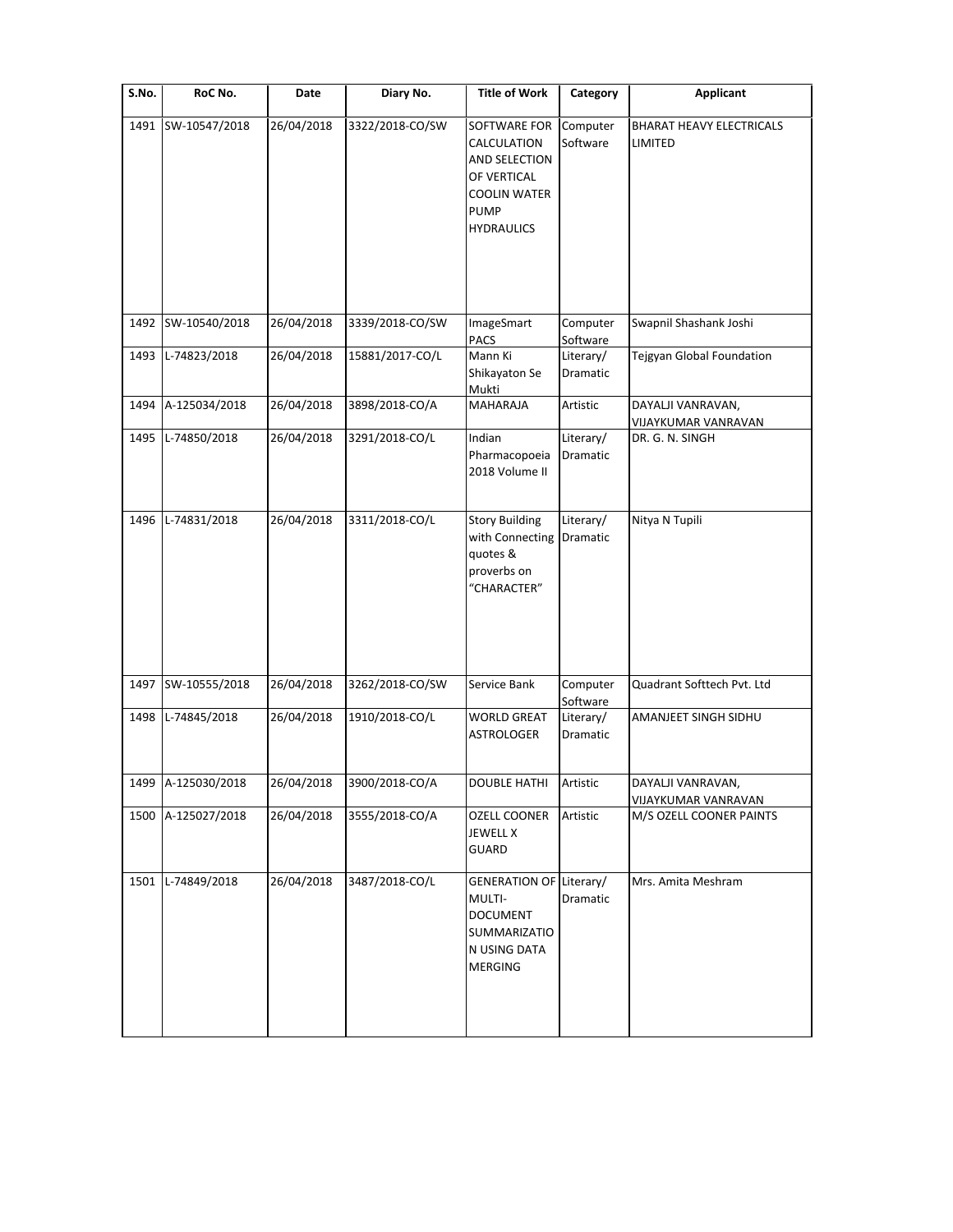| S.No. | RoC No.            | Date       | Diary No.       | <b>Title of Work</b>                                                                                                   | Category              | <b>Applicant</b>                         |
|-------|--------------------|------------|-----------------|------------------------------------------------------------------------------------------------------------------------|-----------------------|------------------------------------------|
| 1491  | SW-10547/2018      | 26/04/2018 | 3322/2018-CO/SW | SOFTWARE FOR<br>CALCULATION<br>AND SELECTION<br>OF VERTICAL<br><b>COOLIN WATER</b><br><b>PUMP</b><br><b>HYDRAULICS</b> | Computer<br>Software  | BHARAT HEAVY ELECTRICALS<br>LIMITED      |
| 1492  | SW-10540/2018      | 26/04/2018 | 3339/2018-CO/SW | ImageSmart<br>PACS                                                                                                     | Computer<br>Software  | Swapnil Shashank Joshi                   |
| 1493  | L-74823/2018       | 26/04/2018 | 15881/2017-CO/L | Mann Ki<br>Shikayaton Se<br>Mukti                                                                                      | Literary/<br>Dramatic | Tejgyan Global Foundation                |
| 1494  | A-125034/2018      | 26/04/2018 | 3898/2018-CO/A  | <b>MAHARAJA</b>                                                                                                        | Artistic              | DAYALJI VANRAVAN,<br>VIJAYKUMAR VANRAVAN |
| 1495  | L-74850/2018       | 26/04/2018 | 3291/2018-CO/L  | Indian<br>Pharmacopoeia<br>2018 Volume II                                                                              | Literary/<br>Dramatic | DR. G. N. SINGH                          |
| 1496  | L-74831/2018       | 26/04/2018 | 3311/2018-CO/L  | <b>Story Building</b><br>with Connecting<br>quotes &<br>proverbs on<br>"CHARACTER"                                     | Literary/<br>Dramatic | Nitya N Tupili                           |
| 1497  | SW-10555/2018      | 26/04/2018 | 3262/2018-CO/SW | Service Bank                                                                                                           | Computer<br>Software  | Quadrant Softtech Pvt. Ltd               |
| 1498  | L-74845/2018       | 26/04/2018 | 1910/2018-CO/L  | <b>WORLD GREAT</b><br><b>ASTROLOGER</b>                                                                                | Literary/<br>Dramatic | AMANJEET SINGH SIDHU                     |
|       | 1499 A-125030/2018 | 26/04/2018 | 3900/2018-CO/A  | <b>DOUBLE HATHI</b>                                                                                                    | Artistic              | DAYALJI VANRAVAN,<br>VIJAYKUMAR VANRAVAN |
| 1500  | A-125027/2018      | 26/04/2018 | 3555/2018-CO/A  | <b>OZELL COONER</b><br><b>JEWELL X</b><br>GUARD                                                                        | Artistic              | M/S OZELL COONER PAINTS                  |
| 1501  | L-74849/2018       | 26/04/2018 | 3487/2018-CO/L  | <b>GENERATION OF Literary/</b><br>MULTI-<br><b>DOCUMENT</b><br>SUMMARIZATIO<br>N USING DATA<br><b>MERGING</b>          | Dramatic              | Mrs. Amita Meshram                       |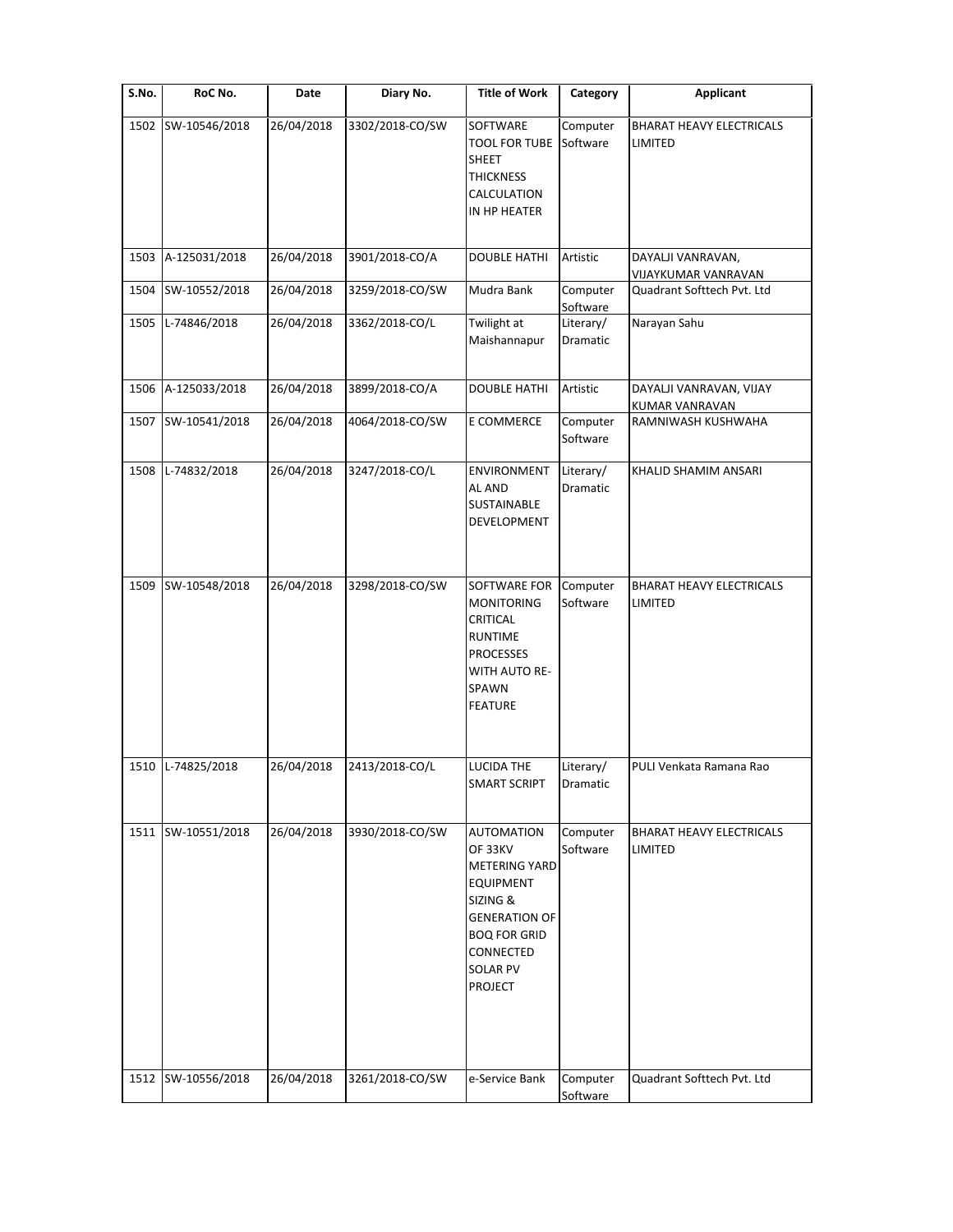| S.No. | RoC No.            | Date       | Diary No.       | <b>Title of Work</b>                                                                                                                                                                  | Category              | Applicant                                  |
|-------|--------------------|------------|-----------------|---------------------------------------------------------------------------------------------------------------------------------------------------------------------------------------|-----------------------|--------------------------------------------|
| 1502  | SW-10546/2018      | 26/04/2018 | 3302/2018-CO/SW | SOFTWARE<br><b>TOOL FOR TUBE</b><br><b>SHEET</b><br><b>THICKNESS</b><br>CALCULATION<br>IN HP HEATER                                                                                   | Computer<br>Software  | <b>BHARAT HEAVY ELECTRICALS</b><br>LIMITED |
| 1503  | A-125031/2018      | 26/04/2018 | 3901/2018-CO/A  | <b>DOUBLE HATHI</b>                                                                                                                                                                   | Artistic              | DAYALJI VANRAVAN,<br>VIJAYKUMAR VANRAVAN   |
| 1504  | SW-10552/2018      | 26/04/2018 | 3259/2018-CO/SW | Mudra Bank                                                                                                                                                                            | Computer<br>Software  | Quadrant Softtech Pvt. Ltd                 |
| 1505  | L-74846/2018       | 26/04/2018 | 3362/2018-CO/L  | Twilight at<br>Maishannapur                                                                                                                                                           | Literary/<br>Dramatic | Narayan Sahu                               |
| 1506  | A-125033/2018      | 26/04/2018 | 3899/2018-CO/A  | <b>DOUBLE HATHI</b>                                                                                                                                                                   | Artistic              | DAYALJI VANRAVAN, VIJAY<br>KUMAR VANRAVAN  |
| 1507  | SW-10541/2018      | 26/04/2018 | 4064/2018-CO/SW | E COMMERCE                                                                                                                                                                            | Computer<br>Software  | RAMNIWASH KUSHWAHA                         |
| 1508  | L-74832/2018       | 26/04/2018 | 3247/2018-CO/L  | <b>ENVIRONMENT</b><br>AL AND<br>SUSTAINABLE<br><b>DEVELOPMENT</b>                                                                                                                     | Literary/<br>Dramatic | KHALID SHAMIM ANSARI                       |
| 1509  | SW-10548/2018      | 26/04/2018 | 3298/2018-CO/SW | SOFTWARE FOR<br><b>MONITORING</b><br>CRITICAL<br><b>RUNTIME</b><br><b>PROCESSES</b><br>WITH AUTO RE-<br>SPAWN<br><b>FEATURE</b>                                                       | Computer<br>Software  | <b>BHARAT HEAVY ELECTRICALS</b><br>LIMITED |
| 1510  | L-74825/2018       | 26/04/2018 | 2413/2018-CO/L  | <b>LUCIDA THE</b><br>SMART SCRIPT                                                                                                                                                     | Literary/<br>Dramatic | PULI Venkata Ramana Rao                    |
| 1511  | SW-10551/2018      | 26/04/2018 | 3930/2018-CO/SW | <b>AUTOMATION</b><br>OF 33KV<br><b>METERING YARD</b><br><b>EQUIPMENT</b><br>SIZING &<br><b>GENERATION OF</b><br><b>BOQ FOR GRID</b><br>CONNECTED<br><b>SOLAR PV</b><br><b>PROJECT</b> | Computer<br>Software  | BHARAT HEAVY ELECTRICALS<br>LIMITED        |
|       | 1512 SW-10556/2018 | 26/04/2018 | 3261/2018-CO/SW | e-Service Bank                                                                                                                                                                        | Computer<br>Software  | Quadrant Softtech Pvt. Ltd                 |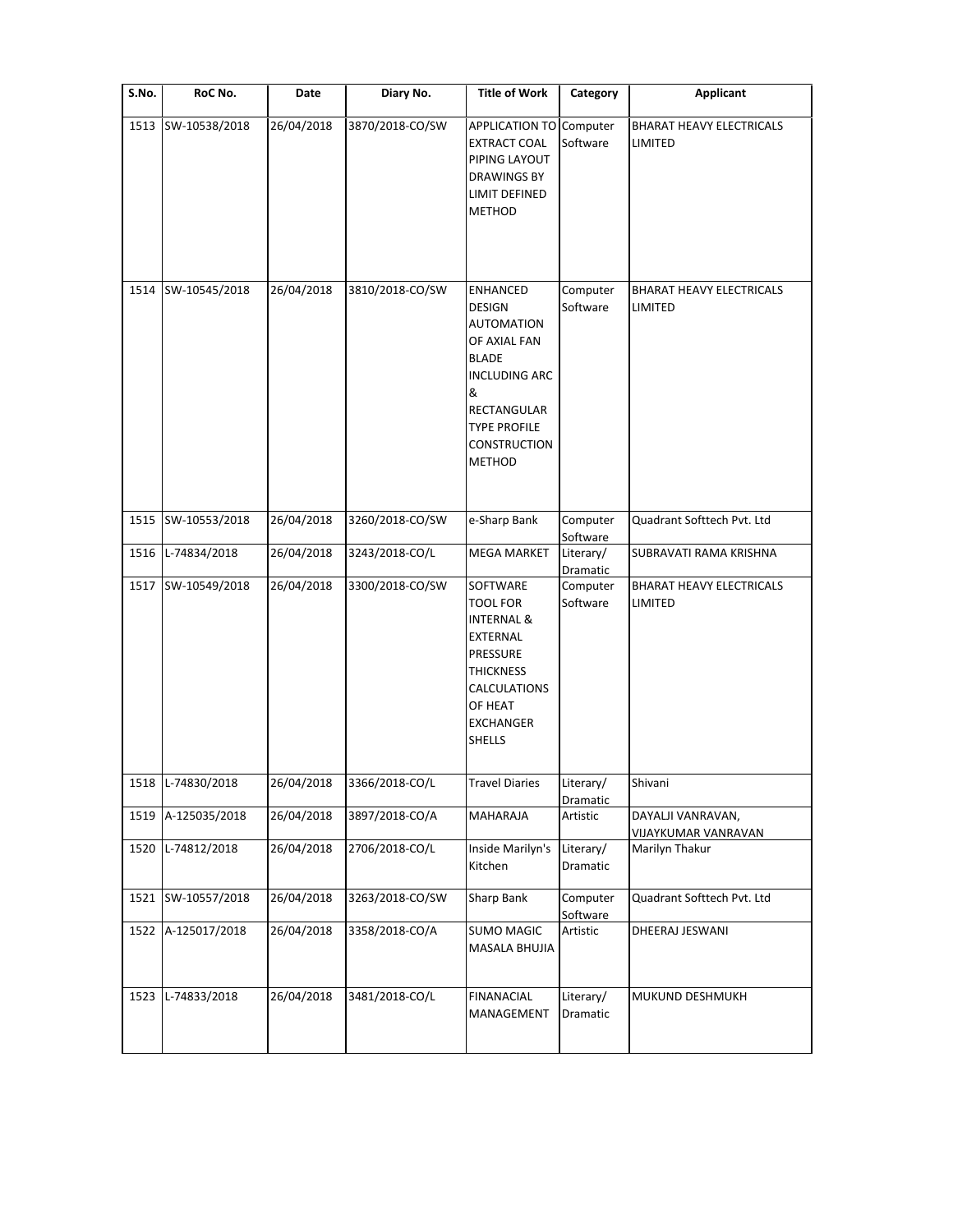| S.No. | RoC No.       | Date       | Diary No.       | <b>Title of Work</b>                                                                                                                                                                             | Category              | Applicant                                  |
|-------|---------------|------------|-----------------|--------------------------------------------------------------------------------------------------------------------------------------------------------------------------------------------------|-----------------------|--------------------------------------------|
| 1513  | SW-10538/2018 | 26/04/2018 | 3870/2018-CO/SW | APPLICATION TO Computer<br><b>EXTRACT COAL</b><br>PIPING LAYOUT<br><b>DRAWINGS BY</b><br>LIMIT DEFINED<br><b>METHOD</b>                                                                          | Software              | <b>BHARAT HEAVY ELECTRICALS</b><br>LIMITED |
| 1514  | SW-10545/2018 | 26/04/2018 | 3810/2018-CO/SW | <b>ENHANCED</b><br><b>DESIGN</b><br><b>AUTOMATION</b><br>OF AXIAL FAN<br><b>BLADE</b><br><b>INCLUDING ARC</b><br>&<br>RECTANGULAR<br><b>TYPE PROFILE</b><br><b>CONSTRUCTION</b><br><b>METHOD</b> | Computer<br>Software  | <b>BHARAT HEAVY ELECTRICALS</b><br>LIMITED |
| 1515  | SW-10553/2018 | 26/04/2018 | 3260/2018-CO/SW | e-Sharp Bank                                                                                                                                                                                     | Computer<br>Software  | Quadrant Softtech Pvt. Ltd                 |
| 1516  | L-74834/2018  | 26/04/2018 | 3243/2018-CO/L  | <b>MEGA MARKET</b>                                                                                                                                                                               | Literary/<br>Dramatic | SUBRAVATI RAMA KRISHNA                     |
| 1517  | SW-10549/2018 | 26/04/2018 | 3300/2018-CO/SW | SOFTWARE<br><b>TOOL FOR</b><br><b>INTERNAL &amp;</b><br>EXTERNAL<br>PRESSURE<br><b>THICKNESS</b><br>CALCULATIONS<br>OF HEAT<br><b>EXCHANGER</b><br><b>SHELLS</b>                                 | Computer<br>Software  | <b>BHARAT HEAVY ELECTRICALS</b><br>LIMITED |
| 1518  | L-74830/2018  | 26/04/2018 | 3366/2018-CO/L  | <b>Travel Diaries</b>                                                                                                                                                                            | Literary/<br>Dramatic | Shivani                                    |
| 1519  | A-125035/2018 | 26/04/2018 | 3897/2018-CO/A  | MAHARAJA                                                                                                                                                                                         | Artistic              | DAYALJI VANRAVAN,<br>VIJAYKUMAR VANRAVAN   |
| 1520  | L-74812/2018  | 26/04/2018 | 2706/2018-CO/L  | Inside Marilyn's<br>Kitchen                                                                                                                                                                      | Literary/<br>Dramatic | Marilyn Thakur                             |
| 1521  | SW-10557/2018 | 26/04/2018 | 3263/2018-CO/SW | Sharp Bank                                                                                                                                                                                       | Computer<br>Software  | Quadrant Softtech Pvt. Ltd                 |
| 1522  | A-125017/2018 | 26/04/2018 | 3358/2018-CO/A  | <b>SUMO MAGIC</b><br>MASALA BHUJIA                                                                                                                                                               | Artistic              | DHEERAJ JESWANI                            |
| 1523  | L-74833/2018  | 26/04/2018 | 3481/2018-CO/L  | <b>FINANACIAL</b><br>MANAGEMENT                                                                                                                                                                  | Literary/<br>Dramatic | MUKUND DESHMUKH                            |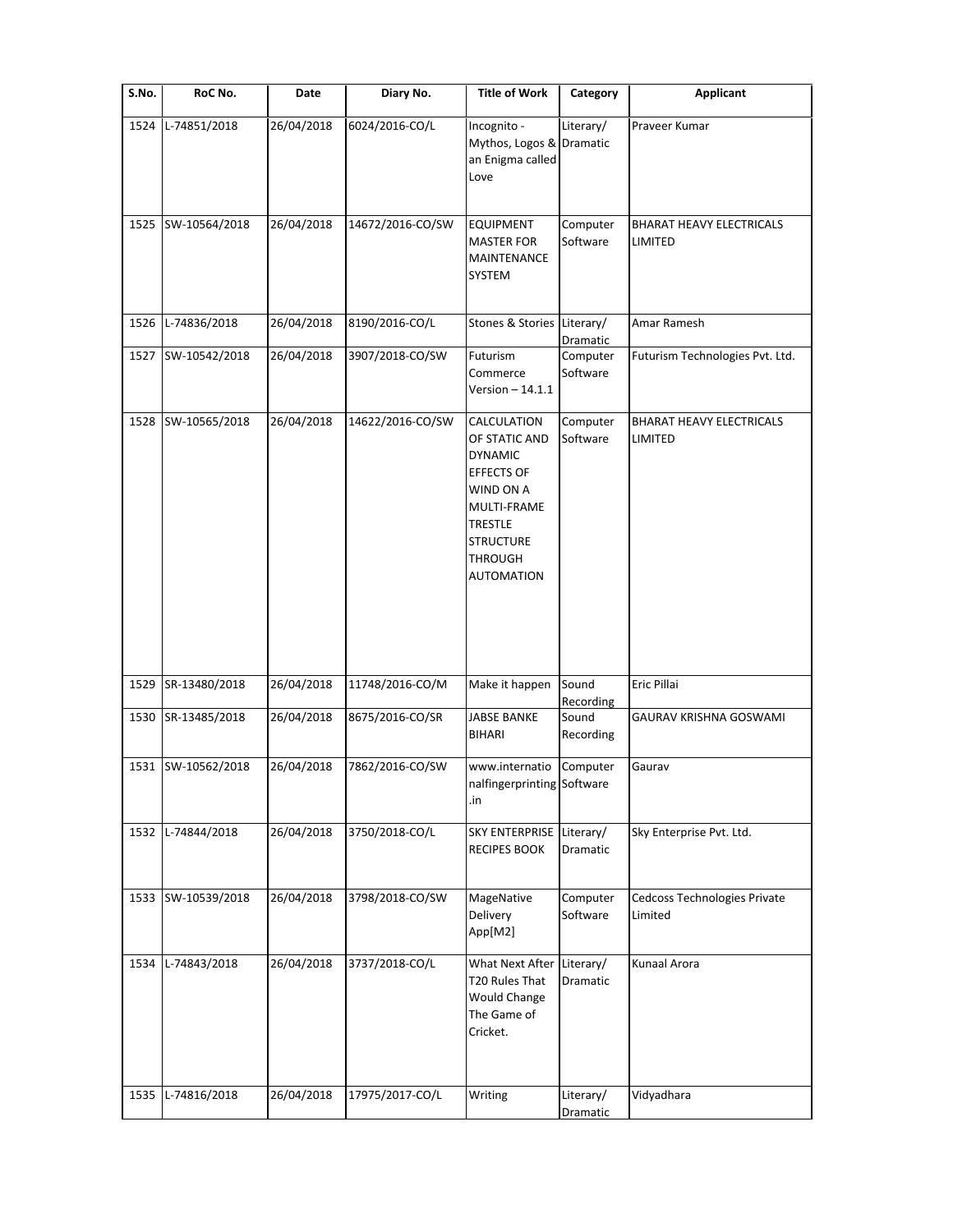| S.No. | RoC No.            | Date       | Diary No.        | <b>Title of Work</b>                                                                                                                                                         | Category                        | <b>Applicant</b>                           |
|-------|--------------------|------------|------------------|------------------------------------------------------------------------------------------------------------------------------------------------------------------------------|---------------------------------|--------------------------------------------|
| 1524  | L-74851/2018       | 26/04/2018 | 6024/2016-CO/L   | Incognito -<br>Mythos, Logos & Dramatic<br>an Enigma called<br>Love                                                                                                          | Literary/                       | Praveer Kumar                              |
| 1525  | SW-10564/2018      | 26/04/2018 | 14672/2016-CO/SW | <b>EQUIPMENT</b><br><b>MASTER FOR</b><br>MAINTENANCE<br><b>SYSTEM</b>                                                                                                        | Computer<br>Software            | <b>BHARAT HEAVY ELECTRICALS</b><br>LIMITED |
| 1526  | L-74836/2018       | 26/04/2018 | 8190/2016-CO/L   | Stones & Stories Literary/                                                                                                                                                   | Dramatic                        | Amar Ramesh                                |
| 1527  | SW-10542/2018      | 26/04/2018 | 3907/2018-CO/SW  | Futurism<br>Commerce<br>Version $-14.1.1$                                                                                                                                    | Computer<br>Software            | Futurism Technologies Pvt. Ltd.            |
| 1528  | SW-10565/2018      | 26/04/2018 | 14622/2016-CO/SW | CALCULATION<br>OF STATIC AND<br><b>DYNAMIC</b><br><b>EFFECTS OF</b><br>WIND ON A<br>MULTI-FRAME<br><b>TRESTLE</b><br><b>STRUCTURE</b><br><b>THROUGH</b><br><b>AUTOMATION</b> | Computer<br>Software            | <b>BHARAT HEAVY ELECTRICALS</b><br>LIMITED |
| 1529  | SR-13480/2018      | 26/04/2018 | 11748/2016-CO/M  | Make it happen                                                                                                                                                               | Sound                           | Eric Pillai                                |
|       | 1530 SR-13485/2018 | 26/04/2018 | 8675/2016-CO/SR  | <b>JABSE BANKE</b><br><b>BIHARI</b>                                                                                                                                          | Recording<br>Sound<br>Recording | GAURAV KRISHNA GOSWAMI                     |
|       | 1531 SW-10562/2018 | 26/04/2018 | 7862/2016-CO/SW  | www.internatio<br>nalfingerprinting Software<br>.in                                                                                                                          | Computer                        | Gaurav                                     |
| 1532  | L-74844/2018       | 26/04/2018 | 3750/2018-CO/L   | SKY ENTERPRISE Literary/<br><b>RECIPES BOOK</b>                                                                                                                              | Dramatic                        | Sky Enterprise Pvt. Ltd.                   |
| 1533  | SW-10539/2018      | 26/04/2018 | 3798/2018-CO/SW  | MageNative<br>Delivery<br>App[M2]                                                                                                                                            | Computer<br>Software            | Cedcoss Technologies Private<br>Limited    |
| 1534  | L-74843/2018       | 26/04/2018 | 3737/2018-CO/L   | What Next After<br>T20 Rules That<br><b>Would Change</b><br>The Game of<br>Cricket.                                                                                          | Literary/<br>Dramatic           | Kunaal Arora                               |
| 1535  | L-74816/2018       | 26/04/2018 | 17975/2017-CO/L  | Writing                                                                                                                                                                      | Literary/<br>Dramatic           | Vidyadhara                                 |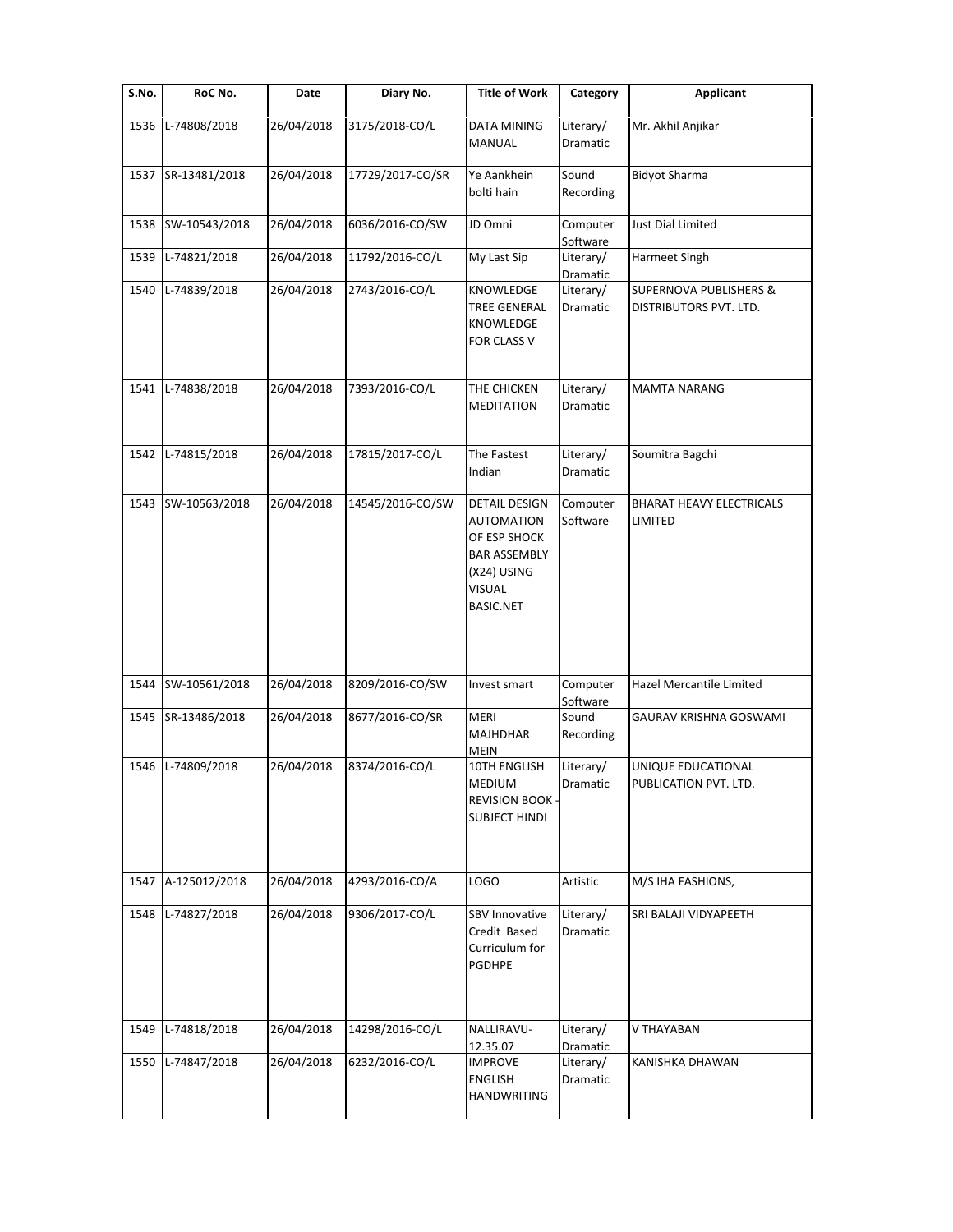| S.No. | RoC No.       | Date       | Diary No.        | <b>Title of Work</b>                                                                                                                 | Category                       | <b>Applicant</b>                                            |
|-------|---------------|------------|------------------|--------------------------------------------------------------------------------------------------------------------------------------|--------------------------------|-------------------------------------------------------------|
| 1536  | L-74808/2018  | 26/04/2018 | 3175/2018-CO/L   | <b>DATA MINING</b><br><b>MANUAL</b>                                                                                                  | Literary/<br>Dramatic          | Mr. Akhil Anjikar                                           |
| 1537  | SR-13481/2018 | 26/04/2018 | 17729/2017-CO/SR | Ye Aankhein<br>bolti hain                                                                                                            | Sound<br>Recording             | <b>Bidyot Sharma</b>                                        |
| 1538  | SW-10543/2018 | 26/04/2018 | 6036/2016-CO/SW  | JD Omni                                                                                                                              | Computer<br>Software           | Just Dial Limited                                           |
| 1539  | L-74821/2018  | 26/04/2018 | 11792/2016-CO/L  | My Last Sip                                                                                                                          | Literary/<br>Dramatic          | Harmeet Singh                                               |
| 1540  | L-74839/2018  | 26/04/2018 | 2743/2016-CO/L   | KNOWLEDGE<br><b>TREE GENERAL</b><br>KNOWLEDGE<br>FOR CLASS V                                                                         | Literary/<br>Dramatic          | <b>SUPERNOVA PUBLISHERS &amp;</b><br>DISTRIBUTORS PVT. LTD. |
| 1541  | L-74838/2018  | 26/04/2018 | 7393/2016-CO/L   | THE CHICKEN<br><b>MEDITATION</b>                                                                                                     | Literary/<br><b>Dramatic</b>   | <b>MAMTA NARANG</b>                                         |
| 1542  | L-74815/2018  | 26/04/2018 | 17815/2017-CO/L  | The Fastest<br>Indian                                                                                                                | Literary/<br>Dramatic          | Soumitra Bagchi                                             |
| 1543  | SW-10563/2018 | 26/04/2018 | 14545/2016-CO/SW | <b>DETAIL DESIGN</b><br><b>AUTOMATION</b><br>OF ESP SHOCK<br><b>BAR ASSEMBLY</b><br>(X24) USING<br><b>VISUAL</b><br><b>BASIC.NET</b> | Computer<br>Software           | <b>BHARAT HEAVY ELECTRICALS</b><br>LIMITED                  |
| 1544  | SW-10561/2018 | 26/04/2018 | 8209/2016-CO/SW  | Invest smart                                                                                                                         | Computer                       | Hazel Mercantile Limited                                    |
| 1545  | SR-13486/2018 | 26/04/2018 | 8677/2016-CO/SR  | <b>MERI</b><br><b>MAJHDHAR</b><br><b>MEIN</b>                                                                                        | Software<br>Sound<br>Recording | GAURAV KRISHNA GOSWAMI                                      |
| 1546  | L-74809/2018  | 26/04/2018 | 8374/2016-CO/L   | 10TH ENGLISH<br>MEDIUM<br><b>REVISION BOOK</b><br><b>SUBJECT HINDI</b>                                                               | Literary/<br>Dramatic          | UNIQUE EDUCATIONAL<br>PUBLICATION PVT. LTD.                 |
| 1547  | A-125012/2018 | 26/04/2018 | 4293/2016-CO/A   | LOGO                                                                                                                                 | Artistic                       | M/S IHA FASHIONS,                                           |
| 1548  | L-74827/2018  | 26/04/2018 | 9306/2017-CO/L   | SBV Innovative<br>Credit Based<br>Curriculum for<br><b>PGDHPE</b>                                                                    | Literary/<br>Dramatic          | SRI BALAJI VIDYAPEETH                                       |
| 1549  | L-74818/2018  | 26/04/2018 | 14298/2016-CO/L  | NALLIRAVU-<br>12.35.07                                                                                                               | Literary/<br>Dramatic          | V THAYABAN                                                  |
| 1550  | L-74847/2018  | 26/04/2018 | 6232/2016-CO/L   | <b>IMPROVE</b><br>ENGLISH<br><b>HANDWRITING</b>                                                                                      | Literary/<br>Dramatic          | KANISHKA DHAWAN                                             |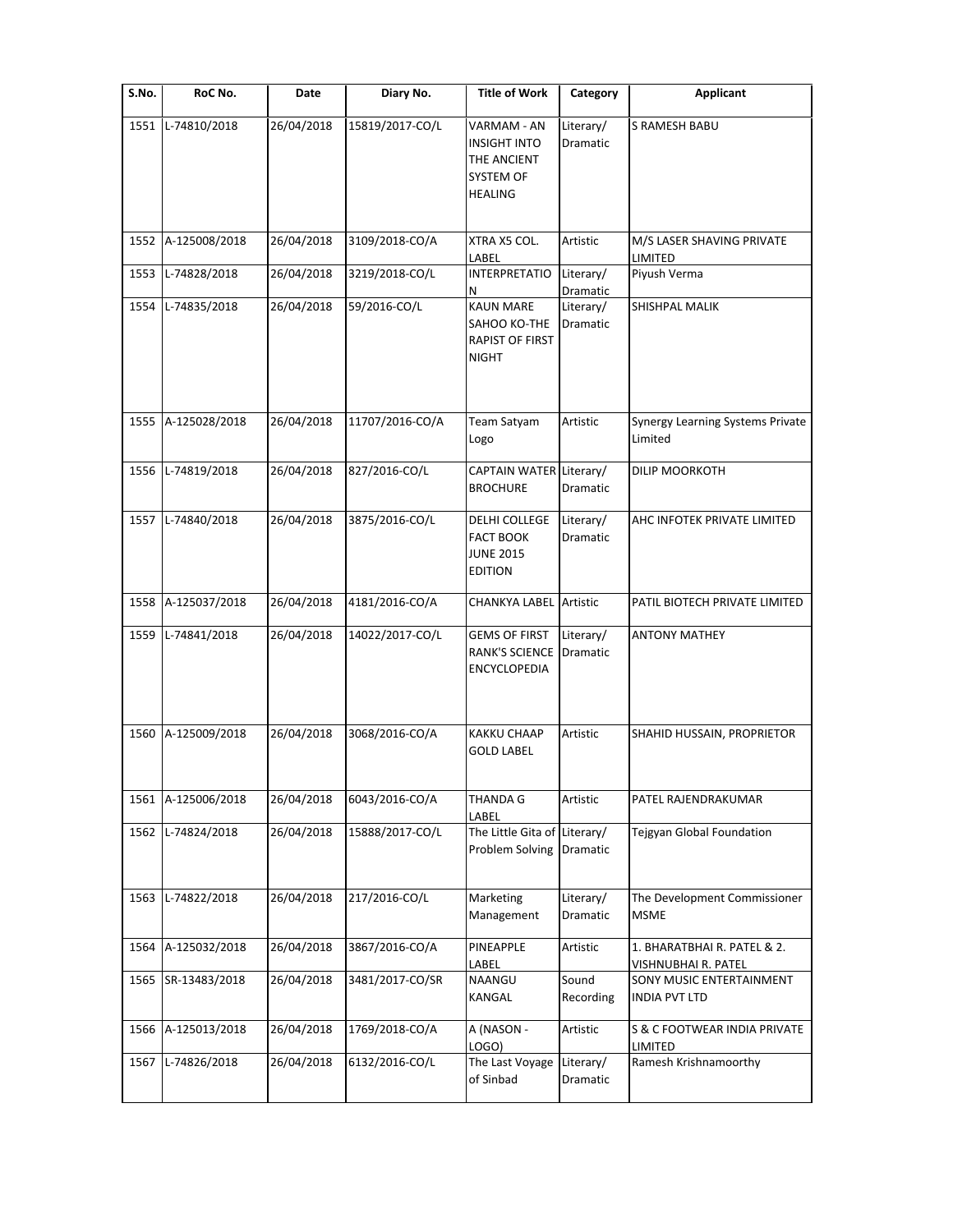| S.No. | RoC No.       | Date       | Diary No.       | <b>Title of Work</b>                                                             | Category              | <b>Applicant</b>                                   |
|-------|---------------|------------|-----------------|----------------------------------------------------------------------------------|-----------------------|----------------------------------------------------|
| 1551  | L-74810/2018  | 26/04/2018 | 15819/2017-CO/L | VARMAM - AN<br><b>INSIGHT INTO</b><br>THE ANCIENT<br>SYSTEM OF<br><b>HEALING</b> | Literary/<br>Dramatic | S RAMESH BABU                                      |
| 1552  | A-125008/2018 | 26/04/2018 | 3109/2018-CO/A  | XTRA X5 COL.<br>LABEL                                                            | Artistic              | M/S LASER SHAVING PRIVATE<br>LIMITED               |
| 1553  | L-74828/2018  | 26/04/2018 | 3219/2018-CO/L  | <b>INTERPRETATIO</b><br>Ν                                                        | Literary/<br>Dramatic | Piyush Verma                                       |
| 1554  | L-74835/2018  | 26/04/2018 | 59/2016-CO/L    | <b>KAUN MARE</b><br>SAHOO KO-THE<br><b>RAPIST OF FIRST</b><br><b>NIGHT</b>       | Literary/<br>Dramatic | SHISHPAL MALIK                                     |
| 1555  | A-125028/2018 | 26/04/2018 | 11707/2016-CO/A | Team Satyam<br>Logo                                                              | Artistic              | <b>Synergy Learning Systems Private</b><br>Limited |
| 1556  | L-74819/2018  | 26/04/2018 | 827/2016-CO/L   | CAPTAIN WATER Literary/<br><b>BROCHURE</b>                                       | Dramatic              | DILIP MOORKOTH                                     |
| 1557  | L-74840/2018  | 26/04/2018 | 3875/2016-CO/L  | DELHI COLLEGE<br><b>FACT BOOK</b><br><b>JUNE 2015</b><br><b>EDITION</b>          | Literary/<br>Dramatic | AHC INFOTEK PRIVATE LIMITED                        |
| 1558  | A-125037/2018 | 26/04/2018 | 4181/2016-CO/A  | <b>CHANKYA LABEL Artistic</b>                                                    |                       | PATIL BIOTECH PRIVATE LIMITED                      |
| 1559  | L-74841/2018  | 26/04/2018 | 14022/2017-CO/L | <b>GEMS OF FIRST</b><br><b>RANK'S SCIENCE</b><br><b>ENCYCLOPEDIA</b>             | Literary/<br>Dramatic | <b>ANTONY MATHEY</b>                               |
| 1560  | A-125009/2018 | 26/04/2018 | 3068/2016-CO/A  | <b>KAKKU CHAAP</b><br><b>GOLD LABEL</b>                                          | Artistic              | SHAHID HUSSAIN, PROPRIETOR                         |
| 1561  | A-125006/2018 | 26/04/2018 | 6043/2016-CO/A  | THANDA G<br>LABEL                                                                | Artistic              | PATEL RAJENDRAKUMAR                                |
| 1562  | L-74824/2018  | 26/04/2018 | 15888/2017-CO/L | The Little Gita of<br>Problem Solving                                            | Literary/<br>Dramatic | Tejgyan Global Foundation                          |
| 1563  | L-74822/2018  | 26/04/2018 | 217/2016-CO/L   | Marketing<br>Management                                                          | Literary/<br>Dramatic | The Development Commissioner<br><b>MSME</b>        |
| 1564  | A-125032/2018 | 26/04/2018 | 3867/2016-CO/A  | PINEAPPLE<br>LABEL                                                               | Artistic              | 1. BHARATBHAI R. PATEL & 2.<br>VISHNUBHAI R. PATEL |
| 1565  | SR-13483/2018 | 26/04/2018 | 3481/2017-CO/SR | NAANGU<br>KANGAL                                                                 | Sound<br>Recording    | SONY MUSIC ENTERTAINMENT<br>INDIA PVT LTD          |
| 1566  | A-125013/2018 | 26/04/2018 | 1769/2018-CO/A  | A (NASON -<br>LOGO)                                                              | Artistic              | S & C FOOTWEAR INDIA PRIVATE<br>LIMITED            |
| 1567  | L-74826/2018  | 26/04/2018 | 6132/2016-CO/L  | The Last Voyage<br>of Sinbad                                                     | Literary/<br>Dramatic | Ramesh Krishnamoorthy                              |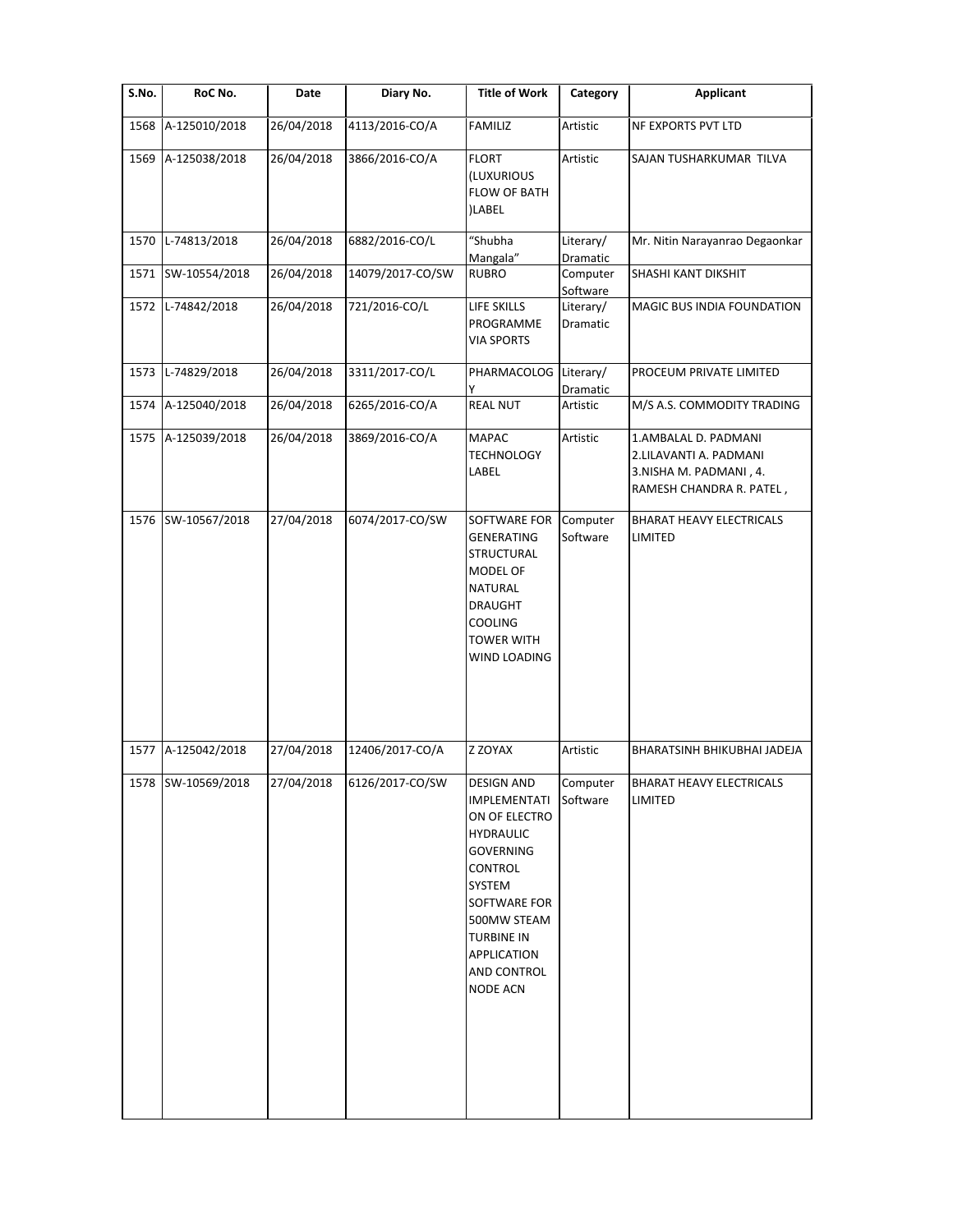| S.No. | RoC No.            | Date       | Diary No.        | <b>Title of Work</b>                                                                                                                                                                                                 | Category              | <b>Applicant</b>                                                                                     |
|-------|--------------------|------------|------------------|----------------------------------------------------------------------------------------------------------------------------------------------------------------------------------------------------------------------|-----------------------|------------------------------------------------------------------------------------------------------|
| 1568  | A-125010/2018      | 26/04/2018 | 4113/2016-CO/A   | <b>FAMILIZ</b>                                                                                                                                                                                                       | Artistic              | NF EXPORTS PVT LTD                                                                                   |
| 1569  | A-125038/2018      | 26/04/2018 | 3866/2016-CO/A   | <b>FLORT</b><br>(LUXURIOUS<br><b>FLOW OF BATH</b><br>)LABEL                                                                                                                                                          | Artistic              | SAJAN TUSHARKUMAR TILVA                                                                              |
| 1570  | L-74813/2018       | 26/04/2018 | 6882/2016-CO/L   | "Shubha<br>Mangala"                                                                                                                                                                                                  | Literary/<br>Dramatic | Mr. Nitin Narayanrao Degaonkar                                                                       |
|       | 1571 SW-10554/2018 | 26/04/2018 | 14079/2017-CO/SW | <b>RUBRO</b>                                                                                                                                                                                                         | Computer<br>Software  | SHASHI KANT DIKSHIT                                                                                  |
|       | 1572 L-74842/2018  | 26/04/2018 | 721/2016-CO/L    | LIFE SKILLS<br>PROGRAMME<br><b>VIA SPORTS</b>                                                                                                                                                                        | Literary/<br>Dramatic | MAGIC BUS INDIA FOUNDATION                                                                           |
| 1573  | L-74829/2018       | 26/04/2018 | 3311/2017-CO/L   | PHARMACOLOG<br>Υ                                                                                                                                                                                                     | Literary/<br>Dramatic | PROCEUM PRIVATE LIMITED                                                                              |
| 1574  | A-125040/2018      | 26/04/2018 | 6265/2016-CO/A   | <b>REAL NUT</b>                                                                                                                                                                                                      | Artistic              | M/S A.S. COMMODITY TRADING                                                                           |
| 1575  | A-125039/2018      | 26/04/2018 | 3869/2016-CO/A   | <b>MAPAC</b><br><b>TECHNOLOGY</b><br>LABEL                                                                                                                                                                           | Artistic              | 1.AMBALAL D. PADMANI<br>2.LILAVANTI A. PADMANI<br>3.NISHA M. PADMANI, 4.<br>RAMESH CHANDRA R. PATEL, |
|       | 1576 SW-10567/2018 | 27/04/2018 | 6074/2017-CO/SW  | SOFTWARE FOR<br><b>GENERATING</b><br><b>STRUCTURAL</b><br>MODEL OF<br>NATURAL<br><b>DRAUGHT</b><br><b>COOLING</b><br><b>TOWER WITH</b><br>WIND LOADING                                                               | Computer<br>Software  | <b>BHARAT HEAVY ELECTRICALS</b><br>LIMITED                                                           |
| 1577  | A-125042/2018      | 27/04/2018 | 12406/2017-CO/A  | Z ZOYAX                                                                                                                                                                                                              | Artistic              | <b>BHARATSINH BHIKUBHAI JADEJA</b>                                                                   |
|       | 1578 SW-10569/2018 | 27/04/2018 | 6126/2017-CO/SW  | <b>DESIGN AND</b><br>IMPLEMENTATI<br>ON OF ELECTRO<br><b>HYDRAULIC</b><br><b>GOVERNING</b><br>CONTROL<br>SYSTEM<br>SOFTWARE FOR<br>500MW STEAM<br><b>TURBINE IN</b><br>APPLICATION<br>AND CONTROL<br><b>NODE ACN</b> | Computer<br>Software  | <b>BHARAT HEAVY ELECTRICALS</b><br>LIMITED                                                           |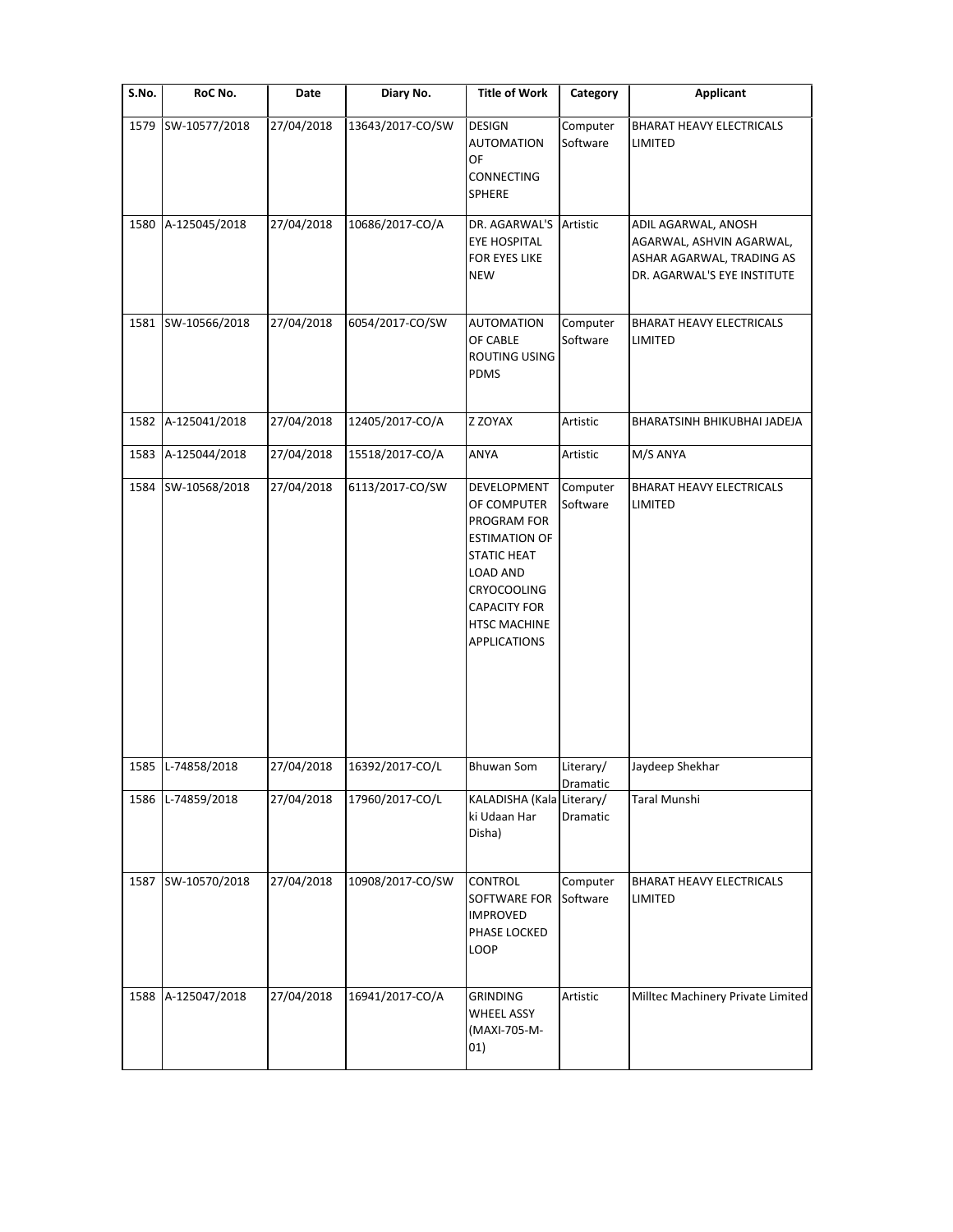| S.No. | RoC No.            | Date       | Diary No.        | <b>Title of Work</b>                                                                                                                                                                    | Category              | <b>Applicant</b>                                                                                            |
|-------|--------------------|------------|------------------|-----------------------------------------------------------------------------------------------------------------------------------------------------------------------------------------|-----------------------|-------------------------------------------------------------------------------------------------------------|
| 1579  | SW-10577/2018      | 27/04/2018 | 13643/2017-CO/SW | <b>DESIGN</b><br><b>AUTOMATION</b><br>OF<br><b>CONNECTING</b><br>SPHERE                                                                                                                 | Computer<br>Software  | <b>BHARAT HEAVY ELECTRICALS</b><br>LIMITED                                                                  |
| 1580  | A-125045/2018      | 27/04/2018 | 10686/2017-CO/A  | DR. AGARWAL'S<br><b>EYE HOSPITAL</b><br>FOR EYES LIKE<br><b>NEW</b>                                                                                                                     | Artistic              | ADIL AGARWAL, ANOSH<br>AGARWAL, ASHVIN AGARWAL,<br>ASHAR AGARWAL, TRADING AS<br>DR. AGARWAL'S EYE INSTITUTE |
|       | 1581 SW-10566/2018 | 27/04/2018 | 6054/2017-CO/SW  | <b>AUTOMATION</b><br>OF CABLE<br>ROUTING USING<br><b>PDMS</b>                                                                                                                           | Computer<br>Software  | <b>BHARAT HEAVY ELECTRICALS</b><br>LIMITED                                                                  |
| 1582  | A-125041/2018      | 27/04/2018 | 12405/2017-CO/A  | Z ZOYAX                                                                                                                                                                                 | Artistic              | BHARATSINH BHIKUBHAI JADEJA                                                                                 |
| 1583  | A-125044/2018      | 27/04/2018 | 15518/2017-CO/A  | ANYA                                                                                                                                                                                    | Artistic              | M/S ANYA                                                                                                    |
| 1584  | SW-10568/2018      | 27/04/2018 | 6113/2017-CO/SW  | DEVELOPMENT<br>OF COMPUTER<br>PROGRAM FOR<br><b>ESTIMATION OF</b><br><b>STATIC HEAT</b><br>LOAD AND<br>CRYOCOOLING<br><b>CAPACITY FOR</b><br><b>HTSC MACHINE</b><br><b>APPLICATIONS</b> | Computer<br>Software  | <b>BHARAT HEAVY ELECTRICALS</b><br>LIMITED                                                                  |
| 1585  | L-74858/2018       | 27/04/2018 | 16392/2017-CO/L  | <b>Bhuwan Som</b>                                                                                                                                                                       | Literary/<br>Dramatic | Jaydeep Shekhar                                                                                             |
|       | 1586 L-74859/2018  | 27/04/2018 | 17960/2017-CO/L  | KALADISHA (Kala Literary/<br>ki Udaan Har<br>Disha)                                                                                                                                     | Dramatic              | Taral Munshi                                                                                                |
| 1587  | SW-10570/2018      | 27/04/2018 | 10908/2017-CO/SW | CONTROL<br>SOFTWARE FOR<br><b>IMPROVED</b><br>PHASE LOCKED<br>LOOP                                                                                                                      | Computer<br>Software  | <b>BHARAT HEAVY ELECTRICALS</b><br>LIMITED                                                                  |
| 1588  | A-125047/2018      | 27/04/2018 | 16941/2017-CO/A  | <b>GRINDING</b><br><b>WHEEL ASSY</b><br>(MAXI-705-M-<br>01)                                                                                                                             | Artistic              | Milltec Machinery Private Limited                                                                           |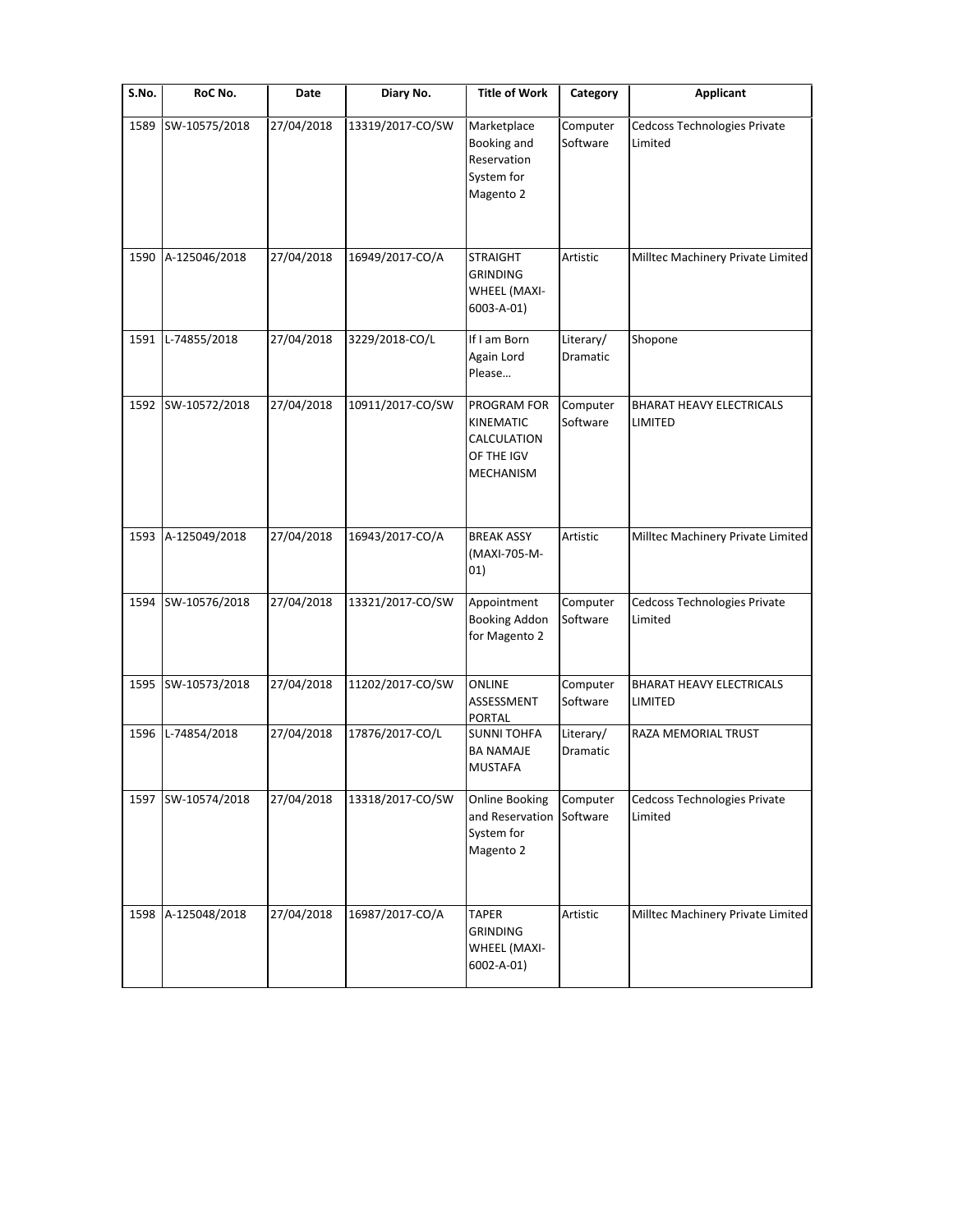| S.No. | RoC No.       | Date       | Diary No.        | <b>Title of Work</b>                                                      | Category                     | <b>Applicant</b>                           |
|-------|---------------|------------|------------------|---------------------------------------------------------------------------|------------------------------|--------------------------------------------|
| 1589  | SW-10575/2018 | 27/04/2018 | 13319/2017-CO/SW | Marketplace<br>Booking and<br>Reservation<br>System for<br>Magento 2      | Computer<br>Software         | Cedcoss Technologies Private<br>Limited    |
| 1590  | A-125046/2018 | 27/04/2018 | 16949/2017-CO/A  | <b>STRAIGHT</b><br><b>GRINDING</b><br>WHEEL (MAXI-<br>6003-A-01)          | Artistic                     | Milltec Machinery Private Limited          |
| 1591  | L-74855/2018  | 27/04/2018 | 3229/2018-CO/L   | If I am Born<br>Again Lord<br>Please                                      | Literary/<br>Dramatic        | Shopone                                    |
| 1592  | SW-10572/2018 | 27/04/2018 | 10911/2017-CO/SW | PROGRAM FOR<br>KINEMATIC<br>CALCULATION<br>OF THE IGV<br><b>MECHANISM</b> | Computer<br>Software         | <b>BHARAT HEAVY ELECTRICALS</b><br>LIMITED |
| 1593  | A-125049/2018 | 27/04/2018 | 16943/2017-CO/A  | <b>BREAK ASSY</b><br>(MAXI-705-M-<br>01)                                  | Artistic                     | Milltec Machinery Private Limited          |
| 1594  | SW-10576/2018 | 27/04/2018 | 13321/2017-CO/SW | Appointment<br><b>Booking Addon</b><br>for Magento 2                      | Computer<br>Software         | Cedcoss Technologies Private<br>Limited    |
| 1595  | SW-10573/2018 | 27/04/2018 | 11202/2017-CO/SW | <b>ONLINE</b><br>ASSESSMENT<br>PORTAL                                     | Computer<br>Software         | <b>BHARAT HEAVY ELECTRICALS</b><br>LIMITED |
| 1596  | L-74854/2018  | 27/04/2018 | 17876/2017-CO/L  | <b>SUNNI TOHFA</b><br><b>BA NAMAJE</b><br><b>MUSTAFA</b>                  | Literary/<br><b>Dramatic</b> | RAZA MEMORIAL TRUST                        |
| 1597  | SW-10574/2018 | 27/04/2018 | 13318/2017-CO/SW | <b>Online Booking</b><br>and Reservation<br>System for<br>Magento 2       | Computer<br>Software         | Cedcoss Technologies Private<br>Limited    |
| 1598  | A-125048/2018 | 27/04/2018 | 16987/2017-CO/A  | <b>TAPER</b><br><b>GRINDING</b><br>WHEEL (MAXI-<br>6002-A-01)             | Artistic                     | Milltec Machinery Private Limited          |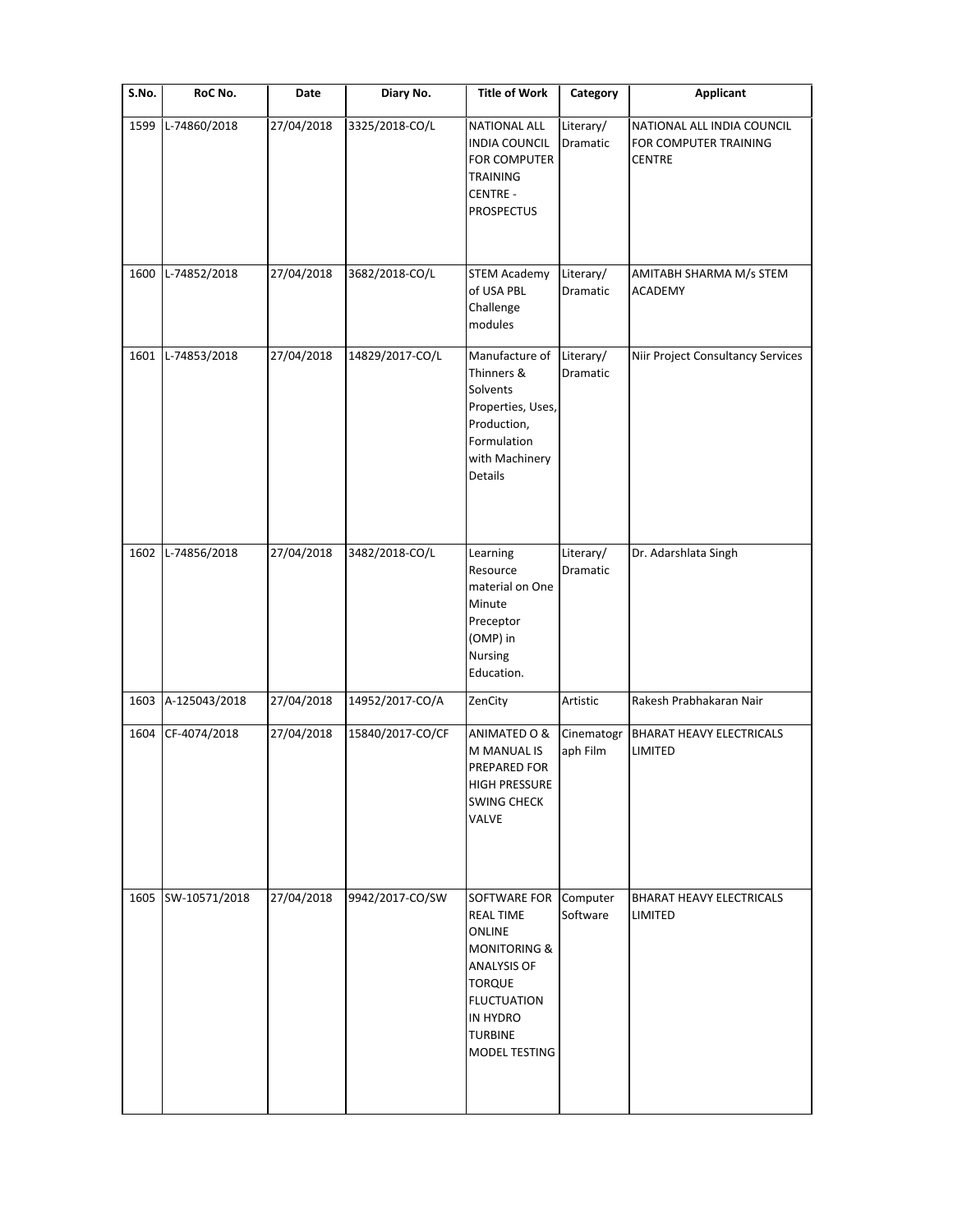| S.No. | RoC No.       | Date       | Diary No.        | <b>Title of Work</b>                                                                                                                                                                | Category               | <b>Applicant</b>                                                     |
|-------|---------------|------------|------------------|-------------------------------------------------------------------------------------------------------------------------------------------------------------------------------------|------------------------|----------------------------------------------------------------------|
| 1599  | L-74860/2018  | 27/04/2018 | 3325/2018-CO/L   | <b>NATIONAL ALL</b><br><b>INDIA COUNCIL</b><br>FOR COMPUTER<br><b>TRAINING</b><br>CENTRE -<br><b>PROSPECTUS</b>                                                                     | Literary/<br>Dramatic  | NATIONAL ALL INDIA COUNCIL<br>FOR COMPUTER TRAINING<br><b>CENTRE</b> |
|       |               |            |                  |                                                                                                                                                                                     |                        |                                                                      |
| 1600  | L-74852/2018  | 27/04/2018 | 3682/2018-CO/L   | <b>STEM Academy</b><br>of USA PBL<br>Challenge<br>modules                                                                                                                           | Literary/<br>Dramatic  | AMITABH SHARMA M/s STEM<br><b>ACADEMY</b>                            |
| 1601  | L-74853/2018  | 27/04/2018 | 14829/2017-CO/L  | Manufacture of<br>Thinners &<br>Solvents<br>Properties, Uses,<br>Production,<br>Formulation<br>with Machinery<br>Details                                                            | Literary/<br>Dramatic  | Niir Project Consultancy Services                                    |
| 1602  | L-74856/2018  | 27/04/2018 | 3482/2018-CO/L   | Learning<br>Resource<br>material on One<br>Minute<br>Preceptor<br>(OMP) in<br>Nursing<br>Education.                                                                                 | Literary/<br>Dramatic  | Dr. Adarshlata Singh                                                 |
| 1603  | A-125043/2018 | 27/04/2018 | 14952/2017-CO/A  | ZenCity                                                                                                                                                                             | Artistic               | Rakesh Prabhakaran Nair                                              |
| 1604  | CF-4074/2018  | 27/04/2018 | 15840/2017-CO/CF | ANIMATED O &<br>M MANUAL IS<br>PREPARED FOR<br>HIGH PRESSURE<br><b>SWING CHECK</b><br>VALVE                                                                                         | Cinematogr<br>aph Film | <b>BHARAT HEAVY ELECTRICALS</b><br>LIMITED                           |
| 1605  | SW-10571/2018 | 27/04/2018 | 9942/2017-CO/SW  | SOFTWARE FOR Computer<br><b>REAL TIME</b><br><b>ONLINE</b><br><b>MONITORING &amp;</b><br>ANALYSIS OF<br><b>TORQUE</b><br><b>FLUCTUATION</b><br>IN HYDRO<br>TURBINE<br>MODEL TESTING | Software               | <b>BHARAT HEAVY ELECTRICALS</b><br>LIMITED                           |